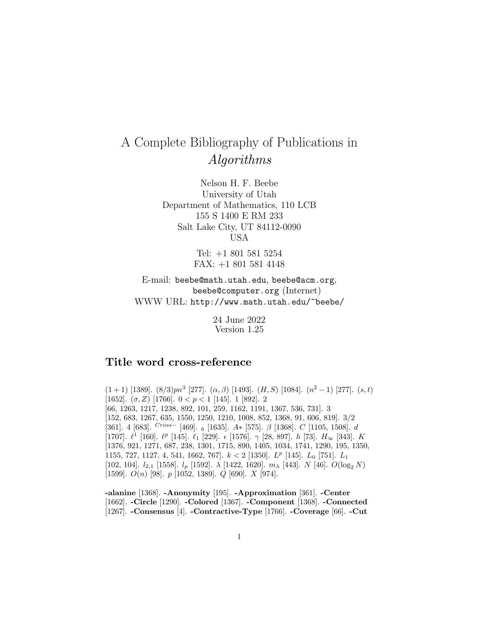## A Complete Bibliography of Publications in Algorithms

Nelson H. F. Beebe University of Utah Department of Mathematics, 110 LCB 155 S 1400 E RM 233 Salt Lake City, UT 84112-0090 USA

> Tel: +1 801 581 5254 FAX: +1 801 581 4148

E-mail: beebe@math.utah.edu, beebe@acm.org, beebe@computer.org (Internet) WWW URL: http://www.math.utah.edu/~beebe/

> 24 June 2022 Version 1.25

## **Title word cross-reference**

 $(1+1)$  [1389].  $(8/3)pn^3$  [277].  $(\alpha, \beta)$  [1493].  $(H, S)$  [1084].  $(n^2-1)$  [277].  $(s, t)$ [1652].  $(\sigma, Z)$  [1766].  $0 < p < 1$  [145]. 1 [892]. 2 [66, 1263, 1217, 1238, 892, 101, 259, 1162, 1191, 1367, 536, 731]. 3 [152, 683, 1267, 635, 1550, 1250, 1210, 1008, 852, 1368, 91, 606, 819]. 3/2 [361]. 4 [683].  $Cross-$  [469]. 6 [1635].  $A*$  [575].  $\beta$  [1368].  $C$  [1105, 1508]. d [1707].  $\ell^1$  [160].  $\ell^p$  [145].  $\ell_1$  [229].  $\epsilon$  [1576].  $\gamma$  [28, 897]. h [73].  $H_{\infty}$  [343]. K [1376, 921, 1271, 687, 238, 1301, 1715, 890, 1405, 1034, 1741, 1290, 195, 1350, 1155, 727, 1127, 4, 541, 1662, 767.  $k < 2$  [1350].  $L^p$  [145].  $L_0$  [751].  $L_1$ [102, 104].  $l_{2,1}$  [1558].  $l_p$  [1592].  $\lambda$  [1422, 1620].  $m_{\lambda}$  [443].  $N$  [46].  $O(\log_2 N)$ [1599].  $O(n)$  [98].  $p$  [1052, 1389].  $Q$  [690].  $X$  [974].

**-alanine** [1368]. **-Anonymity** [195]. **-Approximation** [361]. **-Center** [1662]. **-Circle** [1290]. **-Colored** [1367]. **-Component** [1368]. **-Connected** [1267]. **-Consensus** [4]. **-Contractive-Type** [1766]. **-Coverage** [66]. **-Cut**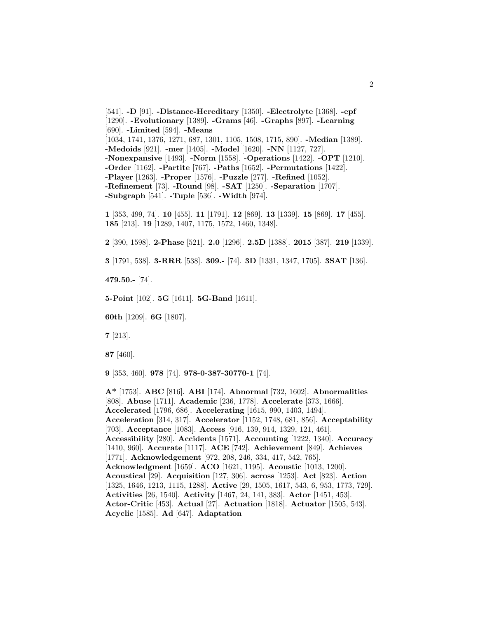[541]. **-D** [91]. **-Distance-Hereditary** [1350]. **-Electrolyte** [1368]. **-epf** [1290]. **-Evolutionary** [1389]. **-Grams** [46]. **-Graphs** [897]. **-Learning** [690]. **-Limited** [594]. **-Means** [1034, 1741, 1376, 1271, 687, 1301, 1105, 1508, 1715, 890]. **-Median** [1389]. **-Medoids** [921]. **-mer** [1405]. **-Model** [1620]. **-NN** [1127, 727]. **-Nonexpansive** [1493]. **-Norm** [1558]. **-Operations** [1422]. **-OPT** [1210]. **-Order** [1162]. **-Partite** [767]. **-Paths** [1652]. **-Permutations** [1422]. **-Player** [1263]. **-Proper** [1576]. **-Puzzle** [277]. **-Refined** [1052]. **-Refinement** [73]. **-Round** [98]. **-SAT** [1250]. **-Separation** [1707]. **-Subgraph** [541]. **-Tuple** [536]. **-Width** [974].

**1** [353, 499, 74]. **10** [455]. **11** [1791]. **12** [869]. **13** [1339]. **15** [869]. **17** [455]. **185** [213]. **19** [1289, 1407, 1175, 1572, 1460, 1348].

**2** [390, 1598]. **2-Phase** [521]. **2.0** [1296]. **2.5D** [1388]. **2015** [387]. **219** [1339].

**3** [1791, 538]. **3-RRR** [538]. **309.-** [74]. **3D** [1331, 1347, 1705]. **3SAT** [136].

**479.50.-** [74].

**5-Point** [102]. **5G** [1611]. **5G-Band** [1611].

**60th** [1209]. **6G** [1807].

**7** [213].

**87** [460].

**9** [353, 460]. **978** [74]. **978-0-387-30770-1** [74].

**A\*** [1753]. **ABC** [816]. **ABI** [174]. **Abnormal** [732, 1602]. **Abnormalities** [808]. **Abuse** [1711]. **Academic** [236, 1778]. **Accelerate** [373, 1666]. **Accelerated** [1796, 686]. **Accelerating** [1615, 990, 1403, 1494]. **Acceleration** [314, 317]. **Accelerator** [1152, 1748, 681, 856]. **Acceptability** [703]. **Acceptance** [1083]. **Access** [916, 139, 914, 1329, 121, 461]. **Accessibility** [280]. **Accidents** [1571]. **Accounting** [1222, 1340]. **Accuracy** [1410, 960]. **Accurate** [1117]. **ACE** [742]. **Achievement** [849]. **Achieves** [1771]. **Acknowledgement** [972, 208, 246, 334, 417, 542, 765]. **Acknowledgment** [1659]. **ACO** [1621, 1195]. **Acoustic** [1013, 1200]. **Acoustical** [29]. **Acquisition** [127, 306]. **across** [1253]. **Act** [823]. **Action** [1325, 1646, 1213, 1115, 1288]. **Active** [29, 1505, 1617, 543, 6, 953, 1773, 729]. **Activities** [26, 1540]. **Activity** [1467, 24, 141, 383]. **Actor** [1451, 453]. **Actor-Critic** [453]. **Actual** [27]. **Actuation** [1818]. **Actuator** [1505, 543]. **Acyclic** [1585]. **Ad** [647]. **Adaptation**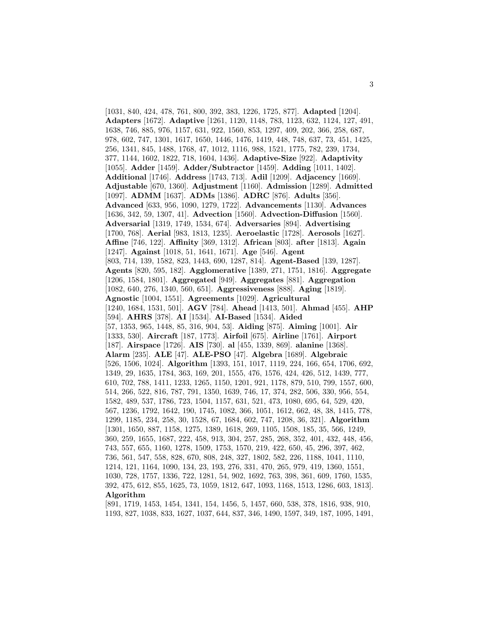[1031, 840, 424, 478, 761, 800, 392, 383, 1226, 1725, 877]. **Adapted** [1204]. **Adapters** [1672]. **Adaptive** [1261, 1120, 1148, 783, 1123, 632, 1124, 127, 491, 1638, 746, 885, 976, 1157, 631, 922, 1560, 853, 1297, 409, 202, 366, 258, 687, 978, 602, 747, 1301, 1617, 1650, 1446, 1476, 1419, 448, 748, 637, 73, 451, 1425, 256, 1341, 845, 1488, 1768, 47, 1012, 1116, 988, 1521, 1775, 782, 239, 1734, 377, 1144, 1602, 1822, 718, 1604, 1436]. **Adaptive-Size** [922]. **Adaptivity** [1055]. **Adder** [1459]. **Adder/Subtractor** [1459]. **Adding** [1011, 1402]. **Additional** [1746]. **Address** [1743, 713]. **Adil** [1209]. **Adjacency** [1669]. **Adjustable** [670, 1360]. **Adjustment** [1160]. **Admission** [1289]. **Admitted** [1097]. **ADMM** [1637]. **ADMs** [1386]. **ADRC** [876]. **Adults** [356]. **Advanced** [633, 956, 1090, 1279, 1722]. **Advancements** [1130]. **Advances** [1636, 342, 59, 1307, 41]. **Advection** [1560]. **Advection-Diffusion** [1560]. **Adversarial** [1319, 1749, 1534, 674]. **Adversaries** [894]. **Advertising** [1700, 768]. **Aerial** [983, 1813, 1235]. **Aeroelastic** [1728]. **Aerosols** [1627]. **Affine** [746, 122]. **Affinity** [369, 1312]. **African** [803]. **after** [1813]. **Again** [1247]. **Against** [1018, 51, 1641, 1671]. **Age** [546]. **Agent** [803, 714, 139, 1582, 823, 1443, 690, 1287, 814]. **Agent-Based** [139, 1287]. **Agents** [820, 595, 182]. **Agglomerative** [1389, 271, 1751, 1816]. **Aggregate** [1206, 1584, 1801]. **Aggregated** [949]. **Aggregates** [881]. **Aggregation** [1082, 640, 276, 1340, 560, 651]. **Aggressiveness** [888]. **Aging** [1819]. **Agnostic** [1004, 1551]. **Agreements** [1029]. **Agricultural** [1240, 1684, 1531, 501]. **AGV** [784]. **Ahead** [1413, 501]. **Ahmad** [455]. **AHP** [594]. **AHRS** [378]. **AI** [1534]. **AI-Based** [1534]. **Aided** [57, 1353, 965, 1448, 85, 316, 904, 53]. **Aiding** [875]. **Aiming** [1001]. **Air** [1333, 530]. **Aircraft** [187, 1773]. **Airfoil** [675]. **Airline** [1761]. **Airport** [187]. **Airspace** [1726]. **AIS** [730]. **al** [455, 1339, 869]. **alanine** [1368]. **Alarm** [235]. **ALE** [47]. **ALE-PSO** [47]. **Algebra** [1689]. **Algebraic** [526, 1506, 1024]. **Algorithm** [1393, 151, 1017, 1119, 224, 166, 654, 1706, 692, 1349, 29, 1635, 1784, 363, 169, 201, 1555, 476, 1576, 424, 426, 512, 1439, 777, 610, 702, 788, 1411, 1233, 1265, 1150, 1201, 921, 1178, 879, 510, 799, 1557, 600, 514, 266, 522, 816, 787, 791, 1350, 1639, 746, 17, 374, 282, 506, 330, 956, 554, 1582, 489, 537, 1786, 723, 1504, 1157, 631, 521, 473, 1080, 695, 64, 529, 420, 567, 1236, 1792, 1642, 190, 1745, 1082, 366, 1051, 1612, 662, 48, 38, 1415, 778, 1299, 1185, 234, 258, 30, 1528, 67, 1684, 602, 747, 1208, 36, 321]. **Algorithm** [1301, 1650, 887, 1158, 1275, 1389, 1618, 269, 1105, 1508, 185, 35, 566, 1249, 360, 259, 1655, 1687, 222, 458, 913, 304, 257, 285, 268, 352, 401, 432, 448, 456, 743, 557, 655, 1160, 1278, 1509, 1753, 1570, 219, 422, 650, 45, 296, 397, 462, 736, 561, 547, 558, 828, 670, 808, 248, 327, 1802, 582, 226, 1188, 1041, 1110, 1214, 121, 1164, 1090, 134, 23, 193, 276, 331, 470, 265, 979, 419, 1360, 1551, 1030, 728, 1757, 1336, 722, 1281, 54, 902, 1692, 763, 398, 361, 609, 1760, 1535, 392, 475, 612, 855, 1625, 73, 1059, 1812, 647, 1093, 1168, 1513, 1286, 603, 1813]. **Algorithm**

[891, 1719, 1453, 1454, 1341, 154, 1456, 5, 1457, 660, 538, 378, 1816, 938, 910, 1193, 827, 1038, 833, 1627, 1037, 644, 837, 346, 1490, 1597, 349, 187, 1095, 1491,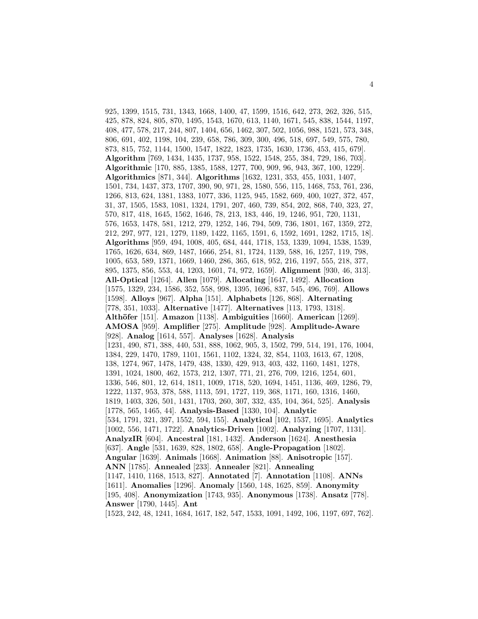925, 1399, 1515, 731, 1343, 1668, 1400, 47, 1599, 1516, 642, 273, 262, 326, 515, 425, 878, 824, 805, 870, 1495, 1543, 1670, 613, 1140, 1671, 545, 838, 1544, 1197, 408, 477, 578, 217, 244, 807, 1404, 656, 1462, 307, 502, 1056, 988, 1521, 573, 348, 806, 691, 402, 1198, 104, 239, 658, 786, 309, 300, 496, 518, 697, 549, 575, 780, 873, 815, 752, 1144, 1500, 1547, 1822, 1823, 1735, 1630, 1736, 453, 415, 679]. **Algorithm** [769, 1434, 1435, 1737, 958, 1522, 1548, 255, 384, 729, 186, 703]. **Algorithmic** [170, 885, 1385, 1588, 1277, 700, 909, 96, 943, 367, 100, 1229]. **Algorithmics** [871, 344]. **Algorithms** [1632, 1231, 353, 455, 1031, 1407, 1501, 734, 1437, 373, 1707, 390, 90, 971, 28, 1580, 556, 115, 1468, 753, 761, 236, 1266, 813, 624, 1381, 1383, 1077, 336, 1125, 945, 1582, 669, 400, 1027, 372, 457, 31, 37, 1505, 1583, 1081, 1324, 1791, 207, 460, 739, 854, 202, 868, 740, 323, 27, 570, 817, 418, 1645, 1562, 1646, 78, 213, 183, 446, 19, 1246, 951, 720, 1131, 576, 1653, 1478, 581, 1212, 279, 1252, 146, 794, 509, 736, 1801, 167, 1359, 272, 212, 297, 977, 121, 1279, 1189, 1422, 1165, 1591, 6, 1592, 1691, 1282, 1715, 18]. **Algorithms** [959, 494, 1008, 405, 684, 444, 1718, 153, 1339, 1094, 1538, 1539, 1765, 1626, 634, 869, 1487, 1666, 254, 81, 1724, 1139, 588, 16, 1257, 119, 798, 1005, 653, 589, 1371, 1669, 1460, 286, 365, 618, 952, 216, 1197, 555, 218, 377, 895, 1375, 856, 553, 44, 1203, 1601, 74, 972, 1659]. **Alignment** [930, 46, 313]. **All-Optical** [1264]. **Allen** [1079]. **Allocating** [1647, 1492]. **Allocation** [1575, 1329, 234, 1586, 352, 558, 998, 1395, 1696, 837, 545, 496, 769]. **Allows** [1598]. **Alloys** [967]. **Alpha** [151]. **Alphabets** [126, 868]. **Alternating** [778, 351, 1033]. **Alternative** [1477]. **Alternatives** [113, 1793, 1318]. **Alth¨ofer** [151]. **Amazon** [1138]. **Ambiguities** [1660]. **American** [1269]. **AMOSA** [959]. **Amplifier** [275]. **Amplitude** [928]. **Amplitude-Aware** [928]. **Analog** [1614, 557]. **Analyses** [1628]. **Analysis** [1231, 490, 871, 388, 440, 531, 888, 1062, 905, 3, 1502, 799, 514, 191, 176, 1004, 1384, 229, 1470, 1789, 1101, 1561, 1102, 1324, 32, 854, 1103, 1613, 67, 1208, 138, 1274, 967, 1478, 1479, 438, 1330, 429, 913, 403, 432, 1160, 1481, 1278, 1391, 1024, 1800, 462, 1573, 212, 1307, 771, 21, 276, 709, 1216, 1254, 601, 1336, 546, 801, 12, 614, 1811, 1009, 1718, 520, 1694, 1451, 1136, 469, 1286, 79, 1222, 1137, 953, 378, 588, 1113, 591, 1727, 119, 368, 1171, 160, 1316, 1460, 1819, 1403, 326, 501, 1431, 1703, 260, 307, 332, 435, 104, 364, 525]. **Analysis** [1778, 565, 1465, 44]. **Analysis-Based** [1330, 104]. **Analytic** [534, 1791, 321, 397, 1552, 594, 155]. **Analytical** [102, 1537, 1695]. **Analytics** [1002, 556, 1471, 1722]. **Analytics-Driven** [1002]. **Analyzing** [1707, 1131]. **AnalyzIR** [604]. **Ancestral** [181, 1432]. **Anderson** [1624]. **Anesthesia** [637]. **Angle** [531, 1639, 828, 1802, 658]. **Angle-Propagation** [1802]. **Angular** [1639]. **Animals** [1668]. **Animation** [88]. **Anisotropic** [157]. **ANN** [1785]. **Annealed** [233]. **Annealer** [821]. **Annealing** [1147, 1410, 1168, 1513, 827]. **Annotated** [7]. **Annotation** [1108]. **ANNs** [1611]. **Anomalies** [1296]. **Anomaly** [1560, 148, 1625, 859]. **Anonymity** [195, 408]. **Anonymization** [1743, 935]. **Anonymous** [1738]. **Ansatz** [778]. **Answer** [1790, 1445]. **Ant**

[1523, 242, 48, 1241, 1684, 1617, 182, 547, 1533, 1091, 1492, 106, 1197, 697, 762].

4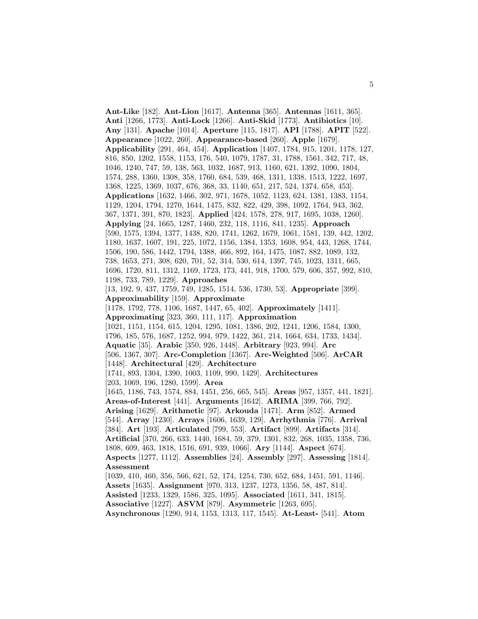**Ant-Like** [182]. **Ant-Lion** [1617]. **Antenna** [365]. **Antennas** [1611, 365]. **Anti** [1266, 1773]. **Anti-Lock** [1266]. **Anti-Skid** [1773]. **Antibiotics** [10]. **Any** [131]. **Apache** [1014]. **Aperture** [115, 1817]. **API** [1788]. **APIT** [522]. **Appearance** [1022, 260]. **Appearance-based** [260]. **Apple** [1679]. **Applicability** [291, 464, 454]. **Application** [1407, 1784, 915, 1201, 1178, 127, 816, 850, 1202, 1558, 1153, 176, 540, 1079, 1787, 31, 1788, 1561, 342, 717, 48, 1046, 1240, 747, 59, 138, 563, 1032, 1687, 913, 1160, 621, 1392, 1090, 1804, 1574, 288, 1360, 1308, 358, 1760, 684, 539, 468, 1311, 1338, 1513, 1222, 1697, 1368, 1225, 1369, 1037, 676, 368, 33, 1140, 651, 217, 524, 1374, 658, 453]. **Applications** [1632, 1466, 302, 971, 1678, 1052, 1123, 624, 1381, 1383, 1154, 1129, 1204, 1794, 1270, 1644, 1475, 832, 822, 429, 398, 1092, 1764, 943, 362, 367, 1371, 391, 870, 1823]. **Applied** [424, 1578, 278, 917, 1695, 1038, 1260]. **Applying** [24, 1665, 1287, 1460, 232, 118, 1116, 841, 1235]. **Approach** [590, 1575, 1394, 1377, 1438, 820, 1741, 1262, 1679, 1061, 1581, 139, 442, 1202, 1180, 1637, 1607, 191, 225, 1072, 1156, 1384, 1353, 1608, 954, 443, 1268, 1744, 1506, 190, 586, 1442, 1794, 1388, 466, 892, 164, 1475, 1087, 882, 1089, 132, 738, 1653, 271, 308, 620, 701, 52, 314, 530, 614, 1397, 745, 1023, 1311, 665, 1696, 1720, 811, 1312, 1169, 1723, 173, 441, 918, 1700, 579, 606, 357, 992, 810, 1198, 733, 789, 1229]. **Approaches** [13, 192, 9, 437, 1759, 749, 1285, 1514, 536, 1730, 53]. **Appropriate** [399]. **Approximability** [159]. **Approximate** [1178, 1792, 778, 1106, 1687, 1447, 65, 402]. **Approximately** [1411]. **Approximating** [323, 360, 111, 117]. **Approximation** [1021, 1151, 1154, 615, 1204, 1295, 1081, 1386, 202, 1241, 1206, 1584, 1300, 1796, 185, 576, 1687, 1252, 994, 979, 1422, 361, 214, 1664, 634, 1733, 1434]. **Aquatic** [35]. **Arabic** [350, 926, 1448]. **Arbitrary** [923, 994]. **Arc** [506, 1367, 307]. **Arc-Completion** [1367]. **Arc-Weighted** [506]. **ArCAR** [1448]. **Architectural** [429]. **Architecture** [1741, 893, 1304, 1390, 1003, 1109, 990, 1429]. **Architectures** [203, 1069, 196, 1280, 1599]. **Area** [1645, 1186, 743, 1574, 884, 1451, 256, 665, 545]. **Areas** [957, 1357, 441, 1821]. **Areas-of-Interest** [441]. **Arguments** [1642]. **ARIMA** [399, 766, 792]. **Arising** [1629]. **Arithmetic** [97]. **Arkouda** [1471]. **Arm** [852]. **Armed** [544]. **Array** [1230]. **Arrays** [1606, 1639, 129]. **Arrhythmia** [776]. **Arrival** [384]. **Art** [193]. **Articulated** [799, 553]. **Artifact** [899]. **Artifacts** [314]. **Artificial** [370, 266, 633, 1440, 1684, 59, 379, 1301, 832, 268, 1035, 1358, 736, 1808, 609, 463, 1818, 1516, 691, 939, 1066]. **Ary** [1144]. **Aspect** [674]. **Aspects** [1277, 1112]. **Assemblies** [24]. **Assembly** [297]. **Assessing** [1814]. **Assessment** [1039, 410, 460, 356, 566, 621, 52, 174, 1254, 730, 652, 684, 1451, 591, 1146]. **Assets** [1635]. **Assignment** [970, 313, 1237, 1273, 1356, 58, 487, 814]. **Assisted** [1233, 1329, 1586, 325, 1095]. **Associated** [1611, 341, 1815]. **Associative** [1227]. **ASVM** [879]. **Asymmetric** [1263, 695]. **Asynchronous** [1290, 914, 1153, 1313, 117, 1545]. **At-Least-** [541]. **Atom**

5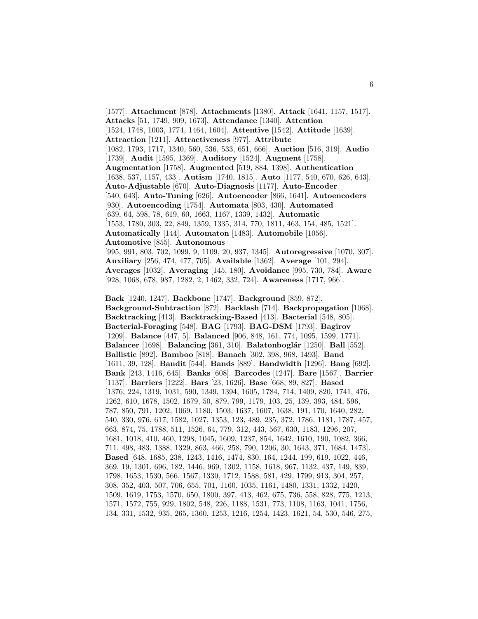[1577]. **Attachment** [878]. **Attachments** [1380]. **Attack** [1641, 1157, 1517]. **Attacks** [51, 1749, 909, 1673]. **Attendance** [1340]. **Attention** [1524, 1748, 1003, 1774, 1464, 1604]. **Attentive** [1542]. **Attitude** [1639]. **Attraction** [1211]. **Attractiveness** [977]. **Attribute** [1082, 1793, 1717, 1340, 560, 536, 533, 651, 666]. **Auction** [516, 319]. **Audio** [1739]. **Audit** [1595, 1369]. **Auditory** [1524]. **Augment** [1758]. **Augmentation** [1758]. **Augmented** [519, 884, 1398]. **Authentication** [1638, 537, 1157, 433]. **Autism** [1740, 1815]. **Auto** [1177, 540, 670, 626, 643]. **Auto-Adjustable** [670]. **Auto-Diagnosis** [1177]. **Auto-Encoder** [540, 643]. **Auto-Tuning** [626]. **Autoencoder** [866, 1641]. **Autoencoders** [930]. **Autoencoding** [1754]. **Automata** [803, 430]. **Automated** [639, 64, 598, 78, 619, 60, 1663, 1167, 1339, 1432]. **Automatic** [1553, 1780, 303, 22, 849, 1359, 1335, 314, 770, 1811, 463, 154, 485, 1521]. **Automatically** [144]. **Automaton** [1483]. **Automobile** [1056]. **Automotive** [855]. **Autonomous** [995, 991, 803, 702, 1099, 9, 1109, 20, 937, 1345]. **Autoregressive** [1070, 307]. **Auxiliary** [256, 474, 477, 705]. **Available** [1362]. **Average** [101, 294]. **Averages** [1032]. **Averaging** [145, 180]. **Avoidance** [995, 730, 784]. **Aware** [928, 1068, 678, 987, 1282, 2, 1462, 332, 724]. **Awareness** [1717, 966]. **Back** [1240, 1247]. **Backbone** [1747]. **Background** [859, 872]. **Background-Subtraction** [872]. **Backlash** [714]. **Backpropagation** [1068]. **Backtracking** [413]. **Backtracking-Based** [413]. **Bacterial** [548, 805]. **Bacterial-Foraging** [548]. **BAG** [1793]. **BAG-DSM** [1793]. **Bagirov** [1209]. **Balance** [447, 5]. **Balanced** [906, 848, 161, 774, 1095, 1599, 1771]. **Balancer** [1698]. **Balancing** [361, 310]. **Balatonbogl´ar** [1250]. **Ball** [552]. **Ballistic** [892]. **Bamboo** [818]. **Banach** [302, 398, 968, 1493]. **Band** [1611, 39, 128]. **Bandit** [544]. **Bands** [889]. **Bandwidth** [1296]. **Bang** [692]. **Bank** [243, 1416, 645]. **Banks** [608]. **Barcodes** [1247]. **Bare** [1567]. **Barrier** [1137]. **Barriers** [1222]. **Bars** [23, 1626]. **Base** [668, 89, 827]. **Based** [1376, 224, 1319, 1031, 590, 1349, 1394, 1605, 1784, 714, 1409, 820, 1741, 476, 1262, 610, 1678, 1502, 1679, 50, 879, 799, 1179, 103, 25, 139, 393, 484, 596, 787, 850, 791, 1202, 1069, 1180, 1503, 1637, 1607, 1638, 191, 170, 1640, 282, 540, 330, 976, 617, 1582, 1027, 1353, 123, 489, 235, 372, 1786, 1181, 1787, 457, 663, 874, 75, 1788, 511, 1526, 64, 779, 312, 443, 567, 630, 1183, 1296, 207, 1681, 1018, 410, 460, 1298, 1045, 1609, 1237, 854, 1642, 1610, 190, 1082, 366, 711, 498, 483, 1388, 1329, 863, 466, 258, 790, 1206, 30, 1643, 371, 1684, 1473].

**Based** [648, 1685, 238, 1243, 1416, 1474, 830, 164, 1244, 199, 619, 1022, 446, 369, 19, 1301, 696, 182, 1446, 969, 1302, 1158, 1618, 967, 1132, 437, 149, 839, 1798, 1653, 1530, 566, 1567, 1330, 1712, 1588, 581, 429, 1799, 913, 304, 257, 308, 352, 403, 507, 706, 655, 701, 1160, 1035, 1161, 1480, 1331, 1332, 1420, 1509, 1619, 1753, 1570, 650, 1800, 397, 413, 462, 675, 736, 558, 828, 775, 1213, 1571, 1572, 755, 929, 1802, 548, 226, 1188, 1531, 773, 1108, 1163, 1041, 1756, 134, 331, 1532, 935, 265, 1360, 1253, 1216, 1254, 1423, 1621, 54, 530, 546, 275,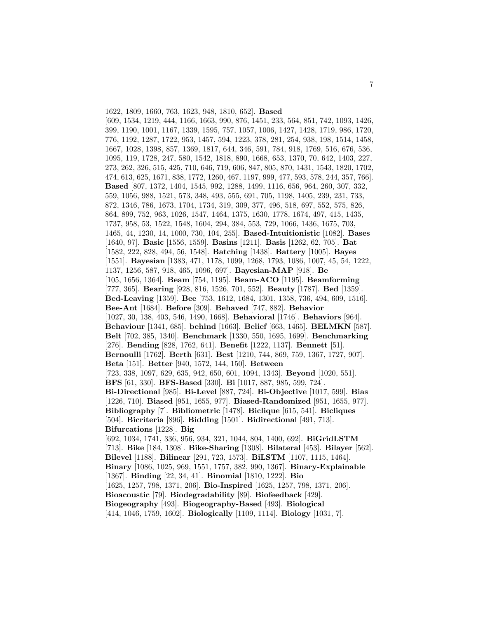1622, 1809, 1660, 763, 1623, 948, 1810, 652]. **Based** [609, 1534, 1219, 444, 1166, 1663, 990, 876, 1451, 233, 564, 851, 742, 1093, 1426, 399, 1190, 1001, 1167, 1339, 1595, 757, 1057, 1006, 1427, 1428, 1719, 986, 1720, 776, 1192, 1287, 1722, 953, 1457, 594, 1223, 378, 281, 254, 938, 198, 1514, 1458, 1667, 1028, 1398, 857, 1369, 1817, 644, 346, 591, 784, 918, 1769, 516, 676, 536, 1095, 119, 1728, 247, 580, 1542, 1818, 890, 1668, 653, 1370, 70, 642, 1403, 227, 273, 262, 326, 515, 425, 710, 646, 719, 606, 847, 805, 870, 1431, 1543, 1820, 1702, 474, 613, 625, 1671, 838, 1772, 1260, 467, 1197, 999, 477, 593, 578, 244, 357, 766]. **Based** [807, 1372, 1404, 1545, 992, 1288, 1499, 1116, 656, 964, 260, 307, 332, 559, 1056, 988, 1521, 573, 348, 493, 555, 691, 705, 1198, 1405, 239, 231, 733, 872, 1346, 786, 1673, 1704, 1734, 319, 309, 377, 496, 518, 697, 552, 575, 826, 864, 899, 752, 963, 1026, 1547, 1464, 1375, 1630, 1778, 1674, 497, 415, 1435, 1737, 958, 53, 1522, 1548, 1604, 294, 384, 553, 729, 1066, 1436, 1675, 703, 1465, 44, 1230, 14, 1000, 730, 104, 255]. **Based-Intuitionistic** [1082]. **Bases** [1640, 97]. **Basic** [1556, 1559]. **Basins** [1211]. **Basis** [1262, 62, 705]. **Bat** [1582, 222, 828, 494, 56, 1548]. **Batching** [1438]. **Battery** [1005]. **Bayes** [1551]. **Bayesian** [1383, 471, 1178, 1099, 1268, 1793, 1086, 1007, 45, 54, 1222, 1137, 1256, 587, 918, 465, 1096, 697]. **Bayesian-MAP** [918]. **Be** [105, 1656, 1364]. **Beam** [754, 1195]. **Beam-ACO** [1195]. **Beamforming** [777, 365]. **Bearing** [928, 816, 1526, 701, 552]. **Beauty** [1787]. **Bed** [1359]. **Bed-Leaving** [1359]. **Bee** [753, 1612, 1684, 1301, 1358, 736, 494, 609, 1516]. **Bee-Ant** [1684]. **Before** [309]. **Behaved** [747, 882]. **Behavior** [1027, 30, 138, 403, 546, 1490, 1668]. **Behavioral** [1746]. **Behaviors** [964]. **Behaviour** [1341, 685]. **behind** [1663]. **Belief** [663, 1465]. **BELMKN** [587]. **Belt** [702, 385, 1340]. **Benchmark** [1330, 550, 1695, 1699]. **Benchmarking** [276]. **Bending** [828, 1762, 641]. **Benefit** [1222, 1137]. **Bennett** [51]. **Bernoulli** [1762]. **Berth** [631]. **Best** [1210, 744, 869, 759, 1367, 1727, 907]. **Beta** [151]. **Better** [940, 1572, 144, 150]. **Between** [723, 338, 1097, 629, 635, 942, 650, 601, 1094, 1343]. **Beyond** [1020, 551]. **BFS** [61, 330]. **BFS-Based** [330]. **Bi** [1017, 887, 985, 599, 724]. **Bi-Directional** [985]. **Bi-Level** [887, 724]. **Bi-Objective** [1017, 599]. **Bias** [1226, 710]. **Biased** [951, 1655, 977]. **Biased-Randomized** [951, 1655, 977]. **Bibliography** [7]. **Bibliometric** [1478]. **Biclique** [615, 541]. **Bicliques** [504]. **Bicriteria** [896]. **Bidding** [1501]. **Bidirectional** [491, 713]. **Bifurcations** [1228]. **Big** [692, 1034, 1741, 336, 956, 934, 321, 1044, 804, 1400, 692]. **BiGridLSTM** [713]. **Bike** [184, 1308]. **Bike-Sharing** [1308]. **Bilateral** [453]. **Bilayer** [562]. **Bilevel** [1188]. **Bilinear** [291, 723, 1573]. **BiLSTM** [1107, 1115, 1464]. **Binary** [1086, 1025, 969, 1551, 1757, 382, 990, 1367]. **Binary-Explainable** [1367]. **Binding** [22, 34, 41]. **Binomial** [1810, 1222]. **Bio** [1625, 1257, 798, 1371, 206]. **Bio-Inspired** [1625, 1257, 798, 1371, 206]. **Bioacoustic** [79]. **Biodegradability** [89]. **Biofeedback** [429]. **Biogeography** [493]. **Biogeography-Based** [493]. **Biological** [414, 1046, 1759, 1602]. **Biologically** [1109, 1114]. **Biology** [1031, 7].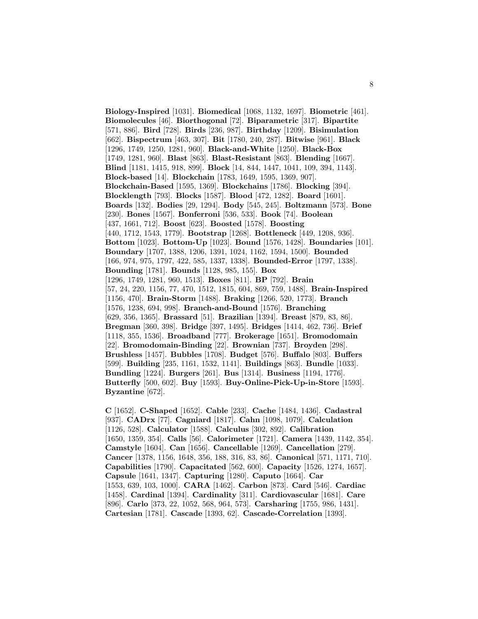**Biology-Inspired** [1031]. **Biomedical** [1068, 1132, 1697]. **Biometric** [461]. **Biomolecules** [46]. **Biorthogonal** [72]. **Biparametric** [317]. **Bipartite** [571, 886]. **Bird** [728]. **Birds** [236, 987]. **Birthday** [1209]. **Bisimulation** [662]. **Bispectrum** [463, 307]. **Bit** [1780, 240, 287]. **Bitwise** [961]. **Black** [1296, 1749, 1250, 1281, 960]. **Black-and-White** [1250]. **Black-Box** [1749, 1281, 960]. **Blast** [863]. **Blast-Resistant** [863]. **Blending** [1667]. **Blind** [1181, 1415, 918, 899]. **Block** [14, 844, 1447, 1041, 109, 394, 1143]. **Block-based** [14]. **Blockchain** [1783, 1649, 1595, 1369, 907]. **Blockchain-Based** [1595, 1369]. **Blockchains** [1786]. **Blocking** [394]. **Blocklength** [793]. **Blocks** [1587]. **Blood** [472, 1282]. **Board** [1601]. **Boards** [132]. **Bodies** [29, 1294]. **Body** [545, 245]. **Boltzmann** [573]. **Bone** [230]. **Bones** [1567]. **Bonferroni** [536, 533]. **Book** [74]. **Boolean** [437, 1661, 712]. **Boost** [623]. **Boosted** [1578]. **Boosting** [440, 1712, 1543, 1779]. **Bootstrap** [1268]. **Bottleneck** [449, 1208, 936]. **Bottom** [1023]. **Bottom-Up** [1023]. **Bound** [1576, 1428]. **Boundaries** [101]. **Boundary** [1707, 1388, 1206, 1391, 1024, 1162, 1594, 1500]. **Bounded** [166, 974, 975, 1797, 422, 585, 1337, 1338]. **Bounded-Error** [1797, 1338]. **Bounding** [1781]. **Bounds** [1128, 985, 155]. **Box** [1296, 1749, 1281, 960, 1513]. **Boxes** [811]. **BP** [792]. **Brain** [57, 24, 220, 1156, 77, 470, 1512, 1815, 604, 869, 759, 1488]. **Brain-Inspired** [1156, 470]. **Brain-Storm** [1488]. **Braking** [1266, 520, 1773]. **Branch** [1576, 1238, 694, 998]. **Branch-and-Bound** [1576]. **Branching** [629, 356, 1365]. **Brassard** [51]. **Brazilian** [1394]. **Breast** [879, 83, 86]. **Bregman** [360, 398]. **Bridge** [397, 1495]. **Bridges** [1414, 462, 736]. **Brief** [1118, 355, 1536]. **Broadband** [777]. **Brokerage** [1651]. **Bromodomain** [22]. **Bromodomain-Binding** [22]. **Brownian** [737]. **Broyden** [298]. **Brushless** [1457]. **Bubbles** [1708]. **Budget** [576]. **Buffalo** [803]. **Buffers** [599]. **Building** [235, 1161, 1532, 1141]. **Buildings** [863]. **Bundle** [1033]. **Bundling** [1224]. **Burgers** [261]. **Bus** [1314]. **Business** [1194, 1776]. **Butterfly** [500, 602]. **Buy** [1593]. **Buy-Online-Pick-Up-in-Store** [1593]. **Byzantine** [672].

**C** [1652]. **C-Shaped** [1652]. **Cable** [233]. **Cache** [1484, 1436]. **Cadastral** [937]. **CADrx** [77]. **Cagniard** [1817]. **Cahn** [1098, 1079]. **Calculation** [1126, 528]. **Calculator** [1588]. **Calculus** [302, 892]. **Calibration** [1650, 1359, 354]. **Calls** [56]. **Calorimeter** [1721]. **Camera** [1439, 1142, 354]. **Camstyle** [1604]. **Can** [1656]. **Cancellable** [1269]. **Cancellation** [279]. **Cancer** [1378, 1156, 1648, 356, 188, 316, 83, 86]. **Canonical** [571, 1171, 710]. **Capabilities** [1790]. **Capacitated** [562, 600]. **Capacity** [1526, 1274, 1657]. **Capsule** [1641, 1347]. **Capturing** [1280]. **Caputo** [1664]. **Car** [1553, 639, 103, 1000]. **CARA** [1462]. **Carbon** [873]. **Card** [546]. **Cardiac** [1458]. **Cardinal** [1394]. **Cardinality** [311]. **Cardiovascular** [1681]. **Care** [896]. **Carlo** [373, 22, 1052, 568, 964, 573]. **Carsharing** [1755, 986, 1431]. **Cartesian** [1781]. **Cascade** [1393, 62]. **Cascade-Correlation** [1393].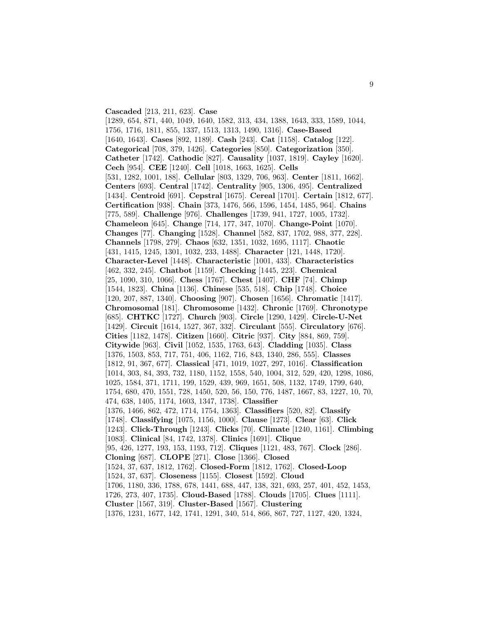## **Cascaded** [213, 211, 623]. **Case**

[1289, 654, 871, 440, 1049, 1640, 1582, 313, 434, 1388, 1643, 333, 1589, 1044, 1756, 1716, 1811, 855, 1337, 1513, 1313, 1490, 1316]. **Case-Based** [1640, 1643]. **Cases** [892, 1189]. **Cash** [243]. **Cat** [1158]. **Catalog** [122]. **Categorical** [708, 379, 1426]. **Categories** [850]. **Categorization** [350]. **Catheter** [1742]. **Cathodic** [827]. **Causality** [1037, 1819]. **Cayley** [1620]. **Cech** [954]. **CEE** [1240]. **Cell** [1018, 1663, 1625]. **Cells** [531, 1282, 1001, 188]. **Cellular** [803, 1329, 706, 963]. **Center** [1811, 1662]. **Centers** [693]. **Central** [1742]. **Centrality** [905, 1306, 495]. **Centralized** [1434]. **Centroid** [691]. **Cepstral** [1675]. **Cereal** [1701]. **Certain** [1812, 677]. **Certification** [938]. **Chain** [373, 1476, 566, 1596, 1454, 1485, 964]. **Chains** [775, 589]. **Challenge** [976]. **Challenges** [1739, 941, 1727, 1005, 1732]. **Chameleon** [645]. **Change** [714, 177, 347, 1070]. **Change-Point** [1070]. **Changes** [77]. **Changing** [1528]. **Channel** [582, 837, 1702, 988, 377, 228]. **Channels** [1798, 279]. **Chaos** [632, 1351, 1032, 1695, 1117]. **Chaotic** [431, 1415, 1245, 1301, 1032, 233, 1488]. **Character** [121, 1448, 1720]. **Character-Level** [1448]. **Characteristic** [1001, 433]. **Characteristics** [462, 332, 245]. **Chatbot** [1159]. **Checking** [1445, 223]. **Chemical** [25, 1090, 310, 1066]. **Chess** [1767]. **Chest** [1407]. **CHF** [74]. **Chimp** [1544, 1823]. **China** [1136]. **Chinese** [535, 518]. **Chip** [1748]. **Choice** [120, 207, 887, 1340]. **Choosing** [907]. **Chosen** [1656]. **Chromatic** [1417]. **Chromosomal** [181]. **Chromosome** [1432]. **Chronic** [1769]. **Chronotype** [685]. **CHTKC** [1727]. **Church** [903]. **Circle** [1290, 1429]. **Circle-U-Net** [1429]. **Circuit** [1614, 1527, 367, 332]. **Circulant** [555]. **Circulatory** [676]. **Cities** [1182, 1478]. **Citizen** [1660]. **Citric** [937]. **City** [884, 869, 759]. **Citywide** [963]. **Civil** [1052, 1535, 1763, 643]. **Cladding** [1035]. **Class** [1376, 1503, 853, 717, 751, 406, 1162, 716, 843, 1340, 286, 555]. **Classes** [1812, 91, 367, 677]. **Classical** [471, 1019, 1027, 297, 1016]. **Classification** [1014, 303, 84, 393, 732, 1180, 1152, 1558, 540, 1004, 312, 529, 420, 1298, 1086, 1025, 1584, 371, 1711, 199, 1529, 439, 969, 1651, 508, 1132, 1749, 1799, 640, 1754, 680, 470, 1551, 728, 1450, 520, 56, 150, 776, 1487, 1667, 83, 1227, 10, 70, 474, 638, 1405, 1174, 1603, 1347, 1738]. **Classifier** [1376, 1466, 862, 472, 1714, 1754, 1363]. **Classifiers** [520, 82]. **Classify** [1748]. **Classifying** [1075, 1156, 1000]. **Clause** [1273]. **Clear** [63]. **Click** [1243]. **Click-Through** [1243]. **Clicks** [70]. **Climate** [1240, 1161]. **Climbing** [1083]. **Clinical** [84, 1742, 1378]. **Clinics** [1691]. **Clique** [95, 426, 1277, 193, 153, 1193, 712]. **Cliques** [1121, 483, 767]. **Clock** [286]. **Cloning** [687]. **CLOPE** [271]. **Close** [1366]. **Closed** [1524, 37, 637, 1812, 1762]. **Closed-Form** [1812, 1762]. **Closed-Loop** [1524, 37, 637]. **Closeness** [1155]. **Closest** [1592]. **Cloud** [1706, 1180, 336, 1788, 678, 1441, 688, 447, 138, 321, 693, 257, 401, 452, 1453, 1726, 273, 407, 1735]. **Cloud-Based** [1788]. **Clouds** [1705]. **Clues** [1111]. **Cluster** [1567, 319]. **Cluster-Based** [1567]. **Clustering**

[1376, 1231, 1677, 142, 1741, 1291, 340, 514, 866, 867, 727, 1127, 420, 1324,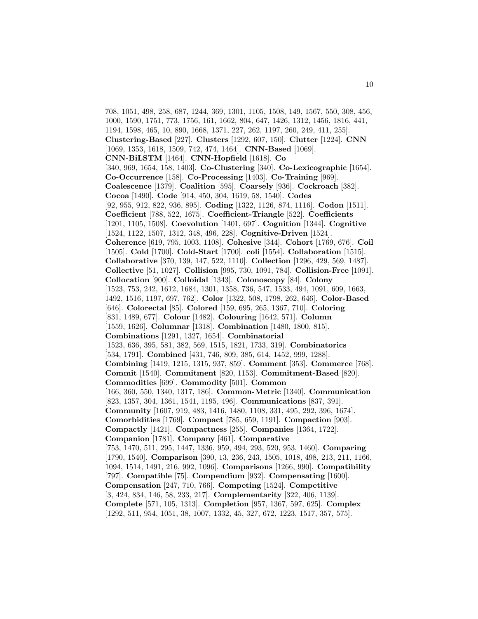708, 1051, 498, 258, 687, 1244, 369, 1301, 1105, 1508, 149, 1567, 550, 308, 456, 1000, 1590, 1751, 773, 1756, 161, 1662, 804, 647, 1426, 1312, 1456, 1816, 441, 1194, 1598, 465, 10, 890, 1668, 1371, 227, 262, 1197, 260, 249, 411, 255]. **Clustering-Based** [227]. **Clusters** [1292, 607, 150]. **Clutter** [1224]. **CNN** [1069, 1353, 1618, 1509, 742, 474, 1464]. **CNN-Based** [1069]. **CNN-BiLSTM** [1464]. **CNN-Hopfield** [1618]. **Co** [340, 969, 1654, 158, 1403]. **Co-Clustering** [340]. **Co-Lexicographic** [1654]. **Co-Occurrence** [158]. **Co-Processing** [1403]. **Co-Training** [969]. **Coalescence** [1379]. **Coalition** [595]. **Coarsely** [936]. **Cockroach** [382]. **Cocoa** [1490]. **Code** [914, 450, 304, 1619, 58, 1540]. **Codes** [92, 955, 912, 822, 936, 895]. **Coding** [1322, 1126, 874, 1116]. **Codon** [1511]. **Coefficient** [788, 522, 1675]. **Coefficient-Triangle** [522]. **Coefficients** [1201, 1105, 1508]. **Coevolution** [1401, 697]. **Cognition** [1344]. **Cognitive** [1524, 1122, 1507, 1312, 348, 496, 228]. **Cognitive-Driven** [1524]. **Coherence** [619, 795, 1003, 1108]. **Cohesive** [344]. **Cohort** [1769, 676]. **Coil** [1505]. **Cold** [1700]. **Cold-Start** [1700]. **coli** [1554]. **Collaboration** [1515]. **Collaborative** [370, 139, 147, 522, 1110]. **Collection** [1296, 429, 569, 1487]. **Collective** [51, 1027]. **Collision** [995, 730, 1091, 784]. **Collision-Free** [1091]. **Collocation** [900]. **Colloidal** [1343]. **Colonoscopy** [84]. **Colony** [1523, 753, 242, 1612, 1684, 1301, 1358, 736, 547, 1533, 494, 1091, 609, 1663, 1492, 1516, 1197, 697, 762]. **Color** [1322, 508, 1798, 262, 646]. **Color-Based** [646]. **Colorectal** [85]. **Colored** [159, 695, 265, 1367, 710]. **Coloring** [831, 1489, 677]. **Colour** [1482]. **Colouring** [1642, 571]. **Column** [1559, 1626]. **Columnar** [1318]. **Combination** [1480, 1800, 815]. **Combinations** [1291, 1327, 1654]. **Combinatorial** [1523, 636, 395, 581, 382, 569, 1515, 1821, 1733, 319]. **Combinatorics** [534, 1791]. **Combined** [431, 746, 809, 385, 614, 1452, 999, 1288]. **Combining** [1419, 1215, 1315, 937, 859]. **Comment** [353]. **Commerce** [768]. **Commit** [1540]. **Commitment** [820, 1153]. **Commitment-Based** [820]. **Commodities** [699]. **Commodity** [501]. **Common** [166, 360, 550, 1340, 1317, 186]. **Common-Metric** [1340]. **Communication** [823, 1357, 304, 1361, 1541, 1195, 496]. **Communications** [837, 391]. **Community** [1607, 919, 483, 1416, 1480, 1108, 331, 495, 292, 396, 1674]. **Comorbidities** [1769]. **Compact** [785, 659, 1191]. **Compaction** [903]. **Compactly** [1421]. **Compactness** [255]. **Companies** [1364, 1722]. **Companion** [1781]. **Company** [461]. **Comparative** [753, 1470, 511, 295, 1447, 1336, 959, 494, 293, 520, 953, 1460]. **Comparing** [1790, 1540]. **Comparison** [390, 13, 236, 243, 1505, 1018, 498, 213, 211, 1166, 1094, 1514, 1491, 216, 992, 1096]. **Comparisons** [1266, 990]. **Compatibility** [797]. **Compatible** [75]. **Compendium** [932]. **Compensating** [1600]. **Compensation** [247, 710, 766]. **Competing** [1524]. **Competitive** [3, 424, 834, 146, 58, 233, 217]. **Complementarity** [322, 406, 1139]. **Complete** [571, 105, 1313]. **Completion** [957, 1367, 597, 625]. **Complex** [1292, 511, 954, 1051, 38, 1007, 1332, 45, 327, 672, 1223, 1517, 357, 575].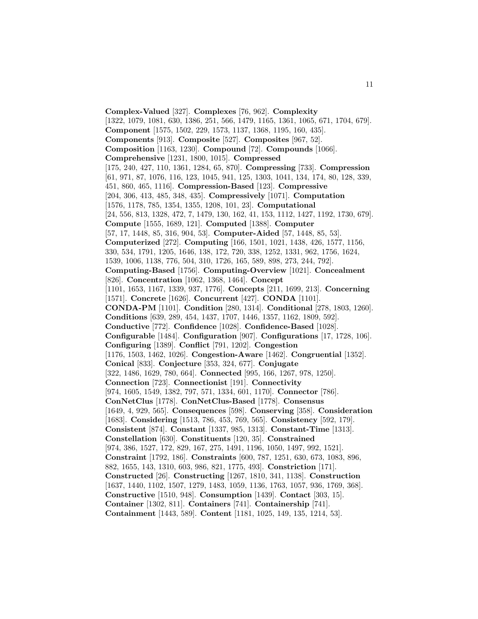**Complex-Valued** [327]. **Complexes** [76, 962]. **Complexity** [1322, 1079, 1081, 630, 1386, 251, 566, 1479, 1165, 1361, 1065, 671, 1704, 679]. **Component** [1575, 1502, 229, 1573, 1137, 1368, 1195, 160, 435]. **Components** [913]. **Composite** [527]. **Composites** [967, 52]. **Composition** [1163, 1230]. **Compound** [72]. **Compounds** [1066]. **Comprehensive** [1231, 1800, 1015]. **Compressed** [175, 240, 427, 110, 1361, 1284, 65, 870]. **Compressing** [733]. **Compression** [61, 971, 87, 1076, 116, 123, 1045, 941, 125, 1303, 1041, 134, 174, 80, 128, 339, 451, 860, 465, 1116]. **Compression-Based** [123]. **Compressive** [204, 306, 413, 485, 348, 435]. **Compressively** [1071]. **Computation** [1576, 1178, 785, 1354, 1355, 1208, 101, 23]. **Computational** [24, 556, 813, 1328, 472, 7, 1479, 130, 162, 41, 153, 1112, 1427, 1192, 1730, 679]. **Compute** [1555, 1689, 121]. **Computed** [1388]. **Computer** [57, 17, 1448, 85, 316, 904, 53]. **Computer-Aided** [57, 1448, 85, 53]. **Computerized** [272]. **Computing** [166, 1501, 1021, 1438, 426, 1577, 1156, 330, 534, 1791, 1205, 1646, 138, 172, 720, 338, 1252, 1331, 962, 1756, 1624, 1539, 1006, 1138, 776, 504, 310, 1726, 165, 589, 898, 273, 244, 792]. **Computing-Based** [1756]. **Computing-Overview** [1021]. **Concealment** [826]. **Concentration** [1062, 1368, 1464]. **Concept** [1101, 1653, 1167, 1339, 937, 1776]. **Concepts** [211, 1699, 213]. **Concerning** [1571]. **Concrete** [1626]. **Concurrent** [427]. **CONDA** [1101]. **CONDA-PM** [1101]. **Condition** [280, 1314]. **Conditional** [278, 1803, 1260]. **Conditions** [639, 289, 454, 1437, 1707, 1446, 1357, 1162, 1809, 592]. **Conductive** [772]. **Confidence** [1028]. **Confidence-Based** [1028]. **Configurable** [1484]. **Configuration** [907]. **Configurations** [17, 1728, 106]. **Configuring** [1389]. **Conflict** [791, 1202]. **Congestion** [1176, 1503, 1462, 1026]. **Congestion-Aware** [1462]. **Congruential** [1352]. **Conical** [833]. **Conjecture** [353, 324, 677]. **Conjugate** [322, 1486, 1629, 780, 664]. **Connected** [995, 166, 1267, 978, 1250]. **Connection** [723]. **Connectionist** [191]. **Connectivity** [974, 1605, 1549, 1382, 797, 571, 1334, 601, 1170]. **Connector** [786]. **ConNetClus** [1778]. **ConNetClus-Based** [1778]. **Consensus** [1649, 4, 929, 565]. **Consequences** [598]. **Conserving** [358]. **Consideration** [1683]. **Considering** [1513, 786, 453, 769, 565]. **Consistency** [592, 179]. **Consistent** [874]. **Constant** [1337, 985, 1313]. **Constant-Time** [1313]. **Constellation** [630]. **Constituents** [120, 35]. **Constrained** [974, 386, 1527, 172, 829, 167, 275, 1491, 1196, 1050, 1497, 992, 1521]. **Constraint** [1792, 186]. **Constraints** [600, 787, 1251, 630, 673, 1083, 896, 882, 1655, 143, 1310, 603, 986, 821, 1775, 493]. **Constriction** [171]. **Constructed** [26]. **Constructing** [1267, 1810, 341, 1138]. **Construction** [1637, 1440, 1102, 1507, 1279, 1483, 1059, 1136, 1763, 1057, 936, 1769, 368]. **Constructive** [1510, 948]. **Consumption** [1439]. **Contact** [303, 15]. **Container** [1302, 811]. **Containers** [741]. **Containership** [741]. **Containment** [1443, 589]. **Content** [1181, 1025, 149, 135, 1214, 53].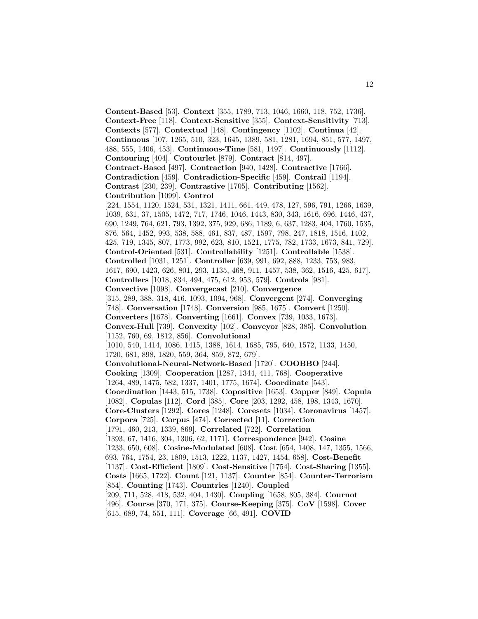**Content-Based** [53]. **Context** [355, 1789, 713, 1046, 1660, 118, 752, 1736]. **Context-Free** [118]. **Context-Sensitive** [355]. **Context-Sensitivity** [713]. **Contexts** [577]. **Contextual** [148]. **Contingency** [1102]. **Continua** [42]. **Continuous** [107, 1265, 510, 323, 1645, 1389, 581, 1281, 1694, 851, 577, 1497, 488, 555, 1406, 453]. **Continuous-Time** [581, 1497]. **Continuously** [1112]. **Contouring** [404]. **Contourlet** [879]. **Contract** [814, 497]. **Contract-Based** [497]. **Contraction** [940, 1428]. **Contractive** [1766]. **Contradiction** [459]. **Contradiction-Specific** [459]. **Contrail** [1194]. **Contrast** [230, 239]. **Contrastive** [1705]. **Contributing** [1562]. **Contribution** [1099]. **Control** [224, 1554, 1120, 1524, 531, 1321, 1411, 661, 449, 478, 127, 596, 791, 1266, 1639, 1039, 631, 37, 1505, 1472, 717, 1746, 1046, 1443, 830, 343, 1616, 696, 1446, 437, 690, 1249, 764, 621, 793, 1392, 375, 929, 686, 1189, 6, 637, 1283, 404, 1760, 1535, 876, 564, 1452, 993, 538, 588, 461, 837, 487, 1597, 798, 247, 1818, 1516, 1402, 425, 719, 1345, 807, 1773, 992, 623, 810, 1521, 1775, 782, 1733, 1673, 841, 729]. **Control-Oriented** [531]. **Controllability** [1251]. **Controllable** [1538]. **Controlled** [1031, 1251]. **Controller** [639, 991, 692, 888, 1233, 753, 983, 1617, 690, 1423, 626, 801, 293, 1135, 468, 911, 1457, 538, 362, 1516, 425, 617]. **Controllers** [1018, 834, 494, 475, 612, 953, 579]. **Controls** [981]. **Convective** [1098]. **Convergecast** [210]. **Convergence** [315, 289, 388, 318, 416, 1093, 1094, 968]. **Convergent** [274]. **Converging** [748]. **Conversation** [1748]. **Conversion** [985, 1675]. **Convert** [1250]. **Converters** [1678]. **Converting** [1661]. **Convex** [739, 1033, 1673]. **Convex-Hull** [739]. **Convexity** [102]. **Conveyor** [828, 385]. **Convolution** [1152, 760, 69, 1812, 856]. **Convolutional** [1010, 540, 1414, 1086, 1415, 1388, 1614, 1685, 795, 640, 1572, 1133, 1450, 1720, 681, 898, 1820, 559, 364, 859, 872, 679]. **Convolutional-Neural-Network-Based** [1720]. **COOBBO** [244]. **Cooking** [1309]. **Cooperation** [1287, 1344, 411, 768]. **Cooperative** [1264, 489, 1475, 582, 1337, 1401, 1775, 1674]. **Coordinate** [543]. **Coordination** [1443, 515, 1738]. **Copositive** [1653]. **Copper** [849]. **Copula** [1082]. **Copulas** [112]. **Cord** [385]. **Core** [203, 1292, 458, 198, 1343, 1670]. **Core-Clusters** [1292]. **Cores** [1248]. **Coresets** [1034]. **Coronavirus** [1457]. **Corpora** [725]. **Corpus** [474]. **Corrected** [11]. **Correction** [1791, 460, 213, 1339, 869]. **Correlated** [722]. **Correlation** [1393, 67, 1416, 304, 1306, 62, 1171]. **Correspondence** [942]. **Cosine** [1233, 650, 608]. **Cosine-Modulated** [608]. **Cost** [654, 1408, 147, 1355, 1566, 693, 764, 1754, 23, 1809, 1513, 1222, 1137, 1427, 1454, 658]. **Cost-Benefit** [1137]. **Cost-Efficient** [1809]. **Cost-Sensitive** [1754]. **Cost-Sharing** [1355]. **Costs** [1665, 1722]. **Count** [121, 1137]. **Counter** [854]. **Counter-Terrorism** [854]. **Counting** [1743]. **Countries** [1240]. **Coupled** [209, 711, 528, 418, 532, 404, 1430]. **Coupling** [1658, 805, 384]. **Cournot** [496]. **Course** [370, 171, 375]. **Course-Keeping** [375]. **CoV** [1598]. **Cover** [615, 689, 74, 551, 111]. **Coverage** [66, 491]. **COVID**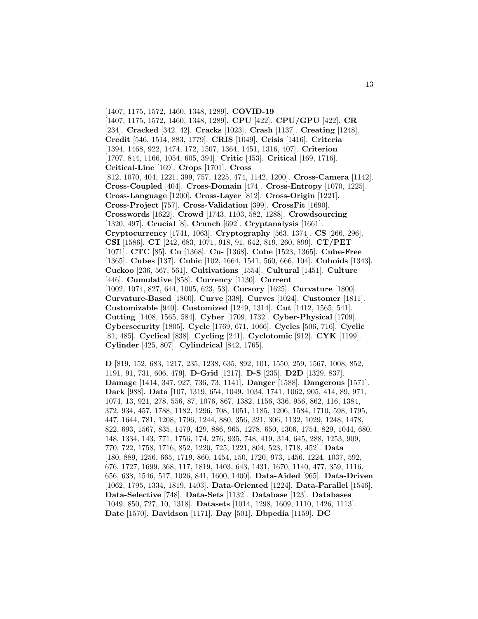[1407, 1175, 1572, 1460, 1348, 1289]. **COVID-19** [1407, 1175, 1572, 1460, 1348, 1289]. **CPU** [422]. **CPU/GPU** [422]. **CR** [234]. **Cracked** [342, 42]. **Cracks** [1023]. **Crash** [1137]. **Creating** [1248]. **Credit** [546, 1514, 883, 1779]. **CRIS** [1049]. **Crisis** [1416]. **Criteria** [1394, 1468, 922, 1474, 172, 1507, 1364, 1451, 1316, 407]. **Criterion** [1707, 844, 1166, 1054, 605, 394]. **Critic** [453]. **Critical** [169, 1716]. **Critical-Line** [169]. **Crops** [1701]. **Cross** [812, 1070, 404, 1221, 399, 757, 1225, 474, 1142, 1200]. **Cross-Camera** [1142]. **Cross-Coupled** [404]. **Cross-Domain** [474]. **Cross-Entropy** [1070, 1225]. **Cross-Language** [1200]. **Cross-Layer** [812]. **Cross-Origin** [1221]. **Cross-Project** [757]. **Cross-Validation** [399]. **CrossFit** [1690]. **Crosswords** [1622]. **Crowd** [1743, 1103, 582, 1288]. **Crowdsourcing** [1320, 497]. **Crucial** [8]. **Crunch** [692]. **Cryptanalysis** [1661]. **Cryptocurrency** [1741, 1063]. **Cryptography** [563, 1374]. **CS** [266, 296]. **CSI** [1586]. **CT** [242, 683, 1071, 918, 91, 642, 819, 260, 899]. **CT/PET** [1071]. **CTC** [85]. **Cu** [1368]. **Cu-** [1368]. **Cube** [1523, 1365]. **Cube-Free** [1365]. **Cubes** [137]. **Cubic** [102, 1664, 1541, 560, 666, 104]. **Cuboids** [1343]. **Cuckoo** [236, 567, 561]. **Cultivations** [1554]. **Cultural** [1451]. **Culture** [446]. **Cumulative** [858]. **Currency** [1130]. **Current** [1002, 1074, 827, 644, 1005, 623, 53]. **Cursory** [1625]. **Curvature** [1800]. **Curvature-Based** [1800]. **Curve** [338]. **Curves** [1024]. **Customer** [1811]. **Customizable** [940]. **Customized** [1249, 1314]. **Cut** [1412, 1565, 541]. **Cutting** [1408, 1565, 584]. **Cyber** [1709, 1732]. **Cyber-Physical** [1709]. **Cybersecurity** [1805]. **Cycle** [1769, 671, 1066]. **Cycles** [506, 716]. **Cyclic** [81, 485]. **Cyclical** [838]. **Cycling** [241]. **Cyclotomic** [912]. **CYK** [1199]. **Cylinder** [425, 807]. **Cylindrical** [842, 1765].

**D** [819, 152, 683, 1217, 235, 1238, 635, 892, 101, 1550, 259, 1567, 1008, 852, 1191, 91, 731, 606, 479]. **D-Grid** [1217]. **D-S** [235]. **D2D** [1329, 837]. **Damage** [1414, 347, 927, 736, 73, 1141]. **Danger** [1588]. **Dangerous** [1571]. **Dark** [988]. **Data** [107, 1319, 654, 1049, 1034, 1741, 1062, 905, 414, 89, 971, 1074, 13, 921, 278, 556, 87, 1076, 867, 1382, 1156, 336, 956, 862, 116, 1384, 372, 934, 457, 1788, 1182, 1296, 708, 1051, 1185, 1206, 1584, 1710, 598, 1795, 447, 1644, 781, 1208, 1796, 1244, 880, 356, 321, 306, 1132, 1029, 1248, 1478, 822, 693, 1567, 835, 1479, 429, 886, 965, 1278, 650, 1306, 1754, 829, 1044, 680, 148, 1334, 143, 771, 1756, 174, 276, 935, 748, 419, 314, 645, 288, 1253, 909, 770, 722, 1758, 1716, 852, 1220, 725, 1221, 804, 523, 1718, 452]. **Data** [180, 889, 1256, 665, 1719, 860, 1454, 150, 1720, 973, 1456, 1224, 1037, 592, 676, 1727, 1699, 368, 117, 1819, 1403, 643, 1431, 1670, 1140, 477, 359, 1116, 656, 638, 1546, 517, 1026, 841, 1600, 1400]. **Data-Aided** [965]. **Data-Driven** [1062, 1795, 1334, 1819, 1403]. **Data-Oriented** [1224]. **Data-Parallel** [1546]. **Data-Selective** [748]. **Data-Sets** [1132]. **Database** [123]. **Databases** [1049, 850, 727, 10, 1318]. **Datasets** [1014, 1298, 1609, 1110, 1426, 1113]. **Date** [1570]. **Davidson** [1171]. **Day** [501]. **Dbpedia** [1159]. **DC**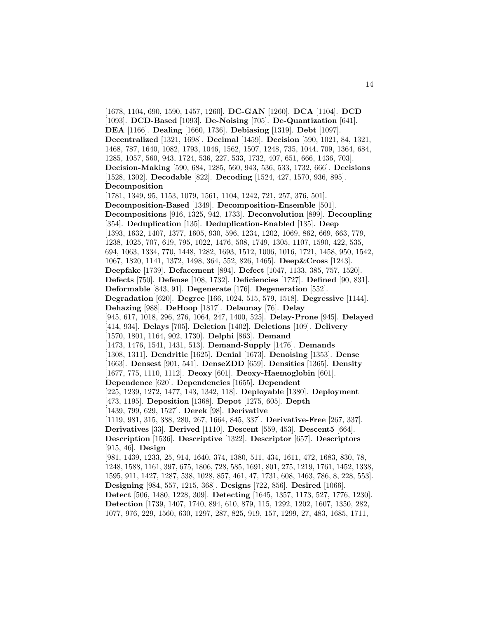[1678, 1104, 690, 1590, 1457, 1260]. **DC-GAN** [1260]. **DCA** [1104]. **DCD** [1093]. **DCD-Based** [1093]. **De-Noising** [705]. **De-Quantization** [641]. **DEA** [1166]. **Dealing** [1660, 1736]. **Debiasing** [1319]. **Debt** [1097]. **Decentralized** [1321, 1698]. **Decimal** [1459]. **Decision** [590, 1021, 84, 1321, 1468, 787, 1640, 1082, 1793, 1046, 1562, 1507, 1248, 735, 1044, 709, 1364, 684, 1285, 1057, 560, 943, 1724, 536, 227, 533, 1732, 407, 651, 666, 1436, 703]. **Decision-Making** [590, 684, 1285, 560, 943, 536, 533, 1732, 666]. **Decisions** [1528, 1302]. **Decodable** [822]. **Decoding** [1524, 427, 1570, 936, 895]. **Decomposition** [1781, 1349, 95, 1153, 1079, 1561, 1104, 1242, 721, 257, 376, 501]. **Decomposition-Based** [1349]. **Decomposition-Ensemble** [501]. **Decompositions** [916, 1325, 942, 1733]. **Deconvolution** [899]. **Decoupling** [354]. **Deduplication** [135]. **Deduplication-Enabled** [135]. **Deep** [1393, 1632, 1407, 1377, 1605, 930, 596, 1234, 1202, 1069, 862, 669, 663, 779, 1238, 1025, 707, 619, 795, 1022, 1476, 508, 1749, 1305, 1107, 1590, 422, 535, 694, 1063, 1334, 770, 1448, 1282, 1693, 1512, 1006, 1016, 1721, 1458, 950, 1542, 1067, 1820, 1141, 1372, 1498, 364, 552, 826, 1465]. **Deep&Cross** [1243]. **Deepfake** [1739]. **Defacement** [894]. **Defect** [1047, 1133, 385, 757, 1520]. **Defects** [750]. **Defense** [108, 1732]. **Deficiencies** [1727]. **Defined** [90, 831]. **Deformable** [843, 91]. **Degenerate** [176]. **Degeneration** [552]. **Degradation** [620]. **Degree** [166, 1024, 515, 579, 1518]. **Degressive** [1144]. **Dehazing** [988]. **DeHoop** [1817]. **Delaunay** [76]. **Delay** [945, 617, 1018, 296, 276, 1064, 247, 1400, 525]. **Delay-Prone** [945]. **Delayed** [414, 934]. **Delays** [705]. **Deletion** [1402]. **Deletions** [109]. **Delivery** [1570, 1801, 1164, 902, 1730]. **Delphi** [863]. **Demand** [1473, 1476, 1541, 1431, 513]. **Demand-Supply** [1476]. **Demands** [1308, 1311]. **Dendritic** [1625]. **Denial** [1673]. **Denoising** [1353]. **Dense** [1663]. **Densest** [901, 541]. **DenseZDD** [659]. **Densities** [1365]. **Density** [1677, 775, 1110, 1112]. **Deoxy** [601]. **Deoxy-Haemoglobin** [601]. **Dependence** [620]. **Dependencies** [1655]. **Dependent** [225, 1239, 1272, 1477, 143, 1342, 118]. **Deployable** [1380]. **Deployment** [473, 1195]. **Deposition** [1368]. **Depot** [1275, 605]. **Depth** [1439, 799, 629, 1527]. **Derek** [98]. **Derivative** [1119, 981, 315, 388, 280, 267, 1664, 845, 337]. **Derivative-Free** [267, 337]. **Derivatives** [33]. **Derived** [1110]. **Descent** [559, 453]. **Descent5** [664]. **Description** [1536]. **Descriptive** [1322]. **Descriptor** [657]. **Descriptors** [915, 46]. **Design** [981, 1439, 1233, 25, 914, 1640, 374, 1380, 511, 434, 1611, 472, 1683, 830, 78, 1248, 1588, 1161, 397, 675, 1806, 728, 585, 1691, 801, 275, 1219, 1761, 1452, 1338, 1595, 911, 1427, 1287, 538, 1028, 857, 461, 47, 1731, 608, 1463, 786, 8, 228, 553]. **Designing** [984, 557, 1215, 368]. **Designs** [722, 856]. **Desired** [1066]. **Detect** [506, 1480, 1228, 309]. **Detecting** [1645, 1357, 1173, 527, 1776, 1230]. **Detection** [1739, 1407, 1740, 894, 610, 879, 115, 1292, 1202, 1607, 1350, 282, 1077, 976, 229, 1560, 630, 1297, 287, 825, 919, 157, 1299, 27, 483, 1685, 1711,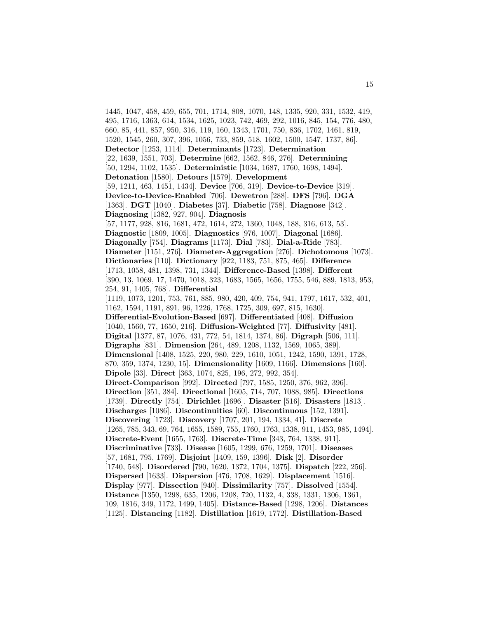1445, 1047, 458, 459, 655, 701, 1714, 808, 1070, 148, 1335, 920, 331, 1532, 419, 495, 1716, 1363, 614, 1534, 1625, 1023, 742, 469, 292, 1016, 845, 154, 776, 480, 660, 85, 441, 857, 950, 316, 119, 160, 1343, 1701, 750, 836, 1702, 1461, 819, 1520, 1545, 260, 307, 396, 1056, 733, 859, 518, 1602, 1500, 1547, 1737, 86]. **Detector** [1253, 1114]. **Determinants** [1723]. **Determination** [22, 1639, 1551, 703]. **Determine** [662, 1562, 846, 276]. **Determining** [50, 1294, 1102, 1535]. **Deterministic** [1034, 1687, 1760, 1698, 1494]. **Detonation** [1580]. **Detours** [1579]. **Development** [59, 1211, 463, 1451, 1434]. **Device** [706, 319]. **Device-to-Device** [319]. **Device-to-Device-Enabled** [706]. **Dewetron** [288]. **DFS** [796]. **DGA** [1363]. **DGT** [1040]. **Diabetes** [37]. **Diabetic** [758]. **Diagnose** [342]. **Diagnosing** [1382, 927, 904]. **Diagnosis** [57, 1177, 928, 816, 1681, 472, 1614, 272, 1360, 1048, 188, 316, 613, 53]. **Diagnostic** [1809, 1005]. **Diagnostics** [976, 1007]. **Diagonal** [1686]. **Diagonally** [754]. **Diagrams** [1173]. **Dial** [783]. **Dial-a-Ride** [783]. **Diameter** [1151, 276]. **Diameter-Aggregation** [276]. **Dichotomous** [1073]. **Dictionaries** [110]. **Dictionary** [922, 1183, 751, 875, 465]. **Difference** [1713, 1058, 481, 1398, 731, 1344]. **Difference-Based** [1398]. **Different** [390, 13, 1069, 17, 1470, 1018, 323, 1683, 1565, 1656, 1755, 546, 889, 1813, 953, 254, 91, 1405, 768]. **Differential** [1119, 1073, 1201, 753, 761, 885, 980, 420, 409, 754, 941, 1797, 1617, 532, 401, 1162, 1594, 1191, 891, 96, 1226, 1768, 1725, 309, 697, 815, 1630]. **Differential-Evolution-Based** [697]. **Differentiated** [408]. **Diffusion** [1040, 1560, 77, 1650, 216]. **Diffusion-Weighted** [77]. **Diffusivity** [481]. **Digital** [1377, 87, 1076, 431, 772, 54, 1814, 1374, 86]. **Digraph** [506, 111]. **Digraphs** [831]. **Dimension** [264, 489, 1208, 1132, 1569, 1065, 389]. **Dimensional** [1408, 1525, 220, 980, 229, 1610, 1051, 1242, 1590, 1391, 1728, 870, 359, 1374, 1230, 15]. **Dimensionality** [1609, 1166]. **Dimensions** [160]. **Dipole** [33]. **Direct** [363, 1074, 825, 196, 272, 992, 354]. **Direct-Comparison** [992]. **Directed** [797, 1585, 1250, 376, 962, 396]. **Direction** [351, 384]. **Directional** [1605, 714, 707, 1088, 985]. **Directions** [1739]. **Directly** [754]. **Dirichlet** [1696]. **Disaster** [516]. **Disasters** [1813]. **Discharges** [1086]. **Discontinuities** [60]. **Discontinuous** [152, 1391]. **Discovering** [1723]. **Discovery** [1707, 201, 194, 1334, 41]. **Discrete** [1265, 785, 343, 69, 764, 1655, 1589, 755, 1760, 1763, 1338, 911, 1453, 985, 1494]. **Discrete-Event** [1655, 1763]. **Discrete-Time** [343, 764, 1338, 911]. **Discriminative** [733]. **Disease** [1605, 1299, 676, 1259, 1701]. **Diseases** [57, 1681, 795, 1769]. **Disjoint** [1409, 159, 1396]. **Disk** [2]. **Disorder** [1740, 548]. **Disordered** [790, 1620, 1372, 1704, 1375]. **Dispatch** [222, 256]. **Dispersed** [1633]. **Dispersion** [476, 1708, 1629]. **Displacement** [1516]. **Display** [977]. **Dissection** [940]. **Dissimilarity** [757]. **Dissolved** [1554]. **Distance** [1350, 1298, 635, 1206, 1208, 720, 1132, 4, 338, 1331, 1306, 1361, 109, 1816, 349, 1172, 1499, 1405]. **Distance-Based** [1298, 1206]. **Distances** [1125]. **Distancing** [1182]. **Distillation** [1619, 1772]. **Distillation-Based**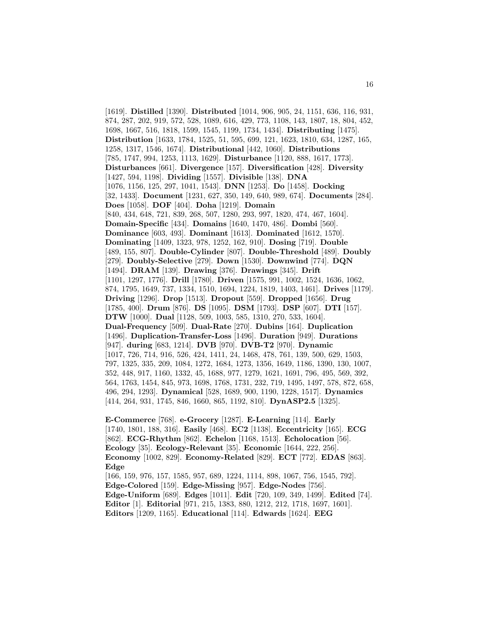[1619]. **Distilled** [1390]. **Distributed** [1014, 906, 905, 24, 1151, 636, 116, 931, 874, 287, 202, 919, 572, 528, 1089, 616, 429, 773, 1108, 143, 1807, 18, 804, 452, 1698, 1667, 516, 1818, 1599, 1545, 1199, 1734, 1434]. **Distributing** [1475]. **Distribution** [1633, 1784, 1525, 51, 595, 699, 121, 1623, 1810, 634, 1287, 165, 1258, 1317, 1546, 1674]. **Distributional** [442, 1060]. **Distributions** [785, 1747, 994, 1253, 1113, 1629]. **Disturbance** [1120, 888, 1617, 1773]. **Disturbances** [661]. **Divergence** [157]. **Diversification** [428]. **Diversity** [1427, 594, 1198]. **Dividing** [1557]. **Divisible** [138]. **DNA** [1076, 1156, 125, 297, 1041, 1543]. **DNN** [1253]. **Do** [1458]. **Docking** [32, 1433]. **Document** [1231, 627, 350, 149, 640, 989, 674]. **Documents** [284]. **Does** [1058]. **DOF** [404]. **Doha** [1219]. **Domain** [840, 434, 648, 721, 839, 268, 507, 1280, 293, 997, 1820, 474, 467, 1604]. **Domain-Specific** [434]. **Domains** [1640, 1470, 486]. **Dombi** [560]. **Dominance** [603, 493]. **Dominant** [1613]. **Dominated** [1612, 1570]. **Dominating** [1409, 1323, 978, 1252, 162, 910]. **Dosing** [719]. **Double** [489, 155, 807]. **Double-Cylinder** [807]. **Double-Threshold** [489]. **Doubly** [279]. **Doubly-Selective** [279]. **Down** [1530]. **Downwind** [774]. **DQN** [1494]. **DRAM** [139]. **Drawing** [376]. **Drawings** [345]. **Drift** [1101, 1297, 1776]. **Drill** [1780]. **Driven** [1575, 991, 1002, 1524, 1636, 1062, 874, 1795, 1649, 737, 1334, 1510, 1694, 1224, 1819, 1403, 1461]. **Drives** [1179]. **Driving** [1296]. **Drop** [1513]. **Dropout** [559]. **Dropped** [1656]. **Drug** [1785, 400]. **Drum** [876]. **DS** [1095]. **DSM** [1793]. **DSP** [607]. **DTI** [157]. **DTW** [1000]. **Dual** [1128, 509, 1003, 585, 1310, 270, 533, 1604]. **Dual-Frequency** [509]. **Dual-Rate** [270]. **Dubins** [164]. **Duplication** [1496]. **Duplication-Transfer-Loss** [1496]. **Duration** [949]. **Durations** [947]. **during** [683, 1214]. **DVB** [970]. **DVB-T2** [970]. **Dynamic** [1017, 726, 714, 916, 526, 424, 1411, 24, 1468, 478, 761, 139, 500, 629, 1503, 797, 1325, 335, 209, 1084, 1272, 1684, 1273, 1356, 1649, 1186, 1390, 130, 1007, 352, 448, 917, 1160, 1332, 45, 1688, 977, 1279, 1621, 1691, 796, 495, 569, 392, 564, 1763, 1454, 845, 973, 1698, 1768, 1731, 232, 719, 1495, 1497, 578, 872, 658, 496, 294, 1293]. **Dynamical** [528, 1689, 900, 1190, 1228, 1517]. **Dynamics** [414, 264, 931, 1745, 846, 1660, 865, 1192, 810]. **DynASP2.5** [1325].

**E-Commerce** [768]. **e-Grocery** [1287]. **E-Learning** [114]. **Early** [1740, 1801, 188, 316]. **Easily** [468]. **EC2** [1138]. **Eccentricity** [165]. **ECG** [862]. **ECG-Rhythm** [862]. **Echelon** [1168, 1513]. **Echolocation** [56]. **Ecology** [35]. **Ecology-Relevant** [35]. **Economic** [1644, 222, 256]. **Economy** [1002, 829]. **Economy-Related** [829]. **ECT** [772]. **EDAS** [863]. **Edge** [166, 159, 976, 157, 1585, 957, 689, 1224, 1114, 898, 1067, 756, 1545, 792].

**Edge-Colored** [159]. **Edge-Missing** [957]. **Edge-Nodes** [756]. **Edge-Uniform** [689]. **Edges** [1011]. **Edit** [720, 109, 349, 1499]. **Edited** [74]. **Editor** [1]. **Editorial** [971, 215, 1383, 880, 1212, 212, 1718, 1697, 1601]. **Editors** [1209, 1165]. **Educational** [114]. **Edwards** [1624]. **EEG**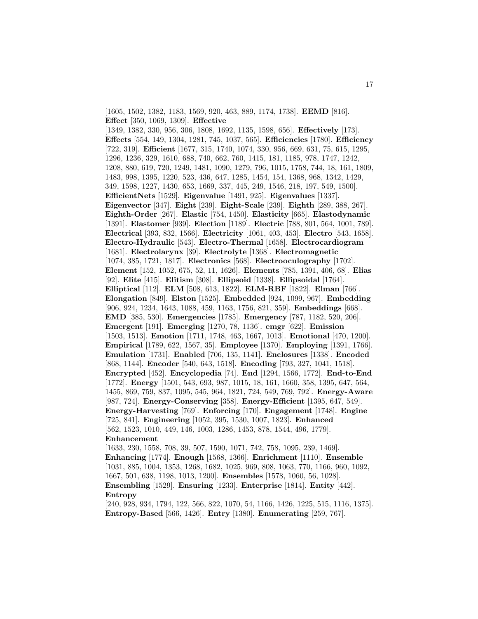[1605, 1502, 1382, 1183, 1569, 920, 463, 889, 1174, 1738]. **EEMD** [816]. **Effect** [350, 1069, 1309]. **Effective** [1349, 1382, 330, 956, 306, 1808, 1692, 1135, 1598, 656]. **Effectively** [173]. **Effects** [554, 149, 1304, 1281, 745, 1037, 565]. **Efficiencies** [1780]. **Efficiency** [722, 319]. **Efficient** [1677, 315, 1740, 1074, 330, 956, 669, 631, 75, 615, 1295, 1296, 1236, 329, 1610, 688, 740, 662, 760, 1415, 181, 1185, 978, 1747, 1242, 1208, 880, 619, 720, 1249, 1481, 1090, 1279, 796, 1015, 1758, 744, 18, 161, 1809, 1483, 998, 1395, 1220, 523, 436, 647, 1285, 1454, 154, 1368, 968, 1342, 1429, 349, 1598, 1227, 1430, 653, 1669, 337, 445, 249, 1546, 218, 197, 549, 1500]. **EfficientNets** [1529]. **Eigenvalue** [1491, 925]. **Eigenvalues** [1337]. **Eigenvector** [347]. **Eight** [239]. **Eight-Scale** [239]. **Eighth** [289, 388, 267]. **Eighth-Order** [267]. **Elastic** [754, 1450]. **Elasticity** [665]. **Elastodynamic** [1391]. **Elastomer** [939]. **Election** [1189]. **Electric** [788, 801, 564, 1001, 789]. **Electrical** [393, 832, 1566]. **Electricity** [1061, 403, 453]. **Electro** [543, 1658]. **Electro-Hydraulic** [543]. **Electro-Thermal** [1658]. **Electrocardiogram** [1681]. **Electrolarynx** [39]. **Electrolyte** [1368]. **Electromagnetic** [1074, 385, 1721, 1817]. **Electronics** [568]. **Electrooculography** [1702]. **Element** [152, 1052, 675, 52, 11, 1626]. **Elements** [785, 1391, 406, 68]. **Elias** [92]. **Elite** [415]. **Elitism** [308]. **Ellipsoid** [1338]. **Ellipsoidal** [1764]. **Elliptical** [112]. **ELM** [508, 613, 1822]. **ELM-RBF** [1822]. **Elman** [766]. **Elongation** [849]. **Elston** [1525]. **Embedded** [924, 1099, 967]. **Embedding** [906, 924, 1234, 1643, 1088, 459, 1163, 1756, 821, 359]. **Embeddings** [668]. **EMD** [385, 530]. **Emergencies** [1785]. **Emergency** [787, 1182, 520, 206]. **Emergent** [191]. **Emerging** [1270, 78, 1136]. **emgr** [622]. **Emission** [1503, 1513]. **Emotion** [1711, 1748, 463, 1667, 1013]. **Emotional** [470, 1200]. **Empirical** [1789, 622, 1567, 35]. **Employee** [1370]. **Employing** [1391, 1766]. **Emulation** [1731]. **Enabled** [706, 135, 1141]. **Enclosures** [1338]. **Encoded** [868, 1144]. **Encoder** [540, 643, 1518]. **Encoding** [793, 327, 1041, 1518]. **Encrypted** [452]. **Encyclopedia** [74]. **End** [1294, 1566, 1772]. **End-to-End** [1772]. **Energy** [1501, 543, 693, 987, 1015, 18, 161, 1660, 358, 1395, 647, 564, 1455, 869, 759, 837, 1095, 545, 964, 1821, 724, 549, 769, 792]. **Energy-Aware** [987, 724]. **Energy-Conserving** [358]. **Energy-Efficient** [1395, 647, 549]. **Energy-Harvesting** [769]. **Enforcing** [170]. **Engagement** [1748]. **Engine** [725, 841]. **Engineering** [1052, 395, 1530, 1007, 1823]. **Enhanced** [562, 1523, 1010, 449, 146, 1003, 1286, 1453, 878, 1544, 496, 1779]. **Enhancement** [1633, 230, 1558, 708, 39, 507, 1590, 1071, 742, 758, 1095, 239, 1469]. **Enhancing** [1774]. **Enough** [1568, 1366]. **Enrichment** [1110]. **Ensemble**

[1031, 885, 1004, 1353, 1268, 1682, 1025, 969, 808, 1063, 770, 1166, 960, 1092, 1667, 501, 638, 1198, 1013, 1200]. **Ensembles** [1578, 1060, 56, 1028]. **Ensembling** [1529]. **Ensuring** [1233]. **Enterprise** [1814]. **Entity** [442]. **Entropy**

[240, 928, 934, 1794, 122, 566, 822, 1070, 54, 1166, 1426, 1225, 515, 1116, 1375]. **Entropy-Based** [566, 1426]. **Entry** [1380]. **Enumerating** [259, 767].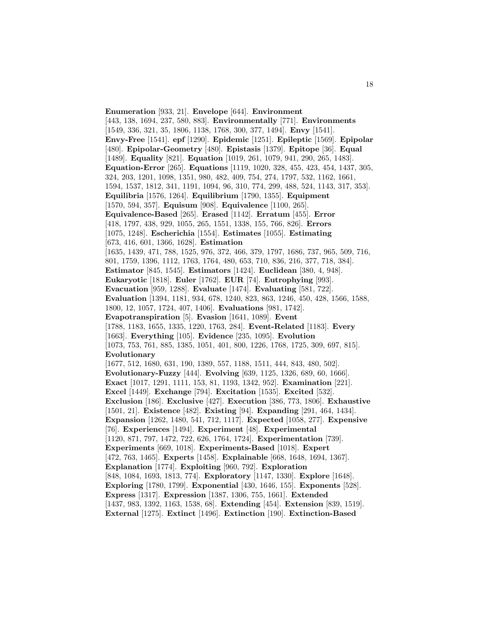**Enumeration** [933, 21]. **Envelope** [644]. **Environment** [443, 138, 1694, 237, 580, 883]. **Environmentally** [771]. **Environments** [1549, 336, 321, 35, 1806, 1138, 1768, 300, 377, 1494]. **Envy** [1541]. **Envy-Free** [1541]. **epf** [1290]. **Epidemic** [1251]. **Epileptic** [1569]. **Epipolar** [480]. **Epipolar-Geometry** [480]. **Epistasis** [1379]. **Epitope** [36]. **Equal** [1489]. **Equality** [821]. **Equation** [1019, 261, 1079, 941, 290, 265, 1483]. **Equation-Error** [265]. **Equations** [1119, 1020, 328, 455, 423, 454, 1437, 305, 324, 203, 1201, 1098, 1351, 980, 482, 409, 754, 274, 1797, 532, 1162, 1661, 1594, 1537, 1812, 341, 1191, 1094, 96, 310, 774, 299, 488, 524, 1143, 317, 353]. **Equilibria** [1576, 1264]. **Equilibrium** [1790, 1355]. **Equipment** [1570, 594, 357]. **Equisum** [908]. **Equivalence** [1100, 265]. **Equivalence-Based** [265]. **Erased** [1142]. **Erratum** [455]. **Error** [418, 1797, 438, 929, 1055, 265, 1551, 1338, 155, 766, 826]. **Errors** [1075, 1248]. **Escherichia** [1554]. **Estimates** [1055]. **Estimating** [673, 416, 601, 1366, 1628]. **Estimation** [1635, 1439, 471, 788, 1525, 976, 372, 466, 379, 1797, 1686, 737, 965, 509, 716, 801, 1759, 1396, 1112, 1763, 1764, 480, 653, 710, 836, 216, 377, 718, 384]. **Estimator** [845, 1545]. **Estimators** [1424]. **Euclidean** [380, 4, 948]. **Eukaryotic** [1818]. **Euler** [1762]. **EUR** [74]. **Eutrophying** [993]. **Evacuation** [959, 1288]. **Evaluate** [1474]. **Evaluating** [581, 722]. **Evaluation** [1394, 1181, 934, 678, 1240, 823, 863, 1246, 450, 428, 1566, 1588, 1800, 12, 1057, 1724, 407, 1406]. **Evaluations** [981, 1742]. **Evapotranspiration** [5]. **Evasion** [1641, 1089]. **Event** [1788, 1183, 1655, 1335, 1220, 1763, 284]. **Event-Related** [1183]. **Every** [1663]. **Everything** [105]. **Evidence** [235, 1095]. **Evolution** [1073, 753, 761, 885, 1385, 1051, 401, 800, 1226, 1768, 1725, 309, 697, 815]. **Evolutionary** [1677, 512, 1680, 631, 190, 1389, 557, 1188, 1511, 444, 843, 480, 502]. **Evolutionary-Fuzzy** [444]. **Evolving** [639, 1125, 1326, 689, 60, 1666]. **Exact** [1017, 1291, 1111, 153, 81, 1193, 1342, 952]. **Examination** [221]. **Excel** [1449]. **Exchange** [794]. **Excitation** [1535]. **Excited** [532]. **Exclusion** [186]. **Exclusive** [427]. **Execution** [386, 773, 1806]. **Exhaustive** [1501, 21]. **Existence** [482]. **Existing** [94]. **Expanding** [291, 464, 1434]. **Expansion** [1262, 1480, 541, 712, 1117]. **Expected** [1058, 277]. **Expensive** [76]. **Experiences** [1494]. **Experiment** [48]. **Experimental** [1120, 871, 797, 1472, 722, 626, 1764, 1724]. **Experimentation** [739]. **Experiments** [669, 1018]. **Experiments-Based** [1018]. **Expert** [472, 763, 1465]. **Experts** [1458]. **Explainable** [668, 1648, 1694, 1367]. **Explanation** [1774]. **Exploiting** [960, 792]. **Exploration** [848, 1084, 1693, 1813, 774]. **Exploratory** [1147, 1330]. **Explore** [1648]. **Exploring** [1780, 1799]. **Exponential** [430, 1646, 155]. **Exponents** [528]. **Express** [1317]. **Expression** [1387, 1306, 755, 1661]. **Extended** [1437, 983, 1392, 1163, 1538, 68]. **Extending** [454]. **Extension** [839, 1519]. **External** [1275]. **Extinct** [1496]. **Extinction** [190]. **Extinction-Based**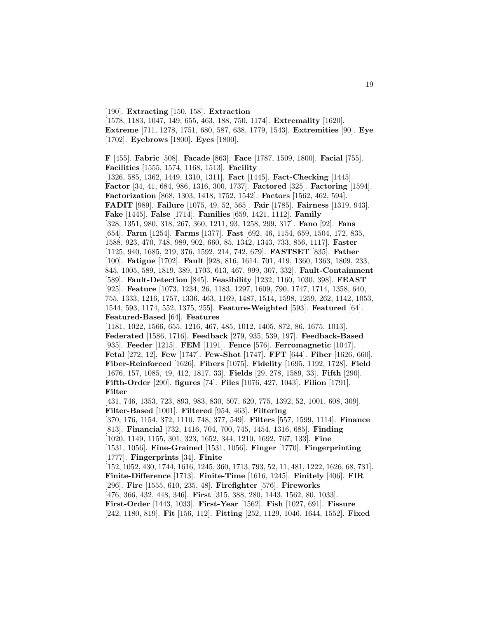[190]. **Extracting** [150, 158]. **Extraction** [1578, 1183, 1047, 149, 655, 463, 188, 750, 1174]. **Extremality** [1620]. **Extreme** [711, 1278, 1751, 680, 587, 638, 1779, 1543]. **Extremities** [90]. **Eye** [1702]. **Eyebrows** [1800]. **Eyes** [1800].

**F** [455]. **Fabric** [508]. **Facade** [863]. **Face** [1787, 1509, 1800]. **Facial** [755]. **Facilities** [1555, 1574, 1168, 1513]. **Facility** [1326, 585, 1362, 1449, 1310, 1311]. **Fact** [1445]. **Fact-Checking** [1445]. **Factor** [34, 41, 684, 986, 1316, 300, 1737]. **Factored** [325]. **Factoring** [1594]. **Factorization** [868, 1303, 1418, 1752, 1542]. **Factors** [1562, 462, 594]. **FADIT** [989]. **Failure** [1075, 49, 52, 565]. **Fair** [1785]. **Fairness** [1319, 943]. **Fake** [1445]. **False** [1714]. **Families** [659, 1421, 1112]. **Family** [328, 1351, 980, 318, 267, 360, 1211, 93, 1258, 299, 317]. **Fano** [92]. **Fans** [654]. **Farm** [1254]. **Farms** [1377]. **Fast** [692, 46, 1154, 659, 1504, 172, 835, 1588, 923, 470, 748, 989, 902, 660, 85, 1342, 1343, 733, 856, 1117]. **Faster** [1125, 940, 1685, 219, 376, 1592, 214, 742, 679]. **FASTSET** [835]. **Father** [100]. **Fatigue** [1702]. **Fault** [928, 816, 1614, 701, 419, 1360, 1363, 1809, 233, 845, 1005, 589, 1819, 389, 1703, 613, 467, 999, 307, 332]. **Fault-Containment** [589]. **Fault-Detection** [845]. **Feasibility** [1232, 1160, 1030, 398]. **FEAST** [925]. **Feature** [1073, 1234, 26, 1183, 1297, 1609, 790, 1747, 1714, 1358, 640, 755, 1333, 1216, 1757, 1336, 463, 1169, 1487, 1514, 1598, 1259, 262, 1142, 1053, 1544, 593, 1174, 552, 1375, 255]. **Feature-Weighted** [593]. **Featured** [64]. **Featured-Based** [64]. **Features** [1181, 1022, 1566, 655, 1216, 467, 485, 1012, 1405, 872, 86, 1675, 1013]. **Federated** [1586, 1716]. **Feedback** [279, 935, 539, 197]. **Feedback-Based** [935]. **Feeder** [1215]. **FEM** [1191]. **Fence** [576]. **Ferromagnetic** [1047]. **Fetal** [272, 12]. **Few** [1747]. **Few-Shot** [1747]. **FFT** [644]. **Fiber** [1626, 660]. **Fiber-Reinforced** [1626]. **Fibers** [1075]. **Fidelity** [1695, 1192, 1728]. **Field** [1676, 157, 1085, 49, 412, 1817, 33]. **Fields** [29, 278, 1589, 33]. **Fifth** [290]. **Fifth-Order** [290]. **figures** [74]. **Files** [1076, 427, 1043]. **Filion** [1791]. **Filter** [431, 746, 1353, 723, 893, 983, 830, 507, 620, 775, 1392, 52, 1001, 608, 309]. **Filter-Based** [1001]. **Filtered** [954, 463]. **Filtering** [370, 176, 1154, 372, 1110, 748, 377, 549]. **Filters** [557, 1599, 1114]. **Finance** [813]. **Financial** [732, 1416, 704, 700, 745, 1454, 1316, 685]. **Finding** [1020, 1149, 1155, 301, 323, 1652, 344, 1210, 1692, 767, 133]. **Fine** [1531, 1056]. **Fine-Grained** [1531, 1056]. **Finger** [1770]. **Fingerprinting** [1777]. **Fingerprints** [34]. **Finite** [152, 1052, 430, 1744, 1616, 1245, 360, 1713, 793, 52, 11, 481, 1222, 1626, 68, 731]. **Finite-Difference** [1713]. **Finite-Time** [1616, 1245]. **Finitely** [406]. **FIR** [296]. **Fire** [1555, 610, 235, 48]. **Firefighter** [576]. **Fireworks** [476, 366, 432, 448, 346]. **First** [315, 388, 280, 1443, 1562, 80, 1033]. **First-Order** [1443, 1033]. **First-Year** [1562]. **Fish** [1027, 691]. **Fissure** [242, 1180, 819]. **Fit** [156, 112]. **Fitting** [252, 1129, 1046, 1644, 1552]. **Fixed**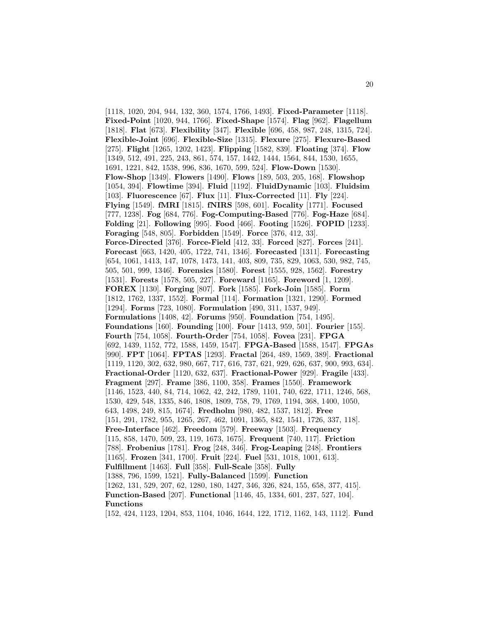[1118, 1020, 204, 944, 132, 360, 1574, 1766, 1493]. **Fixed-Parameter** [1118]. **Fixed-Point** [1020, 944, 1766]. **Fixed-Shape** [1574]. **Flag** [962]. **Flagellum** [1818]. **Flat** [673]. **Flexibility** [347]. **Flexible** [696, 458, 987, 248, 1315, 724]. **Flexible-Joint** [696]. **Flexible-Size** [1315]. **Flexure** [275]. **Flexure-Based** [275]. **Flight** [1265, 1202, 1423]. **Flipping** [1582, 839]. **Floating** [374]. **Flow** [1349, 512, 491, 225, 243, 861, 574, 157, 1442, 1444, 1564, 844, 1530, 1655, 1691, 1221, 842, 1538, 996, 836, 1670, 599, 524]. **Flow-Down** [1530]. **Flow-Shop** [1349]. **Flowers** [1490]. **Flows** [189, 503, 205, 168]. **Flowshop** [1054, 394]. **Flowtime** [394]. **Fluid** [1192]. **FluidDynamic** [103]. **Fluidsim** [103]. **Fluorescence** [67]. **Flux** [11]. **Flux-Corrected** [11]. **Fly** [224]. **Flying** [1549]. **fMRI** [1815]. **fNIRS** [598, 601]. **Focality** [1771]. **Focused** [777, 1238]. **Fog** [684, 776]. **Fog-Computing-Based** [776]. **Fog-Haze** [684]. **Folding** [21]. **Following** [995]. **Food** [466]. **Footing** [1526]. **FOPID** [1233]. **Foraging** [548, 805]. **Forbidden** [1549]. **Force** [376, 412, 33]. **Force-Directed** [376]. **Force-Field** [412, 33]. **Forced** [827]. **Forces** [241]. **Forecast** [663, 1420, 405, 1722, 741, 1346]. **Forecasted** [1311]. **Forecasting** [654, 1061, 1413, 147, 1078, 1473, 141, 403, 809, 735, 829, 1063, 530, 982, 745, 505, 501, 999, 1346]. **Forensics** [1580]. **Forest** [1555, 928, 1562]. **Forestry** [1531]. **Forests** [1578, 505, 227]. **Foreward** [1165]. **Foreword** [1, 1209]. **FOREX** [1130]. **Forging** [807]. **Fork** [1585]. **Fork-Join** [1585]. **Form** [1812, 1762, 1337, 1552]. **Formal** [114]. **Formation** [1321, 1290]. **Formed** [1294]. **Forms** [723, 1080]. **Formulation** [490, 311, 1537, 949]. **Formulations** [1408, 42]. **Forums** [950]. **Foundation** [754, 1495]. **Foundations** [160]. **Founding** [100]. **Four** [1413, 959, 501]. **Fourier** [155]. **Fourth** [754, 1058]. **Fourth-Order** [754, 1058]. **Fovea** [231]. **FPGA** [692, 1439, 1152, 772, 1588, 1459, 1547]. **FPGA-Based** [1588, 1547]. **FPGAs** [990]. **FPT** [1064]. **FPTAS** [1293]. **Fractal** [264, 489, 1569, 389]. **Fractional** [1119, 1120, 302, 632, 980, 667, 717, 616, 737, 621, 929, 626, 637, 900, 993, 634]. **Fractional-Order** [1120, 632, 637]. **Fractional-Power** [929]. **Fragile** [433]. **Fragment** [297]. **Frame** [386, 1100, 358]. **Frames** [1550]. **Framework** [1146, 1523, 440, 84, 714, 1062, 42, 242, 1789, 1101, 740, 622, 1711, 1246, 568, 1530, 429, 548, 1335, 846, 1808, 1809, 758, 79, 1769, 1194, 368, 1400, 1050, 643, 1498, 249, 815, 1674]. **Fredholm** [980, 482, 1537, 1812]. **Free** [151, 291, 1782, 955, 1265, 267, 462, 1091, 1365, 842, 1541, 1726, 337, 118]. **Free-Interface** [462]. **Freedom** [579]. **Freeway** [1503]. **Frequency** [115, 858, 1470, 509, 23, 119, 1673, 1675]. **Frequent** [740, 117]. **Friction** [788]. **Frobenius** [1781]. **Frog** [248, 346]. **Frog-Leaping** [248]. **Frontiers** [1165]. **Frozen** [341, 1700]. **Fruit** [224]. **Fuel** [531, 1018, 1001, 613]. **Fulfillment** [1463]. **Full** [358]. **Full-Scale** [358]. **Fully** [1388, 796, 1599, 1521]. **Fully-Balanced** [1599]. **Function** [1262, 131, 529, 207, 62, 1280, 180, 1427, 346, 326, 824, 155, 658, 377, 415]. **Function-Based** [207]. **Functional** [1146, 45, 1334, 601, 237, 527, 104]. **Functions**

[152, 424, 1123, 1204, 853, 1104, 1046, 1644, 122, 1712, 1162, 143, 1112]. **Fund**

20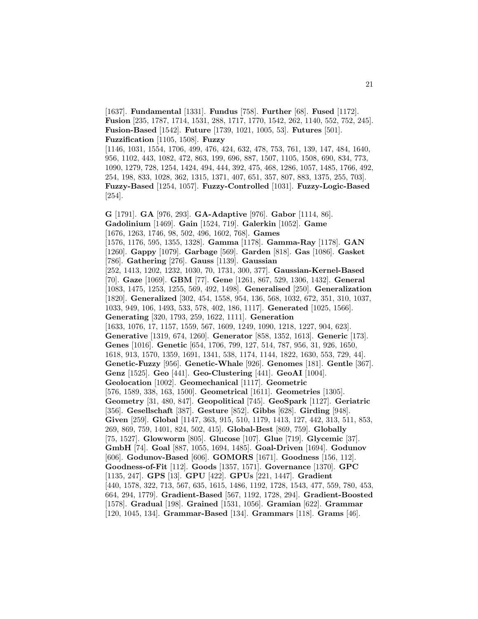[1637]. **Fundamental** [1331]. **Fundus** [758]. **Further** [68]. **Fused** [1172]. **Fusion** [235, 1787, 1714, 1531, 288, 1717, 1770, 1542, 262, 1140, 552, 752, 245]. **Fusion-Based** [1542]. **Future** [1739, 1021, 1005, 53]. **Futures** [501]. **Fuzzification** [1105, 1508]. **Fuzzy**

[1146, 1031, 1554, 1706, 499, 476, 424, 632, 478, 753, 761, 139, 147, 484, 1640, 956, 1102, 443, 1082, 472, 863, 199, 696, 887, 1507, 1105, 1508, 690, 834, 773, 1090, 1279, 728, 1254, 1424, 494, 444, 392, 475, 468, 1286, 1057, 1485, 1766, 492, 254, 198, 833, 1028, 362, 1315, 1371, 407, 651, 357, 807, 883, 1375, 255, 703]. **Fuzzy-Based** [1254, 1057]. **Fuzzy-Controlled** [1031]. **Fuzzy-Logic-Based** [254].

**G** [1791]. **GA** [976, 293]. **GA-Adaptive** [976]. **Gabor** [1114, 86]. **Gadolinium** [1469]. **Gain** [1524, 719]. **Galerkin** [1052]. **Game** [1676, 1263, 1746, 98, 502, 496, 1602, 768]. **Games** [1576, 1176, 595, 1355, 1328]. **Gamma** [1178]. **Gamma-Ray** [1178]. **GAN** [1260]. **Gappy** [1079]. **Garbage** [569]. **Garden** [818]. **Gas** [1086]. **Gasket** [786]. **Gathering** [276]. **Gauss** [1139]. **Gaussian** [252, 1413, 1202, 1232, 1030, 70, 1731, 300, 377]. **Gaussian-Kernel-Based** [70]. **Gaze** [1069]. **GBM** [77]. **Gene** [1261, 867, 529, 1306, 1432]. **General** [1083, 1475, 1253, 1255, 569, 492, 1498]. **Generalised** [250]. **Generalization** [1820]. **Generalized** [302, 454, 1558, 954, 136, 568, 1032, 672, 351, 310, 1037, 1033, 949, 106, 1493, 533, 578, 402, 186, 1117]. **Generated** [1025, 1566]. **Generating** [320, 1793, 259, 1622, 1111]. **Generation** [1633, 1076, 17, 1157, 1559, 567, 1609, 1249, 1090, 1218, 1227, 904, 623]. **Generative** [1319, 674, 1260]. **Generator** [858, 1352, 1613]. **Generic** [173]. **Genes** [1016]. **Genetic** [654, 1706, 799, 127, 514, 787, 956, 31, 926, 1650, 1618, 913, 1570, 1359, 1691, 1341, 538, 1174, 1144, 1822, 1630, 553, 729, 44]. **Genetic-Fuzzy** [956]. **Genetic-Whale** [926]. **Genomes** [181]. **Gentle** [367]. **Genz** [1525]. **Geo** [441]. **Geo-Clustering** [441]. **GeoAI** [1004]. **Geolocation** [1002]. **Geomechanical** [1117]. **Geometric** [576, 1589, 338, 163, 1500]. **Geometrical** [1611]. **Geometries** [1305]. **Geometry** [31, 480, 847]. **Geopolitical** [745]. **GeoSpark** [1127]. **Geriatric** [356]. **Gesellschaft** [387]. **Gesture** [852]. **Gibbs** [628]. **Girding** [948]. **Given** [259]. **Global** [1147, 363, 915, 510, 1179, 1413, 127, 442, 313, 511, 853, 269, 869, 759, 1401, 824, 502, 415]. **Global-Best** [869, 759]. **Globally** [75, 1527]. **Glowworm** [805]. **Glucose** [107]. **Glue** [719]. **Glycemic** [37]. **GmbH** [74]. **Goal** [887, 1055, 1694, 1485]. **Goal-Driven** [1694]. **Godunov** [606]. **Godunov-Based** [606]. **GOMORS** [1671]. **Goodness** [156, 112]. **Goodness-of-Fit** [112]. **Goods** [1357, 1571]. **Governance** [1370]. **GPC** [1135, 247]. **GPS** [13]. **GPU** [422]. **GPUs** [221, 1447]. **Gradient** [440, 1578, 322, 713, 567, 635, 1615, 1486, 1192, 1728, 1543, 477, 559, 780, 453, 664, 294, 1779]. **Gradient-Based** [567, 1192, 1728, 294]. **Gradient-Boosted** [1578]. **Gradual** [198]. **Grained** [1531, 1056]. **Gramian** [622]. **Grammar** [120, 1045, 134]. **Grammar-Based** [134]. **Grammars** [118]. **Grams** [46].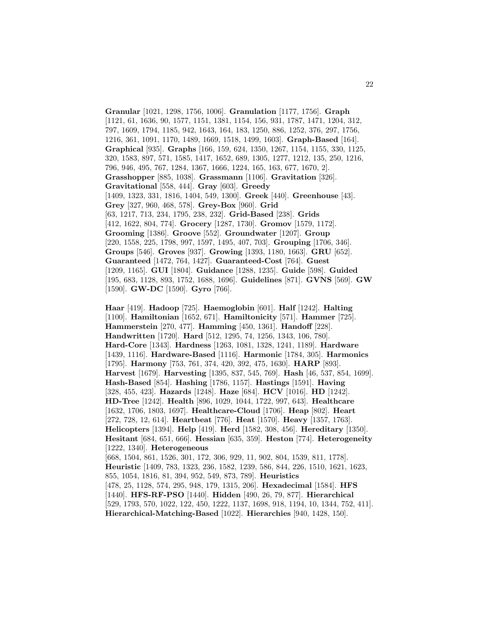**Granular** [1021, 1298, 1756, 1006]. **Granulation** [1177, 1756]. **Graph** [1121, 61, 1636, 90, 1577, 1151, 1381, 1154, 156, 931, 1787, 1471, 1204, 312, 797, 1609, 1794, 1185, 942, 1643, 164, 183, 1250, 886, 1252, 376, 297, 1756, 1216, 361, 1091, 1170, 1489, 1669, 1518, 1499, 1603]. **Graph-Based** [164]. **Graphical** [935]. **Graphs** [166, 159, 624, 1350, 1267, 1154, 1155, 330, 1125, 320, 1583, 897, 571, 1585, 1417, 1652, 689, 1305, 1277, 1212, 135, 250, 1216, 796, 946, 495, 767, 1284, 1367, 1666, 1224, 165, 163, 677, 1670, 2]. **Grasshopper** [885, 1038]. **Grassmann** [1106]. **Gravitation** [326]. **Gravitational** [558, 444]. **Gray** [603]. **Greedy** [1409, 1323, 331, 1816, 1404, 549, 1300]. **Greek** [440]. **Greenhouse** [43]. **Grey** [327, 960, 468, 578]. **Grey-Box** [960]. **Grid** [63, 1217, 713, 234, 1795, 238, 232]. **Grid-Based** [238]. **Grids** [412, 1622, 804, 774]. **Grocery** [1287, 1730]. **Gromov** [1579, 1172]. **Grooming** [1386]. **Groove** [552]. **Groundwater** [1207]. **Group** [220, 1558, 225, 1798, 997, 1597, 1495, 407, 703]. **Grouping** [1706, 346]. **Groups** [546]. **Groves** [937]. **Growing** [1393, 1180, 1663]. **GRU** [652]. **Guaranteed** [1472, 764, 1427]. **Guaranteed-Cost** [764]. **Guest** [1209, 1165]. **GUI** [1804]. **Guidance** [1288, 1235]. **Guide** [598]. **Guided** [195, 683, 1128, 893, 1752, 1688, 1696]. **Guidelines** [871]. **GVNS** [569]. **GW** [1590]. **GW-DC** [1590]. **Gyro** [766].

**Haar** [419]. **Hadoop** [725]. **Haemoglobin** [601]. **Half** [1242]. **Halting** [1100]. **Hamiltonian** [1652, 671]. **Hamiltonicity** [571]. **Hammer** [725]. **Hammerstein** [270, 477]. **Hamming** [450, 1361]. **Handoff** [228]. **Handwritten** [1720]. **Hard** [512, 1295, 74, 1256, 1343, 106, 780]. **Hard-Core** [1343]. **Hardness** [1263, 1081, 1328, 1241, 1189]. **Hardware** [1439, 1116]. **Hardware-Based** [1116]. **Harmonic** [1784, 305]. **Harmonics** [1795]. **Harmony** [753, 761, 374, 420, 392, 475, 1630]. **HARP** [893]. **Harvest** [1679]. **Harvesting** [1395, 837, 545, 769]. **Hash** [46, 537, 854, 1699]. **Hash-Based** [854]. **Hashing** [1786, 1157]. **Hastings** [1591]. **Having** [328, 455, 423]. **Hazards** [1248]. **Haze** [684]. **HCV** [1016]. **HD** [1242]. **HD-Tree** [1242]. **Health** [896, 1029, 1044, 1722, 997, 643]. **Healthcare** [1632, 1706, 1803, 1697]. **Healthcare-Cloud** [1706]. **Heap** [802]. **Heart** [272, 728, 12, 614]. **Heartbeat** [776]. **Heat** [1570]. **Heavy** [1357, 1763]. **Helicopters** [1394]. **Help** [419]. **Herd** [1582, 308, 456]. **Hereditary** [1350]. **Hesitant** [684, 651, 666]. **Hessian** [635, 359]. **Heston** [774]. **Heterogeneity** [1222, 1340]. **Heterogeneous** [668, 1504, 861, 1526, 301, 172, 306, 929, 11, 902, 804, 1539, 811, 1778]. **Heuristic** [1409, 783, 1323, 236, 1582, 1239, 586, 844, 226, 1510, 1621, 1623, 855, 1054, 1816, 81, 394, 952, 549, 873, 789]. **Heuristics** [478, 25, 1128, 574, 295, 948, 179, 1315, 206]. **Hexadecimal** [1584]. **HFS** [1440]. **HFS-RF-PSO** [1440]. **Hidden** [490, 26, 79, 877]. **Hierarchical** [529, 1793, 570, 1022, 122, 450, 1222, 1137, 1698, 918, 1194, 10, 1344, 752, 411]. **Hierarchical-Matching-Based** [1022]. **Hierarchies** [940, 1428, 150].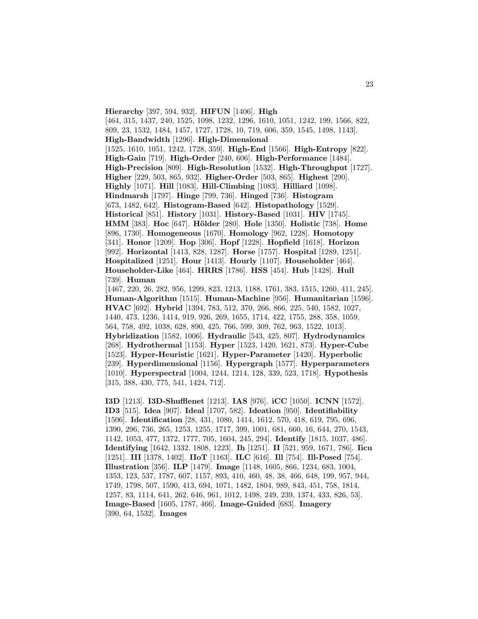**Hierarchy** [397, 594, 932]. **HIFUN** [1406]. **High** [464, 315, 1437, 240, 1525, 1098, 1232, 1296, 1610, 1051, 1242, 199, 1566, 822, 809, 23, 1532, 1484, 1457, 1727, 1728, 10, 719, 606, 359, 1545, 1498, 1143]. **High-Bandwidth** [1296]. **High-Dimensional** [1525, 1610, 1051, 1242, 1728, 359]. **High-End** [1566]. **High-Entropy** [822]. **High-Gain** [719]. **High-Order** [240, 606]. **High-Performance** [1484]. **High-Precision** [809]. **High-Resolution** [1532]. **High-Throughput** [1727]. **Higher** [229, 503, 865, 932]. **Higher-Order** [503, 865]. **Highest** [290]. **Highly** [1071]. **Hill** [1083]. **Hill-Climbing** [1083]. **Hilliard** [1098]. **Hindmarsh** [1797]. **Hinge** [799, 736]. **Hinged** [736]. **Histogram** [673, 1482, 642]. **Histogram-Based** [642]. **Histopathology** [1529]. **Historical** [851]. **History** [1031]. **History-Based** [1031]. **HIV** [1745]. **HMM** [383]. **Hoc** [647]. **Hölder** [280]. **Hole** [1350]. **Holistic** [738]. **Home** [896, 1730]. **Homogeneous** [1670]. **Homology** [962, 1228]. **Homotopy** [341]. **Honor** [1209]. **Hop** [306]. **Hopf** [1228]. **Hopfield** [1618]. **Horizon** [992]. **Horizontal** [1413, 828, 1287]. **Horse** [1757]. **Hospital** [1289, 1251]. **Hospitalized** [1251]. **Hour** [1413]. **Hourly** [1107]. **Householder** [464]. **Householder-Like** [464]. **HRRS** [1786]. **HSS** [454]. **Hub** [1428]. **Hull** [739]. **Human** [1467, 220, 26, 282, 956, 1299, 823, 1213, 1188, 1761, 383, 1515, 1260, 411, 245].

**Human-Algorithm** [1515]. **Human-Machine** [956]. **Humanitarian** [1596]. **HVAC** [692]. **Hybrid** [1394, 783, 512, 370, 266, 866, 225, 540, 1582, 1027, 1440, 473, 1236, 1414, 919, 926, 269, 1655, 1714, 422, 1755, 288, 358, 1059, 564, 758, 492, 1038, 628, 890, 425, 766, 599, 309, 762, 963, 1522, 1013]. **Hybridization** [1582, 1006]. **Hydraulic** [543, 425, 807]. **Hydrodynamics** [268]. **Hydrothermal** [1153]. **Hyper** [1523, 1420, 1621, 873]. **Hyper-Cube** [1523]. **Hyper-Heuristic** [1621]. **Hyper-Parameter** [1420]. **Hyperbolic** [239]. **Hyperdimensional** [1156]. **Hypergraph** [1577]. **Hyperparameters** [1010]. **Hyperspectral** [1004, 1244, 1214, 128, 339, 523, 1718]. **Hypothesis** [315, 388, 430, 775, 541, 1424, 712].

**I3D** [1213]. **I3D-Shufflenet** [1213]. **IAS** [976]. **iCC** [1050]. **ICNN** [1572]. **ID3** [515]. **Idea** [907]. **Ideal** [1707, 582]. **Ideation** [950]. **Identifiability** [1506]. **Identification** [28, 431, 1080, 1414, 1612, 570, 418, 619, 795, 696, 1390, 296, 736, 265, 1253, 1255, 1717, 399, 1001, 681, 660, 16, 644, 270, 1543, 1142, 1053, 477, 1372, 1777, 705, 1604, 245, 294]. **Identify** [1815, 1037, 486]. **Identifying** [1642, 1332, 1808, 1223]. **Ih** [1251]. **II** [521, 959, 1671, 786]. **Iicu** [1251]. **III** [1378, 1402]. **IIoT** [1163]. **ILC** [616]. **Ill** [754]. **Ill-Posed** [754]. **Illustration** [356]. **ILP** [1479]. **Image** [1148, 1605, 866, 1234, 683, 1004, 1353, 123, 537, 1787, 607, 1157, 893, 410, 460, 48, 38, 466, 648, 199, 957, 944, 1749, 1798, 507, 1590, 413, 694, 1071, 1482, 1804, 989, 843, 451, 758, 1814, 1257, 83, 1114, 641, 262, 646, 961, 1012, 1498, 249, 239, 1374, 433, 826, 53]. **Image-Based** [1605, 1787, 466]. **Image-Guided** [683]. **Imagery** [390, 64, 1532]. **Images**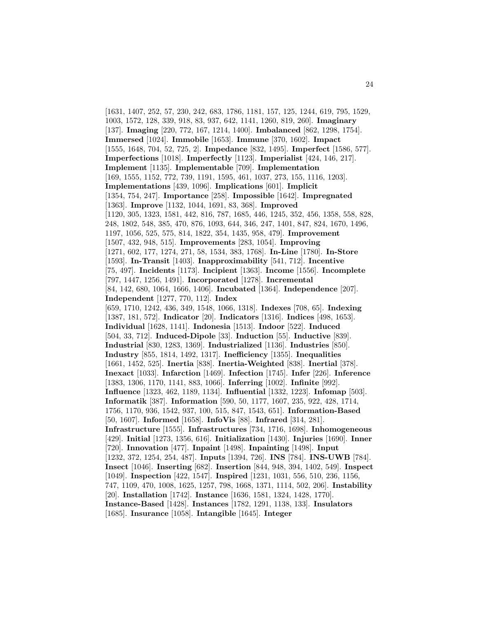[1631, 1407, 252, 57, 230, 242, 683, 1786, 1181, 157, 125, 1244, 619, 795, 1529, 1003, 1572, 128, 339, 918, 83, 937, 642, 1141, 1260, 819, 260]. **Imaginary** [137]. **Imaging** [220, 772, 167, 1214, 1400]. **Imbalanced** [862, 1298, 1754]. **Immersed** [1024]. **Immobile** [1653]. **Immune** [370, 1602]. **Impact** [1555, 1648, 704, 52, 725, 2]. **Impedance** [832, 1495]. **Imperfect** [1586, 577]. **Imperfections** [1018]. **Imperfectly** [1123]. **Imperialist** [424, 146, 217]. **Implement** [1135]. **Implementable** [709]. **Implementation** [169, 1555, 1152, 772, 739, 1191, 1595, 461, 1037, 273, 155, 1116, 1203]. **Implementations** [439, 1096]. **Implications** [601]. **Implicit** [1354, 754, 247]. **Importance** [258]. **Impossible** [1642]. **Impregnated** [1363]. **Improve** [1132, 1044, 1691, 83, 368]. **Improved** [1120, 305, 1323, 1581, 442, 816, 787, 1685, 446, 1245, 352, 456, 1358, 558, 828, 248, 1802, 548, 385, 470, 876, 1093, 644, 346, 247, 1401, 847, 824, 1670, 1496, 1197, 1056, 525, 575, 814, 1822, 354, 1435, 958, 479]. **Improvement** [1507, 432, 948, 515]. **Improvements** [283, 1054]. **Improving** [1271, 602, 177, 1274, 271, 58, 1534, 383, 1768]. **In-Line** [1780]. **In-Store** [1593]. **In-Transit** [1403]. **Inapproximability** [541, 712]. **Incentive** [75, 497]. **Incidents** [1173]. **Incipient** [1363]. **Income** [1556]. **Incomplete** [797, 1447, 1256, 1491]. **Incorporated** [1278]. **Incremental** [84, 142, 680, 1064, 1666, 1406]. **Incubated** [1364]. **Independence** [207]. **Independent** [1277, 770, 112]. **Index** [659, 1710, 1242, 436, 349, 1548, 1066, 1318]. **Indexes** [708, 65]. **Indexing** [1387, 181, 572]. **Indicator** [20]. **Indicators** [1316]. **Indices** [498, 1653]. **Individual** [1628, 1141]. **Indonesia** [1513]. **Indoor** [522]. **Induced** [504, 33, 712]. **Induced-Dipole** [33]. **Induction** [55]. **Inductive** [839]. **Industrial** [830, 1283, 1369]. **Industrialized** [1136]. **Industries** [850]. **Industry** [855, 1814, 1492, 1317]. **Inefficiency** [1355]. **Inequalities** [1661, 1452, 525]. **Inertia** [838]. **Inertia-Weighted** [838]. **Inertial** [378]. **Inexact** [1033]. **Infarction** [1469]. **Infection** [1745]. **Infer** [226]. **Inference** [1383, 1306, 1170, 1141, 883, 1066]. **Inferring** [1002]. **Infinite** [992]. **Influence** [1323, 462, 1189, 1134]. **Influential** [1332, 1223]. **Infomap** [503]. **Informatik** [387]. **Information** [590, 50, 1177, 1607, 235, 922, 428, 1714, 1756, 1170, 936, 1542, 937, 100, 515, 847, 1543, 651]. **Information-Based** [50, 1607]. **Informed** [1658]. **InfoVis** [88]. **Infrared** [314, 281]. **Infrastructure** [1555]. **Infrastructures** [734, 1716, 1698]. **Inhomogeneous** [429]. **Initial** [1273, 1356, 616]. **Initialization** [1430]. **Injuries** [1690]. **Inner** [720]. **Innovation** [477]. **Inpaint** [1498]. **Inpainting** [1498]. **Input** [1232, 372, 1254, 254, 487]. **Inputs** [1394, 726]. **INS** [784]. **INS-UWB** [784]. **Insect** [1046]. **Inserting** [682]. **Insertion** [844, 948, 394, 1402, 549]. **Inspect** [1049]. **Inspection** [422, 1547]. **Inspired** [1231, 1031, 556, 510, 236, 1156, 747, 1109, 470, 1008, 1625, 1257, 798, 1668, 1371, 1114, 502, 206]. **Instability** [20]. **Installation** [1742]. **Instance** [1636, 1581, 1324, 1428, 1770]. **Instance-Based** [1428]. **Instances** [1782, 1291, 1138, 133]. **Insulators** [1685]. **Insurance** [1058]. **Intangible** [1645]. **Integer**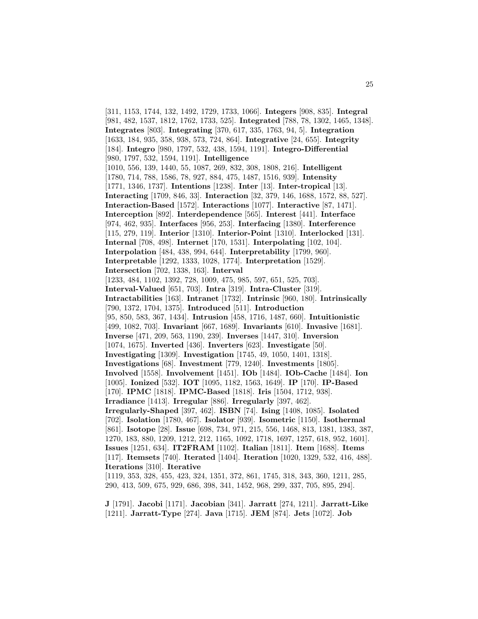[311, 1153, 1744, 132, 1492, 1729, 1733, 1066]. **Integers** [908, 835]. **Integral** [981, 482, 1537, 1812, 1762, 1733, 525]. **Integrated** [788, 78, 1302, 1465, 1348]. **Integrates** [803]. **Integrating** [370, 617, 335, 1763, 94, 5]. **Integration** [1633, 184, 935, 358, 938, 573, 724, 864]. **Integrative** [24, 655]. **Integrity** [184]. **Integro** [980, 1797, 532, 438, 1594, 1191]. **Integro-Differential** [980, 1797, 532, 1594, 1191]. **Intelligence** [1010, 556, 139, 1440, 55, 1087, 269, 832, 308, 1808, 216]. **Intelligent** [1780, 714, 788, 1586, 78, 927, 884, 475, 1487, 1516, 939]. **Intensity** [1771, 1346, 1737]. **Intentions** [1238]. **Inter** [13]. **Inter-tropical** [13]. **Interacting** [1709, 846, 33]. **Interaction** [32, 379, 146, 1688, 1572, 88, 527]. **Interaction-Based** [1572]. **Interactions** [1077]. **Interactive** [87, 1471]. **Interception** [892]. **Interdependence** [565]. **Interest** [441]. **Interface** [974, 462, 935]. **Interfaces** [956, 253]. **Interfacing** [1380]. **Interference** [115, 279, 119]. **Interior** [1310]. **Interior-Point** [1310]. **Interlocked** [131]. **Internal** [708, 498]. **Internet** [170, 1531]. **Interpolating** [102, 104]. **Interpolation** [484, 438, 994, 644]. **Interpretability** [1799, 960]. **Interpretable** [1292, 1333, 1028, 1774]. **Interpretation** [1529]. **Intersection** [702, 1338, 163]. **Interval** [1233, 484, 1102, 1392, 728, 1009, 475, 985, 597, 651, 525, 703]. **Interval-Valued** [651, 703]. **Intra** [319]. **Intra-Cluster** [319]. **Intractabilities** [163]. **Intranet** [1732]. **Intrinsic** [960, 180]. **Intrinsically** [790, 1372, 1704, 1375]. **Introduced** [511]. **Introduction** [95, 850, 583, 367, 1434]. **Intrusion** [458, 1716, 1487, 660]. **Intuitionistic** [499, 1082, 703]. **Invariant** [667, 1689]. **Invariants** [610]. **Invasive** [1681]. **Inverse** [471, 209, 563, 1190, 239]. **Inverses** [1447, 310]. **Inversion** [1074, 1675]. **Inverted** [436]. **Inverters** [623]. **Investigate** [50]. **Investigating** [1309]. **Investigation** [1745, 49, 1050, 1401, 1318]. **Investigations** [68]. **Investment** [779, 1240]. **Investments** [1805]. **Involved** [1558]. **Involvement** [1451]. **IOb** [1484]. **IOb-Cache** [1484]. **Ion** [1005]. **Ionized** [532]. **IOT** [1095, 1182, 1563, 1649]. **IP** [170]. **IP-Based** [170]. **IPMC** [1818]. **IPMC-Based** [1818]. **Iris** [1504, 1712, 938]. **Irradiance** [1413]. **Irregular** [886]. **Irregularly** [397, 462]. **Irregularly-Shaped** [397, 462]. **ISBN** [74]. **Ising** [1408, 1085]. **Isolated** [702]. **Isolation** [1780, 467]. **Isolator** [939]. **Isometric** [1150]. **Isothermal** [861]. **Isotope** [28]. **Issue** [698, 734, 971, 215, 556, 1468, 813, 1381, 1383, 387, 1270, 183, 880, 1209, 1212, 212, 1165, 1092, 1718, 1697, 1257, 618, 952, 1601]. **Issues** [1251, 634]. **IT2FRAM** [1102]. **Italian** [1811]. **Item** [1688]. **Items** [117]. **Itemsets** [740]. **Iterated** [1404]. **Iteration** [1020, 1329, 532, 416, 488]. **Iterations** [310]. **Iterative** [1119, 353, 328, 455, 423, 324, 1351, 372, 861, 1745, 318, 343, 360, 1211, 285, 290, 413, 509, 675, 929, 686, 398, 341, 1452, 968, 299, 337, 705, 895, 294].

**J** [1791]. **Jacobi** [1171]. **Jacobian** [341]. **Jarratt** [274, 1211]. **Jarratt-Like** [1211]. **Jarratt-Type** [274]. **Java** [1715]. **JEM** [874]. **Jets** [1072]. **Job**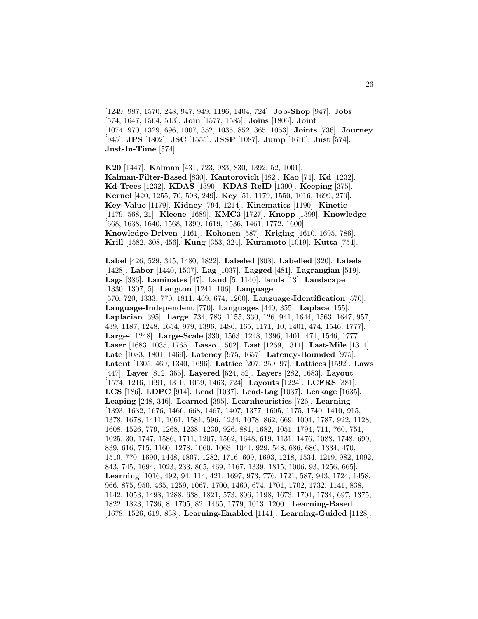[1249, 987, 1570, 248, 947, 949, 1196, 1404, 724]. **Job-Shop** [947]. **Jobs** [574, 1647, 1564, 513]. **Join** [1577, 1585]. **Joins** [1806]. **Joint** [1074, 970, 1329, 696, 1007, 352, 1035, 852, 365, 1053]. **Joints** [736]. **Journey** [945]. **JPS** [1802]. **JSC** [1555]. **JSSP** [1087]. **Jump** [1616]. **Just** [574]. **Just-In-Time** [574].

**K20** [1447]. **Kalman** [431, 723, 983, 830, 1392, 52, 1001]. **Kalman-Filter-Based** [830]. **Kantorovich** [482]. **Kao** [74]. **Kd** [1232]. **Kd-Trees** [1232]. **KDAS** [1390]. **KDAS-ReID** [1390]. **Keeping** [375]. **Kernel** [420, 1255, 70, 593, 249]. **Key** [51, 1179, 1550, 1016, 1699, 270]. **Key-Value** [1179]. **Kidney** [794, 1214]. **Kinematics** [1190]. **Kinetic** [1179, 568, 21]. **Kleene** [1689]. **KMC3** [1727]. **Knopp** [1399]. **Knowledge** [668, 1638, 1640, 1568, 1390, 1619, 1536, 1461, 1772, 1600]. **Knowledge-Driven** [1461]. **Kohonen** [587]. **Kriging** [1610, 1695, 786]. **Krill** [1582, 308, 456]. **Kung** [353, 324]. **Kuramoto** [1019]. **Kutta** [754].

**Label** [426, 529, 345, 1480, 1822]. **Labeled** [808]. **Labelled** [320]. **Labels** [1428]. **Labor** [1440, 1507]. **Lag** [1037]. **Lagged** [481]. **Lagrangian** [519]. **Lags** [386]. **Laminates** [47]. **Land** [5, 1140]. **lands** [13]. **Landscape** [1330, 1307, 5]. **Langton** [1241, 106]. **Language** [570, 720, 1333, 770, 1811, 469, 674, 1200]. **Language-Identification** [570]. **Language-Independent** [770]. **Languages** [440, 355]. **Laplace** [155]. **Laplacian** [395]. **Large** [734, 783, 1155, 330, 126, 941, 1644, 1563, 1647, 957, 439, 1187, 1248, 1654, 979, 1396, 1486, 165, 1171, 10, 1401, 474, 1546, 1777]. **Large-** [1248]. **Large-Scale** [330, 1563, 1248, 1396, 1401, 474, 1546, 1777]. **Laser** [1683, 1035, 1765]. **Lasso** [1502]. **Last** [1269, 1311]. **Last-Mile** [1311]. **Late** [1083, 1801, 1469]. **Latency** [975, 1657]. **Latency-Bounded** [975]. **Latent** [1305, 469, 1340, 1696]. **Lattice** [207, 259, 97]. **Lattices** [1592]. **Laws** [447]. **Layer** [812, 365]. **Layered** [624, 52]. **Layers** [282, 1683]. **Layout** [1574, 1216, 1691, 1310, 1059, 1463, 724]. **Layouts** [1224]. **LCFRS** [381]. **LCS** [186]. **LDPC** [914]. **Lead** [1037]. **Lead-Lag** [1037]. **Leakage** [1635]. **Leaping** [248, 346]. **Learned** [395]. **Learnheuristics** [726]. **Learning** [1393, 1632, 1676, 1466, 668, 1467, 1407, 1377, 1605, 1175, 1740, 1410, 915, 1378, 1678, 1411, 1061, 1581, 596, 1234, 1078, 862, 669, 1004, 1787, 922, 1128, 1608, 1526, 779, 1268, 1238, 1239, 926, 881, 1682, 1051, 1794, 711, 760, 751, 1025, 30, 1747, 1586, 1711, 1207, 1562, 1648, 619, 1131, 1476, 1088, 1748, 690, 839, 616, 715, 1160, 1278, 1060, 1063, 1044, 929, 548, 686, 680, 1334, 470, 1510, 770, 1690, 1448, 1807, 1282, 1716, 609, 1693, 1218, 1534, 1219, 982, 1092, 843, 745, 1694, 1023, 233, 865, 469, 1167, 1339, 1815, 1006, 93, 1256, 665]. **Learning** [1016, 492, 94, 114, 421, 1697, 973, 776, 1721, 587, 943, 1724, 1458, 966, 875, 950, 465, 1259, 1067, 1700, 1460, 674, 1701, 1702, 1732, 1141, 838, 1142, 1053, 1498, 1288, 638, 1821, 573, 806, 1198, 1673, 1704, 1734, 697, 1375, 1822, 1823, 1736, 8, 1705, 82, 1465, 1779, 1013, 1200]. **Learning-Based** [1678, 1526, 619, 838]. **Learning-Enabled** [1141]. **Learning-Guided** [1128].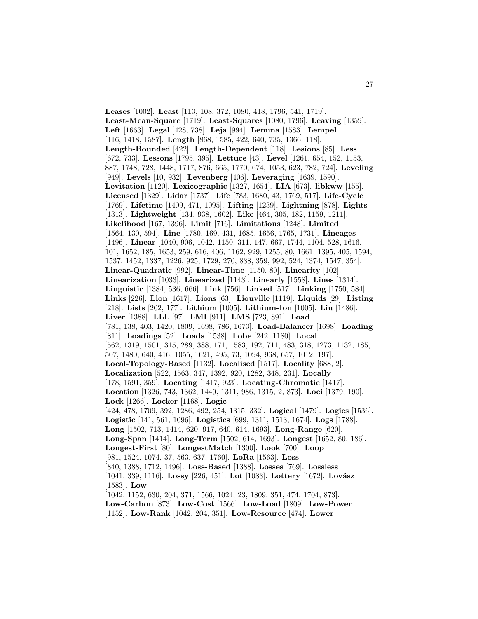**Leases** [1002]. **Least** [113, 108, 372, 1080, 418, 1796, 541, 1719]. **Least-Mean-Square** [1719]. **Least-Squares** [1080, 1796]. **Leaving** [1359]. **Left** [1663]. **Legal** [428, 738]. **Leja** [994]. **Lemma** [1583]. **Lempel** [116, 1418, 1587]. **Length** [868, 1585, 422, 640, 735, 1366, 118]. **Length-Bounded** [422]. **Length-Dependent** [118]. **Lesions** [85]. **Less** [672, 733]. **Lessons** [1795, 395]. **Lettuce** [43]. **Level** [1261, 654, 152, 1153, 887, 1748, 728, 1448, 1717, 876, 665, 1770, 674, 1053, 623, 782, 724]. **Leveling** [949]. **Levels** [10, 932]. **Levenberg** [406]. **Leveraging** [1639, 1590]. **Levitation** [1120]. **Lexicographic** [1327, 1654]. **LIA** [673]. **libkww** [155]. **Licensed** [1329]. **Lidar** [1737]. **Life** [783, 1680, 43, 1769, 517]. **Life-Cycle** [1769]. **Lifetime** [1409, 471, 1095]. **Lifting** [1239]. **Lightning** [878]. **Lights** [1313]. **Lightweight** [134, 938, 1602]. **Like** [464, 305, 182, 1159, 1211]. **Likelihood** [167, 1396]. **Limit** [716]. **Limitations** [1248]. **Limited** [1564, 130, 594]. **Line** [1780, 169, 431, 1685, 1656, 1765, 1731]. **Lineages** [1496]. **Linear** [1040, 906, 1042, 1150, 311, 147, 667, 1744, 1104, 528, 1616, 101, 1652, 185, 1653, 259, 616, 406, 1162, 929, 1255, 80, 1661, 1395, 405, 1594, 1537, 1452, 1337, 1226, 925, 1729, 270, 838, 359, 992, 524, 1374, 1547, 354]. **Linear-Quadratic** [992]. **Linear-Time** [1150, 80]. **Linearity** [102]. **Linearization** [1033]. **Linearized** [1143]. **Linearly** [1558]. **Lines** [1314]. **Linguistic** [1384, 536, 666]. **Link** [756]. **Linked** [517]. **Linking** [1750, 584]. **Links** [226]. **Lion** [1617]. **Lions** [63]. **Liouville** [1119]. **Liquids** [29]. **Listing** [218]. **Lists** [202, 177]. **Lithium** [1005]. **Lithium-Ion** [1005]. **Liu** [1486]. **Liver** [1388]. **LLL** [97]. **LMI** [911]. **LMS** [723, 891]. **Load** [781, 138, 403, 1420, 1809, 1698, 786, 1673]. **Load-Balancer** [1698]. **Loading** [811]. **Loadings** [52]. **Loads** [1538]. **Lobe** [242, 1180]. **Local** [562, 1319, 1501, 315, 289, 388, 171, 1583, 192, 711, 483, 318, 1273, 1132, 185, 507, 1480, 640, 416, 1055, 1621, 495, 73, 1094, 968, 657, 1012, 197]. **Local-Topology-Based** [1132]. **Localised** [1517]. **Locality** [688, 2]. **Localization** [522, 1563, 347, 1392, 920, 1282, 348, 231]. **Locally** [178, 1591, 359]. **Locating** [1417, 923]. **Locating-Chromatic** [1417]. **Location** [1326, 743, 1362, 1449, 1311, 986, 1315, 2, 873]. **Loci** [1379, 190]. **Lock** [1266]. **Locker** [1168]. **Logic** [424, 478, 1709, 392, 1286, 492, 254, 1315, 332]. **Logical** [1479]. **Logics** [1536]. **Logistic** [141, 561, 1096]. **Logistics** [699, 1311, 1513, 1674]. **Logs** [1788]. **Long** [1502, 713, 1414, 620, 917, 640, 614, 1693]. **Long-Range** [620]. **Long-Span** [1414]. **Long-Term** [1502, 614, 1693]. **Longest** [1652, 80, 186]. **Longest-First** [80]. **LongestMatch** [1300]. **Look** [700]. **Loop** [981, 1524, 1074, 37, 563, 637, 1760]. **LoRa** [1563]. **Loss** [840, 1388, 1712, 1496]. **Loss-Based** [1388]. **Losses** [769]. **Lossless** [1041, 339, 1116]. **Lossy** [226, 451]. **Lot** [1083]. **Lottery** [1672]. **Lovász** [1583]. **Low** [1042, 1152, 630, 204, 371, 1566, 1024, 23, 1809, 351, 474, 1704, 873]. **Low-Carbon** [873]. **Low-Cost** [1566]. **Low-Load** [1809]. **Low-Power** [1152]. **Low-Rank** [1042, 204, 351]. **Low-Resource** [474]. **Lower**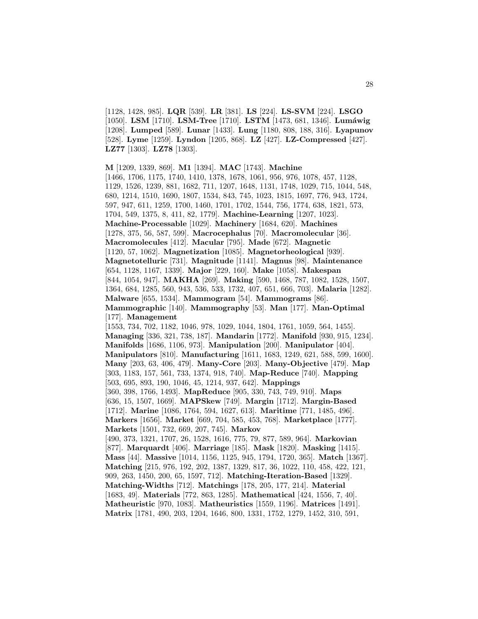[1128, 1428, 985]. **LQR** [539]. **LR** [381]. **LS** [224]. **LS-SVM** [224]. **LSGO** [1050]. **LSM** [1710]. **LSM-Tree** [1710]. **LSTM** [1473, 681, 1346]. **Lumáwig** [1208]. **Lumped** [589]. **Lunar** [1433]. **Lung** [1180, 808, 188, 316]. **Lyapunov** [528]. **Lyme** [1259]. **Lyndon** [1205, 868]. **LZ** [427]. **LZ-Compressed** [427]. **LZ77** [1303]. **LZ78** [1303].

**M** [1209, 1339, 869]. **M1** [1394]. **MAC** [1743]. **Machine** [1466, 1706, 1175, 1740, 1410, 1378, 1678, 1061, 956, 976, 1078, 457, 1128, 1129, 1526, 1239, 881, 1682, 711, 1207, 1648, 1131, 1748, 1029, 715, 1044, 548, 680, 1214, 1510, 1690, 1807, 1534, 843, 745, 1023, 1815, 1697, 776, 943, 1724, 597, 947, 611, 1259, 1700, 1460, 1701, 1702, 1544, 756, 1774, 638, 1821, 573, 1704, 549, 1375, 8, 411, 82, 1779]. **Machine-Learning** [1207, 1023]. **Machine-Processable** [1029]. **Machinery** [1684, 620]. **Machines** [1278, 375, 56, 587, 599]. **Macrocephalus** [70]. **Macromolecular** [36]. **Macromolecules** [412]. **Macular** [795]. **Made** [672]. **Magnetic** [1120, 57, 1062]. **Magnetization** [1085]. **Magnetorheological** [939]. **Magnetotelluric** [731]. **Magnitude** [1141]. **Magnus** [98]. **Maintenance** [654, 1128, 1167, 1339]. **Major** [229, 160]. **Make** [1058]. **Makespan** [844, 1054, 947]. **MAKHA** [269]. **Making** [590, 1468, 787, 1082, 1528, 1507, 1364, 684, 1285, 560, 943, 536, 533, 1732, 407, 651, 666, 703]. **Malaria** [1282]. **Malware** [655, 1534]. **Mammogram** [54]. **Mammograms** [86]. **Mammographic** [140]. **Mammography** [53]. **Man** [177]. **Man-Optimal** [177]. **Management** [1553, 734, 702, 1182, 1046, 978, 1029, 1044, 1804, 1761, 1059, 564, 1455]. **Managing** [336, 321, 738, 187]. **Mandarin** [1772]. **Manifold** [930, 915, 1234]. **Manifolds** [1686, 1106, 973]. **Manipulation** [200]. **Manipulator** [404]. **Manipulators** [810]. **Manufacturing** [1611, 1683, 1249, 621, 588, 599, 1600]. **Many** [203, 63, 406, 479]. **Many-Core** [203]. **Many-Objective** [479]. **Map** [303, 1183, 157, 561, 733, 1374, 918, 740]. **Map-Reduce** [740]. **Mapping** [503, 695, 893, 190, 1046, 45, 1214, 937, 642]. **Mappings** [360, 398, 1766, 1493]. **MapReduce** [905, 330, 743, 749, 910]. **Maps** [636, 15, 1507, 1669]. **MAPSkew** [749]. **Margin** [1712]. **Margin-Based** [1712]. **Marine** [1086, 1764, 594, 1627, 613]. **Maritime** [771, 1485, 496]. **Markers** [1656]. **Market** [669, 704, 585, 453, 768]. **Marketplace** [1777]. **Markets** [1501, 732, 669, 207, 745]. **Markov** [490, 373, 1321, 1707, 26, 1528, 1616, 775, 79, 877, 589, 964]. **Markovian** [877]. **Marquardt** [406]. **Marriage** [185]. **Mask** [1820]. **Masking** [1415]. **Mass** [44]. **Massive** [1014, 1156, 1125, 945, 1794, 1720, 365]. **Match** [1367]. **Matching** [215, 976, 192, 202, 1387, 1329, 817, 36, 1022, 110, 458, 422, 121, 909, 263, 1450, 200, 65, 1597, 712]. **Matching-Iteration-Based** [1329]. **Matching-Widths** [712]. **Matchings** [178, 205, 177, 214]. **Material** [1683, 49]. **Materials** [772, 863, 1285]. **Mathematical** [424, 1556, 7, 40]. **Matheuristic** [970, 1083]. **Matheuristics** [1559, 1196]. **Matrices** [1491]. **Matrix** [1781, 490, 203, 1204, 1646, 800, 1331, 1752, 1279, 1452, 310, 591,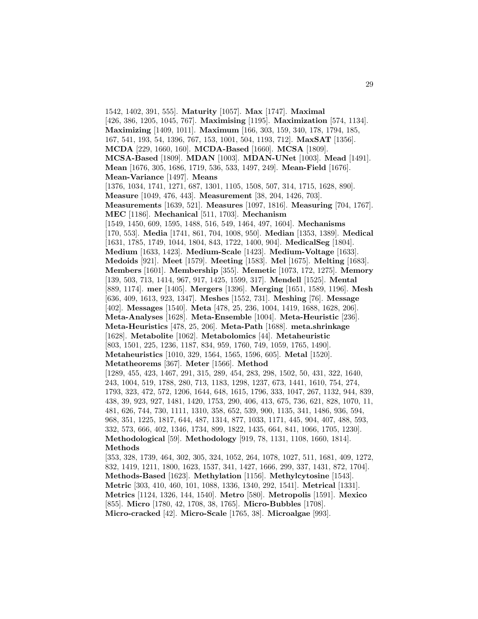1542, 1402, 391, 555]. **Maturity** [1057]. **Max** [1747]. **Maximal** [426, 386, 1205, 1045, 767]. **Maximising** [1195]. **Maximization** [574, 1134]. **Maximizing** [1409, 1011]. **Maximum** [166, 303, 159, 340, 178, 1794, 185, 167, 541, 193, 54, 1396, 767, 153, 1001, 504, 1193, 712]. **MaxSAT** [1356]. **MCDA** [229, 1660, 160]. **MCDA-Based** [1660]. **MCSA** [1809]. **MCSA-Based** [1809]. **MDAN** [1003]. **MDAN-UNet** [1003]. **Mead** [1491]. **Mean** [1676, 305, 1686, 1719, 536, 533, 1497, 249]. **Mean-Field** [1676]. **Mean-Variance** [1497]. **Means** [1376, 1034, 1741, 1271, 687, 1301, 1105, 1508, 507, 314, 1715, 1628, 890]. **Measure** [1049, 476, 443]. **Measurement** [38, 204, 1426, 703]. **Measurements** [1639, 521]. **Measures** [1097, 1816]. **Measuring** [704, 1767]. **MEC** [1186]. **Mechanical** [511, 1703]. **Mechanism** [1549, 1450, 609, 1595, 1488, 516, 549, 1464, 497, 1604]. **Mechanisms** [170, 553]. **Media** [1741, 861, 704, 1008, 950]. **Median** [1353, 1389]. **Medical** [1631, 1785, 1749, 1044, 1804, 843, 1722, 1400, 904]. **MedicalSeg** [1804]. **Medium** [1633, 1423]. **Medium-Scale** [1423]. **Medium-Voltage** [1633]. **Medoids** [921]. **Meet** [1579]. **Meeting** [1583]. **Mel** [1675]. **Melting** [1683]. **Members** [1601]. **Membership** [355]. **Memetic** [1073, 172, 1275]. **Memory** [139, 503, 713, 1414, 967, 917, 1425, 1599, 317]. **Mendell** [1525]. **Mental** [889, 1174]. **mer** [1405]. **Mergers** [1396]. **Merging** [1651, 1589, 1196]. **Mesh** [636, 409, 1613, 923, 1347]. **Meshes** [1552, 731]. **Meshing** [76]. **Message** [402]. **Messages** [1540]. **Meta** [478, 25, 236, 1004, 1419, 1688, 1628, 206]. **Meta-Analyses** [1628]. **Meta-Ensemble** [1004]. **Meta-Heuristic** [236]. **Meta-Heuristics** [478, 25, 206]. **Meta-Path** [1688]. **meta.shrinkage** [1628]. **Metabolite** [1062]. **Metabolomics** [44]. **Metaheuristic** [803, 1501, 225, 1236, 1187, 834, 959, 1760, 749, 1059, 1765, 1490]. **Metaheuristics** [1010, 329, 1564, 1565, 1596, 605]. **Metal** [1520]. **Metatheorems** [367]. **Meter** [1566]. **Method** [1289, 455, 423, 1467, 291, 315, 289, 454, 283, 298, 1502, 50, 431, 322, 1640, 243, 1004, 519, 1788, 280, 713, 1183, 1298, 1237, 673, 1441, 1610, 754, 274, 1793, 323, 472, 572, 1206, 1644, 648, 1615, 1796, 333, 1047, 267, 1132, 944, 839, 438, 39, 923, 927, 1481, 1420, 1753, 290, 406, 413, 675, 736, 621, 828, 1070, 11, 481, 626, 744, 730, 1111, 1310, 358, 652, 539, 900, 1135, 341, 1486, 936, 594, 968, 351, 1225, 1817, 644, 487, 1314, 877, 1033, 1171, 445, 904, 407, 488, 593, 332, 573, 666, 402, 1346, 1734, 899, 1822, 1435, 664, 841, 1066, 1705, 1230]. **Methodological** [59]. **Methodology** [919, 78, 1131, 1108, 1660, 1814]. **Methods** [353, 328, 1739, 464, 302, 305, 324, 1052, 264, 1078, 1027, 511, 1681, 409, 1272, 832, 1419, 1211, 1800, 1623, 1537, 341, 1427, 1666, 299, 337, 1431, 872, 1704]. **Methods-Based** [1623]. **Methylation** [1156]. **Methylcytosine** [1543]. **Metric** [303, 410, 460, 101, 1088, 1336, 1340, 292, 1541]. **Metrical** [1331]. **Metrics** [1124, 1326, 144, 1540]. **Metro** [580]. **Metropolis** [1591]. **Mexico**

[855]. **Micro** [1780, 42, 1708, 38, 1765]. **Micro-Bubbles** [1708].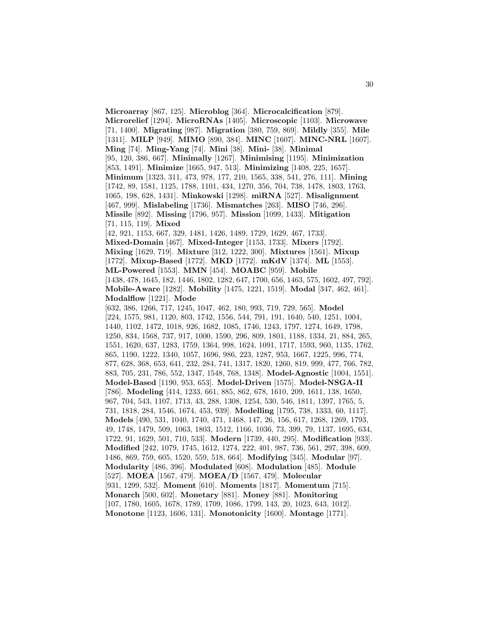**Microarray** [867, 125]. **Microblog** [364]. **Microcalcification** [879]. **Microrelief** [1294]. **MicroRNAs** [1405]. **Microscopic** [1103]. **Microwave** [71, 1400]. **Migrating** [987]. **Migration** [380, 759, 869]. **Mildly** [355]. **Mile** [1311]. **MILP** [949]. **MIMO** [890, 384]. **MINC** [1607]. **MINC-NRL** [1607]. **Ming** [74]. **Ming-Yang** [74]. **Mini** [38]. **Mini-** [38]. **Minimal** [95, 120, 386, 667]. **Minimally** [1267]. **Minimising** [1195]. **Minimization** [853, 1491]. **Minimize** [1665, 947, 513]. **Minimizing** [1408, 225, 1657]. **Minimum** [1323, 311, 473, 978, 177, 210, 1565, 338, 541, 276, 111]. **Mining** [1742, 89, 1581, 1125, 1788, 1101, 434, 1270, 356, 704, 738, 1478, 1803, 1763, 1065, 198, 628, 1431]. **Minkowski** [1298]. **miRNA** [527]. **Misalignment** [467, 999]. **Mislabeling** [1736]. **Mismatches** [263]. **MISO** [746, 296]. **Missile** [892]. **Missing** [1796, 957]. **Mission** [1099, 1433]. **Mitigation** [71, 115, 119]. **Mixed** [42, 921, 1153, 667, 329, 1481, 1426, 1489, 1729, 1629, 467, 1733]. **Mixed-Domain** [467]. **Mixed-Integer** [1153, 1733]. **Mixers** [1792]. **Mixing** [1629, 719]. **Mixture** [312, 1222, 300]. **Mixtures** [1561]. **Mixup** [1772]. **Mixup-Based** [1772]. **MKD** [1772]. **mKdV** [1374]. **ML** [1553]. **ML-Powered** [1553]. **MMN** [454]. **MOABC** [959]. **Mobile** [1438, 478, 1645, 182, 1446, 1802, 1282, 647, 1700, 656, 1463, 575, 1602, 497, 792]. **Mobile-Aware** [1282]. **Mobility** [1475, 1221, 1519]. **Modal** [347, 462, 461]. **Modalflow** [1221]. **Mode** [632, 386, 1266, 717, 1245, 1047, 462, 180, 993, 719, 729, 565]. **Model** [224, 1575, 981, 1120, 803, 1742, 1556, 544, 791, 191, 1640, 540, 1251, 1004, 1440, 1102, 1472, 1018, 926, 1682, 1085, 1746, 1243, 1797, 1274, 1649, 1798, 1250, 834, 1568, 737, 917, 1000, 1590, 296, 809, 1801, 1188, 1334, 21, 884, 265, 1551, 1620, 637, 1283, 1759, 1364, 998, 1624, 1091, 1717, 1593, 960, 1135, 1762, 865, 1190, 1222, 1340, 1057, 1696, 986, 223, 1287, 953, 1667, 1225, 996, 774, 877, 628, 368, 653, 641, 232, 284, 741, 1317, 1820, 1260, 819, 999, 477, 766, 782, 883, 705, 231, 786, 552, 1347, 1548, 768, 1348]. **Model-Agnostic** [1004, 1551]. **Model-Based** [1190, 953, 653]. **Model-Driven** [1575]. **Model-NSGA-II** [786]. **Modeling** [414, 1233, 661, 885, 862, 678, 1610, 209, 1611, 138, 1650, 967, 704, 543, 1107, 1713, 43, 288, 1308, 1254, 530, 546, 1811, 1397, 1765, 5, 731, 1818, 284, 1546, 1674, 453, 939]. **Modelling** [1795, 738, 1333, 60, 1117]. **Models** [490, 531, 1040, 1740, 471, 1468, 147, 26, 156, 617, 1268, 1269, 1793, 49, 1748, 1479, 509, 1063, 1803, 1512, 1166, 1036, 73, 399, 79, 1137, 1695, 634, 1722, 91, 1629, 501, 710, 533]. **Modern** [1739, 440, 295]. **Modification** [933]. **Modified** [242, 1079, 1745, 1612, 1274, 222, 401, 987, 736, 561, 297, 398, 609, 1486, 869, 759, 605, 1520, 559, 518, 664]. **Modifying** [345]. **Modular** [97]. **Modularity** [486, 396]. **Modulated** [608]. **Modulation** [485]. **Module** [527]. **MOEA** [1567, 479]. **MOEA/D** [1567, 479]. **Molecular** [931, 1299, 532]. **Moment** [610]. **Moments** [1817]. **Momentum** [715]. **Monarch** [500, 602]. **Monetary** [881]. **Money** [881]. **Monitoring** [107, 1780, 1605, 1678, 1789, 1709, 1086, 1799, 143, 20, 1023, 643, 1012]. **Monotone** [1123, 1606, 131]. **Monotonicity** [1600]. **Montage** [1771].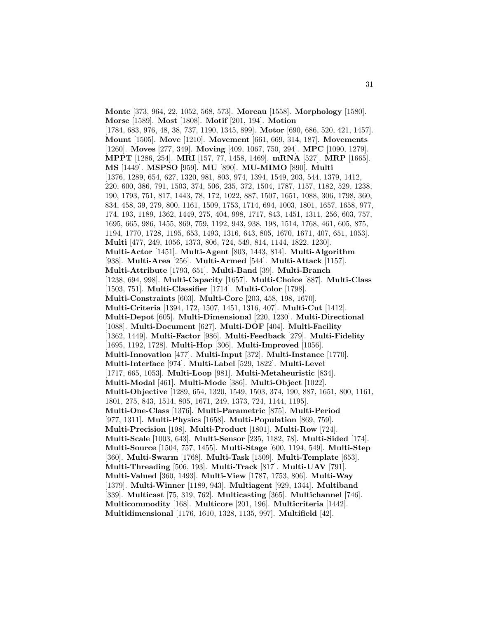**Monte** [373, 964, 22, 1052, 568, 573]. **Moreau** [1558]. **Morphology** [1580]. **Morse** [1589]. **Most** [1808]. **Motif** [201, 194]. **Motion** [1784, 683, 976, 48, 38, 737, 1190, 1345, 899]. **Motor** [690, 686, 520, 421, 1457]. **Mount** [1505]. **Move** [1210]. **Movement** [661, 669, 314, 187]. **Movements** [1260]. **Moves** [277, 349]. **Moving** [409, 1067, 750, 294]. **MPC** [1090, 1279]. **MPPT** [1286, 254]. **MRI** [157, 77, 1458, 1469]. **mRNA** [527]. **MRP** [1665]. **MS** [1449]. **MSPSO** [959]. **MU** [890]. **MU-MIMO** [890]. **Multi** [1376, 1289, 654, 627, 1320, 981, 803, 974, 1394, 1549, 203, 544, 1379, 1412, 220, 600, 386, 791, 1503, 374, 506, 235, 372, 1504, 1787, 1157, 1182, 529, 1238, 190, 1793, 751, 817, 1443, 78, 172, 1022, 887, 1507, 1651, 1088, 306, 1798, 360, 834, 458, 39, 279, 800, 1161, 1509, 1753, 1714, 694, 1003, 1801, 1657, 1658, 977, 174, 193, 1189, 1362, 1449, 275, 404, 998, 1717, 843, 1451, 1311, 256, 603, 757, 1695, 665, 986, 1455, 869, 759, 1192, 943, 938, 198, 1514, 1768, 461, 605, 875, 1194, 1770, 1728, 1195, 653, 1493, 1316, 643, 805, 1670, 1671, 407, 651, 1053]. **Multi** [477, 249, 1056, 1373, 806, 724, 549, 814, 1144, 1822, 1230]. **Multi-Actor** [1451]. **Multi-Agent** [803, 1443, 814]. **Multi-Algorithm** [938]. **Multi-Area** [256]. **Multi-Armed** [544]. **Multi-Attack** [1157]. **Multi-Attribute** [1793, 651]. **Multi-Band** [39]. **Multi-Branch** [1238, 694, 998]. **Multi-Capacity** [1657]. **Multi-Choice** [887]. **Multi-Class** [1503, 751]. **Multi-Classifier** [1714]. **Multi-Color** [1798]. **Multi-Constraints** [603]. **Multi-Core** [203, 458, 198, 1670]. **Multi-Criteria** [1394, 172, 1507, 1451, 1316, 407]. **Multi-Cut** [1412]. **Multi-Depot** [605]. **Multi-Dimensional** [220, 1230]. **Multi-Directional** [1088]. **Multi-Document** [627]. **Multi-DOF** [404]. **Multi-Facility** [1362, 1449]. **Multi-Factor** [986]. **Multi-Feedback** [279]. **Multi-Fidelity** [1695, 1192, 1728]. **Multi-Hop** [306]. **Multi-Improved** [1056]. **Multi-Innovation** [477]. **Multi-Input** [372]. **Multi-Instance** [1770]. **Multi-Interface** [974]. **Multi-Label** [529, 1822]. **Multi-Level** [1717, 665, 1053]. **Multi-Loop** [981]. **Multi-Metaheuristic** [834]. **Multi-Modal** [461]. **Multi-Mode** [386]. **Multi-Object** [1022]. **Multi-Objective** [1289, 654, 1320, 1549, 1503, 374, 190, 887, 1651, 800, 1161, 1801, 275, 843, 1514, 805, 1671, 249, 1373, 724, 1144, 1195]. **Multi-One-Class** [1376]. **Multi-Parametric** [875]. **Multi-Period** [977, 1311]. **Multi-Physics** [1658]. **Multi-Population** [869, 759]. **Multi-Precision** [198]. **Multi-Product** [1801]. **Multi-Row** [724]. **Multi-Scale** [1003, 643]. **Multi-Sensor** [235, 1182, 78]. **Multi-Sided** [174]. **Multi-Source** [1504, 757, 1455]. **Multi-Stage** [600, 1194, 549]. **Multi-Step** [360]. **Multi-Swarm** [1768]. **Multi-Task** [1509]. **Multi-Template** [653]. **Multi-Threading** [506, 193]. **Multi-Track** [817]. **Multi-UAV** [791]. **Multi-Valued** [360, 1493]. **Multi-View** [1787, 1753, 806]. **Multi-Way** [1379]. **Multi-Winner** [1189, 943]. **Multiagent** [929, 1344]. **Multiband** [339]. **Multicast** [75, 319, 762]. **Multicasting** [365]. **Multichannel** [746]. **Multicommodity** [168]. **Multicore** [201, 196]. **Multicriteria** [1442]. **Multidimensional** [1176, 1610, 1328, 1135, 997]. **Multifield** [42].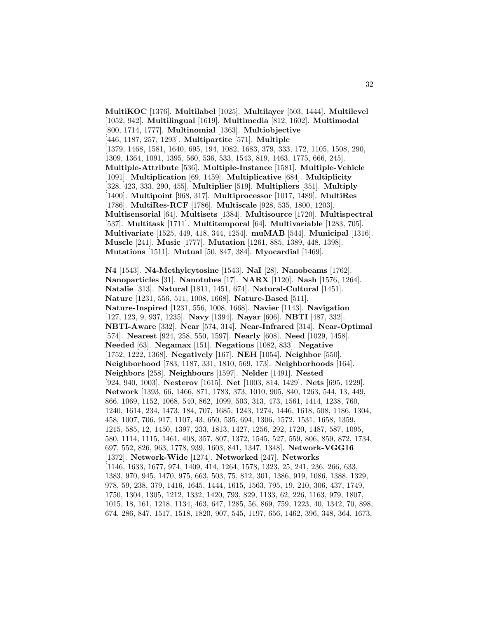**MultiKOC** [1376]. **Multilabel** [1025]. **Multilayer** [503, 1444]. **Multilevel** [1052, 942]. **Multilingual** [1619]. **Multimedia** [812, 1602]. **Multimodal** [800, 1714, 1777]. **Multinomial** [1363]. **Multiobjective** [446, 1187, 257, 1293]. **Multipartite** [571]. **Multiple** [1379, 1468, 1581, 1640, 695, 194, 1082, 1683, 379, 333, 172, 1105, 1508, 290, 1309, 1364, 1091, 1395, 560, 536, 533, 1543, 819, 1463, 1775, 666, 245]. **Multiple-Attribute** [536]. **Multiple-Instance** [1581]. **Multiple-Vehicle** [1091]. **Multiplication** [69, 1459]. **Multiplicative** [684]. **Multiplicity** [328, 423, 333, 290, 455]. **Multiplier** [519]. **Multipliers** [351]. **Multiply** [1400]. **Multipoint** [968, 317]. **Multiprocessor** [1017, 1489]. **MultiRes** [1786]. **MultiRes-RCF** [1786]. **Multiscale** [928, 535, 1800, 1203]. **Multisensorial** [64]. **Multisets** [1384]. **Multisource** [1720]. **Multispectral** [537]. **Multitask** [1711]. **Multitemporal** [64]. **Multivariable** [1283, 705]. **Multivariate** [1525, 449, 418, 344, 1254]. **muMAB** [544]. **Municipal** [1316]. **Muscle** [241]. **Music** [1777]. **Mutation** [1261, 885, 1389, 448, 1398]. **Mutations** [1511]. **Mutual** [50, 847, 384]. **Myocardial** [1469].

**N4** [1543]. **N4-Methylcytosine** [1543]. **NaI** [28]. **Nanobeams** [1762]. **Nanoparticles** [31]. **Nanotubes** [17]. **NARX** [1120]. **Nash** [1576, 1264]. **Natalie** [313]. **Natural** [1811, 1451, 674]. **Natural-Cultural** [1451]. **Nature** [1231, 556, 511, 1008, 1668]. **Nature-Based** [511]. **Nature-Inspired** [1231, 556, 1008, 1668]. **Navier** [1143]. **Navigation** [127, 123, 9, 937, 1235]. **Navy** [1394]. **Nayar** [606]. **NBTI** [487, 332]. **NBTI-Aware** [332]. **Near** [574, 314]. **Near-Infrared** [314]. **Near-Optimal** [574]. **Nearest** [924, 258, 550, 1597]. **Nearly** [608]. **Need** [1029, 1458]. **Needed** [63]. **Negamax** [151]. **Negations** [1082, 833]. **Negative** [1752, 1222, 1368]. **Negatively** [167]. **NEH** [1054]. **Neighbor** [550]. **Neighborhood** [783, 1187, 331, 1810, 569, 173]. **Neighborhoods** [164]. **Neighbors** [258]. **Neighbours** [1597]. **Nelder** [1491]. **Nested** [924, 940, 1003]. **Nesterov** [1615]. **Net** [1003, 814, 1429]. **Nets** [695, 1229]. **Network** [1393, 66, 1466, 871, 1783, 373, 1010, 905, 840, 1263, 544, 13, 449, 866, 1069, 1152, 1068, 540, 862, 1099, 503, 313, 473, 1561, 1414, 1238, 760, 1240, 1614, 234, 1473, 184, 707, 1685, 1243, 1274, 1446, 1618, 508, 1186, 1304, 458, 1007, 706, 917, 1107, 43, 650, 535, 694, 1306, 1572, 1531, 1658, 1359, 1215, 585, 12, 1450, 1397, 233, 1813, 1427, 1256, 292, 1720, 1487, 587, 1095, 580, 1114, 1115, 1461, 408, 357, 807, 1372, 1545, 527, 559, 806, 859, 872, 1734, 697, 552, 826, 963, 1778, 939, 1603, 841, 1347, 1348]. **Network-VGG16** [1372]. **Network-Wide** [1274]. **Networked** [247]. **Networks** [1146, 1633, 1677, 974, 1409, 414, 1264, 1578, 1323, 25, 241, 236, 266, 633, 1383, 970, 945, 1470, 975, 663, 503, 75, 812, 301, 1386, 919, 1086, 1388, 1329, 978, 59, 238, 379, 1416, 1645, 1444, 1615, 1563, 795, 19, 210, 306, 437, 1749, 1750, 1304, 1305, 1212, 1332, 1420, 793, 829, 1133, 62, 226, 1163, 979, 1807, 1015, 18, 161, 1218, 1134, 463, 647, 1285, 56, 869, 759, 1223, 40, 1342, 70, 898, 674, 286, 847, 1517, 1518, 1820, 907, 545, 1197, 656, 1462, 396, 348, 364, 1673,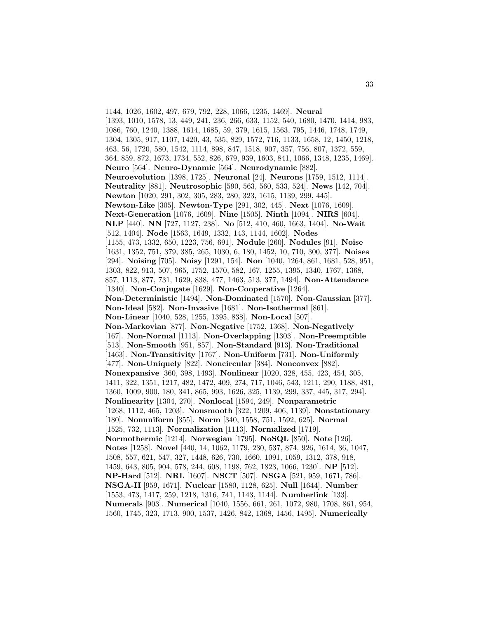1144, 1026, 1602, 497, 679, 792, 228, 1066, 1235, 1469]. **Neural** [1393, 1010, 1578, 13, 449, 241, 236, 266, 633, 1152, 540, 1680, 1470, 1414, 983, 1086, 760, 1240, 1388, 1614, 1685, 59, 379, 1615, 1563, 795, 1446, 1748, 1749, 1304, 1305, 917, 1107, 1420, 43, 535, 829, 1572, 716, 1133, 1658, 12, 1450, 1218, 463, 56, 1720, 580, 1542, 1114, 898, 847, 1518, 907, 357, 756, 807, 1372, 559, 364, 859, 872, 1673, 1734, 552, 826, 679, 939, 1603, 841, 1066, 1348, 1235, 1469]. **Neuro** [564]. **Neuro-Dynamic** [564]. **Neurodynamic** [882]. **Neuroevolution** [1398, 1725]. **Neuronal** [24]. **Neurons** [1759, 1512, 1114]. **Neutrality** [881]. **Neutrosophic** [590, 563, 560, 533, 524]. **News** [142, 704]. **Newton** [1020, 291, 302, 305, 283, 280, 323, 1615, 1139, 299, 445]. **Newton-Like** [305]. **Newton-Type** [291, 302, 445]. **Next** [1076, 1609]. **Next-Generation** [1076, 1609]. **Nine** [1505]. **Ninth** [1094]. **NIRS** [604]. **NLP** [440]. **NN** [727, 1127, 238]. **No** [512, 410, 460, 1663, 1404]. **No-Wait** [512, 1404]. **Node** [1563, 1649, 1332, 143, 1144, 1602]. **Nodes** [1155, 473, 1332, 650, 1223, 756, 691]. **Nodule** [260]. **Nodules** [91]. **Noise** [1631, 1352, 751, 379, 385, 265, 1030, 6, 180, 1452, 10, 710, 300, 377]. **Noises** [294]. **Noising** [705]. **Noisy** [1291, 154]. **Non** [1040, 1264, 861, 1681, 528, 951, 1303, 822, 913, 507, 965, 1752, 1570, 582, 167, 1255, 1395, 1340, 1767, 1368, 857, 1113, 877, 731, 1629, 838, 477, 1463, 513, 377, 1494]. **Non-Attendance** [1340]. **Non-Conjugate** [1629]. **Non-Cooperative** [1264]. **Non-Deterministic** [1494]. **Non-Dominated** [1570]. **Non-Gaussian** [377]. **Non-Ideal** [582]. **Non-Invasive** [1681]. **Non-Isothermal** [861]. **Non-Linear** [1040, 528, 1255, 1395, 838]. **Non-Local** [507]. **Non-Markovian** [877]. **Non-Negative** [1752, 1368]. **Non-Negatively** [167]. **Non-Normal** [1113]. **Non-Overlapping** [1303]. **Non-Preemptible** [513]. **Non-Smooth** [951, 857]. **Non-Standard** [913]. **Non-Traditional** [1463]. **Non-Transitivity** [1767]. **Non-Uniform** [731]. **Non-Uniformly** [477]. **Non-Uniquely** [822]. **Noncircular** [384]. **Nonconvex** [882]. **Nonexpansive** [360, 398, 1493]. **Nonlinear** [1020, 328, 455, 423, 454, 305, 1411, 322, 1351, 1217, 482, 1472, 409, 274, 717, 1046, 543, 1211, 290, 1188, 481, 1360, 1009, 900, 180, 341, 865, 993, 1626, 325, 1139, 299, 337, 445, 317, 294]. **Nonlinearity** [1304, 270]. **Nonlocal** [1594, 249]. **Nonparametric** [1268, 1112, 465, 1203]. **Nonsmooth** [322, 1209, 406, 1139]. **Nonstationary** [180]. **Nonuniform** [355]. **Norm** [340, 1558, 751, 1592, 625]. **Normal** [1525, 732, 1113]. **Normalization** [1113]. **Normalized** [1719]. **Normothermic** [1214]. **Norwegian** [1795]. **NoSQL** [850]. **Note** [126]. **Notes** [1258]. **Novel** [440, 14, 1062, 1179, 230, 537, 874, 926, 1614, 36, 1047, 1508, 557, 621, 547, 327, 1448, 626, 730, 1660, 1091, 1059, 1312, 378, 918, 1459, 643, 805, 904, 578, 244, 608, 1198, 762, 1823, 1066, 1230]. **NP** [512]. **NP-Hard** [512]. **NRL** [1607]. **NSCT** [507]. **NSGA** [521, 959, 1671, 786]. **NSGA-II** [959, 1671]. **Nuclear** [1580, 1128, 625]. **Null** [1644]. **Number** [1553, 473, 1417, 259, 1218, 1316, 741, 1143, 1144]. **Numberlink** [133]. **Numerals** [903]. **Numerical** [1040, 1556, 661, 261, 1072, 980, 1708, 861, 954, 1560, 1745, 323, 1713, 900, 1537, 1426, 842, 1368, 1456, 1495]. **Numerically**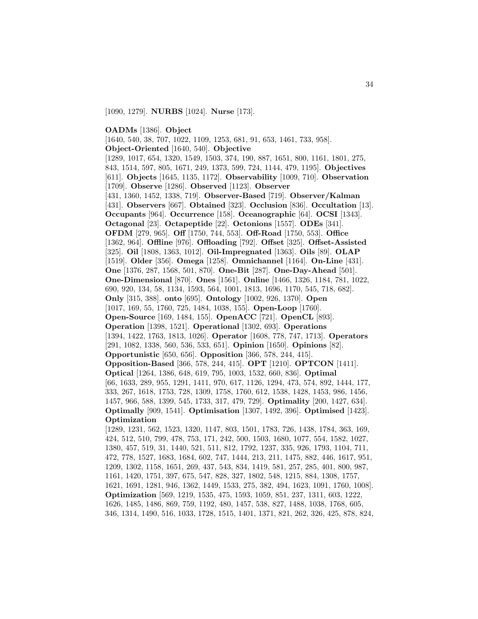[1090, 1279]. **NURBS** [1024]. **Nurse** [173].

**OADMs** [1386]. **Object**

[1640, 540, 38, 707, 1022, 1109, 1253, 681, 91, 653, 1461, 733, 958]. **Object-Oriented** [1640, 540]. **Objective** [1289, 1017, 654, 1320, 1549, 1503, 374, 190, 887, 1651, 800, 1161, 1801, 275, 843, 1514, 597, 805, 1671, 249, 1373, 599, 724, 1144, 479, 1195]. **Objectives** [611]. **Objects** [1645, 1135, 1172]. **Observability** [1009, 710]. **Observation** [1709]. **Observe** [1286]. **Observed** [1123]. **Observer** [431, 1360, 1452, 1338, 719]. **Observer-Based** [719]. **Observer/Kalman** [431]. **Observers** [667]. **Obtained** [323]. **Occlusion** [836]. **Occultation** [13]. **Occupants** [964]. **Occurrence** [158]. **Oceanographic** [64]. **OCSI** [1343]. **Octagonal** [23]. **Octapeptide** [22]. **Octonions** [1557]. **ODEs** [341]. **OFDM** [279, 965]. **Off** [1750, 744, 553]. **Off-Road** [1750, 553]. **Office** [1362, 964]. **Offline** [976]. **Offloading** [792]. **Offset** [325]. **Offset-Assisted** [325]. **Oil** [1808, 1363, 1012]. **Oil-Impregnated** [1363]. **Oils** [89]. **OLAP** [1519]. **Older** [356]. **Omega** [1258]. **Omnichannel** [1164]. **On-Line** [431]. **One** [1376, 287, 1568, 501, 870]. **One-Bit** [287]. **One-Day-Ahead** [501]. **One-Dimensional** [870]. **Ones** [1561]. **Online** [1466, 1326, 1184, 781, 1022, 690, 920, 134, 58, 1134, 1593, 564, 1001, 1813, 1696, 1170, 545, 718, 682]. **Only** [315, 388]. **onto** [695]. **Ontology** [1002, 926, 1370]. **Open** [1017, 169, 55, 1760, 725, 1484, 1038, 155]. **Open-Loop** [1760]. **Open-Source** [169, 1484, 155]. **OpenACC** [721]. **OpenCL** [893]. **Operation** [1398, 1521]. **Operational** [1302, 693]. **Operations** [1394, 1422, 1763, 1813, 1026]. **Operator** [1608, 778, 747, 1713]. **Operators** [291, 1082, 1338, 560, 536, 533, 651]. **Opinion** [1650]. **Opinions** [82]. **Opportunistic** [650, 656]. **Opposition** [366, 578, 244, 415]. **Opposition-Based** [366, 578, 244, 415]. **OPT** [1210]. **OPTCON** [1411]. **Optical** [1264, 1386, 648, 619, 795, 1003, 1532, 660, 836]. **Optimal** [66, 1633, 289, 955, 1291, 1411, 970, 617, 1126, 1294, 473, 574, 892, 1444, 177, 333, 267, 1618, 1753, 728, 1309, 1758, 1760, 612, 1538, 1428, 1453, 986, 1456, 1457, 966, 588, 1399, 545, 1733, 317, 479, 729]. **Optimality** [200, 1427, 634]. **Optimally** [909, 1541]. **Optimisation** [1307, 1492, 396]. **Optimised** [1423]. **Optimization** [1289, 1231, 562, 1523, 1320, 1147, 803, 1501, 1783, 726, 1438, 1784, 363, 169, 424, 512, 510, 799, 478, 753, 171, 242, 500, 1503, 1680, 1077, 554, 1582, 1027, 1380, 457, 519, 31, 1440, 521, 511, 812, 1792, 1237, 335, 926, 1793, 1104, 711, 472, 778, 1527, 1683, 1684, 602, 747, 1444, 213, 211, 1475, 882, 446, 1617, 951, 1209, 1302, 1158, 1651, 269, 437, 543, 834, 1419, 581, 257, 285, 401, 800, 987, 1161, 1420, 1751, 397, 675, 547, 828, 327, 1802, 548, 1215, 884, 1308, 1757, 1621, 1691, 1281, 946, 1362, 1449, 1533, 275, 382, 494, 1623, 1091, 1760, 1008]. **Optimization** [569, 1219, 1535, 475, 1593, 1059, 851, 237, 1311, 603, 1222, 1626, 1485, 1486, 869, 759, 1192, 480, 1457, 538, 827, 1488, 1038, 1768, 605, 346, 1314, 1490, 516, 1033, 1728, 1515, 1401, 1371, 821, 262, 326, 425, 878, 824,

34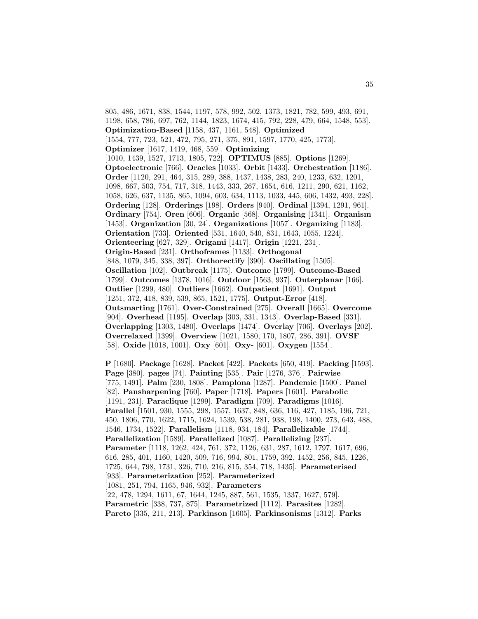805, 486, 1671, 838, 1544, 1197, 578, 992, 502, 1373, 1821, 782, 599, 493, 691, 1198, 658, 786, 697, 762, 1144, 1823, 1674, 415, 792, 228, 479, 664, 1548, 553]. **Optimization-Based** [1158, 437, 1161, 548]. **Optimized** [1554, 777, 723, 521, 472, 795, 271, 375, 891, 1597, 1770, 425, 1773]. **Optimizer** [1617, 1419, 468, 559]. **Optimizing** [1010, 1439, 1527, 1713, 1805, 722]. **OPTIMUS** [885]. **Options** [1269]. **Optoelectronic** [766]. **Oracles** [1033]. **Orbit** [1433]. **Orchestration** [1186]. **Order** [1120, 291, 464, 315, 289, 388, 1437, 1438, 283, 240, 1233, 632, 1201, 1098, 667, 503, 754, 717, 318, 1443, 333, 267, 1654, 616, 1211, 290, 621, 1162, 1058, 626, 637, 1135, 865, 1094, 603, 634, 1113, 1033, 445, 606, 1432, 493, 228]. **Ordering** [128]. **Orderings** [198]. **Orders** [940]. **Ordinal** [1394, 1291, 961]. **Ordinary** [754]. **Oren** [606]. **Organic** [568]. **Organising** [1341]. **Organism** [1453]. **Organization** [30, 24]. **Organizations** [1057]. **Organizing** [1183]. **Orientation** [733]. **Oriented** [531, 1640, 540, 831, 1643, 1055, 1224]. **Orienteering** [627, 329]. **Origami** [1417]. **Origin** [1221, 231]. **Origin-Based** [231]. **Orthoframes** [1133]. **Orthogonal** [848, 1079, 345, 338, 397]. **Orthorectify** [390]. **Oscillating** [1505]. **Oscillation** [102]. **Outbreak** [1175]. **Outcome** [1799]. **Outcome-Based** [1799]. **Outcomes** [1378, 1016]. **Outdoor** [1563, 937]. **Outerplanar** [166]. **Outlier** [1299, 480]. **Outliers** [1662]. **Outpatient** [1691]. **Output** [1251, 372, 418, 839, 539, 865, 1521, 1775]. **Output-Error** [418]. **Outsmarting** [1761]. **Over-Constrained** [275]. **Overall** [1665]. **Overcome** [904]. **Overhead** [1195]. **Overlap** [303, 331, 1343]. **Overlap-Based** [331]. **Overlapping** [1303, 1480]. **Overlaps** [1474]. **Overlay** [706]. **Overlays** [202]. **Overrelaxed** [1399]. **Overview** [1021, 1580, 170, 1807, 286, 391]. **OVSF** [58]. **Oxide** [1018, 1001]. **Oxy** [601]. **Oxy-** [601]. **Oxygen** [1554].

**P** [1680]. **Package** [1628]. **Packet** [422]. **Packets** [650, 419]. **Packing** [1593]. **Page** [380]. **pages** [74]. **Painting** [535]. **Pair** [1276, 376]. **Pairwise** [775, 1491]. **Palm** [230, 1808]. **Pamplona** [1287]. **Pandemic** [1500]. **Panel** [82]. **Pansharpening** [760]. **Paper** [1718]. **Papers** [1601]. **Parabolic** [1191, 231]. **Paraclique** [1299]. **Paradigm** [709]. **Paradigms** [1016]. **Parallel** [1501, 930, 1555, 298, 1557, 1637, 848, 636, 116, 427, 1185, 196, 721, 450, 1806, 770, 1622, 1715, 1624, 1539, 538, 281, 938, 198, 1400, 273, 643, 488, 1546, 1734, 1522]. **Parallelism** [1118, 934, 184]. **Parallelizable** [1744]. **Parallelization** [1589]. **Parallelized** [1087]. **Parallelizing** [237]. **Parameter** [1118, 1262, 424, 761, 372, 1126, 631, 287, 1612, 1797, 1617, 696, 616, 285, 401, 1160, 1420, 509, 716, 994, 801, 1759, 392, 1452, 256, 845, 1226, 1725, 644, 798, 1731, 326, 710, 216, 815, 354, 718, 1435]. **Parameterised** [933]. **Parameterization** [252]. **Parameterized** [1081, 251, 794, 1165, 946, 932]. **Parameters** [22, 478, 1294, 1611, 67, 1644, 1245, 887, 561, 1535, 1337, 1627, 579]. **Parametric** [338, 737, 875]. **Parametrized** [1112]. **Parasites** [1282]. **Pareto** [335, 211, 213]. **Parkinson** [1605]. **Parkinsonisms** [1312]. **Parks**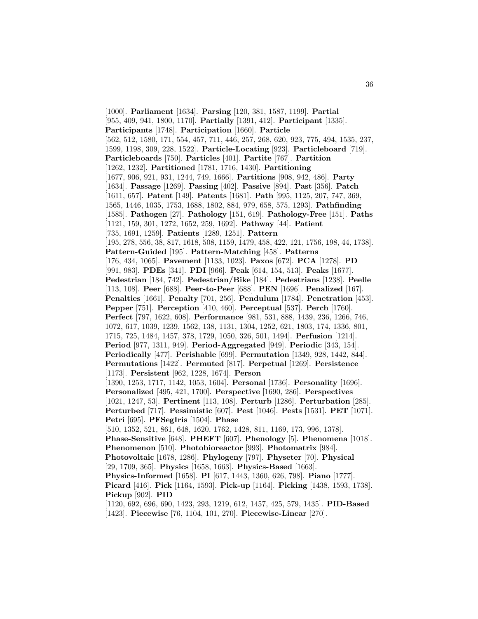[1000]. **Parliament** [1634]. **Parsing** [120, 381, 1587, 1199]. **Partial** [955, 409, 941, 1800, 1170]. **Partially** [1391, 412]. **Participant** [1335]. **Participants** [1748]. **Participation** [1660]. **Particle** [562, 512, 1580, 171, 554, 457, 711, 446, 257, 268, 620, 923, 775, 494, 1535, 237, 1599, 1198, 309, 228, 1522]. **Particle-Locating** [923]. **Particleboard** [719]. **Particleboards** [750]. **Particles** [401]. **Partite** [767]. **Partition** [1262, 1232]. **Partitioned** [1781, 1716, 1430]. **Partitioning** [1677, 906, 921, 931, 1244, 749, 1666]. **Partitions** [908, 942, 486]. **Party** [1634]. **Passage** [1269]. **Passing** [402]. **Passive** [894]. **Past** [356]. **Patch** [1611, 657]. **Patent** [149]. **Patents** [1681]. **Path** [995, 1125, 207, 747, 369, 1565, 1446, 1035, 1753, 1688, 1802, 884, 979, 658, 575, 1293]. **Pathfinding** [1585]. **Pathogen** [27]. **Pathology** [151, 619]. **Pathology-Free** [151]. **Paths** [1121, 159, 301, 1272, 1652, 259, 1692]. **Pathway** [44]. **Patient** [735, 1691, 1259]. **Patients** [1289, 1251]. **Pattern** [195, 278, 556, 38, 817, 1618, 508, 1159, 1479, 458, 422, 121, 1756, 198, 44, 1738]. **Pattern-Guided** [195]. **Pattern-Matching** [458]. **Patterns** [176, 434, 1065]. **Pavement** [1133, 1023]. **Paxos** [672]. **PCA** [1278]. **PD** [991, 983]. **PDEs** [341]. **PDI** [966]. **Peak** [614, 154, 513]. **Peaks** [1677]. **Pedestrian** [184, 742]. **Pedestrian/Bike** [184]. **Pedestrians** [1238]. **Peelle** [113, 108]. **Peer** [688]. **Peer-to-Peer** [688]. **PEN** [1696]. **Penalized** [167]. **Penalties** [1661]. **Penalty** [701, 256]. **Pendulum** [1784]. **Penetration** [453]. **Pepper** [751]. **Perception** [410, 460]. **Perceptual** [537]. **Perch** [1760]. **Perfect** [797, 1622, 608]. **Performance** [981, 531, 888, 1439, 236, 1266, 746, 1072, 617, 1039, 1239, 1562, 138, 1131, 1304, 1252, 621, 1803, 174, 1336, 801, 1715, 725, 1484, 1457, 378, 1729, 1050, 326, 501, 1494]. **Perfusion** [1214]. **Period** [977, 1311, 949]. **Period-Aggregated** [949]. **Periodic** [343, 154]. **Periodically** [477]. **Perishable** [699]. **Permutation** [1349, 928, 1442, 844]. **Permutations** [1422]. **Permuted** [817]. **Perpetual** [1269]. **Persistence** [1173]. **Persistent** [962, 1228, 1674]. **Person** [1390, 1253, 1717, 1142, 1053, 1604]. **Personal** [1736]. **Personality** [1696]. **Personalized** [495, 421, 1700]. **Perspective** [1690, 286]. **Perspectives** [1021, 1247, 53]. **Pertinent** [113, 108]. **Perturb** [1286]. **Perturbation** [285]. **Perturbed** [717]. **Pessimistic** [607]. **Pest** [1046]. **Pests** [1531]. **PET** [1071]. **Petri** [695]. **PFSegIris** [1504]. **Phase** [510, 1352, 521, 861, 648, 1620, 1762, 1428, 811, 1169, 173, 996, 1378]. **Phase-Sensitive** [648]. **PHEFT** [607]. **Phenology** [5]. **Phenomena** [1018]. **Phenomenon** [510]. **Photobioreactor** [993]. **Photomatrix** [984]. **Photovoltaic** [1678, 1286]. **Phylogeny** [797]. **Physeter** [70]. **Physical** [29, 1709, 365]. **Physics** [1658, 1663]. **Physics-Based** [1663]. **Physics-Informed** [1658]. **PI** [617, 1443, 1360, 626, 798]. **Piano** [1777]. **Picard** [416]. **Pick** [1164, 1593]. **Pick-up** [1164]. **Picking** [1438, 1593, 1738]. **Pickup** [902]. **PID** [1120, 692, 696, 690, 1423, 293, 1219, 612, 1457, 425, 579, 1435]. **PID-Based** [1423]. **Piecewise** [76, 1104, 101, 270]. **Piecewise-Linear** [270].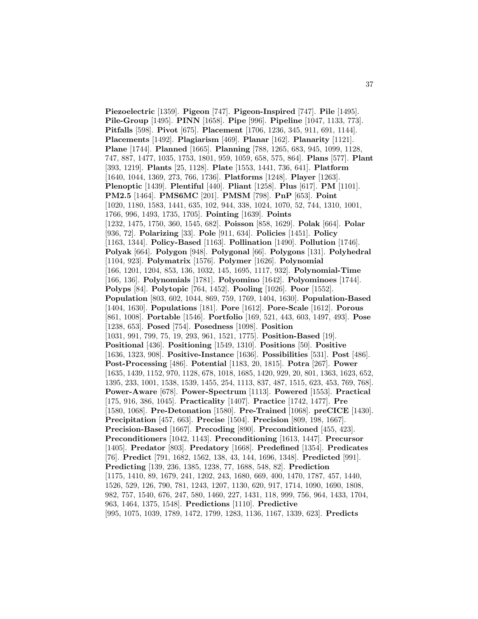**Piezoelectric** [1359]. **Pigeon** [747]. **Pigeon-Inspired** [747]. **Pile** [1495]. **Pile-Group** [1495]. **PINN** [1658]. **Pipe** [996]. **Pipeline** [1047, 1133, 773]. **Pitfalls** [598]. **Pivot** [675]. **Placement** [1706, 1236, 345, 911, 691, 1144]. **Placements** [1492]. **Plagiarism** [469]. **Planar** [162]. **Planarity** [1121]. **Plane** [1744]. **Planned** [1665]. **Planning** [788, 1265, 683, 945, 1099, 1128, 747, 887, 1477, 1035, 1753, 1801, 959, 1059, 658, 575, 864]. **Plans** [577]. **Plant** [393, 1219]. **Plants** [25, 1128]. **Plate** [1553, 1441, 736, 641]. **Platform** [1640, 1044, 1369, 273, 766, 1736]. **Platforms** [1248]. **Player** [1263]. **Plenoptic** [1439]. **Plentiful** [440]. **Pliant** [1258]. **Plus** [617]. **PM** [1101]. **PM2.5** [1464]. **PMS6MC** [201]. **PMSM** [798]. **PnP** [653]. **Point** [1020, 1180, 1583, 1441, 635, 102, 944, 338, 1024, 1070, 52, 744, 1310, 1001, 1766, 996, 1493, 1735, 1705]. **Pointing** [1639]. **Points** [1232, 1475, 1750, 360, 1545, 682]. **Poisson** [858, 1629]. **Polak** [664]. **Polar** [936, 72]. **Polarizing** [33]. **Pole** [911, 634]. **Policies** [1451]. **Policy** [1163, 1344]. **Policy-Based** [1163]. **Pollination** [1490]. **Pollution** [1746]. **Polyak** [664]. **Polygon** [948]. **Polygonal** [66]. **Polygons** [131]. **Polyhedral** [1104, 923]. **Polymatrix** [1576]. **Polymer** [1626]. **Polynomial** [166, 1201, 1204, 853, 136, 1032, 145, 1695, 1117, 932]. **Polynomial-Time** [166, 136]. **Polynomials** [1781]. **Polyomino** [1642]. **Polyominoes** [1744]. **Polyps** [84]. **Polytopic** [764, 1452]. **Pooling** [1026]. **Poor** [1552]. **Population** [803, 602, 1044, 869, 759, 1769, 1404, 1630]. **Population-Based** [1404, 1630]. **Populations** [181]. **Pore** [1612]. **Pore-Scale** [1612]. **Porous** [861, 1008]. **Portable** [1546]. **Portfolio** [169, 521, 443, 603, 1497, 493]. **Pose** [1238, 653]. **Posed** [754]. **Posedness** [1098]. **Position** [1031, 991, 799, 75, 19, 293, 961, 1521, 1775]. **Position-Based** [19]. **Positional** [436]. **Positioning** [1549, 1310]. **Positions** [50]. **Positive** [1636, 1323, 908]. **Positive-Instance** [1636]. **Possibilities** [531]. **Post** [486]. **Post-Processing** [486]. **Potential** [1183, 20, 1815]. **Potra** [267]. **Power** [1635, 1439, 1152, 970, 1128, 678, 1018, 1685, 1420, 929, 20, 801, 1363, 1623, 652, 1395, 233, 1001, 1538, 1539, 1455, 254, 1113, 837, 487, 1515, 623, 453, 769, 768]. **Power-Aware** [678]. **Power-Spectrum** [1113]. **Powered** [1553]. **Practical** [175, 916, 386, 1045]. **Practicality** [1407]. **Practice** [1742, 1477]. **Pre** [1580, 1068]. **Pre-Detonation** [1580]. **Pre-Trained** [1068]. **preCICE** [1430]. **Precipitation** [457, 663]. **Precise** [1504]. **Precision** [809, 198, 1667]. **Precision-Based** [1667]. **Precoding** [890]. **Preconditioned** [455, 423]. **Preconditioners** [1042, 1143]. **Preconditioning** [1613, 1447]. **Precursor** [1405]. **Predator** [803]. **Predatory** [1668]. **Predefined** [1354]. **Predicates** [76]. **Predict** [791, 1682, 1562, 138, 43, 144, 1696, 1348]. **Predicted** [991]. **Predicting** [139, 236, 1385, 1238, 77, 1688, 548, 82]. **Prediction** [1175, 1410, 89, 1679, 241, 1202, 243, 1680, 669, 400, 1470, 1787, 457, 1440, 1526, 529, 126, 790, 781, 1243, 1207, 1130, 620, 917, 1714, 1090, 1690, 1808, 982, 757, 1540, 676, 247, 580, 1460, 227, 1431, 118, 999, 756, 964, 1433, 1704, 963, 1464, 1375, 1548]. **Predictions** [1110]. **Predictive** [995, 1075, 1039, 1789, 1472, 1799, 1283, 1136, 1167, 1339, 623]. **Predicts**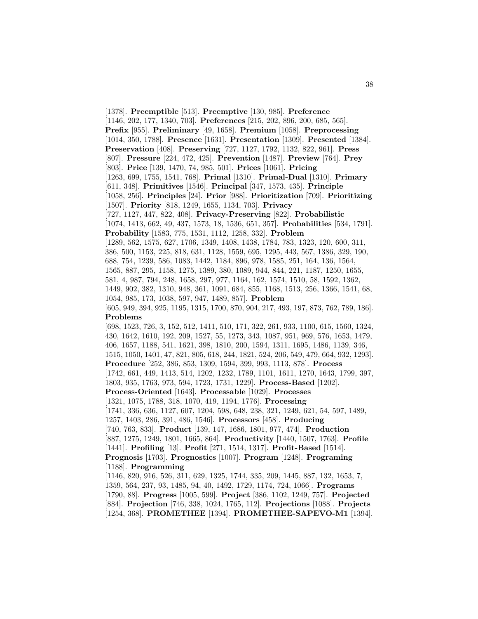[1378]. **Preemptible** [513]. **Preemptive** [130, 985]. **Preference** [1146, 202, 177, 1340, 703]. **Preferences** [215, 202, 896, 200, 685, 565]. **Prefix** [955]. **Preliminary** [49, 1658]. **Premium** [1058]. **Preprocessing** [1014, 350, 1788]. **Presence** [1631]. **Presentation** [1309]. **Presented** [1384]. **Preservation** [408]. **Preserving** [727, 1127, 1792, 1132, 822, 961]. **Press** [807]. **Pressure** [224, 472, 425]. **Prevention** [1487]. **Preview** [764]. **Prey** [803]. **Price** [139, 1470, 74, 985, 501]. **Prices** [1061]. **Pricing** [1263, 699, 1755, 1541, 768]. **Primal** [1310]. **Primal-Dual** [1310]. **Primary** [611, 348]. **Primitives** [1546]. **Principal** [347, 1573, 435]. **Principle** [1058, 256]. **Principles** [24]. **Prior** [988]. **Prioritization** [709]. **Prioritizing** [1507]. **Priority** [818, 1249, 1655, 1134, 703]. **Privacy** [727, 1127, 447, 822, 408]. **Privacy-Preserving** [822]. **Probabilistic** [1074, 1413, 662, 49, 437, 1573, 18, 1536, 651, 357]. **Probabilities** [534, 1791]. **Probability** [1583, 775, 1531, 1112, 1258, 332]. **Problem** [1289, 562, 1575, 627, 1706, 1349, 1408, 1438, 1784, 783, 1323, 120, 600, 311, 386, 500, 1153, 225, 818, 631, 1128, 1559, 695, 1295, 443, 567, 1386, 329, 190, 688, 754, 1239, 586, 1083, 1442, 1184, 896, 978, 1585, 251, 164, 136, 1564, 1565, 887, 295, 1158, 1275, 1389, 380, 1089, 944, 844, 221, 1187, 1250, 1655, 581, 4, 987, 794, 248, 1658, 297, 977, 1164, 162, 1574, 1510, 58, 1592, 1362, 1449, 902, 382, 1310, 948, 361, 1091, 684, 855, 1168, 1513, 256, 1366, 1541, 68, 1054, 985, 173, 1038, 597, 947, 1489, 857]. **Problem** [605, 949, 394, 925, 1195, 1315, 1700, 870, 904, 217, 493, 197, 873, 762, 789, 186]. **Problems** [698, 1523, 726, 3, 152, 512, 1411, 510, 171, 322, 261, 933, 1100, 615, 1560, 1324, 430, 1642, 1610, 192, 209, 1527, 55, 1273, 343, 1087, 951, 969, 576, 1653, 1479, 406, 1657, 1188, 541, 1621, 398, 1810, 200, 1594, 1311, 1695, 1486, 1139, 346, 1515, 1050, 1401, 47, 821, 805, 618, 244, 1821, 524, 206, 549, 479, 664, 932, 1293]. **Procedure** [252, 386, 853, 1309, 1594, 399, 993, 1113, 878]. **Process** [1742, 661, 449, 1413, 514, 1202, 1232, 1789, 1101, 1611, 1270, 1643, 1799, 397, 1803, 935, 1763, 973, 594, 1723, 1731, 1229]. **Process-Based** [1202]. **Process-Oriented** [1643]. **Processable** [1029]. **Processes** [1321, 1075, 1788, 318, 1070, 419, 1194, 1776]. **Processing** [1741, 336, 636, 1127, 607, 1204, 598, 648, 238, 321, 1249, 621, 54, 597, 1489, 1257, 1403, 286, 391, 486, 1546]. **Processors** [458]. **Producing** [740, 763, 833]. **Product** [139, 147, 1686, 1801, 977, 474]. **Production** [887, 1275, 1249, 1801, 1665, 864]. **Productivity** [1440, 1507, 1763]. **Profile** [1441]. **Profiling** [13]. **Profit** [271, 1514, 1317]. **Profit-Based** [1514]. **Prognosis** [1703]. **Prognostics** [1007]. **Program** [1248]. **Programing** [1188]. **Programming** [1146, 820, 916, 526, 311, 629, 1325, 1744, 335, 209, 1445, 887, 132, 1653, 7, 1359, 564, 237, 93, 1485, 94, 40, 1492, 1729, 1174, 724, 1066]. **Programs** [1790, 88]. **Progress** [1005, 599]. **Project** [386, 1102, 1249, 757]. **Projected** [884]. **Projection** [746, 338, 1024, 1765, 112]. **Projections** [1088]. **Projects** [1254, 368]. **PROMETHEE** [1394]. **PROMETHEE-SAPEVO-M1** [1394].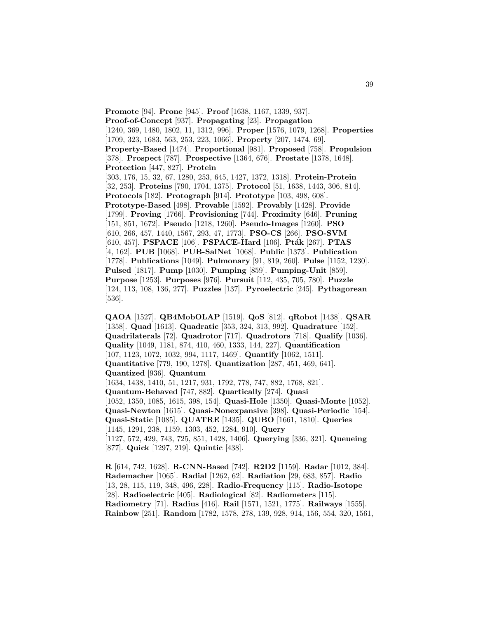**Promote** [94]. **Prone** [945]. **Proof** [1638, 1167, 1339, 937]. **Proof-of-Concept** [937]. **Propagating** [23]. **Propagation** [1240, 369, 1480, 1802, 11, 1312, 996]. **Proper** [1576, 1079, 1268]. **Properties** [1709, 323, 1683, 563, 253, 223, 1066]. **Property** [207, 1474, 69]. **Property-Based** [1474]. **Proportional** [981]. **Proposed** [758]. **Propulsion** [378]. **Prospect** [787]. **Prospective** [1364, 676]. **Prostate** [1378, 1648]. **Protection** [447, 827]. **Protein** [303, 176, 15, 32, 67, 1280, 253, 645, 1427, 1372, 1318]. **Protein-Protein** [32, 253]. **Proteins** [790, 1704, 1375]. **Protocol** [51, 1638, 1443, 306, 814]. **Protocols** [182]. **Protograph** [914]. **Prototype** [103, 498, 608]. **Prototype-Based** [498]. **Provable** [1592]. **Provably** [1428]. **Provide** [1799]. **Proving** [1766]. **Provisioning** [744]. **Proximity** [646]. **Pruning** [151, 851, 1672]. **Pseudo** [1218, 1260]. **Pseudo-Images** [1260]. **PSO** [610, 266, 457, 1440, 1567, 293, 47, 1773]. **PSO-CS** [266]. **PSO-SVM** [610, 457]. **PSPACE** [106]. **PSPACE-Hard** [106]. **Pt´ak** [267]. **PTAS** [4, 162]. **PUB** [1068]. **PUB-SalNet** [1068]. **Public** [1373]. **Publication** [1778]. **Publications** [1049]. **Pulmonary** [91, 819, 260]. **Pulse** [1152, 1230]. **Pulsed** [1817]. **Pump** [1030]. **Pumping** [859]. **Pumping-Unit** [859]. **Purpose** [1253]. **Purposes** [976]. **Pursuit** [112, 435, 705, 780]. **Puzzle** [124, 113, 108, 136, 277]. **Puzzles** [137]. **Pyroelectric** [245]. **Pythagorean** [536].

**QAOA** [1527]. **QB4MobOLAP** [1519]. **QoS** [812]. **qRobot** [1438]. **QSAR** [1358]. **Quad** [1613]. **Quadratic** [353, 324, 313, 992]. **Quadrature** [152]. **Quadrilaterals** [72]. **Quadrotor** [717]. **Quadrotors** [718]. **Qualify** [1036]. **Quality** [1049, 1181, 874, 410, 460, 1333, 144, 227]. **Quantification** [107, 1123, 1072, 1032, 994, 1117, 1469]. **Quantify** [1062, 1511]. **Quantitative** [779, 190, 1278]. **Quantization** [287, 451, 469, 641]. **Quantized** [936]. **Quantum** [1634, 1438, 1410, 51, 1217, 931, 1792, 778, 747, 882, 1768, 821]. **Quantum-Behaved** [747, 882]. **Quartically** [274]. **Quasi** [1052, 1350, 1085, 1615, 398, 154]. **Quasi-Hole** [1350]. **Quasi-Monte** [1052]. **Quasi-Newton** [1615]. **Quasi-Nonexpansive** [398]. **Quasi-Periodic** [154]. **Quasi-Static** [1085]. **QUATRE** [1435]. **QUBO** [1661, 1810]. **Queries** [1145, 1291, 238, 1159, 1303, 452, 1284, 910]. **Query** [1127, 572, 429, 743, 725, 851, 1428, 1406]. **Querying** [336, 321]. **Queueing** [877]. **Quick** [1297, 219]. **Quintic** [438].

**R** [614, 742, 1628]. **R-CNN-Based** [742]. **R2D2** [1159]. **Radar** [1012, 384]. **Rademacher** [1065]. **Radial** [1262, 62]. **Radiation** [29, 683, 857]. **Radio** [13, 28, 115, 119, 348, 496, 228]. **Radio-Frequency** [115]. **Radio-Isotope** [28]. **Radioelectric** [405]. **Radiological** [82]. **Radiometers** [115]. **Radiometry** [71]. **Radius** [416]. **Rail** [1571, 1521, 1775]. **Railways** [1555]. **Rainbow** [251]. **Random** [1782, 1578, 278, 139, 928, 914, 156, 554, 320, 1561,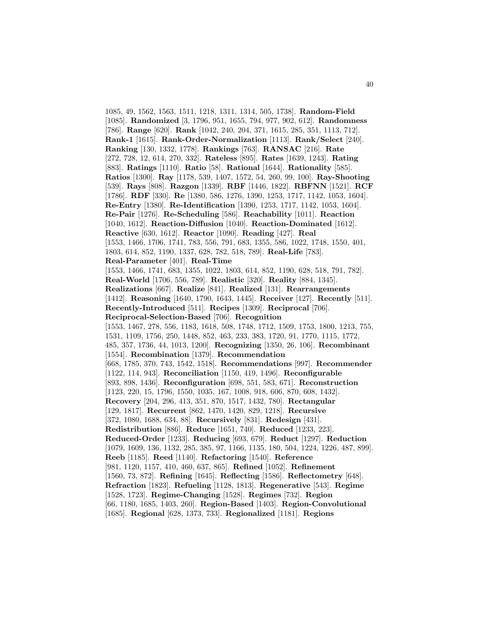1085, 49, 1562, 1563, 1511, 1218, 1311, 1314, 505, 1738]. **Random-Field** [1085]. **Randomized** [3, 1796, 951, 1655, 794, 977, 902, 612]. **Randomness** [786]. **Range** [620]. **Rank** [1042, 240, 204, 371, 1615, 285, 351, 1113, 712]. **Rank-1** [1615]. **Rank-Order-Normalization** [1113]. **Rank/Select** [240]. **Ranking** [130, 1332, 1778]. **Rankings** [763]. **RANSAC** [216]. **Rate** [272, 728, 12, 614, 270, 332]. **Rateless** [895]. **Rates** [1639, 1243]. **Rating** [883]. **Ratings** [1110]. **Ratio** [58]. **Rational** [1644]. **Rationality** [585]. **Ratios** [1300]. **Ray** [1178, 539, 1407, 1572, 54, 260, 99, 100]. **Ray-Shooting** [539]. **Rays** [808]. **Razgon** [1339]. **RBF** [1446, 1822]. **RBFNN** [1521]. **RCF** [1786]. **RDF** [330]. **Re** [1380, 586, 1276, 1390, 1253, 1717, 1142, 1053, 1604]. **Re-Entry** [1380]. **Re-Identification** [1390, 1253, 1717, 1142, 1053, 1604]. **Re-Pair** [1276]. **Re-Scheduling** [586]. **Reachability** [1011]. **Reaction** [1040, 1612]. **Reaction-Diffusion** [1040]. **Reaction-Dominated** [1612]. **Reactive** [630, 1612]. **Reactor** [1090]. **Reading** [427]. **Real** [1553, 1466, 1706, 1741, 783, 556, 791, 683, 1355, 586, 1022, 1748, 1550, 401, 1803, 614, 852, 1190, 1337, 628, 782, 518, 789]. **Real-Life** [783]. **Real-Parameter** [401]. **Real-Time** [1553, 1466, 1741, 683, 1355, 1022, 1803, 614, 852, 1190, 628, 518, 791, 782]. **Real-World** [1706, 556, 789]. **Realistic** [320]. **Reality** [884, 1345]. **Realizations** [667]. **Realize** [841]. **Realized** [131]. **Rearrangements** [1412]. **Reasoning** [1640, 1790, 1643, 1445]. **Receiver** [127]. **Recently** [511]. **Recently-Introduced** [511]. **Recipes** [1309]. **Reciprocal** [706]. **Reciprocal-Selection-Based** [706]. **Recognition** [1553, 1467, 278, 556, 1183, 1618, 508, 1748, 1712, 1509, 1753, 1800, 1213, 755, 1531, 1109, 1756, 250, 1448, 852, 463, 233, 383, 1720, 91, 1770, 1115, 1772, 485, 357, 1736, 44, 1013, 1200]. **Recognizing** [1350, 26, 106]. **Recombinant** [1554]. **Recombination** [1379]. **Recommendation** [668, 1785, 370, 743, 1542, 1518]. **Recommendations** [997]. **Recommender** [1122, 114, 943]. **Reconciliation** [1150, 419, 1496]. **Reconfigurable** [893, 898, 1436]. **Reconfiguration** [698, 551, 583, 671]. **Reconstruction** [1123, 220, 15, 1796, 1550, 1035, 167, 1008, 918, 606, 870, 608, 1432]. **Recovery** [204, 296, 413, 351, 870, 1517, 1432, 780]. **Rectangular** [129, 1817]. **Recurrent** [862, 1470, 1420, 829, 1218]. **Recursive** [372, 1080, 1688, 634, 88]. **Recursively** [831]. **Redesign** [431]. **Redistribution** [886]. **Reduce** [1651, 740]. **Reduced** [1233, 223]. **Reduced-Order** [1233]. **Reducing** [693, 679]. **Reduct** [1297]. **Reduction** [1079, 1609, 136, 1132, 285, 385, 97, 1166, 1135, 180, 504, 1224, 1226, 487, 899]. **Reeb** [1185]. **Reed** [1140]. **Refactoring** [1540]. **Reference** [981, 1120, 1157, 410, 460, 637, 865]. **Refined** [1052]. **Refinement** [1560, 73, 872]. **Refining** [1645]. **Reflecting** [1586]. **Reflectometry** [648]. **Refraction** [1823]. **Refueling** [1128, 1813]. **Regenerative** [543]. **Regime** [1528, 1723]. **Regime-Changing** [1528]. **Regimes** [732]. **Region** [66, 1180, 1685, 1403, 260]. **Region-Based** [1403]. **Region-Convolutional** [1685]. **Regional** [628, 1373, 733]. **Regionalized** [1181]. **Regions**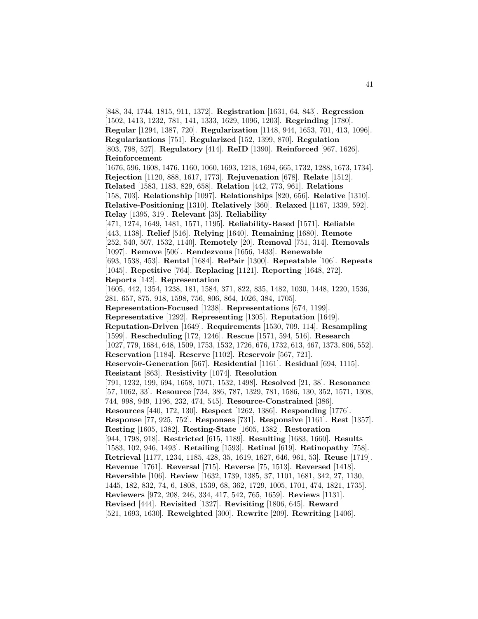[848, 34, 1744, 1815, 911, 1372]. **Registration** [1631, 64, 843]. **Regression** [1502, 1413, 1232, 781, 141, 1333, 1629, 1096, 1203]. **Regrinding** [1780]. **Regular** [1294, 1387, 720]. **Regularization** [1148, 944, 1653, 701, 413, 1096]. **Regularizations** [751]. **Regularized** [152, 1399, 870]. **Regulation** [803, 798, 527]. **Regulatory** [414]. **ReID** [1390]. **Reinforced** [967, 1626]. **Reinforcement** [1676, 596, 1608, 1476, 1160, 1060, 1693, 1218, 1694, 665, 1732, 1288, 1673, 1734]. **Rejection** [1120, 888, 1617, 1773]. **Rejuvenation** [678]. **Relate** [1512]. **Related** [1583, 1183, 829, 658]. **Relation** [442, 773, 961]. **Relations** [158, 703]. **Relationship** [1097]. **Relationships** [820, 656]. **Relative** [1310]. **Relative-Positioning** [1310]. **Relatively** [360]. **Relaxed** [1167, 1339, 592]. **Relay** [1395, 319]. **Relevant** [35]. **Reliability** [471, 1274, 1649, 1481, 1571, 1195]. **Reliability-Based** [1571]. **Reliable** [443, 1138]. **Relief** [516]. **Relying** [1640]. **Remaining** [1680]. **Remote** [252, 540, 507, 1532, 1140]. **Remotely** [20]. **Removal** [751, 314]. **Removals** [1097]. **Remove** [506]. **Rendezvous** [1656, 1433]. **Renewable** [693, 1538, 453]. **Rental** [1684]. **RePair** [1300]. **Repeatable** [106]. **Repeats** [1045]. **Repetitive** [764]. **Replacing** [1121]. **Reporting** [1648, 272]. **Reports** [142]. **Representation** [1605, 442, 1354, 1238, 181, 1584, 371, 822, 835, 1482, 1030, 1448, 1220, 1536, 281, 657, 875, 918, 1598, 756, 806, 864, 1026, 384, 1705]. **Representation-Focused** [1238]. **Representations** [674, 1199]. **Representative** [1292]. **Representing** [1305]. **Reputation** [1649]. **Reputation-Driven** [1649]. **Requirements** [1530, 709, 114]. **Resampling** [1599]. **Rescheduling** [172, 1246]. **Rescue** [1571, 594, 516]. **Research** [1027, 779, 1684, 648, 1509, 1753, 1532, 1726, 676, 1732, 613, 467, 1373, 806, 552]. **Reservation** [1184]. **Reserve** [1102]. **Reservoir** [567, 721]. **Reservoir-Generation** [567]. **Residential** [1161]. **Residual** [694, 1115]. **Resistant** [863]. **Resistivity** [1074]. **Resolution** [791, 1232, 199, 694, 1658, 1071, 1532, 1498]. **Resolved** [21, 38]. **Resonance** [57, 1062, 33]. **Resource** [734, 386, 787, 1329, 781, 1586, 130, 352, 1571, 1308, 744, 998, 949, 1196, 232, 474, 545]. **Resource-Constrained** [386]. **Resources** [440, 172, 130]. **Respect** [1262, 1386]. **Responding** [1776]. **Response** [77, 925, 752]. **Responses** [731]. **Responsive** [1161]. **Rest** [1357]. **Resting** [1605, 1382]. **Resting-State** [1605, 1382]. **Restoration** [944, 1798, 918]. **Restricted** [615, 1189]. **Resulting** [1683, 1660]. **Results** [1583, 102, 946, 1493]. **Retailing** [1593]. **Retinal** [619]. **Retinopathy** [758]. **Retrieval** [1177, 1234, 1185, 428, 35, 1619, 1627, 646, 961, 53]. **Reuse** [1719]. **Revenue** [1761]. **Reversal** [715]. **Reverse** [75, 1513]. **Reversed** [1418]. **Reversible** [106]. **Review** [1632, 1739, 1385, 37, 1101, 1681, 342, 27, 1130, 1445, 182, 832, 74, 6, 1808, 1539, 68, 362, 1729, 1005, 1701, 474, 1821, 1735]. **Reviewers** [972, 208, 246, 334, 417, 542, 765, 1659]. **Reviews** [1131]. **Revised** [444]. **Revisited** [1327]. **Revisiting** [1806, 645]. **Reward** [521, 1693, 1630]. **Reweighted** [300]. **Rewrite** [209]. **Rewriting** [1406].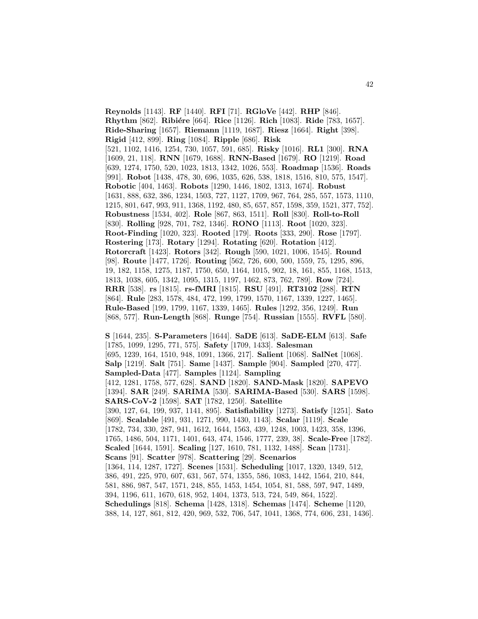**Reynolds** [1143]. **RF** [1440]. **RFI** [71]. **RGloVe** [442]. **RHP** [846]. **Rhythm** [862]. **Ribiére** [664]. **Rice** [1126]. **Rich** [1083]. **Ride** [783, 1657]. **Ride-Sharing** [1657]. **Riemann** [1119, 1687]. **Riesz** [1664]. **Right** [398]. **Rigid** [412, 899]. **Ring** [1084]. **Ripple** [686]. **Risk** [521, 1102, 1416, 1254, 730, 1057, 591, 685]. **Risky** [1016]. **RL1** [300]. **RNA** [1609, 21, 118]. **RNN** [1679, 1688]. **RNN-Based** [1679]. **RO** [1219]. **Road** [639, 1274, 1750, 520, 1023, 1813, 1342, 1026, 553]. **Roadmap** [1536]. **Roads** [991]. **Robot** [1438, 478, 30, 696, 1035, 626, 538, 1818, 1516, 810, 575, 1547]. **Robotic** [404, 1463]. **Robots** [1290, 1446, 1802, 1313, 1674]. **Robust** [1631, 888, 632, 386, 1234, 1503, 727, 1127, 1709, 967, 764, 285, 557, 1573, 1110, 1215, 801, 647, 993, 911, 1368, 1192, 480, 85, 657, 857, 1598, 359, 1521, 377, 752]. **Robustness** [1534, 402]. **Role** [867, 863, 1511]. **Roll** [830]. **Roll-to-Roll** [830]. **Rolling** [928, 701, 782, 1346]. **RONO** [1113]. **Root** [1020, 323]. **Root-Finding** [1020, 323]. **Rooted** [179]. **Roots** [333, 290]. **Rose** [1797]. **Rostering** [173]. **Rotary** [1294]. **Rotating** [620]. **Rotation** [412]. **Rotorcraft** [1423]. **Rotors** [342]. **Rough** [590, 1021, 1006, 1545]. **Round** [98]. **Route** [1477, 1726]. **Routing** [562, 726, 600, 500, 1559, 75, 1295, 896, 19, 182, 1158, 1275, 1187, 1750, 650, 1164, 1015, 902, 18, 161, 855, 1168, 1513, 1813, 1038, 605, 1342, 1095, 1315, 1197, 1462, 873, 762, 789]. **Row** [724]. **RRR** [538]. **rs** [1815]. **rs-fMRI** [1815]. **RSU** [491]. **RT3102** [288]. **RTN** [864]. **Rule** [283, 1578, 484, 472, 199, 1799, 1570, 1167, 1339, 1227, 1465]. **Rule-Based** [199, 1799, 1167, 1339, 1465]. **Rules** [1292, 356, 1249]. **Run** [868, 577]. **Run-Length** [868]. **Runge** [754]. **Russian** [1555]. **RVFL** [580].

**S** [1644, 235]. **S-Parameters** [1644]. **SaDE** [613]. **SaDE-ELM** [613]. **Safe** [1785, 1099, 1295, 771, 575]. **Safety** [1709, 1433]. **Salesman** [695, 1239, 164, 1510, 948, 1091, 1366, 217]. **Salient** [1068]. **SalNet** [1068]. **Salp** [1219]. **Salt** [751]. **Same** [1437]. **Sample** [904]. **Sampled** [270, 477]. **Sampled-Data** [477]. **Samples** [1124]. **Sampling** [412, 1281, 1758, 577, 628]. **SAND** [1820]. **SAND-Mask** [1820]. **SAPEVO** [1394]. **SAR** [249]. **SARIMA** [530]. **SARIMA-Based** [530]. **SARS** [1598]. **SARS-CoV-2** [1598]. **SAT** [1782, 1250]. **Satellite** [390, 127, 64, 199, 937, 1141, 895]. **Satisfiability** [1273]. **Satisfy** [1251]. **Sato** [869]. **Scalable** [491, 931, 1271, 990, 1430, 1143]. **Scalar** [1119]. **Scale** [1782, 734, 330, 287, 941, 1612, 1644, 1563, 439, 1248, 1003, 1423, 358, 1396, 1765, 1486, 504, 1171, 1401, 643, 474, 1546, 1777, 239, 38]. **Scale-Free** [1782]. **Scaled** [1644, 1591]. **Scaling** [127, 1610, 781, 1132, 1488]. **Scan** [1731]. **Scans** [91]. **Scatter** [978]. **Scattering** [29]. **Scenarios** [1364, 114, 1287, 1727]. **Scenes** [1531]. **Scheduling** [1017, 1320, 1349, 512, 386, 491, 225, 970, 607, 631, 567, 574, 1355, 586, 1083, 1442, 1564, 210, 844, 581, 886, 987, 547, 1571, 248, 855, 1453, 1454, 1054, 81, 588, 597, 947, 1489, 394, 1196, 611, 1670, 618, 952, 1404, 1373, 513, 724, 549, 864, 1522]. **Schedulings** [818]. **Schema** [1428, 1318]. **Schemas** [1474]. **Scheme** [1120, 388, 14, 127, 861, 812, 420, 969, 532, 706, 547, 1041, 1368, 774, 606, 231, 1436].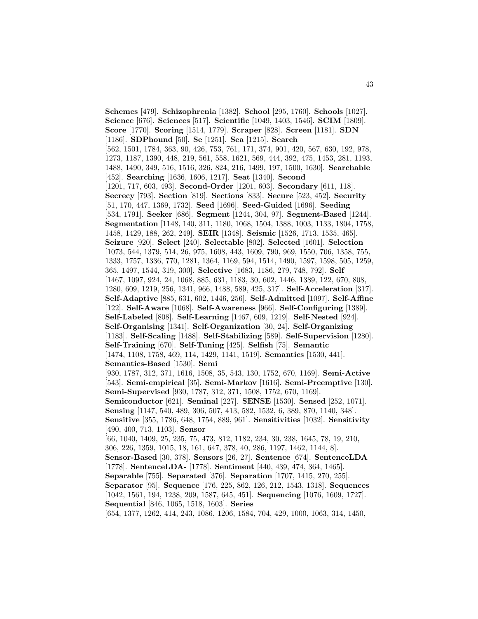**Schemes** [479]. **Schizophrenia** [1382]. **School** [295, 1760]. **Schools** [1027]. **Science** [676]. **Sciences** [517]. **Scientific** [1049, 1403, 1546]. **SCIM** [1809]. **Score** [1770]. **Scoring** [1514, 1779]. **Scraper** [828]. **Screen** [1181]. **SDN** [1186]. **SDPhound** [50]. **Se** [1251]. **Sea** [1215]. **Search** [562, 1501, 1784, 363, 90, 426, 753, 761, 171, 374, 901, 420, 567, 630, 192, 978, 1273, 1187, 1390, 448, 219, 561, 558, 1621, 569, 444, 392, 475, 1453, 281, 1193, 1488, 1490, 349, 516, 1516, 326, 824, 216, 1499, 197, 1500, 1630]. **Searchable** [452]. **Searching** [1636, 1606, 1217]. **Seat** [1340]. **Second** [1201, 717, 603, 493]. **Second-Order** [1201, 603]. **Secondary** [611, 118]. **Secrecy** [793]. **Section** [819]. **Sections** [833]. **Secure** [523, 452]. **Security** [51, 170, 447, 1369, 1732]. **Seed** [1696]. **Seed-Guided** [1696]. **Seeding** [534, 1791]. **Seeker** [686]. **Segment** [1244, 304, 97]. **Segment-Based** [1244]. **Segmentation** [1148, 140, 311, 1180, 1068, 1504, 1388, 1003, 1133, 1804, 1758, 1458, 1429, 188, 262, 249]. **SEIR** [1348]. **Seismic** [1526, 1713, 1535, 465]. **Seizure** [920]. **Select** [240]. **Selectable** [802]. **Selected** [1601]. **Selection** [1073, 544, 1379, 514, 26, 975, 1608, 443, 1609, 790, 969, 1550, 706, 1358, 755, 1333, 1757, 1336, 770, 1281, 1364, 1169, 594, 1514, 1490, 1597, 1598, 505, 1259, 365, 1497, 1544, 319, 300]. **Selective** [1683, 1186, 279, 748, 792]. **Self** [1467, 1097, 924, 24, 1068, 885, 631, 1183, 30, 602, 1446, 1389, 122, 670, 808, 1280, 609, 1219, 256, 1341, 966, 1488, 589, 425, 317]. **Self-Acceleration** [317]. **Self-Adaptive** [885, 631, 602, 1446, 256]. **Self-Admitted** [1097]. **Self-Affine** [122]. **Self-Aware** [1068]. **Self-Awareness** [966]. **Self-Configuring** [1389]. **Self-Labeled** [808]. **Self-Learning** [1467, 609, 1219]. **Self-Nested** [924]. **Self-Organising** [1341]. **Self-Organization** [30, 24]. **Self-Organizing** [1183]. **Self-Scaling** [1488]. **Self-Stabilizing** [589]. **Self-Supervision** [1280]. **Self-Training** [670]. **Self-Tuning** [425]. **Selfish** [75]. **Semantic** [1474, 1108, 1758, 469, 114, 1429, 1141, 1519]. **Semantics** [1530, 441]. **Semantics-Based** [1530]. **Semi** [930, 1787, 312, 371, 1616, 1508, 35, 543, 130, 1752, 670, 1169]. **Semi-Active** [543]. **Semi-empirical** [35]. **Semi-Markov** [1616]. **Semi-Preemptive** [130]. **Semi-Supervised** [930, 1787, 312, 371, 1508, 1752, 670, 1169]. **Semiconductor** [621]. **Seminal** [227]. **SENSE** [1530]. **Sensed** [252, 1071]. **Sensing** [1147, 540, 489, 306, 507, 413, 582, 1532, 6, 389, 870, 1140, 348]. **Sensitive** [355, 1786, 648, 1754, 889, 961]. **Sensitivities** [1032]. **Sensitivity** [490, 400, 713, 1103]. **Sensor** [66, 1040, 1409, 25, 235, 75, 473, 812, 1182, 234, 30, 238, 1645, 78, 19, 210, 306, 226, 1359, 1015, 18, 161, 647, 378, 40, 286, 1197, 1462, 1144, 8]. **Sensor-Based** [30, 378]. **Sensors** [26, 27]. **Sentence** [674]. **SentenceLDA** [1778]. **SentenceLDA-** [1778]. **Sentiment** [440, 439, 474, 364, 1465]. **Separable** [755]. **Separated** [376]. **Separation** [1707, 1415, 270, 255]. **Separator** [95]. **Sequence** [176, 225, 862, 126, 212, 1543, 1318]. **Sequences** [1042, 1561, 194, 1238, 209, 1587, 645, 451]. **Sequencing** [1076, 1609, 1727]. **Sequential** [846, 1065, 1518, 1603]. **Series** [654, 1377, 1262, 414, 243, 1086, 1206, 1584, 704, 429, 1000, 1063, 314, 1450,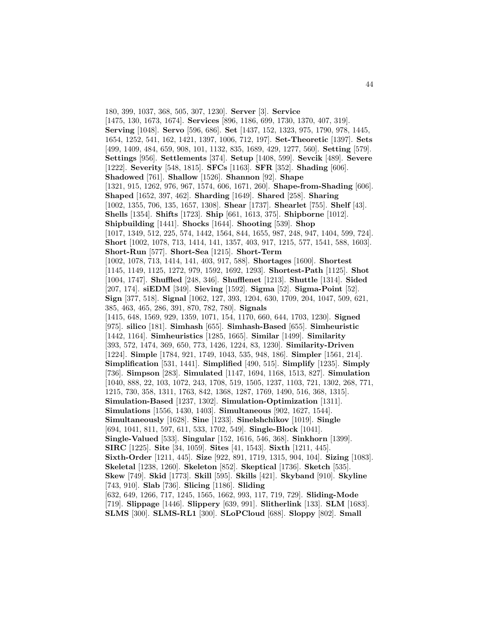180, 399, 1037, 368, 505, 307, 1230]. **Server** [3]. **Service** [1475, 130, 1673, 1674]. **Services** [896, 1186, 699, 1730, 1370, 407, 319]. **Serving** [1048]. **Servo** [596, 686]. **Set** [1437, 152, 1323, 975, 1790, 978, 1445, 1654, 1252, 541, 162, 1421, 1397, 1006, 712, 197]. **Set-Theoretic** [1397]. **Sets** [499, 1409, 484, 659, 908, 101, 1132, 835, 1689, 429, 1277, 560]. **Setting** [579]. **Settings** [956]. **Settlements** [374]. **Setup** [1408, 599]. **Sevcik** [489]. **Severe** [1222]. **Severity** [548, 1815]. **SFCs** [1163]. **SFR** [352]. **Shading** [606]. **Shadowed** [761]. **Shallow** [1526]. **Shannon** [92]. **Shape** [1321, 915, 1262, 976, 967, 1574, 606, 1671, 260]. **Shape-from-Shading** [606]. **Shaped** [1652, 397, 462]. **Sharding** [1649]. **Shared** [258]. **Sharing** [1002, 1355, 706, 135, 1657, 1308]. **Shear** [1737]. **Shearlet** [755]. **Shelf** [43]. **Shells** [1354]. **Shifts** [1723]. **Ship** [661, 1613, 375]. **Shipborne** [1012]. **Shipbuilding** [1441]. **Shocks** [1644]. **Shooting** [539]. **Shop** [1017, 1349, 512, 225, 574, 1442, 1564, 844, 1655, 987, 248, 947, 1404, 599, 724]. **Short** [1002, 1078, 713, 1414, 141, 1357, 403, 917, 1215, 577, 1541, 588, 1603]. **Short-Run** [577]. **Short-Sea** [1215]. **Short-Term** [1002, 1078, 713, 1414, 141, 403, 917, 588]. **Shortages** [1600]. **Shortest** [1145, 1149, 1125, 1272, 979, 1592, 1692, 1293]. **Shortest-Path** [1125]. **Shot** [1004, 1747]. **Shuffled** [248, 346]. **Shufflenet** [1213]. **Shuttle** [1314]. **Sided** [207, 174]. **siEDM** [349]. **Sieving** [1592]. **Sigma** [52]. **Sigma-Point** [52]. **Sign** [377, 518]. **Signal** [1062, 127, 393, 1204, 630, 1709, 204, 1047, 509, 621, 385, 463, 465, 286, 391, 870, 782, 780]. **Signals** [1415, 648, 1569, 929, 1359, 1071, 154, 1170, 660, 644, 1703, 1230]. **Signed** [975]. **silico** [181]. **Simhash** [655]. **Simhash-Based** [655]. **Simheuristic** [1442, 1164]. **Simheuristics** [1285, 1665]. **Similar** [1499]. **Similarity** [393, 572, 1474, 369, 650, 773, 1426, 1224, 83, 1230]. **Similarity-Driven** [1224]. **Simple** [1784, 921, 1749, 1043, 535, 948, 186]. **Simpler** [1561, 214]. **Simplification** [531, 1441]. **Simplified** [490, 515]. **Simplify** [1235]. **Simply** [736]. **Simpson** [283]. **Simulated** [1147, 1694, 1168, 1513, 827]. **Simulation** [1040, 888, 22, 103, 1072, 243, 1708, 519, 1505, 1237, 1103, 721, 1302, 268, 771, 1215, 730, 358, 1311, 1763, 842, 1368, 1287, 1769, 1490, 516, 368, 1315]. **Simulation-Based** [1237, 1302]. **Simulation-Optimization** [1311]. **Simulations** [1556, 1430, 1403]. **Simultaneous** [902, 1627, 1544]. **Simultaneously** [1628]. **Sine** [1233]. **Sinelshchikov** [1019]. **Single** [694, 1041, 811, 597, 611, 533, 1702, 549]. **Single-Block** [1041]. **Single-Valued** [533]. **Singular** [152, 1616, 546, 368]. **Sinkhorn** [1399]. **SIRC** [1225]. **Site** [34, 1059]. **Sites** [41, 1543]. **Sixth** [1211, 445]. **Sixth-Order** [1211, 445]. **Size** [922, 891, 1719, 1315, 904, 104]. **Sizing** [1083]. **Skeletal** [1238, 1260]. **Skeleton** [852]. **Skeptical** [1736]. **Sketch** [535]. **Skew** [749]. **Skid** [1773]. **Skill** [595]. **Skills** [421]. **Skyband** [910]. **Skyline** [743, 910]. **Slab** [736]. **Slicing** [1186]. **Sliding** [632, 649, 1266, 717, 1245, 1565, 1662, 993, 117, 719, 729]. **Sliding-Mode** [719]. **Slippage** [1446]. **Slippery** [639, 991]. **Slitherlink** [133]. **SLM** [1683]. **SLMS** [300]. **SLMS-RL1** [300]. **SLoPCloud** [688]. **Sloppy** [802]. **Small**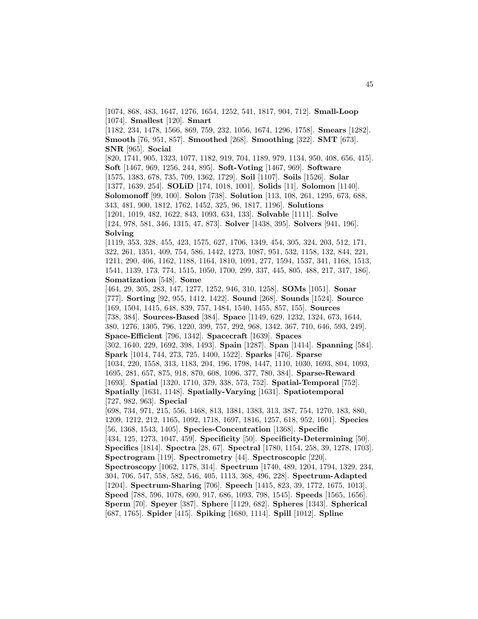[1074, 868, 483, 1647, 1276, 1654, 1252, 541, 1817, 904, 712]. **Small-Loop** [1074]. **Smallest** [120]. **Smart**

[1182, 234, 1478, 1566, 869, 759, 232, 1056, 1674, 1296, 1758]. **Smears** [1282]. **Smooth** [76, 951, 857]. **Smoothed** [268]. **Smoothing** [322]. **SMT** [673]. **SNR** [965]. **Social**

[820, 1741, 905, 1323, 1077, 1182, 919, 704, 1189, 979, 1134, 950, 408, 656, 415]. **Soft** [1467, 969, 1256, 244, 895]. **Soft-Voting** [1467, 969]. **Software** [1575, 1383, 678, 735, 709, 1362, 1729]. **Soil** [1107]. **Soils** [1526]. **Solar** [1377, 1639, 254]. **SOLiD** [174, 1018, 1001]. **Solids** [11]. **Solomon** [1140]. **Solomonoff** [99, 100]. **Solon** [738]. **Solution** [113, 108, 261, 1295, 673, 688, 343, 481, 900, 1812, 1762, 1452, 325, 96, 1817, 1196]. **Solutions** [1201, 1019, 482, 1622, 843, 1093, 634, 133]. **Solvable** [1111]. **Solve** [124, 978, 581, 346, 1315, 47, 873]. **Solver** [1438, 395]. **Solvers** [941, 196].

#### **Solving**

[1119, 353, 328, 455, 423, 1575, 627, 1706, 1349, 454, 305, 324, 203, 512, 171, 322, 261, 1351, 409, 754, 586, 1442, 1273, 1087, 951, 532, 1158, 132, 844, 221, 1211, 290, 406, 1162, 1188, 1164, 1810, 1091, 277, 1594, 1537, 341, 1168, 1513, 1541, 1139, 173, 774, 1515, 1050, 1700, 299, 337, 445, 805, 488, 217, 317, 186]. **Somatization** [548]. **Some**

[464, 29, 305, 283, 147, 1277, 1252, 946, 310, 1258]. **SOMs** [1051]. **Sonar** [777]. **Sorting** [92, 955, 1412, 1422]. **Sound** [268]. **Sounds** [1524]. **Source** [169, 1504, 1415, 648, 839, 757, 1484, 1540, 1455, 857, 155]. **Sources** [738, 384]. **Sources-Based** [384]. **Space** [1149, 629, 1232, 1324, 673, 1644, 380, 1276, 1305, 796, 1220, 399, 757, 292, 968, 1342, 367, 710, 646, 593, 249]. **Space-Efficient** [796, 1342]. **Spacecraft** [1639]. **Spaces** [302, 1640, 229, 1692, 398, 1493]. **Spain** [1287]. **Span** [1414]. **Spanning** [584]. **Spark** [1014, 744, 273, 725, 1400, 1522]. **Sparks** [476]. **Sparse** [1034, 220, 1558, 313, 1183, 204, 196, 1798, 1447, 1110, 1030, 1693, 804, 1093, 1695, 281, 657, 875, 918, 870, 608, 1096, 377, 780, 384]. **Sparse-Reward** [1693]. **Spatial** [1320, 1710, 379, 338, 573, 752]. **Spatial-Temporal** [752]. **Spatially** [1631, 1148]. **Spatially-Varying** [1631]. **Spatiotemporal** [727, 982, 963]. **Special** [698, 734, 971, 215, 556, 1468, 813, 1381, 1383, 313, 387, 754, 1270, 183, 880, 1209, 1212, 212, 1165, 1092, 1718, 1697, 1816, 1257, 618, 952, 1601]. **Species** [56, 1368, 1543, 1405]. **Species-Concentration** [1368]. **Specific** [434, 125, 1273, 1047, 459]. **Specificity** [50]. **Specificity-Determining** [50]. **Specifics** [1814]. **Spectra** [28, 67]. **Spectral** [1780, 1154, 258, 39, 1278, 1703]. **Spectrogram** [119]. **Spectrometry** [44]. **Spectroscopic** [220]. **Spectroscopy** [1062, 1178, 314]. **Spectrum** [1740, 489, 1204, 1794, 1329, 234, 304, 706, 547, 558, 582, 546, 405, 1113, 368, 496, 228]. **Spectrum-Adapted** [1204]. **Spectrum-Sharing** [706]. **Speech** [1415, 823, 39, 1772, 1675, 1013]. **Speed** [788, 596, 1078, 690, 917, 686, 1093, 798, 1545]. **Speeds** [1565, 1656]. **Sperm** [70]. **Speyer** [387]. **Sphere** [1129, 682]. **Spheres** [1343]. **Spherical**

[687, 1765]. **Spider** [415]. **Spiking** [1680, 1114]. **Spill** [1012]. **Spline**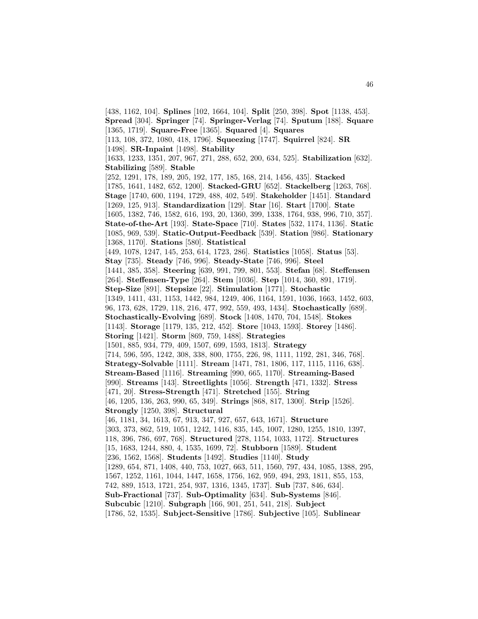[438, 1162, 104]. **Splines** [102, 1664, 104]. **Split** [250, 398]. **Spot** [1138, 453]. **Spread** [304]. **Springer** [74]. **Springer-Verlag** [74]. **Sputum** [188]. **Square** [1365, 1719]. **Square-Free** [1365]. **Squared** [4]. **Squares** [113, 108, 372, 1080, 418, 1796]. **Squeezing** [1747]. **Squirrel** [824]. **SR** [1498]. **SR-Inpaint** [1498]. **Stability** [1633, 1233, 1351, 207, 967, 271, 288, 652, 200, 634, 525]. **Stabilization** [632]. **Stabilizing** [589]. **Stable** [252, 1291, 178, 189, 205, 192, 177, 185, 168, 214, 1456, 435]. **Stacked** [1785, 1641, 1482, 652, 1200]. **Stacked-GRU** [652]. **Stackelberg** [1263, 768]. **Stage** [1740, 600, 1194, 1729, 488, 402, 549]. **Stakeholder** [1451]. **Standard** [1269, 125, 913]. **Standardization** [129]. **Star** [16]. **Start** [1700]. **State** [1605, 1382, 746, 1582, 616, 193, 20, 1360, 399, 1338, 1764, 938, 996, 710, 357]. **State-of-the-Art** [193]. **State-Space** [710]. **States** [532, 1174, 1136]. **Static** [1085, 969, 539]. **Static-Output-Feedback** [539]. **Station** [986]. **Stationary** [1368, 1170]. **Stations** [580]. **Statistical** [449, 1078, 1247, 145, 253, 614, 1723, 286]. **Statistics** [1058]. **Status** [53]. **Stay** [735]. **Steady** [746, 996]. **Steady-State** [746, 996]. **Steel** [1441, 385, 358]. **Steering** [639, 991, 799, 801, 553]. **Stefan** [68]. **Steffensen** [264]. **Steffensen-Type** [264]. **Stem** [1036]. **Step** [1014, 360, 891, 1719]. **Step-Size** [891]. **Stepsize** [22]. **Stimulation** [1771]. **Stochastic** [1349, 1411, 431, 1153, 1442, 984, 1249, 406, 1164, 1591, 1036, 1663, 1452, 603, 96, 173, 628, 1729, 118, 216, 477, 992, 559, 493, 1434]. **Stochastically** [689]. **Stochastically-Evolving** [689]. **Stock** [1408, 1470, 704, 1548]. **Stokes** [1143]. **Storage** [1179, 135, 212, 452]. **Store** [1043, 1593]. **Storey** [1486]. **Storing** [1421]. **Storm** [869, 759, 1488]. **Strategies** [1501, 885, 934, 779, 409, 1507, 699, 1593, 1813]. **Strategy** [714, 596, 595, 1242, 308, 338, 800, 1755, 226, 98, 1111, 1192, 281, 346, 768]. **Strategy-Solvable** [1111]. **Stream** [1471, 781, 1806, 117, 1115, 1116, 638]. **Stream-Based** [1116]. **Streaming** [990, 665, 1170]. **Streaming-Based** [990]. **Streams** [143]. **Streetlights** [1056]. **Strength** [471, 1332]. **Stress** [471, 20]. **Stress-Strength** [471]. **Stretched** [155]. **String** [46, 1205, 136, 263, 990, 65, 349]. **Strings** [868, 817, 1300]. **Strip** [1526]. **Strongly** [1250, 398]. **Structural** [46, 1181, 34, 1613, 67, 913, 347, 927, 657, 643, 1671]. **Structure** [303, 373, 862, 519, 1051, 1242, 1416, 835, 145, 1007, 1280, 1255, 1810, 1397, 118, 396, 786, 697, 768]. **Structured** [278, 1154, 1033, 1172]. **Structures** [15, 1683, 1244, 880, 4, 1535, 1699, 72]. **Stubborn** [1589]. **Student** [236, 1562, 1568]. **Students** [1492]. **Studies** [1140]. **Study** [1289, 654, 871, 1408, 440, 753, 1027, 663, 511, 1560, 797, 434, 1085, 1388, 295, 1567, 1252, 1161, 1044, 1447, 1658, 1756, 162, 959, 494, 293, 1811, 855, 153, 742, 889, 1513, 1721, 254, 937, 1316, 1345, 1737]. **Sub** [737, 846, 634]. **Sub-Fractional** [737]. **Sub-Optimality** [634]. **Sub-Systems** [846]. **Subcubic** [1210]. **Subgraph** [166, 901, 251, 541, 218]. **Subject** [1786, 52, 1535]. **Subject-Sensitive** [1786]. **Subjective** [105]. **Sublinear**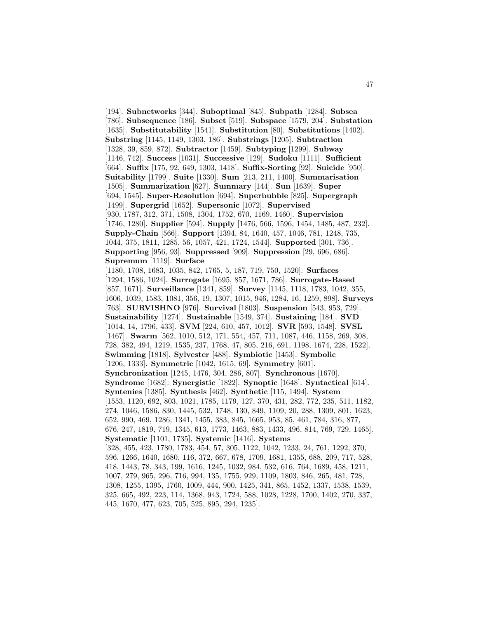[194]. **Subnetworks** [344]. **Suboptimal** [845]. **Subpath** [1284]. **Subsea** [786]. **Subsequence** [186]. **Subset** [519]. **Subspace** [1579, 204]. **Substation** [1635]. **Substitutability** [1541]. **Substitution** [80]. **Substitutions** [1402]. **Substring** [1145, 1149, 1303, 186]. **Substrings** [1205]. **Subtraction** [1328, 39, 859, 872]. **Subtractor** [1459]. **Subtyping** [1299]. **Subway** [1146, 742]. **Success** [1031]. **Successive** [129]. **Sudoku** [1111]. **Sufficient** [664]. **Suffix** [175, 92, 649, 1303, 1418]. **Suffix-Sorting** [92]. **Suicide** [950]. **Suitability** [1799]. **Suite** [1330]. **Sum** [213, 211, 1400]. **Summarisation** [1505]. **Summarization** [627]. **Summary** [144]. **Sun** [1639]. **Super** [694, 1545]. **Super-Resolution** [694]. **Superbubble** [825]. **Supergraph** [1499]. **Supergrid** [1652]. **Supersonic** [1072]. **Supervised** [930, 1787, 312, 371, 1508, 1304, 1752, 670, 1169, 1460]. **Supervision** [1746, 1280]. **Supplier** [594]. **Supply** [1476, 566, 1596, 1454, 1485, 487, 232]. **Supply-Chain** [566]. **Support** [1394, 84, 1640, 457, 1046, 781, 1248, 735, 1044, 375, 1811, 1285, 56, 1057, 421, 1724, 1544]. **Supported** [301, 736]. **Supporting** [956, 93]. **Suppressed** [909]. **Suppression** [29, 696, 686]. **Supremum** [1119]. **Surface** [1180, 1708, 1683, 1035, 842, 1765, 5, 187, 719, 750, 1520]. **Surfaces** [1294, 1586, 1024]. **Surrogate** [1695, 857, 1671, 786]. **Surrogate-Based** [857, 1671]. **Surveillance** [1341, 859]. **Survey** [1145, 1118, 1783, 1042, 355, 1606, 1039, 1583, 1081, 356, 19, 1307, 1015, 946, 1284, 16, 1259, 898]. **Surveys** [763]. **SURVISHNO** [976]. **Survival** [1803]. **Suspension** [543, 953, 729]. **Sustainability** [1274]. **Sustainable** [1549, 374]. **Sustaining** [184]. **SVD** [1014, 14, 1796, 433]. **SVM** [224, 610, 457, 1012]. **SVR** [593, 1548]. **SVSL** [1467]. **Swarm** [562, 1010, 512, 171, 554, 457, 711, 1087, 446, 1158, 269, 308, 728, 382, 494, 1219, 1535, 237, 1768, 47, 805, 216, 691, 1198, 1674, 228, 1522]. **Swimming** [1818]. **Sylvester** [488]. **Symbiotic** [1453]. **Symbolic** [1206, 1333]. **Symmetric** [1042, 1615, 69]. **Symmetry** [601]. **Synchronization** [1245, 1476, 304, 286, 807]. **Synchronous** [1670]. **Syndrome** [1682]. **Synergistic** [1822]. **Synoptic** [1648]. **Syntactical** [614]. **Syntenies** [1385]. **Synthesis** [462]. **Synthetic** [115, 1494]. **System** [1553, 1120, 692, 803, 1021, 1785, 1179, 127, 370, 431, 282, 772, 235, 511, 1182, 274, 1046, 1586, 830, 1445, 532, 1748, 130, 849, 1109, 20, 288, 1309, 801, 1623, 652, 990, 469, 1286, 1341, 1455, 383, 845, 1665, 953, 85, 461, 784, 316, 877, 676, 247, 1819, 719, 1345, 613, 1773, 1463, 883, 1433, 496, 814, 769, 729, 1465]. **Systematic** [1101, 1735]. **Systemic** [1416]. **Systems** [328, 455, 423, 1780, 1783, 454, 57, 305, 1122, 1042, 1233, 24, 761, 1292, 370, 596, 1266, 1640, 1680, 116, 372, 667, 678, 1709, 1681, 1355, 688, 209, 717, 528, 418, 1443, 78, 343, 199, 1616, 1245, 1032, 984, 532, 616, 764, 1689, 458, 1211, 1007, 279, 965, 296, 716, 994, 135, 1755, 929, 1109, 1803, 846, 265, 481, 728, 1308, 1255, 1395, 1760, 1009, 444, 900, 1425, 341, 865, 1452, 1337, 1538, 1539, 325, 665, 492, 223, 114, 1368, 943, 1724, 588, 1028, 1228, 1700, 1402, 270, 337, 445, 1670, 477, 623, 705, 525, 895, 294, 1235].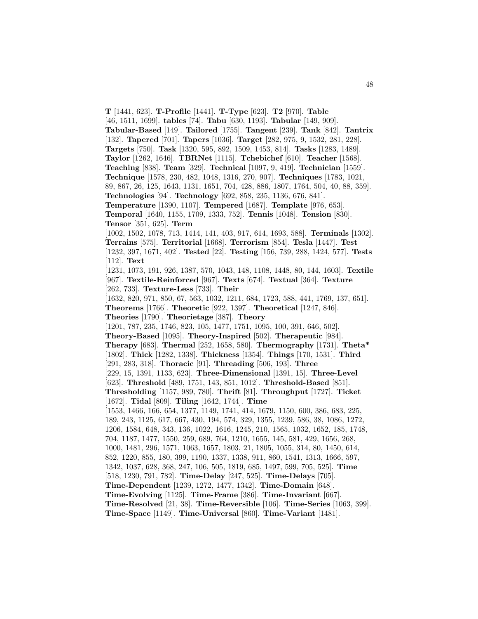**T** [1441, 623]. **T-Profile** [1441]. **T-Type** [623]. **T2** [970]. **Table** [46, 1511, 1699]. **tables** [74]. **Tabu** [630, 1193]. **Tabular** [149, 909]. **Tabular-Based** [149]. **Tailored** [1755]. **Tangent** [239]. **Tank** [842]. **Tantrix** [132]. **Tapered** [701]. **Tapers** [1036]. **Target** [282, 975, 9, 1532, 281, 228]. **Targets** [750]. **Task** [1320, 595, 892, 1509, 1453, 814]. **Tasks** [1283, 1489]. **Taylor** [1262, 1646]. **TBRNet** [1115]. **Tchebichef** [610]. **Teacher** [1568]. **Teaching** [838]. **Team** [329]. **Technical** [1097, 9, 419]. **Technician** [1559]. **Technique** [1578, 230, 482, 1048, 1316, 270, 907]. **Techniques** [1783, 1021, 89, 867, 26, 125, 1643, 1131, 1651, 704, 428, 886, 1807, 1764, 504, 40, 88, 359]. **Technologies** [94]. **Technology** [692, 858, 235, 1136, 676, 841]. **Temperature** [1390, 1107]. **Tempered** [1687]. **Template** [976, 653]. **Temporal** [1640, 1155, 1709, 1333, 752]. **Tennis** [1048]. **Tension** [830]. **Tensor** [351, 625]. **Term** [1002, 1502, 1078, 713, 1414, 141, 403, 917, 614, 1693, 588]. **Terminals** [1302]. **Terrains** [575]. **Territorial** [1668]. **Terrorism** [854]. **Tesla** [1447]. **Test** [1232, 397, 1671, 402]. **Tested** [22]. **Testing** [156, 739, 288, 1424, 577]. **Tests** [112]. **Text** [1231, 1073, 191, 926, 1387, 570, 1043, 148, 1108, 1448, 80, 144, 1603]. **Textile** [967]. **Textile-Reinforced** [967]. **Texts** [674]. **Textual** [364]. **Texture** [262, 733]. **Texture-Less** [733]. **Their** [1632, 820, 971, 850, 67, 563, 1032, 1211, 684, 1723, 588, 441, 1769, 137, 651]. **Theorems** [1766]. **Theoretic** [922, 1397]. **Theoretical** [1247, 846]. **Theories** [1790]. **Theorietage** [387]. **Theory** [1201, 787, 235, 1746, 823, 105, 1477, 1751, 1095, 100, 391, 646, 502]. **Theory-Based** [1095]. **Theory-Inspired** [502]. **Therapeutic** [984]. **Therapy** [683]. **Thermal** [252, 1658, 580]. **Thermography** [1731]. **Theta\*** [1802]. **Thick** [1282, 1338]. **Thickness** [1354]. **Things** [170, 1531]. **Third** [291, 283, 318]. **Thoracic** [91]. **Threading** [506, 193]. **Three** [229, 15, 1391, 1133, 623]. **Three-Dimensional** [1391, 15]. **Three-Level** [623]. **Threshold** [489, 1751, 143, 851, 1012]. **Threshold-Based** [851]. **Thresholding** [1157, 989, 780]. **Thrift** [81]. **Throughput** [1727]. **Ticket** [1672]. **Tidal** [809]. **Tiling** [1642, 1744]. **Time** [1553, 1466, 166, 654, 1377, 1149, 1741, 414, 1679, 1150, 600, 386, 683, 225, 189, 243, 1125, 617, 667, 430, 194, 574, 329, 1355, 1239, 586, 38, 1086, 1272, 1206, 1584, 648, 343, 136, 1022, 1616, 1245, 210, 1565, 1032, 1652, 185, 1748, 704, 1187, 1477, 1550, 259, 689, 764, 1210, 1655, 145, 581, 429, 1656, 268, 1000, 1481, 296, 1571, 1063, 1657, 1803, 21, 1805, 1055, 314, 80, 1450, 614, 852, 1220, 855, 180, 399, 1190, 1337, 1338, 911, 860, 1541, 1313, 1666, 597, 1342, 1037, 628, 368, 247, 106, 505, 1819, 685, 1497, 599, 705, 525]. **Time** [518, 1230, 791, 782]. **Time-Delay** [247, 525]. **Time-Delays** [705]. **Time-Dependent** [1239, 1272, 1477, 1342]. **Time-Domain** [648]. **Time-Evolving** [1125]. **Time-Frame** [386]. **Time-Invariant** [667]. **Time-Resolved** [21, 38]. **Time-Reversible** [106]. **Time-Series** [1063, 399]. **Time-Space** [1149]. **Time-Universal** [860]. **Time-Variant** [1481].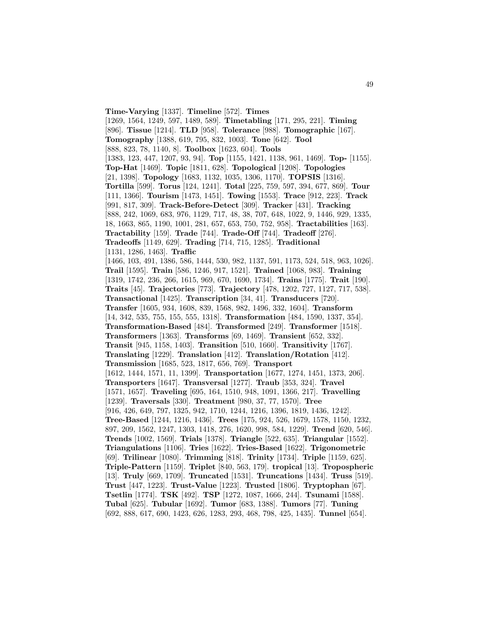**Time-Varying** [1337]. **Timeline** [572]. **Times** [1269, 1564, 1249, 597, 1489, 589]. **Timetabling** [171, 295, 221]. **Timing** [896]. **Tissue** [1214]. **TLD** [958]. **Tolerance** [988]. **Tomographic** [167]. **Tomography** [1388, 619, 795, 832, 1003]. **Tone** [642]. **Tool** [888, 823, 78, 1140, 8]. **Toolbox** [1623, 604]. **Tools** [1383, 123, 447, 1207, 93, 94]. **Top** [1155, 1421, 1138, 961, 1469]. **Top-** [1155]. **Top-Hat** [1469]. **Topic** [1811, 628]. **Topological** [1208]. **Topologies** [21, 1398]. **Topology** [1683, 1132, 1035, 1306, 1170]. **TOPSIS** [1316]. **Tortilla** [599]. **Torus** [124, 1241]. **Total** [225, 759, 597, 394, 677, 869]. **Tour** [111, 1366]. **Tourism** [1473, 1451]. **Towing** [1553]. **Trace** [912, 223]. **Track** [991, 817, 309]. **Track-Before-Detect** [309]. **Tracker** [431]. **Tracking** [888, 242, 1069, 683, 976, 1129, 717, 48, 38, 707, 648, 1022, 9, 1446, 929, 1335, 18, 1663, 865, 1190, 1001, 281, 657, 653, 750, 752, 958]. **Tractabilities** [163]. **Tractability** [159]. **Trade** [744]. **Trade-Off** [744]. **Tradeoff** [276]. **Tradeoffs** [1149, 629]. **Trading** [714, 715, 1285]. **Traditional** [1131, 1286, 1463]. **Traffic** [1466, 103, 491, 1386, 586, 1444, 530, 982, 1137, 591, 1173, 524, 518, 963, 1026]. **Trail** [1595]. **Train** [586, 1246, 917, 1521]. **Trained** [1068, 983]. **Training** [1319, 1742, 236, 266, 1615, 969, 670, 1690, 1734]. **Trains** [1775]. **Trait** [190]. **Traits** [45]. **Trajectories** [773]. **Trajectory** [478, 1202, 727, 1127, 717, 538]. **Transactional** [1425]. **Transcription** [34, 41]. **Transducers** [720]. **Transfer** [1605, 934, 1608, 839, 1568, 982, 1496, 332, 1604]. **Transform** [14, 342, 535, 755, 155, 555, 1318]. **Transformation** [484, 1590, 1337, 354]. **Transformation-Based** [484]. **Transformed** [249]. **Transformer** [1518]. **Transformers** [1363]. **Transforms** [69, 1469]. **Transient** [652, 332]. **Transit** [945, 1158, 1403]. **Transition** [510, 1660]. **Transitivity** [1767]. **Translating** [1229]. **Translation** [412]. **Translation/Rotation** [412]. **Transmission** [1685, 523, 1817, 656, 769]. **Transport** [1612, 1444, 1571, 11, 1399]. **Transportation** [1677, 1274, 1451, 1373, 206]. **Transporters** [1647]. **Transversal** [1277]. **Traub** [353, 324]. **Travel** [1571, 1657]. **Traveling** [695, 164, 1510, 948, 1091, 1366, 217]. **Travelling** [1239]. **Traversals** [330]. **Treatment** [980, 37, 77, 1570]. **Tree** [916, 426, 649, 797, 1325, 942, 1710, 1244, 1216, 1396, 1819, 1436, 1242]. **Tree-Based** [1244, 1216, 1436]. **Trees** [175, 924, 526, 1679, 1578, 1150, 1232, 897, 209, 1562, 1247, 1303, 1418, 276, 1620, 998, 584, 1229]. **Trend** [620, 546]. **Trends** [1002, 1569]. **Trials** [1378]. **Triangle** [522, 635]. **Triangular** [1552]. **Triangulations** [1106]. **Tries** [1622]. **Tries-Based** [1622]. **Trigonometric** [69]. **Trilinear** [1080]. **Trimming** [818]. **Trinity** [1734]. **Triple** [1159, 625]. **Triple-Pattern** [1159]. **Triplet** [840, 563, 179]. **tropical** [13]. **Tropospheric** [13]. **Truly** [669, 1709]. **Truncated** [1531]. **Truncations** [1434]. **Truss** [519]. **Trust** [447, 1223]. **Trust-Value** [1223]. **Trusted** [1806]. **Tryptophan** [67]. **Tsetlin** [1774]. **TSK** [492]. **TSP** [1272, 1087, 1666, 244]. **Tsunami** [1588]. **Tubal** [625]. **Tubular** [1692]. **Tumor** [683, 1388]. **Tumors** [77]. **Tuning** [692, 888, 617, 690, 1423, 626, 1283, 293, 468, 798, 425, 1435]. **Tunnel** [654].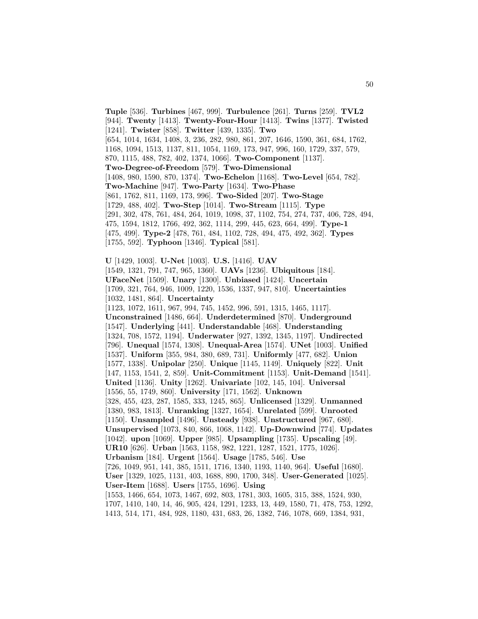**Tuple** [536]. **Turbines** [467, 999]. **Turbulence** [261]. **Turns** [259]. **TVL2** [944]. **Twenty** [1413]. **Twenty-Four-Hour** [1413]. **Twins** [1377]. **Twisted** [1241]. **Twister** [858]. **Twitter** [439, 1335]. **Two** [654, 1014, 1634, 1408, 3, 236, 282, 980, 861, 207, 1646, 1590, 361, 684, 1762, 1168, 1094, 1513, 1137, 811, 1054, 1169, 173, 947, 996, 160, 1729, 337, 579, 870, 1115, 488, 782, 402, 1374, 1066]. **Two-Component** [1137]. **Two-Degree-of-Freedom** [579]. **Two-Dimensional** [1408, 980, 1590, 870, 1374]. **Two-Echelon** [1168]. **Two-Level** [654, 782]. **Two-Machine** [947]. **Two-Party** [1634]. **Two-Phase** [861, 1762, 811, 1169, 173, 996]. **Two-Sided** [207]. **Two-Stage** [1729, 488, 402]. **Two-Step** [1014]. **Two-Stream** [1115]. **Type** [291, 302, 478, 761, 484, 264, 1019, 1098, 37, 1102, 754, 274, 737, 406, 728, 494, 475, 1594, 1812, 1766, 492, 362, 1114, 299, 445, 623, 664, 499]. **Type-1** [475, 499]. **Type-2** [478, 761, 484, 1102, 728, 494, 475, 492, 362]. **Types** [1755, 592]. **Typhoon** [1346]. **Typical** [581].

**U** [1429, 1003]. **U-Net** [1003]. **U.S.** [1416]. **UAV** [1549, 1321, 791, 747, 965, 1360]. **UAVs** [1236]. **Ubiquitous** [184]. **UFaceNet** [1509]. **Unary** [1300]. **Unbiased** [1424]. **Uncertain** [1709, 321, 764, 946, 1009, 1220, 1536, 1337, 947, 810]. **Uncertainties** [1032, 1481, 864]. **Uncertainty** [1123, 1072, 1611, 967, 994, 745, 1452, 996, 591, 1315, 1465, 1117]. **Unconstrained** [1486, 664]. **Underdetermined** [870]. **Underground** [1547]. **Underlying** [441]. **Understandable** [468]. **Understanding** [1324, 708, 1572, 1194]. **Underwater** [927, 1392, 1345, 1197]. **Undirected** [796]. **Unequal** [1574, 1308]. **Unequal-Area** [1574]. **UNet** [1003]. **Unified** [1537]. **Uniform** [355, 984, 380, 689, 731]. **Uniformly** [477, 682]. **Union** [1577, 1338]. **Unipolar** [250]. **Unique** [1145, 1149]. **Uniquely** [822]. **Unit** [147, 1153, 1541, 2, 859]. **Unit-Commitment** [1153]. **Unit-Demand** [1541]. **United** [1136]. **Unity** [1262]. **Univariate** [102, 145, 104]. **Universal** [1556, 55, 1749, 860]. **University** [171, 1562]. **Unknown** [328, 455, 423, 287, 1585, 333, 1245, 865]. **Unlicensed** [1329]. **Unmanned** [1380, 983, 1813]. **Unranking** [1327, 1654]. **Unrelated** [599]. **Unrooted** [1150]. **Unsampled** [1496]. **Unsteady** [938]. **Unstructured** [967, 680]. **Unsupervised** [1073, 840, 866, 1068, 1142]. **Up-Downwind** [774]. **Updates** [1042]. **upon** [1069]. **Upper** [985]. **Upsampling** [1735]. **Upscaling** [49]. **UR10** [626]. **Urban** [1563, 1158, 982, 1221, 1287, 1521, 1775, 1026]. **Urbanism** [184]. **Urgent** [1564]. **Usage** [1785, 546]. **Use** [726, 1049, 951, 141, 385, 1511, 1716, 1340, 1193, 1140, 964]. **Useful** [1680]. **User** [1329, 1025, 1131, 403, 1688, 890, 1700, 348]. **User-Generated** [1025]. **User-Item** [1688]. **Users** [1755, 1696]. **Using** [1553, 1466, 654, 1073, 1467, 692, 803, 1781, 303, 1605, 315, 388, 1524, 930, 1707, 1410, 140, 14, 46, 905, 424, 1291, 1233, 13, 449, 1580, 71, 478, 753, 1292, 1413, 514, 171, 484, 928, 1180, 431, 683, 26, 1382, 746, 1078, 669, 1384, 931,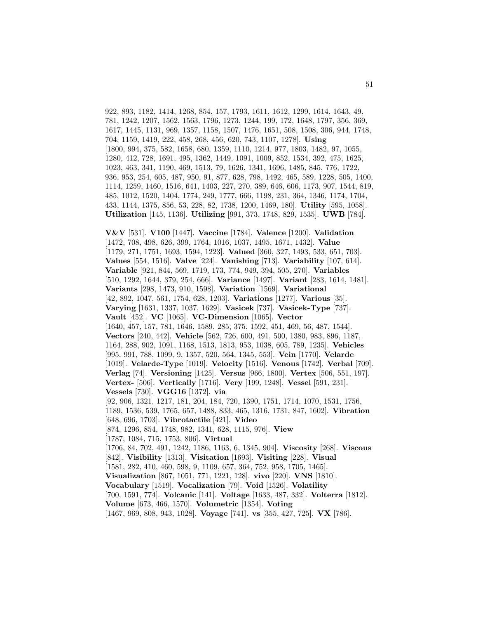922, 893, 1182, 1414, 1268, 854, 157, 1793, 1611, 1612, 1299, 1614, 1643, 49, 781, 1242, 1207, 1562, 1563, 1796, 1273, 1244, 199, 172, 1648, 1797, 356, 369, 1617, 1445, 1131, 969, 1357, 1158, 1507, 1476, 1651, 508, 1508, 306, 944, 1748, 704, 1159, 1419, 222, 458, 268, 456, 620, 743, 1107, 1278]. **Using** [1800, 994, 375, 582, 1658, 680, 1359, 1110, 1214, 977, 1803, 1482, 97, 1055, 1280, 412, 728, 1691, 495, 1362, 1449, 1091, 1009, 852, 1534, 392, 475, 1625, 1023, 463, 341, 1190, 469, 1513, 79, 1626, 1341, 1696, 1485, 845, 776, 1722, 936, 953, 254, 605, 487, 950, 91, 877, 628, 798, 1492, 465, 589, 1228, 505, 1400, 1114, 1259, 1460, 1516, 641, 1403, 227, 270, 389, 646, 606, 1173, 907, 1544, 819, 485, 1012, 1520, 1404, 1774, 249, 1777, 666, 1198, 231, 364, 1346, 1174, 1704, 433, 1144, 1375, 856, 53, 228, 82, 1738, 1200, 1469, 180]. **Utility** [595, 1058]. **Utilization** [145, 1136]. **Utilizing** [991, 373, 1748, 829, 1535]. **UWB** [784].

**V&V** [531]. **V100** [1447]. **Vaccine** [1784]. **Valence** [1200]. **Validation** [1472, 708, 498, 626, 399, 1764, 1016, 1037, 1495, 1671, 1432]. **Value** [1179, 271, 1751, 1693, 1594, 1223]. **Valued** [360, 327, 1493, 533, 651, 703]. **Values** [554, 1516]. **Valve** [224]. **Vanishing** [713]. **Variability** [107, 614]. **Variable** [921, 844, 569, 1719, 173, 774, 949, 394, 505, 270]. **Variables** [510, 1292, 1644, 379, 254, 666]. **Variance** [1497]. **Variant** [283, 1614, 1481]. **Variants** [298, 1473, 910, 1598]. **Variation** [1569]. **Variational** [42, 892, 1047, 561, 1754, 628, 1203]. **Variations** [1277]. **Various** [35]. **Varying** [1631, 1337, 1037, 1629]. **Vasicek** [737]. **Vasicek-Type** [737]. **Vault** [452]. **VC** [1065]. **VC-Dimension** [1065]. **Vector** [1640, 457, 157, 781, 1646, 1589, 285, 375, 1592, 451, 469, 56, 487, 1544]. **Vectors** [240, 442]. **Vehicle** [562, 726, 600, 491, 500, 1380, 983, 896, 1187, 1164, 288, 902, 1091, 1168, 1513, 1813, 953, 1038, 605, 789, 1235]. **Vehicles** [995, 991, 788, 1099, 9, 1357, 520, 564, 1345, 553]. **Vein** [1770]. **Velarde** [1019]. **Velarde-Type** [1019]. **Velocity** [1516]. **Venous** [1742]. **Verbal** [709]. **Verlag** [74]. **Versioning** [1425]. **Versus** [966, 1800]. **Vertex** [506, 551, 197]. **Vertex-** [506]. **Vertically** [1716]. **Very** [199, 1248]. **Vessel** [591, 231]. **Vessels** [730]. **VGG16** [1372]. **via** [92, 906, 1321, 1217, 181, 204, 184, 720, 1390, 1751, 1714, 1070, 1531, 1756, 1189, 1536, 539, 1765, 657, 1488, 833, 465, 1316, 1731, 847, 1602]. **Vibration** [648, 696, 1703]. **Vibrotactile** [421]. **Video** [874, 1296, 854, 1748, 982, 1341, 628, 1115, 976]. **View** [1787, 1084, 715, 1753, 806]. **Virtual** [1706, 84, 702, 491, 1242, 1186, 1163, 6, 1345, 904]. **Viscosity** [268]. **Viscous** [842]. **Visibility** [1313]. **Visitation** [1693]. **Visiting** [228]. **Visual** [1581, 282, 410, 460, 598, 9, 1109, 657, 364, 752, 958, 1705, 1465]. **Visualization** [867, 1051, 771, 1221, 128]. **vivo** [220]. **VNS** [1810]. **Vocabulary** [1519]. **Vocalization** [79]. **Void** [1526]. **Volatility** [700, 1591, 774]. **Volcanic** [141]. **Voltage** [1633, 487, 332]. **Volterra** [1812]. **Volume** [673, 466, 1570]. **Volumetric** [1354]. **Voting**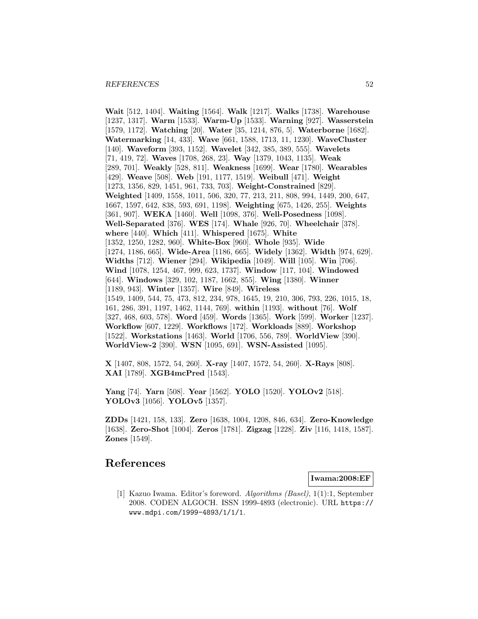**Wait** [512, 1404]. **Waiting** [1564]. **Walk** [1217]. **Walks** [1738]. **Warehouse** [1237, 1317]. **Warm** [1533]. **Warm-Up** [1533]. **Warning** [927]. **Wasserstein** [1579, 1172]. **Watching** [20]. **Water** [35, 1214, 876, 5]. **Waterborne** [1682]. **Watermarking** [14, 433]. **Wave** [661, 1588, 1713, 11, 1230]. **WaveCluster** [140]. **Waveform** [393, 1152]. **Wavelet** [342, 385, 389, 555]. **Wavelets** [71, 419, 72]. **Waves** [1708, 268, 23]. **Way** [1379, 1043, 1135]. **Weak** [289, 701]. **Weakly** [528, 811]. **Weakness** [1699]. **Wear** [1780]. **Wearables** [429]. **Weave** [508]. **Web** [191, 1177, 1519]. **Weibull** [471]. **Weight** [1273, 1356, 829, 1451, 961, 733, 703]. **Weight-Constrained** [829]. **Weighted** [1409, 1558, 1011, 506, 320, 77, 213, 211, 808, 994, 1449, 200, 647, 1667, 1597, 642, 838, 593, 691, 1198]. **Weighting** [675, 1426, 255]. **Weights** [361, 907]. **WEKA** [1460]. **Well** [1098, 376]. **Well-Posedness** [1098]. **Well-Separated** [376]. **WES** [174]. **Whale** [926, 70]. **Wheelchair** [378]. **where** [440]. **Which** [411]. **Whispered** [1675]. **White** [1352, 1250, 1282, 960]. **White-Box** [960]. **Whole** [935]. **Wide** [1274, 1186, 665]. **Wide-Area** [1186, 665]. **Widely** [1362]. **Width** [974, 629]. **Widths** [712]. **Wiener** [294]. **Wikipedia** [1049]. **Will** [105]. **Win** [706]. **Wind** [1078, 1254, 467, 999, 623, 1737]. **Window** [117, 104]. **Windowed** [644]. **Windows** [329, 102, 1187, 1662, 855]. **Wing** [1380]. **Winner** [1189, 943]. **Winter** [1357]. **Wire** [849]. **Wireless** [1549, 1409, 544, 75, 473, 812, 234, 978, 1645, 19, 210, 306, 793, 226, 1015, 18, 161, 286, 391, 1197, 1462, 1144, 769]. **within** [1193]. **without** [76]. **Wolf** [327, 468, 603, 578]. **Word** [459]. **Words** [1365]. **Work** [599]. **Worker** [1237]. **Workflow** [607, 1229]. **Workflows** [172]. **Workloads** [889]. **Workshop** [1522]. **Workstations** [1463]. **World** [1706, 556, 789]. **WorldView** [390]. **WorldView-2** [390]. **WSN** [1095, 691]. **WSN-Assisted** [1095].

**X** [1407, 808, 1572, 54, 260]. **X-ray** [1407, 1572, 54, 260]. **X-Rays** [808]. **XAI** [1789]. **XGB4mcPred** [1543].

**Yang** [74]. **Yarn** [508]. **Year** [1562]. **YOLO** [1520]. **YOLOv2** [518]. **YOLOv3** [1056]. **YOLOv5** [1357].

**ZDDs** [1421, 158, 133]. **Zero** [1638, 1004, 1208, 846, 634]. **Zero-Knowledge** [1638]. **Zero-Shot** [1004]. **Zeros** [1781]. **Zigzag** [1228]. **Ziv** [116, 1418, 1587]. **Zones** [1549].

# **References**

**Iwama:2008:EF**

[1] Kazuo Iwama. Editor's foreword. Algorithms (Basel), 1(1):1, September 2008. CODEN ALGOCH. ISSN 1999-4893 (electronic). URL https:// www.mdpi.com/1999-4893/1/1/1.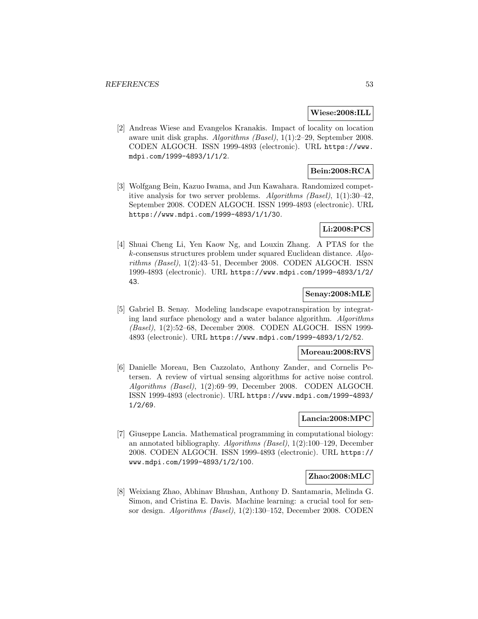#### **Wiese:2008:ILL**

[2] Andreas Wiese and Evangelos Kranakis. Impact of locality on location aware unit disk graphs. Algorithms (Basel), 1(1):2–29, September 2008. CODEN ALGOCH. ISSN 1999-4893 (electronic). URL https://www. mdpi.com/1999-4893/1/1/2.

## **Bein:2008:RCA**

[3] Wolfgang Bein, Kazuo Iwama, and Jun Kawahara. Randomized competitive analysis for two server problems. Algorithms (Basel),  $1(1):30-42$ , September 2008. CODEN ALGOCH. ISSN 1999-4893 (electronic). URL https://www.mdpi.com/1999-4893/1/1/30.

### **Li:2008:PCS**

[4] Shuai Cheng Li, Yen Kaow Ng, and Louxin Zhang. A PTAS for the k-consensus structures problem under squared Euclidean distance. Algorithms (Basel), 1(2):43–51, December 2008. CODEN ALGOCH. ISSN 1999-4893 (electronic). URL https://www.mdpi.com/1999-4893/1/2/ 43.

#### **Senay:2008:MLE**

[5] Gabriel B. Senay. Modeling landscape evapotranspiration by integrating land surface phenology and a water balance algorithm. Algorithms (Basel), 1(2):52–68, December 2008. CODEN ALGOCH. ISSN 1999- 4893 (electronic). URL https://www.mdpi.com/1999-4893/1/2/52.

### **Moreau:2008:RVS**

[6] Danielle Moreau, Ben Cazzolato, Anthony Zander, and Cornelis Petersen. A review of virtual sensing algorithms for active noise control. Algorithms (Basel), 1(2):69–99, December 2008. CODEN ALGOCH. ISSN 1999-4893 (electronic). URL https://www.mdpi.com/1999-4893/ 1/2/69.

### **Lancia:2008:MPC**

[7] Giuseppe Lancia. Mathematical programming in computational biology: an annotated bibliography. Algorithms (Basel), 1(2):100–129, December 2008. CODEN ALGOCH. ISSN 1999-4893 (electronic). URL https:// www.mdpi.com/1999-4893/1/2/100.

### **Zhao:2008:MLC**

[8] Weixiang Zhao, Abhinav Bhushan, Anthony D. Santamaria, Melinda G. Simon, and Cristina E. Davis. Machine learning: a crucial tool for sensor design. Algorithms (Basel), 1(2):130–152, December 2008. CODEN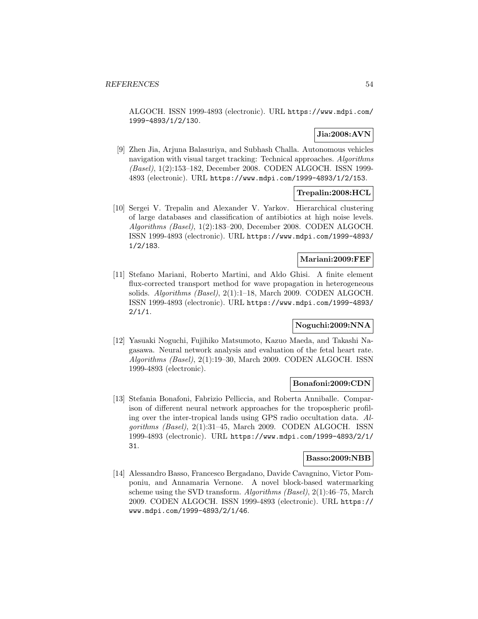ALGOCH. ISSN 1999-4893 (electronic). URL https://www.mdpi.com/ 1999-4893/1/2/130.

# **Jia:2008:AVN**

[9] Zhen Jia, Arjuna Balasuriya, and Subhash Challa. Autonomous vehicles navigation with visual target tracking: Technical approaches. Algorithms (Basel), 1(2):153–182, December 2008. CODEN ALGOCH. ISSN 1999- 4893 (electronic). URL https://www.mdpi.com/1999-4893/1/2/153.

# **Trepalin:2008:HCL**

[10] Sergei V. Trepalin and Alexander V. Yarkov. Hierarchical clustering of large databases and classification of antibiotics at high noise levels. Algorithms (Basel), 1(2):183–200, December 2008. CODEN ALGOCH. ISSN 1999-4893 (electronic). URL https://www.mdpi.com/1999-4893/ 1/2/183.

### **Mariani:2009:FEF**

[11] Stefano Mariani, Roberto Martini, and Aldo Ghisi. A finite element flux-corrected transport method for wave propagation in heterogeneous solids. Algorithms (Basel), 2(1):1-18, March 2009. CODEN ALGOCH. ISSN 1999-4893 (electronic). URL https://www.mdpi.com/1999-4893/  $2/1/1$ .

### **Noguchi:2009:NNA**

[12] Yasuaki Noguchi, Fujihiko Matsumoto, Kazuo Maeda, and Takashi Nagasawa. Neural network analysis and evaluation of the fetal heart rate. Algorithms (Basel), 2(1):19–30, March 2009. CODEN ALGOCH. ISSN 1999-4893 (electronic).

#### **Bonafoni:2009:CDN**

[13] Stefania Bonafoni, Fabrizio Pelliccia, and Roberta Anniballe. Comparison of different neural network approaches for the tropospheric profiling over the inter-tropical lands using GPS radio occultation data. Algorithms (Basel), 2(1):31–45, March 2009. CODEN ALGOCH. ISSN 1999-4893 (electronic). URL https://www.mdpi.com/1999-4893/2/1/ 31.

#### **Basso:2009:NBB**

[14] Alessandro Basso, Francesco Bergadano, Davide Cavagnino, Victor Pomponiu, and Annamaria Vernone. A novel block-based watermarking scheme using the SVD transform. Algorithms (Basel), 2(1):46–75, March 2009. CODEN ALGOCH. ISSN 1999-4893 (electronic). URL https:// www.mdpi.com/1999-4893/2/1/46.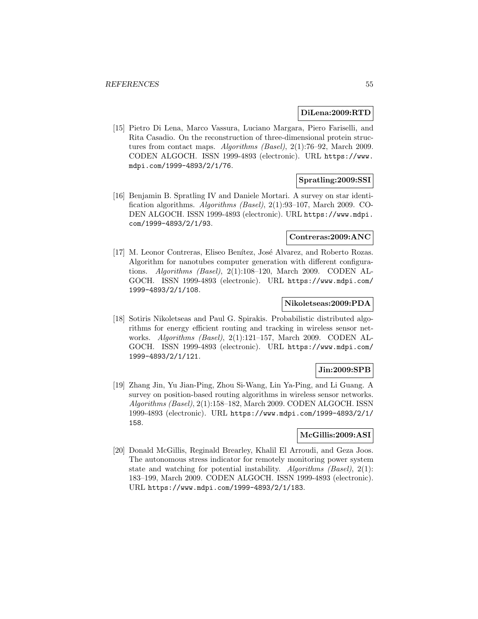#### **DiLena:2009:RTD**

[15] Pietro Di Lena, Marco Vassura, Luciano Margara, Piero Fariselli, and Rita Casadio. On the reconstruction of three-dimensional protein structures from contact maps. Algorithms (Basel), 2(1):76–92, March 2009. CODEN ALGOCH. ISSN 1999-4893 (electronic). URL https://www. mdpi.com/1999-4893/2/1/76.

### **Spratling:2009:SSI**

[16] Benjamin B. Spratling IV and Daniele Mortari. A survey on star identification algorithms. Algorithms (Basel), 2(1):93–107, March 2009. CO-DEN ALGOCH. ISSN 1999-4893 (electronic). URL https://www.mdpi. com/1999-4893/2/1/93.

### **Contreras:2009:ANC**

[17] M. Leonor Contreras, Eliseo Benítez, José Alvarez, and Roberto Rozas. Algorithm for nanotubes computer generation with different configurations. Algorithms (Basel), 2(1):108–120, March 2009. CODEN AL-GOCH. ISSN 1999-4893 (electronic). URL https://www.mdpi.com/ 1999-4893/2/1/108.

### **Nikoletseas:2009:PDA**

[18] Sotiris Nikoletseas and Paul G. Spirakis. Probabilistic distributed algorithms for energy efficient routing and tracking in wireless sensor networks. Algorithms (Basel), 2(1):121–157, March 2009. CODEN AL-GOCH. ISSN 1999-4893 (electronic). URL https://www.mdpi.com/ 1999-4893/2/1/121.

## **Jin:2009:SPB**

[19] Zhang Jin, Yu Jian-Ping, Zhou Si-Wang, Lin Ya-Ping, and Li Guang. A survey on position-based routing algorithms in wireless sensor networks. Algorithms (Basel), 2(1):158–182, March 2009. CODEN ALGOCH. ISSN 1999-4893 (electronic). URL https://www.mdpi.com/1999-4893/2/1/ 158.

### **McGillis:2009:ASI**

[20] Donald McGillis, Reginald Brearley, Khalil El Arroudi, and Geza Joos. The autonomous stress indicator for remotely monitoring power system state and watching for potential instability. Algorithms (Basel), 2(1): 183–199, March 2009. CODEN ALGOCH. ISSN 1999-4893 (electronic). URL https://www.mdpi.com/1999-4893/2/1/183.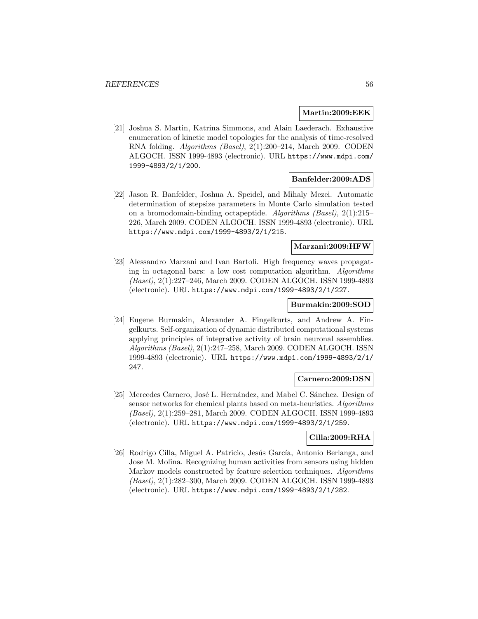#### **Martin:2009:EEK**

[21] Joshua S. Martin, Katrina Simmons, and Alain Laederach. Exhaustive enumeration of kinetic model topologies for the analysis of time-resolved RNA folding. Algorithms (Basel), 2(1):200–214, March 2009. CODEN ALGOCH. ISSN 1999-4893 (electronic). URL https://www.mdpi.com/ 1999-4893/2/1/200.

#### **Banfelder:2009:ADS**

[22] Jason R. Banfelder, Joshua A. Speidel, and Mihaly Mezei. Automatic determination of stepsize parameters in Monte Carlo simulation tested on a bromodomain-binding octapeptide. Algorithms (Basel), 2(1):215– 226, March 2009. CODEN ALGOCH. ISSN 1999-4893 (electronic). URL https://www.mdpi.com/1999-4893/2/1/215.

#### **Marzani:2009:HFW**

[23] Alessandro Marzani and Ivan Bartoli. High frequency waves propagating in octagonal bars: a low cost computation algorithm. Algorithms (Basel), 2(1):227–246, March 2009. CODEN ALGOCH. ISSN 1999-4893 (electronic). URL https://www.mdpi.com/1999-4893/2/1/227.

#### **Burmakin:2009:SOD**

[24] Eugene Burmakin, Alexander A. Fingelkurts, and Andrew A. Fingelkurts. Self-organization of dynamic distributed computational systems applying principles of integrative activity of brain neuronal assemblies. Algorithms (Basel), 2(1):247–258, March 2009. CODEN ALGOCH. ISSN 1999-4893 (electronic). URL https://www.mdpi.com/1999-4893/2/1/ 247.

### **Carnero:2009:DSN**

[25] Mercedes Carnero, José L. Hernández, and Mabel C. Sánchez. Design of sensor networks for chemical plants based on meta-heuristics. Algorithms (Basel), 2(1):259–281, March 2009. CODEN ALGOCH. ISSN 1999-4893 (electronic). URL https://www.mdpi.com/1999-4893/2/1/259.

# **Cilla:2009:RHA**

[26] Rodrigo Cilla, Miguel A. Patricio, Jesús García, Antonio Berlanga, and Jose M. Molina. Recognizing human activities from sensors using hidden Markov models constructed by feature selection techniques. Algorithms (Basel), 2(1):282–300, March 2009. CODEN ALGOCH. ISSN 1999-4893 (electronic). URL https://www.mdpi.com/1999-4893/2/1/282.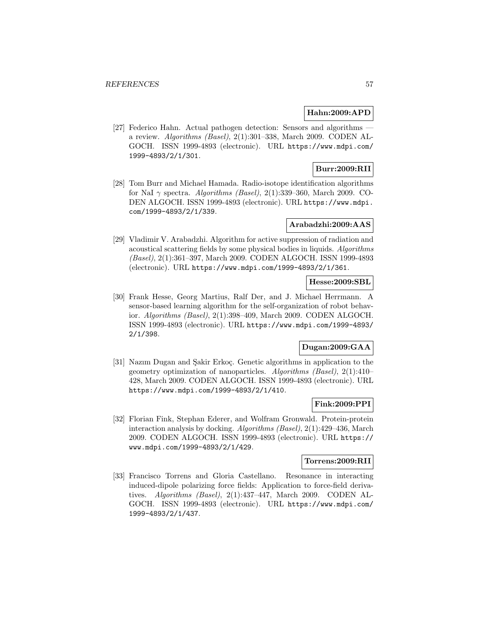### **Hahn:2009:APD**

[27] Federico Hahn. Actual pathogen detection: Sensors and algorithms a review. Algorithms (Basel), 2(1):301–338, March 2009. CODEN AL-GOCH. ISSN 1999-4893 (electronic). URL https://www.mdpi.com/ 1999-4893/2/1/301.

# **Burr:2009:RII**

[28] Tom Burr and Michael Hamada. Radio-isotope identification algorithms for NaI  $\gamma$  spectra. Algorithms (Basel), 2(1):339-360, March 2009. CO-DEN ALGOCH. ISSN 1999-4893 (electronic). URL https://www.mdpi. com/1999-4893/2/1/339.

### **Arabadzhi:2009:AAS**

[29] Vladimir V. Arabadzhi. Algorithm for active suppression of radiation and acoustical scattering fields by some physical bodies in liquids. Algorithms (Basel), 2(1):361–397, March 2009. CODEN ALGOCH. ISSN 1999-4893 (electronic). URL https://www.mdpi.com/1999-4893/2/1/361.

### **Hesse:2009:SBL**

[30] Frank Hesse, Georg Martius, Ralf Der, and J. Michael Herrmann. A sensor-based learning algorithm for the self-organization of robot behavior. Algorithms (Basel), 2(1):398–409, March 2009. CODEN ALGOCH. ISSN 1999-4893 (electronic). URL https://www.mdpi.com/1999-4893/ 2/1/398.

## **Dugan:2009:GAA**

[31] Nazim Dugan and Sakir Erkoç. Genetic algorithms in application to the geometry optimization of nanoparticles. Algorithms (Basel), 2(1):410– 428, March 2009. CODEN ALGOCH. ISSN 1999-4893 (electronic). URL https://www.mdpi.com/1999-4893/2/1/410.

### **Fink:2009:PPI**

[32] Florian Fink, Stephan Ederer, and Wolfram Gronwald. Protein-protein interaction analysis by docking. Algorithms (Basel), 2(1):429–436, March 2009. CODEN ALGOCH. ISSN 1999-4893 (electronic). URL https:// www.mdpi.com/1999-4893/2/1/429.

#### **Torrens:2009:RII**

[33] Francisco Torrens and Gloria Castellano. Resonance in interacting induced-dipole polarizing force fields: Application to force-field derivatives. Algorithms (Basel), 2(1):437–447, March 2009. CODEN AL-GOCH. ISSN 1999-4893 (electronic). URL https://www.mdpi.com/ 1999-4893/2/1/437.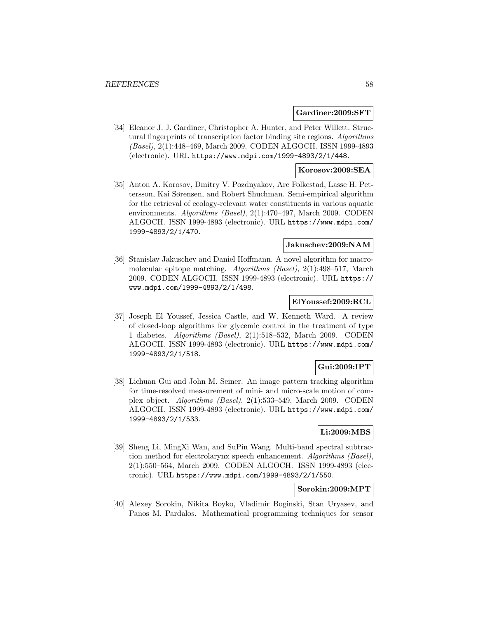#### **Gardiner:2009:SFT**

[34] Eleanor J. J. Gardiner, Christopher A. Hunter, and Peter Willett. Structural fingerprints of transcription factor binding site regions. Algorithms (Basel), 2(1):448–469, March 2009. CODEN ALGOCH. ISSN 1999-4893 (electronic). URL https://www.mdpi.com/1999-4893/2/1/448.

### **Korosov:2009:SEA**

[35] Anton A. Korosov, Dmitry V. Pozdnyakov, Are Folkestad, Lasse H. Pettersson, Kai Sørensen, and Robert Shuchman. Semi-empirical algorithm for the retrieval of ecology-relevant water constituents in various aquatic environments. Algorithms (Basel), 2(1):470–497, March 2009. CODEN ALGOCH. ISSN 1999-4893 (electronic). URL https://www.mdpi.com/ 1999-4893/2/1/470.

### **Jakuschev:2009:NAM**

[36] Stanislav Jakuschev and Daniel Hoffmann. A novel algorithm for macromolecular epitope matching. Algorithms (Basel), 2(1):498–517, March 2009. CODEN ALGOCH. ISSN 1999-4893 (electronic). URL https:// www.mdpi.com/1999-4893/2/1/498.

### **ElYoussef:2009:RCL**

[37] Joseph El Youssef, Jessica Castle, and W. Kenneth Ward. A review of closed-loop algorithms for glycemic control in the treatment of type 1 diabetes. Algorithms (Basel), 2(1):518–532, March 2009. CODEN ALGOCH. ISSN 1999-4893 (electronic). URL https://www.mdpi.com/ 1999-4893/2/1/518.

### **Gui:2009:IPT**

[38] Lichuan Gui and John M. Seiner. An image pattern tracking algorithm for time-resolved measurement of mini- and micro-scale motion of complex object. Algorithms (Basel), 2(1):533–549, March 2009. CODEN ALGOCH. ISSN 1999-4893 (electronic). URL https://www.mdpi.com/ 1999-4893/2/1/533.

### **Li:2009:MBS**

[39] Sheng Li, MingXi Wan, and SuPin Wang. Multi-band spectral subtraction method for electrolarynx speech enhancement. Algorithms (Basel), 2(1):550–564, March 2009. CODEN ALGOCH. ISSN 1999-4893 (electronic). URL https://www.mdpi.com/1999-4893/2/1/550.

# **Sorokin:2009:MPT**

[40] Alexey Sorokin, Nikita Boyko, Vladimir Boginski, Stan Uryasev, and Panos M. Pardalos. Mathematical programming techniques for sensor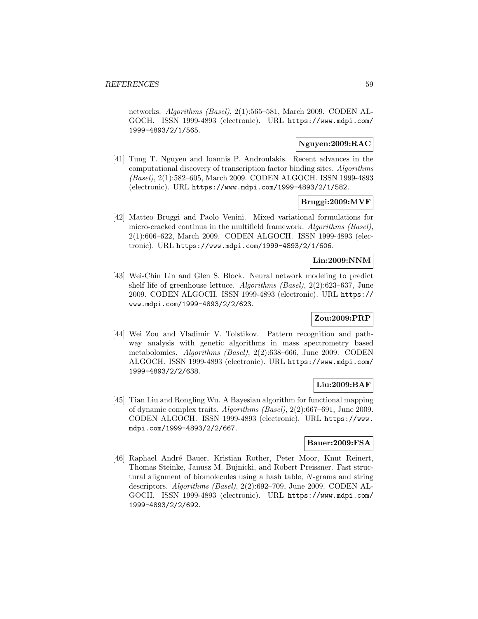networks. Algorithms (Basel), 2(1):565–581, March 2009. CODEN AL-GOCH. ISSN 1999-4893 (electronic). URL https://www.mdpi.com/ 1999-4893/2/1/565.

### **Nguyen:2009:RAC**

[41] Tung T. Nguyen and Ioannis P. Androulakis. Recent advances in the computational discovery of transcription factor binding sites. Algorithms (Basel), 2(1):582–605, March 2009. CODEN ALGOCH. ISSN 1999-4893 (electronic). URL https://www.mdpi.com/1999-4893/2/1/582.

### **Bruggi:2009:MVF**

[42] Matteo Bruggi and Paolo Venini. Mixed variational formulations for micro-cracked continua in the multifield framework. Algorithms (Basel), 2(1):606–622, March 2009. CODEN ALGOCH. ISSN 1999-4893 (electronic). URL https://www.mdpi.com/1999-4893/2/1/606.

### **Lin:2009:NNM**

[43] Wei-Chin Lin and Glen S. Block. Neural network modeling to predict shelf life of greenhouse lettuce. Algorithms (Basel), 2(2):623–637, June 2009. CODEN ALGOCH. ISSN 1999-4893 (electronic). URL https:// www.mdpi.com/1999-4893/2/2/623.

# **Zou:2009:PRP**

[44] Wei Zou and Vladimir V. Tolstikov. Pattern recognition and pathway analysis with genetic algorithms in mass spectrometry based metabolomics. Algorithms (Basel), 2(2):638–666, June 2009. CODEN ALGOCH. ISSN 1999-4893 (electronic). URL https://www.mdpi.com/ 1999-4893/2/2/638.

## **Liu:2009:BAF**

[45] Tian Liu and Rongling Wu. A Bayesian algorithm for functional mapping of dynamic complex traits. Algorithms (Basel), 2(2):667–691, June 2009. CODEN ALGOCH. ISSN 1999-4893 (electronic). URL https://www. mdpi.com/1999-4893/2/2/667.

### **Bauer:2009:FSA**

[46] Raphael André Bauer, Kristian Rother, Peter Moor, Knut Reinert, Thomas Steinke, Janusz M. Bujnicki, and Robert Preissner. Fast structural alignment of biomolecules using a hash table, N-grams and string descriptors. Algorithms (Basel), 2(2):692–709, June 2009. CODEN AL-GOCH. ISSN 1999-4893 (electronic). URL https://www.mdpi.com/ 1999-4893/2/2/692.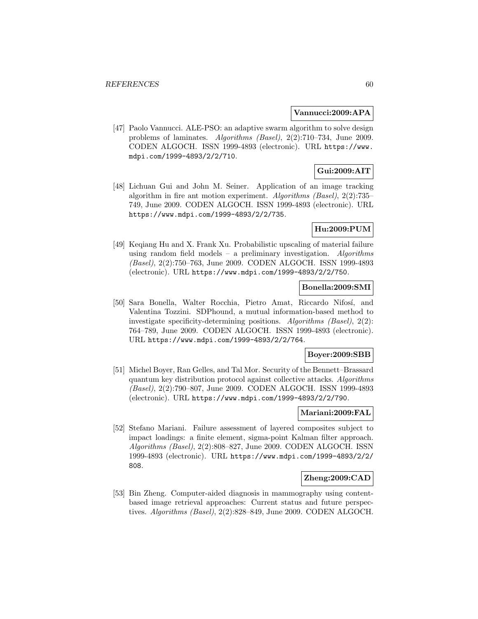#### **Vannucci:2009:APA**

[47] Paolo Vannucci. ALE-PSO: an adaptive swarm algorithm to solve design problems of laminates. Algorithms (Basel), 2(2):710–734, June 2009. CODEN ALGOCH. ISSN 1999-4893 (electronic). URL https://www. mdpi.com/1999-4893/2/2/710.

# **Gui:2009:AIT**

[48] Lichuan Gui and John M. Seiner. Application of an image tracking algorithm in fire ant motion experiment. Algorithms (Basel), 2(2):735– 749, June 2009. CODEN ALGOCH. ISSN 1999-4893 (electronic). URL https://www.mdpi.com/1999-4893/2/2/735.

### **Hu:2009:PUM**

[49] Keqiang Hu and X. Frank Xu. Probabilistic upscaling of material failure using random field models – a preliminary investigation. Algorithms (Basel), 2(2):750–763, June 2009. CODEN ALGOCH. ISSN 1999-4893 (electronic). URL https://www.mdpi.com/1999-4893/2/2/750.

### **Bonella:2009:SMI**

[50] Sara Bonella, Walter Rocchia, Pietro Amat, Riccardo Nifosí, and Valentina Tozzini. SDPhound, a mutual information-based method to investigate specificity-determining positions. Algorithms (Basel), 2(2): 764–789, June 2009. CODEN ALGOCH. ISSN 1999-4893 (electronic). URL https://www.mdpi.com/1999-4893/2/2/764.

### **Boyer:2009:SBB**

[51] Michel Boyer, Ran Gelles, and Tal Mor. Security of the Bennett–Brassard quantum key distribution protocol against collective attacks. Algorithms (Basel), 2(2):790–807, June 2009. CODEN ALGOCH. ISSN 1999-4893 (electronic). URL https://www.mdpi.com/1999-4893/2/2/790.

#### **Mariani:2009:FAL**

[52] Stefano Mariani. Failure assessment of layered composites subject to impact loadings: a finite element, sigma-point Kalman filter approach. Algorithms (Basel), 2(2):808–827, June 2009. CODEN ALGOCH. ISSN 1999-4893 (electronic). URL https://www.mdpi.com/1999-4893/2/2/ 808.

### **Zheng:2009:CAD**

[53] Bin Zheng. Computer-aided diagnosis in mammography using contentbased image retrieval approaches: Current status and future perspectives. Algorithms (Basel), 2(2):828–849, June 2009. CODEN ALGOCH.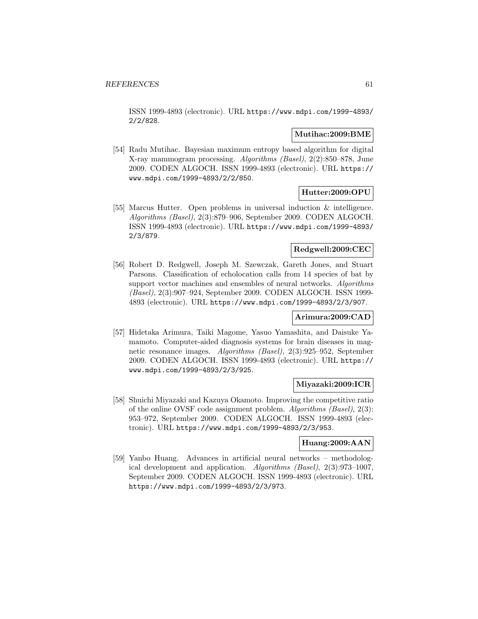ISSN 1999-4893 (electronic). URL https://www.mdpi.com/1999-4893/ 2/2/828.

### **Mutihac:2009:BME**

[54] Radu Mutihac. Bayesian maximum entropy based algorithm for digital X-ray mammogram processing. Algorithms (Basel), 2(2):850–878, June 2009. CODEN ALGOCH. ISSN 1999-4893 (electronic). URL https:// www.mdpi.com/1999-4893/2/2/850.

## **Hutter:2009:OPU**

[55] Marcus Hutter. Open problems in universal induction & intelligence. Algorithms (Basel), 2(3):879–906, September 2009. CODEN ALGOCH. ISSN 1999-4893 (electronic). URL https://www.mdpi.com/1999-4893/ 2/3/879.

### **Redgwell:2009:CEC**

[56] Robert D. Redgwell, Joseph M. Szewczak, Gareth Jones, and Stuart Parsons. Classification of echolocation calls from 14 species of bat by support vector machines and ensembles of neural networks. Algorithms (Basel), 2(3):907–924, September 2009. CODEN ALGOCH. ISSN 1999- 4893 (electronic). URL https://www.mdpi.com/1999-4893/2/3/907.

#### **Arimura:2009:CAD**

[57] Hidetaka Arimura, Taiki Magome, Yasuo Yamashita, and Daisuke Yamamoto. Computer-aided diagnosis systems for brain diseases in magnetic resonance images. Algorithms (Basel), 2(3):925–952, September 2009. CODEN ALGOCH. ISSN 1999-4893 (electronic). URL https:// www.mdpi.com/1999-4893/2/3/925.

### **Miyazaki:2009:ICR**

[58] Shuichi Miyazaki and Kazuya Okamoto. Improving the competitive ratio of the online OVSF code assignment problem. Algorithms (Basel), 2(3): 953–972, September 2009. CODEN ALGOCH. ISSN 1999-4893 (electronic). URL https://www.mdpi.com/1999-4893/2/3/953.

#### **Huang:2009:AAN**

[59] Yanbo Huang. Advances in artificial neural networks – methodological development and application. Algorithms (Basel), 2(3):973–1007, September 2009. CODEN ALGOCH. ISSN 1999-4893 (electronic). URL https://www.mdpi.com/1999-4893/2/3/973.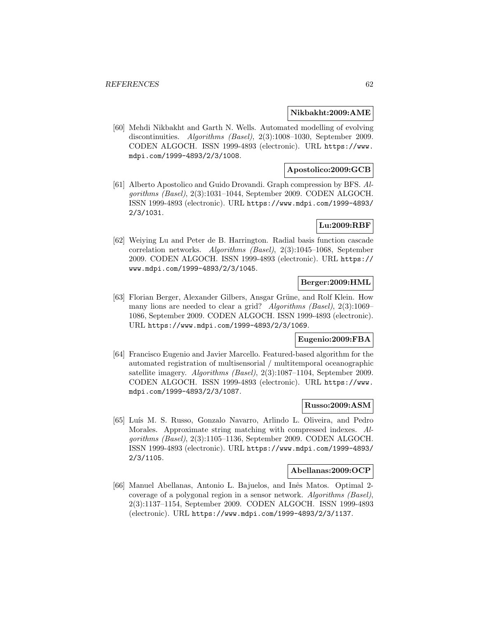#### **Nikbakht:2009:AME**

[60] Mehdi Nikbakht and Garth N. Wells. Automated modelling of evolving discontinuities. Algorithms (Basel), 2(3):1008–1030, September 2009. CODEN ALGOCH. ISSN 1999-4893 (electronic). URL https://www. mdpi.com/1999-4893/2/3/1008.

# **Apostolico:2009:GCB**

[61] Alberto Apostolico and Guido Drovandi. Graph compression by BFS. Algorithms (Basel), 2(3):1031–1044, September 2009. CODEN ALGOCH. ISSN 1999-4893 (electronic). URL https://www.mdpi.com/1999-4893/ 2/3/1031.

### **Lu:2009:RBF**

[62] Weiying Lu and Peter de B. Harrington. Radial basis function cascade correlation networks. Algorithms (Basel), 2(3):1045–1068, September 2009. CODEN ALGOCH. ISSN 1999-4893 (electronic). URL https:// www.mdpi.com/1999-4893/2/3/1045.

### **Berger:2009:HML**

[63] Florian Berger, Alexander Gilbers, Ansgar Grüne, and Rolf Klein. How many lions are needed to clear a grid? Algorithms (Basel), 2(3):1069– 1086, September 2009. CODEN ALGOCH. ISSN 1999-4893 (electronic). URL https://www.mdpi.com/1999-4893/2/3/1069.

### **Eugenio:2009:FBA**

[64] Francisco Eugenio and Javier Marcello. Featured-based algorithm for the automated registration of multisensorial / multitemporal oceanographic satellite imagery. Algorithms (Basel), 2(3):1087–1104, September 2009. CODEN ALGOCH. ISSN 1999-4893 (electronic). URL https://www. mdpi.com/1999-4893/2/3/1087.

#### **Russo:2009:ASM**

[65] Luís M. S. Russo, Gonzalo Navarro, Arlindo L. Oliveira, and Pedro Morales. Approximate string matching with compressed indexes. Algorithms (Basel), 2(3):1105–1136, September 2009. CODEN ALGOCH. ISSN 1999-4893 (electronic). URL https://www.mdpi.com/1999-4893/ 2/3/1105.

#### **Abellanas:2009:OCP**

[66] Manuel Abellanas, Antonio L. Bajuelos, and Inês Matos. Optimal 2coverage of a polygonal region in a sensor network. Algorithms (Basel), 2(3):1137–1154, September 2009. CODEN ALGOCH. ISSN 1999-4893 (electronic). URL https://www.mdpi.com/1999-4893/2/3/1137.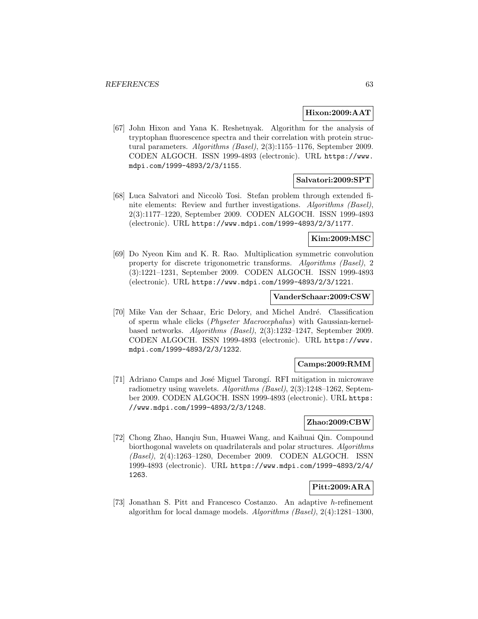#### **Hixon:2009:AAT**

[67] John Hixon and Yana K. Reshetnyak. Algorithm for the analysis of tryptophan fluorescence spectra and their correlation with protein structural parameters. Algorithms (Basel), 2(3):1155–1176, September 2009. CODEN ALGOCH. ISSN 1999-4893 (electronic). URL https://www. mdpi.com/1999-4893/2/3/1155.

### **Salvatori:2009:SPT**

[68] Luca Salvatori and Niccol`o Tosi. Stefan problem through extended finite elements: Review and further investigations. Algorithms (Basel), 2(3):1177–1220, September 2009. CODEN ALGOCH. ISSN 1999-4893 (electronic). URL https://www.mdpi.com/1999-4893/2/3/1177.

### **Kim:2009:MSC**

[69] Do Nyeon Kim and K. R. Rao. Multiplication symmetric convolution property for discrete trigonometric transforms. Algorithms (Basel), 2 (3):1221–1231, September 2009. CODEN ALGOCH. ISSN 1999-4893 (electronic). URL https://www.mdpi.com/1999-4893/2/3/1221.

#### **VanderSchaar:2009:CSW**

[70] Mike Van der Schaar, Eric Delory, and Michel André. Classification of sperm whale clicks (Physeter Macrocephalus) with Gaussian-kernelbased networks. Algorithms (Basel), 2(3):1232–1247, September 2009. CODEN ALGOCH. ISSN 1999-4893 (electronic). URL https://www. mdpi.com/1999-4893/2/3/1232.

#### **Camps:2009:RMM**

[71] Adriano Camps and José Miguel Tarongí. RFI mitigation in microwave radiometry using wavelets. Algorithms (Basel), 2(3):1248–1262, September 2009. CODEN ALGOCH. ISSN 1999-4893 (electronic). URL https: //www.mdpi.com/1999-4893/2/3/1248.

#### **Zhao:2009:CBW**

[72] Chong Zhao, Hanqiu Sun, Huawei Wang, and Kaihuai Qin. Compound biorthogonal wavelets on quadrilaterals and polar structures. Algorithms (Basel), 2(4):1263–1280, December 2009. CODEN ALGOCH. ISSN 1999-4893 (electronic). URL https://www.mdpi.com/1999-4893/2/4/ 1263.

# **Pitt:2009:ARA**

[73] Jonathan S. Pitt and Francesco Costanzo. An adaptive h-refinement algorithm for local damage models. Algorithms (Basel), 2(4):1281–1300,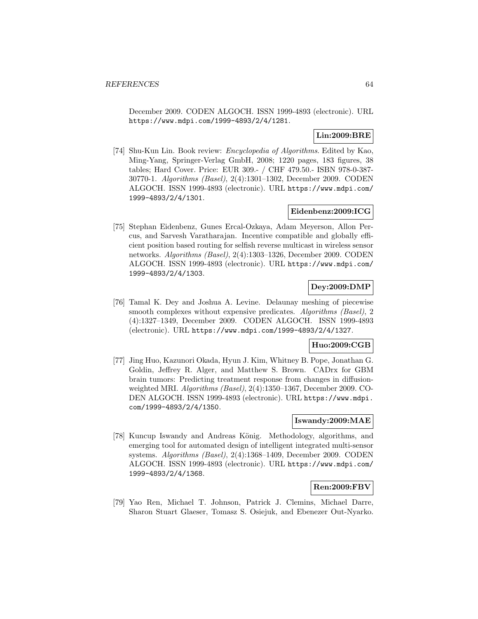December 2009. CODEN ALGOCH. ISSN 1999-4893 (electronic). URL https://www.mdpi.com/1999-4893/2/4/1281.

## **Lin:2009:BRE**

[74] Shu-Kun Lin. Book review: Encyclopedia of Algorithms. Edited by Kao, Ming-Yang, Springer-Verlag GmbH, 2008; 1220 pages, 183 figures, 38 tables; Hard Cover. Price: EUR 309.- / CHF 479.50.- ISBN 978-0-387- 30770-1. Algorithms (Basel), 2(4):1301–1302, December 2009. CODEN ALGOCH. ISSN 1999-4893 (electronic). URL https://www.mdpi.com/ 1999-4893/2/4/1301.

### **Eidenbenz:2009:ICG**

[75] Stephan Eidenbenz, Gunes Ercal-Ozkaya, Adam Meyerson, Allon Percus, and Sarvesh Varatharajan. Incentive compatible and globally efficient position based routing for selfish reverse multicast in wireless sensor networks. Algorithms (Basel), 2(4):1303–1326, December 2009. CODEN ALGOCH. ISSN 1999-4893 (electronic). URL https://www.mdpi.com/ 1999-4893/2/4/1303.

# **Dey:2009:DMP**

[76] Tamal K. Dey and Joshua A. Levine. Delaunay meshing of piecewise smooth complexes without expensive predicates. Algorithms (Basel), 2 (4):1327–1349, December 2009. CODEN ALGOCH. ISSN 1999-4893 (electronic). URL https://www.mdpi.com/1999-4893/2/4/1327.

### **Huo:2009:CGB**

[77] Jing Huo, Kazunori Okada, Hyun J. Kim, Whitney B. Pope, Jonathan G. Goldin, Jeffrey R. Alger, and Matthew S. Brown. CADrx for GBM brain tumors: Predicting treatment response from changes in diffusionweighted MRI. Algorithms (Basel), 2(4):1350–1367, December 2009. CO-DEN ALGOCH. ISSN 1999-4893 (electronic). URL https://www.mdpi. com/1999-4893/2/4/1350.

### **Iswandy:2009:MAE**

[78] Kuncup Iswandy and Andreas König. Methodology, algorithms, and emerging tool for automated design of intelligent integrated multi-sensor systems. Algorithms (Basel), 2(4):1368–1409, December 2009. CODEN ALGOCH. ISSN 1999-4893 (electronic). URL https://www.mdpi.com/ 1999-4893/2/4/1368.

### **Ren:2009:FBV**

[79] Yao Ren, Michael T. Johnson, Patrick J. Clemins, Michael Darre, Sharon Stuart Glaeser, Tomasz S. Osiejuk, and Ebenezer Out-Nyarko.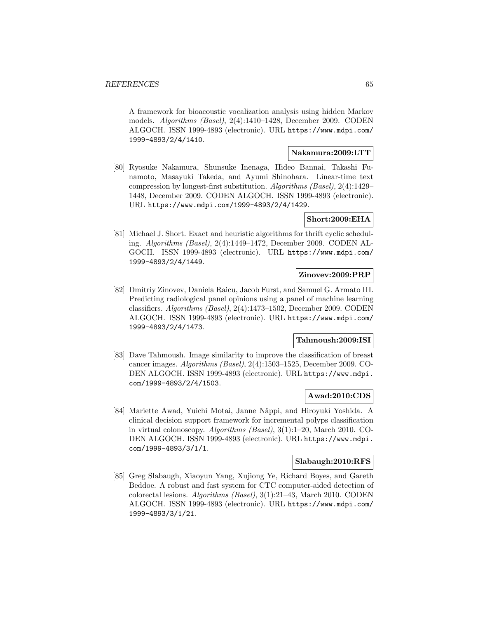A framework for bioacoustic vocalization analysis using hidden Markov models. Algorithms (Basel), 2(4):1410–1428, December 2009. CODEN ALGOCH. ISSN 1999-4893 (electronic). URL https://www.mdpi.com/ 1999-4893/2/4/1410.

#### **Nakamura:2009:LTT**

[80] Ryosuke Nakamura, Shunsuke Inenaga, Hideo Bannai, Takashi Funamoto, Masayuki Takeda, and Ayumi Shinohara. Linear-time text compression by longest-first substitution. Algorithms (Basel), 2(4):1429– 1448, December 2009. CODEN ALGOCH. ISSN 1999-4893 (electronic). URL https://www.mdpi.com/1999-4893/2/4/1429.

### **Short:2009:EHA**

[81] Michael J. Short. Exact and heuristic algorithms for thrift cyclic scheduling. Algorithms (Basel), 2(4):1449–1472, December 2009. CODEN AL-GOCH. ISSN 1999-4893 (electronic). URL https://www.mdpi.com/ 1999-4893/2/4/1449.

# **Zinovev:2009:PRP**

[82] Dmitriy Zinovev, Daniela Raicu, Jacob Furst, and Samuel G. Armato III. Predicting radiological panel opinions using a panel of machine learning classifiers. Algorithms (Basel), 2(4):1473–1502, December 2009. CODEN ALGOCH. ISSN 1999-4893 (electronic). URL https://www.mdpi.com/ 1999-4893/2/4/1473.

## **Tahmoush:2009:ISI**

[83] Dave Tahmoush. Image similarity to improve the classification of breast cancer images. Algorithms (Basel), 2(4):1503–1525, December 2009. CO-DEN ALGOCH. ISSN 1999-4893 (electronic). URL https://www.mdpi. com/1999-4893/2/4/1503.

## **Awad:2010:CDS**

[84] Mariette Awad, Yuichi Motai, Janne Näppi, and Hiroyuki Yoshida. A clinical decision support framework for incremental polyps classification in virtual colonoscopy. Algorithms (Basel), 3(1):1–20, March 2010. CO-DEN ALGOCH. ISSN 1999-4893 (electronic). URL https://www.mdpi. com/1999-4893/3/1/1.

### **Slabaugh:2010:RFS**

[85] Greg Slabaugh, Xiaoyun Yang, Xujiong Ye, Richard Boyes, and Gareth Beddoe. A robust and fast system for CTC computer-aided detection of colorectal lesions. Algorithms (Basel), 3(1):21–43, March 2010. CODEN ALGOCH. ISSN 1999-4893 (electronic). URL https://www.mdpi.com/ 1999-4893/3/1/21.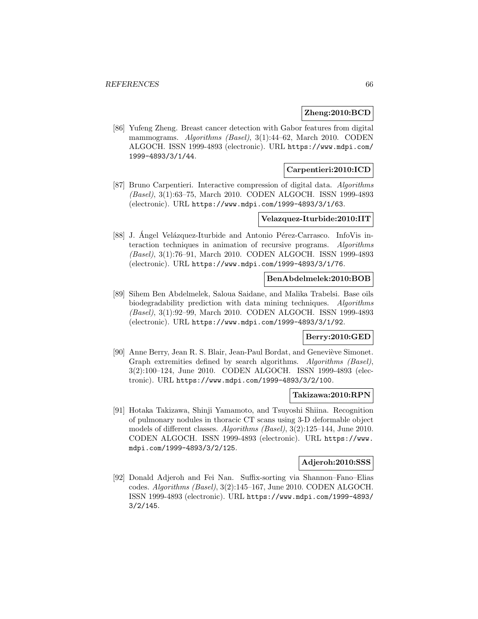### **Zheng:2010:BCD**

[86] Yufeng Zheng. Breast cancer detection with Gabor features from digital mammograms. Algorithms (Basel), 3(1):44–62, March 2010. CODEN ALGOCH. ISSN 1999-4893 (electronic). URL https://www.mdpi.com/ 1999-4893/3/1/44.

## **Carpentieri:2010:ICD**

[87] Bruno Carpentieri. Interactive compression of digital data. Algorithms (Basel), 3(1):63–75, March 2010. CODEN ALGOCH. ISSN 1999-4893 (electronic). URL https://www.mdpi.com/1999-4893/3/1/63.

### **Velazquez-Iturbide:2010:IIT**

[88] J. Angel Velázquez-Iturbide and Antonio Pérez-Carrasco. InfoVis interaction techniques in animation of recursive programs. Algorithms (Basel), 3(1):76–91, March 2010. CODEN ALGOCH. ISSN 1999-4893 (electronic). URL https://www.mdpi.com/1999-4893/3/1/76.

#### **BenAbdelmelek:2010:BOB**

[89] Sihem Ben Abdelmelek, Saloua Saidane, and Malika Trabelsi. Base oils biodegradability prediction with data mining techniques. Algorithms (Basel), 3(1):92–99, March 2010. CODEN ALGOCH. ISSN 1999-4893 (electronic). URL https://www.mdpi.com/1999-4893/3/1/92.

### **Berry:2010:GED**

[90] Anne Berry, Jean R. S. Blair, Jean-Paul Bordat, and Geneviève Simonet. Graph extremities defined by search algorithms. Algorithms (Basel), 3(2):100–124, June 2010. CODEN ALGOCH. ISSN 1999-4893 (electronic). URL https://www.mdpi.com/1999-4893/3/2/100.

#### **Takizawa:2010:RPN**

[91] Hotaka Takizawa, Shinji Yamamoto, and Tsuyoshi Shiina. Recognition of pulmonary nodules in thoracic CT scans using 3-D deformable object models of different classes. Algorithms (Basel), 3(2):125–144, June 2010. CODEN ALGOCH. ISSN 1999-4893 (electronic). URL https://www. mdpi.com/1999-4893/3/2/125.

#### **Adjeroh:2010:SSS**

[92] Donald Adjeroh and Fei Nan. Suffix-sorting via Shannon–Fano–Elias codes. Algorithms (Basel), 3(2):145–167, June 2010. CODEN ALGOCH. ISSN 1999-4893 (electronic). URL https://www.mdpi.com/1999-4893/ 3/2/145.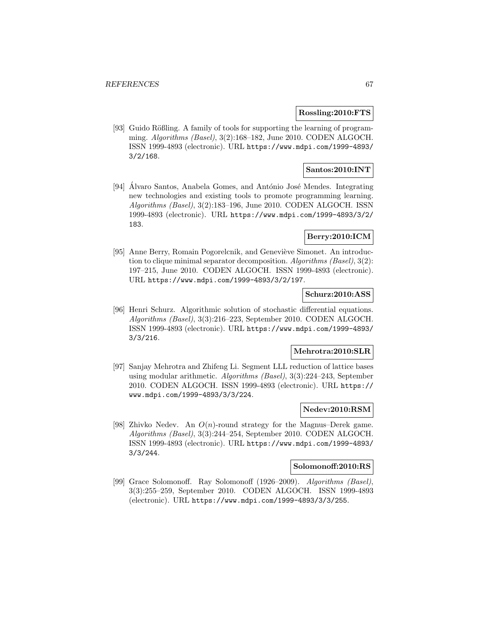#### **Rossling:2010:FTS**

[93] Guido Rößling. A family of tools for supporting the learning of programming. Algorithms (Basel), 3(2):168–182, June 2010. CODEN ALGOCH. ISSN 1999-4893 (electronic). URL https://www.mdpi.com/1999-4893/ 3/2/168.

# **Santos:2010:INT**

[94] Alvaro Santos, Anabela Gomes, and António José Mendes. Integrating new technologies and existing tools to promote programming learning. Algorithms (Basel), 3(2):183–196, June 2010. CODEN ALGOCH. ISSN 1999-4893 (electronic). URL https://www.mdpi.com/1999-4893/3/2/ 183.

### **Berry:2010:ICM**

[95] Anne Berry, Romain Pogorelcnik, and Geneviève Simonet. An introduction to clique minimal separator decomposition. Algorithms (Basel), 3(2): 197–215, June 2010. CODEN ALGOCH. ISSN 1999-4893 (electronic). URL https://www.mdpi.com/1999-4893/3/2/197.

### **Schurz:2010:ASS**

[96] Henri Schurz. Algorithmic solution of stochastic differential equations. Algorithms (Basel), 3(3):216–223, September 2010. CODEN ALGOCH. ISSN 1999-4893 (electronic). URL https://www.mdpi.com/1999-4893/ 3/3/216.

### **Mehrotra:2010:SLR**

[97] Sanjay Mehrotra and Zhifeng Li. Segment LLL reduction of lattice bases using modular arithmetic. Algorithms (Basel), 3(3):224–243, September 2010. CODEN ALGOCH. ISSN 1999-4893 (electronic). URL https:// www.mdpi.com/1999-4893/3/3/224.

#### **Nedev:2010:RSM**

[98] Zhivko Nedev. An  $O(n)$ -round strategy for the Magnus–Derek game. Algorithms (Basel), 3(3):244–254, September 2010. CODEN ALGOCH. ISSN 1999-4893 (electronic). URL https://www.mdpi.com/1999-4893/ 3/3/244.

### **Solomonoff:2010:RS**

[99] Grace Solomonoff. Ray Solomonoff (1926–2009). Algorithms (Basel), 3(3):255–259, September 2010. CODEN ALGOCH. ISSN 1999-4893 (electronic). URL https://www.mdpi.com/1999-4893/3/3/255.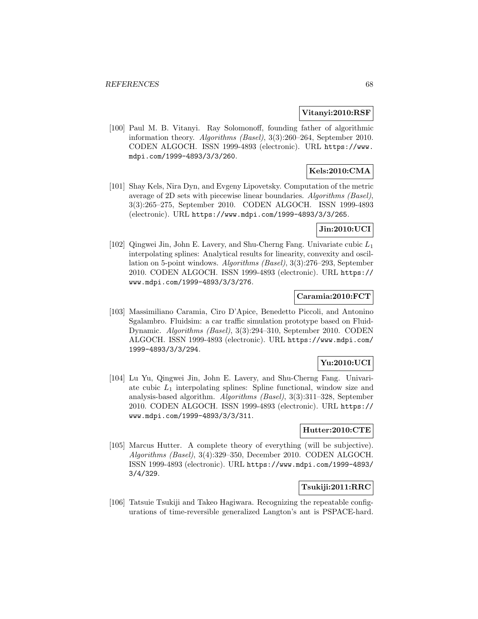#### **Vitanyi:2010:RSF**

[100] Paul M. B. Vitanyi. Ray Solomonoff, founding father of algorithmic information theory. Algorithms (Basel), 3(3):260–264, September 2010. CODEN ALGOCH. ISSN 1999-4893 (electronic). URL https://www. mdpi.com/1999-4893/3/3/260.

## **Kels:2010:CMA**

[101] Shay Kels, Nira Dyn, and Evgeny Lipovetsky. Computation of the metric average of 2D sets with piecewise linear boundaries. Algorithms (Basel), 3(3):265–275, September 2010. CODEN ALGOCH. ISSN 1999-4893 (electronic). URL https://www.mdpi.com/1999-4893/3/3/265.

### **Jin:2010:UCI**

[102] Qingwei Jin, John E. Lavery, and Shu-Cherng Fang. Univariate cubic  $L_1$ interpolating splines: Analytical results for linearity, convexity and oscillation on 5-point windows. Algorithms (Basel), 3(3):276–293, September 2010. CODEN ALGOCH. ISSN 1999-4893 (electronic). URL https:// www.mdpi.com/1999-4893/3/3/276.

### **Caramia:2010:FCT**

[103] Massimiliano Caramia, Ciro D'Apice, Benedetto Piccoli, and Antonino Sgalambro. Fluidsim: a car traffic simulation prototype based on Fluid-Dynamic. Algorithms (Basel), 3(3):294–310, September 2010. CODEN ALGOCH. ISSN 1999-4893 (electronic). URL https://www.mdpi.com/ 1999-4893/3/3/294.

## **Yu:2010:UCI**

[104] Lu Yu, Qingwei Jin, John E. Lavery, and Shu-Cherng Fang. Univariate cubic  $L_1$  interpolating splines: Spline functional, window size and analysis-based algorithm. Algorithms (Basel), 3(3):311–328, September 2010. CODEN ALGOCH. ISSN 1999-4893 (electronic). URL https:// www.mdpi.com/1999-4893/3/3/311.

# **Hutter:2010:CTE**

[105] Marcus Hutter. A complete theory of everything (will be subjective). Algorithms (Basel), 3(4):329–350, December 2010. CODEN ALGOCH. ISSN 1999-4893 (electronic). URL https://www.mdpi.com/1999-4893/ 3/4/329.

#### **Tsukiji:2011:RRC**

[106] Tatsuie Tsukiji and Takeo Hagiwara. Recognizing the repeatable configurations of time-reversible generalized Langton's ant is PSPACE-hard.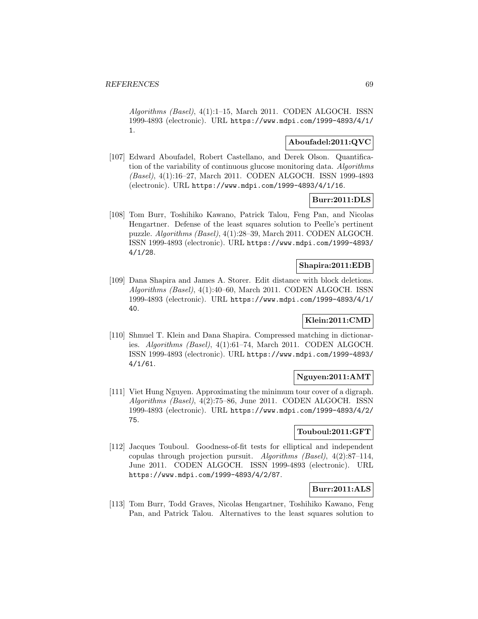Algorithms (Basel), 4(1):1–15, March 2011. CODEN ALGOCH. ISSN 1999-4893 (electronic). URL https://www.mdpi.com/1999-4893/4/1/ 1.

### **Aboufadel:2011:QVC**

[107] Edward Aboufadel, Robert Castellano, and Derek Olson. Quantification of the variability of continuous glucose monitoring data. Algorithms (Basel), 4(1):16–27, March 2011. CODEN ALGOCH. ISSN 1999-4893 (electronic). URL https://www.mdpi.com/1999-4893/4/1/16.

### **Burr:2011:DLS**

[108] Tom Burr, Toshihiko Kawano, Patrick Talou, Feng Pan, and Nicolas Hengartner. Defense of the least squares solution to Peelle's pertinent puzzle. Algorithms (Basel), 4(1):28–39, March 2011. CODEN ALGOCH. ISSN 1999-4893 (electronic). URL https://www.mdpi.com/1999-4893/ 4/1/28.

#### **Shapira:2011:EDB**

[109] Dana Shapira and James A. Storer. Edit distance with block deletions. Algorithms (Basel), 4(1):40–60, March 2011. CODEN ALGOCH. ISSN 1999-4893 (electronic). URL https://www.mdpi.com/1999-4893/4/1/ 40.

## **Klein:2011:CMD**

[110] Shmuel T. Klein and Dana Shapira. Compressed matching in dictionaries. Algorithms (Basel), 4(1):61–74, March 2011. CODEN ALGOCH. ISSN 1999-4893 (electronic). URL https://www.mdpi.com/1999-4893/ 4/1/61.

### **Nguyen:2011:AMT**

[111] Viet Hung Nguyen. Approximating the minimum tour cover of a digraph. Algorithms (Basel), 4(2):75–86, June 2011. CODEN ALGOCH. ISSN 1999-4893 (electronic). URL https://www.mdpi.com/1999-4893/4/2/ 75.

## **Touboul:2011:GFT**

[112] Jacques Touboul. Goodness-of-fit tests for elliptical and independent copulas through projection pursuit. Algorithms (Basel), 4(2):87–114, June 2011. CODEN ALGOCH. ISSN 1999-4893 (electronic). URL https://www.mdpi.com/1999-4893/4/2/87.

# **Burr:2011:ALS**

[113] Tom Burr, Todd Graves, Nicolas Hengartner, Toshihiko Kawano, Feng Pan, and Patrick Talou. Alternatives to the least squares solution to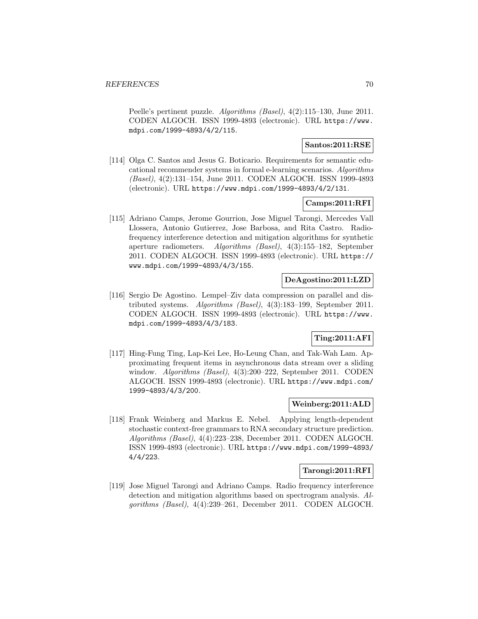Peelle's pertinent puzzle. Algorithms (Basel), 4(2):115–130, June 2011. CODEN ALGOCH. ISSN 1999-4893 (electronic). URL https://www. mdpi.com/1999-4893/4/2/115.

### **Santos:2011:RSE**

[114] Olga C. Santos and Jesus G. Boticario. Requirements for semantic educational recommender systems in formal e-learning scenarios. Algorithms (Basel), 4(2):131–154, June 2011. CODEN ALGOCH. ISSN 1999-4893 (electronic). URL https://www.mdpi.com/1999-4893/4/2/131.

### **Camps:2011:RFI**

[115] Adriano Camps, Jerome Gourrion, Jose Miguel Tarongi, Mercedes Vall Llossera, Antonio Gutierrez, Jose Barbosa, and Rita Castro. Radiofrequency interference detection and mitigation algorithms for synthetic aperture radiometers. Algorithms (Basel), 4(3):155–182, September 2011. CODEN ALGOCH. ISSN 1999-4893 (electronic). URL https:// www.mdpi.com/1999-4893/4/3/155.

### **DeAgostino:2011:LZD**

[116] Sergio De Agostino. Lempel–Ziv data compression on parallel and distributed systems. Algorithms (Basel), 4(3):183–199, September 2011. CODEN ALGOCH. ISSN 1999-4893 (electronic). URL https://www. mdpi.com/1999-4893/4/3/183.

## **Ting:2011:AFI**

[117] Hing-Fung Ting, Lap-Kei Lee, Ho-Leung Chan, and Tak-Wah Lam. Approximating frequent items in asynchronous data stream over a sliding window. Algorithms (Basel), 4(3):200–222, September 2011. CODEN ALGOCH. ISSN 1999-4893 (electronic). URL https://www.mdpi.com/ 1999-4893/4/3/200.

### **Weinberg:2011:ALD**

[118] Frank Weinberg and Markus E. Nebel. Applying length-dependent stochastic context-free grammars to RNA secondary structure prediction. Algorithms (Basel), 4(4):223–238, December 2011. CODEN ALGOCH. ISSN 1999-4893 (electronic). URL https://www.mdpi.com/1999-4893/ 4/4/223.

### **Tarongi:2011:RFI**

[119] Jose Miguel Tarongi and Adriano Camps. Radio frequency interference detection and mitigation algorithms based on spectrogram analysis. Algorithms (Basel), 4(4):239–261, December 2011. CODEN ALGOCH.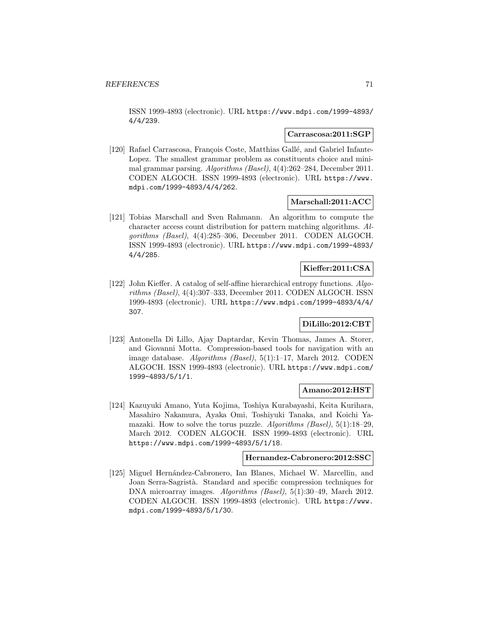ISSN 1999-4893 (electronic). URL https://www.mdpi.com/1999-4893/ 4/4/239.

#### **Carrascosa:2011:SGP**

[120] Rafael Carrascosa, François Coste, Matthias Gallé, and Gabriel Infante-Lopez. The smallest grammar problem as constituents choice and minimal grammar parsing. Algorithms (Basel), 4(4):262–284, December 2011. CODEN ALGOCH. ISSN 1999-4893 (electronic). URL https://www. mdpi.com/1999-4893/4/4/262.

#### **Marschall:2011:ACC**

[121] Tobias Marschall and Sven Rahmann. An algorithm to compute the character access count distribution for pattern matching algorithms. Algorithms (Basel), 4(4):285–306, December 2011. CODEN ALGOCH. ISSN 1999-4893 (electronic). URL https://www.mdpi.com/1999-4893/ 4/4/285.

### **Kieffer:2011:CSA**

[122] John Kieffer. A catalog of self-affine hierarchical entropy functions. Algorithms (Basel), 4(4):307–333, December 2011. CODEN ALGOCH. ISSN 1999-4893 (electronic). URL https://www.mdpi.com/1999-4893/4/4/ 307.

### **DiLillo:2012:CBT**

[123] Antonella Di Lillo, Ajay Daptardar, Kevin Thomas, James A. Storer, and Giovanni Motta. Compression-based tools for navigation with an image database. Algorithms (Basel), 5(1):1–17, March 2012. CODEN ALGOCH. ISSN 1999-4893 (electronic). URL https://www.mdpi.com/ 1999-4893/5/1/1.

#### **Amano:2012:HST**

[124] Kazuyuki Amano, Yuta Kojima, Toshiya Kurabayashi, Keita Kurihara, Masahiro Nakamura, Ayaka Omi, Toshiyuki Tanaka, and Koichi Yamazaki. How to solve the torus puzzle. Algorithms (Basel),  $5(1):18-29$ , March 2012. CODEN ALGOCH. ISSN 1999-4893 (electronic). URL https://www.mdpi.com/1999-4893/5/1/18.

#### **Hernandez-Cabronero:2012:SSC**

[125] Miguel Hernández-Cabronero, Ian Blanes, Michael W. Marcellin, and Joan Serra-Sagrist`a. Standard and specific compression techniques for DNA microarray images. Algorithms (Basel), 5(1):30–49, March 2012. CODEN ALGOCH. ISSN 1999-4893 (electronic). URL https://www. mdpi.com/1999-4893/5/1/30.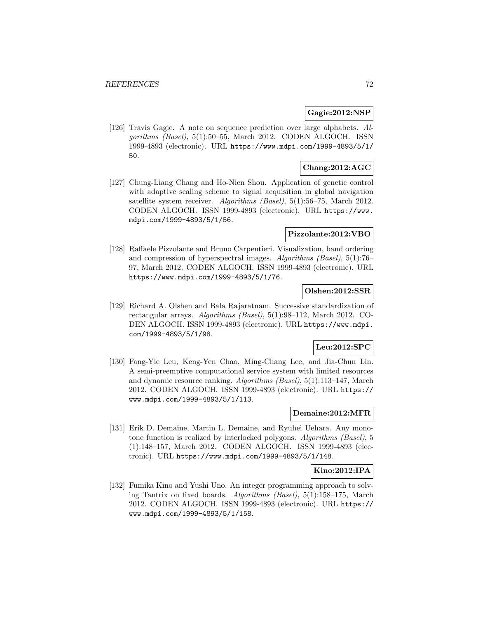### **Gagie:2012:NSP**

[126] Travis Gagie. A note on sequence prediction over large alphabets. Algorithms (Basel), 5(1):50–55, March 2012. CODEN ALGOCH. ISSN 1999-4893 (electronic). URL https://www.mdpi.com/1999-4893/5/1/ 50.

# **Chang:2012:AGC**

[127] Chung-Liang Chang and Ho-Nien Shou. Application of genetic control with adaptive scaling scheme to signal acquisition in global navigation satellite system receiver. Algorithms (Basel), 5(1):56–75, March 2012. CODEN ALGOCH. ISSN 1999-4893 (electronic). URL https://www. mdpi.com/1999-4893/5/1/56.

### **Pizzolante:2012:VBO**

[128] Raffaele Pizzolante and Bruno Carpentieri. Visualization, band ordering and compression of hyperspectral images. Algorithms (Basel), 5(1):76– 97, March 2012. CODEN ALGOCH. ISSN 1999-4893 (electronic). URL https://www.mdpi.com/1999-4893/5/1/76.

### **Olshen:2012:SSR**

[129] Richard A. Olshen and Bala Rajaratnam. Successive standardization of rectangular arrays. Algorithms (Basel), 5(1):98–112, March 2012. CO-DEN ALGOCH. ISSN 1999-4893 (electronic). URL https://www.mdpi. com/1999-4893/5/1/98.

# **Leu:2012:SPC**

[130] Fang-Yie Leu, Keng-Yen Chao, Ming-Chang Lee, and Jia-Chun Lin. A semi-preemptive computational service system with limited resources and dynamic resource ranking. Algorithms (Basel), 5(1):113–147, March 2012. CODEN ALGOCH. ISSN 1999-4893 (electronic). URL https:// www.mdpi.com/1999-4893/5/1/113.

### **Demaine:2012:MFR**

[131] Erik D. Demaine, Martin L. Demaine, and Ryuhei Uehara. Any monotone function is realized by interlocked polygons. Algorithms (Basel), 5 (1):148–157, March 2012. CODEN ALGOCH. ISSN 1999-4893 (electronic). URL https://www.mdpi.com/1999-4893/5/1/148.

## **Kino:2012:IPA**

[132] Fumika Kino and Yushi Uno. An integer programming approach to solving Tantrix on fixed boards. Algorithms (Basel), 5(1):158–175, March 2012. CODEN ALGOCH. ISSN 1999-4893 (electronic). URL https:// www.mdpi.com/1999-4893/5/1/158.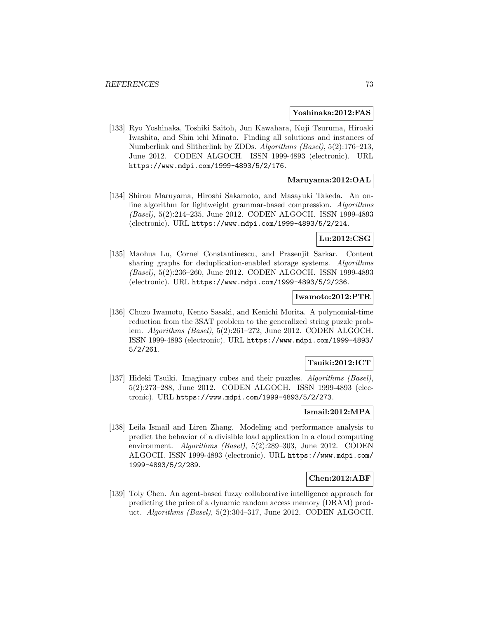#### **Yoshinaka:2012:FAS**

[133] Ryo Yoshinaka, Toshiki Saitoh, Jun Kawahara, Koji Tsuruma, Hiroaki Iwashita, and Shin ichi Minato. Finding all solutions and instances of Numberlink and Slitherlink by ZDDs. Algorithms (Basel), 5(2):176–213, June 2012. CODEN ALGOCH. ISSN 1999-4893 (electronic). URL https://www.mdpi.com/1999-4893/5/2/176.

## **Maruyama:2012:OAL**

[134] Shirou Maruyama, Hiroshi Sakamoto, and Masayuki Takeda. An online algorithm for lightweight grammar-based compression. Algorithms (Basel), 5(2):214–235, June 2012. CODEN ALGOCH. ISSN 1999-4893 (electronic). URL https://www.mdpi.com/1999-4893/5/2/214.

### **Lu:2012:CSG**

[135] Maohua Lu, Cornel Constantinescu, and Prasenjit Sarkar. Content sharing graphs for deduplication-enabled storage systems. Algorithms (Basel), 5(2):236–260, June 2012. CODEN ALGOCH. ISSN 1999-4893 (electronic). URL https://www.mdpi.com/1999-4893/5/2/236.

#### **Iwamoto:2012:PTR**

[136] Chuzo Iwamoto, Kento Sasaki, and Kenichi Morita. A polynomial-time reduction from the 3SAT problem to the generalized string puzzle problem. Algorithms (Basel), 5(2):261–272, June 2012. CODEN ALGOCH. ISSN 1999-4893 (electronic). URL https://www.mdpi.com/1999-4893/ 5/2/261.

### **Tsuiki:2012:ICT**

[137] Hideki Tsuiki. Imaginary cubes and their puzzles. Algorithms (Basel), 5(2):273–288, June 2012. CODEN ALGOCH. ISSN 1999-4893 (electronic). URL https://www.mdpi.com/1999-4893/5/2/273.

# **Ismail:2012:MPA**

[138] Leila Ismail and Liren Zhang. Modeling and performance analysis to predict the behavior of a divisible load application in a cloud computing environment. Algorithms (Basel), 5(2):289–303, June 2012. CODEN ALGOCH. ISSN 1999-4893 (electronic). URL https://www.mdpi.com/ 1999-4893/5/2/289.

### **Chen:2012:ABF**

[139] Toly Chen. An agent-based fuzzy collaborative intelligence approach for predicting the price of a dynamic random access memory (DRAM) product. Algorithms (Basel), 5(2):304–317, June 2012. CODEN ALGOCH.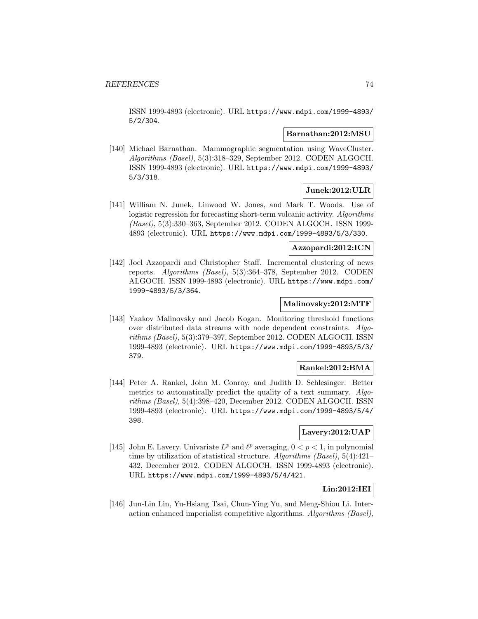ISSN 1999-4893 (electronic). URL https://www.mdpi.com/1999-4893/ 5/2/304.

#### **Barnathan:2012:MSU**

[140] Michael Barnathan. Mammographic segmentation using WaveCluster. Algorithms (Basel), 5(3):318–329, September 2012. CODEN ALGOCH. ISSN 1999-4893 (electronic). URL https://www.mdpi.com/1999-4893/ 5/3/318.

### **Junek:2012:ULR**

[141] William N. Junek, Linwood W. Jones, and Mark T. Woods. Use of logistic regression for forecasting short-term volcanic activity. Algorithms (Basel), 5(3):330–363, September 2012. CODEN ALGOCH. ISSN 1999- 4893 (electronic). URL https://www.mdpi.com/1999-4893/5/3/330.

#### **Azzopardi:2012:ICN**

[142] Joel Azzopardi and Christopher Staff. Incremental clustering of news reports. Algorithms (Basel), 5(3):364–378, September 2012. CODEN ALGOCH. ISSN 1999-4893 (electronic). URL https://www.mdpi.com/ 1999-4893/5/3/364.

#### **Malinovsky:2012:MTF**

[143] Yaakov Malinovsky and Jacob Kogan. Monitoring threshold functions over distributed data streams with node dependent constraints. Algorithms (Basel), 5(3):379–397, September 2012. CODEN ALGOCH. ISSN 1999-4893 (electronic). URL https://www.mdpi.com/1999-4893/5/3/ 379.

## **Rankel:2012:BMA**

[144] Peter A. Rankel, John M. Conroy, and Judith D. Schlesinger. Better metrics to automatically predict the quality of a text summary. Algorithms (Basel), 5(4):398–420, December 2012. CODEN ALGOCH. ISSN 1999-4893 (electronic). URL https://www.mdpi.com/1999-4893/5/4/ 398.

## **Lavery:2012:UAP**

[145] John E. Lavery. Univariate  $L^p$  and  $\ell^p$  averaging,  $0 < p < 1$ , in polynomial time by utilization of statistical structure. Algorithms (Basel), 5(4):421– 432, December 2012. CODEN ALGOCH. ISSN 1999-4893 (electronic). URL https://www.mdpi.com/1999-4893/5/4/421.

# **Lin:2012:IEI**

[146] Jun-Lin Lin, Yu-Hsiang Tsai, Chun-Ying Yu, and Meng-Shiou Li. Interaction enhanced imperialist competitive algorithms. Algorithms (Basel),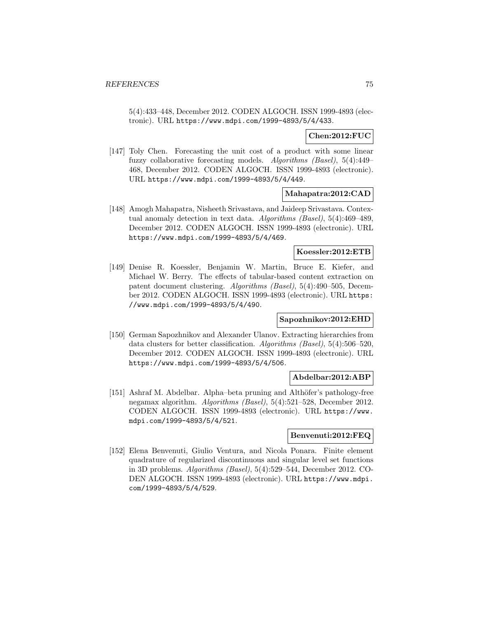5(4):433–448, December 2012. CODEN ALGOCH. ISSN 1999-4893 (electronic). URL https://www.mdpi.com/1999-4893/5/4/433.

## **Chen:2012:FUC**

[147] Toly Chen. Forecasting the unit cost of a product with some linear fuzzy collaborative forecasting models. Algorithms (Basel), 5(4):449– 468, December 2012. CODEN ALGOCH. ISSN 1999-4893 (electronic). URL https://www.mdpi.com/1999-4893/5/4/449.

### **Mahapatra:2012:CAD**

[148] Amogh Mahapatra, Nisheeth Srivastava, and Jaideep Srivastava. Contextual anomaly detection in text data. Algorithms (Basel), 5(4):469–489, December 2012. CODEN ALGOCH. ISSN 1999-4893 (electronic). URL https://www.mdpi.com/1999-4893/5/4/469.

#### **Koessler:2012:ETB**

[149] Denise R. Koessler, Benjamin W. Martin, Bruce E. Kiefer, and Michael W. Berry. The effects of tabular-based content extraction on patent document clustering. Algorithms (Basel), 5(4):490–505, December 2012. CODEN ALGOCH. ISSN 1999-4893 (electronic). URL https: //www.mdpi.com/1999-4893/5/4/490.

#### **Sapozhnikov:2012:EHD**

[150] German Sapozhnikov and Alexander Ulanov. Extracting hierarchies from data clusters for better classification. Algorithms (Basel), 5(4):506–520, December 2012. CODEN ALGOCH. ISSN 1999-4893 (electronic). URL https://www.mdpi.com/1999-4893/5/4/506.

### **Abdelbar:2012:ABP**

[151] Ashraf M. Abdelbar. Alpha–beta pruning and Althöfer's pathology-free negamax algorithm. Algorithms (Basel), 5(4):521–528, December 2012. CODEN ALGOCH. ISSN 1999-4893 (electronic). URL https://www. mdpi.com/1999-4893/5/4/521.

#### **Benvenuti:2012:FEQ**

[152] Elena Benvenuti, Giulio Ventura, and Nicola Ponara. Finite element quadrature of regularized discontinuous and singular level set functions in 3D problems. Algorithms (Basel), 5(4):529–544, December 2012. CO-DEN ALGOCH. ISSN 1999-4893 (electronic). URL https://www.mdpi. com/1999-4893/5/4/529.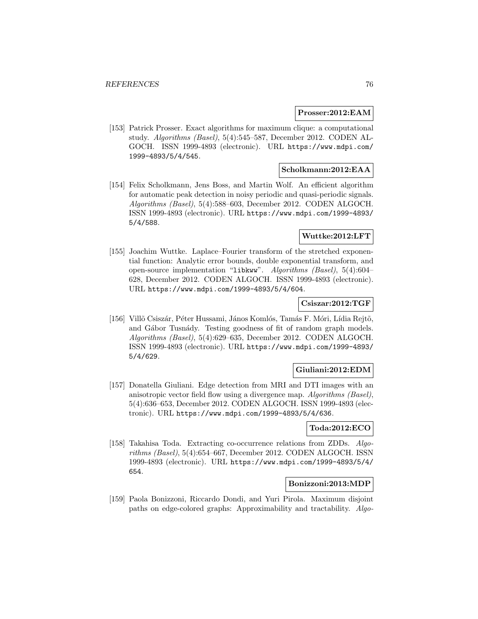#### **Prosser:2012:EAM**

[153] Patrick Prosser. Exact algorithms for maximum clique: a computational study. Algorithms (Basel), 5(4):545–587, December 2012. CODEN AL-GOCH. ISSN 1999-4893 (electronic). URL https://www.mdpi.com/ 1999-4893/5/4/545.

## **Scholkmann:2012:EAA**

[154] Felix Scholkmann, Jens Boss, and Martin Wolf. An efficient algorithm for automatic peak detection in noisy periodic and quasi-periodic signals. Algorithms (Basel), 5(4):588–603, December 2012. CODEN ALGOCH. ISSN 1999-4893 (electronic). URL https://www.mdpi.com/1999-4893/ 5/4/588.

## **Wuttke:2012:LFT**

[155] Joachim Wuttke. Laplace–Fourier transform of the stretched exponential function: Analytic error bounds, double exponential transform, and open-source implementation "libkww". Algorithms (Basel), 5(4):604– 628, December 2012. CODEN ALGOCH. ISSN 1999-4893 (electronic). URL https://www.mdpi.com/1999-4893/5/4/604.

### **Csiszar:2012:TGF**

[156] Villõ Csiszár, Péter Hussami, János Komlós, Tamás F. Móri, Lídia Rejtő, and Gábor Tusnády. Testing goodness of fit of random graph models. Algorithms (Basel), 5(4):629–635, December 2012. CODEN ALGOCH. ISSN 1999-4893 (electronic). URL https://www.mdpi.com/1999-4893/ 5/4/629.

### **Giuliani:2012:EDM**

[157] Donatella Giuliani. Edge detection from MRI and DTI images with an anisotropic vector field flow using a divergence map. Algorithms (Basel), 5(4):636–653, December 2012. CODEN ALGOCH. ISSN 1999-4893 (electronic). URL https://www.mdpi.com/1999-4893/5/4/636.

#### **Toda:2012:ECO**

[158] Takahisa Toda. Extracting co-occurrence relations from ZDDs. Algorithms (Basel), 5(4):654–667, December 2012. CODEN ALGOCH. ISSN 1999-4893 (electronic). URL https://www.mdpi.com/1999-4893/5/4/ 654.

#### **Bonizzoni:2013:MDP**

[159] Paola Bonizzoni, Riccardo Dondi, and Yuri Pirola. Maximum disjoint paths on edge-colored graphs: Approximability and tractability. Algo-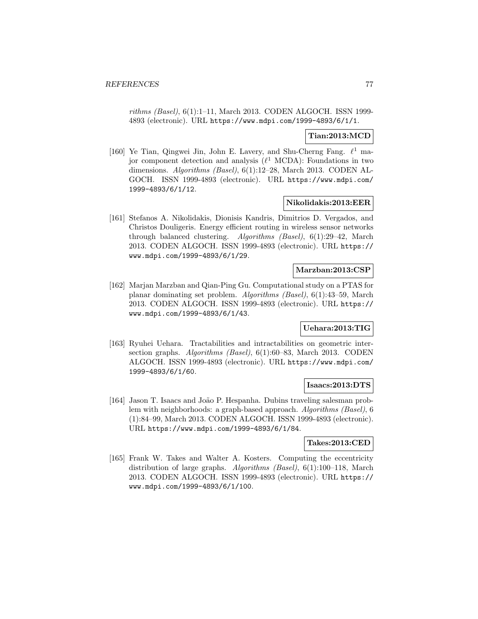rithms (Basel), 6(1):1–11, March 2013. CODEN ALGOCH. ISSN 1999- 4893 (electronic). URL https://www.mdpi.com/1999-4893/6/1/1.

## **Tian:2013:MCD**

[160] Ye Tian, Qingwei Jin, John E. Lavery, and Shu-Cherng Fang.  $\ell^1$  major component detection and analysis  $(\ell^1 \text{ MCDA})$ : Foundations in two dimensions. Algorithms (Basel), 6(1):12–28, March 2013. CODEN AL-GOCH. ISSN 1999-4893 (electronic). URL https://www.mdpi.com/ 1999-4893/6/1/12.

#### **Nikolidakis:2013:EER**

[161] Stefanos A. Nikolidakis, Dionisis Kandris, Dimitrios D. Vergados, and Christos Douligeris. Energy efficient routing in wireless sensor networks through balanced clustering. Algorithms (Basel), 6(1):29–42, March 2013. CODEN ALGOCH. ISSN 1999-4893 (electronic). URL https:// www.mdpi.com/1999-4893/6/1/29.

### **Marzban:2013:CSP**

[162] Marjan Marzban and Qian-Ping Gu. Computational study on a PTAS for planar dominating set problem. Algorithms (Basel), 6(1):43–59, March 2013. CODEN ALGOCH. ISSN 1999-4893 (electronic). URL https:// www.mdpi.com/1999-4893/6/1/43.

## **Uehara:2013:TIG**

[163] Ryuhei Uehara. Tractabilities and intractabilities on geometric intersection graphs. Algorithms (Basel), 6(1):60–83, March 2013. CODEN ALGOCH. ISSN 1999-4893 (electronic). URL https://www.mdpi.com/ 1999-4893/6/1/60.

### **Isaacs:2013:DTS**

[164] Jason T. Isaacs and João P. Hespanha. Dubins traveling salesman problem with neighborhoods: a graph-based approach. Algorithms (Basel), 6 (1):84–99, March 2013. CODEN ALGOCH. ISSN 1999-4893 (electronic). URL https://www.mdpi.com/1999-4893/6/1/84.

#### **Takes:2013:CED**

[165] Frank W. Takes and Walter A. Kosters. Computing the eccentricity distribution of large graphs. Algorithms (Basel), 6(1):100–118, March 2013. CODEN ALGOCH. ISSN 1999-4893 (electronic). URL https:// www.mdpi.com/1999-4893/6/1/100.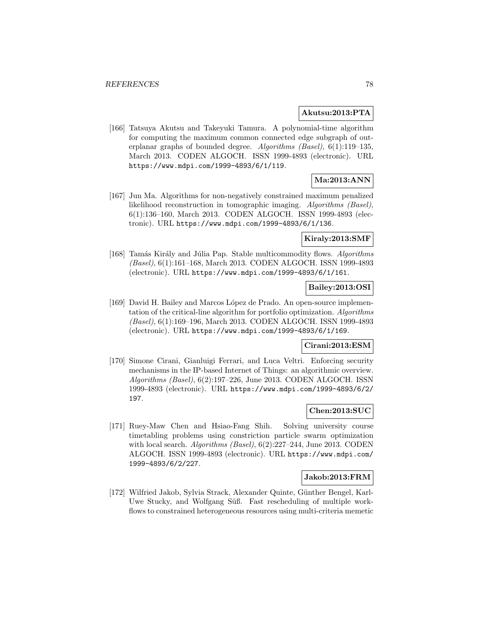#### **Akutsu:2013:PTA**

[166] Tatsuya Akutsu and Takeyuki Tamura. A polynomial-time algorithm for computing the maximum common connected edge subgraph of outerplanar graphs of bounded degree. Algorithms (Basel), 6(1):119–135, March 2013. CODEN ALGOCH. ISSN 1999-4893 (electronic). URL https://www.mdpi.com/1999-4893/6/1/119.

# **Ma:2013:ANN**

[167] Jun Ma. Algorithms for non-negatively constrained maximum penalized likelihood reconstruction in tomographic imaging. Algorithms (Basel), 6(1):136–160, March 2013. CODEN ALGOCH. ISSN 1999-4893 (electronic). URL https://www.mdpi.com/1999-4893/6/1/136.

### **Kiraly:2013:SMF**

[168] Tamás Király and Júlia Pap. Stable multicommodity flows. Algorithms (Basel), 6(1):161–168, March 2013. CODEN ALGOCH. ISSN 1999-4893 (electronic). URL https://www.mdpi.com/1999-4893/6/1/161.

### **Bailey:2013:OSI**

[169] David H. Bailey and Marcos L´opez de Prado. An open-source implementation of the critical-line algorithm for portfolio optimization. Algorithms (Basel), 6(1):169–196, March 2013. CODEN ALGOCH. ISSN 1999-4893 (electronic). URL https://www.mdpi.com/1999-4893/6/1/169.

### **Cirani:2013:ESM**

[170] Simone Cirani, Gianluigi Ferrari, and Luca Veltri. Enforcing security mechanisms in the IP-based Internet of Things: an algorithmic overview. Algorithms (Basel), 6(2):197–226, June 2013. CODEN ALGOCH. ISSN 1999-4893 (electronic). URL https://www.mdpi.com/1999-4893/6/2/ 197.

## **Chen:2013:SUC**

[171] Ruey-Maw Chen and Hsiao-Fang Shih. Solving university course timetabling problems using constriction particle swarm optimization with local search. Algorithms (Basel),  $6(2):227-244$ , June 2013. CODEN ALGOCH. ISSN 1999-4893 (electronic). URL https://www.mdpi.com/ 1999-4893/6/2/227.

## **Jakob:2013:FRM**

[172] Wilfried Jakob, Sylvia Strack, Alexander Quinte, Günther Bengel, Karl-Uwe Stucky, and Wolfgang Süß. Fast rescheduling of multiple workflows to constrained heterogeneous resources using multi-criteria memetic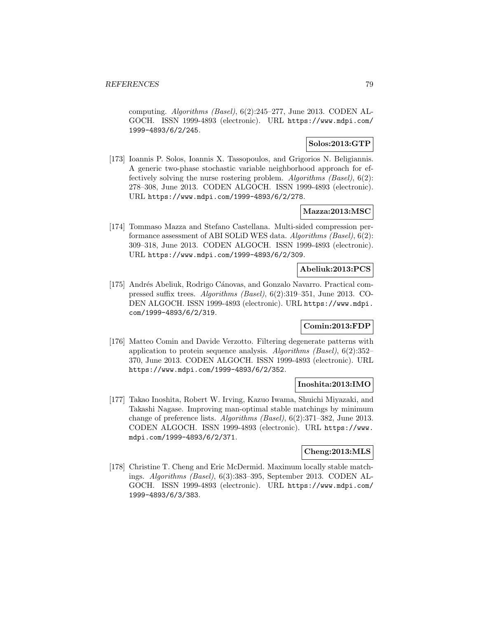computing. Algorithms (Basel), 6(2):245–277, June 2013. CODEN AL-GOCH. ISSN 1999-4893 (electronic). URL https://www.mdpi.com/ 1999-4893/6/2/245.

### **Solos:2013:GTP**

[173] Ioannis P. Solos, Ioannis X. Tassopoulos, and Grigorios N. Beligiannis. A generic two-phase stochastic variable neighborhood approach for effectively solving the nurse rostering problem. Algorithms (Basel), 6(2): 278–308, June 2013. CODEN ALGOCH. ISSN 1999-4893 (electronic). URL https://www.mdpi.com/1999-4893/6/2/278.

## **Mazza:2013:MSC**

[174] Tommaso Mazza and Stefano Castellana. Multi-sided compression performance assessment of ABI SOLiD WES data. Algorithms (Basel), 6(2): 309–318, June 2013. CODEN ALGOCH. ISSN 1999-4893 (electronic). URL https://www.mdpi.com/1999-4893/6/2/309.

## **Abeliuk:2013:PCS**

[175] Andrés Abeliuk, Rodrigo Cánovas, and Gonzalo Navarro. Practical compressed suffix trees. Algorithms (Basel), 6(2):319–351, June 2013. CO-DEN ALGOCH. ISSN 1999-4893 (electronic). URL https://www.mdpi. com/1999-4893/6/2/319.

# **Comin:2013:FDP**

[176] Matteo Comin and Davide Verzotto. Filtering degenerate patterns with application to protein sequence analysis. Algorithms (Basel), 6(2):352– 370, June 2013. CODEN ALGOCH. ISSN 1999-4893 (electronic). URL https://www.mdpi.com/1999-4893/6/2/352.

#### **Inoshita:2013:IMO**

[177] Takao Inoshita, Robert W. Irving, Kazuo Iwama, Shuichi Miyazaki, and Takashi Nagase. Improving man-optimal stable matchings by minimum change of preference lists. Algorithms (Basel), 6(2):371–382, June 2013. CODEN ALGOCH. ISSN 1999-4893 (electronic). URL https://www. mdpi.com/1999-4893/6/2/371.

## **Cheng:2013:MLS**

[178] Christine T. Cheng and Eric McDermid. Maximum locally stable matchings. Algorithms (Basel), 6(3):383–395, September 2013. CODEN AL-GOCH. ISSN 1999-4893 (electronic). URL https://www.mdpi.com/ 1999-4893/6/3/383.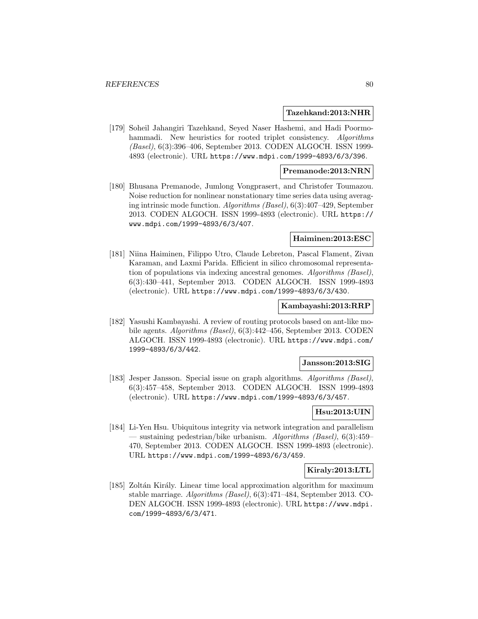#### **Tazehkand:2013:NHR**

[179] Soheil Jahangiri Tazehkand, Seyed Naser Hashemi, and Hadi Poormohammadi. New heuristics for rooted triplet consistency. Algorithms (Basel), 6(3):396–406, September 2013. CODEN ALGOCH. ISSN 1999- 4893 (electronic). URL https://www.mdpi.com/1999-4893/6/3/396.

#### **Premanode:2013:NRN**

[180] Bhusana Premanode, Jumlong Vongprasert, and Christofer Toumazou. Noise reduction for nonlinear nonstationary time series data using averaging intrinsic mode function. Algorithms (Basel), 6(3):407–429, September 2013. CODEN ALGOCH. ISSN 1999-4893 (electronic). URL https:// www.mdpi.com/1999-4893/6/3/407.

#### **Haiminen:2013:ESC**

[181] Niina Haiminen, Filippo Utro, Claude Lebreton, Pascal Flament, Zivan Karaman, and Laxmi Parida. Efficient in silico chromosomal representation of populations via indexing ancestral genomes. Algorithms (Basel), 6(3):430–441, September 2013. CODEN ALGOCH. ISSN 1999-4893 (electronic). URL https://www.mdpi.com/1999-4893/6/3/430.

#### **Kambayashi:2013:RRP**

[182] Yasushi Kambayashi. A review of routing protocols based on ant-like mobile agents. Algorithms (Basel), 6(3):442–456, September 2013. CODEN ALGOCH. ISSN 1999-4893 (electronic). URL https://www.mdpi.com/ 1999-4893/6/3/442.

#### **Jansson:2013:SIG**

[183] Jesper Jansson. Special issue on graph algorithms. Algorithms (Basel), 6(3):457–458, September 2013. CODEN ALGOCH. ISSN 1999-4893 (electronic). URL https://www.mdpi.com/1999-4893/6/3/457.

## **Hsu:2013:UIN**

[184] Li-Yen Hsu. Ubiquitous integrity via network integration and parallelism — sustaining pedestrian/bike urbanism. Algorithms (Basel),  $6(3):459-$ 470, September 2013. CODEN ALGOCH. ISSN 1999-4893 (electronic). URL https://www.mdpi.com/1999-4893/6/3/459.

### **Kiraly:2013:LTL**

[185] Zoltán Király. Linear time local approximation algorithm for maximum stable marriage. Algorithms (Basel), 6(3):471–484, September 2013. CO-DEN ALGOCH. ISSN 1999-4893 (electronic). URL https://www.mdpi. com/1999-4893/6/3/471.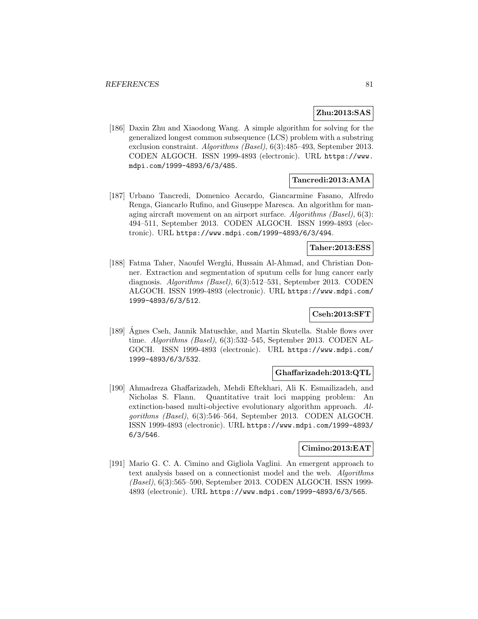## **Zhu:2013:SAS**

[186] Daxin Zhu and Xiaodong Wang. A simple algorithm for solving for the generalized longest common subsequence (LCS) problem with a substring exclusion constraint. Algorithms (Basel), 6(3):485–493, September 2013. CODEN ALGOCH. ISSN 1999-4893 (electronic). URL https://www. mdpi.com/1999-4893/6/3/485.

## **Tancredi:2013:AMA**

[187] Urbano Tancredi, Domenico Accardo, Giancarmine Fasano, Alfredo Renga, Giancarlo Rufino, and Giuseppe Maresca. An algorithm for managing aircraft movement on an airport surface. Algorithms (Basel), 6(3): 494–511, September 2013. CODEN ALGOCH. ISSN 1999-4893 (electronic). URL https://www.mdpi.com/1999-4893/6/3/494.

### **Taher:2013:ESS**

[188] Fatma Taher, Naoufel Werghi, Hussain Al-Ahmad, and Christian Donner. Extraction and segmentation of sputum cells for lung cancer early diagnosis. Algorithms (Basel), 6(3):512–531, September 2013. CODEN ALGOCH. ISSN 1999-4893 (electronic). URL https://www.mdpi.com/ 1999-4893/6/3/512.

## **Cseh:2013:SFT**

[189] Agnes Cseh, Jannik Matuschke, and Martin Skutella. Stable flows over ´ time. Algorithms (Basel), 6(3):532–545, September 2013. CODEN AL-GOCH. ISSN 1999-4893 (electronic). URL https://www.mdpi.com/ 1999-4893/6/3/532.

### **Ghaffarizadeh:2013:QTL**

[190] Ahmadreza Ghaffarizadeh, Mehdi Eftekhari, Ali K. Esmailizadeh, and Nicholas S. Flann. Quantitative trait loci mapping problem: An extinction-based multi-objective evolutionary algorithm approach. Algorithms (Basel), 6(3):546–564, September 2013. CODEN ALGOCH. ISSN 1999-4893 (electronic). URL https://www.mdpi.com/1999-4893/ 6/3/546.

#### **Cimino:2013:EAT**

[191] Mario G. C. A. Cimino and Gigliola Vaglini. An emergent approach to text analysis based on a connectionist model and the web. Algorithms (Basel), 6(3):565–590, September 2013. CODEN ALGOCH. ISSN 1999- 4893 (electronic). URL https://www.mdpi.com/1999-4893/6/3/565.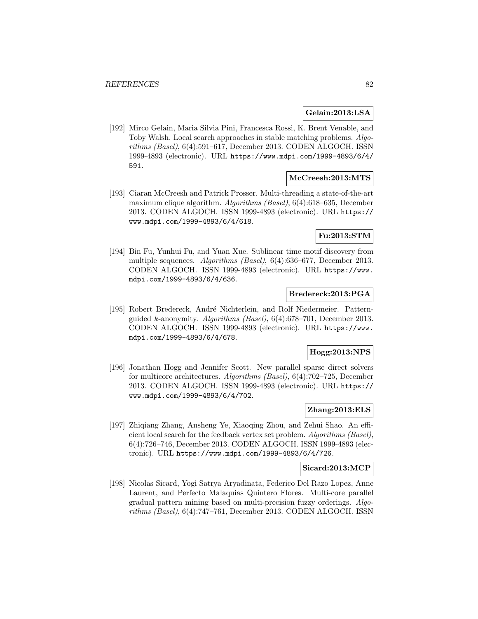#### **Gelain:2013:LSA**

[192] Mirco Gelain, Maria Silvia Pini, Francesca Rossi, K. Brent Venable, and Toby Walsh. Local search approaches in stable matching problems. Algorithms (Basel), 6(4):591–617, December 2013. CODEN ALGOCH. ISSN 1999-4893 (electronic). URL https://www.mdpi.com/1999-4893/6/4/ 591.

## **McCreesh:2013:MTS**

[193] Ciaran McCreesh and Patrick Prosser. Multi-threading a state-of-the-art maximum clique algorithm. Algorithms (Basel), 6(4):618–635, December 2013. CODEN ALGOCH. ISSN 1999-4893 (electronic). URL https:// www.mdpi.com/1999-4893/6/4/618.

# **Fu:2013:STM**

[194] Bin Fu, Yunhui Fu, and Yuan Xue. Sublinear time motif discovery from multiple sequences. Algorithms (Basel), 6(4):636–677, December 2013. CODEN ALGOCH. ISSN 1999-4893 (electronic). URL https://www. mdpi.com/1999-4893/6/4/636.

#### **Bredereck:2013:PGA**

[195] Robert Bredereck, André Nichterlein, and Rolf Niedermeier. Patternguided *k*-anonymity. *Algorithms (Basel)*,  $6(4):678-701$ , December 2013. CODEN ALGOCH. ISSN 1999-4893 (electronic). URL https://www. mdpi.com/1999-4893/6/4/678.

## **Hogg:2013:NPS**

[196] Jonathan Hogg and Jennifer Scott. New parallel sparse direct solvers for multicore architectures. Algorithms (Basel), 6(4):702–725, December 2013. CODEN ALGOCH. ISSN 1999-4893 (electronic). URL https:// www.mdpi.com/1999-4893/6/4/702.

### **Zhang:2013:ELS**

[197] Zhiqiang Zhang, Ansheng Ye, Xiaoqing Zhou, and Zehui Shao. An efficient local search for the feedback vertex set problem. Algorithms (Basel), 6(4):726–746, December 2013. CODEN ALGOCH. ISSN 1999-4893 (electronic). URL https://www.mdpi.com/1999-4893/6/4/726.

### **Sicard:2013:MCP**

[198] Nicolas Sicard, Yogi Satrya Aryadinata, Federico Del Razo Lopez, Anne Laurent, and Perfecto Malaquias Quintero Flores. Multi-core parallel gradual pattern mining based on multi-precision fuzzy orderings. Algorithms (Basel), 6(4):747–761, December 2013. CODEN ALGOCH. ISSN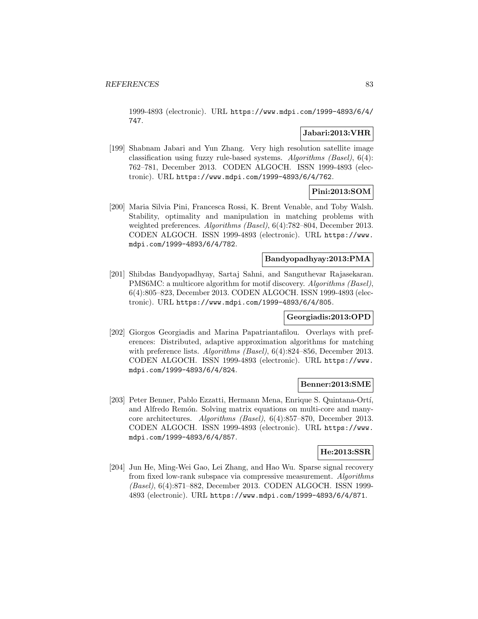1999-4893 (electronic). URL https://www.mdpi.com/1999-4893/6/4/ 747.

## **Jabari:2013:VHR**

[199] Shabnam Jabari and Yun Zhang. Very high resolution satellite image classification using fuzzy rule-based systems. Algorithms (Basel), 6(4): 762–781, December 2013. CODEN ALGOCH. ISSN 1999-4893 (electronic). URL https://www.mdpi.com/1999-4893/6/4/762.

## **Pini:2013:SOM**

[200] Maria Silvia Pini, Francesca Rossi, K. Brent Venable, and Toby Walsh. Stability, optimality and manipulation in matching problems with weighted preferences. Algorithms (Basel), 6(4):782-804, December 2013. CODEN ALGOCH. ISSN 1999-4893 (electronic). URL https://www. mdpi.com/1999-4893/6/4/782.

## **Bandyopadhyay:2013:PMA**

[201] Shibdas Bandyopadhyay, Sartaj Sahni, and Sanguthevar Rajasekaran. PMS6MC: a multicore algorithm for motif discovery. Algorithms (Basel), 6(4):805–823, December 2013. CODEN ALGOCH. ISSN 1999-4893 (electronic). URL https://www.mdpi.com/1999-4893/6/4/805.

### **Georgiadis:2013:OPD**

[202] Giorgos Georgiadis and Marina Papatriantafilou. Overlays with preferences: Distributed, adaptive approximation algorithms for matching with preference lists. Algorithms (Basel), 6(4):824–856, December 2013. CODEN ALGOCH. ISSN 1999-4893 (electronic). URL https://www. mdpi.com/1999-4893/6/4/824.

#### **Benner:2013:SME**

[203] Peter Benner, Pablo Ezzatti, Hermann Mena, Enrique S. Quintana-Ortí, and Alfredo Remón. Solving matrix equations on multi-core and manycore architectures. Algorithms (Basel), 6(4):857–870, December 2013. CODEN ALGOCH. ISSN 1999-4893 (electronic). URL https://www. mdpi.com/1999-4893/6/4/857.

## **He:2013:SSR**

[204] Jun He, Ming-Wei Gao, Lei Zhang, and Hao Wu. Sparse signal recovery from fixed low-rank subspace via compressive measurement. Algorithms (Basel), 6(4):871–882, December 2013. CODEN ALGOCH. ISSN 1999- 4893 (electronic). URL https://www.mdpi.com/1999-4893/6/4/871.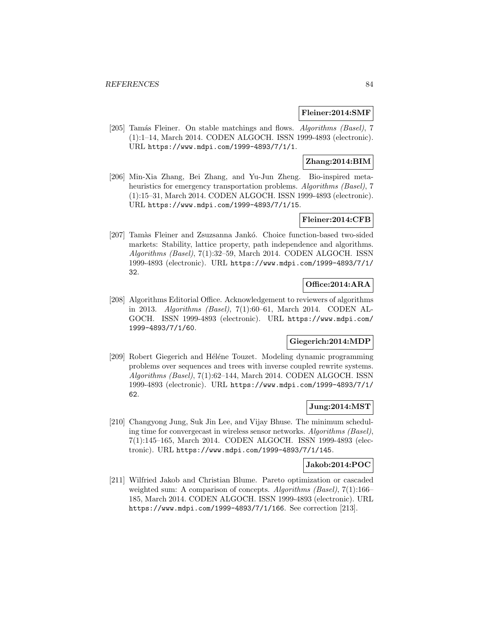### **Fleiner:2014:SMF**

[205] Tamás Fleiner. On stable matchings and flows. Algorithms (Basel), 7 (1):1–14, March 2014. CODEN ALGOCH. ISSN 1999-4893 (electronic). URL https://www.mdpi.com/1999-4893/7/1/1.

## **Zhang:2014:BIM**

[206] Min-Xia Zhang, Bei Zhang, and Yu-Jun Zheng. Bio-inspired metaheuristics for emergency transportation problems. Algorithms (Basel), 7 (1):15–31, March 2014. CODEN ALGOCH. ISSN 1999-4893 (electronic). URL https://www.mdpi.com/1999-4893/7/1/15.

## **Fleiner:2014:CFB**

[207] Tamàs Fleiner and Zsuzsanna Jankó. Choice function-based two-sided markets: Stability, lattice property, path independence and algorithms. Algorithms (Basel), 7(1):32–59, March 2014. CODEN ALGOCH. ISSN 1999-4893 (electronic). URL https://www.mdpi.com/1999-4893/7/1/ 32.

## **Office:2014:ARA**

[208] Algorithms Editorial Office. Acknowledgement to reviewers of algorithms in 2013. Algorithms (Basel), 7(1):60–61, March 2014. CODEN AL-GOCH. ISSN 1999-4893 (electronic). URL https://www.mdpi.com/ 1999-4893/7/1/60.

### **Giegerich:2014:MDP**

[209] Robert Giegerich and Héléne Touzet. Modeling dynamic programming problems over sequences and trees with inverse coupled rewrite systems. Algorithms (Basel), 7(1):62–144, March 2014. CODEN ALGOCH. ISSN 1999-4893 (electronic). URL https://www.mdpi.com/1999-4893/7/1/ 62.

## **Jung:2014:MST**

[210] Changyong Jung, Suk Jin Lee, and Vijay Bhuse. The minimum scheduling time for convergecast in wireless sensor networks. Algorithms (Basel), 7(1):145–165, March 2014. CODEN ALGOCH. ISSN 1999-4893 (electronic). URL https://www.mdpi.com/1999-4893/7/1/145.

# **Jakob:2014:POC**

[211] Wilfried Jakob and Christian Blume. Pareto optimization or cascaded weighted sum: A comparison of concepts. Algorithms (Basel), 7(1):166– 185, March 2014. CODEN ALGOCH. ISSN 1999-4893 (electronic). URL https://www.mdpi.com/1999-4893/7/1/166. See correction [213].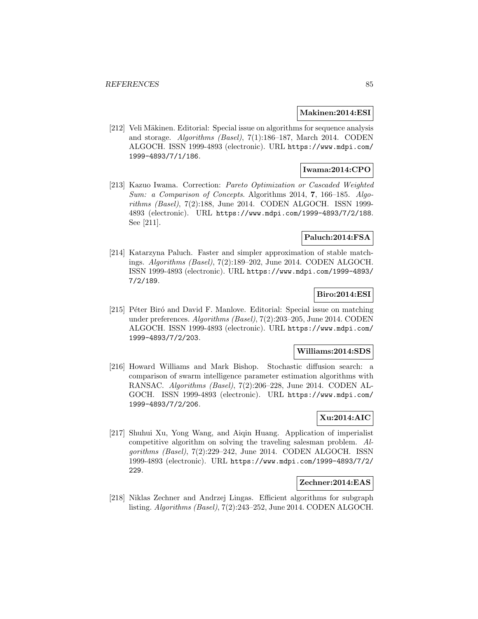#### **Makinen:2014:ESI**

[212] Veli Mäkinen. Editorial: Special issue on algorithms for sequence analysis and storage. Algorithms (Basel), 7(1):186–187, March 2014. CODEN ALGOCH. ISSN 1999-4893 (electronic). URL https://www.mdpi.com/ 1999-4893/7/1/186.

# **Iwama:2014:CPO**

[213] Kazuo Iwama. Correction: Pareto Optimization or Cascaded Weighted Sum: a Comparison of Concepts. Algorithms 2014, **7**, 166–185. Algorithms (Basel), 7(2):188, June 2014. CODEN ALGOCH. ISSN 1999- 4893 (electronic). URL https://www.mdpi.com/1999-4893/7/2/188. See [211].

## **Paluch:2014:FSA**

[214] Katarzyna Paluch. Faster and simpler approximation of stable matchings. Algorithms (Basel), 7(2):189–202, June 2014. CODEN ALGOCH. ISSN 1999-4893 (electronic). URL https://www.mdpi.com/1999-4893/ 7/2/189.

## **Biro:2014:ESI**

[215] Péter Biró and David F. Manlove. Editorial: Special issue on matching under preferences. Algorithms (Basel), 7(2):203–205, June 2014. CODEN ALGOCH. ISSN 1999-4893 (electronic). URL https://www.mdpi.com/ 1999-4893/7/2/203.

## **Williams:2014:SDS**

[216] Howard Williams and Mark Bishop. Stochastic diffusion search: a comparison of swarm intelligence parameter estimation algorithms with RANSAC. Algorithms (Basel), 7(2):206–228, June 2014. CODEN AL-GOCH. ISSN 1999-4893 (electronic). URL https://www.mdpi.com/ 1999-4893/7/2/206.

### **Xu:2014:AIC**

[217] Shuhui Xu, Yong Wang, and Aiqin Huang. Application of imperialist competitive algorithm on solving the traveling salesman problem. Algorithms (Basel), 7(2):229–242, June 2014. CODEN ALGOCH. ISSN 1999-4893 (electronic). URL https://www.mdpi.com/1999-4893/7/2/ 229.

#### **Zechner:2014:EAS**

[218] Niklas Zechner and Andrzej Lingas. Efficient algorithms for subgraph listing. Algorithms (Basel), 7(2):243–252, June 2014. CODEN ALGOCH.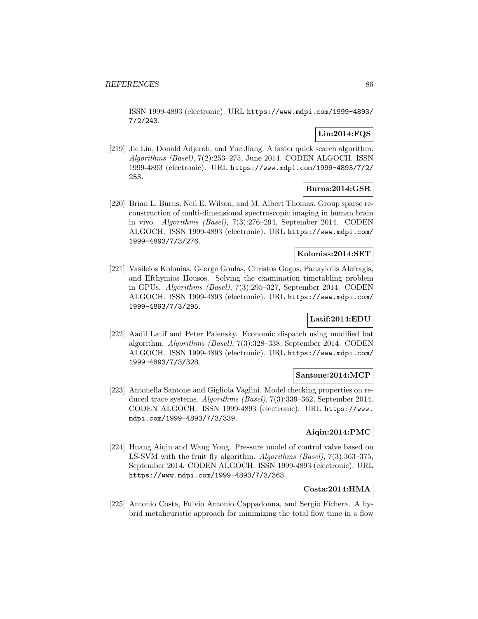ISSN 1999-4893 (electronic). URL https://www.mdpi.com/1999-4893/ 7/2/243.

## **Lin:2014:FQS**

[219] Jie Lin, Donald Adjeroh, and Yue Jiang. A faster quick search algorithm. Algorithms (Basel), 7(2):253–275, June 2014. CODEN ALGOCH. ISSN 1999-4893 (electronic). URL https://www.mdpi.com/1999-4893/7/2/ 253.

## **Burns:2014:GSR**

[220] Brian L. Burns, Neil E. Wilson, and M. Albert Thomas. Group sparse reconstruction of multi-dimensional spectroscopic imaging in human brain in vivo. Algorithms (Basel), 7(3):276–294, September 2014. CODEN ALGOCH. ISSN 1999-4893 (electronic). URL https://www.mdpi.com/ 1999-4893/7/3/276.

## **Kolonias:2014:SET**

[221] Vasileios Kolonias, George Goulas, Christos Gogos, Panayiotis Alefragis, and Efthymios Housos. Solving the examination timetabling problem in GPUs. Algorithms (Basel), 7(3):295–327, September 2014. CODEN ALGOCH. ISSN 1999-4893 (electronic). URL https://www.mdpi.com/ 1999-4893/7/3/295.

## **Latif:2014:EDU**

[222] Aadil Latif and Peter Palensky. Economic dispatch using modified bat algorithm. Algorithms (Basel), 7(3):328–338, September 2014. CODEN ALGOCH. ISSN 1999-4893 (electronic). URL https://www.mdpi.com/ 1999-4893/7/3/328.

### **Santone:2014:MCP**

[223] Antonella Santone and Gigliola Vaglini. Model checking properties on reduced trace systems. Algorithms (Basel), 7(3):339–362, September 2014. CODEN ALGOCH. ISSN 1999-4893 (electronic). URL https://www. mdpi.com/1999-4893/7/3/339.

## **Aiqin:2014:PMC**

[224] Huang Aiqin and Wang Yong. Pressure model of control valve based on LS-SVM with the fruit fly algorithm. Algorithms (Basel), 7(3):363–375, September 2014. CODEN ALGOCH. ISSN 1999-4893 (electronic). URL https://www.mdpi.com/1999-4893/7/3/363.

## **Costa:2014:HMA**

[225] Antonio Costa, Fulvio Antonio Cappadonna, and Sergio Fichera. A hybrid metaheuristic approach for minimizing the total flow time in a flow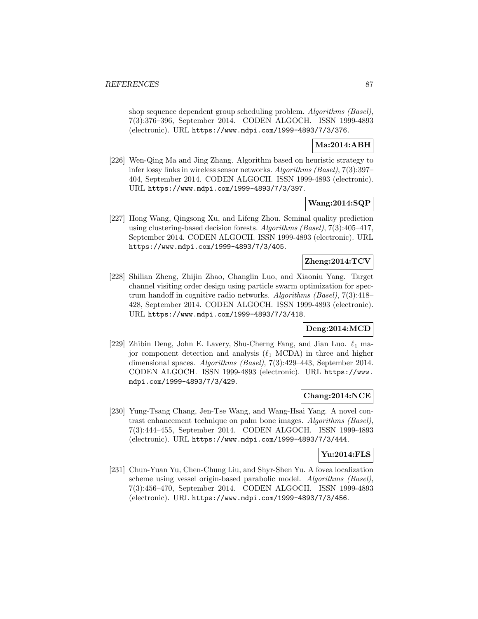shop sequence dependent group scheduling problem. Algorithms (Basel), 7(3):376–396, September 2014. CODEN ALGOCH. ISSN 1999-4893 (electronic). URL https://www.mdpi.com/1999-4893/7/3/376.

### **Ma:2014:ABH**

[226] Wen-Qing Ma and Jing Zhang. Algorithm based on heuristic strategy to infer lossy links in wireless sensor networks. Algorithms (Basel), 7(3):397– 404, September 2014. CODEN ALGOCH. ISSN 1999-4893 (electronic). URL https://www.mdpi.com/1999-4893/7/3/397.

## **Wang:2014:SQP**

[227] Hong Wang, Qingsong Xu, and Lifeng Zhou. Seminal quality prediction using clustering-based decision forests. Algorithms (Basel), 7(3):405–417, September 2014. CODEN ALGOCH. ISSN 1999-4893 (electronic). URL https://www.mdpi.com/1999-4893/7/3/405.

## **Zheng:2014:TCV**

[228] Shilian Zheng, Zhijin Zhao, Changlin Luo, and Xiaoniu Yang. Target channel visiting order design using particle swarm optimization for spectrum handoff in cognitive radio networks. Algorithms (Basel), 7(3):418– 428, September 2014. CODEN ALGOCH. ISSN 1999-4893 (electronic). URL https://www.mdpi.com/1999-4893/7/3/418.

## **Deng:2014:MCD**

[229] Zhibin Deng, John E. Lavery, Shu-Cherng Fang, and Jian Luo.  $\ell_1$  major component detection and analysis  $(\ell_1 \text{ MCDA})$  in three and higher dimensional spaces. Algorithms (Basel), 7(3):429–443, September 2014. CODEN ALGOCH. ISSN 1999-4893 (electronic). URL https://www. mdpi.com/1999-4893/7/3/429.

### **Chang:2014:NCE**

[230] Yung-Tsang Chang, Jen-Tse Wang, and Wang-Hsai Yang. A novel contrast enhancement technique on palm bone images. Algorithms (Basel), 7(3):444–455, September 2014. CODEN ALGOCH. ISSN 1999-4893 (electronic). URL https://www.mdpi.com/1999-4893/7/3/444.

### **Yu:2014:FLS**

[231] Chun-Yuan Yu, Chen-Chung Liu, and Shyr-Shen Yu. A fovea localization scheme using vessel origin-based parabolic model. Algorithms (Basel), 7(3):456–470, September 2014. CODEN ALGOCH. ISSN 1999-4893 (electronic). URL https://www.mdpi.com/1999-4893/7/3/456.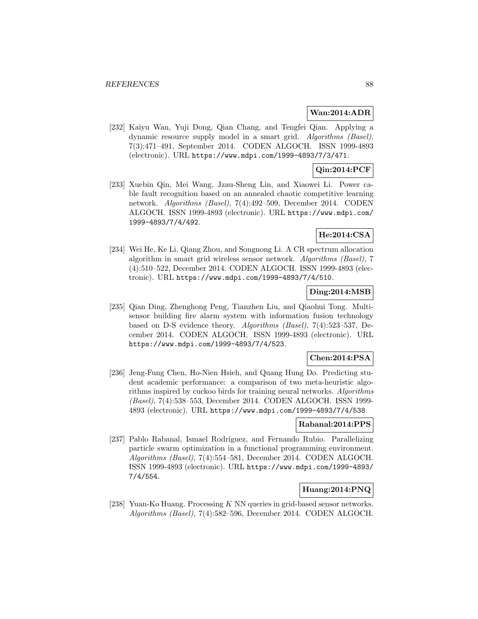### **Wan:2014:ADR**

[232] Kaiyu Wan, Yuji Dong, Qian Chang, and Tengfei Qian. Applying a dynamic resource supply model in a smart grid. Algorithms (Basel), 7(3):471–491, September 2014. CODEN ALGOCH. ISSN 1999-4893 (electronic). URL https://www.mdpi.com/1999-4893/7/3/471.

# **Qin:2014:PCF**

[233] Xuebin Qin, Mei Wang, Jzau-Sheng Lin, and Xiaowei Li. Power cable fault recognition based on an annealed chaotic competitive learning network. Algorithms (Basel), 7(4):492–509, December 2014. CODEN ALGOCH. ISSN 1999-4893 (electronic). URL https://www.mdpi.com/ 1999-4893/7/4/492.

# **He:2014:CSA**

[234] Wei He, Ke Li, Qiang Zhou, and Songnong Li. A CR spectrum allocation algorithm in smart grid wireless sensor network. Algorithms (Basel), 7 (4):510–522, December 2014. CODEN ALGOCH. ISSN 1999-4893 (electronic). URL https://www.mdpi.com/1999-4893/7/4/510.

## **Ding:2014:MSB**

[235] Qian Ding, Zhenghong Peng, Tianzhen Liu, and Qiaohui Tong. Multisensor building fire alarm system with information fusion technology based on D-S evidence theory. Algorithms (Basel), 7(4):523–537, December 2014. CODEN ALGOCH. ISSN 1999-4893 (electronic). URL https://www.mdpi.com/1999-4893/7/4/523.

## **Chen:2014:PSA**

[236] Jeng-Fung Chen, Ho-Nien Hsieh, and Quang Hung Do. Predicting student academic performance: a comparison of two meta-heuristic algorithms inspired by cuckoo birds for training neural networks. Algorithms (Basel), 7(4):538–553, December 2014. CODEN ALGOCH. ISSN 1999- 4893 (electronic). URL https://www.mdpi.com/1999-4893/7/4/538.

## **Rabanal:2014:PPS**

[237] Pablo Rabanal, Ismael Rodríguez, and Fernando Rubio. Parallelizing particle swarm optimization in a functional programming environment. Algorithms (Basel), 7(4):554–581, December 2014. CODEN ALGOCH. ISSN 1999-4893 (electronic). URL https://www.mdpi.com/1999-4893/ 7/4/554.

## **Huang:2014:PNQ**

[238] Yuan-Ko Huang. Processing K NN queries in grid-based sensor networks. Algorithms (Basel), 7(4):582–596, December 2014. CODEN ALGOCH.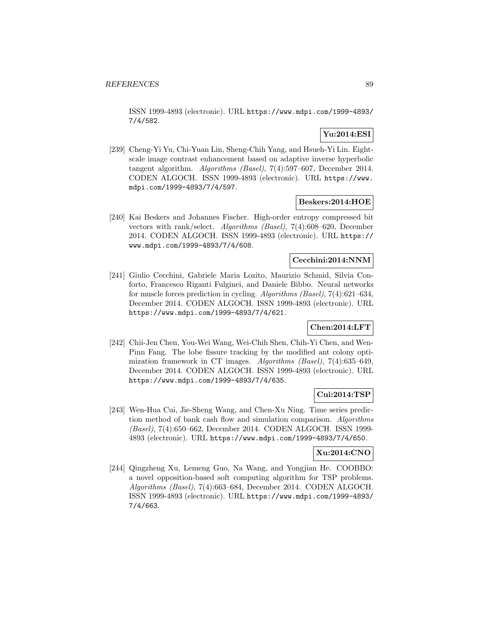ISSN 1999-4893 (electronic). URL https://www.mdpi.com/1999-4893/ 7/4/582.

# **Yu:2014:ESI**

[239] Cheng-Yi Yu, Chi-Yuan Lin, Sheng-Chih Yang, and Hsueh-Yi Lin. Eightscale image contrast enhancement based on adaptive inverse hyperbolic tangent algorithm. Algorithms (Basel), 7(4):597–607, December 2014. CODEN ALGOCH. ISSN 1999-4893 (electronic). URL https://www. mdpi.com/1999-4893/7/4/597.

## **Beskers:2014:HOE**

[240] Kai Beskers and Johannes Fischer. High-order entropy compressed bit vectors with rank/select. Algorithms (Basel), 7(4):608–620, December 2014. CODEN ALGOCH. ISSN 1999-4893 (electronic). URL https:// www.mdpi.com/1999-4893/7/4/608.

## **Cecchini:2014:NNM**

[241] Giulio Cecchini, Gabriele Maria Lozito, Maurizio Schmid, Silvia Conforto, Francesco Riganti Fulginei, and Daniele Bibbo. Neural networks for muscle forces prediction in cycling. Algorithms (Basel), 7(4):621–634, December 2014. CODEN ALGOCH. ISSN 1999-4893 (electronic). URL https://www.mdpi.com/1999-4893/7/4/621.

## **Chen:2014:LFT**

[242] Chii-Jen Chen, You-Wei Wang, Wei-Chih Shen, Chih-Yi Chen, and Wen-Pinn Fang. The lobe fissure tracking by the modified ant colony optimization framework in CT images. Algorithms (Basel), 7(4):635–649, December 2014. CODEN ALGOCH. ISSN 1999-4893 (electronic). URL https://www.mdpi.com/1999-4893/7/4/635.

### **Cui:2014:TSP**

[243] Wen-Hua Cui, Jie-Sheng Wang, and Chen-Xu Ning. Time series prediction method of bank cash flow and simulation comparison. Algorithms (Basel), 7(4):650–662, December 2014. CODEN ALGOCH. ISSN 1999- 4893 (electronic). URL https://www.mdpi.com/1999-4893/7/4/650.

### **Xu:2014:CNO**

[244] Qingzheng Xu, Lemeng Guo, Na Wang, and Yongjian He. COOBBO: a novel opposition-based soft computing algorithm for TSP problems. Algorithms (Basel), 7(4):663–684, December 2014. CODEN ALGOCH. ISSN 1999-4893 (electronic). URL https://www.mdpi.com/1999-4893/ 7/4/663.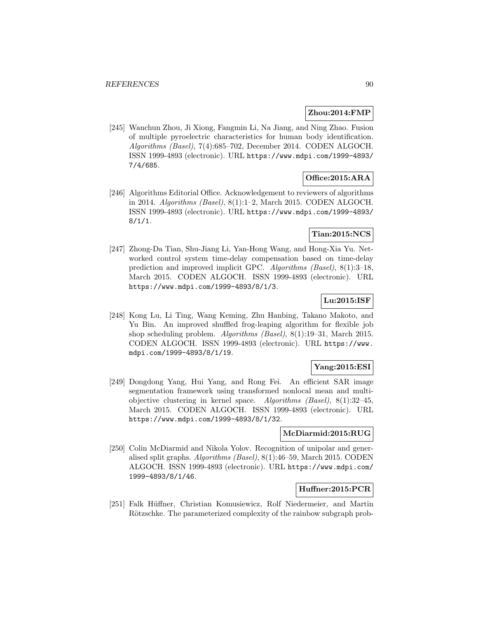### **Zhou:2014:FMP**

[245] Wanchun Zhou, Ji Xiong, Fangmin Li, Na Jiang, and Ning Zhao. Fusion of multiple pyroelectric characteristics for human body identification. Algorithms (Basel), 7(4):685–702, December 2014. CODEN ALGOCH. ISSN 1999-4893 (electronic). URL https://www.mdpi.com/1999-4893/ 7/4/685.

## **Office:2015:ARA**

[246] Algorithms Editorial Office. Acknowledgement to reviewers of algorithms in 2014. Algorithms (Basel), 8(1):1–2, March 2015. CODEN ALGOCH. ISSN 1999-4893 (electronic). URL https://www.mdpi.com/1999-4893/  $8/1/1$ .

## **Tian:2015:NCS**

[247] Zhong-Da Tian, Shu-Jiang Li, Yan-Hong Wang, and Hong-Xia Yu. Networked control system time-delay compensation based on time-delay prediction and improved implicit GPC. Algorithms (Basel), 8(1):3–18, March 2015. CODEN ALGOCH. ISSN 1999-4893 (electronic). URL https://www.mdpi.com/1999-4893/8/1/3.

## **Lu:2015:ISF**

[248] Kong Lu, Li Ting, Wang Keming, Zhu Hanbing, Takano Makoto, and Yu Bin. An improved shuffled frog-leaping algorithm for flexible job shop scheduling problem. Algorithms (Basel), 8(1):19–31, March 2015. CODEN ALGOCH. ISSN 1999-4893 (electronic). URL https://www. mdpi.com/1999-4893/8/1/19.

## **Yang:2015:ESI**

[249] Dongdong Yang, Hui Yang, and Rong Fei. An efficient SAR image segmentation framework using transformed nonlocal mean and multiobjective clustering in kernel space. Algorithms (Basel), 8(1):32–45, March 2015. CODEN ALGOCH. ISSN 1999-4893 (electronic). URL https://www.mdpi.com/1999-4893/8/1/32.

## **McDiarmid:2015:RUG**

[250] Colin McDiarmid and Nikola Yolov. Recognition of unipolar and generalised split graphs. Algorithms (Basel), 8(1):46–59, March 2015. CODEN ALGOCH. ISSN 1999-4893 (electronic). URL https://www.mdpi.com/ 1999-4893/8/1/46.

## **Huffner:2015:PCR**

[251] Falk Hüffner, Christian Komusiewicz, Rolf Niedermeier, and Martin Rötzschke. The parameterized complexity of the rainbow subgraph prob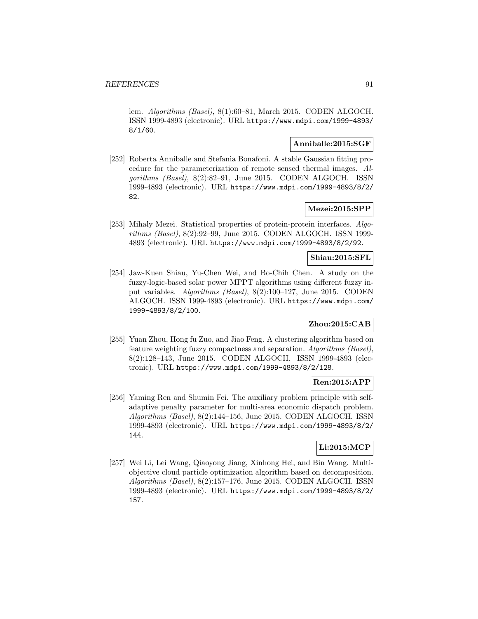lem. Algorithms (Basel), 8(1):60–81, March 2015. CODEN ALGOCH. ISSN 1999-4893 (electronic). URL https://www.mdpi.com/1999-4893/ 8/1/60.

### **Anniballe:2015:SGF**

[252] Roberta Anniballe and Stefania Bonafoni. A stable Gaussian fitting procedure for the parameterization of remote sensed thermal images. Algorithms (Basel), 8(2):82–91, June 2015. CODEN ALGOCH. ISSN 1999-4893 (electronic). URL https://www.mdpi.com/1999-4893/8/2/ 82.

## **Mezei:2015:SPP**

[253] Mihaly Mezei. Statistical properties of protein-protein interfaces. Algorithms (Basel), 8(2):92–99, June 2015. CODEN ALGOCH. ISSN 1999- 4893 (electronic). URL https://www.mdpi.com/1999-4893/8/2/92.

## **Shiau:2015:SFL**

[254] Jaw-Kuen Shiau, Yu-Chen Wei, and Bo-Chih Chen. A study on the fuzzy-logic-based solar power MPPT algorithms using different fuzzy input variables. Algorithms (Basel), 8(2):100–127, June 2015. CODEN ALGOCH. ISSN 1999-4893 (electronic). URL https://www.mdpi.com/ 1999-4893/8/2/100.

## **Zhou:2015:CAB**

[255] Yuan Zhou, Hong fu Zuo, and Jiao Feng. A clustering algorithm based on feature weighting fuzzy compactness and separation. Algorithms (Basel), 8(2):128–143, June 2015. CODEN ALGOCH. ISSN 1999-4893 (electronic). URL https://www.mdpi.com/1999-4893/8/2/128.

## **Ren:2015:APP**

[256] Yaming Ren and Shumin Fei. The auxiliary problem principle with selfadaptive penalty parameter for multi-area economic dispatch problem. Algorithms (Basel), 8(2):144–156, June 2015. CODEN ALGOCH. ISSN 1999-4893 (electronic). URL https://www.mdpi.com/1999-4893/8/2/ 144.

## **Li:2015:MCP**

[257] Wei Li, Lei Wang, Qiaoyong Jiang, Xinhong Hei, and Bin Wang. Multiobjective cloud particle optimization algorithm based on decomposition. Algorithms (Basel), 8(2):157–176, June 2015. CODEN ALGOCH. ISSN 1999-4893 (electronic). URL https://www.mdpi.com/1999-4893/8/2/ 157.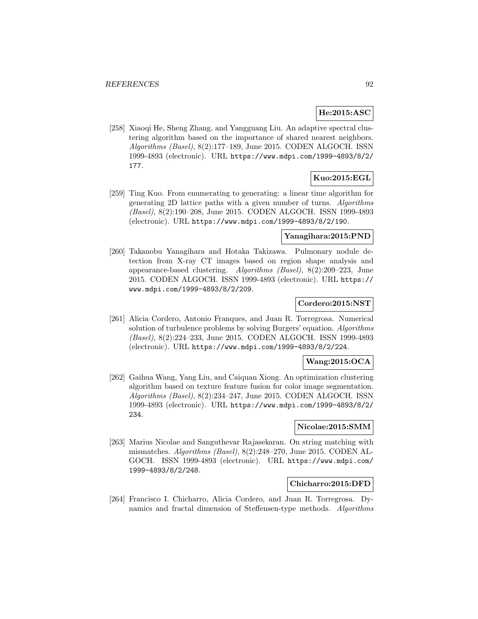## **He:2015:ASC**

[258] Xiaoqi He, Sheng Zhang, and Yangguang Liu. An adaptive spectral clustering algorithm based on the importance of shared nearest neighbors. Algorithms (Basel), 8(2):177–189, June 2015. CODEN ALGOCH. ISSN 1999-4893 (electronic). URL https://www.mdpi.com/1999-4893/8/2/ 177.

## **Kuo:2015:EGL**

[259] Ting Kuo. From enumerating to generating: a linear time algorithm for generating 2D lattice paths with a given number of turns. Algorithms (Basel), 8(2):190–208, June 2015. CODEN ALGOCH. ISSN 1999-4893 (electronic). URL https://www.mdpi.com/1999-4893/8/2/190.

### **Yanagihara:2015:PND**

[260] Takanobu Yanagihara and Hotaka Takizawa. Pulmonary nodule detection from X-ray CT images based on region shape analysis and appearance-based clustering. Algorithms (Basel), 8(2):209–223, June 2015. CODEN ALGOCH. ISSN 1999-4893 (electronic). URL https:// www.mdpi.com/1999-4893/8/2/209.

### **Cordero:2015:NST**

[261] Alicia Cordero, Antonio Franques, and Juan R. Torregrosa. Numerical solution of turbulence problems by solving Burgers' equation. Algorithms (Basel), 8(2):224–233, June 2015. CODEN ALGOCH. ISSN 1999-4893 (electronic). URL https://www.mdpi.com/1999-4893/8/2/224.

### **Wang:2015:OCA**

[262] Gaihua Wang, Yang Liu, and Caiquan Xiong. An optimization clustering algorithm based on texture feature fusion for color image segmentation. Algorithms (Basel), 8(2):234–247, June 2015. CODEN ALGOCH. ISSN 1999-4893 (electronic). URL https://www.mdpi.com/1999-4893/8/2/ 234.

#### **Nicolae:2015:SMM**

[263] Marius Nicolae and Sanguthevar Rajasekaran. On string matching with mismatches. Algorithms (Basel), 8(2):248–270, June 2015. CODEN AL-GOCH. ISSN 1999-4893 (electronic). URL https://www.mdpi.com/ 1999-4893/8/2/248.

#### **Chicharro:2015:DFD**

[264] Francisco I. Chicharro, Alicia Cordero, and Juan R. Torregrosa. Dynamics and fractal dimension of Steffensen-type methods. Algorithms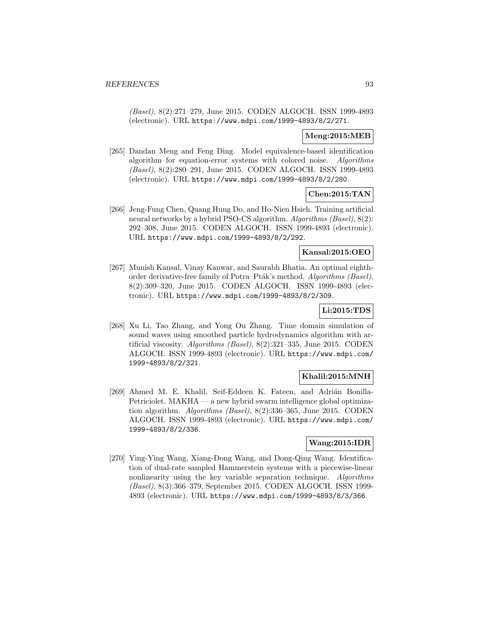(Basel), 8(2):271–279, June 2015. CODEN ALGOCH. ISSN 1999-4893 (electronic). URL https://www.mdpi.com/1999-4893/8/2/271.

## **Meng:2015:MEB**

[265] Dandan Meng and Feng Ding. Model equivalence-based identification algorithm for equation-error systems with colored noise. Algorithms (Basel), 8(2):280–291, June 2015. CODEN ALGOCH. ISSN 1999-4893 (electronic). URL https://www.mdpi.com/1999-4893/8/2/280.

## **Chen:2015:TAN**

[266] Jeng-Fung Chen, Quang Hung Do, and Ho-Nien Hsieh. Training artificial neural networks by a hybrid PSO-CS algorithm. Algorithms (Basel), 8(2): 292–308, June 2015. CODEN ALGOCH. ISSN 1999-4893 (electronic). URL https://www.mdpi.com/1999-4893/8/2/292.

### **Kansal:2015:OEO**

[267] Munish Kansal, Vinay Kanwar, and Saurabh Bhatia. An optimal eighthorder derivative-free family of Potra–Pták's method. Algorithms (Basel), 8(2):309–320, June 2015. CODEN ALGOCH. ISSN 1999-4893 (electronic). URL https://www.mdpi.com/1999-4893/8/2/309.

# **Li:2015:TDS**

[268] Xu Li, Tao Zhang, and Yong Ou Zhang. Time domain simulation of sound waves using smoothed particle hydrodynamics algorithm with artificial viscosity. Algorithms (Basel), 8(2):321–335, June 2015. CODEN ALGOCH. ISSN 1999-4893 (electronic). URL https://www.mdpi.com/ 1999-4893/8/2/321.

### **Khalil:2015:MNH**

[269] Ahmed M. E. Khalil, Seif-Eddeen K. Fateen, and Adrián Bonilla-Petriciolet. MAKHA — a new hybrid swarm intelligence global optimization algorithm. Algorithms (Basel), 8(2):336–365, June 2015. CODEN ALGOCH. ISSN 1999-4893 (electronic). URL https://www.mdpi.com/ 1999-4893/8/2/336.

## **Wang:2015:IDR**

[270] Ying-Ying Wang, Xiang-Dong Wang, and Dong-Qing Wang. Identification of dual-rate sampled Hammerstein systems with a piecewise-linear nonlinearity using the key variable separation technique. Algorithms (Basel), 8(3):366–379, September 2015. CODEN ALGOCH. ISSN 1999- 4893 (electronic). URL https://www.mdpi.com/1999-4893/8/3/366.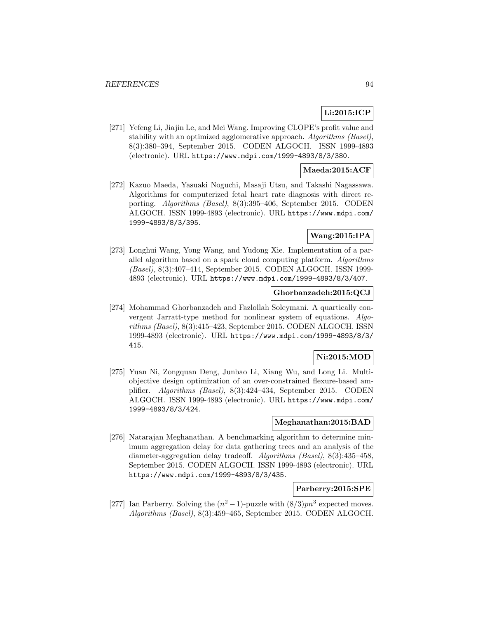# **Li:2015:ICP**

[271] Yefeng Li, Jiajin Le, and Mei Wang. Improving CLOPE's profit value and stability with an optimized agglomerative approach. Algorithms (Basel), 8(3):380–394, September 2015. CODEN ALGOCH. ISSN 1999-4893 (electronic). URL https://www.mdpi.com/1999-4893/8/3/380.

### **Maeda:2015:ACF**

[272] Kazuo Maeda, Yasuaki Noguchi, Masaji Utsu, and Takashi Nagassawa. Algorithms for computerized fetal heart rate diagnosis with direct reporting. Algorithms (Basel), 8(3):395–406, September 2015. CODEN ALGOCH. ISSN 1999-4893 (electronic). URL https://www.mdpi.com/ 1999-4893/8/3/395.

## **Wang:2015:IPA**

[273] Longhui Wang, Yong Wang, and Yudong Xie. Implementation of a parallel algorithm based on a spark cloud computing platform. Algorithms (Basel), 8(3):407–414, September 2015. CODEN ALGOCH. ISSN 1999- 4893 (electronic). URL https://www.mdpi.com/1999-4893/8/3/407.

### **Ghorbanzadeh:2015:QCJ**

[274] Mohammad Ghorbanzadeh and Fazlollah Soleymani. A quartically convergent Jarratt-type method for nonlinear system of equations. Algorithms (Basel), 8(3):415–423, September 2015. CODEN ALGOCH. ISSN 1999-4893 (electronic). URL https://www.mdpi.com/1999-4893/8/3/ 415.

## **Ni:2015:MOD**

[275] Yuan Ni, Zongquan Deng, Junbao Li, Xiang Wu, and Long Li. Multiobjective design optimization of an over-constrained flexure-based amplifier. Algorithms (Basel), 8(3):424–434, September 2015. CODEN ALGOCH. ISSN 1999-4893 (electronic). URL https://www.mdpi.com/ 1999-4893/8/3/424.

### **Meghanathan:2015:BAD**

[276] Natarajan Meghanathan. A benchmarking algorithm to determine minimum aggregation delay for data gathering trees and an analysis of the diameter-aggregation delay tradeoff. Algorithms (Basel), 8(3):435–458, September 2015. CODEN ALGOCH. ISSN 1999-4893 (electronic). URL https://www.mdpi.com/1999-4893/8/3/435.

## **Parberry:2015:SPE**

[277] Ian Parberry. Solving the  $(n^2-1)$ -puzzle with  $(8/3)pn^3$  expected moves. Algorithms (Basel), 8(3):459–465, September 2015. CODEN ALGOCH.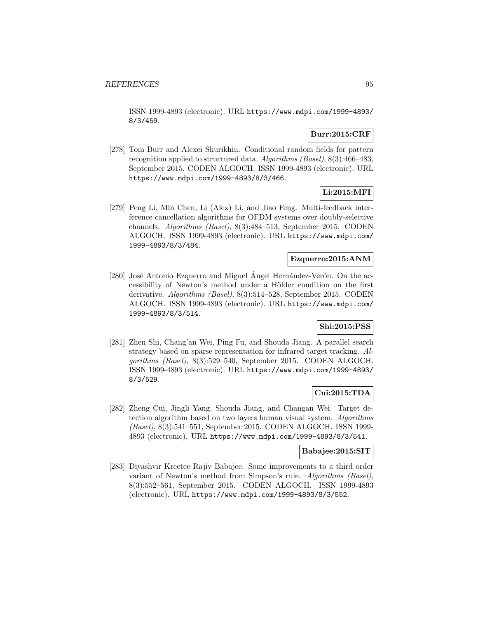ISSN 1999-4893 (electronic). URL https://www.mdpi.com/1999-4893/ 8/3/459.

### **Burr:2015:CRF**

[278] Tom Burr and Alexei Skurikhin. Conditional random fields for pattern recognition applied to structured data. Algorithms (Basel), 8(3):466–483, September 2015. CODEN ALGOCH. ISSN 1999-4893 (electronic). URL https://www.mdpi.com/1999-4893/8/3/466.

# **Li:2015:MFI**

[279] Peng Li, Min Chen, Li (Alex) Li, and Jiao Feng. Multi-feedback interference cancellation algorithms for OFDM systems over doubly-selective channels. Algorithms (Basel), 8(3):484–513, September 2015. CODEN ALGOCH. ISSN 1999-4893 (electronic). URL https://www.mdpi.com/ 1999-4893/8/3/484.

## **Ezquerro:2015:ANM**

[ $280$ ] José Antonio Ezquerro and Miguel Angel Hernández-Verón. On the accessibility of Newton's method under a Hölder condition on the first derivative. Algorithms (Basel), 8(3):514–528, September 2015. CODEN ALGOCH. ISSN 1999-4893 (electronic). URL https://www.mdpi.com/ 1999-4893/8/3/514.

# **Shi:2015:PSS**

[281] Zhen Shi, Chang'an Wei, Ping Fu, and Shouda Jiang. A parallel search strategy based on sparse representation for infrared target tracking. Algorithms (Basel), 8(3):529–540, September 2015. CODEN ALGOCH. ISSN 1999-4893 (electronic). URL https://www.mdpi.com/1999-4893/ 8/3/529.

# **Cui:2015:TDA**

[282] Zheng Cui, Jingli Yang, Shouda Jiang, and Changan Wei. Target detection algorithm based on two layers human visual system. Algorithms (Basel), 8(3):541–551, September 2015. CODEN ALGOCH. ISSN 1999- 4893 (electronic). URL https://www.mdpi.com/1999-4893/8/3/541.

## **Babajee:2015:SIT**

[283] Diyashvir Kreetee Rajiv Babajee. Some improvements to a third order variant of Newton's method from Simpson's rule. Algorithms (Basel), 8(3):552–561, September 2015. CODEN ALGOCH. ISSN 1999-4893 (electronic). URL https://www.mdpi.com/1999-4893/8/3/552.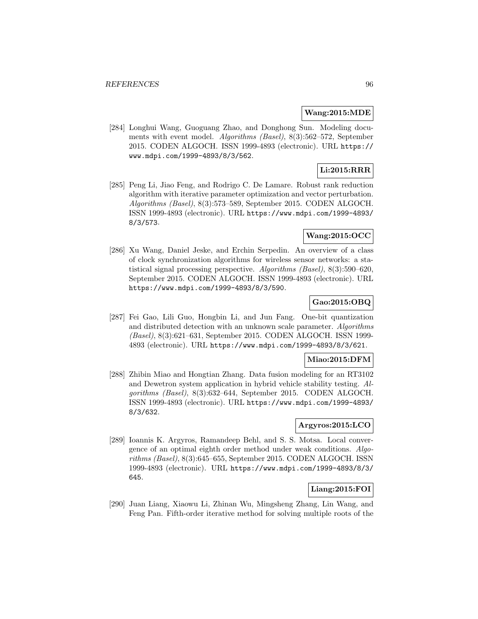#### **Wang:2015:MDE**

[284] Longhui Wang, Guoguang Zhao, and Donghong Sun. Modeling documents with event model. Algorithms (Basel), 8(3):562–572, September 2015. CODEN ALGOCH. ISSN 1999-4893 (electronic). URL https:// www.mdpi.com/1999-4893/8/3/562.

## **Li:2015:RRR**

[285] Peng Li, Jiao Feng, and Rodrigo C. De Lamare. Robust rank reduction algorithm with iterative parameter optimization and vector perturbation. Algorithms (Basel), 8(3):573–589, September 2015. CODEN ALGOCH. ISSN 1999-4893 (electronic). URL https://www.mdpi.com/1999-4893/ 8/3/573.

## **Wang:2015:OCC**

[286] Xu Wang, Daniel Jeske, and Erchin Serpedin. An overview of a class of clock synchronization algorithms for wireless sensor networks: a statistical signal processing perspective. Algorithms (Basel), 8(3):590–620, September 2015. CODEN ALGOCH. ISSN 1999-4893 (electronic). URL https://www.mdpi.com/1999-4893/8/3/590.

## **Gao:2015:OBQ**

[287] Fei Gao, Lili Guo, Hongbin Li, and Jun Fang. One-bit quantization and distributed detection with an unknown scale parameter. Algorithms (Basel), 8(3):621–631, September 2015. CODEN ALGOCH. ISSN 1999- 4893 (electronic). URL https://www.mdpi.com/1999-4893/8/3/621.

## **Miao:2015:DFM**

[288] Zhibin Miao and Hongtian Zhang. Data fusion modeling for an RT3102 and Dewetron system application in hybrid vehicle stability testing. Algorithms (Basel), 8(3):632–644, September 2015. CODEN ALGOCH. ISSN 1999-4893 (electronic). URL https://www.mdpi.com/1999-4893/ 8/3/632.

## **Argyros:2015:LCO**

[289] Ioannis K. Argyros, Ramandeep Behl, and S. S. Motsa. Local convergence of an optimal eighth order method under weak conditions. Algorithms (Basel), 8(3):645–655, September 2015. CODEN ALGOCH. ISSN 1999-4893 (electronic). URL https://www.mdpi.com/1999-4893/8/3/ 645.

## **Liang:2015:FOI**

[290] Juan Liang, Xiaowu Li, Zhinan Wu, Mingsheng Zhang, Lin Wang, and Feng Pan. Fifth-order iterative method for solving multiple roots of the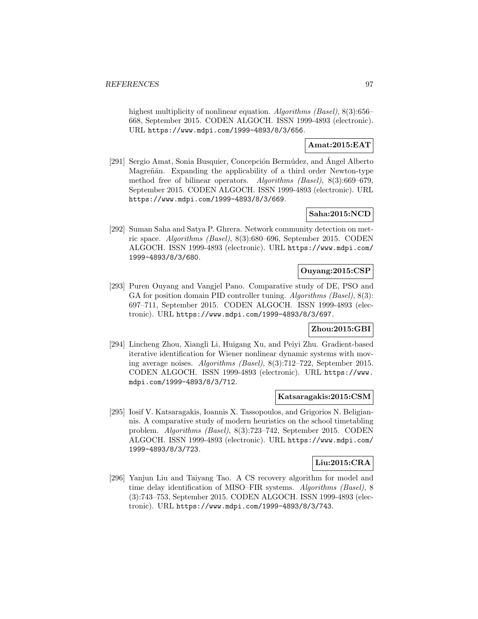highest multiplicity of nonlinear equation. Algorithms (Basel), 8(3):656– 668, September 2015. CODEN ALGOCH. ISSN 1999-4893 (electronic). URL https://www.mdpi.com/1999-4893/8/3/656.

# **Amat:2015:EAT**

[291] Sergio Amat, Sonia Busquier, Concepción Bermúdez, and Ángel Alberto Magreñán. Expanding the applicability of a third order Newton-type method free of bilinear operators. Algorithms (Basel), 8(3):669–679, September 2015. CODEN ALGOCH. ISSN 1999-4893 (electronic). URL https://www.mdpi.com/1999-4893/8/3/669.

## **Saha:2015:NCD**

[292] Suman Saha and Satya P. Ghrera. Network community detection on metric space. Algorithms (Basel), 8(3):680–696, September 2015. CODEN ALGOCH. ISSN 1999-4893 (electronic). URL https://www.mdpi.com/ 1999-4893/8/3/680.

# **Ouyang:2015:CSP**

[293] Puren Ouyang and Vangjel Pano. Comparative study of DE, PSO and GA for position domain PID controller tuning. Algorithms (Basel), 8(3): 697–711, September 2015. CODEN ALGOCH. ISSN 1999-4893 (electronic). URL https://www.mdpi.com/1999-4893/8/3/697.

## **Zhou:2015:GBI**

[294] Lincheng Zhou, Xiangli Li, Huigang Xu, and Peiyi Zhu. Gradient-based iterative identification for Wiener nonlinear dynamic systems with moving average noises. Algorithms (Basel), 8(3):712–722, September 2015. CODEN ALGOCH. ISSN 1999-4893 (electronic). URL https://www. mdpi.com/1999-4893/8/3/712.

### **Katsaragakis:2015:CSM**

[295] Iosif V. Katsaragakis, Ioannis X. Tassopoulos, and Grigorios N. Beligiannis. A comparative study of modern heuristics on the school timetabling problem. Algorithms (Basel), 8(3):723–742, September 2015. CODEN ALGOCH. ISSN 1999-4893 (electronic). URL https://www.mdpi.com/ 1999-4893/8/3/723.

## **Liu:2015:CRA**

[296] Yanjun Liu and Taiyang Tao. A CS recovery algorithm for model and time delay identification of MISO–FIR systems. Algorithms (Basel), 8 (3):743–753, September 2015. CODEN ALGOCH. ISSN 1999-4893 (electronic). URL https://www.mdpi.com/1999-4893/8/3/743.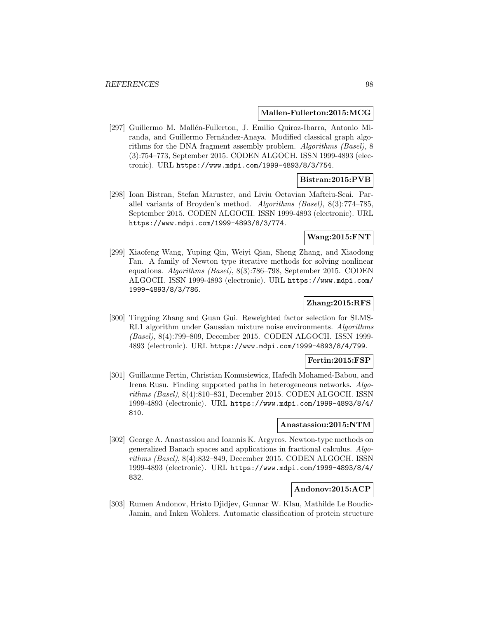#### **Mallen-Fullerton:2015:MCG**

[297] Guillermo M. Mallén-Fullerton, J. Emilio Quiroz-Ibarra, Antonio Miranda, and Guillermo Fernández-Anaya. Modified classical graph algorithms for the DNA fragment assembly problem. Algorithms (Basel), 8 (3):754–773, September 2015. CODEN ALGOCH. ISSN 1999-4893 (electronic). URL https://www.mdpi.com/1999-4893/8/3/754.

## **Bistran:2015:PVB**

[298] Ioan Bistran, Stefan Maruster, and Liviu Octavian Mafteiu-Scai. Parallel variants of Broyden's method. Algorithms (Basel), 8(3):774–785, September 2015. CODEN ALGOCH. ISSN 1999-4893 (electronic). URL https://www.mdpi.com/1999-4893/8/3/774.

## **Wang:2015:FNT**

[299] Xiaofeng Wang, Yuping Qin, Weiyi Qian, Sheng Zhang, and Xiaodong Fan. A family of Newton type iterative methods for solving nonlinear equations. Algorithms (Basel), 8(3):786–798, September 2015. CODEN ALGOCH. ISSN 1999-4893 (electronic). URL https://www.mdpi.com/ 1999-4893/8/3/786.

## **Zhang:2015:RFS**

[300] Tingping Zhang and Guan Gui. Reweighted factor selection for SLMS-RL1 algorithm under Gaussian mixture noise environments. Algorithms (Basel), 8(4):799–809, December 2015. CODEN ALGOCH. ISSN 1999- 4893 (electronic). URL https://www.mdpi.com/1999-4893/8/4/799.

## **Fertin:2015:FSP**

[301] Guillaume Fertin, Christian Komusiewicz, Hafedh Mohamed-Babou, and Irena Rusu. Finding supported paths in heterogeneous networks. Algorithms (Basel), 8(4):810–831, December 2015. CODEN ALGOCH. ISSN 1999-4893 (electronic). URL https://www.mdpi.com/1999-4893/8/4/ 810.

## **Anastassiou:2015:NTM**

[302] George A. Anastassiou and Ioannis K. Argyros. Newton-type methods on generalized Banach spaces and applications in fractional calculus. Algorithms (Basel), 8(4):832–849, December 2015. CODEN ALGOCH. ISSN 1999-4893 (electronic). URL https://www.mdpi.com/1999-4893/8/4/ 832.

## **Andonov:2015:ACP**

[303] Rumen Andonov, Hristo Djidjev, Gunnar W. Klau, Mathilde Le Boudic-Jamin, and Inken Wohlers. Automatic classification of protein structure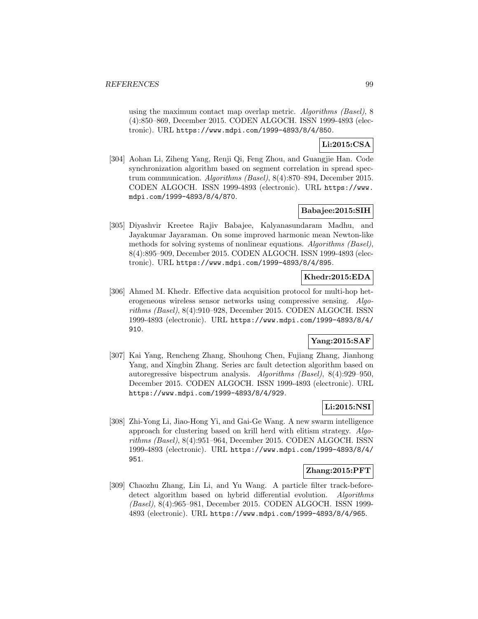using the maximum contact map overlap metric. Algorithms (Basel), 8 (4):850–869, December 2015. CODEN ALGOCH. ISSN 1999-4893 (electronic). URL https://www.mdpi.com/1999-4893/8/4/850.

# **Li:2015:CSA**

[304] Aohan Li, Ziheng Yang, Renji Qi, Feng Zhou, and Guangjie Han. Code synchronization algorithm based on segment correlation in spread spectrum communication. Algorithms (Basel), 8(4):870–894, December 2015. CODEN ALGOCH. ISSN 1999-4893 (electronic). URL https://www. mdpi.com/1999-4893/8/4/870.

# **Babajee:2015:SIH**

[305] Diyashvir Kreetee Rajiv Babajee, Kalyanasundaram Madhu, and Jayakumar Jayaraman. On some improved harmonic mean Newton-like methods for solving systems of nonlinear equations. Algorithms (Basel), 8(4):895–909, December 2015. CODEN ALGOCH. ISSN 1999-4893 (electronic). URL https://www.mdpi.com/1999-4893/8/4/895.

## **Khedr:2015:EDA**

[306] Ahmed M. Khedr. Effective data acquisition protocol for multi-hop heterogeneous wireless sensor networks using compressive sensing. Algorithms (Basel), 8(4):910–928, December 2015. CODEN ALGOCH. ISSN 1999-4893 (electronic). URL https://www.mdpi.com/1999-4893/8/4/ 910.

# **Yang:2015:SAF**

[307] Kai Yang, Rencheng Zhang, Shouhong Chen, Fujiang Zhang, Jianhong Yang, and Xingbin Zhang. Series arc fault detection algorithm based on autoregressive bispectrum analysis. Algorithms (Basel), 8(4):929–950, December 2015. CODEN ALGOCH. ISSN 1999-4893 (electronic). URL https://www.mdpi.com/1999-4893/8/4/929.

# **Li:2015:NSI**

[308] Zhi-Yong Li, Jiao-Hong Yi, and Gai-Ge Wang. A new swarm intelligence approach for clustering based on krill herd with elitism strategy. Algorithms (Basel), 8(4):951–964, December 2015. CODEN ALGOCH. ISSN 1999-4893 (electronic). URL https://www.mdpi.com/1999-4893/8/4/ 951.

# **Zhang:2015:PFT**

[309] Chaozhu Zhang, Lin Li, and Yu Wang. A particle filter track-beforedetect algorithm based on hybrid differential evolution. Algorithms (Basel), 8(4):965–981, December 2015. CODEN ALGOCH. ISSN 1999- 4893 (electronic). URL https://www.mdpi.com/1999-4893/8/4/965.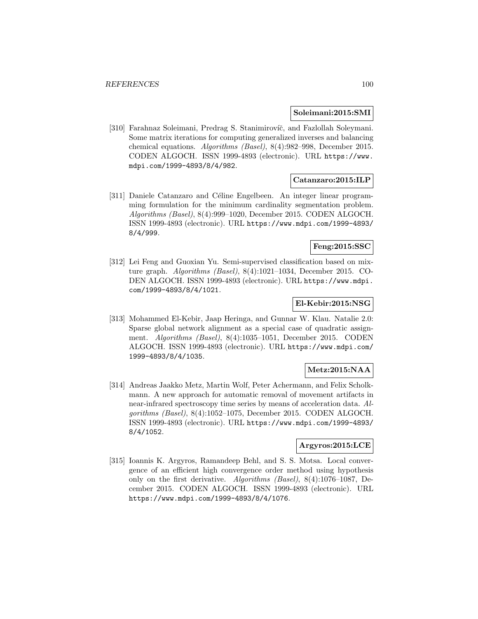#### **Soleimani:2015:SMI**

[310] Farahnaz Soleimani, Predrag S. Stanimirovíč, and Fazlollah Soleymani. Some matrix iterations for computing generalized inverses and balancing chemical equations. Algorithms (Basel), 8(4):982–998, December 2015. CODEN ALGOCH. ISSN 1999-4893 (electronic). URL https://www. mdpi.com/1999-4893/8/4/982.

### **Catanzaro:2015:ILP**

[311] Daniele Catanzaro and Céline Engelbeen. An integer linear programming formulation for the minimum cardinality segmentation problem. Algorithms (Basel), 8(4):999–1020, December 2015. CODEN ALGOCH. ISSN 1999-4893 (electronic). URL https://www.mdpi.com/1999-4893/ 8/4/999.

#### **Feng:2015:SSC**

[312] Lei Feng and Guoxian Yu. Semi-supervised classification based on mixture graph. Algorithms (Basel), 8(4):1021–1034, December 2015. CO-DEN ALGOCH. ISSN 1999-4893 (electronic). URL https://www.mdpi. com/1999-4893/8/4/1021.

### **El-Kebir:2015:NSG**

[313] Mohammed El-Kebir, Jaap Heringa, and Gunnar W. Klau. Natalie 2.0: Sparse global network alignment as a special case of quadratic assignment. Algorithms (Basel), 8(4):1035–1051, December 2015. CODEN ALGOCH. ISSN 1999-4893 (electronic). URL https://www.mdpi.com/ 1999-4893/8/4/1035.

## **Metz:2015:NAA**

[314] Andreas Jaakko Metz, Martin Wolf, Peter Achermann, and Felix Scholkmann. A new approach for automatic removal of movement artifacts in near-infrared spectroscopy time series by means of acceleration data. Algorithms (Basel), 8(4):1052–1075, December 2015. CODEN ALGOCH. ISSN 1999-4893 (electronic). URL https://www.mdpi.com/1999-4893/ 8/4/1052.

#### **Argyros:2015:LCE**

[315] Ioannis K. Argyros, Ramandeep Behl, and S. S. Motsa. Local convergence of an efficient high convergence order method using hypothesis only on the first derivative. Algorithms (Basel), 8(4):1076–1087, December 2015. CODEN ALGOCH. ISSN 1999-4893 (electronic). URL https://www.mdpi.com/1999-4893/8/4/1076.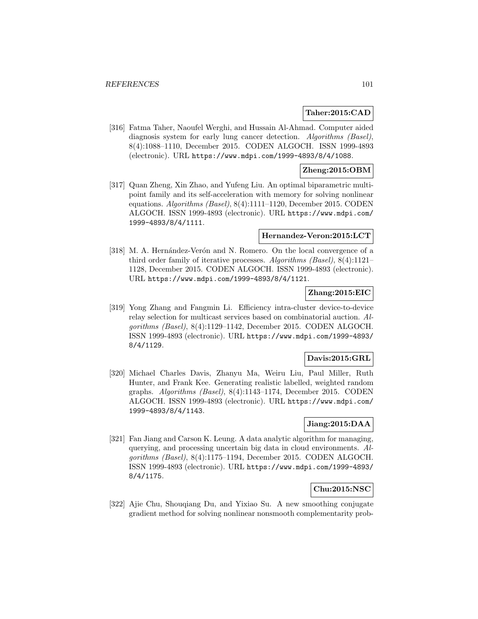### **Taher:2015:CAD**

[316] Fatma Taher, Naoufel Werghi, and Hussain Al-Ahmad. Computer aided diagnosis system for early lung cancer detection. Algorithms (Basel), 8(4):1088–1110, December 2015. CODEN ALGOCH. ISSN 1999-4893 (electronic). URL https://www.mdpi.com/1999-4893/8/4/1088.

### **Zheng:2015:OBM**

[317] Quan Zheng, Xin Zhao, and Yufeng Liu. An optimal biparametric multipoint family and its self-acceleration with memory for solving nonlinear equations. Algorithms (Basel), 8(4):1111–1120, December 2015. CODEN ALGOCH. ISSN 1999-4893 (electronic). URL https://www.mdpi.com/ 1999-4893/8/4/1111.

### **Hernandez-Veron:2015:LCT**

[318] M. A. Hernández-Verón and N. Romero. On the local convergence of a third order family of iterative processes. Algorithms (Basel), 8(4):1121– 1128, December 2015. CODEN ALGOCH. ISSN 1999-4893 (electronic). URL https://www.mdpi.com/1999-4893/8/4/1121.

## **Zhang:2015:EIC**

[319] Yong Zhang and Fangmin Li. Efficiency intra-cluster device-to-device relay selection for multicast services based on combinatorial auction. Algorithms (Basel), 8(4):1129–1142, December 2015. CODEN ALGOCH. ISSN 1999-4893 (electronic). URL https://www.mdpi.com/1999-4893/ 8/4/1129.

### **Davis:2015:GRL**

[320] Michael Charles Davis, Zhanyu Ma, Weiru Liu, Paul Miller, Ruth Hunter, and Frank Kee. Generating realistic labelled, weighted random graphs. Algorithms (Basel), 8(4):1143–1174, December 2015. CODEN ALGOCH. ISSN 1999-4893 (electronic). URL https://www.mdpi.com/ 1999-4893/8/4/1143.

## **Jiang:2015:DAA**

[321] Fan Jiang and Carson K. Leung. A data analytic algorithm for managing, querying, and processing uncertain big data in cloud environments. Algorithms (Basel), 8(4):1175–1194, December 2015. CODEN ALGOCH. ISSN 1999-4893 (electronic). URL https://www.mdpi.com/1999-4893/ 8/4/1175.

# **Chu:2015:NSC**

[322] Ajie Chu, Shouqiang Du, and Yixiao Su. A new smoothing conjugate gradient method for solving nonlinear nonsmooth complementarity prob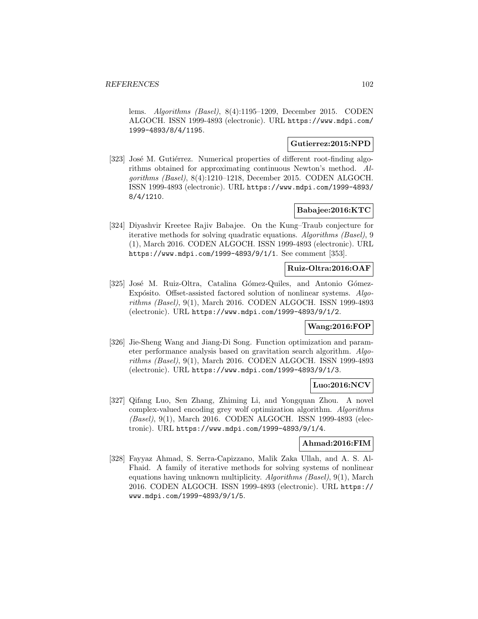lems. Algorithms (Basel), 8(4):1195–1209, December 2015. CODEN ALGOCH. ISSN 1999-4893 (electronic). URL https://www.mdpi.com/ 1999-4893/8/4/1195.

#### **Gutierrez:2015:NPD**

[323] José M. Gutiérrez. Numerical properties of different root-finding algorithms obtained for approximating continuous Newton's method. Algorithms (Basel), 8(4):1210–1218, December 2015. CODEN ALGOCH. ISSN 1999-4893 (electronic). URL https://www.mdpi.com/1999-4893/ 8/4/1210.

## **Babajee:2016:KTC**

[324] Diyashvir Kreetee Rajiv Babajee. On the Kung–Traub conjecture for iterative methods for solving quadratic equations. Algorithms (Basel), 9 (1), March 2016. CODEN ALGOCH. ISSN 1999-4893 (electronic). URL https://www.mdpi.com/1999-4893/9/1/1. See comment [353].

## **Ruiz-Oltra:2016:OAF**

[325] José M. Ruiz-Oltra, Catalina Gómez-Quiles, and Antonio Gómez-Expósito. Offset-assisted factored solution of nonlinear systems.  $Alqo$ rithms (Basel), 9(1), March 2016. CODEN ALGOCH. ISSN 1999-4893 (electronic). URL https://www.mdpi.com/1999-4893/9/1/2.

### **Wang:2016:FOP**

[326] Jie-Sheng Wang and Jiang-Di Song. Function optimization and parameter performance analysis based on gravitation search algorithm. Algorithms (Basel), 9(1), March 2016. CODEN ALGOCH. ISSN 1999-4893 (electronic). URL https://www.mdpi.com/1999-4893/9/1/3.

## **Luo:2016:NCV**

[327] Qifang Luo, Sen Zhang, Zhiming Li, and Yongquan Zhou. A novel complex-valued encoding grey wolf optimization algorithm. Algorithms (Basel), 9(1), March 2016. CODEN ALGOCH. ISSN 1999-4893 (electronic). URL https://www.mdpi.com/1999-4893/9/1/4.

## **Ahmad:2016:FIM**

[328] Fayyaz Ahmad, S. Serra-Capizzano, Malik Zaka Ullah, and A. S. Al-Fhaid. A family of iterative methods for solving systems of nonlinear equations having unknown multiplicity. Algorithms (Basel), 9(1), March 2016. CODEN ALGOCH. ISSN 1999-4893 (electronic). URL https:// www.mdpi.com/1999-4893/9/1/5.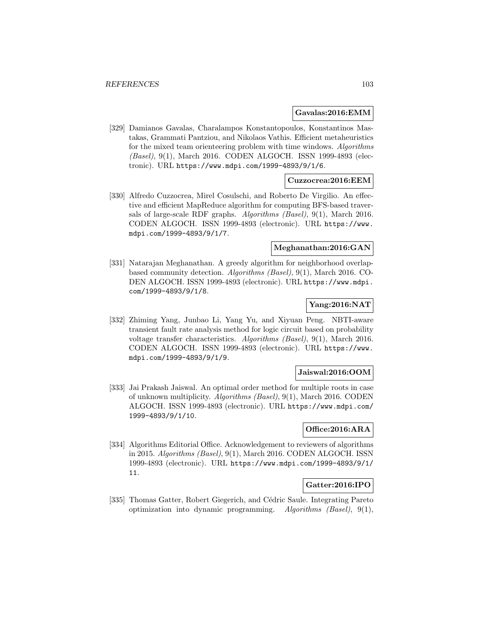#### **Gavalas:2016:EMM**

[329] Damianos Gavalas, Charalampos Konstantopoulos, Konstantinos Mastakas, Grammati Pantziou, and Nikolaos Vathis. Efficient metaheuristics for the mixed team orienteering problem with time windows. Algorithms (Basel), 9(1), March 2016. CODEN ALGOCH. ISSN 1999-4893 (electronic). URL https://www.mdpi.com/1999-4893/9/1/6.

### **Cuzzocrea:2016:EEM**

[330] Alfredo Cuzzocrea, Mirel Cosulschi, and Roberto De Virgilio. An effective and efficient MapReduce algorithm for computing BFS-based traversals of large-scale RDF graphs. Algorithms (Basel), 9(1), March 2016. CODEN ALGOCH. ISSN 1999-4893 (electronic). URL https://www. mdpi.com/1999-4893/9/1/7.

## **Meghanathan:2016:GAN**

[331] Natarajan Meghanathan. A greedy algorithm for neighborhood overlapbased community detection. Algorithms (Basel), 9(1), March 2016. CO-DEN ALGOCH. ISSN 1999-4893 (electronic). URL https://www.mdpi. com/1999-4893/9/1/8.

## **Yang:2016:NAT**

[332] Zhiming Yang, Junbao Li, Yang Yu, and Xiyuan Peng. NBTI-aware transient fault rate analysis method for logic circuit based on probability voltage transfer characteristics. Algorithms (Basel), 9(1), March 2016. CODEN ALGOCH. ISSN 1999-4893 (electronic). URL https://www. mdpi.com/1999-4893/9/1/9.

### **Jaiswal:2016:OOM**

[333] Jai Prakash Jaiswal. An optimal order method for multiple roots in case of unknown multiplicity. Algorithms (Basel), 9(1), March 2016. CODEN ALGOCH. ISSN 1999-4893 (electronic). URL https://www.mdpi.com/ 1999-4893/9/1/10.

## **Office:2016:ARA**

[334] Algorithms Editorial Office. Acknowledgement to reviewers of algorithms in 2015. Algorithms (Basel), 9(1), March 2016. CODEN ALGOCH. ISSN 1999-4893 (electronic). URL https://www.mdpi.com/1999-4893/9/1/ 11.

## **Gatter:2016:IPO**

[335] Thomas Gatter, Robert Giegerich, and Cédric Saule. Integrating Pareto optimization into dynamic programming. Algorithms (Basel),  $9(1)$ ,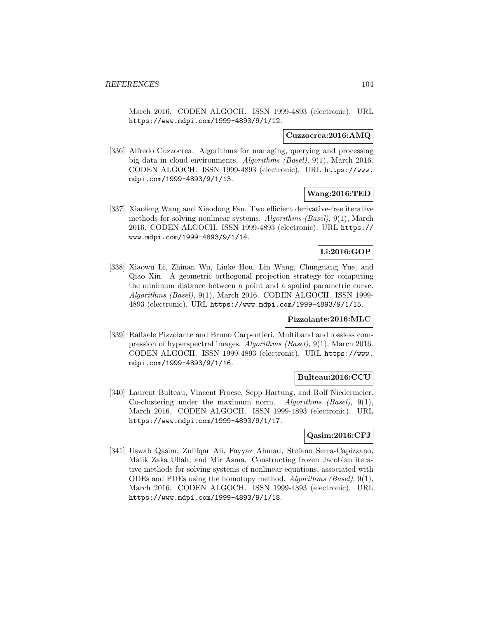March 2016. CODEN ALGOCH. ISSN 1999-4893 (electronic). URL https://www.mdpi.com/1999-4893/9/1/12.

#### **Cuzzocrea:2016:AMQ**

[336] Alfredo Cuzzocrea. Algorithms for managing, querying and processing big data in cloud environments. Algorithms (Basel), 9(1), March 2016. CODEN ALGOCH. ISSN 1999-4893 (electronic). URL https://www. mdpi.com/1999-4893/9/1/13.

## **Wang:2016:TED**

[337] Xiaofeng Wang and Xiaodong Fan. Two efficient derivative-free iterative methods for solving nonlinear systems. Algorithms (Basel), 9(1), March 2016. CODEN ALGOCH. ISSN 1999-4893 (electronic). URL https:// www.mdpi.com/1999-4893/9/1/14.

## **Li:2016:GOP**

[338] Xiaowu Li, Zhinan Wu, Linke Hou, Lin Wang, Chunguang Yue, and Qiao Xin. A geometric orthogonal projection strategy for computing the minimum distance between a point and a spatial parametric curve. Algorithms (Basel), 9(1), March 2016. CODEN ALGOCH. ISSN 1999-4893 (electronic). URL https://www.mdpi.com/1999-4893/9/1/15.

#### **Pizzolante:2016:MLC**

[339] Raffaele Pizzolante and Bruno Carpentieri. Multiband and lossless compression of hyperspectral images. Algorithms (Basel), 9(1), March 2016. CODEN ALGOCH. ISSN 1999-4893 (electronic). URL https://www. mdpi.com/1999-4893/9/1/16.

### **Bulteau:2016:CCU**

[340] Laurent Bulteau, Vincent Froese, Sepp Hartung, and Rolf Niedermeier. Co-clustering under the maximum norm. Algorithms (Basel),  $9(1)$ , March 2016. CODEN ALGOCH. ISSN 1999-4893 (electronic). URL https://www.mdpi.com/1999-4893/9/1/17.

### **Qasim:2016:CFJ**

[341] Uswah Qasim, Zulifqar Ali, Fayyaz Ahmad, Stefano Serra-Capizzano, Malik Zaka Ullah, and Mir Asma. Constructing frozen Jacobian iterative methods for solving systems of nonlinear equations, associated with ODEs and PDEs using the homotopy method. Algorithms (Basel), 9(1), March 2016. CODEN ALGOCH. ISSN 1999-4893 (electronic). URL https://www.mdpi.com/1999-4893/9/1/18.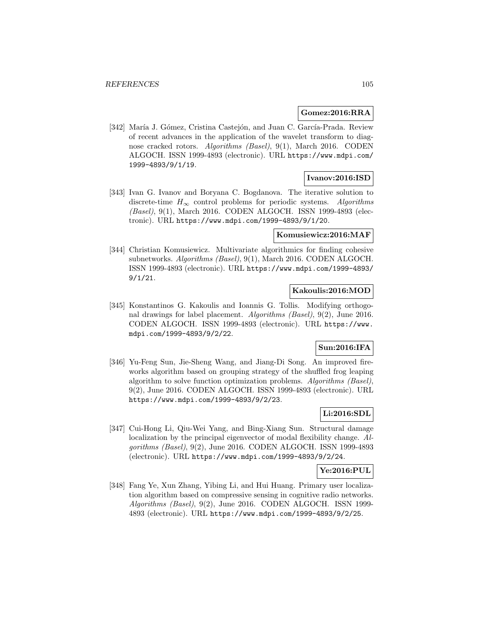#### **Gomez:2016:RRA**

[342] María J. Gómez, Cristina Castejón, and Juan C. García-Prada. Review of recent advances in the application of the wavelet transform to diagnose cracked rotors. Algorithms (Basel), 9(1), March 2016. CODEN ALGOCH. ISSN 1999-4893 (electronic). URL https://www.mdpi.com/ 1999-4893/9/1/19.

## **Ivanov:2016:ISD**

[343] Ivan G. Ivanov and Boryana C. Bogdanova. The iterative solution to discrete-time  $H_{\infty}$  control problems for periodic systems. Algorithms (Basel), 9(1), March 2016. CODEN ALGOCH. ISSN 1999-4893 (electronic). URL https://www.mdpi.com/1999-4893/9/1/20.

### **Komusiewicz:2016:MAF**

[344] Christian Komusiewicz. Multivariate algorithmics for finding cohesive subnetworks. Algorithms (Basel), 9(1), March 2016. CODEN ALGOCH. ISSN 1999-4893 (electronic). URL https://www.mdpi.com/1999-4893/ 9/1/21.

### **Kakoulis:2016:MOD**

[345] Konstantinos G. Kakoulis and Ioannis G. Tollis. Modifying orthogonal drawings for label placement. Algorithms (Basel), 9(2), June 2016. CODEN ALGOCH. ISSN 1999-4893 (electronic). URL https://www. mdpi.com/1999-4893/9/2/22.

# **Sun:2016:IFA**

[346] Yu-Feng Sun, Jie-Sheng Wang, and Jiang-Di Song. An improved fireworks algorithm based on grouping strategy of the shuffled frog leaping algorithm to solve function optimization problems. Algorithms (Basel), 9(2), June 2016. CODEN ALGOCH. ISSN 1999-4893 (electronic). URL https://www.mdpi.com/1999-4893/9/2/23.

# **Li:2016:SDL**

[347] Cui-Hong Li, Qiu-Wei Yang, and Bing-Xiang Sun. Structural damage localization by the principal eigenvector of modal flexibility change. Algorithms (Basel), 9(2), June 2016. CODEN ALGOCH. ISSN 1999-4893 (electronic). URL https://www.mdpi.com/1999-4893/9/2/24.

### **Ye:2016:PUL**

[348] Fang Ye, Xun Zhang, Yibing Li, and Hui Huang. Primary user localization algorithm based on compressive sensing in cognitive radio networks. Algorithms (Basel), 9(2), June 2016. CODEN ALGOCH. ISSN 1999- 4893 (electronic). URL https://www.mdpi.com/1999-4893/9/2/25.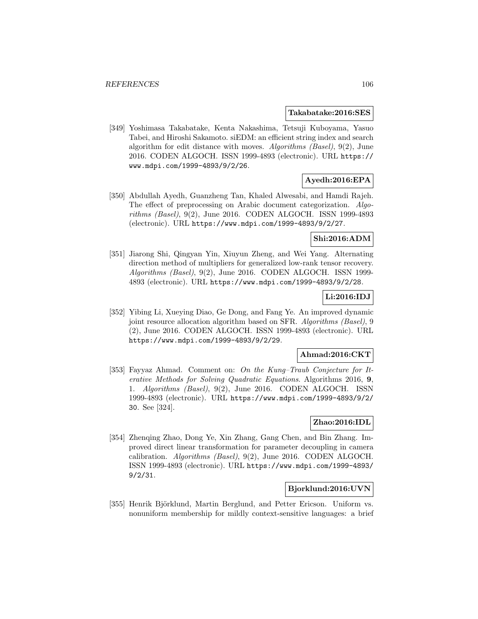#### **Takabatake:2016:SES**

[349] Yoshimasa Takabatake, Kenta Nakashima, Tetsuji Kuboyama, Yasuo Tabei, and Hiroshi Sakamoto. siEDM: an efficient string index and search algorithm for edit distance with moves. Algorithms (Basel), 9(2), June 2016. CODEN ALGOCH. ISSN 1999-4893 (electronic). URL https:// www.mdpi.com/1999-4893/9/2/26.

# **Ayedh:2016:EPA**

[350] Abdullah Ayedh, Guanzheng Tan, Khaled Alwesabi, and Hamdi Rajeh. The effect of preprocessing on Arabic document categorization. Algorithms (Basel), 9(2), June 2016. CODEN ALGOCH. ISSN 1999-4893 (electronic). URL https://www.mdpi.com/1999-4893/9/2/27.

## **Shi:2016:ADM**

[351] Jiarong Shi, Qingyan Yin, Xiuyun Zheng, and Wei Yang. Alternating direction method of multipliers for generalized low-rank tensor recovery. Algorithms (Basel), 9(2), June 2016. CODEN ALGOCH. ISSN 1999- 4893 (electronic). URL https://www.mdpi.com/1999-4893/9/2/28.

## **Li:2016:IDJ**

[352] Yibing Li, Xueying Diao, Ge Dong, and Fang Ye. An improved dynamic joint resource allocation algorithm based on SFR. Algorithms (Basel), 9 (2), June 2016. CODEN ALGOCH. ISSN 1999-4893 (electronic). URL https://www.mdpi.com/1999-4893/9/2/29.

### **Ahmad:2016:CKT**

[353] Fayyaz Ahmad. Comment on: On the Kung–Traub Conjecture for Iterative Methods for Solving Quadratic Equations. Algorithms 2016, **9**, 1. Algorithms (Basel), 9(2), June 2016. CODEN ALGOCH. ISSN 1999-4893 (electronic). URL https://www.mdpi.com/1999-4893/9/2/ 30. See [324].

## **Zhao:2016:IDL**

[354] Zhenqing Zhao, Dong Ye, Xin Zhang, Gang Chen, and Bin Zhang. Improved direct linear transformation for parameter decoupling in camera calibration. Algorithms (Basel), 9(2), June 2016. CODEN ALGOCH. ISSN 1999-4893 (electronic). URL https://www.mdpi.com/1999-4893/ 9/2/31.

#### **Bjorklund:2016:UVN**

[355] Henrik Björklund, Martin Berglund, and Petter Ericson. Uniform vs. nonuniform membership for mildly context-sensitive languages: a brief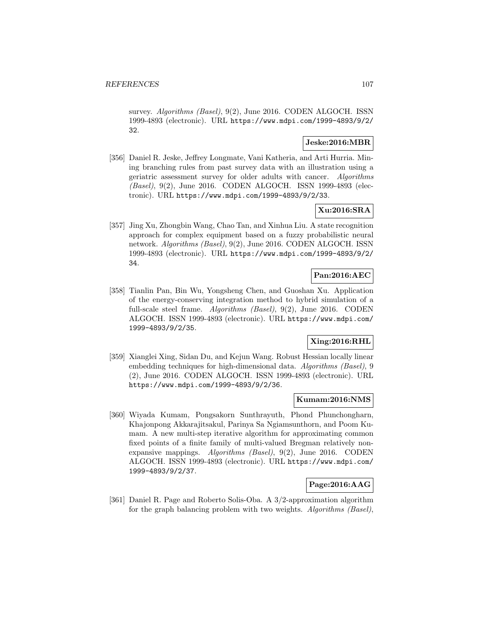survey. Algorithms (Basel), 9(2), June 2016. CODEN ALGOCH. ISSN 1999-4893 (electronic). URL https://www.mdpi.com/1999-4893/9/2/ 32.

## **Jeske:2016:MBR**

[356] Daniel R. Jeske, Jeffrey Longmate, Vani Katheria, and Arti Hurria. Mining branching rules from past survey data with an illustration using a geriatric assessment survey for older adults with cancer. Algorithms (Basel), 9(2), June 2016. CODEN ALGOCH. ISSN 1999-4893 (electronic). URL https://www.mdpi.com/1999-4893/9/2/33.

# **Xu:2016:SRA**

[357] Jing Xu, Zhongbin Wang, Chao Tan, and Xinhua Liu. A state recognition approach for complex equipment based on a fuzzy probabilistic neural network. Algorithms (Basel), 9(2), June 2016. CODEN ALGOCH. ISSN 1999-4893 (electronic). URL https://www.mdpi.com/1999-4893/9/2/ 34.

# **Pan:2016:AEC**

[358] Tianlin Pan, Bin Wu, Yongsheng Chen, and Guoshan Xu. Application of the energy-conserving integration method to hybrid simulation of a full-scale steel frame. Algorithms (Basel), 9(2), June 2016. CODEN ALGOCH. ISSN 1999-4893 (electronic). URL https://www.mdpi.com/ 1999-4893/9/2/35.

# **Xing:2016:RHL**

[359] Xianglei Xing, Sidan Du, and Kejun Wang. Robust Hessian locally linear embedding techniques for high-dimensional data. Algorithms (Basel), 9 (2), June 2016. CODEN ALGOCH. ISSN 1999-4893 (electronic). URL https://www.mdpi.com/1999-4893/9/2/36.

#### **Kumam:2016:NMS**

[360] Wiyada Kumam, Pongsakorn Sunthrayuth, Phond Phunchongharn, Khajonpong Akkarajitsakul, Parinya Sa Ngiamsunthorn, and Poom Kumam. A new multi-step iterative algorithm for approximating common fixed points of a finite family of multi-valued Bregman relatively nonexpansive mappings. Algorithms (Basel), 9(2), June 2016. CODEN ALGOCH. ISSN 1999-4893 (electronic). URL https://www.mdpi.com/ 1999-4893/9/2/37.

# **Page:2016:AAG**

[361] Daniel R. Page and Roberto Solis-Oba. A 3/2-approximation algorithm for the graph balancing problem with two weights. Algorithms (Basel),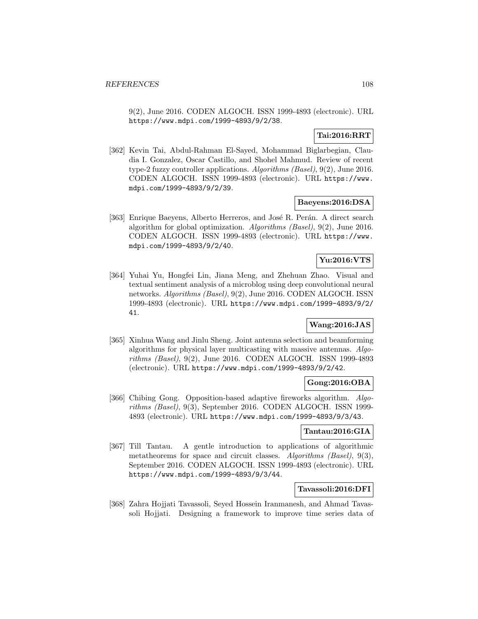9(2), June 2016. CODEN ALGOCH. ISSN 1999-4893 (electronic). URL https://www.mdpi.com/1999-4893/9/2/38.

# **Tai:2016:RRT**

[362] Kevin Tai, Abdul-Rahman El-Sayed, Mohammad Biglarbegian, Claudia I. Gonzalez, Oscar Castillo, and Shohel Mahmud. Review of recent type-2 fuzzy controller applications. Algorithms (Basel), 9(2), June 2016. CODEN ALGOCH. ISSN 1999-4893 (electronic). URL https://www. mdpi.com/1999-4893/9/2/39.

## **Baeyens:2016:DSA**

[363] Enrique Baeyens, Alberto Herreros, and José R. Perán. A direct search algorithm for global optimization. Algorithms (Basel), 9(2), June 2016. CODEN ALGOCH. ISSN 1999-4893 (electronic). URL https://www. mdpi.com/1999-4893/9/2/40.

## **Yu:2016:VTS**

[364] Yuhai Yu, Hongfei Lin, Jiana Meng, and Zhehuan Zhao. Visual and textual sentiment analysis of a microblog using deep convolutional neural networks. Algorithms (Basel), 9(2), June 2016. CODEN ALGOCH. ISSN 1999-4893 (electronic). URL https://www.mdpi.com/1999-4893/9/2/ 41.

# **Wang:2016:JAS**

[365] Xinhua Wang and Jinlu Sheng. Joint antenna selection and beamforming algorithms for physical layer multicasting with massive antennas. Algorithms (Basel), 9(2), June 2016. CODEN ALGOCH. ISSN 1999-4893 (electronic). URL https://www.mdpi.com/1999-4893/9/2/42.

## **Gong:2016:OBA**

[366] Chibing Gong. Opposition-based adaptive fireworks algorithm. Algorithms (Basel), 9(3), September 2016. CODEN ALGOCH. ISSN 1999- 4893 (electronic). URL https://www.mdpi.com/1999-4893/9/3/43.

#### **Tantau:2016:GIA**

[367] Till Tantau. A gentle introduction to applications of algorithmic metatheorems for space and circuit classes. Algorithms (Basel), 9(3), September 2016. CODEN ALGOCH. ISSN 1999-4893 (electronic). URL https://www.mdpi.com/1999-4893/9/3/44.

## **Tavassoli:2016:DFI**

[368] Zahra Hojjati Tavassoli, Seyed Hossein Iranmanesh, and Ahmad Tavassoli Hojjati. Designing a framework to improve time series data of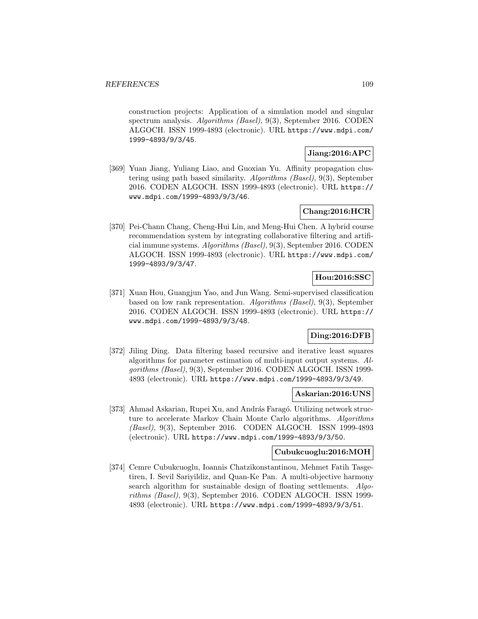construction projects: Application of a simulation model and singular spectrum analysis. Algorithms (Basel), 9(3), September 2016. CODEN ALGOCH. ISSN 1999-4893 (electronic). URL https://www.mdpi.com/ 1999-4893/9/3/45.

## **Jiang:2016:APC**

[369] Yuan Jiang, Yuliang Liao, and Guoxian Yu. Affinity propagation clustering using path based similarity. Algorithms (Basel), 9(3), September 2016. CODEN ALGOCH. ISSN 1999-4893 (electronic). URL https:// www.mdpi.com/1999-4893/9/3/46.

## **Chang:2016:HCR**

[370] Pei-Chann Chang, Cheng-Hui Lin, and Meng-Hui Chen. A hybrid course recommendation system by integrating collaborative filtering and artificial immune systems. Algorithms (Basel), 9(3), September 2016. CODEN ALGOCH. ISSN 1999-4893 (electronic). URL https://www.mdpi.com/ 1999-4893/9/3/47.

# **Hou:2016:SSC**

[371] Xuan Hou, Guangjun Yao, and Jun Wang. Semi-supervised classification based on low rank representation. Algorithms (Basel), 9(3), September 2016. CODEN ALGOCH. ISSN 1999-4893 (electronic). URL https:// www.mdpi.com/1999-4893/9/3/48.

## **Ding:2016:DFB**

[372] Jiling Ding. Data filtering based recursive and iterative least squares algorithms for parameter estimation of multi-input output systems. Algorithms (Basel), 9(3), September 2016. CODEN ALGOCH. ISSN 1999- 4893 (electronic). URL https://www.mdpi.com/1999-4893/9/3/49.

## **Askarian:2016:UNS**

[373] Ahmad Askarian, Rupei Xu, and András Faragó. Utilizing network structure to accelerate Markov Chain Monte Carlo algorithms. Algorithms (Basel), 9(3), September 2016. CODEN ALGOCH. ISSN 1999-4893 (electronic). URL https://www.mdpi.com/1999-4893/9/3/50.

## **Cubukcuoglu:2016:MOH**

[374] Cemre Cubukcuoglu, Ioannis Chatzikonstantinou, Mehmet Fatih Tasgetiren, I. Sevil Sariyildiz, and Quan-Ke Pan. A multi-objective harmony search algorithm for sustainable design of floating settlements. Algorithms (Basel), 9(3), September 2016. CODEN ALGOCH. ISSN 1999- 4893 (electronic). URL https://www.mdpi.com/1999-4893/9/3/51.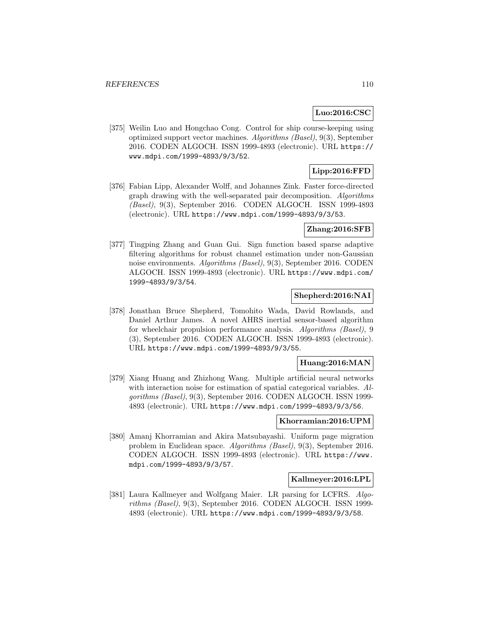## **Luo:2016:CSC**

[375] Weilin Luo and Hongchao Cong. Control for ship course-keeping using optimized support vector machines. Algorithms (Basel), 9(3), September 2016. CODEN ALGOCH. ISSN 1999-4893 (electronic). URL https:// www.mdpi.com/1999-4893/9/3/52.

# **Lipp:2016:FFD**

[376] Fabian Lipp, Alexander Wolff, and Johannes Zink. Faster force-directed graph drawing with the well-separated pair decomposition. Algorithms (Basel), 9(3), September 2016. CODEN ALGOCH. ISSN 1999-4893 (electronic). URL https://www.mdpi.com/1999-4893/9/3/53.

## **Zhang:2016:SFB**

[377] Tingping Zhang and Guan Gui. Sign function based sparse adaptive filtering algorithms for robust channel estimation under non-Gaussian noise environments. Algorithms (Basel), 9(3), September 2016. CODEN ALGOCH. ISSN 1999-4893 (electronic). URL https://www.mdpi.com/ 1999-4893/9/3/54.

## **Shepherd:2016:NAI**

[378] Jonathan Bruce Shepherd, Tomohito Wada, David Rowlands, and Daniel Arthur James. A novel AHRS inertial sensor-based algorithm for wheelchair propulsion performance analysis. Algorithms (Basel), 9 (3), September 2016. CODEN ALGOCH. ISSN 1999-4893 (electronic). URL https://www.mdpi.com/1999-4893/9/3/55.

### **Huang:2016:MAN**

[379] Xiang Huang and Zhizhong Wang. Multiple artificial neural networks with interaction noise for estimation of spatial categorical variables. Algorithms (Basel), 9(3), September 2016. CODEN ALGOCH. ISSN 1999- 4893 (electronic). URL https://www.mdpi.com/1999-4893/9/3/56.

### **Khorramian:2016:UPM**

[380] Amanj Khorramian and Akira Matsubayashi. Uniform page migration problem in Euclidean space. Algorithms (Basel), 9(3), September 2016. CODEN ALGOCH. ISSN 1999-4893 (electronic). URL https://www. mdpi.com/1999-4893/9/3/57.

### **Kallmeyer:2016:LPL**

[381] Laura Kallmeyer and Wolfgang Maier. LR parsing for LCFRS. Algorithms (Basel), 9(3), September 2016. CODEN ALGOCH. ISSN 1999- 4893 (electronic). URL https://www.mdpi.com/1999-4893/9/3/58.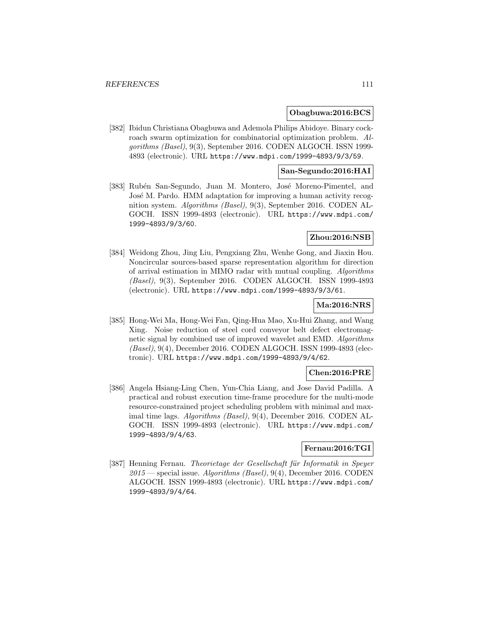#### **Obagbuwa:2016:BCS**

[382] Ibidun Christiana Obagbuwa and Ademola Philips Abidoye. Binary cockroach swarm optimization for combinatorial optimization problem. Algorithms (Basel), 9(3), September 2016. CODEN ALGOCH. ISSN 1999- 4893 (electronic). URL https://www.mdpi.com/1999-4893/9/3/59.

## **San-Segundo:2016:HAI**

[383] Rubén San-Segundo, Juan M. Montero, José Moreno-Pimentel, and José M. Pardo. HMM adaptation for improving a human activity recognition system. Algorithms (Basel), 9(3), September 2016. CODEN AL-GOCH. ISSN 1999-4893 (electronic). URL https://www.mdpi.com/ 1999-4893/9/3/60.

### **Zhou:2016:NSB**

[384] Weidong Zhou, Jing Liu, Pengxiang Zhu, Wenhe Gong, and Jiaxin Hou. Noncircular sources-based sparse representation algorithm for direction of arrival estimation in MIMO radar with mutual coupling. Algorithms (Basel), 9(3), September 2016. CODEN ALGOCH. ISSN 1999-4893 (electronic). URL https://www.mdpi.com/1999-4893/9/3/61.

# **Ma:2016:NRS**

[385] Hong-Wei Ma, Hong-Wei Fan, Qing-Hua Mao, Xu-Hui Zhang, and Wang Xing. Noise reduction of steel cord conveyor belt defect electromagnetic signal by combined use of improved wavelet and EMD. Algorithms (Basel), 9(4), December 2016. CODEN ALGOCH. ISSN 1999-4893 (electronic). URL https://www.mdpi.com/1999-4893/9/4/62.

## **Chen:2016:PRE**

[386] Angela Hsiang-Ling Chen, Yun-Chia Liang, and Jose David Padilla. A practical and robust execution time-frame procedure for the multi-mode resource-constrained project scheduling problem with minimal and maximal time lags. Algorithms (Basel), 9(4), December 2016. CODEN AL-GOCH. ISSN 1999-4893 (electronic). URL https://www.mdpi.com/ 1999-4893/9/4/63.

### **Fernau:2016:TGI**

[387] Henning Fernau. Theorietage der Gesellschaft für Informatik in Speyer  $2015$  — special issue. Algorithms (Basel), 9(4), December 2016. CODEN ALGOCH. ISSN 1999-4893 (electronic). URL https://www.mdpi.com/ 1999-4893/9/4/64.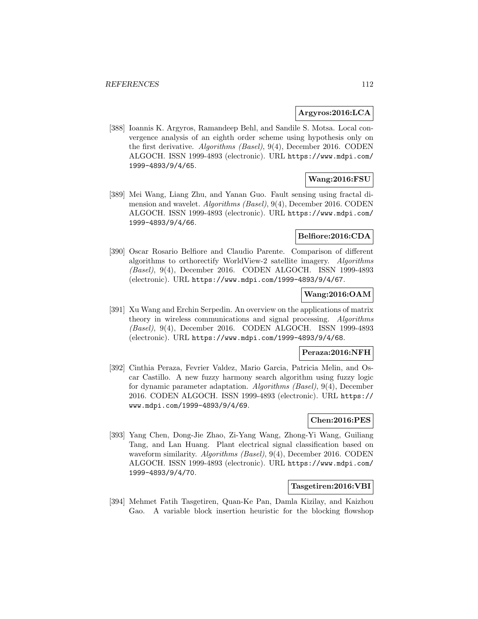### **Argyros:2016:LCA**

[388] Ioannis K. Argyros, Ramandeep Behl, and Sandile S. Motsa. Local convergence analysis of an eighth order scheme using hypothesis only on the first derivative. Algorithms (Basel), 9(4), December 2016. CODEN ALGOCH. ISSN 1999-4893 (electronic). URL https://www.mdpi.com/ 1999-4893/9/4/65.

## **Wang:2016:FSU**

[389] Mei Wang, Liang Zhu, and Yanan Guo. Fault sensing using fractal dimension and wavelet. Algorithms (Basel), 9(4), December 2016. CODEN ALGOCH. ISSN 1999-4893 (electronic). URL https://www.mdpi.com/ 1999-4893/9/4/66.

## **Belfiore:2016:CDA**

[390] Oscar Rosario Belfiore and Claudio Parente. Comparison of different algorithms to orthorectify WorldView-2 satellite imagery. Algorithms (Basel), 9(4), December 2016. CODEN ALGOCH. ISSN 1999-4893 (electronic). URL https://www.mdpi.com/1999-4893/9/4/67.

## **Wang:2016:OAM**

[391] Xu Wang and Erchin Serpedin. An overview on the applications of matrix theory in wireless communications and signal processing. Algorithms (Basel), 9(4), December 2016. CODEN ALGOCH. ISSN 1999-4893 (electronic). URL https://www.mdpi.com/1999-4893/9/4/68.

### **Peraza:2016:NFH**

[392] Cinthia Peraza, Fevrier Valdez, Mario Garcia, Patricia Melin, and Oscar Castillo. A new fuzzy harmony search algorithm using fuzzy logic for dynamic parameter adaptation. Algorithms (Basel), 9(4), December 2016. CODEN ALGOCH. ISSN 1999-4893 (electronic). URL https:// www.mdpi.com/1999-4893/9/4/69.

### **Chen:2016:PES**

[393] Yang Chen, Dong-Jie Zhao, Zi-Yang Wang, Zhong-Yi Wang, Guiliang Tang, and Lan Huang. Plant electrical signal classification based on waveform similarity. Algorithms (Basel), 9(4), December 2016. CODEN ALGOCH. ISSN 1999-4893 (electronic). URL https://www.mdpi.com/ 1999-4893/9/4/70.

#### **Tasgetiren:2016:VBI**

[394] Mehmet Fatih Tasgetiren, Quan-Ke Pan, Damla Kizilay, and Kaizhou Gao. A variable block insertion heuristic for the blocking flowshop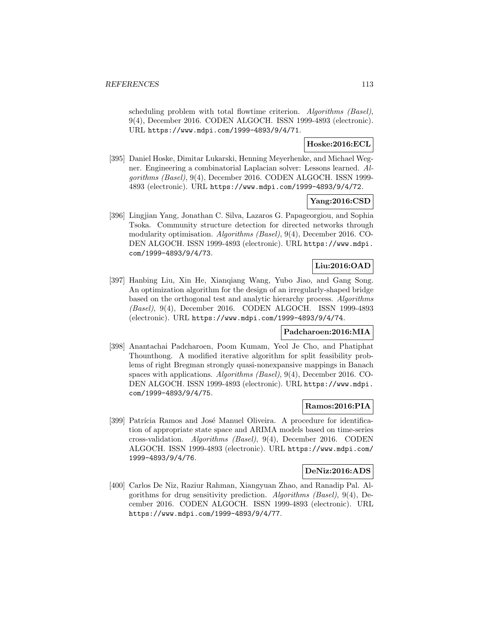scheduling problem with total flowtime criterion. Algorithms (Basel), 9(4), December 2016. CODEN ALGOCH. ISSN 1999-4893 (electronic). URL https://www.mdpi.com/1999-4893/9/4/71.

## **Hoske:2016:ECL**

[395] Daniel Hoske, Dimitar Lukarski, Henning Meyerhenke, and Michael Wegner. Engineering a combinatorial Laplacian solver: Lessons learned. Algorithms (Basel), 9(4), December 2016. CODEN ALGOCH. ISSN 1999- 4893 (electronic). URL https://www.mdpi.com/1999-4893/9/4/72.

## **Yang:2016:CSD**

[396] Lingjian Yang, Jonathan C. Silva, Lazaros G. Papageorgiou, and Sophia Tsoka. Community structure detection for directed networks through modularity optimisation. Algorithms (Basel), 9(4), December 2016. CO-DEN ALGOCH. ISSN 1999-4893 (electronic). URL https://www.mdpi. com/1999-4893/9/4/73.

# **Liu:2016:OAD**

[397] Hanbing Liu, Xin He, Xianqiang Wang, Yubo Jiao, and Gang Song. An optimization algorithm for the design of an irregularly-shaped bridge based on the orthogonal test and analytic hierarchy process. Algorithms (Basel), 9(4), December 2016. CODEN ALGOCH. ISSN 1999-4893 (electronic). URL https://www.mdpi.com/1999-4893/9/4/74.

#### **Padcharoen:2016:MIA**

[398] Anantachai Padcharoen, Poom Kumam, Yeol Je Cho, and Phatiphat Thounthong. A modified iterative algorithm for split feasibility problems of right Bregman strongly quasi-nonexpansive mappings in Banach spaces with applications. Algorithms (Basel), 9(4), December 2016. CO-DEN ALGOCH. ISSN 1999-4893 (electronic). URL https://www.mdpi. com/1999-4893/9/4/75.

### **Ramos:2016:PIA**

[399] Patrícia Ramos and José Manuel Oliveira. A procedure for identification of appropriate state space and ARIMA models based on time-series cross-validation. Algorithms (Basel), 9(4), December 2016. CODEN ALGOCH. ISSN 1999-4893 (electronic). URL https://www.mdpi.com/ 1999-4893/9/4/76.

## **DeNiz:2016:ADS**

[400] Carlos De Niz, Raziur Rahman, Xiangyuan Zhao, and Ranadip Pal. Algorithms for drug sensitivity prediction. Algorithms (Basel), 9(4), December 2016. CODEN ALGOCH. ISSN 1999-4893 (electronic). URL https://www.mdpi.com/1999-4893/9/4/77.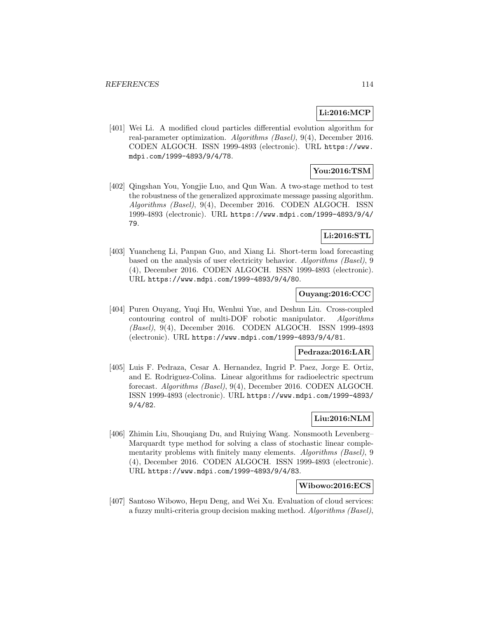# **Li:2016:MCP**

[401] Wei Li. A modified cloud particles differential evolution algorithm for real-parameter optimization. Algorithms (Basel), 9(4), December 2016. CODEN ALGOCH. ISSN 1999-4893 (electronic). URL https://www. mdpi.com/1999-4893/9/4/78.

## **You:2016:TSM**

[402] Qingshan You, Yongjie Luo, and Qun Wan. A two-stage method to test the robustness of the generalized approximate message passing algorithm. Algorithms (Basel), 9(4), December 2016. CODEN ALGOCH. ISSN 1999-4893 (electronic). URL https://www.mdpi.com/1999-4893/9/4/ 79.

# **Li:2016:STL**

[403] Yuancheng Li, Panpan Guo, and Xiang Li. Short-term load forecasting based on the analysis of user electricity behavior. Algorithms (Basel), 9 (4), December 2016. CODEN ALGOCH. ISSN 1999-4893 (electronic). URL https://www.mdpi.com/1999-4893/9/4/80.

### **Ouyang:2016:CCC**

[404] Puren Ouyang, Yuqi Hu, Wenhui Yue, and Deshun Liu. Cross-coupled contouring control of multi-DOF robotic manipulator. Algorithms (Basel), 9(4), December 2016. CODEN ALGOCH. ISSN 1999-4893 (electronic). URL https://www.mdpi.com/1999-4893/9/4/81.

### **Pedraza:2016:LAR**

[405] Luis F. Pedraza, Cesar A. Hernandez, Ingrid P. Paez, Jorge E. Ortiz, and E. Rodriguez-Colina. Linear algorithms for radioelectric spectrum forecast. Algorithms (Basel), 9(4), December 2016. CODEN ALGOCH. ISSN 1999-4893 (electronic). URL https://www.mdpi.com/1999-4893/ 9/4/82.

## **Liu:2016:NLM**

[406] Zhimin Liu, Shouqiang Du, and Ruiying Wang. Nonsmooth Levenberg– Marquardt type method for solving a class of stochastic linear complementarity problems with finitely many elements. Algorithms (Basel), 9 (4), December 2016. CODEN ALGOCH. ISSN 1999-4893 (electronic). URL https://www.mdpi.com/1999-4893/9/4/83.

## **Wibowo:2016:ECS**

[407] Santoso Wibowo, Hepu Deng, and Wei Xu. Evaluation of cloud services: a fuzzy multi-criteria group decision making method. Algorithms (Basel),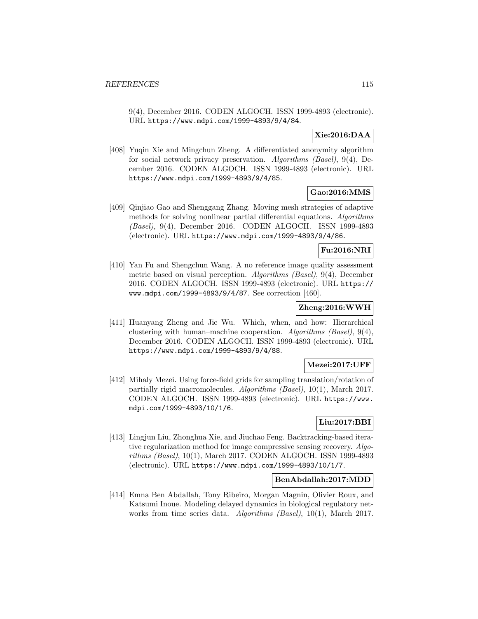9(4), December 2016. CODEN ALGOCH. ISSN 1999-4893 (electronic). URL https://www.mdpi.com/1999-4893/9/4/84.

# **Xie:2016:DAA**

[408] Yuqin Xie and Mingchun Zheng. A differentiated anonymity algorithm for social network privacy preservation. Algorithms (Basel), 9(4), December 2016. CODEN ALGOCH. ISSN 1999-4893 (electronic). URL https://www.mdpi.com/1999-4893/9/4/85.

# **Gao:2016:MMS**

[409] Qinjiao Gao and Shenggang Zhang. Moving mesh strategies of adaptive methods for solving nonlinear partial differential equations. Algorithms (Basel), 9(4), December 2016. CODEN ALGOCH. ISSN 1999-4893 (electronic). URL https://www.mdpi.com/1999-4893/9/4/86.

## **Fu:2016:NRI**

[410] Yan Fu and Shengchun Wang. A no reference image quality assessment metric based on visual perception. Algorithms (Basel), 9(4), December 2016. CODEN ALGOCH. ISSN 1999-4893 (electronic). URL https:// www.mdpi.com/1999-4893/9/4/87. See correction [460].

## **Zheng:2016:WWH**

[411] Huanyang Zheng and Jie Wu. Which, when, and how: Hierarchical clustering with human–machine cooperation. Algorithms (Basel),  $9(4)$ , December 2016. CODEN ALGOCH. ISSN 1999-4893 (electronic). URL https://www.mdpi.com/1999-4893/9/4/88.

### **Mezei:2017:UFF**

[412] Mihaly Mezei. Using force-field grids for sampling translation/rotation of partially rigid macromolecules. Algorithms (Basel), 10(1), March 2017. CODEN ALGOCH. ISSN 1999-4893 (electronic). URL https://www. mdpi.com/1999-4893/10/1/6.

## **Liu:2017:BBI**

[413] Lingjun Liu, Zhonghua Xie, and Jiuchao Feng. Backtracking-based iterative regularization method for image compressive sensing recovery. Algorithms (Basel), 10(1), March 2017. CODEN ALGOCH. ISSN 1999-4893 (electronic). URL https://www.mdpi.com/1999-4893/10/1/7.

### **BenAbdallah:2017:MDD**

[414] Emna Ben Abdallah, Tony Ribeiro, Morgan Magnin, Olivier Roux, and Katsumi Inoue. Modeling delayed dynamics in biological regulatory networks from time series data. Algorithms (Basel), 10(1), March 2017.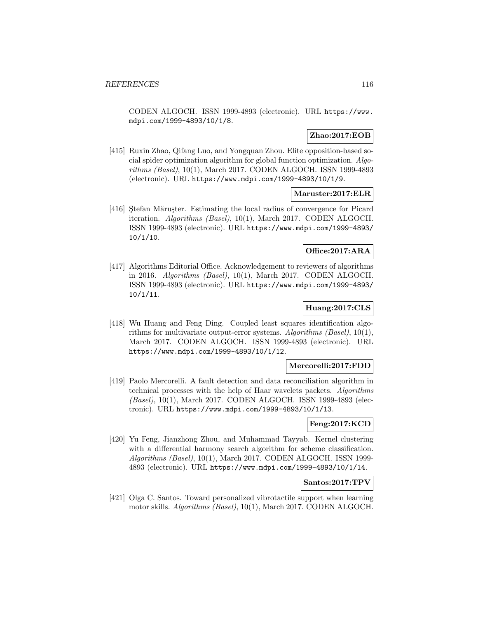CODEN ALGOCH. ISSN 1999-4893 (electronic). URL https://www. mdpi.com/1999-4893/10/1/8.

## **Zhao:2017:EOB**

[415] Ruxin Zhao, Qifang Luo, and Yongquan Zhou. Elite opposition-based social spider optimization algorithm for global function optimization. Algorithms (Basel), 10(1), March 2017. CODEN ALGOCH. ISSN 1999-4893 (electronic). URL https://www.mdpi.com/1999-4893/10/1/9.

### **Maruster:2017:ELR**

[416] Stefan Mărușter. Estimating the local radius of convergence for Picard iteration. Algorithms (Basel), 10(1), March 2017. CODEN ALGOCH. ISSN 1999-4893 (electronic). URL https://www.mdpi.com/1999-4893/ 10/1/10.

### **Office:2017:ARA**

[417] Algorithms Editorial Office. Acknowledgement to reviewers of algorithms in 2016. Algorithms (Basel), 10(1), March 2017. CODEN ALGOCH. ISSN 1999-4893 (electronic). URL https://www.mdpi.com/1999-4893/ 10/1/11.

## **Huang:2017:CLS**

[418] Wu Huang and Feng Ding. Coupled least squares identification algorithms for multivariate output-error systems. Algorithms (Basel), 10(1), March 2017. CODEN ALGOCH. ISSN 1999-4893 (electronic). URL https://www.mdpi.com/1999-4893/10/1/12.

#### **Mercorelli:2017:FDD**

[419] Paolo Mercorelli. A fault detection and data reconciliation algorithm in technical processes with the help of Haar wavelets packets. Algorithms (Basel), 10(1), March 2017. CODEN ALGOCH. ISSN 1999-4893 (electronic). URL https://www.mdpi.com/1999-4893/10/1/13.

## **Feng:2017:KCD**

[420] Yu Feng, Jianzhong Zhou, and Muhammad Tayyab. Kernel clustering with a differential harmony search algorithm for scheme classification. Algorithms (Basel), 10(1), March 2017. CODEN ALGOCH. ISSN 1999- 4893 (electronic). URL https://www.mdpi.com/1999-4893/10/1/14.

### **Santos:2017:TPV**

[421] Olga C. Santos. Toward personalized vibrotactile support when learning motor skills. Algorithms (Basel), 10(1), March 2017. CODEN ALGOCH.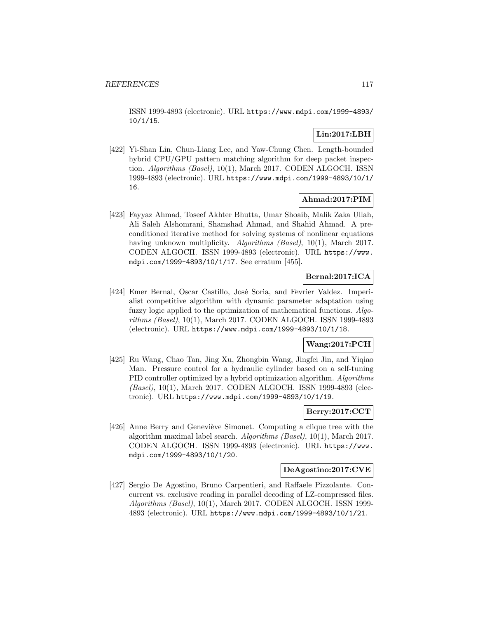ISSN 1999-4893 (electronic). URL https://www.mdpi.com/1999-4893/ 10/1/15.

# **Lin:2017:LBH**

[422] Yi-Shan Lin, Chun-Liang Lee, and Yaw-Chung Chen. Length-bounded hybrid CPU/GPU pattern matching algorithm for deep packet inspection. Algorithms (Basel), 10(1), March 2017. CODEN ALGOCH. ISSN 1999-4893 (electronic). URL https://www.mdpi.com/1999-4893/10/1/ 16.

## **Ahmad:2017:PIM**

[423] Fayyaz Ahmad, Toseef Akhter Bhutta, Umar Shoaib, Malik Zaka Ullah, Ali Saleh Alshomrani, Shamshad Ahmad, and Shahid Ahmad. A preconditioned iterative method for solving systems of nonlinear equations having unknown multiplicity. *Algorithms (Basel)*, 10(1), March 2017. CODEN ALGOCH. ISSN 1999-4893 (electronic). URL https://www. mdpi.com/1999-4893/10/1/17. See erratum [455].

## **Bernal:2017:ICA**

[424] Emer Bernal, Oscar Castillo, José Soria, and Fevrier Valdez. Imperialist competitive algorithm with dynamic parameter adaptation using fuzzy logic applied to the optimization of mathematical functions. Algorithms (Basel), 10(1), March 2017. CODEN ALGOCH. ISSN 1999-4893 (electronic). URL https://www.mdpi.com/1999-4893/10/1/18.

## **Wang:2017:PCH**

[425] Ru Wang, Chao Tan, Jing Xu, Zhongbin Wang, Jingfei Jin, and Yiqiao Man. Pressure control for a hydraulic cylinder based on a self-tuning PID controller optimized by a hybrid optimization algorithm. Algorithms (Basel), 10(1), March 2017. CODEN ALGOCH. ISSN 1999-4893 (electronic). URL https://www.mdpi.com/1999-4893/10/1/19.

# **Berry:2017:CCT**

[426] Anne Berry and Geneviève Simonet. Computing a clique tree with the algorithm maximal label search. Algorithms (Basel), 10(1), March 2017. CODEN ALGOCH. ISSN 1999-4893 (electronic). URL https://www. mdpi.com/1999-4893/10/1/20.

### **DeAgostino:2017:CVE**

[427] Sergio De Agostino, Bruno Carpentieri, and Raffaele Pizzolante. Concurrent vs. exclusive reading in parallel decoding of LZ-compressed files. Algorithms (Basel), 10(1), March 2017. CODEN ALGOCH. ISSN 1999- 4893 (electronic). URL https://www.mdpi.com/1999-4893/10/1/21.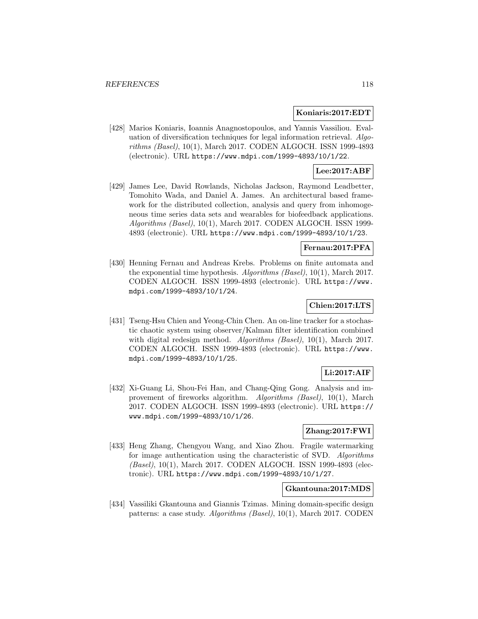### **Koniaris:2017:EDT**

[428] Marios Koniaris, Ioannis Anagnostopoulos, and Yannis Vassiliou. Evaluation of diversification techniques for legal information retrieval. Algorithms (Basel), 10(1), March 2017. CODEN ALGOCH. ISSN 1999-4893 (electronic). URL https://www.mdpi.com/1999-4893/10/1/22.

## **Lee:2017:ABF**

[429] James Lee, David Rowlands, Nicholas Jackson, Raymond Leadbetter, Tomohito Wada, and Daniel A. James. An architectural based framework for the distributed collection, analysis and query from inhomogeneous time series data sets and wearables for biofeedback applications. Algorithms (Basel), 10(1), March 2017. CODEN ALGOCH. ISSN 1999- 4893 (electronic). URL https://www.mdpi.com/1999-4893/10/1/23.

## **Fernau:2017:PFA**

[430] Henning Fernau and Andreas Krebs. Problems on finite automata and the exponential time hypothesis. Algorithms (Basel), 10(1), March 2017. CODEN ALGOCH. ISSN 1999-4893 (electronic). URL https://www. mdpi.com/1999-4893/10/1/24.

## **Chien:2017:LTS**

[431] Tseng-Hsu Chien and Yeong-Chin Chen. An on-line tracker for a stochastic chaotic system using observer/Kalman filter identification combined with digital redesign method. Algorithms (Basel), 10(1), March 2017. CODEN ALGOCH. ISSN 1999-4893 (electronic). URL https://www. mdpi.com/1999-4893/10/1/25.

# **Li:2017:AIF**

[432] Xi-Guang Li, Shou-Fei Han, and Chang-Qing Gong. Analysis and improvement of fireworks algorithm. Algorithms (Basel), 10(1), March 2017. CODEN ALGOCH. ISSN 1999-4893 (electronic). URL https:// www.mdpi.com/1999-4893/10/1/26.

## **Zhang:2017:FWI**

[433] Heng Zhang, Chengyou Wang, and Xiao Zhou. Fragile watermarking for image authentication using the characteristic of SVD. Algorithms (Basel), 10(1), March 2017. CODEN ALGOCH. ISSN 1999-4893 (electronic). URL https://www.mdpi.com/1999-4893/10/1/27.

## **Gkantouna:2017:MDS**

[434] Vassiliki Gkantouna and Giannis Tzimas. Mining domain-specific design patterns: a case study. Algorithms (Basel), 10(1), March 2017. CODEN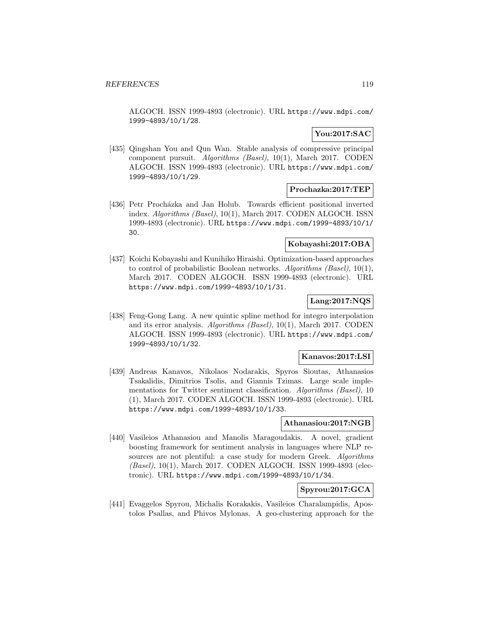ALGOCH. ISSN 1999-4893 (electronic). URL https://www.mdpi.com/ 1999-4893/10/1/28.

# **You:2017:SAC**

[435] Qingshan You and Qun Wan. Stable analysis of compressive principal component pursuit. Algorithms (Basel), 10(1), March 2017. CODEN ALGOCH. ISSN 1999-4893 (electronic). URL https://www.mdpi.com/ 1999-4893/10/1/29.

### **Prochazka:2017:TEP**

[436] Petr Procházka and Jan Holub. Towards efficient positional inverted index. Algorithms (Basel), 10(1), March 2017. CODEN ALGOCH. ISSN 1999-4893 (electronic). URL https://www.mdpi.com/1999-4893/10/1/ 30.

## **Kobayashi:2017:OBA**

[437] Koichi Kobayashi and Kunihiko Hiraishi. Optimization-based approaches to control of probabilistic Boolean networks. Algorithms (Basel), 10(1), March 2017. CODEN ALGOCH. ISSN 1999-4893 (electronic). URL https://www.mdpi.com/1999-4893/10/1/31.

## **Lang:2017:NQS**

[438] Feng-Gong Lang. A new quintic spline method for integro interpolation and its error analysis. Algorithms (Basel), 10(1), March 2017. CODEN ALGOCH. ISSN 1999-4893 (electronic). URL https://www.mdpi.com/ 1999-4893/10/1/32.

#### **Kanavos:2017:LSI**

[439] Andreas Kanavos, Nikolaos Nodarakis, Spyros Sioutas, Athanasios Tsakalidis, Dimitrios Tsolis, and Giannis Tzimas. Large scale implementations for Twitter sentiment classification. Algorithms (Basel), 10 (1), March 2017. CODEN ALGOCH. ISSN 1999-4893 (electronic). URL https://www.mdpi.com/1999-4893/10/1/33.

### **Athanasiou:2017:NGB**

[440] Vasileios Athanasiou and Manolis Maragoudakis. A novel, gradient boosting framework for sentiment analysis in languages where NLP resources are not plentiful: a case study for modern Greek. Algorithms (Basel), 10(1), March 2017. CODEN ALGOCH. ISSN 1999-4893 (electronic). URL https://www.mdpi.com/1999-4893/10/1/34.

# **Spyrou:2017:GCA**

[441] Evaggelos Spyrou, Michalis Korakakis, Vasileios Charalampidis, Apostolos Psallas, and Phivos Mylonas. A geo-clustering approach for the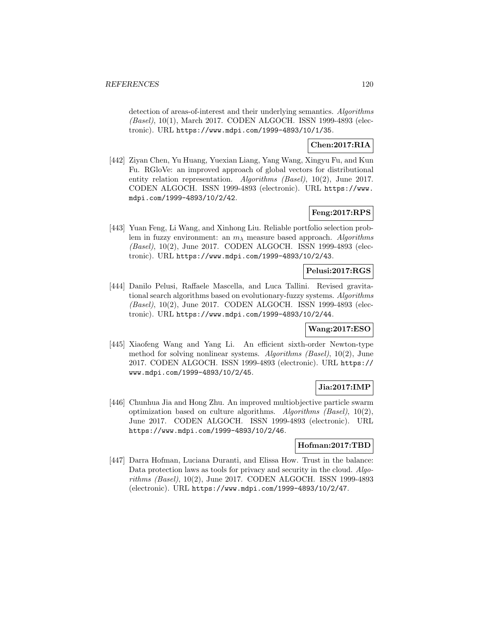detection of areas-of-interest and their underlying semantics. Algorithms (Basel), 10(1), March 2017. CODEN ALGOCH. ISSN 1999-4893 (electronic). URL https://www.mdpi.com/1999-4893/10/1/35.

## **Chen:2017:RIA**

[442] Ziyan Chen, Yu Huang, Yuexian Liang, Yang Wang, Xingyu Fu, and Kun Fu. RGloVe: an improved approach of global vectors for distributional entity relation representation. Algorithms (Basel), 10(2), June 2017. CODEN ALGOCH. ISSN 1999-4893 (electronic). URL https://www. mdpi.com/1999-4893/10/2/42.

# **Feng:2017:RPS**

[443] Yuan Feng, Li Wang, and Xinhong Liu. Reliable portfolio selection problem in fuzzy environment: an  $m<sub>\lambda</sub>$  measure based approach. Algorithms (Basel), 10(2), June 2017. CODEN ALGOCH. ISSN 1999-4893 (electronic). URL https://www.mdpi.com/1999-4893/10/2/43.

# **Pelusi:2017:RGS**

[444] Danilo Pelusi, Raffaele Mascella, and Luca Tallini. Revised gravitational search algorithms based on evolutionary-fuzzy systems. Algorithms (Basel), 10(2), June 2017. CODEN ALGOCH. ISSN 1999-4893 (electronic). URL https://www.mdpi.com/1999-4893/10/2/44.

## **Wang:2017:ESO**

[445] Xiaofeng Wang and Yang Li. An efficient sixth-order Newton-type method for solving nonlinear systems. Algorithms (Basel), 10(2), June 2017. CODEN ALGOCH. ISSN 1999-4893 (electronic). URL https:// www.mdpi.com/1999-4893/10/2/45.

## **Jia:2017:IMP**

[446] Chunhua Jia and Hong Zhu. An improved multiobjective particle swarm optimization based on culture algorithms. Algorithms (Basel),  $10(2)$ , June 2017. CODEN ALGOCH. ISSN 1999-4893 (electronic). URL https://www.mdpi.com/1999-4893/10/2/46.

### **Hofman:2017:TBD**

[447] Darra Hofman, Luciana Duranti, and Elissa How. Trust in the balance: Data protection laws as tools for privacy and security in the cloud. Algorithms (Basel), 10(2), June 2017. CODEN ALGOCH. ISSN 1999-4893 (electronic). URL https://www.mdpi.com/1999-4893/10/2/47.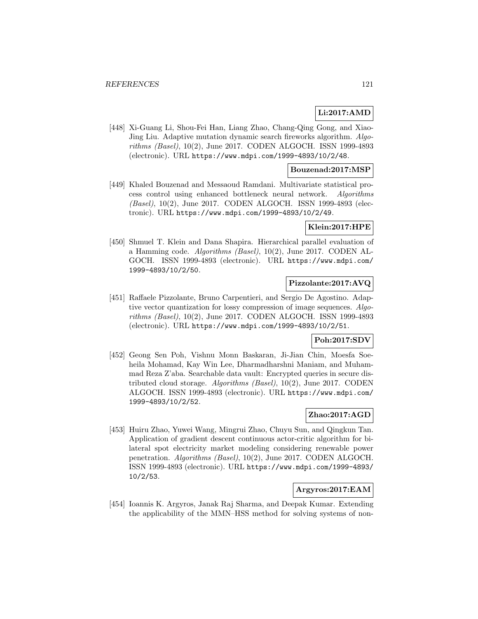# **Li:2017:AMD**

[448] Xi-Guang Li, Shou-Fei Han, Liang Zhao, Chang-Qing Gong, and Xiao-Jing Liu. Adaptive mutation dynamic search fireworks algorithm. Algorithms (Basel), 10(2), June 2017. CODEN ALGOCH. ISSN 1999-4893 (electronic). URL https://www.mdpi.com/1999-4893/10/2/48.

### **Bouzenad:2017:MSP**

[449] Khaled Bouzenad and Messaoud Ramdani. Multivariate statistical process control using enhanced bottleneck neural network. Algorithms (Basel), 10(2), June 2017. CODEN ALGOCH. ISSN 1999-4893 (electronic). URL https://www.mdpi.com/1999-4893/10/2/49.

## **Klein:2017:HPE**

[450] Shmuel T. Klein and Dana Shapira. Hierarchical parallel evaluation of a Hamming code. Algorithms (Basel), 10(2), June 2017. CODEN AL-GOCH. ISSN 1999-4893 (electronic). URL https://www.mdpi.com/ 1999-4893/10/2/50.

# **Pizzolante:2017:AVQ**

[451] Raffaele Pizzolante, Bruno Carpentieri, and Sergio De Agostino. Adaptive vector quantization for lossy compression of image sequences. Algorithms (Basel), 10(2), June 2017. CODEN ALGOCH. ISSN 1999-4893 (electronic). URL https://www.mdpi.com/1999-4893/10/2/51.

## **Poh:2017:SDV**

[452] Geong Sen Poh, Vishnu Monn Baskaran, Ji-Jian Chin, Moesfa Soeheila Mohamad, Kay Win Lee, Dharmadharshni Maniam, and Muhammad Reza Z'aba. Searchable data vault: Encrypted queries in secure distributed cloud storage. Algorithms (Basel), 10(2), June 2017. CODEN ALGOCH. ISSN 1999-4893 (electronic). URL https://www.mdpi.com/ 1999-4893/10/2/52.

## **Zhao:2017:AGD**

[453] Huiru Zhao, Yuwei Wang, Mingrui Zhao, Chuyu Sun, and Qingkun Tan. Application of gradient descent continuous actor-critic algorithm for bilateral spot electricity market modeling considering renewable power penetration. Algorithms (Basel), 10(2), June 2017. CODEN ALGOCH. ISSN 1999-4893 (electronic). URL https://www.mdpi.com/1999-4893/ 10/2/53.

# **Argyros:2017:EAM**

[454] Ioannis K. Argyros, Janak Raj Sharma, and Deepak Kumar. Extending the applicability of the MMN–HSS method for solving systems of non-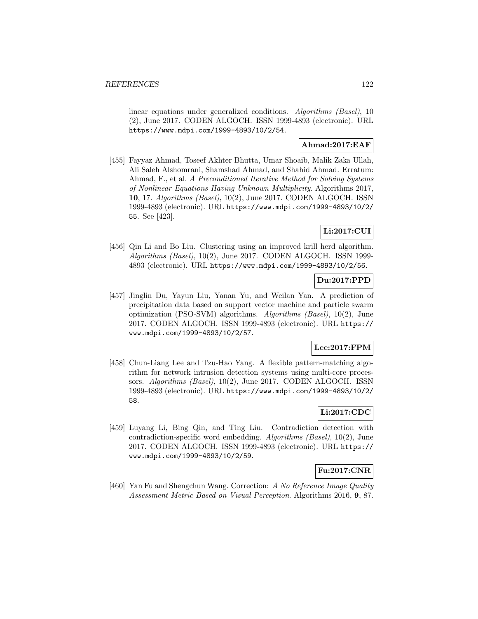linear equations under generalized conditions. Algorithms (Basel), 10 (2), June 2017. CODEN ALGOCH. ISSN 1999-4893 (electronic). URL https://www.mdpi.com/1999-4893/10/2/54.

## **Ahmad:2017:EAF**

[455] Fayyaz Ahmad, Toseef Akhter Bhutta, Umar Shoaib, Malik Zaka Ullah, Ali Saleh Alshomrani, Shamshad Ahmad, and Shahid Ahmad. Erratum: Ahmad, F., et al. A Preconditioned Iterative Method for Solving Systems of Nonlinear Equations Having Unknown Multiplicity. Algorithms 2017, **10**, 17. Algorithms (Basel), 10(2), June 2017. CODEN ALGOCH. ISSN 1999-4893 (electronic). URL https://www.mdpi.com/1999-4893/10/2/ 55. See [423].

# **Li:2017:CUI**

[456] Qin Li and Bo Liu. Clustering using an improved krill herd algorithm. Algorithms (Basel), 10(2), June 2017. CODEN ALGOCH. ISSN 1999- 4893 (electronic). URL https://www.mdpi.com/1999-4893/10/2/56.

## **Du:2017:PPD**

[457] Jinglin Du, Yayun Liu, Yanan Yu, and Weilan Yan. A prediction of precipitation data based on support vector machine and particle swarm optimization (PSO-SVM) algorithms. Algorithms (Basel), 10(2), June 2017. CODEN ALGOCH. ISSN 1999-4893 (electronic). URL https:// www.mdpi.com/1999-4893/10/2/57.

# **Lee:2017:FPM**

[458] Chun-Liang Lee and Tzu-Hao Yang. A flexible pattern-matching algorithm for network intrusion detection systems using multi-core processors. Algorithms (Basel), 10(2), June 2017. CODEN ALGOCH. ISSN 1999-4893 (electronic). URL https://www.mdpi.com/1999-4893/10/2/ 58.

# **Li:2017:CDC**

[459] Luyang Li, Bing Qin, and Ting Liu. Contradiction detection with contradiction-specific word embedding. Algorithms (Basel), 10(2), June 2017. CODEN ALGOCH. ISSN 1999-4893 (electronic). URL https:// www.mdpi.com/1999-4893/10/2/59.

### **Fu:2017:CNR**

[460] Yan Fu and Shengchun Wang. Correction: A No Reference Image Quality Assessment Metric Based on Visual Perception. Algorithms 2016, **9**, 87.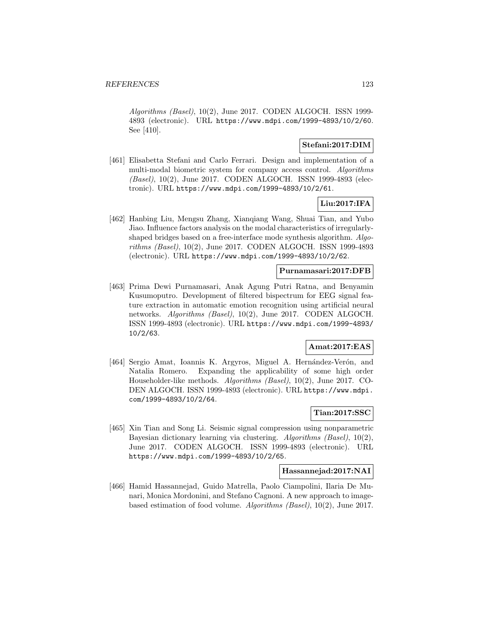Algorithms (Basel), 10(2), June 2017. CODEN ALGOCH. ISSN 1999- 4893 (electronic). URL https://www.mdpi.com/1999-4893/10/2/60. See [410].

## **Stefani:2017:DIM**

[461] Elisabetta Stefani and Carlo Ferrari. Design and implementation of a multi-modal biometric system for company access control. Algorithms (Basel), 10(2), June 2017. CODEN ALGOCH. ISSN 1999-4893 (electronic). URL https://www.mdpi.com/1999-4893/10/2/61.

# **Liu:2017:IFA**

[462] Hanbing Liu, Mengsu Zhang, Xianqiang Wang, Shuai Tian, and Yubo Jiao. Influence factors analysis on the modal characteristics of irregularlyshaped bridges based on a free-interface mode synthesis algorithm. Algorithms (Basel), 10(2), June 2017. CODEN ALGOCH. ISSN 1999-4893 (electronic). URL https://www.mdpi.com/1999-4893/10/2/62.

## **Purnamasari:2017:DFB**

[463] Prima Dewi Purnamasari, Anak Agung Putri Ratna, and Benyamin Kusumoputro. Development of filtered bispectrum for EEG signal feature extraction in automatic emotion recognition using artificial neural networks. Algorithms (Basel), 10(2), June 2017. CODEN ALGOCH. ISSN 1999-4893 (electronic). URL https://www.mdpi.com/1999-4893/ 10/2/63.

### **Amat:2017:EAS**

[464] Sergio Amat, Ioannis K. Argyros, Miguel A. Hernández-Verón, and Natalia Romero. Expanding the applicability of some high order Householder-like methods. Algorithms (Basel), 10(2), June 2017. CO-DEN ALGOCH. ISSN 1999-4893 (electronic). URL https://www.mdpi. com/1999-4893/10/2/64.

## **Tian:2017:SSC**

[465] Xin Tian and Song Li. Seismic signal compression using nonparametric Bayesian dictionary learning via clustering. Algorithms (Basel), 10(2), June 2017. CODEN ALGOCH. ISSN 1999-4893 (electronic). URL https://www.mdpi.com/1999-4893/10/2/65.

### **Hassannejad:2017:NAI**

[466] Hamid Hassannejad, Guido Matrella, Paolo Ciampolini, Ilaria De Munari, Monica Mordonini, and Stefano Cagnoni. A new approach to imagebased estimation of food volume. Algorithms (Basel), 10(2), June 2017.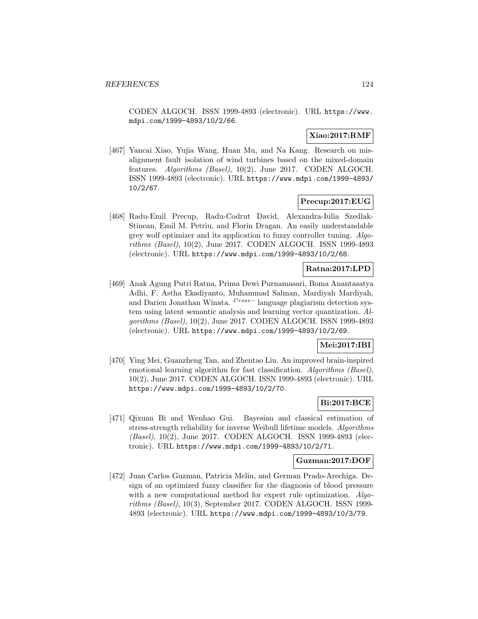CODEN ALGOCH. ISSN 1999-4893 (electronic). URL https://www. mdpi.com/1999-4893/10/2/66.

## **Xiao:2017:RMF**

[467] Yancai Xiao, Yujia Wang, Huan Mu, and Na Kang. Research on misalignment fault isolation of wind turbines based on the mixed-domain features. Algorithms (Basel), 10(2), June 2017. CODEN ALGOCH. ISSN 1999-4893 (electronic). URL https://www.mdpi.com/1999-4893/ 10/2/67.

### **Precup:2017:EUG**

[468] Radu-Emil Precup, Radu-Codrut David, Alexandra-Iulia Szedlak-Stinean, Emil M. Petriu, and Florin Dragan. An easily understandable grey wolf optimizer and its application to fuzzy controller tuning. Algorithms (Basel), 10(2), June 2017. CODEN ALGOCH. ISSN 1999-4893 (electronic). URL https://www.mdpi.com/1999-4893/10/2/68.

### **Ratna:2017:LPD**

[469] Anak Agung Putri Ratna, Prima Dewi Purnamasari, Boma Anantasatya Adhi, F. Astha Ekadiyanto, Muhammad Salman, Mardiyah Mardiyah, and Darien Jonathan Winata. Cross− language plagiarism detection system using latent semantic analysis and learning vector quantization. Algorithms (Basel), 10(2), June 2017. CODEN ALGOCH. ISSN 1999-4893 (electronic). URL https://www.mdpi.com/1999-4893/10/2/69.

### **Mei:2017:IBI**

[470] Ying Mei, Guanzheng Tan, and Zhentao Liu. An improved brain-inspired emotional learning algorithm for fast classification. Algorithms (Basel), 10(2), June 2017. CODEN ALGOCH. ISSN 1999-4893 (electronic). URL https://www.mdpi.com/1999-4893/10/2/70.

## **Bi:2017:BCE**

[471] Qixuan Bi and Wenhao Gui. Bayesian and classical estimation of stress-strength reliability for inverse Weibull lifetime models. Algorithms (Basel), 10(2), June 2017. CODEN ALGOCH. ISSN 1999-4893 (electronic). URL https://www.mdpi.com/1999-4893/10/2/71.

#### **Guzman:2017:DOF**

[472] Juan Carlos Guzman, Patricia Melin, and German Prado-Arechiga. Design of an optimized fuzzy classifier for the diagnosis of blood pressure with a new computational method for expert rule optimization. Algorithms (Basel), 10(3), September 2017. CODEN ALGOCH. ISSN 1999- 4893 (electronic). URL https://www.mdpi.com/1999-4893/10/3/79.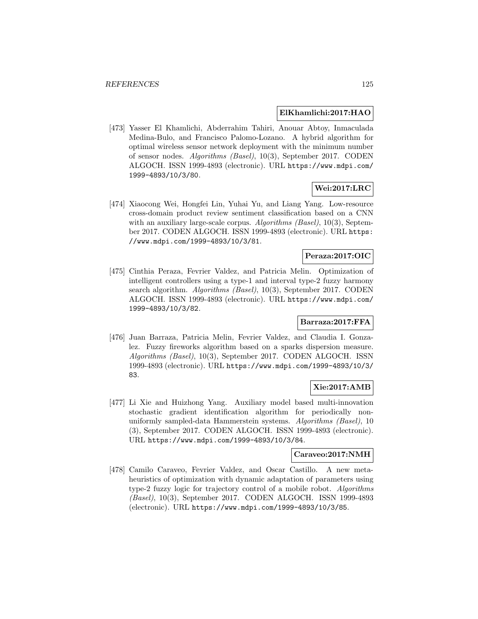### **ElKhamlichi:2017:HAO**

[473] Yasser El Khamlichi, Abderrahim Tahiri, Anouar Abtoy, Inmaculada Medina-Bulo, and Francisco Palomo-Lozano. A hybrid algorithm for optimal wireless sensor network deployment with the minimum number of sensor nodes. Algorithms (Basel), 10(3), September 2017. CODEN ALGOCH. ISSN 1999-4893 (electronic). URL https://www.mdpi.com/ 1999-4893/10/3/80.

## **Wei:2017:LRC**

[474] Xiaocong Wei, Hongfei Lin, Yuhai Yu, and Liang Yang. Low-resource cross-domain product review sentiment classification based on a CNN with an auxiliary large-scale corpus. Algorithms (Basel), 10(3), September 2017. CODEN ALGOCH. ISSN 1999-4893 (electronic). URL https: //www.mdpi.com/1999-4893/10/3/81.

## **Peraza:2017:OIC**

[475] Cinthia Peraza, Fevrier Valdez, and Patricia Melin. Optimization of intelligent controllers using a type-1 and interval type-2 fuzzy harmony search algorithm. Algorithms (Basel), 10(3), September 2017. CODEN ALGOCH. ISSN 1999-4893 (electronic). URL https://www.mdpi.com/ 1999-4893/10/3/82.

# **Barraza:2017:FFA**

[476] Juan Barraza, Patricia Melin, Fevrier Valdez, and Claudia I. Gonzalez. Fuzzy fireworks algorithm based on a sparks dispersion measure. Algorithms (Basel), 10(3), September 2017. CODEN ALGOCH. ISSN 1999-4893 (electronic). URL https://www.mdpi.com/1999-4893/10/3/ 83.

## **Xie:2017:AMB**

[477] Li Xie and Huizhong Yang. Auxiliary model based multi-innovation stochastic gradient identification algorithm for periodically nonuniformly sampled-data Hammerstein systems. Algorithms (Basel), 10 (3), September 2017. CODEN ALGOCH. ISSN 1999-4893 (electronic). URL https://www.mdpi.com/1999-4893/10/3/84.

### **Caraveo:2017:NMH**

[478] Camilo Caraveo, Fevrier Valdez, and Oscar Castillo. A new metaheuristics of optimization with dynamic adaptation of parameters using type-2 fuzzy logic for trajectory control of a mobile robot. Algorithms (Basel), 10(3), September 2017. CODEN ALGOCH. ISSN 1999-4893 (electronic). URL https://www.mdpi.com/1999-4893/10/3/85.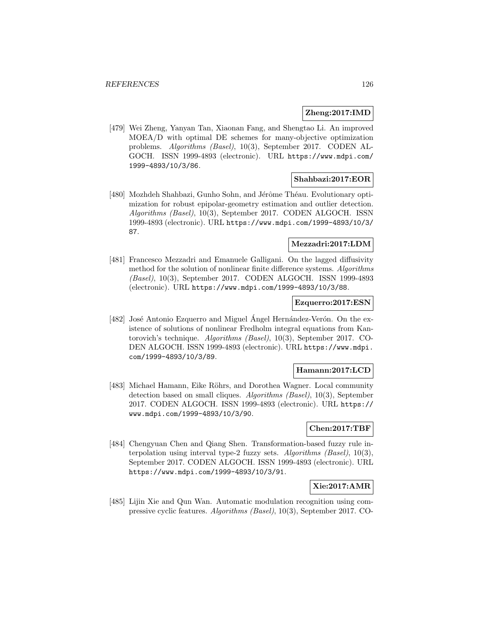### **Zheng:2017:IMD**

[479] Wei Zheng, Yanyan Tan, Xiaonan Fang, and Shengtao Li. An improved MOEA/D with optimal DE schemes for many-objective optimization problems. Algorithms (Basel), 10(3), September 2017. CODEN AL-GOCH. ISSN 1999-4893 (electronic). URL https://www.mdpi.com/ 1999-4893/10/3/86.

### **Shahbazi:2017:EOR**

[480] Mozhdeh Shahbazi, Gunho Sohn, and Jérôme Théau. Evolutionary optimization for robust epipolar-geometry estimation and outlier detection. Algorithms (Basel), 10(3), September 2017. CODEN ALGOCH. ISSN 1999-4893 (electronic). URL https://www.mdpi.com/1999-4893/10/3/ 87.

## **Mezzadri:2017:LDM**

[481] Francesco Mezzadri and Emanuele Galligani. On the lagged diffusivity method for the solution of nonlinear finite difference systems. Algorithms (Basel), 10(3), September 2017. CODEN ALGOCH. ISSN 1999-4893 (electronic). URL https://www.mdpi.com/1999-4893/10/3/88.

### **Ezquerro:2017:ESN**

[482] José Antonio Ezquerro and Miguel Angel Hernández-Verón. On the existence of solutions of nonlinear Fredholm integral equations from Kantorovich's technique. Algorithms (Basel), 10(3), September 2017. CO-DEN ALGOCH. ISSN 1999-4893 (electronic). URL https://www.mdpi. com/1999-4893/10/3/89.

### **Hamann:2017:LCD**

[483] Michael Hamann, Eike Röhrs, and Dorothea Wagner. Local community detection based on small cliques. Algorithms (Basel), 10(3), September 2017. CODEN ALGOCH. ISSN 1999-4893 (electronic). URL https:// www.mdpi.com/1999-4893/10/3/90.

### **Chen:2017:TBF**

[484] Chengyuan Chen and Qiang Shen. Transformation-based fuzzy rule interpolation using interval type-2 fuzzy sets. Algorithms (Basel), 10(3), September 2017. CODEN ALGOCH. ISSN 1999-4893 (electronic). URL https://www.mdpi.com/1999-4893/10/3/91.

### **Xie:2017:AMR**

[485] Lijin Xie and Qun Wan. Automatic modulation recognition using compressive cyclic features. Algorithms (Basel), 10(3), September 2017. CO-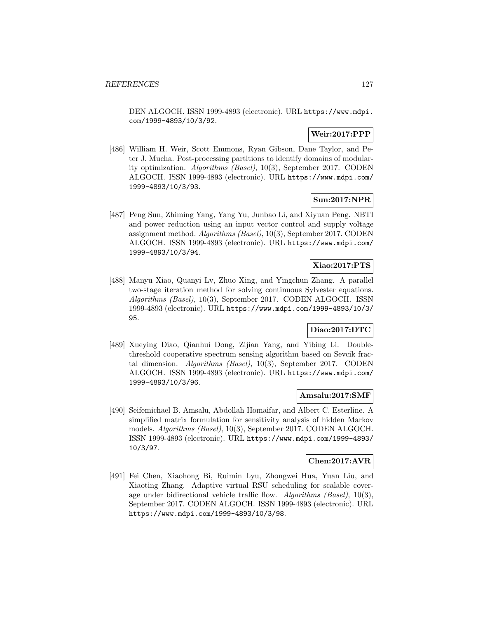DEN ALGOCH. ISSN 1999-4893 (electronic). URL https://www.mdpi. com/1999-4893/10/3/92.

# **Weir:2017:PPP**

[486] William H. Weir, Scott Emmons, Ryan Gibson, Dane Taylor, and Peter J. Mucha. Post-processing partitions to identify domains of modularity optimization. Algorithms (Basel), 10(3), September 2017. CODEN ALGOCH. ISSN 1999-4893 (electronic). URL https://www.mdpi.com/ 1999-4893/10/3/93.

# **Sun:2017:NPR**

[487] Peng Sun, Zhiming Yang, Yang Yu, Junbao Li, and Xiyuan Peng. NBTI and power reduction using an input vector control and supply voltage assignment method. Algorithms (Basel), 10(3), September 2017. CODEN ALGOCH. ISSN 1999-4893 (electronic). URL https://www.mdpi.com/ 1999-4893/10/3/94.

# **Xiao:2017:PTS**

[488] Manyu Xiao, Quanyi Lv, Zhuo Xing, and Yingchun Zhang. A parallel two-stage iteration method for solving continuous Sylvester equations. Algorithms (Basel), 10(3), September 2017. CODEN ALGOCH. ISSN 1999-4893 (electronic). URL https://www.mdpi.com/1999-4893/10/3/ 95.

# **Diao:2017:DTC**

[489] Xueying Diao, Qianhui Dong, Zijian Yang, and Yibing Li. Doublethreshold cooperative spectrum sensing algorithm based on Sevcik fractal dimension. Algorithms (Basel), 10(3), September 2017. CODEN ALGOCH. ISSN 1999-4893 (electronic). URL https://www.mdpi.com/ 1999-4893/10/3/96.

### **Amsalu:2017:SMF**

[490] Seifemichael B. Amsalu, Abdollah Homaifar, and Albert C. Esterline. A simplified matrix formulation for sensitivity analysis of hidden Markov models. Algorithms (Basel), 10(3), September 2017. CODEN ALGOCH. ISSN 1999-4893 (electronic). URL https://www.mdpi.com/1999-4893/ 10/3/97.

### **Chen:2017:AVR**

[491] Fei Chen, Xiaohong Bi, Ruimin Lyu, Zhongwei Hua, Yuan Liu, and Xiaoting Zhang. Adaptive virtual RSU scheduling for scalable coverage under bidirectional vehicle traffic flow. Algorithms (Basel), 10(3), September 2017. CODEN ALGOCH. ISSN 1999-4893 (electronic). URL https://www.mdpi.com/1999-4893/10/3/98.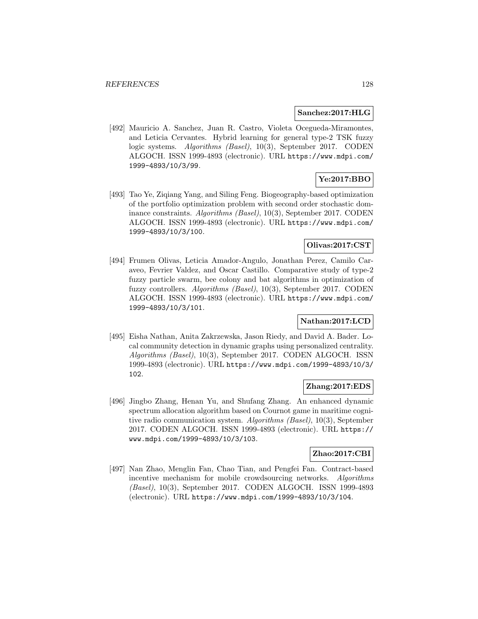### **Sanchez:2017:HLG**

[492] Mauricio A. Sanchez, Juan R. Castro, Violeta Ocegueda-Miramontes, and Leticia Cervantes. Hybrid learning for general type-2 TSK fuzzy logic systems. Algorithms (Basel), 10(3), September 2017. CODEN ALGOCH. ISSN 1999-4893 (electronic). URL https://www.mdpi.com/ 1999-4893/10/3/99.

# **Ye:2017:BBO**

[493] Tao Ye, Ziqiang Yang, and Siling Feng. Biogeography-based optimization of the portfolio optimization problem with second order stochastic dominance constraints. Algorithms (Basel), 10(3), September 2017. CODEN ALGOCH. ISSN 1999-4893 (electronic). URL https://www.mdpi.com/ 1999-4893/10/3/100.

## **Olivas:2017:CST**

[494] Frumen Olivas, Leticia Amador-Angulo, Jonathan Perez, Camilo Caraveo, Fevrier Valdez, and Oscar Castillo. Comparative study of type-2 fuzzy particle swarm, bee colony and bat algorithms in optimization of fuzzy controllers. Algorithms (Basel), 10(3), September 2017. CODEN ALGOCH. ISSN 1999-4893 (electronic). URL https://www.mdpi.com/ 1999-4893/10/3/101.

## **Nathan:2017:LCD**

[495] Eisha Nathan, Anita Zakrzewska, Jason Riedy, and David A. Bader. Local community detection in dynamic graphs using personalized centrality. Algorithms (Basel), 10(3), September 2017. CODEN ALGOCH. ISSN 1999-4893 (electronic). URL https://www.mdpi.com/1999-4893/10/3/ 102.

# **Zhang:2017:EDS**

[496] Jingbo Zhang, Henan Yu, and Shufang Zhang. An enhanced dynamic spectrum allocation algorithm based on Cournot game in maritime cognitive radio communication system. Algorithms (Basel), 10(3), September 2017. CODEN ALGOCH. ISSN 1999-4893 (electronic). URL https:// www.mdpi.com/1999-4893/10/3/103.

#### **Zhao:2017:CBI**

[497] Nan Zhao, Menglin Fan, Chao Tian, and Pengfei Fan. Contract-based incentive mechanism for mobile crowdsourcing networks. Algorithms (Basel), 10(3), September 2017. CODEN ALGOCH. ISSN 1999-4893 (electronic). URL https://www.mdpi.com/1999-4893/10/3/104.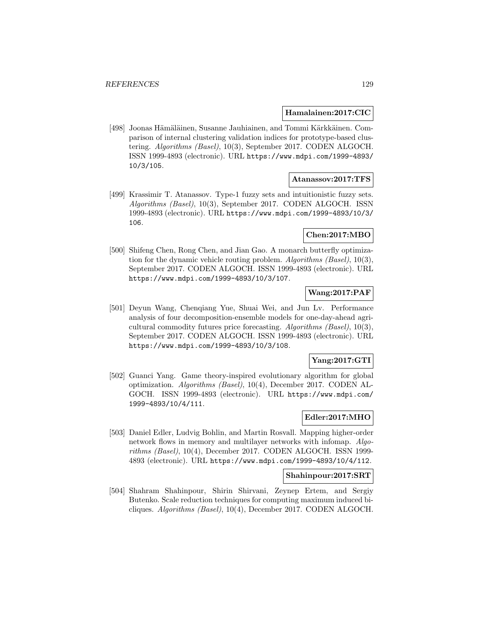### **Hamalainen:2017:CIC**

[498] Joonas Hämäläinen, Susanne Jauhiainen, and Tommi Kärkkäinen. Comparison of internal clustering validation indices for prototype-based clustering. Algorithms (Basel), 10(3), September 2017. CODEN ALGOCH. ISSN 1999-4893 (electronic). URL https://www.mdpi.com/1999-4893/ 10/3/105.

### **Atanassov:2017:TFS**

[499] Krassimir T. Atanassov. Type-1 fuzzy sets and intuitionistic fuzzy sets. Algorithms (Basel), 10(3), September 2017. CODEN ALGOCH. ISSN 1999-4893 (electronic). URL https://www.mdpi.com/1999-4893/10/3/ 106.

## **Chen:2017:MBO**

[500] Shifeng Chen, Rong Chen, and Jian Gao. A monarch butterfly optimization for the dynamic vehicle routing problem. Algorithms (Basel),  $10(3)$ , September 2017. CODEN ALGOCH. ISSN 1999-4893 (electronic). URL https://www.mdpi.com/1999-4893/10/3/107.

### **Wang:2017:PAF**

[501] Deyun Wang, Chenqiang Yue, Shuai Wei, and Jun Lv. Performance analysis of four decomposition-ensemble models for one-day-ahead agricultural commodity futures price forecasting. Algorithms (Basel), 10(3), September 2017. CODEN ALGOCH. ISSN 1999-4893 (electronic). URL https://www.mdpi.com/1999-4893/10/3/108.

# **Yang:2017:GTI**

[502] Guanci Yang. Game theory-inspired evolutionary algorithm for global optimization. Algorithms (Basel), 10(4), December 2017. CODEN AL-GOCH. ISSN 1999-4893 (electronic). URL https://www.mdpi.com/ 1999-4893/10/4/111.

### **Edler:2017:MHO**

[503] Daniel Edler, Ludvig Bohlin, and Martin Rosvall. Mapping higher-order network flows in memory and multilayer networks with infomap. Algorithms (Basel), 10(4), December 2017. CODEN ALGOCH. ISSN 1999- 4893 (electronic). URL https://www.mdpi.com/1999-4893/10/4/112.

### **Shahinpour:2017:SRT**

[504] Shahram Shahinpour, Shirin Shirvani, Zeynep Ertem, and Sergiy Butenko. Scale reduction techniques for computing maximum induced bicliques. Algorithms (Basel), 10(4), December 2017. CODEN ALGOCH.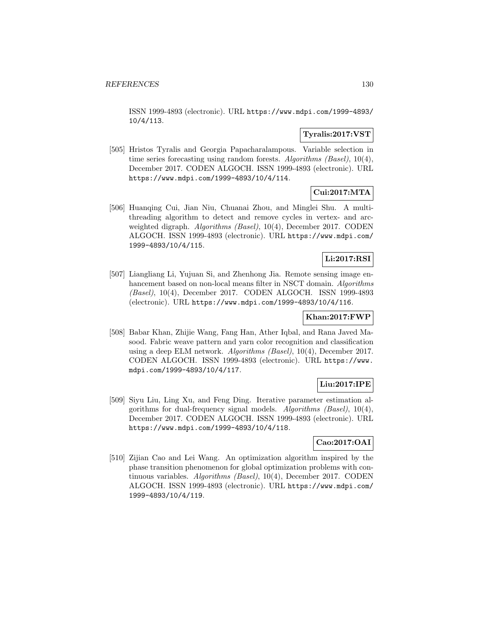ISSN 1999-4893 (electronic). URL https://www.mdpi.com/1999-4893/ 10/4/113.

# **Tyralis:2017:VST**

[505] Hristos Tyralis and Georgia Papacharalampous. Variable selection in time series forecasting using random forests. Algorithms (Basel), 10(4), December 2017. CODEN ALGOCH. ISSN 1999-4893 (electronic). URL https://www.mdpi.com/1999-4893/10/4/114.

# **Cui:2017:MTA**

[506] Huanqing Cui, Jian Niu, Chuanai Zhou, and Minglei Shu. A multithreading algorithm to detect and remove cycles in vertex- and arcweighted digraph. *Algorithms (Basel)*, 10(4), December 2017. CODEN ALGOCH. ISSN 1999-4893 (electronic). URL https://www.mdpi.com/ 1999-4893/10/4/115.

# **Li:2017:RSI**

[507] Liangliang Li, Yujuan Si, and Zhenhong Jia. Remote sensing image enhancement based on non-local means filter in NSCT domain. Algorithms (Basel), 10(4), December 2017. CODEN ALGOCH. ISSN 1999-4893 (electronic). URL https://www.mdpi.com/1999-4893/10/4/116.

## **Khan:2017:FWP**

[508] Babar Khan, Zhijie Wang, Fang Han, Ather Iqbal, and Rana Javed Masood. Fabric weave pattern and yarn color recognition and classification using a deep ELM network. Algorithms (Basel), 10(4), December 2017. CODEN ALGOCH. ISSN 1999-4893 (electronic). URL https://www. mdpi.com/1999-4893/10/4/117.

### **Liu:2017:IPE**

[509] Siyu Liu, Ling Xu, and Feng Ding. Iterative parameter estimation algorithms for dual-frequency signal models. Algorithms (Basel), 10(4), December 2017. CODEN ALGOCH. ISSN 1999-4893 (electronic). URL https://www.mdpi.com/1999-4893/10/4/118.

# **Cao:2017:OAI**

[510] Zijian Cao and Lei Wang. An optimization algorithm inspired by the phase transition phenomenon for global optimization problems with continuous variables. Algorithms (Basel), 10(4), December 2017. CODEN ALGOCH. ISSN 1999-4893 (electronic). URL https://www.mdpi.com/ 1999-4893/10/4/119.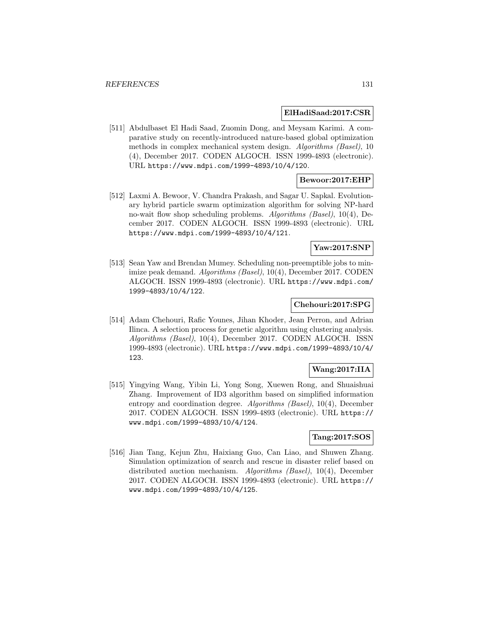#### **ElHadiSaad:2017:CSR**

[511] Abdulbaset El Hadi Saad, Zuomin Dong, and Meysam Karimi. A comparative study on recently-introduced nature-based global optimization methods in complex mechanical system design. Algorithms (Basel), 10 (4), December 2017. CODEN ALGOCH. ISSN 1999-4893 (electronic). URL https://www.mdpi.com/1999-4893/10/4/120.

## **Bewoor:2017:EHP**

[512] Laxmi A. Bewoor, V. Chandra Prakash, and Sagar U. Sapkal. Evolutionary hybrid particle swarm optimization algorithm for solving NP-hard no-wait flow shop scheduling problems. Algorithms (Basel), 10(4), December 2017. CODEN ALGOCH. ISSN 1999-4893 (electronic). URL https://www.mdpi.com/1999-4893/10/4/121.

### **Yaw:2017:SNP**

[513] Sean Yaw and Brendan Mumey. Scheduling non-preemptible jobs to minimize peak demand. Algorithms (Basel), 10(4), December 2017. CODEN ALGOCH. ISSN 1999-4893 (electronic). URL https://www.mdpi.com/ 1999-4893/10/4/122.

## **Chehouri:2017:SPG**

[514] Adam Chehouri, Rafic Younes, Jihan Khoder, Jean Perron, and Adrian Ilinca. A selection process for genetic algorithm using clustering analysis. Algorithms (Basel), 10(4), December 2017. CODEN ALGOCH. ISSN 1999-4893 (electronic). URL https://www.mdpi.com/1999-4893/10/4/ 123.

## **Wang:2017:IIA**

[515] Yingying Wang, Yibin Li, Yong Song, Xuewen Rong, and Shuaishuai Zhang. Improvement of ID3 algorithm based on simplified information entropy and coordination degree. Algorithms (Basel), 10(4), December 2017. CODEN ALGOCH. ISSN 1999-4893 (electronic). URL https:// www.mdpi.com/1999-4893/10/4/124.

### **Tang:2017:SOS**

[516] Jian Tang, Kejun Zhu, Haixiang Guo, Can Liao, and Shuwen Zhang. Simulation optimization of search and rescue in disaster relief based on distributed auction mechanism. Algorithms (Basel), 10(4), December 2017. CODEN ALGOCH. ISSN 1999-4893 (electronic). URL https:// www.mdpi.com/1999-4893/10/4/125.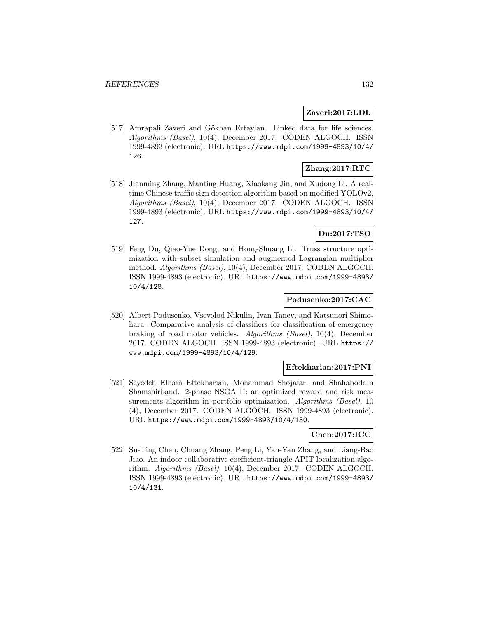## **Zaveri:2017:LDL**

[517] Amrapali Zaveri and Gökhan Ertaylan. Linked data for life sciences. Algorithms (Basel), 10(4), December 2017. CODEN ALGOCH. ISSN 1999-4893 (electronic). URL https://www.mdpi.com/1999-4893/10/4/ 126.

# **Zhang:2017:RTC**

[518] Jianming Zhang, Manting Huang, Xiaokang Jin, and Xudong Li. A realtime Chinese traffic sign detection algorithm based on modified YOLOv2. Algorithms (Basel), 10(4), December 2017. CODEN ALGOCH. ISSN 1999-4893 (electronic). URL https://www.mdpi.com/1999-4893/10/4/ 127.

# **Du:2017:TSO**

[519] Feng Du, Qiao-Yue Dong, and Hong-Shuang Li. Truss structure optimization with subset simulation and augmented Lagrangian multiplier method. Algorithms (Basel), 10(4), December 2017. CODEN ALGOCH. ISSN 1999-4893 (electronic). URL https://www.mdpi.com/1999-4893/ 10/4/128.

# **Podusenko:2017:CAC**

[520] Albert Podusenko, Vsevolod Nikulin, Ivan Tanev, and Katsunori Shimohara. Comparative analysis of classifiers for classification of emergency braking of road motor vehicles. Algorithms (Basel), 10(4), December 2017. CODEN ALGOCH. ISSN 1999-4893 (electronic). URL https:// www.mdpi.com/1999-4893/10/4/129.

### **Eftekharian:2017:PNI**

[521] Seyedeh Elham Eftekharian, Mohammad Shojafar, and Shahaboddin Shamshirband. 2-phase NSGA II: an optimized reward and risk measurements algorithm in portfolio optimization. Algorithms (Basel), 10 (4), December 2017. CODEN ALGOCH. ISSN 1999-4893 (electronic). URL https://www.mdpi.com/1999-4893/10/4/130.

### **Chen:2017:ICC**

[522] Su-Ting Chen, Chuang Zhang, Peng Li, Yan-Yan Zhang, and Liang-Bao Jiao. An indoor collaborative coefficient-triangle APIT localization algorithm. Algorithms (Basel), 10(4), December 2017. CODEN ALGOCH. ISSN 1999-4893 (electronic). URL https://www.mdpi.com/1999-4893/ 10/4/131.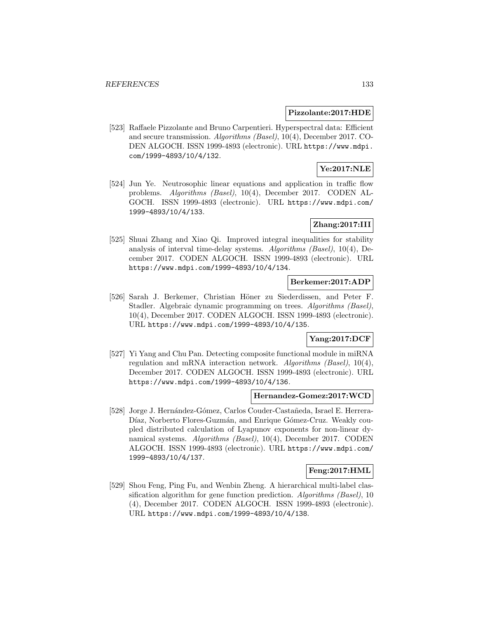#### **Pizzolante:2017:HDE**

[523] Raffaele Pizzolante and Bruno Carpentieri. Hyperspectral data: Efficient and secure transmission. Algorithms (Basel), 10(4), December 2017. CO-DEN ALGOCH. ISSN 1999-4893 (electronic). URL https://www.mdpi. com/1999-4893/10/4/132.

# **Ye:2017:NLE**

[524] Jun Ye. Neutrosophic linear equations and application in traffic flow problems. Algorithms (Basel), 10(4), December 2017. CODEN AL-GOCH. ISSN 1999-4893 (electronic). URL https://www.mdpi.com/ 1999-4893/10/4/133.

## **Zhang:2017:III**

[525] Shuai Zhang and Xiao Qi. Improved integral inequalities for stability analysis of interval time-delay systems. Algorithms (Basel), 10(4), December 2017. CODEN ALGOCH. ISSN 1999-4893 (electronic). URL https://www.mdpi.com/1999-4893/10/4/134.

#### **Berkemer:2017:ADP**

[526] Sarah J. Berkemer, Christian Höner zu Siederdissen, and Peter F. Stadler. Algebraic dynamic programming on trees. Algorithms (Basel), 10(4), December 2017. CODEN ALGOCH. ISSN 1999-4893 (electronic). URL https://www.mdpi.com/1999-4893/10/4/135.

# **Yang:2017:DCF**

[527] Yi Yang and Chu Pan. Detecting composite functional module in miRNA regulation and mRNA interaction network. Algorithms (Basel), 10(4), December 2017. CODEN ALGOCH. ISSN 1999-4893 (electronic). URL https://www.mdpi.com/1999-4893/10/4/136.

#### **Hernandez-Gomez:2017:WCD**

[528] Jorge J. Hernández-Gómez, Carlos Couder-Castañeda, Israel E. Herrera-Díaz, Norberto Flores-Guzmán, and Enrique Gómez-Cruz. Weakly coupled distributed calculation of Lyapunov exponents for non-linear dynamical systems. Algorithms (Basel), 10(4), December 2017. CODEN ALGOCH. ISSN 1999-4893 (electronic). URL https://www.mdpi.com/ 1999-4893/10/4/137.

## **Feng:2017:HML**

[529] Shou Feng, Ping Fu, and Wenbin Zheng. A hierarchical multi-label classification algorithm for gene function prediction. Algorithms (Basel), 10 (4), December 2017. CODEN ALGOCH. ISSN 1999-4893 (electronic). URL https://www.mdpi.com/1999-4893/10/4/138.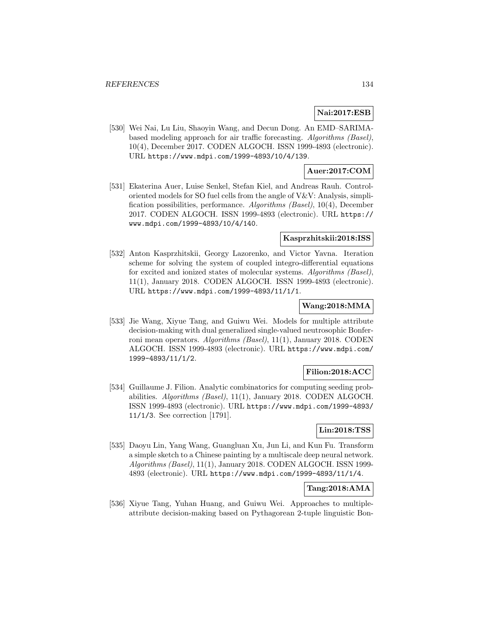# **Nai:2017:ESB**

[530] Wei Nai, Lu Liu, Shaoyin Wang, and Decun Dong. An EMD–SARIMAbased modeling approach for air traffic forecasting. Algorithms (Basel), 10(4), December 2017. CODEN ALGOCH. ISSN 1999-4893 (electronic). URL https://www.mdpi.com/1999-4893/10/4/139.

## **Auer:2017:COM**

[531] Ekaterina Auer, Luise Senkel, Stefan Kiel, and Andreas Rauh. Controloriented models for SO fuel cells from the angle of V&V: Analysis, simplification possibilities, performance. Algorithms (Basel), 10(4), December 2017. CODEN ALGOCH. ISSN 1999-4893 (electronic). URL https:// www.mdpi.com/1999-4893/10/4/140.

## **Kasprzhitskii:2018:ISS**

[532] Anton Kasprzhitskii, Georgy Lazorenko, and Victor Yavna. Iteration scheme for solving the system of coupled integro-differential equations for excited and ionized states of molecular systems. Algorithms (Basel), 11(1), January 2018. CODEN ALGOCH. ISSN 1999-4893 (electronic). URL https://www.mdpi.com/1999-4893/11/1/1.

### **Wang:2018:MMA**

[533] Jie Wang, Xiyue Tang, and Guiwu Wei. Models for multiple attribute decision-making with dual generalized single-valued neutrosophic Bonferroni mean operators. Algorithms (Basel), 11(1), January 2018. CODEN ALGOCH. ISSN 1999-4893 (electronic). URL https://www.mdpi.com/ 1999-4893/11/1/2.

## **Filion:2018:ACC**

[534] Guillaume J. Filion. Analytic combinatorics for computing seeding probabilities. Algorithms (Basel), 11(1), January 2018. CODEN ALGOCH. ISSN 1999-4893 (electronic). URL https://www.mdpi.com/1999-4893/ 11/1/3. See correction [1791].

# **Lin:2018:TSS**

[535] Daoyu Lin, Yang Wang, Guangluan Xu, Jun Li, and Kun Fu. Transform a simple sketch to a Chinese painting by a multiscale deep neural network. Algorithms (Basel), 11(1), January 2018. CODEN ALGOCH. ISSN 1999- 4893 (electronic). URL https://www.mdpi.com/1999-4893/11/1/4.

## **Tang:2018:AMA**

[536] Xiyue Tang, Yuhan Huang, and Guiwu Wei. Approaches to multipleattribute decision-making based on Pythagorean 2-tuple linguistic Bon-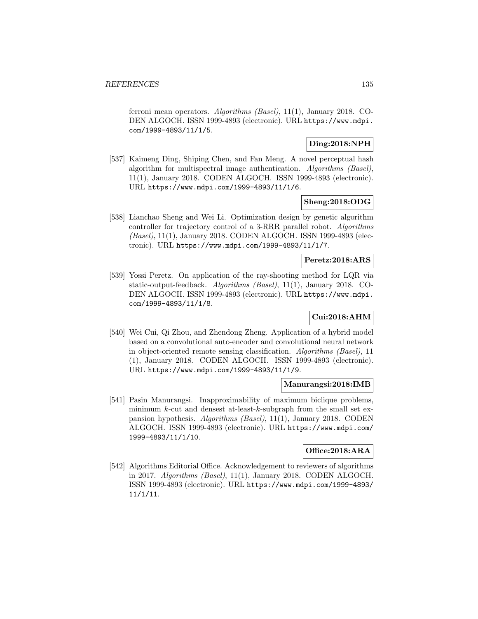ferroni mean operators. Algorithms (Basel), 11(1), January 2018. CO-DEN ALGOCH. ISSN 1999-4893 (electronic). URL https://www.mdpi. com/1999-4893/11/1/5.

## **Ding:2018:NPH**

[537] Kaimeng Ding, Shiping Chen, and Fan Meng. A novel perceptual hash algorithm for multispectral image authentication. Algorithms (Basel), 11(1), January 2018. CODEN ALGOCH. ISSN 1999-4893 (electronic). URL https://www.mdpi.com/1999-4893/11/1/6.

## **Sheng:2018:ODG**

[538] Lianchao Sheng and Wei Li. Optimization design by genetic algorithm controller for trajectory control of a 3-RRR parallel robot. Algorithms (Basel), 11(1), January 2018. CODEN ALGOCH. ISSN 1999-4893 (electronic). URL https://www.mdpi.com/1999-4893/11/1/7.

## **Peretz:2018:ARS**

[539] Yossi Peretz. On application of the ray-shooting method for LQR via static-output-feedback. Algorithms (Basel), 11(1), January 2018. CO-DEN ALGOCH. ISSN 1999-4893 (electronic). URL https://www.mdpi. com/1999-4893/11/1/8.

## **Cui:2018:AHM**

[540] Wei Cui, Qi Zhou, and Zhendong Zheng. Application of a hybrid model based on a convolutional auto-encoder and convolutional neural network in object-oriented remote sensing classification. Algorithms (Basel), 11 (1), January 2018. CODEN ALGOCH. ISSN 1999-4893 (electronic). URL https://www.mdpi.com/1999-4893/11/1/9.

### **Manurangsi:2018:IMB**

[541] Pasin Manurangsi. Inapproximability of maximum biclique problems, minimum  $k$ -cut and densest at-least- $k$ -subgraph from the small set expansion hypothesis. Algorithms (Basel), 11(1), January 2018. CODEN ALGOCH. ISSN 1999-4893 (electronic). URL https://www.mdpi.com/ 1999-4893/11/1/10.

# **Office:2018:ARA**

[542] Algorithms Editorial Office. Acknowledgement to reviewers of algorithms in 2017. Algorithms (Basel), 11(1), January 2018. CODEN ALGOCH. ISSN 1999-4893 (electronic). URL https://www.mdpi.com/1999-4893/ 11/1/11.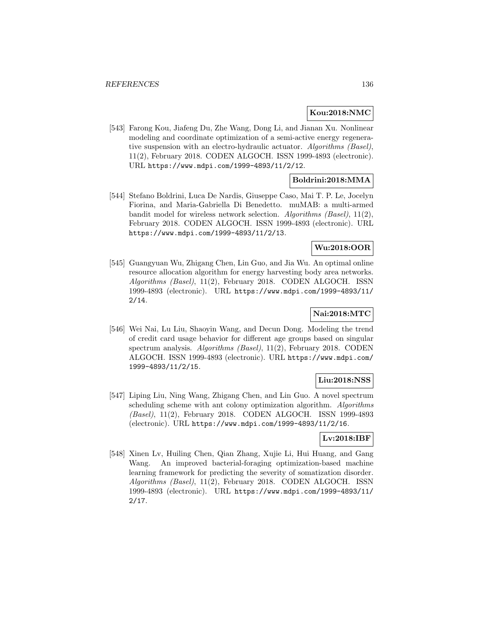### **Kou:2018:NMC**

[543] Farong Kou, Jiafeng Du, Zhe Wang, Dong Li, and Jianan Xu. Nonlinear modeling and coordinate optimization of a semi-active energy regenerative suspension with an electro-hydraulic actuator. Algorithms (Basel), 11(2), February 2018. CODEN ALGOCH. ISSN 1999-4893 (electronic). URL https://www.mdpi.com/1999-4893/11/2/12.

## **Boldrini:2018:MMA**

[544] Stefano Boldrini, Luca De Nardis, Giuseppe Caso, Mai T. P. Le, Jocelyn Fiorina, and Maria-Gabriella Di Benedetto. muMAB: a multi-armed bandit model for wireless network selection. Algorithms (Basel), 11(2), February 2018. CODEN ALGOCH. ISSN 1999-4893 (electronic). URL https://www.mdpi.com/1999-4893/11/2/13.

## **Wu:2018:OOR**

[545] Guangyuan Wu, Zhigang Chen, Lin Guo, and Jia Wu. An optimal online resource allocation algorithm for energy harvesting body area networks. Algorithms (Basel), 11(2), February 2018. CODEN ALGOCH. ISSN 1999-4893 (electronic). URL https://www.mdpi.com/1999-4893/11/ 2/14.

# **Nai:2018:MTC**

[546] Wei Nai, Lu Liu, Shaoyin Wang, and Decun Dong. Modeling the trend of credit card usage behavior for different age groups based on singular spectrum analysis. Algorithms (Basel), 11(2), February 2018. CODEN ALGOCH. ISSN 1999-4893 (electronic). URL https://www.mdpi.com/ 1999-4893/11/2/15.

### **Liu:2018:NSS**

[547] Liping Liu, Ning Wang, Zhigang Chen, and Lin Guo. A novel spectrum scheduling scheme with ant colony optimization algorithm. Algorithms (Basel), 11(2), February 2018. CODEN ALGOCH. ISSN 1999-4893 (electronic). URL https://www.mdpi.com/1999-4893/11/2/16.

## **Lv:2018:IBF**

[548] Xinen Lv, Huiling Chen, Qian Zhang, Xujie Li, Hui Huang, and Gang Wang. An improved bacterial-foraging optimization-based machine learning framework for predicting the severity of somatization disorder. Algorithms (Basel), 11(2), February 2018. CODEN ALGOCH. ISSN 1999-4893 (electronic). URL https://www.mdpi.com/1999-4893/11/ 2/17.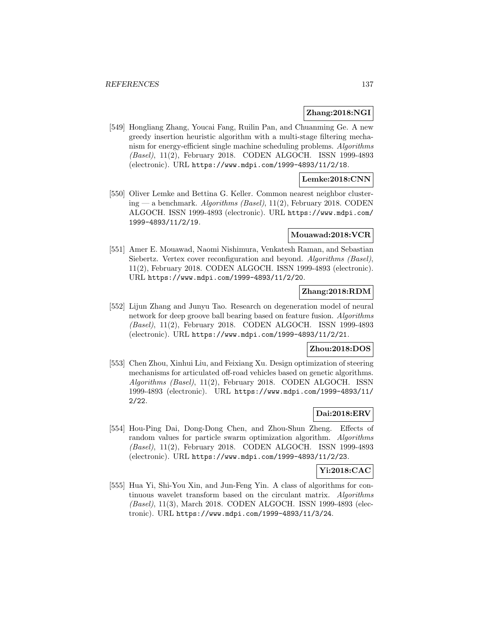## **Zhang:2018:NGI**

[549] Hongliang Zhang, Youcai Fang, Ruilin Pan, and Chuanming Ge. A new greedy insertion heuristic algorithm with a multi-stage filtering mechanism for energy-efficient single machine scheduling problems. Algorithms (Basel), 11(2), February 2018. CODEN ALGOCH. ISSN 1999-4893 (electronic). URL https://www.mdpi.com/1999-4893/11/2/18.

# **Lemke:2018:CNN**

[550] Oliver Lemke and Bettina G. Keller. Common nearest neighbor clustering — a benchmark. Algorithms (Basel),  $11(2)$ , February 2018. CODEN ALGOCH. ISSN 1999-4893 (electronic). URL https://www.mdpi.com/ 1999-4893/11/2/19.

### **Mouawad:2018:VCR**

[551] Amer E. Mouawad, Naomi Nishimura, Venkatesh Raman, and Sebastian Siebertz. Vertex cover reconfiguration and beyond. Algorithms (Basel), 11(2), February 2018. CODEN ALGOCH. ISSN 1999-4893 (electronic). URL https://www.mdpi.com/1999-4893/11/2/20.

## **Zhang:2018:RDM**

[552] Lijun Zhang and Junyu Tao. Research on degeneration model of neural network for deep groove ball bearing based on feature fusion. Algorithms (Basel), 11(2), February 2018. CODEN ALGOCH. ISSN 1999-4893 (electronic). URL https://www.mdpi.com/1999-4893/11/2/21.

## **Zhou:2018:DOS**

[553] Chen Zhou, Xinhui Liu, and Feixiang Xu. Design optimization of steering mechanisms for articulated off-road vehicles based on genetic algorithms. Algorithms (Basel), 11(2), February 2018. CODEN ALGOCH. ISSN 1999-4893 (electronic). URL https://www.mdpi.com/1999-4893/11/ 2/22.

# **Dai:2018:ERV**

[554] Hou-Ping Dai, Dong-Dong Chen, and Zhou-Shun Zheng. Effects of random values for particle swarm optimization algorithm. Algorithms (Basel), 11(2), February 2018. CODEN ALGOCH. ISSN 1999-4893 (electronic). URL https://www.mdpi.com/1999-4893/11/2/23.

## **Yi:2018:CAC**

[555] Hua Yi, Shi-You Xin, and Jun-Feng Yin. A class of algorithms for continuous wavelet transform based on the circulant matrix. Algorithms (Basel), 11(3), March 2018. CODEN ALGOCH. ISSN 1999-4893 (electronic). URL https://www.mdpi.com/1999-4893/11/3/24.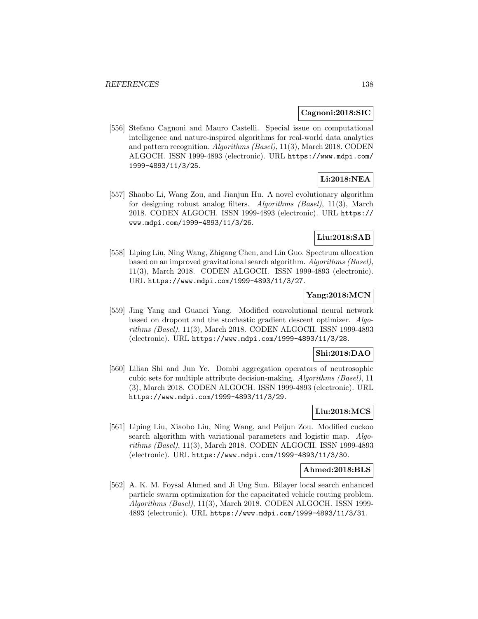#### **Cagnoni:2018:SIC**

[556] Stefano Cagnoni and Mauro Castelli. Special issue on computational intelligence and nature-inspired algorithms for real-world data analytics and pattern recognition. Algorithms (Basel), 11(3), March 2018. CODEN ALGOCH. ISSN 1999-4893 (electronic). URL https://www.mdpi.com/ 1999-4893/11/3/25.

### **Li:2018:NEA**

[557] Shaobo Li, Wang Zou, and Jianjun Hu. A novel evolutionary algorithm for designing robust analog filters. Algorithms (Basel), 11(3), March 2018. CODEN ALGOCH. ISSN 1999-4893 (electronic). URL https:// www.mdpi.com/1999-4893/11/3/26.

## **Liu:2018:SAB**

[558] Liping Liu, Ning Wang, Zhigang Chen, and Lin Guo. Spectrum allocation based on an improved gravitational search algorithm. Algorithms (Basel), 11(3), March 2018. CODEN ALGOCH. ISSN 1999-4893 (electronic). URL https://www.mdpi.com/1999-4893/11/3/27.

# **Yang:2018:MCN**

[559] Jing Yang and Guanci Yang. Modified convolutional neural network based on dropout and the stochastic gradient descent optimizer. Algorithms (Basel), 11(3), March 2018. CODEN ALGOCH. ISSN 1999-4893 (electronic). URL https://www.mdpi.com/1999-4893/11/3/28.

#### **Shi:2018:DAO**

[560] Lilian Shi and Jun Ye. Dombi aggregation operators of neutrosophic cubic sets for multiple attribute decision-making. Algorithms (Basel), 11 (3), March 2018. CODEN ALGOCH. ISSN 1999-4893 (electronic). URL https://www.mdpi.com/1999-4893/11/3/29.

## **Liu:2018:MCS**

[561] Liping Liu, Xiaobo Liu, Ning Wang, and Peijun Zou. Modified cuckoo search algorithm with variational parameters and logistic map. Algorithms (Basel), 11(3), March 2018. CODEN ALGOCH. ISSN 1999-4893 (electronic). URL https://www.mdpi.com/1999-4893/11/3/30.

#### **Ahmed:2018:BLS**

[562] A. K. M. Foysal Ahmed and Ji Ung Sun. Bilayer local search enhanced particle swarm optimization for the capacitated vehicle routing problem. Algorithms (Basel), 11(3), March 2018. CODEN ALGOCH. ISSN 1999- 4893 (electronic). URL https://www.mdpi.com/1999-4893/11/3/31.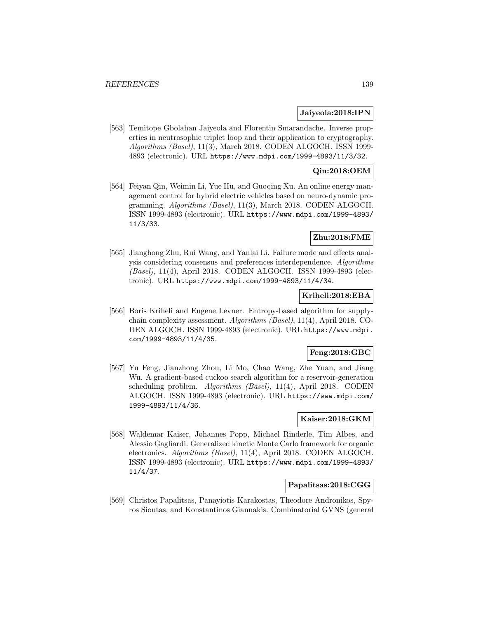#### **Jaiyeola:2018:IPN**

[563] Temitope Gbolahan Jaiyeola and Florentin Smarandache. Inverse properties in neutrosophic triplet loop and their application to cryptography. Algorithms (Basel), 11(3), March 2018. CODEN ALGOCH. ISSN 1999- 4893 (electronic). URL https://www.mdpi.com/1999-4893/11/3/32.

## **Qin:2018:OEM**

[564] Feiyan Qin, Weimin Li, Yue Hu, and Guoqing Xu. An online energy management control for hybrid electric vehicles based on neuro-dynamic programming. Algorithms (Basel), 11(3), March 2018. CODEN ALGOCH. ISSN 1999-4893 (electronic). URL https://www.mdpi.com/1999-4893/ 11/3/33.

## **Zhu:2018:FME**

[565] Jianghong Zhu, Rui Wang, and Yanlai Li. Failure mode and effects analysis considering consensus and preferences interdependence. Algorithms (Basel), 11(4), April 2018. CODEN ALGOCH. ISSN 1999-4893 (electronic). URL https://www.mdpi.com/1999-4893/11/4/34.

## **Kriheli:2018:EBA**

[566] Boris Kriheli and Eugene Levner. Entropy-based algorithm for supplychain complexity assessment. Algorithms (Basel), 11(4), April 2018. CO-DEN ALGOCH. ISSN 1999-4893 (electronic). URL https://www.mdpi. com/1999-4893/11/4/35.

## **Feng:2018:GBC**

[567] Yu Feng, Jianzhong Zhou, Li Mo, Chao Wang, Zhe Yuan, and Jiang Wu. A gradient-based cuckoo search algorithm for a reservoir-generation scheduling problem. Algorithms (Basel), 11(4), April 2018. CODEN ALGOCH. ISSN 1999-4893 (electronic). URL https://www.mdpi.com/ 1999-4893/11/4/36.

### **Kaiser:2018:GKM**

[568] Waldemar Kaiser, Johannes Popp, Michael Rinderle, Tim Albes, and Alessio Gagliardi. Generalized kinetic Monte Carlo framework for organic electronics. Algorithms (Basel), 11(4), April 2018. CODEN ALGOCH. ISSN 1999-4893 (electronic). URL https://www.mdpi.com/1999-4893/ 11/4/37.

## **Papalitsas:2018:CGG**

[569] Christos Papalitsas, Panayiotis Karakostas, Theodore Andronikos, Spyros Sioutas, and Konstantinos Giannakis. Combinatorial GVNS (general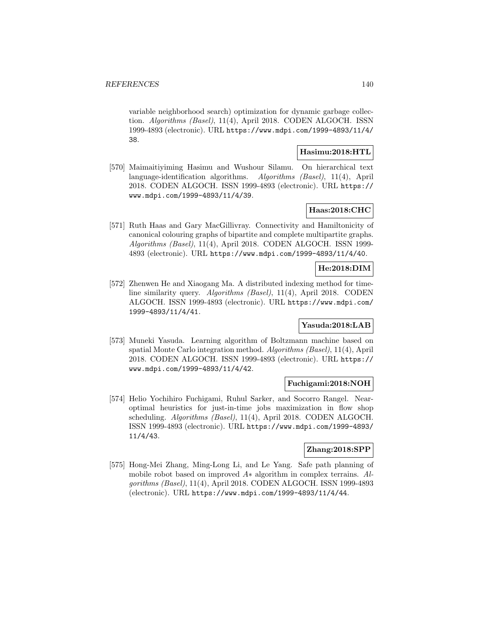variable neighborhood search) optimization for dynamic garbage collection. Algorithms (Basel), 11(4), April 2018. CODEN ALGOCH. ISSN 1999-4893 (electronic). URL https://www.mdpi.com/1999-4893/11/4/ 38.

### **Hasimu:2018:HTL**

[570] Maimaitiyiming Hasimu and Wushour Silamu. On hierarchical text language-identification algorithms. Algorithms (Basel), 11(4), April 2018. CODEN ALGOCH. ISSN 1999-4893 (electronic). URL https:// www.mdpi.com/1999-4893/11/4/39.

# **Haas:2018:CHC**

[571] Ruth Haas and Gary MacGillivray. Connectivity and Hamiltonicity of canonical colouring graphs of bipartite and complete multipartite graphs. Algorithms (Basel), 11(4), April 2018. CODEN ALGOCH. ISSN 1999- 4893 (electronic). URL https://www.mdpi.com/1999-4893/11/4/40.

## **He:2018:DIM**

[572] Zhenwen He and Xiaogang Ma. A distributed indexing method for timeline similarity query. Algorithms (Basel), 11(4), April 2018. CODEN ALGOCH. ISSN 1999-4893 (electronic). URL https://www.mdpi.com/ 1999-4893/11/4/41.

### **Yasuda:2018:LAB**

[573] Muneki Yasuda. Learning algorithm of Boltzmann machine based on spatial Monte Carlo integration method. Algorithms (Basel), 11(4), April 2018. CODEN ALGOCH. ISSN 1999-4893 (electronic). URL https:// www.mdpi.com/1999-4893/11/4/42.

### **Fuchigami:2018:NOH**

[574] Helio Yochihiro Fuchigami, Ruhul Sarker, and Socorro Rangel. Nearoptimal heuristics for just-in-time jobs maximization in flow shop scheduling. Algorithms (Basel), 11(4), April 2018. CODEN ALGOCH. ISSN 1999-4893 (electronic). URL https://www.mdpi.com/1999-4893/ 11/4/43.

### **Zhang:2018:SPP**

[575] Hong-Mei Zhang, Ming-Long Li, and Le Yang. Safe path planning of mobile robot based on improved  $A*$  algorithm in complex terrains.  $Al$ gorithms (Basel), 11(4), April 2018. CODEN ALGOCH. ISSN 1999-4893 (electronic). URL https://www.mdpi.com/1999-4893/11/4/44.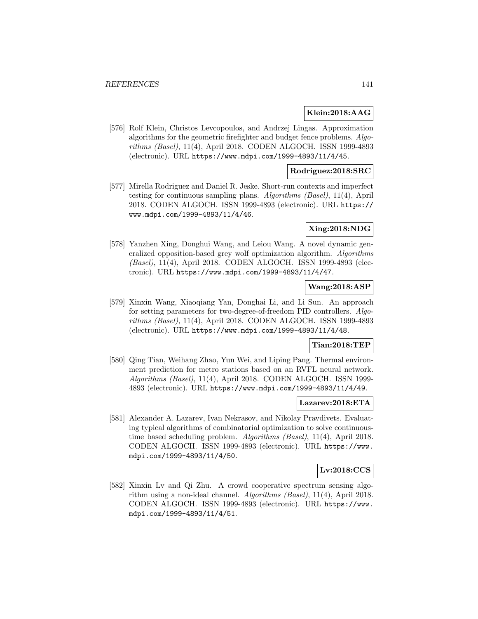### **Klein:2018:AAG**

[576] Rolf Klein, Christos Levcopoulos, and Andrzej Lingas. Approximation algorithms for the geometric firefighter and budget fence problems. Algorithms (Basel), 11(4), April 2018. CODEN ALGOCH. ISSN 1999-4893 (electronic). URL https://www.mdpi.com/1999-4893/11/4/45.

### **Rodriguez:2018:SRC**

[577] Mirella Rodriguez and Daniel R. Jeske. Short-run contexts and imperfect testing for continuous sampling plans. Algorithms (Basel), 11(4), April 2018. CODEN ALGOCH. ISSN 1999-4893 (electronic). URL https:// www.mdpi.com/1999-4893/11/4/46.

### **Xing:2018:NDG**

[578] Yanzhen Xing, Donghui Wang, and Leiou Wang. A novel dynamic generalized opposition-based grey wolf optimization algorithm. Algorithms (Basel), 11(4), April 2018. CODEN ALGOCH. ISSN 1999-4893 (electronic). URL https://www.mdpi.com/1999-4893/11/4/47.

## **Wang:2018:ASP**

[579] Xinxin Wang, Xiaoqiang Yan, Donghai Li, and Li Sun. An approach for setting parameters for two-degree-of-freedom PID controllers. Algorithms (Basel), 11(4), April 2018. CODEN ALGOCH. ISSN 1999-4893 (electronic). URL https://www.mdpi.com/1999-4893/11/4/48.

### **Tian:2018:TEP**

[580] Qing Tian, Weihang Zhao, Yun Wei, and Liping Pang. Thermal environment prediction for metro stations based on an RVFL neural network. Algorithms (Basel), 11(4), April 2018. CODEN ALGOCH. ISSN 1999- 4893 (electronic). URL https://www.mdpi.com/1999-4893/11/4/49.

#### **Lazarev:2018:ETA**

[581] Alexander A. Lazarev, Ivan Nekrasov, and Nikolay Pravdivets. Evaluating typical algorithms of combinatorial optimization to solve continuoustime based scheduling problem. Algorithms (Basel), 11(4), April 2018. CODEN ALGOCH. ISSN 1999-4893 (electronic). URL https://www. mdpi.com/1999-4893/11/4/50.

### **Lv:2018:CCS**

[582] Xinxin Lv and Qi Zhu. A crowd cooperative spectrum sensing algorithm using a non-ideal channel. Algorithms (Basel), 11(4), April 2018. CODEN ALGOCH. ISSN 1999-4893 (electronic). URL https://www. mdpi.com/1999-4893/11/4/51.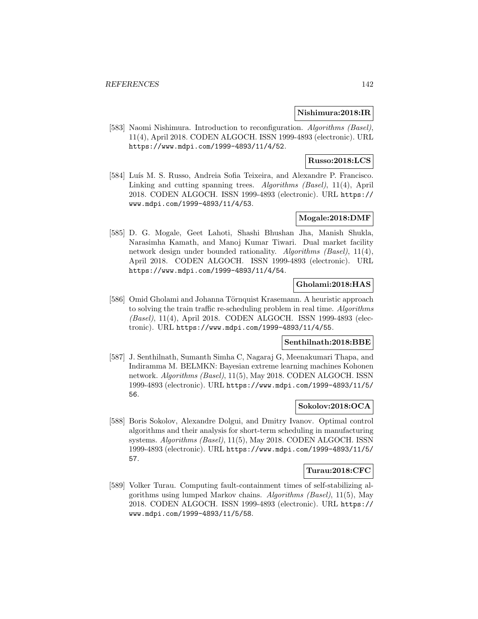### **Nishimura:2018:IR**

[583] Naomi Nishimura. Introduction to reconfiguration. Algorithms (Basel), 11(4), April 2018. CODEN ALGOCH. ISSN 1999-4893 (electronic). URL https://www.mdpi.com/1999-4893/11/4/52.

## **Russo:2018:LCS**

[584] Luís M. S. Russo, Andreia Sofia Teixeira, and Alexandre P. Francisco. Linking and cutting spanning trees. Algorithms (Basel), 11(4), April 2018. CODEN ALGOCH. ISSN 1999-4893 (electronic). URL https:// www.mdpi.com/1999-4893/11/4/53.

## **Mogale:2018:DMF**

[585] D. G. Mogale, Geet Lahoti, Shashi Bhushan Jha, Manish Shukla, Narasimha Kamath, and Manoj Kumar Tiwari. Dual market facility network design under bounded rationality. Algorithms (Basel), 11(4), April 2018. CODEN ALGOCH. ISSN 1999-4893 (electronic). URL https://www.mdpi.com/1999-4893/11/4/54.

# **Gholami:2018:HAS**

[586] Omid Gholami and Johanna Törnquist Krasemann. A heuristic approach to solving the train traffic re-scheduling problem in real time. Algorithms (Basel), 11(4), April 2018. CODEN ALGOCH. ISSN 1999-4893 (electronic). URL https://www.mdpi.com/1999-4893/11/4/55.

### **Senthilnath:2018:BBE**

[587] J. Senthilnath, Sumanth Simha C, Nagaraj G, Meenakumari Thapa, and Indiramma M. BELMKN: Bayesian extreme learning machines Kohonen network. Algorithms (Basel), 11(5), May 2018. CODEN ALGOCH. ISSN 1999-4893 (electronic). URL https://www.mdpi.com/1999-4893/11/5/ 56.

### **Sokolov:2018:OCA**

[588] Boris Sokolov, Alexandre Dolgui, and Dmitry Ivanov. Optimal control algorithms and their analysis for short-term scheduling in manufacturing systems. Algorithms (Basel), 11(5), May 2018. CODEN ALGOCH. ISSN 1999-4893 (electronic). URL https://www.mdpi.com/1999-4893/11/5/ 57.

## **Turau:2018:CFC**

[589] Volker Turau. Computing fault-containment times of self-stabilizing algorithms using lumped Markov chains. Algorithms (Basel), 11(5), May 2018. CODEN ALGOCH. ISSN 1999-4893 (electronic). URL https:// www.mdpi.com/1999-4893/11/5/58.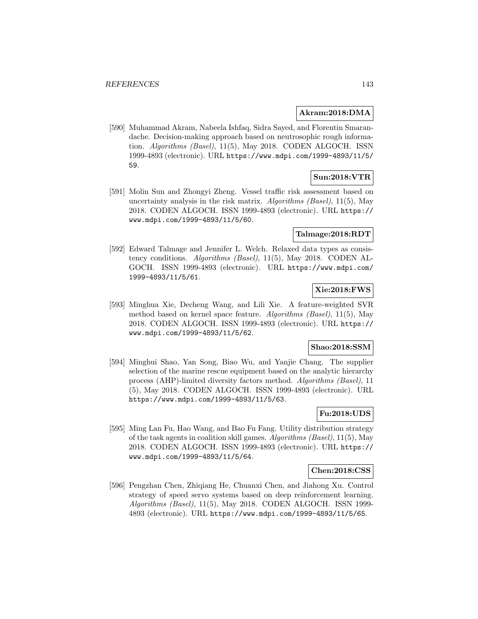### **Akram:2018:DMA**

[590] Muhammad Akram, Nabeela Ishfaq, Sidra Sayed, and Florentin Smarandache. Decision-making approach based on neutrosophic rough information. Algorithms (Basel), 11(5), May 2018. CODEN ALGOCH. ISSN 1999-4893 (electronic). URL https://www.mdpi.com/1999-4893/11/5/ 59.

## **Sun:2018:VTR**

[591] Molin Sun and Zhongyi Zheng. Vessel traffic risk assessment based on uncertainty analysis in the risk matrix. Algorithms (Basel),  $11(5)$ , May 2018. CODEN ALGOCH. ISSN 1999-4893 (electronic). URL https:// www.mdpi.com/1999-4893/11/5/60.

### **Talmage:2018:RDT**

[592] Edward Talmage and Jennifer L. Welch. Relaxed data types as consistency conditions. Algorithms (Basel), 11(5), May 2018. CODEN AL-GOCH. ISSN 1999-4893 (electronic). URL https://www.mdpi.com/ 1999-4893/11/5/61.

# **Xie:2018:FWS**

[593] Minghua Xie, Decheng Wang, and Lili Xie. A feature-weighted SVR method based on kernel space feature. Algorithms (Basel), 11(5), May 2018. CODEN ALGOCH. ISSN 1999-4893 (electronic). URL https:// www.mdpi.com/1999-4893/11/5/62.

### **Shao:2018:SSM**

[594] Minghui Shao, Yan Song, Biao Wu, and Yanjie Chang. The supplier selection of the marine rescue equipment based on the analytic hierarchy process (AHP)-limited diversity factors method. Algorithms (Basel), 11 (5), May 2018. CODEN ALGOCH. ISSN 1999-4893 (electronic). URL https://www.mdpi.com/1999-4893/11/5/63.

## **Fu:2018:UDS**

[595] Ming Lan Fu, Hao Wang, and Bao Fu Fang. Utility distribution strategy of the task agents in coalition skill games. Algorithms (Basel), 11(5), May 2018. CODEN ALGOCH. ISSN 1999-4893 (electronic). URL https:// www.mdpi.com/1999-4893/11/5/64.

### **Chen:2018:CSS**

[596] Pengzhan Chen, Zhiqiang He, Chuanxi Chen, and Jiahong Xu. Control strategy of speed servo systems based on deep reinforcement learning. Algorithms (Basel), 11(5), May 2018. CODEN ALGOCH. ISSN 1999- 4893 (electronic). URL https://www.mdpi.com/1999-4893/11/5/65.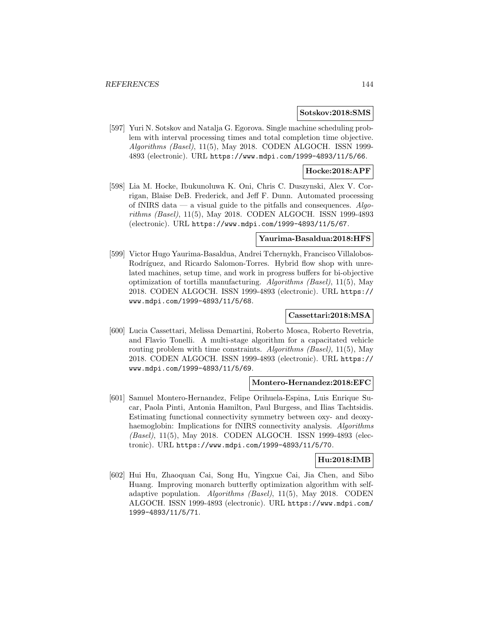#### **Sotskov:2018:SMS**

[597] Yuri N. Sotskov and Natalja G. Egorova. Single machine scheduling problem with interval processing times and total completion time objective. Algorithms (Basel), 11(5), May 2018. CODEN ALGOCH. ISSN 1999-4893 (electronic). URL https://www.mdpi.com/1999-4893/11/5/66.

## **Hocke:2018:APF**

[598] Lia M. Hocke, Ibukunoluwa K. Oni, Chris C. Duszynski, Alex V. Corrigan, Blaise DeB. Frederick, and Jeff F. Dunn. Automated processing of fNIRS data — a visual guide to the pitfalls and consequences.  $Algo$ rithms (Basel), 11(5), May 2018. CODEN ALGOCH. ISSN 1999-4893 (electronic). URL https://www.mdpi.com/1999-4893/11/5/67.

#### **Yaurima-Basaldua:2018:HFS**

[599] Victor Hugo Yaurima-Basaldua, Andrei Tchernykh, Francisco Villalobos-Rodríguez, and Ricardo Salomon-Torres. Hybrid flow shop with unrelated machines, setup time, and work in progress buffers for bi-objective optimization of tortilla manufacturing. Algorithms (Basel), 11(5), May 2018. CODEN ALGOCH. ISSN 1999-4893 (electronic). URL https:// www.mdpi.com/1999-4893/11/5/68.

### **Cassettari:2018:MSA**

[600] Lucia Cassettari, Melissa Demartini, Roberto Mosca, Roberto Revetria, and Flavio Tonelli. A multi-stage algorithm for a capacitated vehicle routing problem with time constraints. Algorithms (Basel), 11(5), May 2018. CODEN ALGOCH. ISSN 1999-4893 (electronic). URL https:// www.mdpi.com/1999-4893/11/5/69.

#### **Montero-Hernandez:2018:EFC**

[601] Samuel Montero-Hernandez, Felipe Orihuela-Espina, Luis Enrique Sucar, Paola Pinti, Antonia Hamilton, Paul Burgess, and Ilias Tachtsidis. Estimating functional connectivity symmetry between oxy- and deoxyhaemoglobin: Implications for fNIRS connectivity analysis. Algorithms (Basel), 11(5), May 2018. CODEN ALGOCH. ISSN 1999-4893 (electronic). URL https://www.mdpi.com/1999-4893/11/5/70.

### **Hu:2018:IMB**

[602] Hui Hu, Zhaoquan Cai, Song Hu, Yingxue Cai, Jia Chen, and Sibo Huang. Improving monarch butterfly optimization algorithm with selfadaptive population. Algorithms (Basel), 11(5), May 2018. CODEN ALGOCH. ISSN 1999-4893 (electronic). URL https://www.mdpi.com/ 1999-4893/11/5/71.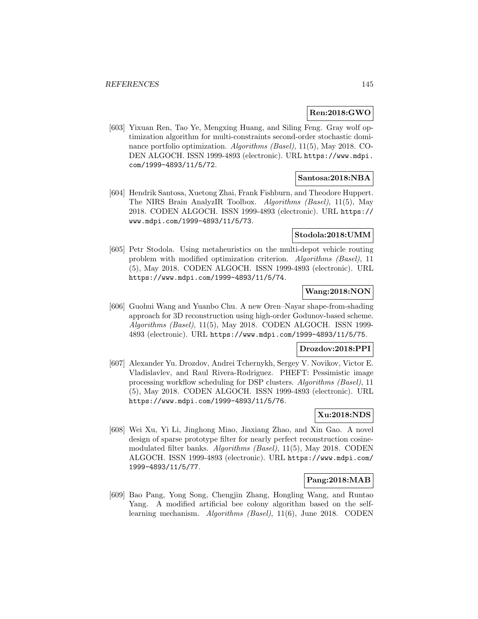## **Ren:2018:GWO**

[603] Yixuan Ren, Tao Ye, Mengxing Huang, and Siling Feng. Gray wolf optimization algorithm for multi-constraints second-order stochastic dominance portfolio optimization. Algorithms (Basel), 11(5), May 2018. CO-DEN ALGOCH. ISSN 1999-4893 (electronic). URL https://www.mdpi. com/1999-4893/11/5/72.

#### **Santosa:2018:NBA**

[604] Hendrik Santosa, Xuetong Zhai, Frank Fishburn, and Theodore Huppert. The NIRS Brain AnalyzIR Toolbox. Algorithms (Basel), 11(5), May 2018. CODEN ALGOCH. ISSN 1999-4893 (electronic). URL https:// www.mdpi.com/1999-4893/11/5/73.

#### **Stodola:2018:UMM**

[605] Petr Stodola. Using metaheuristics on the multi-depot vehicle routing problem with modified optimization criterion. Algorithms (Basel), 11 (5), May 2018. CODEN ALGOCH. ISSN 1999-4893 (electronic). URL https://www.mdpi.com/1999-4893/11/5/74.

### **Wang:2018:NON**

[606] Guohui Wang and Yuanbo Chu. A new Oren–Nayar shape-from-shading approach for 3D reconstruction using high-order Godunov-based scheme. Algorithms (Basel), 11(5), May 2018. CODEN ALGOCH. ISSN 1999- 4893 (electronic). URL https://www.mdpi.com/1999-4893/11/5/75.

## **Drozdov:2018:PPI**

[607] Alexander Yu. Drozdov, Andrei Tchernykh, Sergey V. Novikov, Victor E. Vladislavlev, and Raul Rivera-Rodriguez. PHEFT: Pessimistic image processing workflow scheduling for DSP clusters. Algorithms (Basel), 11 (5), May 2018. CODEN ALGOCH. ISSN 1999-4893 (electronic). URL https://www.mdpi.com/1999-4893/11/5/76.

# **Xu:2018:NDS**

[608] Wei Xu, Yi Li, Jinghong Miao, Jiaxiang Zhao, and Xin Gao. A novel design of sparse prototype filter for nearly perfect reconstruction cosinemodulated filter banks. Algorithms (Basel), 11(5), May 2018. CODEN ALGOCH. ISSN 1999-4893 (electronic). URL https://www.mdpi.com/ 1999-4893/11/5/77.

## **Pang:2018:MAB**

[609] Bao Pang, Yong Song, Chengjin Zhang, Hongling Wang, and Runtao Yang. A modified artificial bee colony algorithm based on the selflearning mechanism. Algorithms (Basel), 11(6), June 2018. CODEN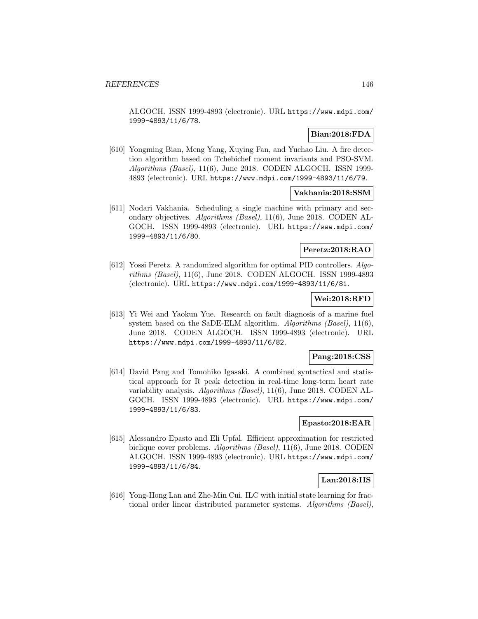ALGOCH. ISSN 1999-4893 (electronic). URL https://www.mdpi.com/ 1999-4893/11/6/78.

### **Bian:2018:FDA**

[610] Yongming Bian, Meng Yang, Xuying Fan, and Yuchao Liu. A fire detection algorithm based on Tchebichef moment invariants and PSO-SVM. Algorithms (Basel), 11(6), June 2018. CODEN ALGOCH. ISSN 1999- 4893 (electronic). URL https://www.mdpi.com/1999-4893/11/6/79.

## **Vakhania:2018:SSM**

[611] Nodari Vakhania. Scheduling a single machine with primary and secondary objectives. Algorithms (Basel), 11(6), June 2018. CODEN AL-GOCH. ISSN 1999-4893 (electronic). URL https://www.mdpi.com/ 1999-4893/11/6/80.

### **Peretz:2018:RAO**

[612] Yossi Peretz. A randomized algorithm for optimal PID controllers. Algorithms (Basel), 11(6), June 2018. CODEN ALGOCH. ISSN 1999-4893 (electronic). URL https://www.mdpi.com/1999-4893/11/6/81.

#### **Wei:2018:RFD**

[613] Yi Wei and Yaokun Yue. Research on fault diagnosis of a marine fuel system based on the SaDE-ELM algorithm. Algorithms (Basel), 11(6), June 2018. CODEN ALGOCH. ISSN 1999-4893 (electronic). URL https://www.mdpi.com/1999-4893/11/6/82.

#### **Pang:2018:CSS**

[614] David Pang and Tomohiko Igasaki. A combined syntactical and statistical approach for R peak detection in real-time long-term heart rate variability analysis. Algorithms (Basel), 11(6), June 2018. CODEN AL-GOCH. ISSN 1999-4893 (electronic). URL https://www.mdpi.com/ 1999-4893/11/6/83.

### **Epasto:2018:EAR**

[615] Alessandro Epasto and Eli Upfal. Efficient approximation for restricted biclique cover problems. Algorithms (Basel), 11(6), June 2018. CODEN ALGOCH. ISSN 1999-4893 (electronic). URL https://www.mdpi.com/ 1999-4893/11/6/84.

#### **Lan:2018:IIS**

[616] Yong-Hong Lan and Zhe-Min Cui. ILC with initial state learning for fractional order linear distributed parameter systems. Algorithms (Basel),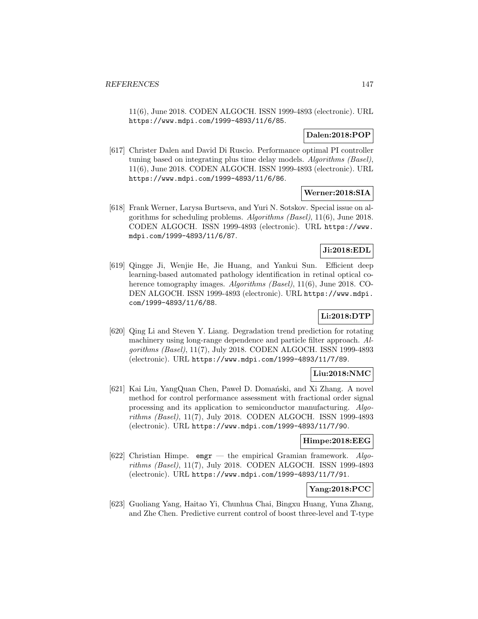11(6), June 2018. CODEN ALGOCH. ISSN 1999-4893 (electronic). URL https://www.mdpi.com/1999-4893/11/6/85.

## **Dalen:2018:POP**

[617] Christer Dalen and David Di Ruscio. Performance optimal PI controller tuning based on integrating plus time delay models. Algorithms (Basel), 11(6), June 2018. CODEN ALGOCH. ISSN 1999-4893 (electronic). URL https://www.mdpi.com/1999-4893/11/6/86.

## **Werner:2018:SIA**

[618] Frank Werner, Larysa Burtseva, and Yuri N. Sotskov. Special issue on algorithms for scheduling problems. Algorithms (Basel), 11(6), June 2018. CODEN ALGOCH. ISSN 1999-4893 (electronic). URL https://www. mdpi.com/1999-4893/11/6/87.

# **Ji:2018:EDL**

[619] Qingge Ji, Wenjie He, Jie Huang, and Yankui Sun. Efficient deep learning-based automated pathology identification in retinal optical coherence tomography images. Algorithms (Basel), 11(6), June 2018. CO-DEN ALGOCH. ISSN 1999-4893 (electronic). URL https://www.mdpi. com/1999-4893/11/6/88.

## **Li:2018:DTP**

[620] Qing Li and Steven Y. Liang. Degradation trend prediction for rotating machinery using long-range dependence and particle filter approach. Algorithms (Basel), 11(7), July 2018. CODEN ALGOCH. ISSN 1999-4893 (electronic). URL https://www.mdpi.com/1999-4893/11/7/89.

# **Liu:2018:NMC**

[621] Kai Liu, YangQuan Chen, Paweł D. Domański, and Xi Zhang. A novel method for control performance assessment with fractional order signal processing and its application to semiconductor manufacturing. Algorithms (Basel), 11(7), July 2018. CODEN ALGOCH. ISSN 1999-4893 (electronic). URL https://www.mdpi.com/1999-4893/11/7/90.

#### **Himpe:2018:EEG**

[622] Christian Himpe. emgr — the empirical Gramian framework. Algorithms (Basel), 11(7), July 2018. CODEN ALGOCH. ISSN 1999-4893 (electronic). URL https://www.mdpi.com/1999-4893/11/7/91.

# **Yang:2018:PCC**

[623] Guoliang Yang, Haitao Yi, Chunhua Chai, Bingxu Huang, Yuna Zhang, and Zhe Chen. Predictive current control of boost three-level and T-type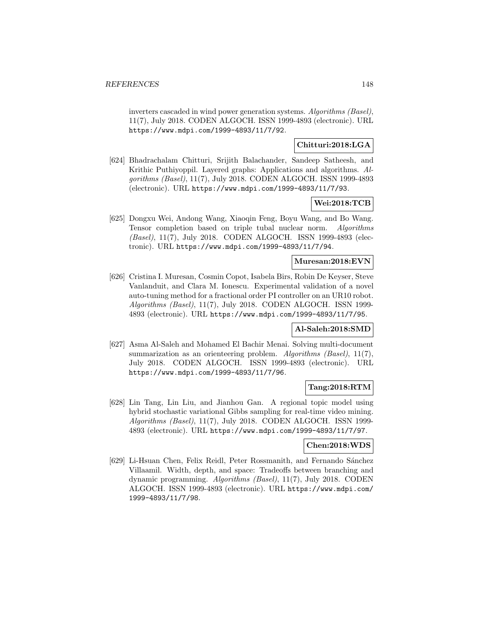inverters cascaded in wind power generation systems. Algorithms (Basel), 11(7), July 2018. CODEN ALGOCH. ISSN 1999-4893 (electronic). URL https://www.mdpi.com/1999-4893/11/7/92.

# **Chitturi:2018:LGA**

[624] Bhadrachalam Chitturi, Srijith Balachander, Sandeep Satheesh, and Krithic Puthiyoppil. Layered graphs: Applications and algorithms. Algorithms (Basel), 11(7), July 2018. CODEN ALGOCH. ISSN 1999-4893 (electronic). URL https://www.mdpi.com/1999-4893/11/7/93.

# **Wei:2018:TCB**

[625] Dongxu Wei, Andong Wang, Xiaoqin Feng, Boyu Wang, and Bo Wang. Tensor completion based on triple tubal nuclear norm. Algorithms (Basel), 11(7), July 2018. CODEN ALGOCH. ISSN 1999-4893 (electronic). URL https://www.mdpi.com/1999-4893/11/7/94.

### **Muresan:2018:EVN**

[626] Cristina I. Muresan, Cosmin Copot, Isabela Birs, Robin De Keyser, Steve Vanlanduit, and Clara M. Ionescu. Experimental validation of a novel auto-tuning method for a fractional order PI controller on an UR10 robot. Algorithms (Basel), 11(7), July 2018. CODEN ALGOCH. ISSN 1999- 4893 (electronic). URL https://www.mdpi.com/1999-4893/11/7/95.

#### **Al-Saleh:2018:SMD**

[627] Asma Al-Saleh and Mohamed El Bachir Menai. Solving multi-document summarization as an orienteering problem. Algorithms (Basel), 11(7), July 2018. CODEN ALGOCH. ISSN 1999-4893 (electronic). URL https://www.mdpi.com/1999-4893/11/7/96.

#### **Tang:2018:RTM**

[628] Lin Tang, Lin Liu, and Jianhou Gan. A regional topic model using hybrid stochastic variational Gibbs sampling for real-time video mining. Algorithms (Basel), 11(7), July 2018. CODEN ALGOCH. ISSN 1999- 4893 (electronic). URL https://www.mdpi.com/1999-4893/11/7/97.

#### **Chen:2018:WDS**

[629] Li-Hsuan Chen, Felix Reidl, Peter Rossmanith, and Fernando Sánchez Villaamil. Width, depth, and space: Tradeoffs between branching and dynamic programming. Algorithms (Basel), 11(7), July 2018. CODEN ALGOCH. ISSN 1999-4893 (electronic). URL https://www.mdpi.com/ 1999-4893/11/7/98.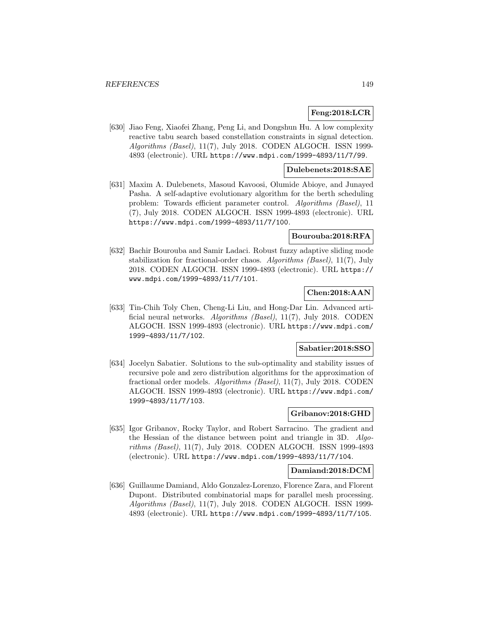#### **Feng:2018:LCR**

[630] Jiao Feng, Xiaofei Zhang, Peng Li, and Dongshun Hu. A low complexity reactive tabu search based constellation constraints in signal detection. Algorithms (Basel), 11(7), July 2018. CODEN ALGOCH. ISSN 1999-4893 (electronic). URL https://www.mdpi.com/1999-4893/11/7/99.

#### **Dulebenets:2018:SAE**

[631] Maxim A. Dulebenets, Masoud Kavoosi, Olumide Abioye, and Junayed Pasha. A self-adaptive evolutionary algorithm for the berth scheduling problem: Towards efficient parameter control. Algorithms (Basel), 11 (7), July 2018. CODEN ALGOCH. ISSN 1999-4893 (electronic). URL https://www.mdpi.com/1999-4893/11/7/100.

### **Bourouba:2018:RFA**

[632] Bachir Bourouba and Samir Ladaci. Robust fuzzy adaptive sliding mode stabilization for fractional-order chaos. Algorithms (Basel), 11(7), July 2018. CODEN ALGOCH. ISSN 1999-4893 (electronic). URL https:// www.mdpi.com/1999-4893/11/7/101.

### **Chen:2018:AAN**

[633] Tin-Chih Toly Chen, Cheng-Li Liu, and Hong-Dar Lin. Advanced artificial neural networks. Algorithms (Basel), 11(7), July 2018. CODEN ALGOCH. ISSN 1999-4893 (electronic). URL https://www.mdpi.com/ 1999-4893/11/7/102.

### **Sabatier:2018:SSO**

[634] Jocelyn Sabatier. Solutions to the sub-optimality and stability issues of recursive pole and zero distribution algorithms for the approximation of fractional order models. Algorithms (Basel), 11(7), July 2018. CODEN ALGOCH. ISSN 1999-4893 (electronic). URL https://www.mdpi.com/ 1999-4893/11/7/103.

### **Gribanov:2018:GHD**

[635] Igor Gribanov, Rocky Taylor, and Robert Sarracino. The gradient and the Hessian of the distance between point and triangle in 3D. Algorithms (Basel), 11(7), July 2018. CODEN ALGOCH. ISSN 1999-4893 (electronic). URL https://www.mdpi.com/1999-4893/11/7/104.

#### **Damiand:2018:DCM**

[636] Guillaume Damiand, Aldo Gonzalez-Lorenzo, Florence Zara, and Florent Dupont. Distributed combinatorial maps for parallel mesh processing. Algorithms (Basel), 11(7), July 2018. CODEN ALGOCH. ISSN 1999- 4893 (electronic). URL https://www.mdpi.com/1999-4893/11/7/105.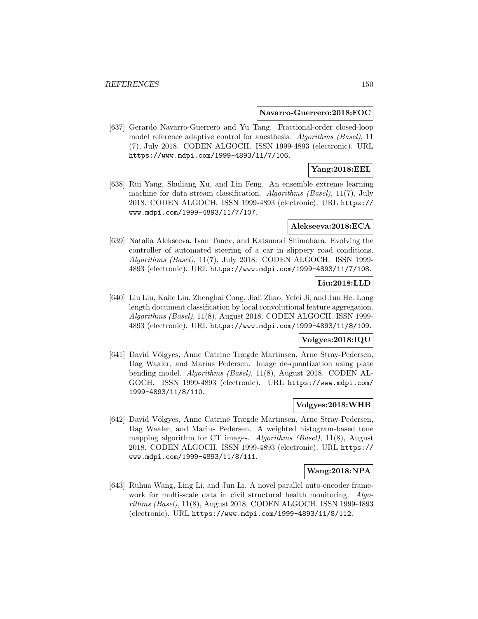#### **Navarro-Guerrero:2018:FOC**

[637] Gerardo Navarro-Guerrero and Yu Tang. Fractional-order closed-loop model reference adaptive control for anesthesia. Algorithms (Basel), 11 (7), July 2018. CODEN ALGOCH. ISSN 1999-4893 (electronic). URL https://www.mdpi.com/1999-4893/11/7/106.

### **Yang:2018:EEL**

[638] Rui Yang, Shuliang Xu, and Lin Feng. An ensemble extreme learning machine for data stream classification. Algorithms (Basel), 11(7), July 2018. CODEN ALGOCH. ISSN 1999-4893 (electronic). URL https:// www.mdpi.com/1999-4893/11/7/107.

#### **Alekseeva:2018:ECA**

[639] Natalia Alekseeva, Ivan Tanev, and Katsunori Shimohara. Evolving the controller of automated steering of a car in slippery road conditions. Algorithms (Basel), 11(7), July 2018. CODEN ALGOCH. ISSN 1999- 4893 (electronic). URL https://www.mdpi.com/1999-4893/11/7/108.

# **Liu:2018:LLD**

[640] Liu Liu, Kaile Liu, Zhenghai Cong, Jiali Zhao, Yefei Ji, and Jun He. Long length document classification by local convolutional feature aggregation. Algorithms (Basel), 11(8), August 2018. CODEN ALGOCH. ISSN 1999- 4893 (electronic). URL https://www.mdpi.com/1999-4893/11/8/109.

## **Volgyes:2018:IQU**

[641] David Völgyes, Anne Catrine Trægde Martinsen, Arne Stray-Pedersen, Dag Waaler, and Marius Pedersen. Image de-quantization using plate bending model. Algorithms (Basel), 11(8), August 2018. CODEN AL-GOCH. ISSN 1999-4893 (electronic). URL https://www.mdpi.com/ 1999-4893/11/8/110.

#### **Volgyes:2018:WHB**

[642] David Völgyes, Anne Catrine Trægde Martinsen, Arne Stray-Pedersen, Dag Waaler, and Marius Pedersen. A weighted histogram-based tone mapping algorithm for CT images. Algorithms (Basel), 11(8), August 2018. CODEN ALGOCH. ISSN 1999-4893 (electronic). URL https:// www.mdpi.com/1999-4893/11/8/111.

## **Wang:2018:NPA**

[643] Ruhua Wang, Ling Li, and Jun Li. A novel parallel auto-encoder framework for multi-scale data in civil structural health monitoring. Algorithms (Basel), 11(8), August 2018. CODEN ALGOCH. ISSN 1999-4893 (electronic). URL https://www.mdpi.com/1999-4893/11/8/112.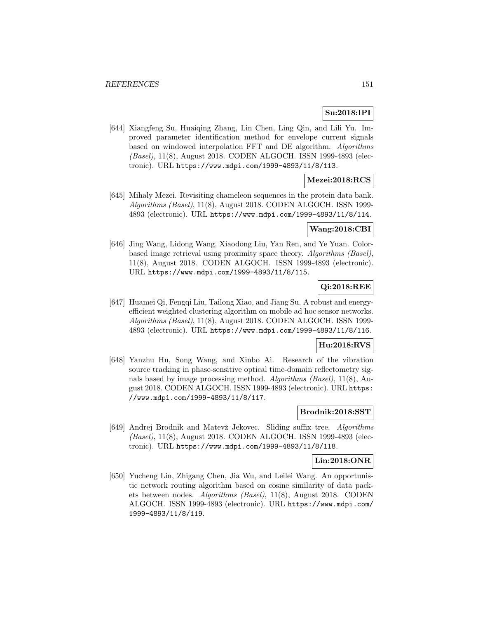# **Su:2018:IPI**

[644] Xiangfeng Su, Huaiqing Zhang, Lin Chen, Ling Qin, and Lili Yu. Improved parameter identification method for envelope current signals based on windowed interpolation FFT and DE algorithm. Algorithms (Basel), 11(8), August 2018. CODEN ALGOCH. ISSN 1999-4893 (electronic). URL https://www.mdpi.com/1999-4893/11/8/113.

## **Mezei:2018:RCS**

[645] Mihaly Mezei. Revisiting chameleon sequences in the protein data bank. Algorithms (Basel), 11(8), August 2018. CODEN ALGOCH. ISSN 1999- 4893 (electronic). URL https://www.mdpi.com/1999-4893/11/8/114.

## **Wang:2018:CBI**

[646] Jing Wang, Lidong Wang, Xiaodong Liu, Yan Ren, and Ye Yuan. Colorbased image retrieval using proximity space theory. Algorithms (Basel), 11(8), August 2018. CODEN ALGOCH. ISSN 1999-4893 (electronic). URL https://www.mdpi.com/1999-4893/11/8/115.

### **Qi:2018:REE**

[647] Huamei Qi, Fengqi Liu, Tailong Xiao, and Jiang Su. A robust and energyefficient weighted clustering algorithm on mobile ad hoc sensor networks. Algorithms (Basel), 11(8), August 2018. CODEN ALGOCH. ISSN 1999- 4893 (electronic). URL https://www.mdpi.com/1999-4893/11/8/116.

### **Hu:2018:RVS**

[648] Yanzhu Hu, Song Wang, and Xinbo Ai. Research of the vibration source tracking in phase-sensitive optical time-domain reflectometry signals based by image processing method. Algorithms (Basel), 11(8), August 2018. CODEN ALGOCH. ISSN 1999-4893 (electronic). URL https: //www.mdpi.com/1999-4893/11/8/117.

### **Brodnik:2018:SST**

[649] Andrej Brodnik and Matevž Jekovec. Sliding suffix tree. Algorithms (Basel), 11(8), August 2018. CODEN ALGOCH. ISSN 1999-4893 (electronic). URL https://www.mdpi.com/1999-4893/11/8/118.

#### **Lin:2018:ONR**

[650] Yucheng Lin, Zhigang Chen, Jia Wu, and Leilei Wang. An opportunistic network routing algorithm based on cosine similarity of data packets between nodes. Algorithms (Basel), 11(8), August 2018. CODEN ALGOCH. ISSN 1999-4893 (electronic). URL https://www.mdpi.com/ 1999-4893/11/8/119.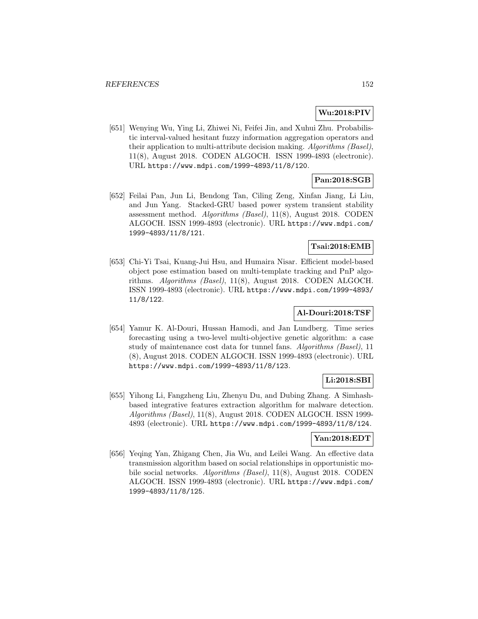## **Wu:2018:PIV**

[651] Wenying Wu, Ying Li, Zhiwei Ni, Feifei Jin, and Xuhui Zhu. Probabilistic interval-valued hesitant fuzzy information aggregation operators and their application to multi-attribute decision making. Algorithms (Basel), 11(8), August 2018. CODEN ALGOCH. ISSN 1999-4893 (electronic). URL https://www.mdpi.com/1999-4893/11/8/120.

# **Pan:2018:SGB**

[652] Feilai Pan, Jun Li, Bendong Tan, Ciling Zeng, Xinfan Jiang, Li Liu, and Jun Yang. Stacked-GRU based power system transient stability assessment method. Algorithms (Basel), 11(8), August 2018. CODEN ALGOCH. ISSN 1999-4893 (electronic). URL https://www.mdpi.com/ 1999-4893/11/8/121.

### **Tsai:2018:EMB**

[653] Chi-Yi Tsai, Kuang-Jui Hsu, and Humaira Nisar. Efficient model-based object pose estimation based on multi-template tracking and PnP algorithms. Algorithms (Basel), 11(8), August 2018. CODEN ALGOCH. ISSN 1999-4893 (electronic). URL https://www.mdpi.com/1999-4893/ 11/8/122.

# **Al-Douri:2018:TSF**

[654] Yamur K. Al-Douri, Hussan Hamodi, and Jan Lundberg. Time series forecasting using a two-level multi-objective genetic algorithm: a case study of maintenance cost data for tunnel fans. Algorithms (Basel), 11 (8), August 2018. CODEN ALGOCH. ISSN 1999-4893 (electronic). URL https://www.mdpi.com/1999-4893/11/8/123.

## **Li:2018:SBI**

[655] Yihong Li, Fangzheng Liu, Zhenyu Du, and Dubing Zhang. A Simhashbased integrative features extraction algorithm for malware detection. Algorithms (Basel), 11(8), August 2018. CODEN ALGOCH. ISSN 1999- 4893 (electronic). URL https://www.mdpi.com/1999-4893/11/8/124.

## **Yan:2018:EDT**

[656] Yeqing Yan, Zhigang Chen, Jia Wu, and Leilei Wang. An effective data transmission algorithm based on social relationships in opportunistic mobile social networks. Algorithms (Basel), 11(8), August 2018. CODEN ALGOCH. ISSN 1999-4893 (electronic). URL https://www.mdpi.com/ 1999-4893/11/8/125.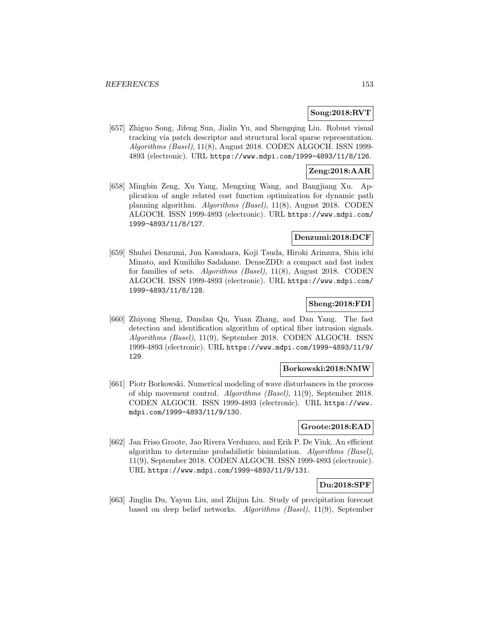### **Song:2018:RVT**

[657] Zhiguo Song, Jifeng Sun, Jialin Yu, and Shengqing Liu. Robust visual tracking via patch descriptor and structural local sparse representation. Algorithms (Basel), 11(8), August 2018. CODEN ALGOCH. ISSN 1999- 4893 (electronic). URL https://www.mdpi.com/1999-4893/11/8/126.

## **Zeng:2018:AAR**

[658] Mingbin Zeng, Xu Yang, Mengxing Wang, and Bangjiang Xu. Application of angle related cost function optimization for dynamic path planning algorithm. Algorithms (Basel), 11(8), August 2018. CODEN ALGOCH. ISSN 1999-4893 (electronic). URL https://www.mdpi.com/ 1999-4893/11/8/127.

### **Denzumi:2018:DCF**

[659] Shuhei Denzumi, Jun Kawahara, Koji Tsuda, Hiroki Arimura, Shin ichi Minato, and Kunihiko Sadakane. DenseZDD: a compact and fast index for families of sets. Algorithms (Basel), 11(8), August 2018. CODEN ALGOCH. ISSN 1999-4893 (electronic). URL https://www.mdpi.com/ 1999-4893/11/8/128.

#### **Sheng:2018:FDI**

[660] Zhiyong Sheng, Dandan Qu, Yuan Zhang, and Dan Yang. The fast detection and identification algorithm of optical fiber intrusion signals. Algorithms (Basel), 11(9), September 2018. CODEN ALGOCH. ISSN 1999-4893 (electronic). URL https://www.mdpi.com/1999-4893/11/9/ 129.

#### **Borkowski:2018:NMW**

[661] Piotr Borkowski. Numerical modeling of wave disturbances in the process of ship movement control. Algorithms (Basel), 11(9), September 2018. CODEN ALGOCH. ISSN 1999-4893 (electronic). URL https://www. mdpi.com/1999-4893/11/9/130.

#### **Groote:2018:EAD**

[662] Jan Friso Groote, Jao Rivera Verduzco, and Erik P. De Vink. An efficient algorithm to determine probabilistic bisimulation. Algorithms (Basel), 11(9), September 2018. CODEN ALGOCH. ISSN 1999-4893 (electronic). URL https://www.mdpi.com/1999-4893/11/9/131.

### **Du:2018:SPF**

[663] Jinglin Du, Yayun Liu, and Zhijun Liu. Study of precipitation forecast based on deep belief networks. Algorithms (Basel), 11(9), September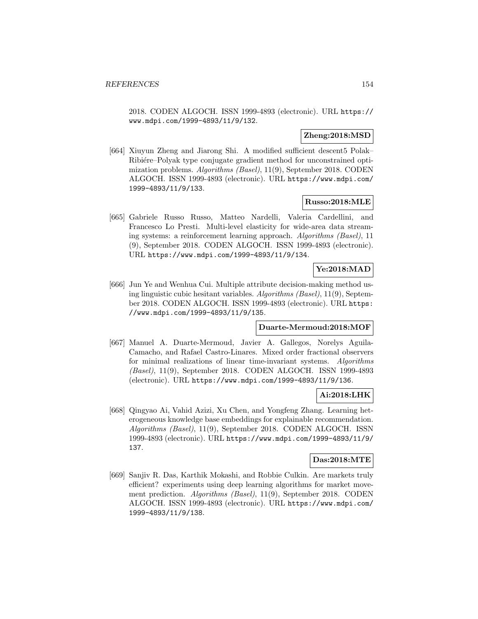2018. CODEN ALGOCH. ISSN 1999-4893 (electronic). URL https:// www.mdpi.com/1999-4893/11/9/132.

### **Zheng:2018:MSD**

[664] Xiuyun Zheng and Jiarong Shi. A modified sufficient descent5 Polak– Ribietre–Polyak type conjugate gradient method for unconstrained optimization problems. Algorithms (Basel), 11(9), September 2018. CODEN ALGOCH. ISSN 1999-4893 (electronic). URL https://www.mdpi.com/ 1999-4893/11/9/133.

#### **Russo:2018:MLE**

[665] Gabriele Russo Russo, Matteo Nardelli, Valeria Cardellini, and Francesco Lo Presti. Multi-level elasticity for wide-area data streaming systems: a reinforcement learning approach. Algorithms (Basel), 11 (9), September 2018. CODEN ALGOCH. ISSN 1999-4893 (electronic). URL https://www.mdpi.com/1999-4893/11/9/134.

# **Ye:2018:MAD**

[666] Jun Ye and Wenhua Cui. Multiple attribute decision-making method using linguistic cubic hesitant variables. Algorithms (Basel), 11(9), September 2018. CODEN ALGOCH. ISSN 1999-4893 (electronic). URL https: //www.mdpi.com/1999-4893/11/9/135.

#### **Duarte-Mermoud:2018:MOF**

[667] Manuel A. Duarte-Mermoud, Javier A. Gallegos, Norelys Aguila-Camacho, and Rafael Castro-Linares. Mixed order fractional observers for minimal realizations of linear time-invariant systems. Algorithms (Basel), 11(9), September 2018. CODEN ALGOCH. ISSN 1999-4893 (electronic). URL https://www.mdpi.com/1999-4893/11/9/136.

#### **Ai:2018:LHK**

[668] Qingyao Ai, Vahid Azizi, Xu Chen, and Yongfeng Zhang. Learning heterogeneous knowledge base embeddings for explainable recommendation. Algorithms (Basel), 11(9), September 2018. CODEN ALGOCH. ISSN 1999-4893 (electronic). URL https://www.mdpi.com/1999-4893/11/9/ 137.

#### **Das:2018:MTE**

[669] Sanjiv R. Das, Karthik Mokashi, and Robbie Culkin. Are markets truly efficient? experiments using deep learning algorithms for market movement prediction. Algorithms (Basel), 11(9), September 2018. CODEN ALGOCH. ISSN 1999-4893 (electronic). URL https://www.mdpi.com/ 1999-4893/11/9/138.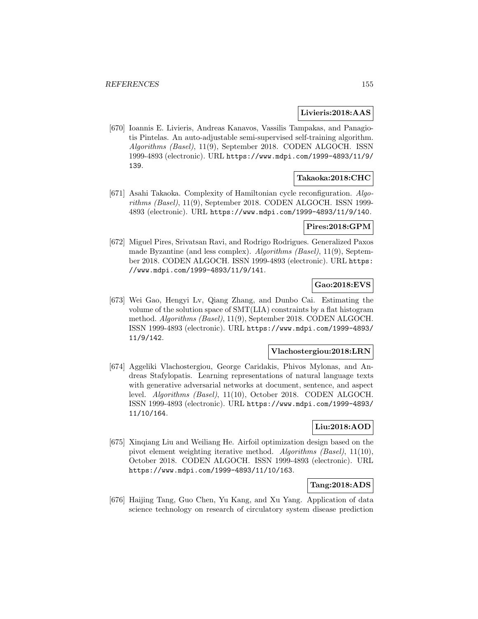#### **Livieris:2018:AAS**

[670] Ioannis E. Livieris, Andreas Kanavos, Vassilis Tampakas, and Panagiotis Pintelas. An auto-adjustable semi-supervised self-training algorithm. Algorithms (Basel), 11(9), September 2018. CODEN ALGOCH. ISSN 1999-4893 (electronic). URL https://www.mdpi.com/1999-4893/11/9/ 139.

#### **Takaoka:2018:CHC**

[671] Asahi Takaoka. Complexity of Hamiltonian cycle reconfiguration. Algorithms (Basel), 11(9), September 2018. CODEN ALGOCH. ISSN 1999- 4893 (electronic). URL https://www.mdpi.com/1999-4893/11/9/140.

#### **Pires:2018:GPM**

[672] Miguel Pires, Srivatsan Ravi, and Rodrigo Rodrigues. Generalized Paxos made Byzantine (and less complex). Algorithms (Basel), 11(9), September 2018. CODEN ALGOCH. ISSN 1999-4893 (electronic). URL https: //www.mdpi.com/1999-4893/11/9/141.

# **Gao:2018:EVS**

[673] Wei Gao, Hengyi Lv, Qiang Zhang, and Dunbo Cai. Estimating the volume of the solution space of SMT(LIA) constraints by a flat histogram method. Algorithms (Basel), 11(9), September 2018. CODEN ALGOCH. ISSN 1999-4893 (electronic). URL https://www.mdpi.com/1999-4893/ 11/9/142.

## **Vlachostergiou:2018:LRN**

[674] Aggeliki Vlachostergiou, George Caridakis, Phivos Mylonas, and Andreas Stafylopatis. Learning representations of natural language texts with generative adversarial networks at document, sentence, and aspect level. Algorithms (Basel), 11(10), October 2018. CODEN ALGOCH. ISSN 1999-4893 (electronic). URL https://www.mdpi.com/1999-4893/ 11/10/164.

### **Liu:2018:AOD**

[675] Xinqiang Liu and Weiliang He. Airfoil optimization design based on the pivot element weighting iterative method. Algorithms (Basel), 11(10), October 2018. CODEN ALGOCH. ISSN 1999-4893 (electronic). URL https://www.mdpi.com/1999-4893/11/10/163.

## **Tang:2018:ADS**

[676] Haijing Tang, Guo Chen, Yu Kang, and Xu Yang. Application of data science technology on research of circulatory system disease prediction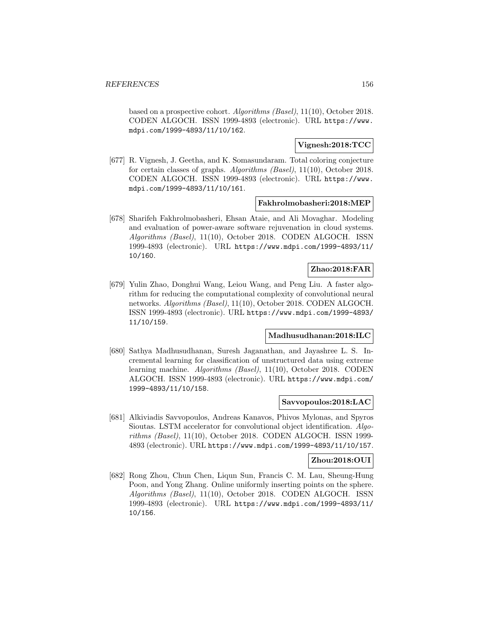based on a prospective cohort. Algorithms (Basel), 11(10), October 2018. CODEN ALGOCH. ISSN 1999-4893 (electronic). URL https://www. mdpi.com/1999-4893/11/10/162.

## **Vignesh:2018:TCC**

[677] R. Vignesh, J. Geetha, and K. Somasundaram. Total coloring conjecture for certain classes of graphs. Algorithms (Basel), 11(10), October 2018. CODEN ALGOCH. ISSN 1999-4893 (electronic). URL https://www. mdpi.com/1999-4893/11/10/161.

#### **Fakhrolmobasheri:2018:MEP**

[678] Sharifeh Fakhrolmobasheri, Ehsan Ataie, and Ali Movaghar. Modeling and evaluation of power-aware software rejuvenation in cloud systems. Algorithms (Basel), 11(10), October 2018. CODEN ALGOCH. ISSN 1999-4893 (electronic). URL https://www.mdpi.com/1999-4893/11/ 10/160.

#### **Zhao:2018:FAR**

[679] Yulin Zhao, Donghui Wang, Leiou Wang, and Peng Liu. A faster algorithm for reducing the computational complexity of convolutional neural networks. Algorithms (Basel), 11(10), October 2018. CODEN ALGOCH. ISSN 1999-4893 (electronic). URL https://www.mdpi.com/1999-4893/ 11/10/159.

## **Madhusudhanan:2018:ILC**

[680] Sathya Madhusudhanan, Suresh Jaganathan, and Jayashree L. S. Incremental learning for classification of unstructured data using extreme learning machine. Algorithms (Basel), 11(10), October 2018. CODEN ALGOCH. ISSN 1999-4893 (electronic). URL https://www.mdpi.com/ 1999-4893/11/10/158.

#### **Savvopoulos:2018:LAC**

[681] Alkiviadis Savvopoulos, Andreas Kanavos, Phivos Mylonas, and Spyros Sioutas. LSTM accelerator for convolutional object identification. Algorithms (Basel), 11(10), October 2018. CODEN ALGOCH. ISSN 1999- 4893 (electronic). URL https://www.mdpi.com/1999-4893/11/10/157.

#### **Zhou:2018:OUI**

[682] Rong Zhou, Chun Chen, Liqun Sun, Francis C. M. Lau, Sheung-Hung Poon, and Yong Zhang. Online uniformly inserting points on the sphere. Algorithms (Basel), 11(10), October 2018. CODEN ALGOCH. ISSN 1999-4893 (electronic). URL https://www.mdpi.com/1999-4893/11/ 10/156.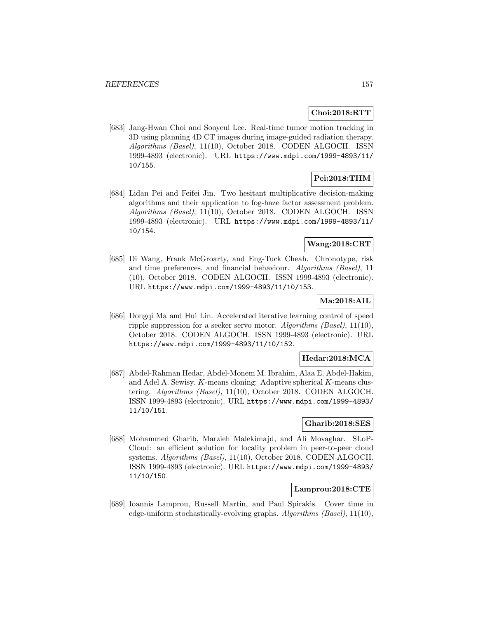## **Choi:2018:RTT**

[683] Jang-Hwan Choi and Sooyeul Lee. Real-time tumor motion tracking in 3D using planning 4D CT images during image-guided radiation therapy. Algorithms (Basel), 11(10), October 2018. CODEN ALGOCH. ISSN 1999-4893 (electronic). URL https://www.mdpi.com/1999-4893/11/ 10/155.

# **Pei:2018:THM**

[684] Lidan Pei and Feifei Jin. Two hesitant multiplicative decision-making algorithms and their application to fog-haze factor assessment problem. Algorithms (Basel), 11(10), October 2018. CODEN ALGOCH. ISSN 1999-4893 (electronic). URL https://www.mdpi.com/1999-4893/11/ 10/154.

# **Wang:2018:CRT**

[685] Di Wang, Frank McGroarty, and Eng-Tuck Cheah. Chronotype, risk and time preferences, and financial behaviour. Algorithms (Basel), 11 (10), October 2018. CODEN ALGOCH. ISSN 1999-4893 (electronic). URL https://www.mdpi.com/1999-4893/11/10/153.

## **Ma:2018:AIL**

[686] Dongqi Ma and Hui Lin. Accelerated iterative learning control of speed ripple suppression for a seeker servo motor. Algorithms (Basel), 11(10), October 2018. CODEN ALGOCH. ISSN 1999-4893 (electronic). URL https://www.mdpi.com/1999-4893/11/10/152.

#### **Hedar:2018:MCA**

[687] Abdel-Rahman Hedar, Abdel-Monem M. Ibrahim, Alaa E. Abdel-Hakim, and Adel A. Sewisy. K-means cloning: Adaptive spherical K-means clustering. Algorithms (Basel), 11(10), October 2018. CODEN ALGOCH. ISSN 1999-4893 (electronic). URL https://www.mdpi.com/1999-4893/ 11/10/151.

## **Gharib:2018:SES**

[688] Mohammed Gharib, Marzieh Malekimajd, and Ali Movaghar. SLoP-Cloud: an efficient solution for locality problem in peer-to-peer cloud systems. Algorithms (Basel), 11(10), October 2018. CODEN ALGOCH. ISSN 1999-4893 (electronic). URL https://www.mdpi.com/1999-4893/ 11/10/150.

## **Lamprou:2018:CTE**

[689] Ioannis Lamprou, Russell Martin, and Paul Spirakis. Cover time in edge-uniform stochastically-evolving graphs.  $Algorithms$  (Basel),  $11(10)$ ,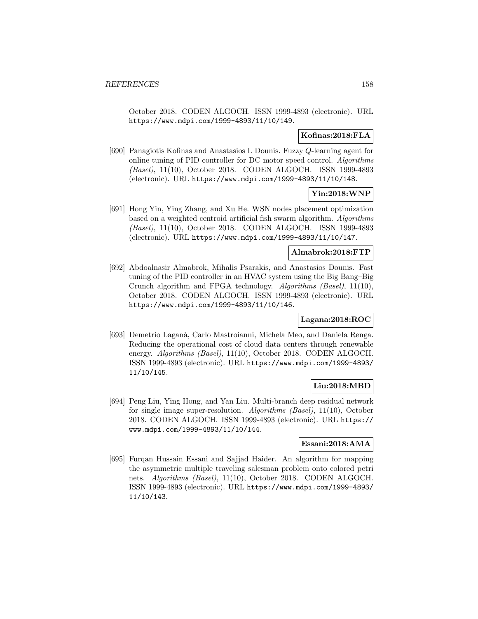October 2018. CODEN ALGOCH. ISSN 1999-4893 (electronic). URL https://www.mdpi.com/1999-4893/11/10/149.

#### **Kofinas:2018:FLA**

[690] Panagiotis Kofinas and Anastasios I. Dounis. Fuzzy Q-learning agent for online tuning of PID controller for DC motor speed control. Algorithms (Basel), 11(10), October 2018. CODEN ALGOCH. ISSN 1999-4893 (electronic). URL https://www.mdpi.com/1999-4893/11/10/148.

#### **Yin:2018:WNP**

[691] Hong Yin, Ying Zhang, and Xu He. WSN nodes placement optimization based on a weighted centroid artificial fish swarm algorithm. Algorithms (Basel), 11(10), October 2018. CODEN ALGOCH. ISSN 1999-4893 (electronic). URL https://www.mdpi.com/1999-4893/11/10/147.

#### **Almabrok:2018:FTP**

[692] Abdoalnasir Almabrok, Mihalis Psarakis, and Anastasios Dounis. Fast tuning of the PID controller in an HVAC system using the Big Bang–Big Crunch algorithm and FPGA technology. Algorithms (Basel), 11(10), October 2018. CODEN ALGOCH. ISSN 1999-4893 (electronic). URL https://www.mdpi.com/1999-4893/11/10/146.

#### **Lagana:2018:ROC**

[693] Demetrio Laganà, Carlo Mastroianni, Michela Meo, and Daniela Renga. Reducing the operational cost of cloud data centers through renewable energy. Algorithms (Basel), 11(10), October 2018. CODEN ALGOCH. ISSN 1999-4893 (electronic). URL https://www.mdpi.com/1999-4893/ 11/10/145.

## **Liu:2018:MBD**

[694] Peng Liu, Ying Hong, and Yan Liu. Multi-branch deep residual network for single image super-resolution. Algorithms (Basel), 11(10), October 2018. CODEN ALGOCH. ISSN 1999-4893 (electronic). URL https:// www.mdpi.com/1999-4893/11/10/144.

#### **Essani:2018:AMA**

[695] Furqan Hussain Essani and Sajjad Haider. An algorithm for mapping the asymmetric multiple traveling salesman problem onto colored petri nets. Algorithms (Basel), 11(10), October 2018. CODEN ALGOCH. ISSN 1999-4893 (electronic). URL https://www.mdpi.com/1999-4893/ 11/10/143.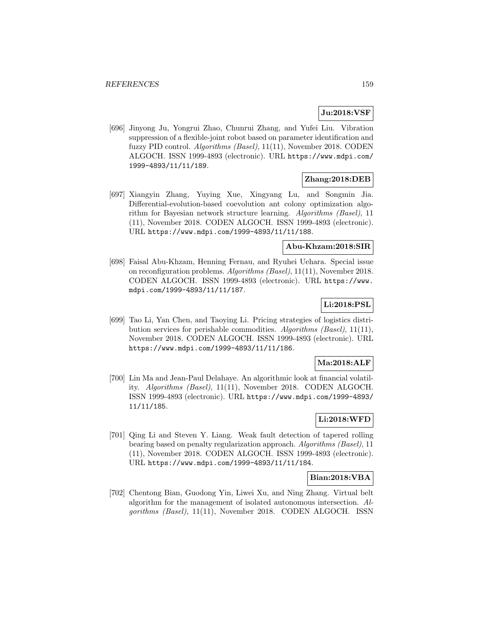# **Ju:2018:VSF**

[696] Jinyong Ju, Yongrui Zhao, Chunrui Zhang, and Yufei Liu. Vibration suppression of a flexible-joint robot based on parameter identification and fuzzy PID control. Algorithms (Basel), 11(11), November 2018. CODEN ALGOCH. ISSN 1999-4893 (electronic). URL https://www.mdpi.com/ 1999-4893/11/11/189.

### **Zhang:2018:DEB**

[697] Xiangyin Zhang, Yuying Xue, Xingyang Lu, and Songmin Jia. Differential-evolution-based coevolution ant colony optimization algorithm for Bayesian network structure learning. Algorithms (Basel), 11 (11), November 2018. CODEN ALGOCH. ISSN 1999-4893 (electronic). URL https://www.mdpi.com/1999-4893/11/11/188.

#### **Abu-Khzam:2018:SIR**

[698] Faisal Abu-Khzam, Henning Fernau, and Ryuhei Uehara. Special issue on reconfiguration problems. Algorithms (Basel), 11(11), November 2018. CODEN ALGOCH. ISSN 1999-4893 (electronic). URL https://www. mdpi.com/1999-4893/11/11/187.

# **Li:2018:PSL**

[699] Tao Li, Yan Chen, and Taoying Li. Pricing strategies of logistics distribution services for perishable commodities. Algorithms (Basel), 11(11), November 2018. CODEN ALGOCH. ISSN 1999-4893 (electronic). URL https://www.mdpi.com/1999-4893/11/11/186.

#### **Ma:2018:ALF**

[700] Lin Ma and Jean-Paul Delahaye. An algorithmic look at financial volatility. Algorithms (Basel), 11(11), November 2018. CODEN ALGOCH. ISSN 1999-4893 (electronic). URL https://www.mdpi.com/1999-4893/ 11/11/185.

### **Li:2018:WFD**

[701] Qing Li and Steven Y. Liang. Weak fault detection of tapered rolling bearing based on penalty regularization approach. Algorithms (Basel), 11 (11), November 2018. CODEN ALGOCH. ISSN 1999-4893 (electronic). URL https://www.mdpi.com/1999-4893/11/11/184.

#### **Bian:2018:VBA**

[702] Chentong Bian, Guodong Yin, Liwei Xu, and Ning Zhang. Virtual belt algorithm for the management of isolated autonomous intersection. Algorithms (Basel), 11(11), November 2018. CODEN ALGOCH. ISSN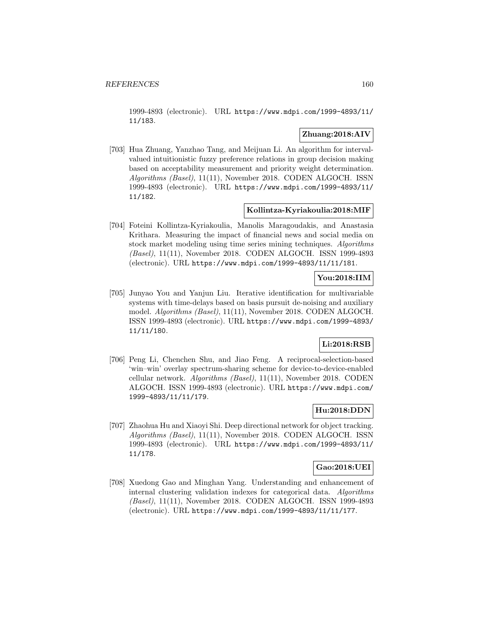1999-4893 (electronic). URL https://www.mdpi.com/1999-4893/11/ 11/183.

## **Zhuang:2018:AIV**

[703] Hua Zhuang, Yanzhao Tang, and Meijuan Li. An algorithm for intervalvalued intuitionistic fuzzy preference relations in group decision making based on acceptability measurement and priority weight determination. Algorithms (Basel), 11(11), November 2018. CODEN ALGOCH. ISSN 1999-4893 (electronic). URL https://www.mdpi.com/1999-4893/11/ 11/182.

## **Kollintza-Kyriakoulia:2018:MIF**

[704] Foteini Kollintza-Kyriakoulia, Manolis Maragoudakis, and Anastasia Krithara. Measuring the impact of financial news and social media on stock market modeling using time series mining techniques. Algorithms (Basel), 11(11), November 2018. CODEN ALGOCH. ISSN 1999-4893 (electronic). URL https://www.mdpi.com/1999-4893/11/11/181.

## **You:2018:IIM**

[705] Junyao You and Yanjun Liu. Iterative identification for multivariable systems with time-delays based on basis pursuit de-noising and auxiliary model. Algorithms (Basel), 11(11), November 2018. CODEN ALGOCH. ISSN 1999-4893 (electronic). URL https://www.mdpi.com/1999-4893/ 11/11/180.

# **Li:2018:RSB**

[706] Peng Li, Chenchen Shu, and Jiao Feng. A reciprocal-selection-based 'win–win' overlay spectrum-sharing scheme for device-to-device-enabled cellular network. Algorithms (Basel), 11(11), November 2018. CODEN ALGOCH. ISSN 1999-4893 (electronic). URL https://www.mdpi.com/ 1999-4893/11/11/179.

### **Hu:2018:DDN**

[707] Zhaohua Hu and Xiaoyi Shi. Deep directional network for object tracking. Algorithms (Basel), 11(11), November 2018. CODEN ALGOCH. ISSN 1999-4893 (electronic). URL https://www.mdpi.com/1999-4893/11/ 11/178.

## **Gao:2018:UEI**

[708] Xuedong Gao and Minghan Yang. Understanding and enhancement of internal clustering validation indexes for categorical data. Algorithms (Basel), 11(11), November 2018. CODEN ALGOCH. ISSN 1999-4893 (electronic). URL https://www.mdpi.com/1999-4893/11/11/177.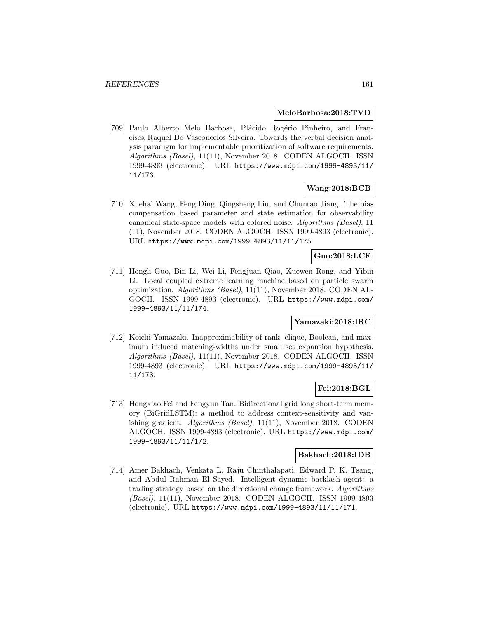#### **MeloBarbosa:2018:TVD**

[709] Paulo Alberto Melo Barbosa, Plácido Rogério Pinheiro, and Francisca Raquel De Vasconcelos Silveira. Towards the verbal decision analysis paradigm for implementable prioritization of software requirements. Algorithms (Basel), 11(11), November 2018. CODEN ALGOCH. ISSN 1999-4893 (electronic). URL https://www.mdpi.com/1999-4893/11/ 11/176.

## **Wang:2018:BCB**

[710] Xuehai Wang, Feng Ding, Qingsheng Liu, and Chuntao Jiang. The bias compensation based parameter and state estimation for observability canonical state-space models with colored noise. Algorithms (Basel), 11 (11), November 2018. CODEN ALGOCH. ISSN 1999-4893 (electronic). URL https://www.mdpi.com/1999-4893/11/11/175.

## **Guo:2018:LCE**

[711] Hongli Guo, Bin Li, Wei Li, Fengjuan Qiao, Xuewen Rong, and Yibin Li. Local coupled extreme learning machine based on particle swarm optimization. Algorithms (Basel), 11(11), November 2018. CODEN AL-GOCH. ISSN 1999-4893 (electronic). URL https://www.mdpi.com/ 1999-4893/11/11/174.

# **Yamazaki:2018:IRC**

[712] Koichi Yamazaki. Inapproximability of rank, clique, Boolean, and maximum induced matching-widths under small set expansion hypothesis. Algorithms (Basel), 11(11), November 2018. CODEN ALGOCH. ISSN 1999-4893 (electronic). URL https://www.mdpi.com/1999-4893/11/ 11/173.

#### **Fei:2018:BGL**

[713] Hongxiao Fei and Fengyun Tan. Bidirectional grid long short-term memory (BiGridLSTM): a method to address context-sensitivity and vanishing gradient. Algorithms (Basel), 11(11), November 2018. CODEN ALGOCH. ISSN 1999-4893 (electronic). URL https://www.mdpi.com/ 1999-4893/11/11/172.

### **Bakhach:2018:IDB**

[714] Amer Bakhach, Venkata L. Raju Chinthalapati, Edward P. K. Tsang, and Abdul Rahman El Sayed. Intelligent dynamic backlash agent: a trading strategy based on the directional change framework. Algorithms (Basel), 11(11), November 2018. CODEN ALGOCH. ISSN 1999-4893 (electronic). URL https://www.mdpi.com/1999-4893/11/11/171.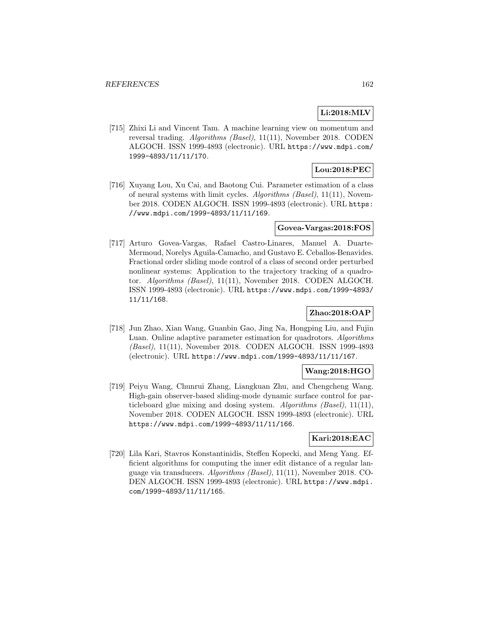### **Li:2018:MLV**

[715] Zhixi Li and Vincent Tam. A machine learning view on momentum and reversal trading. Algorithms (Basel), 11(11), November 2018. CODEN ALGOCH. ISSN 1999-4893 (electronic). URL https://www.mdpi.com/ 1999-4893/11/11/170.

# **Lou:2018:PEC**

[716] Xuyang Lou, Xu Cai, and Baotong Cui. Parameter estimation of a class of neural systems with limit cycles. Algorithms (Basel), 11(11), November 2018. CODEN ALGOCH. ISSN 1999-4893 (electronic). URL https: //www.mdpi.com/1999-4893/11/11/169.

#### **Govea-Vargas:2018:FOS**

[717] Arturo Govea-Vargas, Rafael Castro-Linares, Manuel A. Duarte-Mermoud, Norelys Aguila-Camacho, and Gustavo E. Ceballos-Benavides. Fractional order sliding mode control of a class of second order perturbed nonlinear systems: Application to the trajectory tracking of a quadrotor. Algorithms (Basel), 11(11), November 2018. CODEN ALGOCH. ISSN 1999-4893 (electronic). URL https://www.mdpi.com/1999-4893/ 11/11/168.

## **Zhao:2018:OAP**

[718] Jun Zhao, Xian Wang, Guanbin Gao, Jing Na, Hongping Liu, and Fujin Luan. Online adaptive parameter estimation for quadrotors. Algorithms (Basel), 11(11), November 2018. CODEN ALGOCH. ISSN 1999-4893 (electronic). URL https://www.mdpi.com/1999-4893/11/11/167.

#### **Wang:2018:HGO**

[719] Peiyu Wang, Chunrui Zhang, Liangkuan Zhu, and Chengcheng Wang. High-gain observer-based sliding-mode dynamic surface control for particleboard glue mixing and dosing system. Algorithms (Basel), 11(11), November 2018. CODEN ALGOCH. ISSN 1999-4893 (electronic). URL https://www.mdpi.com/1999-4893/11/11/166.

# **Kari:2018:EAC**

[720] Lila Kari, Stavros Konstantinidis, Steffen Kopecki, and Meng Yang. Efficient algorithms for computing the inner edit distance of a regular language via transducers. Algorithms (Basel), 11(11), November 2018. CO-DEN ALGOCH. ISSN 1999-4893 (electronic). URL https://www.mdpi. com/1999-4893/11/11/165.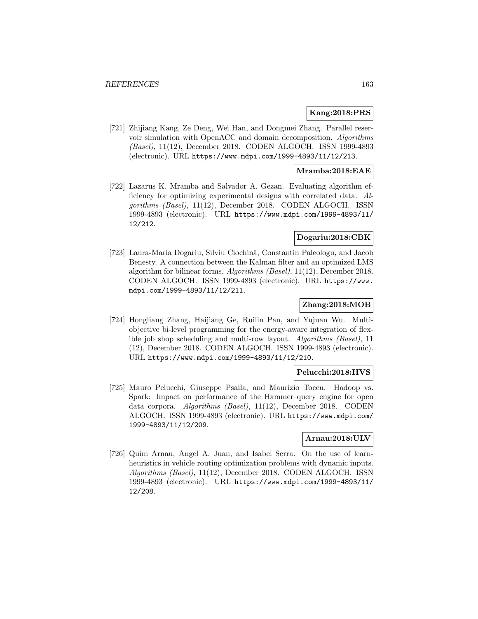#### **Kang:2018:PRS**

[721] Zhijiang Kang, Ze Deng, Wei Han, and Dongmei Zhang. Parallel reservoir simulation with OpenACC and domain decomposition. Algorithms (Basel), 11(12), December 2018. CODEN ALGOCH. ISSN 1999-4893 (electronic). URL https://www.mdpi.com/1999-4893/11/12/213.

### **Mramba:2018:EAE**

[722] Lazarus K. Mramba and Salvador A. Gezan. Evaluating algorithm efficiency for optimizing experimental designs with correlated data. Algorithms (Basel), 11(12), December 2018. CODEN ALGOCH. ISSN 1999-4893 (electronic). URL https://www.mdpi.com/1999-4893/11/ 12/212.

### **Dogariu:2018:CBK**

[723] Laura-Maria Dogariu, Silviu Ciochină, Constantin Paleologu, and Jacob Benesty. A connection between the Kalman filter and an optimized LMS algorithm for bilinear forms. Algorithms (Basel), 11(12), December 2018. CODEN ALGOCH. ISSN 1999-4893 (electronic). URL https://www. mdpi.com/1999-4893/11/12/211.

#### **Zhang:2018:MOB**

[724] Hongliang Zhang, Haijiang Ge, Ruilin Pan, and Yujuan Wu. Multiobjective bi-level programming for the energy-aware integration of flexible job shop scheduling and multi-row layout. Algorithms (Basel), 11 (12), December 2018. CODEN ALGOCH. ISSN 1999-4893 (electronic). URL https://www.mdpi.com/1999-4893/11/12/210.

### **Pelucchi:2018:HVS**

[725] Mauro Pelucchi, Giuseppe Psaila, and Maurizio Toccu. Hadoop vs. Spark: Impact on performance of the Hammer query engine for open data corpora. Algorithms (Basel), 11(12), December 2018. CODEN ALGOCH. ISSN 1999-4893 (electronic). URL https://www.mdpi.com/ 1999-4893/11/12/209.

## **Arnau:2018:ULV**

[726] Quim Arnau, Angel A. Juan, and Isabel Serra. On the use of learnheuristics in vehicle routing optimization problems with dynamic inputs. Algorithms (Basel), 11(12), December 2018. CODEN ALGOCH. ISSN 1999-4893 (electronic). URL https://www.mdpi.com/1999-4893/11/ 12/208.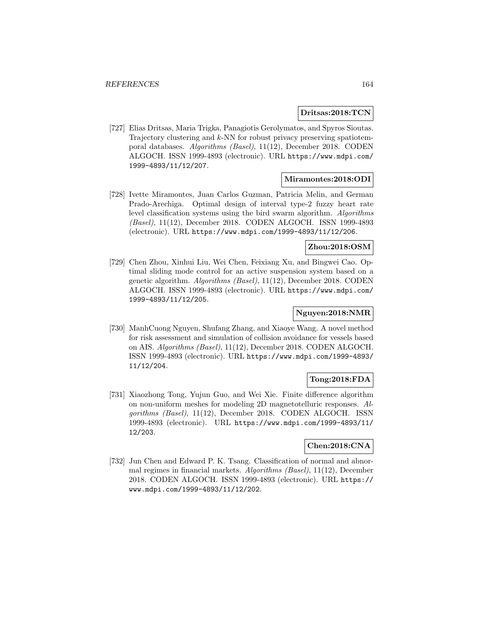#### **Dritsas:2018:TCN**

[727] Elias Dritsas, Maria Trigka, Panagiotis Gerolymatos, and Spyros Sioutas. Trajectory clustering and k-NN for robust privacy preserving spatiotemporal databases. Algorithms (Basel), 11(12), December 2018. CODEN ALGOCH. ISSN 1999-4893 (electronic). URL https://www.mdpi.com/ 1999-4893/11/12/207.

#### **Miramontes:2018:ODI**

[728] Ivette Miramontes, Juan Carlos Guzman, Patricia Melin, and German Prado-Arechiga. Optimal design of interval type-2 fuzzy heart rate level classification systems using the bird swarm algorithm. Algorithms (Basel), 11(12), December 2018. CODEN ALGOCH. ISSN 1999-4893 (electronic). URL https://www.mdpi.com/1999-4893/11/12/206.

#### **Zhou:2018:OSM**

[729] Chen Zhou, Xinhui Liu, Wei Chen, Feixiang Xu, and Bingwei Cao. Optimal sliding mode control for an active suspension system based on a genetic algorithm. Algorithms (Basel), 11(12), December 2018. CODEN ALGOCH. ISSN 1999-4893 (electronic). URL https://www.mdpi.com/ 1999-4893/11/12/205.

# **Nguyen:2018:NMR**

[730] ManhCuong Nguyen, Shufang Zhang, and Xiaoye Wang. A novel method for risk assessment and simulation of collision avoidance for vessels based on AIS. Algorithms (Basel), 11(12), December 2018. CODEN ALGOCH. ISSN 1999-4893 (electronic). URL https://www.mdpi.com/1999-4893/ 11/12/204.

#### **Tong:2018:FDA**

[731] Xiaozhong Tong, Yujun Guo, and Wei Xie. Finite difference algorithm on non-uniform meshes for modeling 2D magnetotelluric responses. Algorithms (Basel), 11(12), December 2018. CODEN ALGOCH. ISSN 1999-4893 (electronic). URL https://www.mdpi.com/1999-4893/11/ 12/203.

### **Chen:2018:CNA**

[732] Jun Chen and Edward P. K. Tsang. Classification of normal and abnormal regimes in financial markets. Algorithms (Basel), 11(12), December 2018. CODEN ALGOCH. ISSN 1999-4893 (electronic). URL https:// www.mdpi.com/1999-4893/11/12/202.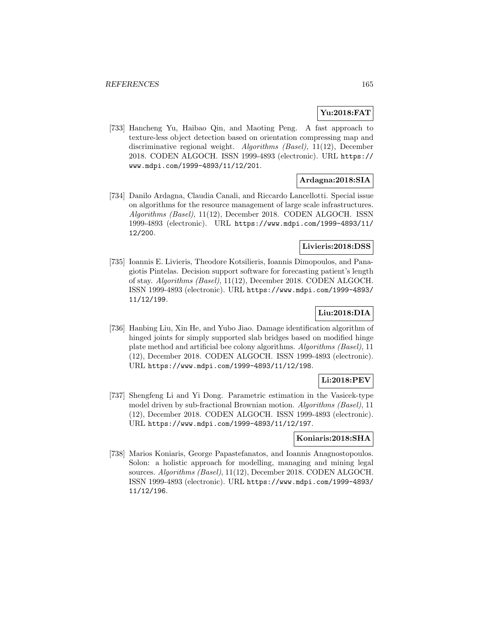## **Yu:2018:FAT**

[733] Hancheng Yu, Haibao Qin, and Maoting Peng. A fast approach to texture-less object detection based on orientation compressing map and discriminative regional weight. Algorithms (Basel), 11(12), December 2018. CODEN ALGOCH. ISSN 1999-4893 (electronic). URL https:// www.mdpi.com/1999-4893/11/12/201.

#### **Ardagna:2018:SIA**

[734] Danilo Ardagna, Claudia Canali, and Riccardo Lancellotti. Special issue on algorithms for the resource management of large scale infrastructures. Algorithms (Basel), 11(12), December 2018. CODEN ALGOCH. ISSN 1999-4893 (electronic). URL https://www.mdpi.com/1999-4893/11/ 12/200.

#### **Livieris:2018:DSS**

[735] Ioannis E. Livieris, Theodore Kotsilieris, Ioannis Dimopoulos, and Panagiotis Pintelas. Decision support software for forecasting patient's length of stay. Algorithms (Basel), 11(12), December 2018. CODEN ALGOCH. ISSN 1999-4893 (electronic). URL https://www.mdpi.com/1999-4893/ 11/12/199.

# **Liu:2018:DIA**

[736] Hanbing Liu, Xin He, and Yubo Jiao. Damage identification algorithm of hinged joints for simply supported slab bridges based on modified hinge plate method and artificial bee colony algorithms. Algorithms (Basel), 11 (12), December 2018. CODEN ALGOCH. ISSN 1999-4893 (electronic). URL https://www.mdpi.com/1999-4893/11/12/198.

## **Li:2018:PEV**

[737] Shengfeng Li and Yi Dong. Parametric estimation in the Vasicek-type model driven by sub-fractional Brownian motion. Algorithms (Basel), 11 (12), December 2018. CODEN ALGOCH. ISSN 1999-4893 (electronic). URL https://www.mdpi.com/1999-4893/11/12/197.

## **Koniaris:2018:SHA**

[738] Marios Koniaris, George Papastefanatos, and Ioannis Anagnostopoulos. Solon: a holistic approach for modelling, managing and mining legal sources. Algorithms (Basel), 11(12), December 2018. CODEN ALGOCH. ISSN 1999-4893 (electronic). URL https://www.mdpi.com/1999-4893/ 11/12/196.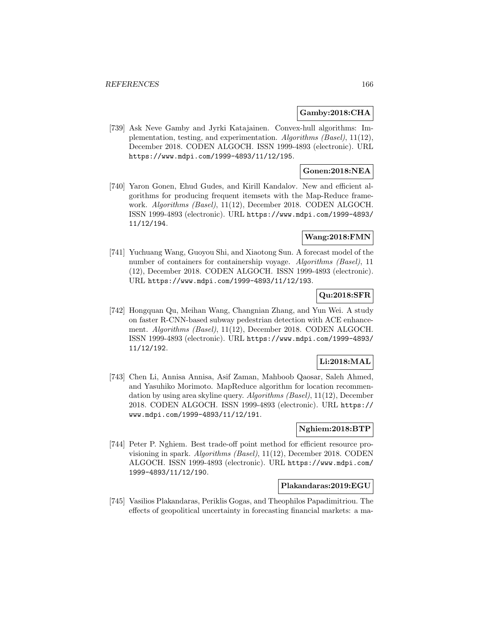#### **Gamby:2018:CHA**

[739] Ask Neve Gamby and Jyrki Katajainen. Convex-hull algorithms: Implementation, testing, and experimentation. Algorithms (Basel), 11(12), December 2018. CODEN ALGOCH. ISSN 1999-4893 (electronic). URL https://www.mdpi.com/1999-4893/11/12/195.

## **Gonen:2018:NEA**

[740] Yaron Gonen, Ehud Gudes, and Kirill Kandalov. New and efficient algorithms for producing frequent itemsets with the Map-Reduce framework. Algorithms (Basel), 11(12), December 2018. CODEN ALGOCH. ISSN 1999-4893 (electronic). URL https://www.mdpi.com/1999-4893/ 11/12/194.

## **Wang:2018:FMN**

[741] Yuchuang Wang, Guoyou Shi, and Xiaotong Sun. A forecast model of the number of containers for containership voyage. Algorithms (Basel), 11 (12), December 2018. CODEN ALGOCH. ISSN 1999-4893 (electronic). URL https://www.mdpi.com/1999-4893/11/12/193.

# **Qu:2018:SFR**

[742] Hongquan Qu, Meihan Wang, Changnian Zhang, and Yun Wei. A study on faster R-CNN-based subway pedestrian detection with ACE enhancement. Algorithms (Basel), 11(12), December 2018. CODEN ALGOCH. ISSN 1999-4893 (electronic). URL https://www.mdpi.com/1999-4893/ 11/12/192.

# **Li:2018:MAL**

[743] Chen Li, Annisa Annisa, Asif Zaman, Mahboob Qaosar, Saleh Ahmed, and Yasuhiko Morimoto. MapReduce algorithm for location recommendation by using area skyline query. Algorithms (Basel), 11(12), December 2018. CODEN ALGOCH. ISSN 1999-4893 (electronic). URL https:// www.mdpi.com/1999-4893/11/12/191.

## **Nghiem:2018:BTP**

[744] Peter P. Nghiem. Best trade-off point method for efficient resource provisioning in spark. Algorithms (Basel), 11(12), December 2018. CODEN ALGOCH. ISSN 1999-4893 (electronic). URL https://www.mdpi.com/ 1999-4893/11/12/190.

#### **Plakandaras:2019:EGU**

[745] Vasilios Plakandaras, Periklis Gogas, and Theophilos Papadimitriou. The effects of geopolitical uncertainty in forecasting financial markets: a ma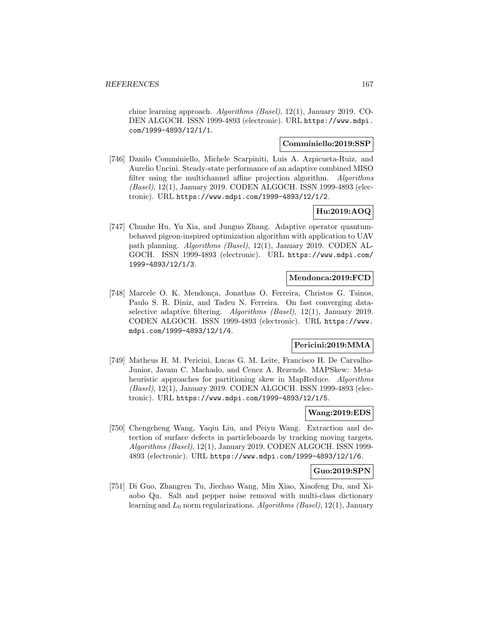chine learning approach. Algorithms (Basel), 12(1), January 2019. CO-DEN ALGOCH. ISSN 1999-4893 (electronic). URL https://www.mdpi. com/1999-4893/12/1/1.

#### **Comminiello:2019:SSP**

[746] Danilo Comminiello, Michele Scarpiniti, Luis A. Azpicueta-Ruiz, and Aurelio Uncini. Steady-state performance of an adaptive combined MISO filter using the multichannel affine projection algorithm. Algorithms (Basel), 12(1), January 2019. CODEN ALGOCH. ISSN 1999-4893 (electronic). URL https://www.mdpi.com/1999-4893/12/1/2.

# **Hu:2019:AOQ**

[747] Chunhe Hu, Yu Xia, and Junguo Zhang. Adaptive operator quantumbehaved pigeon-inspired optimization algorithm with application to UAV path planning. Algorithms (Basel), 12(1), January 2019. CODEN AL-GOCH. ISSN 1999-4893 (electronic). URL https://www.mdpi.com/ 1999-4893/12/1/3.

#### **Mendonca:2019:FCD**

[748] Marcele O. K. Mendonça, Jonathas O. Ferreira, Christos G. Tsinos, Paulo S. R. Diniz, and Tadeu N. Ferreira. On fast converging dataselective adaptive filtering. Algorithms (Basel), 12(1), January 2019. CODEN ALGOCH. ISSN 1999-4893 (electronic). URL https://www. mdpi.com/1999-4893/12/1/4.

## **Pericini:2019:MMA**

[749] Matheus H. M. Pericini, Lucas G. M. Leite, Francisco H. De Carvalho-Junior, Javam C. Machado, and Cenez A. Rezende. MAPSkew: Metaheuristic approaches for partitioning skew in MapReduce. Algorithms (Basel), 12(1), January 2019. CODEN ALGOCH. ISSN 1999-4893 (electronic). URL https://www.mdpi.com/1999-4893/12/1/5.

#### **Wang:2019:EDS**

[750] Chengcheng Wang, Yaqiu Liu, and Peiyu Wang. Extraction and detection of surface defects in particleboards by tracking moving targets. Algorithms (Basel), 12(1), January 2019. CODEN ALGOCH. ISSN 1999- 4893 (electronic). URL https://www.mdpi.com/1999-4893/12/1/6.

#### **Guo:2019:SPN**

[751] Di Guo, Zhangren Tu, Jiechao Wang, Min Xiao, Xiaofeng Du, and Xiaobo Qu. Salt and pepper noise removal with multi-class dictionary learning and  $L_0$  norm regularizations. Algorithms (Basel), 12(1), January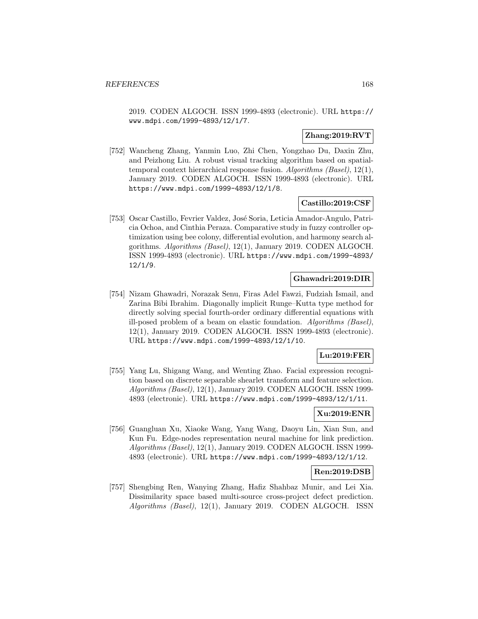2019. CODEN ALGOCH. ISSN 1999-4893 (electronic). URL https:// www.mdpi.com/1999-4893/12/1/7.

### **Zhang:2019:RVT**

[752] Wancheng Zhang, Yanmin Luo, Zhi Chen, Yongzhao Du, Daxin Zhu, and Peizhong Liu. A robust visual tracking algorithm based on spatialtemporal context hierarchical response fusion. Algorithms (Basel), 12(1), January 2019. CODEN ALGOCH. ISSN 1999-4893 (electronic). URL https://www.mdpi.com/1999-4893/12/1/8.

#### **Castillo:2019:CSF**

[753] Oscar Castillo, Fevrier Valdez, José Soria, Leticia Amador-Angulo, Patricia Ochoa, and Cinthia Peraza. Comparative study in fuzzy controller optimization using bee colony, differential evolution, and harmony search algorithms. Algorithms (Basel), 12(1), January 2019. CODEN ALGOCH. ISSN 1999-4893 (electronic). URL https://www.mdpi.com/1999-4893/ 12/1/9.

#### **Ghawadri:2019:DIR**

[754] Nizam Ghawadri, Norazak Senu, Firas Adel Fawzi, Fudziah Ismail, and Zarina Bibi Ibrahim. Diagonally implicit Runge–Kutta type method for directly solving special fourth-order ordinary differential equations with ill-posed problem of a beam on elastic foundation. Algorithms (Basel), 12(1), January 2019. CODEN ALGOCH. ISSN 1999-4893 (electronic). URL https://www.mdpi.com/1999-4893/12/1/10.

#### **Lu:2019:FER**

[755] Yang Lu, Shigang Wang, and Wenting Zhao. Facial expression recognition based on discrete separable shearlet transform and feature selection. Algorithms (Basel), 12(1), January 2019. CODEN ALGOCH. ISSN 1999- 4893 (electronic). URL https://www.mdpi.com/1999-4893/12/1/11.

## **Xu:2019:ENR**

[756] Guangluan Xu, Xiaoke Wang, Yang Wang, Daoyu Lin, Xian Sun, and Kun Fu. Edge-nodes representation neural machine for link prediction. Algorithms (Basel), 12(1), January 2019. CODEN ALGOCH. ISSN 1999- 4893 (electronic). URL https://www.mdpi.com/1999-4893/12/1/12.

#### **Ren:2019:DSB**

[757] Shengbing Ren, Wanying Zhang, Hafiz Shahbaz Munir, and Lei Xia. Dissimilarity space based multi-source cross-project defect prediction. Algorithms (Basel), 12(1), January 2019. CODEN ALGOCH. ISSN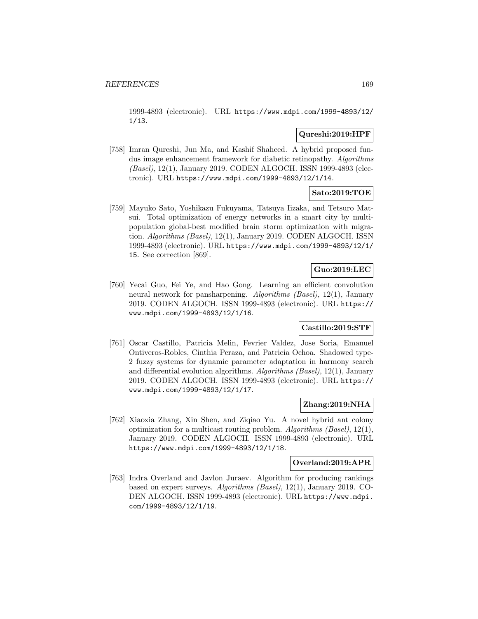1999-4893 (electronic). URL https://www.mdpi.com/1999-4893/12/ 1/13.

## **Qureshi:2019:HPF**

[758] Imran Qureshi, Jun Ma, and Kashif Shaheed. A hybrid proposed fundus image enhancement framework for diabetic retinopathy. Algorithms (Basel), 12(1), January 2019. CODEN ALGOCH. ISSN 1999-4893 (electronic). URL https://www.mdpi.com/1999-4893/12/1/14.

# **Sato:2019:TOE**

[759] Mayuko Sato, Yoshikazu Fukuyama, Tatsuya Iizaka, and Tetsuro Matsui. Total optimization of energy networks in a smart city by multipopulation global-best modified brain storm optimization with migration. Algorithms (Basel), 12(1), January 2019. CODEN ALGOCH. ISSN 1999-4893 (electronic). URL https://www.mdpi.com/1999-4893/12/1/ 15. See correction [869].

# **Guo:2019:LEC**

[760] Yecai Guo, Fei Ye, and Hao Gong. Learning an efficient convolution neural network for pansharpening. Algorithms (Basel), 12(1), January 2019. CODEN ALGOCH. ISSN 1999-4893 (electronic). URL https:// www.mdpi.com/1999-4893/12/1/16.

### **Castillo:2019:STF**

[761] Oscar Castillo, Patricia Melin, Fevrier Valdez, Jose Soria, Emanuel Ontiveros-Robles, Cinthia Peraza, and Patricia Ochoa. Shadowed type-2 fuzzy systems for dynamic parameter adaptation in harmony search and differential evolution algorithms. Algorithms (Basel), 12(1), January 2019. CODEN ALGOCH. ISSN 1999-4893 (electronic). URL https:// www.mdpi.com/1999-4893/12/1/17.

### **Zhang:2019:NHA**

[762] Xiaoxia Zhang, Xin Shen, and Ziqiao Yu. A novel hybrid ant colony optimization for a multicast routing problem. Algorithms (Basel), 12(1), January 2019. CODEN ALGOCH. ISSN 1999-4893 (electronic). URL https://www.mdpi.com/1999-4893/12/1/18.

#### **Overland:2019:APR**

[763] Indra Overland and Javlon Juraev. Algorithm for producing rankings based on expert surveys. Algorithms (Basel), 12(1), January 2019. CO-DEN ALGOCH. ISSN 1999-4893 (electronic). URL https://www.mdpi. com/1999-4893/12/1/19.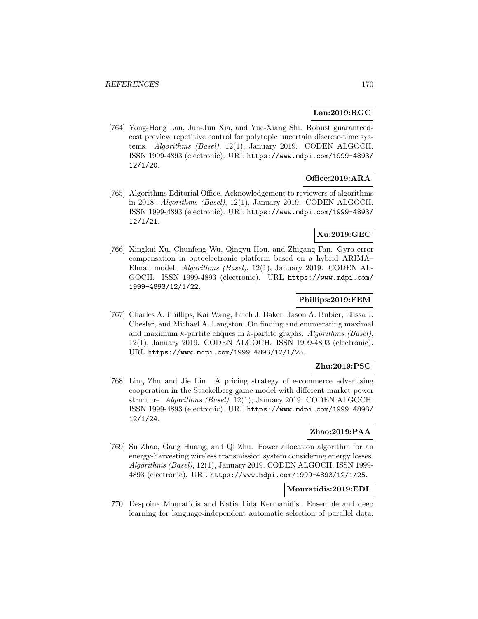## **Lan:2019:RGC**

[764] Yong-Hong Lan, Jun-Jun Xia, and Yue-Xiang Shi. Robust guaranteedcost preview repetitive control for polytopic uncertain discrete-time systems. Algorithms (Basel), 12(1), January 2019. CODEN ALGOCH. ISSN 1999-4893 (electronic). URL https://www.mdpi.com/1999-4893/ 12/1/20.

### **Office:2019:ARA**

[765] Algorithms Editorial Office. Acknowledgement to reviewers of algorithms in 2018. Algorithms (Basel), 12(1), January 2019. CODEN ALGOCH. ISSN 1999-4893 (electronic). URL https://www.mdpi.com/1999-4893/ 12/1/21.

## **Xu:2019:GEC**

[766] Xingkui Xu, Chunfeng Wu, Qingyu Hou, and Zhigang Fan. Gyro error compensation in optoelectronic platform based on a hybrid ARIMA– Elman model. Algorithms (Basel), 12(1), January 2019. CODEN AL-GOCH. ISSN 1999-4893 (electronic). URL https://www.mdpi.com/ 1999-4893/12/1/22.

## **Phillips:2019:FEM**

[767] Charles A. Phillips, Kai Wang, Erich J. Baker, Jason A. Bubier, Elissa J. Chesler, and Michael A. Langston. On finding and enumerating maximal and maximum k-partite cliques in k-partite graphs. Algorithms (Basel), 12(1), January 2019. CODEN ALGOCH. ISSN 1999-4893 (electronic). URL https://www.mdpi.com/1999-4893/12/1/23.

## **Zhu:2019:PSC**

[768] Ling Zhu and Jie Lin. A pricing strategy of e-commerce advertising cooperation in the Stackelberg game model with different market power structure. Algorithms (Basel), 12(1), January 2019. CODEN ALGOCH. ISSN 1999-4893 (electronic). URL https://www.mdpi.com/1999-4893/ 12/1/24.

## **Zhao:2019:PAA**

[769] Su Zhao, Gang Huang, and Qi Zhu. Power allocation algorithm for an energy-harvesting wireless transmission system considering energy losses. Algorithms (Basel), 12(1), January 2019. CODEN ALGOCH. ISSN 1999- 4893 (electronic). URL https://www.mdpi.com/1999-4893/12/1/25.

## **Mouratidis:2019:EDL**

[770] Despoina Mouratidis and Katia Lida Kermanidis. Ensemble and deep learning for language-independent automatic selection of parallel data.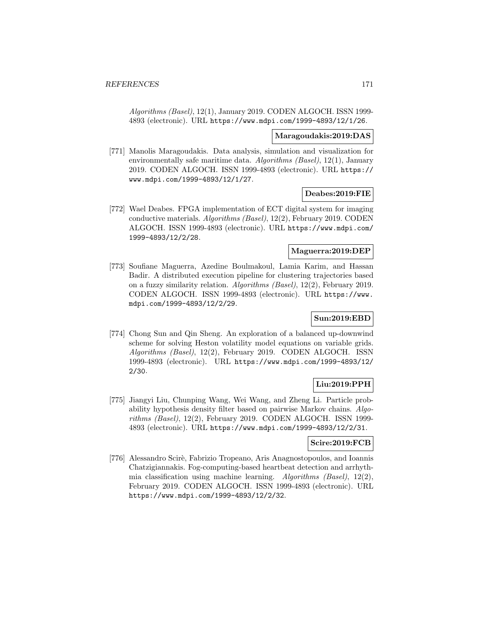Algorithms (Basel), 12(1), January 2019. CODEN ALGOCH. ISSN 1999- 4893 (electronic). URL https://www.mdpi.com/1999-4893/12/1/26.

#### **Maragoudakis:2019:DAS**

[771] Manolis Maragoudakis. Data analysis, simulation and visualization for environmentally safe maritime data. Algorithms (Basel), 12(1), January 2019. CODEN ALGOCH. ISSN 1999-4893 (electronic). URL https:// www.mdpi.com/1999-4893/12/1/27.

#### **Deabes:2019:FIE**

[772] Wael Deabes. FPGA implementation of ECT digital system for imaging conductive materials. Algorithms (Basel), 12(2), February 2019. CODEN ALGOCH. ISSN 1999-4893 (electronic). URL https://www.mdpi.com/ 1999-4893/12/2/28.

#### **Maguerra:2019:DEP**

[773] Soufiane Maguerra, Azedine Boulmakoul, Lamia Karim, and Hassan Badir. A distributed execution pipeline for clustering trajectories based on a fuzzy similarity relation. Algorithms (Basel), 12(2), February 2019. CODEN ALGOCH. ISSN 1999-4893 (electronic). URL https://www. mdpi.com/1999-4893/12/2/29.

# **Sun:2019:EBD**

[774] Chong Sun and Qin Sheng. An exploration of a balanced up-downwind scheme for solving Heston volatility model equations on variable grids. Algorithms (Basel), 12(2), February 2019. CODEN ALGOCH. ISSN 1999-4893 (electronic). URL https://www.mdpi.com/1999-4893/12/ 2/30.

# **Liu:2019:PPH**

[775] Jiangyi Liu, Chunping Wang, Wei Wang, and Zheng Li. Particle probability hypothesis density filter based on pairwise Markov chains. Algorithms (Basel), 12(2), February 2019. CODEN ALGOCH. ISSN 1999- 4893 (electronic). URL https://www.mdpi.com/1999-4893/12/2/31.

#### **Scire:2019:FCB**

[776] Alessandro Scirè, Fabrizio Tropeano, Aris Anagnostopoulos, and Ioannis Chatzigiannakis. Fog-computing-based heartbeat detection and arrhythmia classification using machine learning. Algorithms (Basel), 12(2), February 2019. CODEN ALGOCH. ISSN 1999-4893 (electronic). URL https://www.mdpi.com/1999-4893/12/2/32.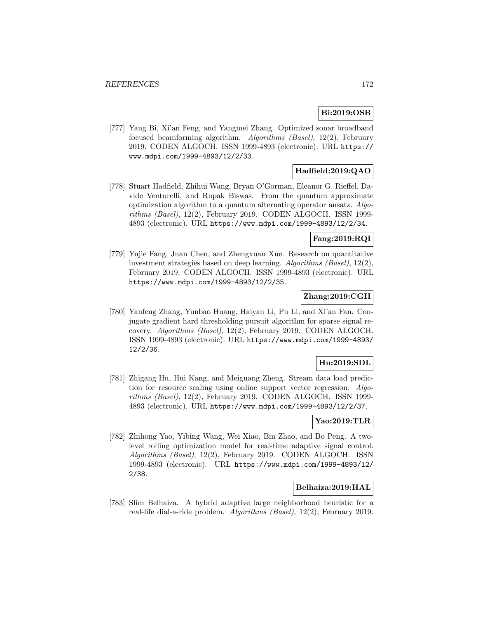# **Bi:2019:OSB**

[777] Yang Bi, Xi'an Feng, and Yangmei Zhang. Optimized sonar broadband focused beamforming algorithm. Algorithms (Basel), 12(2), February 2019. CODEN ALGOCH. ISSN 1999-4893 (electronic). URL https:// www.mdpi.com/1999-4893/12/2/33.

# **Hadfield:2019:QAO**

[778] Stuart Hadfield, Zhihui Wang, Bryan O'Gorman, Eleanor G. Rieffel, Davide Venturelli, and Rupak Biswas. From the quantum approximate optimization algorithm to a quantum alternating operator ansatz. Algorithms (Basel), 12(2), February 2019. CODEN ALGOCH. ISSN 1999- 4893 (electronic). URL https://www.mdpi.com/1999-4893/12/2/34.

## **Fang:2019:RQI**

[779] Yujie Fang, Juan Chen, and Zhengxuan Xue. Research on quantitative investment strategies based on deep learning. Algorithms (Basel), 12(2), February 2019. CODEN ALGOCH. ISSN 1999-4893 (electronic). URL https://www.mdpi.com/1999-4893/12/2/35.

## **Zhang:2019:CGH**

[780] Yanfeng Zhang, Yunbao Huang, Haiyan Li, Pu Li, and Xi'an Fan. Conjugate gradient hard thresholding pursuit algorithm for sparse signal recovery. Algorithms (Basel), 12(2), February 2019. CODEN ALGOCH. ISSN 1999-4893 (electronic). URL https://www.mdpi.com/1999-4893/ 12/2/36.

## **Hu:2019:SDL**

[781] Zhigang Hu, Hui Kang, and Meiguang Zheng. Stream data load prediction for resource scaling using online support vector regression. Algorithms (Basel), 12(2), February 2019. CODEN ALGOCH. ISSN 1999- 4893 (electronic). URL https://www.mdpi.com/1999-4893/12/2/37.

# **Yao:2019:TLR**

[782] Zhihong Yao, Yibing Wang, Wei Xiao, Bin Zhao, and Bo Peng. A twolevel rolling optimization model for real-time adaptive signal control. Algorithms (Basel), 12(2), February 2019. CODEN ALGOCH. ISSN 1999-4893 (electronic). URL https://www.mdpi.com/1999-4893/12/ 2/38.

#### **Belhaiza:2019:HAL**

[783] Slim Belhaiza. A hybrid adaptive large neighborhood heuristic for a real-life dial-a-ride problem. Algorithms (Basel), 12(2), February 2019.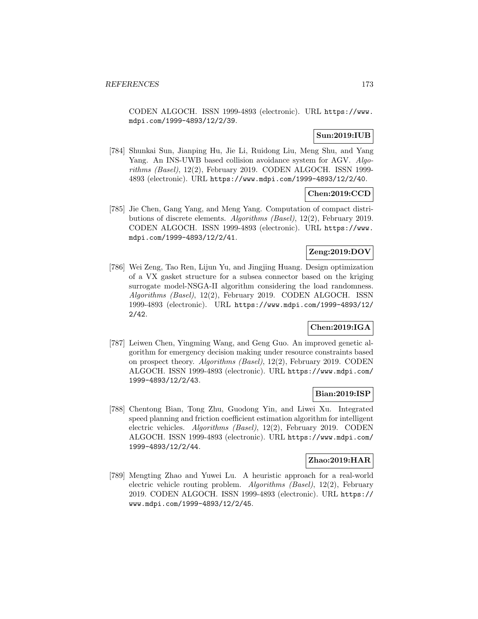CODEN ALGOCH. ISSN 1999-4893 (electronic). URL https://www. mdpi.com/1999-4893/12/2/39.

# **Sun:2019:IUB**

[784] Shunkai Sun, Jianping Hu, Jie Li, Ruidong Liu, Meng Shu, and Yang Yang. An INS-UWB based collision avoidance system for AGV. Algorithms (Basel), 12(2), February 2019. CODEN ALGOCH. ISSN 1999- 4893 (electronic). URL https://www.mdpi.com/1999-4893/12/2/40.

## **Chen:2019:CCD**

[785] Jie Chen, Gang Yang, and Meng Yang. Computation of compact distributions of discrete elements. Algorithms (Basel), 12(2), February 2019. CODEN ALGOCH. ISSN 1999-4893 (electronic). URL https://www. mdpi.com/1999-4893/12/2/41.

## **Zeng:2019:DOV**

[786] Wei Zeng, Tao Ren, Lijun Yu, and Jingjing Huang. Design optimization of a VX gasket structure for a subsea connector based on the kriging surrogate model-NSGA-II algorithm considering the load randomness. Algorithms (Basel), 12(2), February 2019. CODEN ALGOCH. ISSN 1999-4893 (electronic). URL https://www.mdpi.com/1999-4893/12/ 2/42.

## **Chen:2019:IGA**

[787] Leiwen Chen, Yingming Wang, and Geng Guo. An improved genetic algorithm for emergency decision making under resource constraints based on prospect theory. Algorithms (Basel), 12(2), February 2019. CODEN ALGOCH. ISSN 1999-4893 (electronic). URL https://www.mdpi.com/ 1999-4893/12/2/43.

## **Bian:2019:ISP**

[788] Chentong Bian, Tong Zhu, Guodong Yin, and Liwei Xu. Integrated speed planning and friction coefficient estimation algorithm for intelligent electric vehicles. Algorithms (Basel), 12(2), February 2019. CODEN ALGOCH. ISSN 1999-4893 (electronic). URL https://www.mdpi.com/ 1999-4893/12/2/44.

#### **Zhao:2019:HAR**

[789] Mengting Zhao and Yuwei Lu. A heuristic approach for a real-world electric vehicle routing problem. Algorithms (Basel), 12(2), February 2019. CODEN ALGOCH. ISSN 1999-4893 (electronic). URL https:// www.mdpi.com/1999-4893/12/2/45.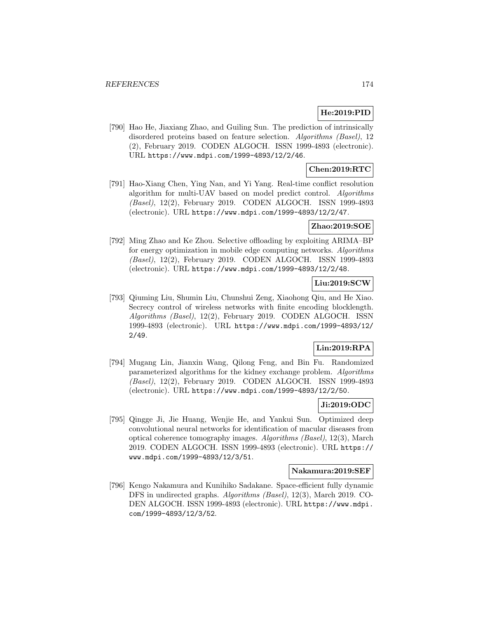### **He:2019:PID**

[790] Hao He, Jiaxiang Zhao, and Guiling Sun. The prediction of intrinsically disordered proteins based on feature selection. Algorithms (Basel), 12 (2), February 2019. CODEN ALGOCH. ISSN 1999-4893 (electronic). URL https://www.mdpi.com/1999-4893/12/2/46.

### **Chen:2019:RTC**

[791] Hao-Xiang Chen, Ying Nan, and Yi Yang. Real-time conflict resolution algorithm for multi-UAV based on model predict control. Algorithms (Basel), 12(2), February 2019. CODEN ALGOCH. ISSN 1999-4893 (electronic). URL https://www.mdpi.com/1999-4893/12/2/47.

#### **Zhao:2019:SOE**

[792] Ming Zhao and Ke Zhou. Selective offloading by exploiting ARIMA–BP for energy optimization in mobile edge computing networks. Algorithms (Basel), 12(2), February 2019. CODEN ALGOCH. ISSN 1999-4893 (electronic). URL https://www.mdpi.com/1999-4893/12/2/48.

# **Liu:2019:SCW**

[793] Qiuming Liu, Shumin Liu, Chunshui Zeng, Xiaohong Qiu, and He Xiao. Secrecy control of wireless networks with finite encoding blocklength. Algorithms (Basel), 12(2), February 2019. CODEN ALGOCH. ISSN 1999-4893 (electronic). URL https://www.mdpi.com/1999-4893/12/ 2/49.

# **Lin:2019:RPA**

[794] Mugang Lin, Jianxin Wang, Qilong Feng, and Bin Fu. Randomized parameterized algorithms for the kidney exchange problem. Algorithms (Basel), 12(2), February 2019. CODEN ALGOCH. ISSN 1999-4893 (electronic). URL https://www.mdpi.com/1999-4893/12/2/50.

#### **Ji:2019:ODC**

[795] Qingge Ji, Jie Huang, Wenjie He, and Yankui Sun. Optimized deep convolutional neural networks for identification of macular diseases from optical coherence tomography images. Algorithms (Basel), 12(3), March 2019. CODEN ALGOCH. ISSN 1999-4893 (electronic). URL https:// www.mdpi.com/1999-4893/12/3/51.

#### **Nakamura:2019:SEF**

[796] Kengo Nakamura and Kunihiko Sadakane. Space-efficient fully dynamic DFS in undirected graphs. Algorithms (Basel), 12(3), March 2019. CO-DEN ALGOCH. ISSN 1999-4893 (electronic). URL https://www.mdpi. com/1999-4893/12/3/52.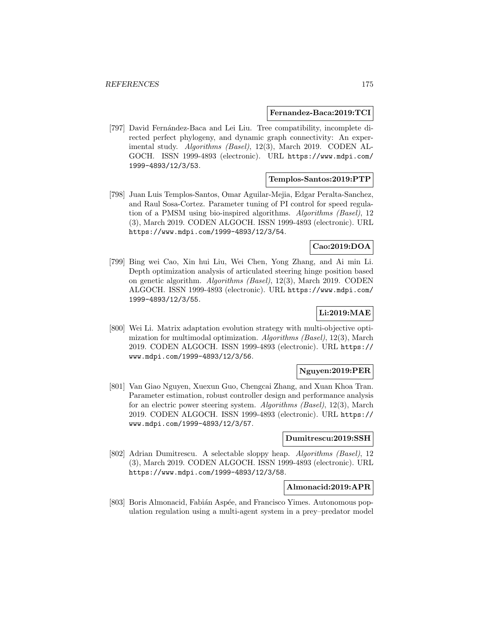#### **Fernandez-Baca:2019:TCI**

[797] David Fernández-Baca and Lei Liu. Tree compatibility, incomplete directed perfect phylogeny, and dynamic graph connectivity: An experimental study. Algorithms (Basel), 12(3), March 2019. CODEN AL-GOCH. ISSN 1999-4893 (electronic). URL https://www.mdpi.com/ 1999-4893/12/3/53.

#### **Templos-Santos:2019:PTP**

[798] Juan Luis Templos-Santos, Omar Aguilar-Mejia, Edgar Peralta-Sanchez, and Raul Sosa-Cortez. Parameter tuning of PI control for speed regulation of a PMSM using bio-inspired algorithms. Algorithms (Basel), 12 (3), March 2019. CODEN ALGOCH. ISSN 1999-4893 (electronic). URL https://www.mdpi.com/1999-4893/12/3/54.

#### **Cao:2019:DOA**

[799] Bing wei Cao, Xin hui Liu, Wei Chen, Yong Zhang, and Ai min Li. Depth optimization analysis of articulated steering hinge position based on genetic algorithm. Algorithms (Basel), 12(3), March 2019. CODEN ALGOCH. ISSN 1999-4893 (electronic). URL https://www.mdpi.com/ 1999-4893/12/3/55.

# **Li:2019:MAE**

[800] Wei Li. Matrix adaptation evolution strategy with multi-objective optimization for multimodal optimization. Algorithms  $(Basel)$ , 12(3), March 2019. CODEN ALGOCH. ISSN 1999-4893 (electronic). URL https:// www.mdpi.com/1999-4893/12/3/56.

## **Nguyen:2019:PER**

[801] Van Giao Nguyen, Xuexun Guo, Chengcai Zhang, and Xuan Khoa Tran. Parameter estimation, robust controller design and performance analysis for an electric power steering system. Algorithms (Basel), 12(3), March 2019. CODEN ALGOCH. ISSN 1999-4893 (electronic). URL https:// www.mdpi.com/1999-4893/12/3/57.

# **Dumitrescu:2019:SSH**

[802] Adrian Dumitrescu. A selectable sloppy heap. Algorithms (Basel), 12 (3), March 2019. CODEN ALGOCH. ISSN 1999-4893 (electronic). URL https://www.mdpi.com/1999-4893/12/3/58.

#### **Almonacid:2019:APR**

[803] Boris Almonacid, Fabián Aspée, and Francisco Yimes. Autonomous population regulation using a multi-agent system in a prey–predator model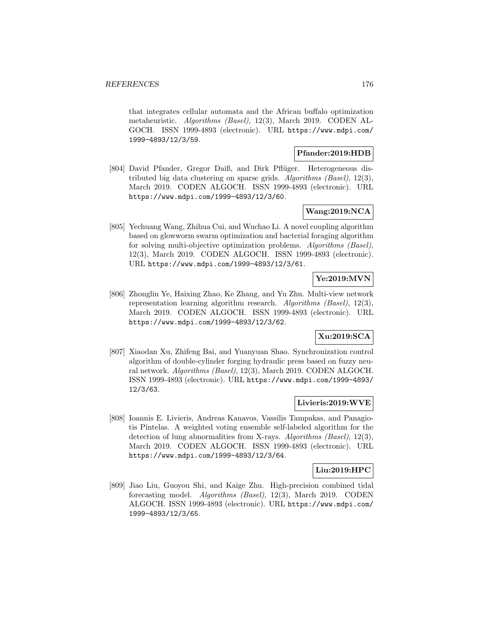that integrates cellular automata and the African buffalo optimization metaheuristic. Algorithms (Basel), 12(3), March 2019. CODEN AL-GOCH. ISSN 1999-4893 (electronic). URL https://www.mdpi.com/ 1999-4893/12/3/59.

### **Pfander:2019:HDB**

[804] David Pfander, Gregor Daiß, and Dirk Pflüger. Heterogeneous distributed big data clustering on sparse grids. Algorithms (Basel), 12(3), March 2019. CODEN ALGOCH. ISSN 1999-4893 (electronic). URL https://www.mdpi.com/1999-4893/12/3/60.

# **Wang:2019:NCA**

[805] Yechuang Wang, Zhihua Cui, and Wuchao Li. A novel coupling algorithm based on glowworm swarm optimization and bacterial foraging algorithm for solving multi-objective optimization problems. Algorithms (Basel), 12(3), March 2019. CODEN ALGOCH. ISSN 1999-4893 (electronic). URL https://www.mdpi.com/1999-4893/12/3/61.

## **Ye:2019:MVN**

[806] Zhonglin Ye, Haixing Zhao, Ke Zhang, and Yu Zhu. Multi-view network representation learning algorithm research. Algorithms (Basel), 12(3), March 2019. CODEN ALGOCH. ISSN 1999-4893 (electronic). URL https://www.mdpi.com/1999-4893/12/3/62.

## **Xu:2019:SCA**

[807] Xiaodan Xu, Zhifeng Bai, and Yuanyuan Shao. Synchronization control algorithm of double-cylinder forging hydraulic press based on fuzzy neural network. Algorithms (Basel), 12(3), March 2019. CODEN ALGOCH. ISSN 1999-4893 (electronic). URL https://www.mdpi.com/1999-4893/ 12/3/63.

## **Livieris:2019:WVE**

[808] Ioannis E. Livieris, Andreas Kanavos, Vassilis Tampakas, and Panagiotis Pintelas. A weighted voting ensemble self-labeled algorithm for the detection of lung abnormalities from X-rays. Algorithms (Basel), 12(3), March 2019. CODEN ALGOCH. ISSN 1999-4893 (electronic). URL https://www.mdpi.com/1999-4893/12/3/64.

## **Liu:2019:HPC**

[809] Jiao Liu, Guoyou Shi, and Kaige Zhu. High-precision combined tidal forecasting model. Algorithms (Basel), 12(3), March 2019. CODEN ALGOCH. ISSN 1999-4893 (electronic). URL https://www.mdpi.com/ 1999-4893/12/3/65.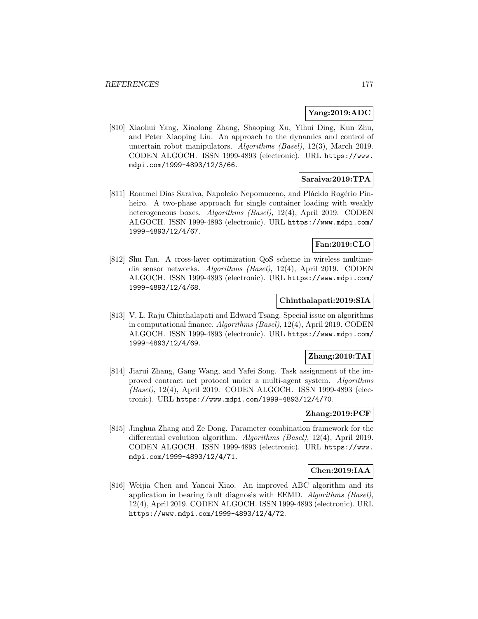### **Yang:2019:ADC**

[810] Xiaohui Yang, Xiaolong Zhang, Shaoping Xu, Yihui Ding, Kun Zhu, and Peter Xiaoping Liu. An approach to the dynamics and control of uncertain robot manipulators. Algorithms (Basel), 12(3), March 2019. CODEN ALGOCH. ISSN 1999-4893 (electronic). URL https://www. mdpi.com/1999-4893/12/3/66.

### **Saraiva:2019:TPA**

[811] Rommel Dias Saraiva, Napoleão Nepomuceno, and Plácido Rogério Pinheiro. A two-phase approach for single container loading with weakly heterogeneous boxes. Algorithms (Basel), 12(4), April 2019. CODEN ALGOCH. ISSN 1999-4893 (electronic). URL https://www.mdpi.com/ 1999-4893/12/4/67.

# **Fan:2019:CLO**

[812] Shu Fan. A cross-layer optimization QoS scheme in wireless multimedia sensor networks. Algorithms (Basel), 12(4), April 2019. CODEN ALGOCH. ISSN 1999-4893 (electronic). URL https://www.mdpi.com/ 1999-4893/12/4/68.

## **Chinthalapati:2019:SIA**

[813] V. L. Raju Chinthalapati and Edward Tsang. Special issue on algorithms in computational finance. Algorithms (Basel), 12(4), April 2019. CODEN ALGOCH. ISSN 1999-4893 (electronic). URL https://www.mdpi.com/ 1999-4893/12/4/69.

## **Zhang:2019:TAI**

[814] Jiarui Zhang, Gang Wang, and Yafei Song. Task assignment of the improved contract net protocol under a multi-agent system. Algorithms (Basel), 12(4), April 2019. CODEN ALGOCH. ISSN 1999-4893 (electronic). URL https://www.mdpi.com/1999-4893/12/4/70.

### **Zhang:2019:PCF**

[815] Jinghua Zhang and Ze Dong. Parameter combination framework for the differential evolution algorithm. Algorithms (Basel), 12(4), April 2019. CODEN ALGOCH. ISSN 1999-4893 (electronic). URL https://www. mdpi.com/1999-4893/12/4/71.

#### **Chen:2019:IAA**

[816] Weijia Chen and Yancai Xiao. An improved ABC algorithm and its application in bearing fault diagnosis with EEMD. Algorithms (Basel), 12(4), April 2019. CODEN ALGOCH. ISSN 1999-4893 (electronic). URL https://www.mdpi.com/1999-4893/12/4/72.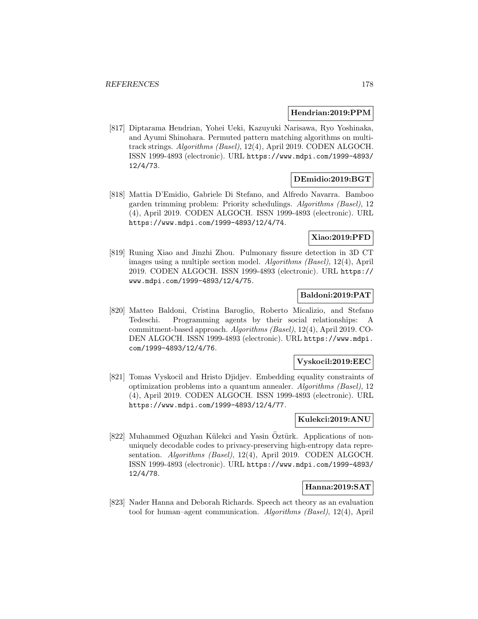#### **Hendrian:2019:PPM**

[817] Diptarama Hendrian, Yohei Ueki, Kazuyuki Narisawa, Ryo Yoshinaka, and Ayumi Shinohara. Permuted pattern matching algorithms on multitrack strings. Algorithms (Basel), 12(4), April 2019. CODEN ALGOCH. ISSN 1999-4893 (electronic). URL https://www.mdpi.com/1999-4893/ 12/4/73.

### **DEmidio:2019:BGT**

[818] Mattia D'Emidio, Gabriele Di Stefano, and Alfredo Navarra. Bamboo garden trimming problem: Priority schedulings. Algorithms (Basel), 12 (4), April 2019. CODEN ALGOCH. ISSN 1999-4893 (electronic). URL https://www.mdpi.com/1999-4893/12/4/74.

## **Xiao:2019:PFD**

[819] Runing Xiao and Jinzhi Zhou. Pulmonary fissure detection in 3D CT images using a multiple section model. Algorithms (Basel), 12(4), April 2019. CODEN ALGOCH. ISSN 1999-4893 (electronic). URL https:// www.mdpi.com/1999-4893/12/4/75.

## **Baldoni:2019:PAT**

[820] Matteo Baldoni, Cristina Baroglio, Roberto Micalizio, and Stefano Tedeschi. Programming agents by their social relationships: A commitment-based approach. Algorithms (Basel), 12(4), April 2019. CO-DEN ALGOCH. ISSN 1999-4893 (electronic). URL https://www.mdpi. com/1999-4893/12/4/76.

### **Vyskocil:2019:EEC**

[821] Tomas Vyskocil and Hristo Djidjev. Embedding equality constraints of optimization problems into a quantum annealer. Algorithms (Basel), 12 (4), April 2019. CODEN ALGOCH. ISSN 1999-4893 (electronic). URL https://www.mdpi.com/1999-4893/12/4/77.

#### **Kulekci:2019:ANU**

[822] Muhammed Oğuzhan Külekci and Yasin Öztürk. Applications of nonuniquely decodable codes to privacy-preserving high-entropy data representation. Algorithms (Basel), 12(4), April 2019. CODEN ALGOCH. ISSN 1999-4893 (electronic). URL https://www.mdpi.com/1999-4893/ 12/4/78.

#### **Hanna:2019:SAT**

[823] Nader Hanna and Deborah Richards. Speech act theory as an evaluation tool for human–agent communication. Algorithms (Basel), 12(4), April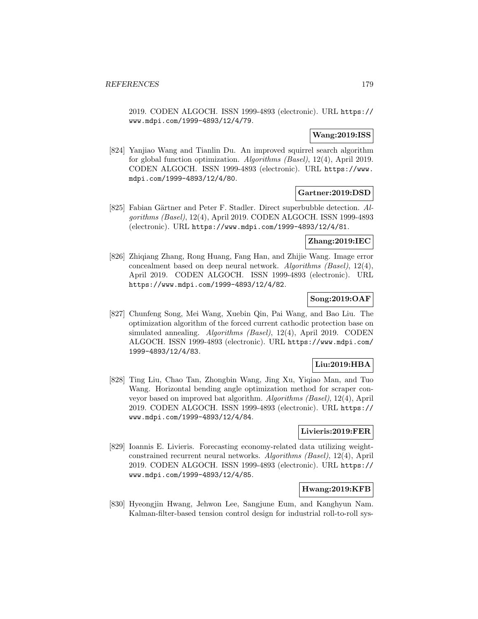2019. CODEN ALGOCH. ISSN 1999-4893 (electronic). URL https:// www.mdpi.com/1999-4893/12/4/79.

### **Wang:2019:ISS**

[824] Yanjiao Wang and Tianlin Du. An improved squirrel search algorithm for global function optimization. Algorithms (Basel), 12(4), April 2019. CODEN ALGOCH. ISSN 1999-4893 (electronic). URL https://www. mdpi.com/1999-4893/12/4/80.

# **Gartner:2019:DSD**

[825] Fabian Gärtner and Peter F. Stadler. Direct superbubble detection. Algorithms (Basel), 12(4), April 2019. CODEN ALGOCH. ISSN 1999-4893 (electronic). URL https://www.mdpi.com/1999-4893/12/4/81.

### **Zhang:2019:IEC**

[826] Zhiqiang Zhang, Rong Huang, Fang Han, and Zhijie Wang. Image error concealment based on deep neural network. Algorithms (Basel), 12(4), April 2019. CODEN ALGOCH. ISSN 1999-4893 (electronic). URL https://www.mdpi.com/1999-4893/12/4/82.

# **Song:2019:OAF**

[827] Chunfeng Song, Mei Wang, Xuebin Qin, Pai Wang, and Bao Liu. The optimization algorithm of the forced current cathodic protection base on simulated annealing. Algorithms (Basel), 12(4), April 2019. CODEN ALGOCH. ISSN 1999-4893 (electronic). URL https://www.mdpi.com/ 1999-4893/12/4/83.

## **Liu:2019:HBA**

[828] Ting Liu, Chao Tan, Zhongbin Wang, Jing Xu, Yiqiao Man, and Tuo Wang. Horizontal bending angle optimization method for scraper conveyor based on improved bat algorithm. Algorithms (Basel), 12(4), April 2019. CODEN ALGOCH. ISSN 1999-4893 (electronic). URL https:// www.mdpi.com/1999-4893/12/4/84.

#### **Livieris:2019:FER**

[829] Ioannis E. Livieris. Forecasting economy-related data utilizing weightconstrained recurrent neural networks. Algorithms (Basel), 12(4), April 2019. CODEN ALGOCH. ISSN 1999-4893 (electronic). URL https:// www.mdpi.com/1999-4893/12/4/85.

### **Hwang:2019:KFB**

[830] Hyeongjin Hwang, Jehwon Lee, Sangjune Eum, and Kanghyun Nam. Kalman-filter-based tension control design for industrial roll-to-roll sys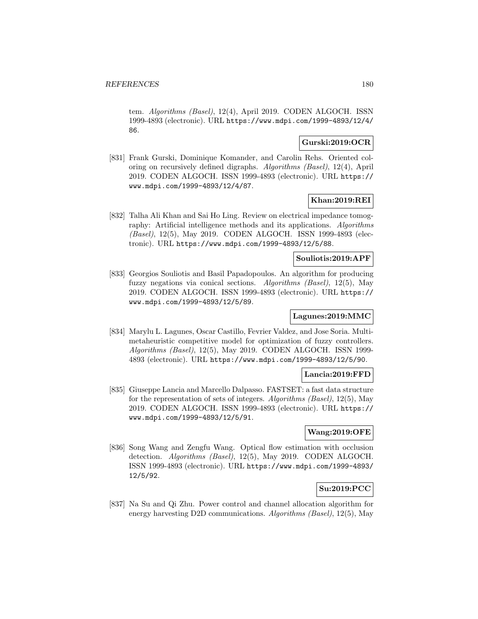tem. Algorithms (Basel), 12(4), April 2019. CODEN ALGOCH. ISSN 1999-4893 (electronic). URL https://www.mdpi.com/1999-4893/12/4/ 86.

## **Gurski:2019:OCR**

[831] Frank Gurski, Dominique Komander, and Carolin Rehs. Oriented coloring on recursively defined digraphs. Algorithms (Basel), 12(4), April 2019. CODEN ALGOCH. ISSN 1999-4893 (electronic). URL https:// www.mdpi.com/1999-4893/12/4/87.

## **Khan:2019:REI**

[832] Talha Ali Khan and Sai Ho Ling. Review on electrical impedance tomography: Artificial intelligence methods and its applications. Algorithms (Basel), 12(5), May 2019. CODEN ALGOCH. ISSN 1999-4893 (electronic). URL https://www.mdpi.com/1999-4893/12/5/88.

## **Souliotis:2019:APF**

[833] Georgios Souliotis and Basil Papadopoulos. An algorithm for producing fuzzy negations via conical sections. Algorithms (Basel), 12(5), May 2019. CODEN ALGOCH. ISSN 1999-4893 (electronic). URL https:// www.mdpi.com/1999-4893/12/5/89.

## **Lagunes:2019:MMC**

[834] Marylu L. Lagunes, Oscar Castillo, Fevrier Valdez, and Jose Soria. Multimetaheuristic competitive model for optimization of fuzzy controllers. Algorithms (Basel), 12(5), May 2019. CODEN ALGOCH. ISSN 1999- 4893 (electronic). URL https://www.mdpi.com/1999-4893/12/5/90.

#### **Lancia:2019:FFD**

[835] Giuseppe Lancia and Marcello Dalpasso. FASTSET: a fast data structure for the representation of sets of integers. Algorithms (Basel), 12(5), May 2019. CODEN ALGOCH. ISSN 1999-4893 (electronic). URL https:// www.mdpi.com/1999-4893/12/5/91.

## **Wang:2019:OFE**

[836] Song Wang and Zengfu Wang. Optical flow estimation with occlusion detection. Algorithms (Basel), 12(5), May 2019. CODEN ALGOCH. ISSN 1999-4893 (electronic). URL https://www.mdpi.com/1999-4893/ 12/5/92.

## **Su:2019:PCC**

[837] Na Su and Qi Zhu. Power control and channel allocation algorithm for energy harvesting D2D communications. Algorithms (Basel), 12(5), May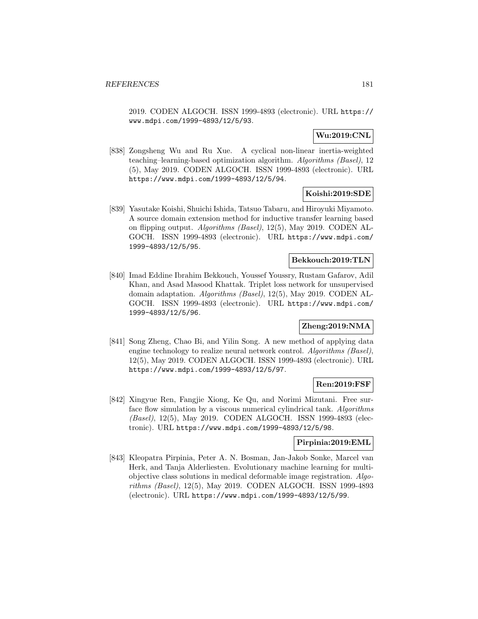2019. CODEN ALGOCH. ISSN 1999-4893 (electronic). URL https:// www.mdpi.com/1999-4893/12/5/93.

## **Wu:2019:CNL**

[838] Zongsheng Wu and Ru Xue. A cyclical non-linear inertia-weighted teaching–learning-based optimization algorithm. Algorithms (Basel), 12 (5), May 2019. CODEN ALGOCH. ISSN 1999-4893 (electronic). URL https://www.mdpi.com/1999-4893/12/5/94.

## **Koishi:2019:SDE**

[839] Yasutake Koishi, Shuichi Ishida, Tatsuo Tabaru, and Hiroyuki Miyamoto. A source domain extension method for inductive transfer learning based on flipping output. Algorithms (Basel), 12(5), May 2019. CODEN AL-GOCH. ISSN 1999-4893 (electronic). URL https://www.mdpi.com/ 1999-4893/12/5/95.

## **Bekkouch:2019:TLN**

[840] Imad Eddine Ibrahim Bekkouch, Youssef Youssry, Rustam Gafarov, Adil Khan, and Asad Masood Khattak. Triplet loss network for unsupervised domain adaptation. Algorithms (Basel), 12(5), May 2019. CODEN AL-GOCH. ISSN 1999-4893 (electronic). URL https://www.mdpi.com/ 1999-4893/12/5/96.

# **Zheng:2019:NMA**

[841] Song Zheng, Chao Bi, and Yilin Song. A new method of applying data engine technology to realize neural network control. Algorithms (Basel), 12(5), May 2019. CODEN ALGOCH. ISSN 1999-4893 (electronic). URL https://www.mdpi.com/1999-4893/12/5/97.

## **Ren:2019:FSF**

[842] Xingyue Ren, Fangjie Xiong, Ke Qu, and Norimi Mizutani. Free surface flow simulation by a viscous numerical cylindrical tank. Algorithms (Basel), 12(5), May 2019. CODEN ALGOCH. ISSN 1999-4893 (electronic). URL https://www.mdpi.com/1999-4893/12/5/98.

## **Pirpinia:2019:EML**

[843] Kleopatra Pirpinia, Peter A. N. Bosman, Jan-Jakob Sonke, Marcel van Herk, and Tanja Alderliesten. Evolutionary machine learning for multiobjective class solutions in medical deformable image registration. Algorithms (Basel), 12(5), May 2019. CODEN ALGOCH. ISSN 1999-4893 (electronic). URL https://www.mdpi.com/1999-4893/12/5/99.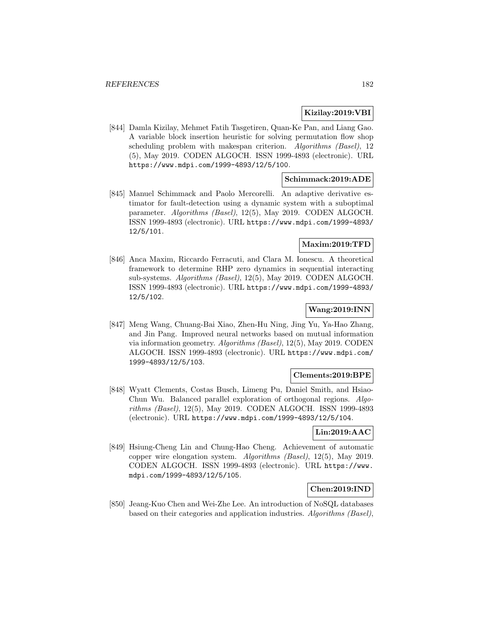## **Kizilay:2019:VBI**

[844] Damla Kizilay, Mehmet Fatih Tasgetiren, Quan-Ke Pan, and Liang Gao. A variable block insertion heuristic for solving permutation flow shop scheduling problem with makespan criterion. Algorithms (Basel), 12 (5), May 2019. CODEN ALGOCH. ISSN 1999-4893 (electronic). URL https://www.mdpi.com/1999-4893/12/5/100.

## **Schimmack:2019:ADE**

[845] Manuel Schimmack and Paolo Mercorelli. An adaptive derivative estimator for fault-detection using a dynamic system with a suboptimal parameter. Algorithms (Basel), 12(5), May 2019. CODEN ALGOCH. ISSN 1999-4893 (electronic). URL https://www.mdpi.com/1999-4893/ 12/5/101.

## **Maxim:2019:TFD**

[846] Anca Maxim, Riccardo Ferracuti, and Clara M. Ionescu. A theoretical framework to determine RHP zero dynamics in sequential interacting sub-systems. Algorithms (Basel), 12(5), May 2019. CODEN ALGOCH. ISSN 1999-4893 (electronic). URL https://www.mdpi.com/1999-4893/ 12/5/102.

# **Wang:2019:INN**

[847] Meng Wang, Chuang-Bai Xiao, Zhen-Hu Ning, Jing Yu, Ya-Hao Zhang, and Jin Pang. Improved neural networks based on mutual information via information geometry. Algorithms (Basel), 12(5), May 2019. CODEN ALGOCH. ISSN 1999-4893 (electronic). URL https://www.mdpi.com/ 1999-4893/12/5/103.

## **Clements:2019:BPE**

[848] Wyatt Clements, Costas Busch, Limeng Pu, Daniel Smith, and Hsiao-Chun Wu. Balanced parallel exploration of orthogonal regions. Algorithms (Basel), 12(5), May 2019. CODEN ALGOCH. ISSN 1999-4893 (electronic). URL https://www.mdpi.com/1999-4893/12/5/104.

## **Lin:2019:AAC**

[849] Hsiung-Cheng Lin and Chung-Hao Cheng. Achievement of automatic copper wire elongation system. Algorithms (Basel), 12(5), May 2019. CODEN ALGOCH. ISSN 1999-4893 (electronic). URL https://www. mdpi.com/1999-4893/12/5/105.

## **Chen:2019:IND**

[850] Jeang-Kuo Chen and Wei-Zhe Lee. An introduction of NoSQL databases based on their categories and application industries. Algorithms (Basel),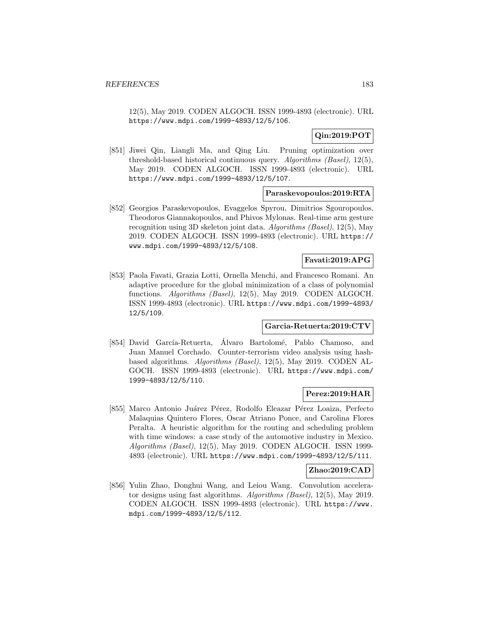12(5), May 2019. CODEN ALGOCH. ISSN 1999-4893 (electronic). URL https://www.mdpi.com/1999-4893/12/5/106.

# **Qin:2019:POT**

[851] Jiwei Qin, Liangli Ma, and Qing Liu. Pruning optimization over threshold-based historical continuous query. Algorithms (Basel), 12(5), May 2019. CODEN ALGOCH. ISSN 1999-4893 (electronic). URL https://www.mdpi.com/1999-4893/12/5/107.

## **Paraskevopoulos:2019:RTA**

[852] Georgios Paraskevopoulos, Evaggelos Spyrou, Dimitrios Sgouropoulos, Theodoros Giannakopoulos, and Phivos Mylonas. Real-time arm gesture recognition using 3D skeleton joint data. Algorithms (Basel), 12(5), May 2019. CODEN ALGOCH. ISSN 1999-4893 (electronic). URL https:// www.mdpi.com/1999-4893/12/5/108.

## **Favati:2019:APG**

[853] Paola Favati, Grazia Lotti, Ornella Menchi, and Francesco Romani. An adaptive procedure for the global minimization of a class of polynomial functions. Algorithms (Basel), 12(5), May 2019. CODEN ALGOCH. ISSN 1999-4893 (electronic). URL https://www.mdpi.com/1999-4893/ 12/5/109.

## **Garcia-Retuerta:2019:CTV**

[854] David García-Retuerta, Álvaro Bartolomé, Pablo Chamoso, and Juan Manuel Corchado. Counter-terrorism video analysis using hashbased algorithms. Algorithms (Basel), 12(5), May 2019. CODEN AL-GOCH. ISSN 1999-4893 (electronic). URL https://www.mdpi.com/ 1999-4893/12/5/110.

## **Perez:2019:HAR**

[855] Marco Antonio Juárez Pérez, Rodolfo Eleazar Pérez Loaiza, Perfecto Malaquias Quintero Flores, Oscar Atriano Ponce, and Carolina Flores Peralta. A heuristic algorithm for the routing and scheduling problem with time windows: a case study of the automotive industry in Mexico. Algorithms (Basel), 12(5), May 2019. CODEN ALGOCH. ISSN 1999- 4893 (electronic). URL https://www.mdpi.com/1999-4893/12/5/111.

## **Zhao:2019:CAD**

[856] Yulin Zhao, Donghui Wang, and Leiou Wang. Convolution accelerator designs using fast algorithms. Algorithms (Basel), 12(5), May 2019. CODEN ALGOCH. ISSN 1999-4893 (electronic). URL https://www. mdpi.com/1999-4893/12/5/112.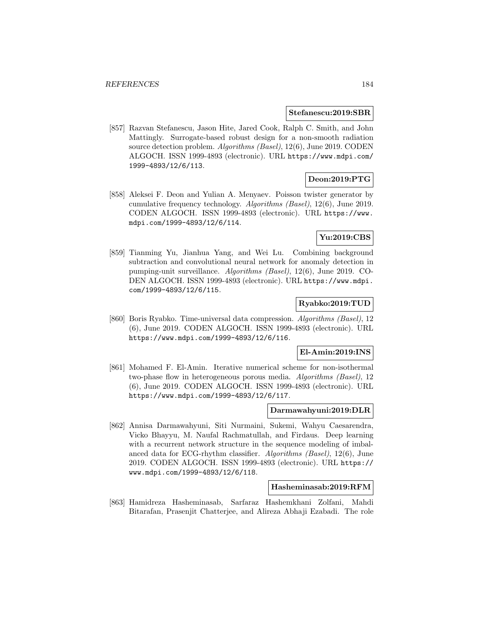#### **Stefanescu:2019:SBR**

[857] Razvan Stefanescu, Jason Hite, Jared Cook, Ralph C. Smith, and John Mattingly. Surrogate-based robust design for a non-smooth radiation source detection problem. Algorithms (Basel), 12(6), June 2019. CODEN ALGOCH. ISSN 1999-4893 (electronic). URL https://www.mdpi.com/ 1999-4893/12/6/113.

## **Deon:2019:PTG**

[858] Aleksei F. Deon and Yulian A. Menyaev. Poisson twister generator by cumulative frequency technology. Algorithms (Basel), 12(6), June 2019. CODEN ALGOCH. ISSN 1999-4893 (electronic). URL https://www. mdpi.com/1999-4893/12/6/114.

## **Yu:2019:CBS**

[859] Tianming Yu, Jianhua Yang, and Wei Lu. Combining background subtraction and convolutional neural network for anomaly detection in pumping-unit surveillance. Algorithms (Basel), 12(6), June 2019. CO-DEN ALGOCH. ISSN 1999-4893 (electronic). URL https://www.mdpi. com/1999-4893/12/6/115.

## **Ryabko:2019:TUD**

[860] Boris Ryabko. Time-universal data compression. Algorithms (Basel), 12 (6), June 2019. CODEN ALGOCH. ISSN 1999-4893 (electronic). URL https://www.mdpi.com/1999-4893/12/6/116.

## **El-Amin:2019:INS**

[861] Mohamed F. El-Amin. Iterative numerical scheme for non-isothermal two-phase flow in heterogeneous porous media. Algorithms (Basel), 12 (6), June 2019. CODEN ALGOCH. ISSN 1999-4893 (electronic). URL https://www.mdpi.com/1999-4893/12/6/117.

#### **Darmawahyuni:2019:DLR**

[862] Annisa Darmawahyuni, Siti Nurmaini, Sukemi, Wahyu Caesarendra, Vicko Bhayyu, M. Naufal Rachmatullah, and Firdaus. Deep learning with a recurrent network structure in the sequence modeling of imbalanced data for ECG-rhythm classifier. Algorithms (Basel), 12(6), June 2019. CODEN ALGOCH. ISSN 1999-4893 (electronic). URL https:// www.mdpi.com/1999-4893/12/6/118.

#### **Hasheminasab:2019:RFM**

[863] Hamidreza Hasheminasab, Sarfaraz Hashemkhani Zolfani, Mahdi Bitarafan, Prasenjit Chatterjee, and Alireza Abhaji Ezabadi. The role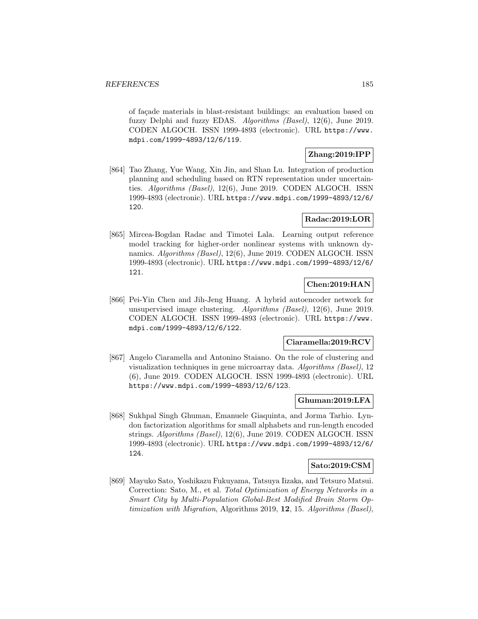of facade materials in blast-resistant buildings: an evaluation based on fuzzy Delphi and fuzzy EDAS. Algorithms (Basel), 12(6), June 2019. CODEN ALGOCH. ISSN 1999-4893 (electronic). URL https://www. mdpi.com/1999-4893/12/6/119.

## **Zhang:2019:IPP**

[864] Tao Zhang, Yue Wang, Xin Jin, and Shan Lu. Integration of production planning and scheduling based on RTN representation under uncertainties. Algorithms (Basel), 12(6), June 2019. CODEN ALGOCH. ISSN 1999-4893 (electronic). URL https://www.mdpi.com/1999-4893/12/6/ 120.

# **Radac:2019:LOR**

[865] Mircea-Bogdan Radac and Timotei Lala. Learning output reference model tracking for higher-order nonlinear systems with unknown dynamics. Algorithms (Basel), 12(6), June 2019. CODEN ALGOCH. ISSN 1999-4893 (electronic). URL https://www.mdpi.com/1999-4893/12/6/ 121.

# **Chen:2019:HAN**

[866] Pei-Yin Chen and Jih-Jeng Huang. A hybrid autoencoder network for unsupervised image clustering. Algorithms (Basel), 12(6), June 2019. CODEN ALGOCH. ISSN 1999-4893 (electronic). URL https://www. mdpi.com/1999-4893/12/6/122.

## **Ciaramella:2019:RCV**

[867] Angelo Ciaramella and Antonino Staiano. On the role of clustering and visualization techniques in gene microarray data. Algorithms (Basel), 12 (6), June 2019. CODEN ALGOCH. ISSN 1999-4893 (electronic). URL https://www.mdpi.com/1999-4893/12/6/123.

## **Ghuman:2019:LFA**

[868] Sukhpal Singh Ghuman, Emanuele Giaquinta, and Jorma Tarhio. Lyndon factorization algorithms for small alphabets and run-length encoded strings. Algorithms (Basel), 12(6), June 2019. CODEN ALGOCH. ISSN 1999-4893 (electronic). URL https://www.mdpi.com/1999-4893/12/6/ 124.

## **Sato:2019:CSM**

[869] Mayuko Sato, Yoshikazu Fukuyama, Tatsuya Iizaka, and Tetsuro Matsui. Correction: Sato, M., et al. Total Optimization of Energy Networks in a Smart City by Multi-Population Global-Best Modified Brain Storm Optimization with Migration, Algorithms 2019, **12**, 15. Algorithms (Basel),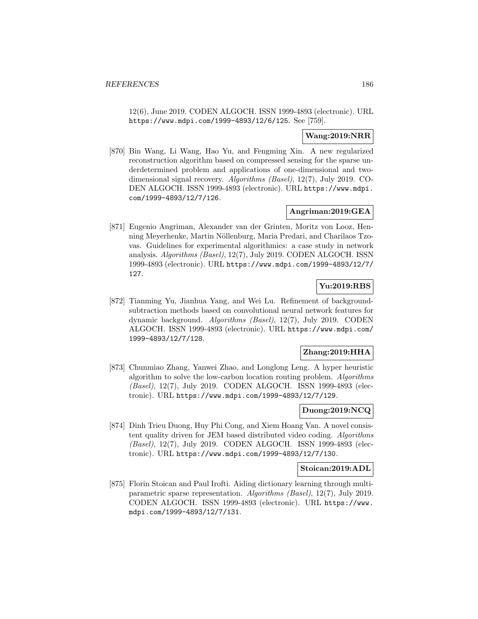12(6), June 2019. CODEN ALGOCH. ISSN 1999-4893 (electronic). URL https://www.mdpi.com/1999-4893/12/6/125. See [759].

## **Wang:2019:NRR**

[870] Bin Wang, Li Wang, Hao Yu, and Fengming Xin. A new regularized reconstruction algorithm based on compressed sensing for the sparse underdetermined problem and applications of one-dimensional and twodimensional signal recovery. Algorithms (Basel), 12(7), July 2019. CO-DEN ALGOCH. ISSN 1999-4893 (electronic). URL https://www.mdpi. com/1999-4893/12/7/126.

## **Angriman:2019:GEA**

[871] Eugenio Angriman, Alexander van der Grinten, Moritz von Looz, Henning Meyerhenke, Martin Nöllenburg, Maria Predari, and Charilaos Tzovas. Guidelines for experimental algorithmics: a case study in network analysis. Algorithms (Basel), 12(7), July 2019. CODEN ALGOCH. ISSN 1999-4893 (electronic). URL https://www.mdpi.com/1999-4893/12/7/ 127.

# **Yu:2019:RBS**

[872] Tianming Yu, Jianhua Yang, and Wei Lu. Refinement of backgroundsubtraction methods based on convolutional neural network features for dynamic background. Algorithms (Basel), 12(7), July 2019. CODEN ALGOCH. ISSN 1999-4893 (electronic). URL https://www.mdpi.com/ 1999-4893/12/7/128.

## **Zhang:2019:HHA**

[873] Chunmiao Zhang, Yanwei Zhao, and Longlong Leng. A hyper heuristic algorithm to solve the low-carbon location routing problem. Algorithms (Basel), 12(7), July 2019. CODEN ALGOCH. ISSN 1999-4893 (electronic). URL https://www.mdpi.com/1999-4893/12/7/129.

## **Duong:2019:NCQ**

[874] Dinh Trieu Duong, Huy Phi Cong, and Xiem Hoang Van. A novel consistent quality driven for JEM based distributed video coding. Algorithms (Basel), 12(7), July 2019. CODEN ALGOCH. ISSN 1999-4893 (electronic). URL https://www.mdpi.com/1999-4893/12/7/130.

## **Stoican:2019:ADL**

[875] Florin Stoican and Paul Irofti. Aiding dictionary learning through multiparametric sparse representation. Algorithms (Basel), 12(7), July 2019. CODEN ALGOCH. ISSN 1999-4893 (electronic). URL https://www. mdpi.com/1999-4893/12/7/131.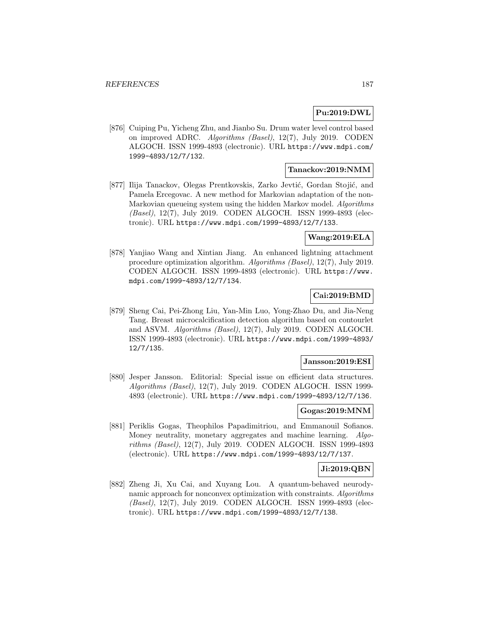## **Pu:2019:DWL**

[876] Cuiping Pu, Yicheng Zhu, and Jianbo Su. Drum water level control based on improved ADRC. Algorithms (Basel), 12(7), July 2019. CODEN ALGOCH. ISSN 1999-4893 (electronic). URL https://www.mdpi.com/ 1999-4893/12/7/132.

## **Tanackov:2019:NMM**

[877] Ilija Tanackov, Olegas Prentkovskis, Zarko Jevtić, Gordan Stojić, and Pamela Ercegovac. A new method for Markovian adaptation of the non-Markovian queueing system using the hidden Markov model. Algorithms (Basel), 12(7), July 2019. CODEN ALGOCH. ISSN 1999-4893 (electronic). URL https://www.mdpi.com/1999-4893/12/7/133.

## **Wang:2019:ELA**

[878] Yanjiao Wang and Xintian Jiang. An enhanced lightning attachment procedure optimization algorithm. Algorithms (Basel), 12(7), July 2019. CODEN ALGOCH. ISSN 1999-4893 (electronic). URL https://www. mdpi.com/1999-4893/12/7/134.

# **Cai:2019:BMD**

[879] Sheng Cai, Pei-Zhong Liu, Yan-Min Luo, Yong-Zhao Du, and Jia-Neng Tang. Breast microcalcification detection algorithm based on contourlet and ASVM. Algorithms (Basel), 12(7), July 2019. CODEN ALGOCH. ISSN 1999-4893 (electronic). URL https://www.mdpi.com/1999-4893/ 12/7/135.

## **Jansson:2019:ESI**

[880] Jesper Jansson. Editorial: Special issue on efficient data structures. Algorithms (Basel), 12(7), July 2019. CODEN ALGOCH. ISSN 1999- 4893 (electronic). URL https://www.mdpi.com/1999-4893/12/7/136.

## **Gogas:2019:MNM**

[881] Periklis Gogas, Theophilos Papadimitriou, and Emmanouil Sofianos. Money neutrality, monetary aggregates and machine learning. Algorithms (Basel), 12(7), July 2019. CODEN ALGOCH. ISSN 1999-4893 (electronic). URL https://www.mdpi.com/1999-4893/12/7/137.

## **Ji:2019:QBN**

[882] Zheng Ji, Xu Cai, and Xuyang Lou. A quantum-behaved neurodynamic approach for nonconvex optimization with constraints. Algorithms (Basel), 12(7), July 2019. CODEN ALGOCH. ISSN 1999-4893 (electronic). URL https://www.mdpi.com/1999-4893/12/7/138.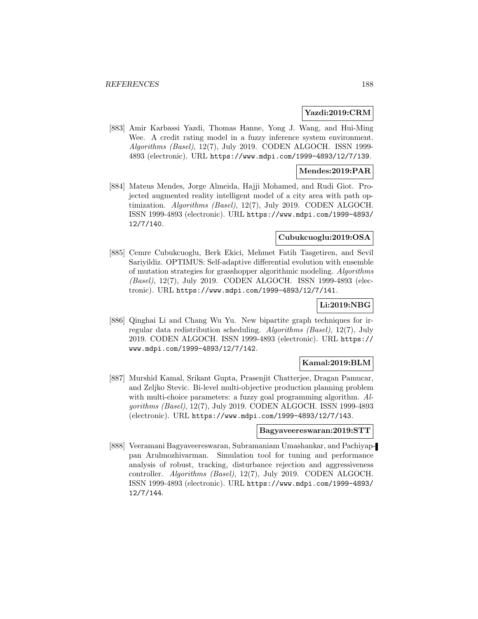## **Yazdi:2019:CRM**

[883] Amir Karbassi Yazdi, Thomas Hanne, Yong J. Wang, and Hui-Ming Wee. A credit rating model in a fuzzy inference system environment. Algorithms (Basel), 12(7), July 2019. CODEN ALGOCH. ISSN 1999- 4893 (electronic). URL https://www.mdpi.com/1999-4893/12/7/139.

## **Mendes:2019:PAR**

[884] Mateus Mendes, Jorge Almeida, Hajji Mohamed, and Rudi Giot. Projected augmented reality intelligent model of a city area with path optimization. Algorithms (Basel), 12(7), July 2019. CODEN ALGOCH. ISSN 1999-4893 (electronic). URL https://www.mdpi.com/1999-4893/ 12/7/140.

## **Cubukcuoglu:2019:OSA**

[885] Cemre Cubukcuoglu, Berk Ekici, Mehmet Fatih Tasgetiren, and Sevil Sariyildiz. OPTIMUS: Self-adaptive differential evolution with ensemble of mutation strategies for grasshopper algorithmic modeling. Algorithms (Basel), 12(7), July 2019. CODEN ALGOCH. ISSN 1999-4893 (electronic). URL https://www.mdpi.com/1999-4893/12/7/141.

## **Li:2019:NBG**

[886] Qinghai Li and Chang Wu Yu. New bipartite graph techniques for irregular data redistribution scheduling. Algorithms (Basel), 12(7), July 2019. CODEN ALGOCH. ISSN 1999-4893 (electronic). URL https:// www.mdpi.com/1999-4893/12/7/142.

## **Kamal:2019:BLM**

[887] Murshid Kamal, Srikant Gupta, Prasenjit Chatterjee, Dragan Pamucar, and Zeljko Stevic. Bi-level multi-objective production planning problem with multi-choice parameters: a fuzzy goal programming algorithm. Algorithms (Basel), 12(7), July 2019. CODEN ALGOCH. ISSN 1999-4893 (electronic). URL https://www.mdpi.com/1999-4893/12/7/143.

#### **Bagyaveereswaran:2019:STT**

[888] Veeramani Bagyaveereswaran, Subramaniam Umashankar, and Pachiyappan Arulmozhivarman. Simulation tool for tuning and performance analysis of robust, tracking, disturbance rejection and aggressiveness controller. Algorithms (Basel), 12(7), July 2019. CODEN ALGOCH. ISSN 1999-4893 (electronic). URL https://www.mdpi.com/1999-4893/ 12/7/144.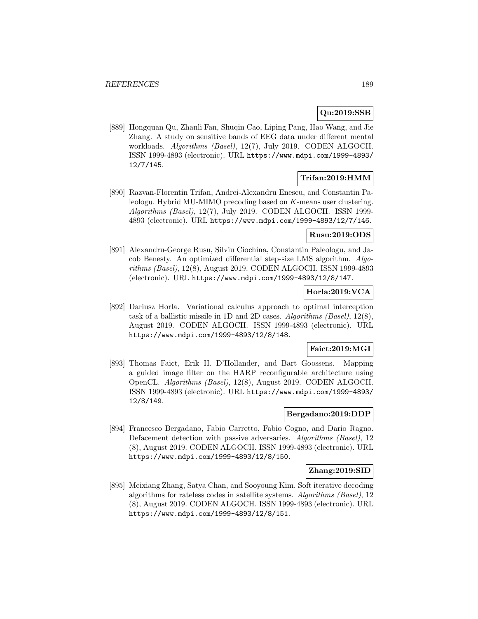## **Qu:2019:SSB**

[889] Hongquan Qu, Zhanli Fan, Shuqin Cao, Liping Pang, Hao Wang, and Jie Zhang. A study on sensitive bands of EEG data under different mental workloads. Algorithms (Basel), 12(7), July 2019. CODEN ALGOCH. ISSN 1999-4893 (electronic). URL https://www.mdpi.com/1999-4893/ 12/7/145.

## **Trifan:2019:HMM**

[890] Razvan-Florentin Trifan, Andrei-Alexandru Enescu, and Constantin Paleologu. Hybrid MU-MIMO precoding based on K-means user clustering. Algorithms (Basel), 12(7), July 2019. CODEN ALGOCH. ISSN 1999- 4893 (electronic). URL https://www.mdpi.com/1999-4893/12/7/146.

### **Rusu:2019:ODS**

[891] Alexandru-George Rusu, Silviu Ciochina, Constantin Paleologu, and Jacob Benesty. An optimized differential step-size LMS algorithm. Algorithms (Basel), 12(8), August 2019. CODEN ALGOCH. ISSN 1999-4893 (electronic). URL https://www.mdpi.com/1999-4893/12/8/147.

## **Horla:2019:VCA**

[892] Dariusz Horla. Variational calculus approach to optimal interception task of a ballistic missile in 1D and 2D cases. Algorithms (Basel), 12(8), August 2019. CODEN ALGOCH. ISSN 1999-4893 (electronic). URL https://www.mdpi.com/1999-4893/12/8/148.

## **Faict:2019:MGI**

[893] Thomas Faict, Erik H. D'Hollander, and Bart Goossens. Mapping a guided image filter on the HARP reconfigurable architecture using OpenCL. Algorithms (Basel), 12(8), August 2019. CODEN ALGOCH. ISSN 1999-4893 (electronic). URL https://www.mdpi.com/1999-4893/ 12/8/149.

## **Bergadano:2019:DDP**

[894] Francesco Bergadano, Fabio Carretto, Fabio Cogno, and Dario Ragno. Defacement detection with passive adversaries. Algorithms (Basel), 12 (8), August 2019. CODEN ALGOCH. ISSN 1999-4893 (electronic). URL https://www.mdpi.com/1999-4893/12/8/150.

## **Zhang:2019:SID**

[895] Meixiang Zhang, Satya Chan, and Sooyoung Kim. Soft iterative decoding algorithms for rateless codes in satellite systems. Algorithms (Basel), 12 (8), August 2019. CODEN ALGOCH. ISSN 1999-4893 (electronic). URL https://www.mdpi.com/1999-4893/12/8/151.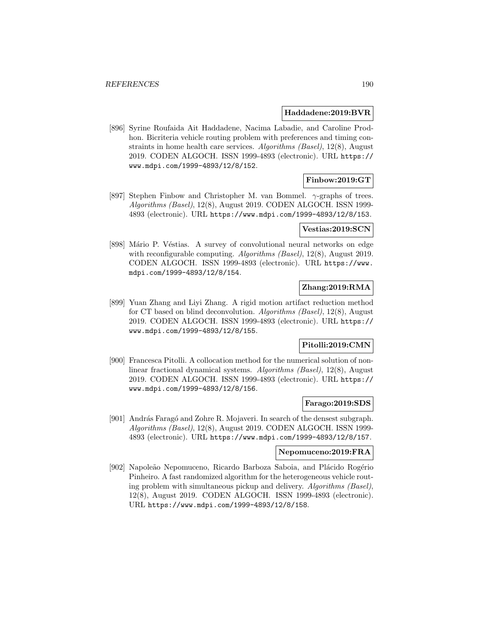#### **Haddadene:2019:BVR**

[896] Syrine Roufaida Ait Haddadene, Nacima Labadie, and Caroline Prodhon. Bicriteria vehicle routing problem with preferences and timing constraints in home health care services. Algorithms (Basel), 12(8), August 2019. CODEN ALGOCH. ISSN 1999-4893 (electronic). URL https:// www.mdpi.com/1999-4893/12/8/152.

# **Finbow:2019:GT**

[897] Stephen Finbow and Christopher M. van Bommel.  $\gamma$ -graphs of trees. Algorithms (Basel), 12(8), August 2019. CODEN ALGOCH. ISSN 1999- 4893 (electronic). URL https://www.mdpi.com/1999-4893/12/8/153.

#### **Vestias:2019:SCN**

[898] Mário P. Véstias. A survey of convolutional neural networks on edge with reconfigurable computing. Algorithms (Basel), 12(8), August 2019. CODEN ALGOCH. ISSN 1999-4893 (electronic). URL https://www. mdpi.com/1999-4893/12/8/154.

# **Zhang:2019:RMA**

[899] Yuan Zhang and Liyi Zhang. A rigid motion artifact reduction method for CT based on blind deconvolution. Algorithms (Basel), 12(8), August 2019. CODEN ALGOCH. ISSN 1999-4893 (electronic). URL https:// www.mdpi.com/1999-4893/12/8/155.

## **Pitolli:2019:CMN**

[900] Francesca Pitolli. A collocation method for the numerical solution of nonlinear fractional dynamical systems. Algorithms (Basel), 12(8), August 2019. CODEN ALGOCH. ISSN 1999-4893 (electronic). URL https:// www.mdpi.com/1999-4893/12/8/156.

## **Farago:2019:SDS**

[901] András Faragó and Zohre R. Mojaveri. In search of the densest subgraph. Algorithms (Basel), 12(8), August 2019. CODEN ALGOCH. ISSN 1999- 4893 (electronic). URL https://www.mdpi.com/1999-4893/12/8/157.

### **Nepomuceno:2019:FRA**

[902] Napoleão Nepomuceno, Ricardo Barboza Saboia, and Plácido Rogério Pinheiro. A fast randomized algorithm for the heterogeneous vehicle routing problem with simultaneous pickup and delivery. Algorithms (Basel), 12(8), August 2019. CODEN ALGOCH. ISSN 1999-4893 (electronic). URL https://www.mdpi.com/1999-4893/12/8/158.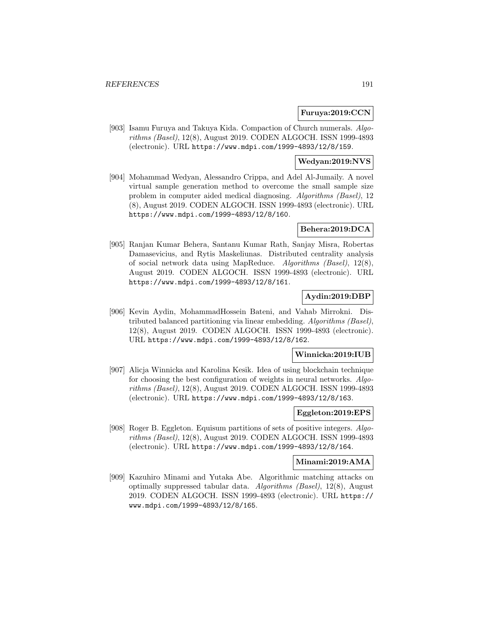#### **Furuya:2019:CCN**

[903] Isamu Furuya and Takuya Kida. Compaction of Church numerals. Algorithms (Basel), 12(8), August 2019. CODEN ALGOCH. ISSN 1999-4893 (electronic). URL https://www.mdpi.com/1999-4893/12/8/159.

## **Wedyan:2019:NVS**

[904] Mohammad Wedyan, Alessandro Crippa, and Adel Al-Jumaily. A novel virtual sample generation method to overcome the small sample size problem in computer aided medical diagnosing. Algorithms (Basel), 12 (8), August 2019. CODEN ALGOCH. ISSN 1999-4893 (electronic). URL https://www.mdpi.com/1999-4893/12/8/160.

### **Behera:2019:DCA**

[905] Ranjan Kumar Behera, Santanu Kumar Rath, Sanjay Misra, Robertas Damasevicius, and Rytis Maskeliunas. Distributed centrality analysis of social network data using MapReduce. Algorithms (Basel), 12(8), August 2019. CODEN ALGOCH. ISSN 1999-4893 (electronic). URL https://www.mdpi.com/1999-4893/12/8/161.

## **Aydin:2019:DBP**

[906] Kevin Aydin, MohammadHossein Bateni, and Vahab Mirrokni. Distributed balanced partitioning via linear embedding. Algorithms (Basel), 12(8), August 2019. CODEN ALGOCH. ISSN 1999-4893 (electronic). URL https://www.mdpi.com/1999-4893/12/8/162.

## **Winnicka:2019:IUB**

[907] Alicja Winnicka and Karolina Kesik. Idea of using blockchain technique for choosing the best configuration of weights in neural networks. Algorithms (Basel), 12(8), August 2019. CODEN ALGOCH. ISSN 1999-4893 (electronic). URL https://www.mdpi.com/1999-4893/12/8/163.

## **Eggleton:2019:EPS**

[908] Roger B. Eggleton. Equisum partitions of sets of positive integers. Algorithms (Basel), 12(8), August 2019. CODEN ALGOCH. ISSN 1999-4893 (electronic). URL https://www.mdpi.com/1999-4893/12/8/164.

#### **Minami:2019:AMA**

[909] Kazuhiro Minami and Yutaka Abe. Algorithmic matching attacks on optimally suppressed tabular data. Algorithms (Basel), 12(8), August 2019. CODEN ALGOCH. ISSN 1999-4893 (electronic). URL https:// www.mdpi.com/1999-4893/12/8/165.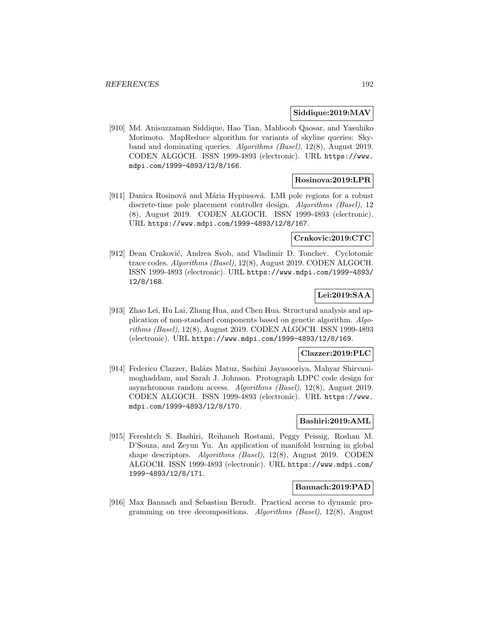### **Siddique:2019:MAV**

[910] Md. Anisuzzaman Siddique, Hao Tian, Mahboob Qaosar, and Yasuhiko Morimoto. MapReduce algorithm for variants of skyline queries: Skyband and dominating queries. Algorithms (Basel), 12(8), August 2019. CODEN ALGOCH. ISSN 1999-4893 (electronic). URL https://www. mdpi.com/1999-4893/12/8/166.

## **Rosinova:2019:LPR**

[911] Danica Rosinová and Mária Hypiusová. LMI pole regions for a robust discrete-time pole placement controller design. Algorithms (Basel), 12 (8), August 2019. CODEN ALGOCH. ISSN 1999-4893 (electronic). URL https://www.mdpi.com/1999-4893/12/8/167.

## **Crnkovic:2019:CTC**

[912] Dean Crnković, Andrea Svob, and Vladimir D. Tonchev. Cyclotomic trace codes. Algorithms (Basel), 12(8), August 2019. CODEN ALGOCH. ISSN 1999-4893 (electronic). URL https://www.mdpi.com/1999-4893/ 12/8/168.

# **Lei:2019:SAA**

[913] Zhao Lei, Hu Lai, Zhang Hua, and Chen Hua. Structural analysis and application of non-standard components based on genetic algorithm. Algorithms (Basel), 12(8), August 2019. CODEN ALGOCH. ISSN 1999-4893 (electronic). URL https://www.mdpi.com/1999-4893/12/8/169.

#### **Clazzer:2019:PLC**

[914] Federico Clazzer, Balázs Matuz, Sachini Jayasooriya, Mahyar Shirvanimoghaddam, and Sarah J. Johnson. Protograph LDPC code design for asynchronous random access. Algorithms (Basel), 12(8), August 2019. CODEN ALGOCH. ISSN 1999-4893 (electronic). URL https://www. mdpi.com/1999-4893/12/8/170.

### **Bashiri:2019:AML**

[915] Fereshteh S. Bashiri, Reihaneh Rostami, Peggy Peissig, Roshan M. D'Souza, and Zeyun Yu. An application of manifold learning in global shape descriptors. Algorithms (Basel), 12(8), August 2019. CODEN ALGOCH. ISSN 1999-4893 (electronic). URL https://www.mdpi.com/ 1999-4893/12/8/171.

#### **Bannach:2019:PAD**

[916] Max Bannach and Sebastian Berndt. Practical access to dynamic programming on tree decompositions. Algorithms (Basel), 12(8), August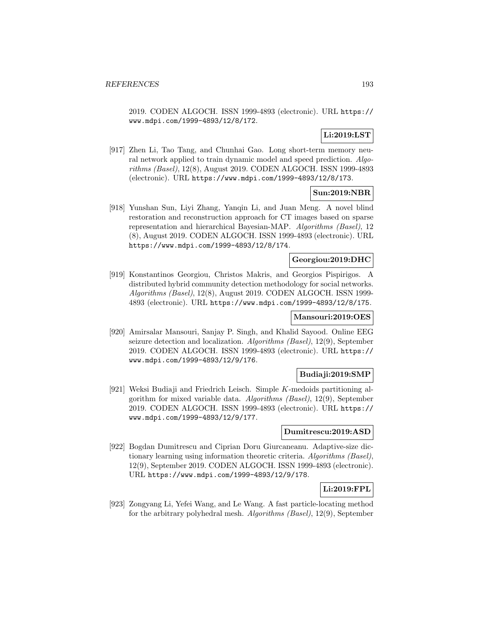2019. CODEN ALGOCH. ISSN 1999-4893 (electronic). URL https:// www.mdpi.com/1999-4893/12/8/172.

# **Li:2019:LST**

[917] Zhen Li, Tao Tang, and Chunhai Gao. Long short-term memory neural network applied to train dynamic model and speed prediction. Algorithms (Basel), 12(8), August 2019. CODEN ALGOCH. ISSN 1999-4893 (electronic). URL https://www.mdpi.com/1999-4893/12/8/173.

# **Sun:2019:NBR**

[918] Yunshan Sun, Liyi Zhang, Yanqin Li, and Juan Meng. A novel blind restoration and reconstruction approach for CT images based on sparse representation and hierarchical Bayesian-MAP. Algorithms (Basel), 12 (8), August 2019. CODEN ALGOCH. ISSN 1999-4893 (electronic). URL https://www.mdpi.com/1999-4893/12/8/174.

## **Georgiou:2019:DHC**

[919] Konstantinos Georgiou, Christos Makris, and Georgios Pispirigos. A distributed hybrid community detection methodology for social networks. Algorithms (Basel), 12(8), August 2019. CODEN ALGOCH. ISSN 1999- 4893 (electronic). URL https://www.mdpi.com/1999-4893/12/8/175.

## **Mansouri:2019:OES**

[920] Amirsalar Mansouri, Sanjay P. Singh, and Khalid Sayood. Online EEG seizure detection and localization. Algorithms (Basel), 12(9), September 2019. CODEN ALGOCH. ISSN 1999-4893 (electronic). URL https:// www.mdpi.com/1999-4893/12/9/176.

## **Budiaji:2019:SMP**

[921] Weksi Budiaji and Friedrich Leisch. Simple K-medoids partitioning algorithm for mixed variable data. Algorithms (Basel), 12(9), September 2019. CODEN ALGOCH. ISSN 1999-4893 (electronic). URL https:// www.mdpi.com/1999-4893/12/9/177.

## **Dumitrescu:2019:ASD**

[922] Bogdan Dumitrescu and Ciprian Doru Giurcaneanu. Adaptive-size dictionary learning using information theoretic criteria. Algorithms (Basel), 12(9), September 2019. CODEN ALGOCH. ISSN 1999-4893 (electronic). URL https://www.mdpi.com/1999-4893/12/9/178.

## **Li:2019:FPL**

[923] Zongyang Li, Yefei Wang, and Le Wang. A fast particle-locating method for the arbitrary polyhedral mesh. Algorithms (Basel), 12(9), September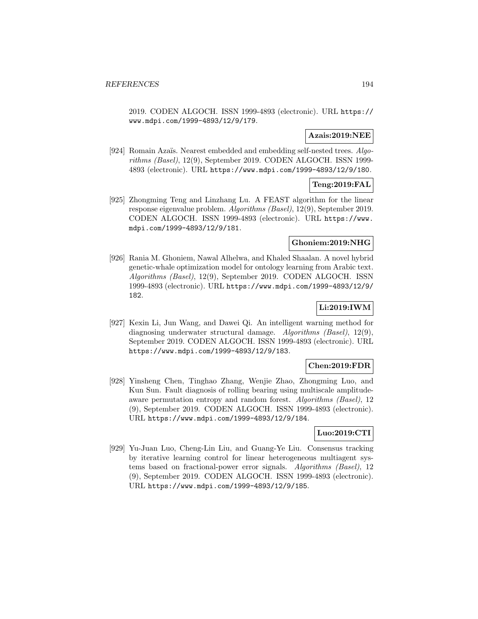2019. CODEN ALGOCH. ISSN 1999-4893 (electronic). URL https:// www.mdpi.com/1999-4893/12/9/179.

## **Azais:2019:NEE**

[924] Romain Azaïs. Nearest embedded and embedding self-nested trees. Algorithms (Basel), 12(9), September 2019. CODEN ALGOCH. ISSN 1999- 4893 (electronic). URL https://www.mdpi.com/1999-4893/12/9/180.

## **Teng:2019:FAL**

[925] Zhongming Teng and Linzhang Lu. A FEAST algorithm for the linear response eigenvalue problem. Algorithms (Basel), 12(9), September 2019. CODEN ALGOCH. ISSN 1999-4893 (electronic). URL https://www. mdpi.com/1999-4893/12/9/181.

## **Ghoniem:2019:NHG**

[926] Rania M. Ghoniem, Nawal Alhelwa, and Khaled Shaalan. A novel hybrid genetic-whale optimization model for ontology learning from Arabic text. Algorithms (Basel), 12(9), September 2019. CODEN ALGOCH. ISSN 1999-4893 (electronic). URL https://www.mdpi.com/1999-4893/12/9/ 182.

# **Li:2019:IWM**

[927] Kexin Li, Jun Wang, and Dawei Qi. An intelligent warning method for diagnosing underwater structural damage. Algorithms (Basel), 12(9), September 2019. CODEN ALGOCH. ISSN 1999-4893 (electronic). URL https://www.mdpi.com/1999-4893/12/9/183.

## **Chen:2019:FDR**

[928] Yinsheng Chen, Tinghao Zhang, Wenjie Zhao, Zhongming Luo, and Kun Sun. Fault diagnosis of rolling bearing using multiscale amplitudeaware permutation entropy and random forest. Algorithms (Basel), 12 (9), September 2019. CODEN ALGOCH. ISSN 1999-4893 (electronic). URL https://www.mdpi.com/1999-4893/12/9/184.

## **Luo:2019:CTI**

[929] Yu-Juan Luo, Cheng-Lin Liu, and Guang-Ye Liu. Consensus tracking by iterative learning control for linear heterogeneous multiagent systems based on fractional-power error signals. Algorithms (Basel), 12 (9), September 2019. CODEN ALGOCH. ISSN 1999-4893 (electronic). URL https://www.mdpi.com/1999-4893/12/9/185.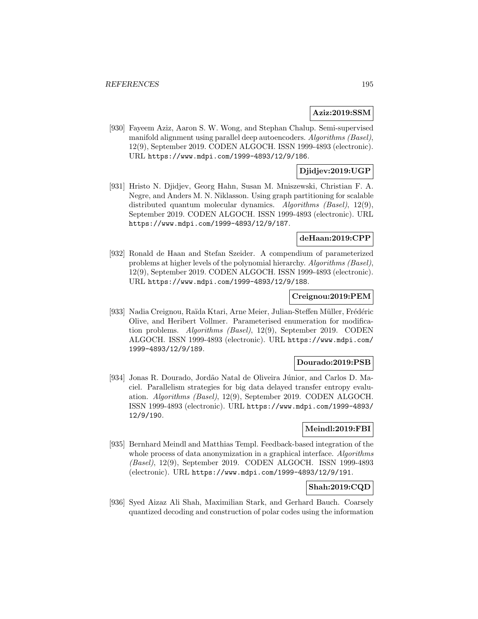## **Aziz:2019:SSM**

[930] Fayeem Aziz, Aaron S. W. Wong, and Stephan Chalup. Semi-supervised manifold alignment using parallel deep autoencoders. Algorithms (Basel), 12(9), September 2019. CODEN ALGOCH. ISSN 1999-4893 (electronic). URL https://www.mdpi.com/1999-4893/12/9/186.

## **Djidjev:2019:UGP**

[931] Hristo N. Djidjev, Georg Hahn, Susan M. Mniszewski, Christian F. A. Negre, and Anders M. N. Niklasson. Using graph partitioning for scalable distributed quantum molecular dynamics. Algorithms (Basel), 12(9), September 2019. CODEN ALGOCH. ISSN 1999-4893 (electronic). URL https://www.mdpi.com/1999-4893/12/9/187.

## **deHaan:2019:CPP**

[932] Ronald de Haan and Stefan Szeider. A compendium of parameterized problems at higher levels of the polynomial hierarchy. Algorithms (Basel), 12(9), September 2019. CODEN ALGOCH. ISSN 1999-4893 (electronic). URL https://www.mdpi.com/1999-4893/12/9/188.

## **Creignou:2019:PEM**

[933] Nadia Creignou, Raïda Ktari, Arne Meier, Julian-Steffen Müller, Frédéric Olive, and Heribert Vollmer. Parameterised enumeration for modification problems. Algorithms (Basel), 12(9), September 2019. CODEN ALGOCH. ISSN 1999-4893 (electronic). URL https://www.mdpi.com/ 1999-4893/12/9/189.

#### **Dourado:2019:PSB**

[934] Jonas R. Dourado, Jordão Natal de Oliveira Júnior, and Carlos D. Maciel. Parallelism strategies for big data delayed transfer entropy evaluation. Algorithms (Basel), 12(9), September 2019. CODEN ALGOCH. ISSN 1999-4893 (electronic). URL https://www.mdpi.com/1999-4893/ 12/9/190.

# **Meindl:2019:FBI**

[935] Bernhard Meindl and Matthias Templ. Feedback-based integration of the whole process of data anonymization in a graphical interface. Algorithms (Basel), 12(9), September 2019. CODEN ALGOCH. ISSN 1999-4893 (electronic). URL https://www.mdpi.com/1999-4893/12/9/191.

## **Shah:2019:CQD**

[936] Syed Aizaz Ali Shah, Maximilian Stark, and Gerhard Bauch. Coarsely quantized decoding and construction of polar codes using the information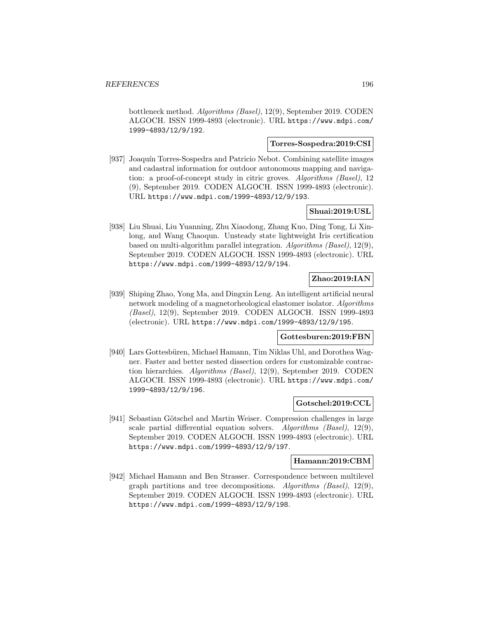bottleneck method. Algorithms (Basel), 12(9), September 2019. CODEN ALGOCH. ISSN 1999-4893 (electronic). URL https://www.mdpi.com/ 1999-4893/12/9/192.

## **Torres-Sospedra:2019:CSI**

[937] Joaquín Torres-Sospedra and Patricio Nebot. Combining satellite images and cadastral information for outdoor autonomous mapping and navigation: a proof-of-concept study in citric groves. Algorithms (Basel), 12 (9), September 2019. CODEN ALGOCH. ISSN 1999-4893 (electronic). URL https://www.mdpi.com/1999-4893/12/9/193.

## **Shuai:2019:USL**

[938] Liu Shuai, Liu Yuanning, Zhu Xiaodong, Zhang Kuo, Ding Tong, Li Xinlong, and Wang Chaoqun. Unsteady state lightweight Iris certification based on multi-algorithm parallel integration. Algorithms (Basel), 12(9), September 2019. CODEN ALGOCH. ISSN 1999-4893 (electronic). URL https://www.mdpi.com/1999-4893/12/9/194.

# **Zhao:2019:IAN**

[939] Shiping Zhao, Yong Ma, and Dingxin Leng. An intelligent artificial neural network modeling of a magnetorheological elastomer isolator. Algorithms (Basel), 12(9), September 2019. CODEN ALGOCH. ISSN 1999-4893 (electronic). URL https://www.mdpi.com/1999-4893/12/9/195.

## **Gottesburen:2019:FBN**

[940] Lars Gottesbüren, Michael Hamann, Tim Niklas Uhl, and Dorothea Wagner. Faster and better nested dissection orders for customizable contraction hierarchies. Algorithms (Basel), 12(9), September 2019. CODEN ALGOCH. ISSN 1999-4893 (electronic). URL https://www.mdpi.com/ 1999-4893/12/9/196.

## **Gotschel:2019:CCL**

[941] Sebastian Götschel and Martin Weiser. Compression challenges in large scale partial differential equation solvers. Algorithms (Basel), 12(9), September 2019. CODEN ALGOCH. ISSN 1999-4893 (electronic). URL https://www.mdpi.com/1999-4893/12/9/197.

#### **Hamann:2019:CBM**

[942] Michael Hamann and Ben Strasser. Correspondence between multilevel graph partitions and tree decompositions. Algorithms (Basel), 12(9), September 2019. CODEN ALGOCH. ISSN 1999-4893 (electronic). URL https://www.mdpi.com/1999-4893/12/9/198.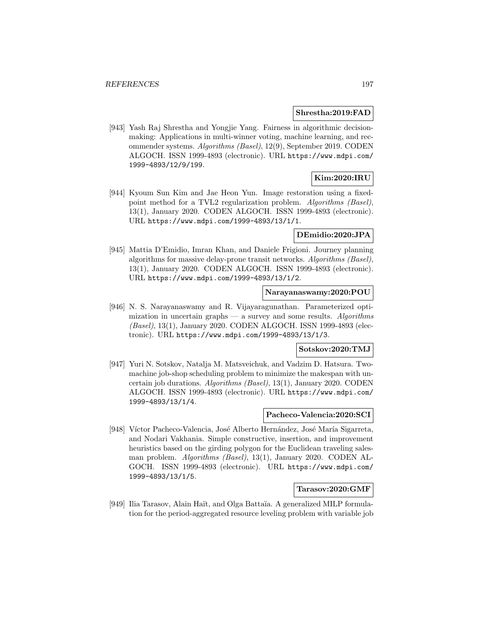#### **Shrestha:2019:FAD**

[943] Yash Raj Shrestha and Yongjie Yang. Fairness in algorithmic decisionmaking: Applications in multi-winner voting, machine learning, and recommender systems. Algorithms (Basel), 12(9), September 2019. CODEN ALGOCH. ISSN 1999-4893 (electronic). URL https://www.mdpi.com/ 1999-4893/12/9/199.

## **Kim:2020:IRU**

[944] Kyoum Sun Kim and Jae Heon Yun. Image restoration using a fixedpoint method for a TVL2 regularization problem. Algorithms (Basel), 13(1), January 2020. CODEN ALGOCH. ISSN 1999-4893 (electronic). URL https://www.mdpi.com/1999-4893/13/1/1.

## **DEmidio:2020:JPA**

[945] Mattia D'Emidio, Imran Khan, and Daniele Frigioni. Journey planning algorithms for massive delay-prone transit networks. Algorithms (Basel), 13(1), January 2020. CODEN ALGOCH. ISSN 1999-4893 (electronic). URL https://www.mdpi.com/1999-4893/13/1/2.

#### **Narayanaswamy:2020:POU**

[946] N. S. Narayanaswamy and R. Vijayaragunathan. Parameterized optimization in uncertain graphs  $-$  a survey and some results. Algorithms (Basel), 13(1), January 2020. CODEN ALGOCH. ISSN 1999-4893 (electronic). URL https://www.mdpi.com/1999-4893/13/1/3.

# **Sotskov:2020:TMJ**

[947] Yuri N. Sotskov, Natalja M. Matsveichuk, and Vadzim D. Hatsura. Twomachine job-shop scheduling problem to minimize the makespan with uncertain job durations. Algorithms (Basel), 13(1), January 2020. CODEN ALGOCH. ISSN 1999-4893 (electronic). URL https://www.mdpi.com/ 1999-4893/13/1/4.

#### **Pacheco-Valencia:2020:SCI**

[948] Víctor Pacheco-Valencia, José Alberto Hernández, José María Sigarreta, and Nodari Vakhania. Simple constructive, insertion, and improvement heuristics based on the girding polygon for the Euclidean traveling salesman problem. Algorithms (Basel), 13(1), January 2020. CODEN AL-GOCH. ISSN 1999-4893 (electronic). URL https://www.mdpi.com/ 1999-4893/13/1/5.

## **Tarasov:2020:GMF**

[949] Ilia Tarasov, Alain Haït, and Olga Battaïa. A generalized MILP formulation for the period-aggregated resource leveling problem with variable job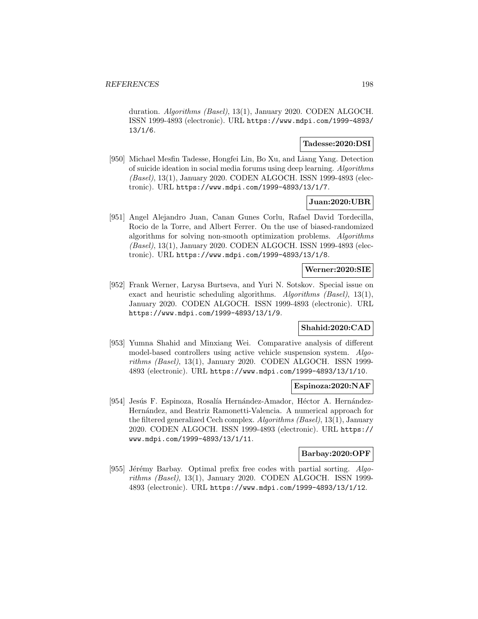duration. Algorithms (Basel), 13(1), January 2020. CODEN ALGOCH. ISSN 1999-4893 (electronic). URL https://www.mdpi.com/1999-4893/ 13/1/6.

### **Tadesse:2020:DSI**

[950] Michael Mesfin Tadesse, Hongfei Lin, Bo Xu, and Liang Yang. Detection of suicide ideation in social media forums using deep learning. Algorithms (Basel), 13(1), January 2020. CODEN ALGOCH. ISSN 1999-4893 (electronic). URL https://www.mdpi.com/1999-4893/13/1/7.

## **Juan:2020:UBR**

[951] Angel Alejandro Juan, Canan Gunes Corlu, Rafael David Tordecilla, Rocio de la Torre, and Albert Ferrer. On the use of biased-randomized algorithms for solving non-smooth optimization problems. Algorithms (Basel), 13(1), January 2020. CODEN ALGOCH. ISSN 1999-4893 (electronic). URL https://www.mdpi.com/1999-4893/13/1/8.

## **Werner:2020:SIE**

[952] Frank Werner, Larysa Burtseva, and Yuri N. Sotskov. Special issue on exact and heuristic scheduling algorithms. Algorithms (Basel), 13(1), January 2020. CODEN ALGOCH. ISSN 1999-4893 (electronic). URL https://www.mdpi.com/1999-4893/13/1/9.

## **Shahid:2020:CAD**

[953] Yumna Shahid and Minxiang Wei. Comparative analysis of different model-based controllers using active vehicle suspension system. Algorithms (Basel), 13(1), January 2020. CODEN ALGOCH. ISSN 1999- 4893 (electronic). URL https://www.mdpi.com/1999-4893/13/1/10.

## **Espinoza:2020:NAF**

[954] Jesús F. Espinoza, Rosalía Hernández-Amador, Héctor A. Hernández-Hern´andez, and Beatriz Ramonetti-Valencia. A numerical approach for the filtered generalized Cech complex. Algorithms (Basel), 13(1), January 2020. CODEN ALGOCH. ISSN 1999-4893 (electronic). URL https:// www.mdpi.com/1999-4893/13/1/11.

#### **Barbay:2020:OPF**

[955] Jérémy Barbay. Optimal prefix free codes with partial sorting.  $Algo$ rithms (Basel), 13(1), January 2020. CODEN ALGOCH. ISSN 1999- 4893 (electronic). URL https://www.mdpi.com/1999-4893/13/1/12.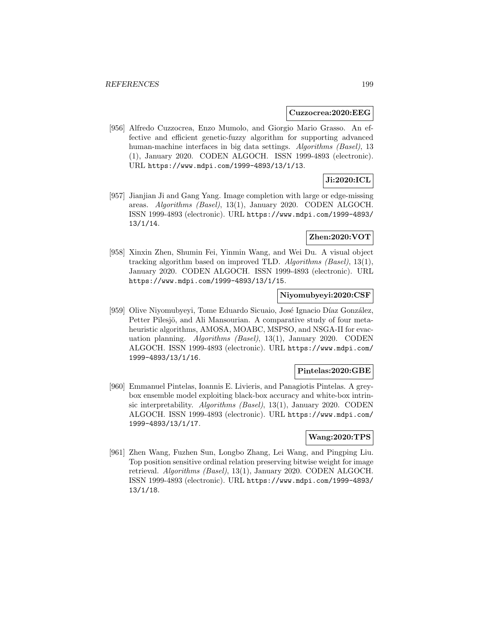#### **Cuzzocrea:2020:EEG**

[956] Alfredo Cuzzocrea, Enzo Mumolo, and Giorgio Mario Grasso. An effective and efficient genetic-fuzzy algorithm for supporting advanced human-machine interfaces in big data settings. Algorithms (Basel), 13 (1), January 2020. CODEN ALGOCH. ISSN 1999-4893 (electronic). URL https://www.mdpi.com/1999-4893/13/1/13.

# **Ji:2020:ICL**

[957] Jianjian Ji and Gang Yang. Image completion with large or edge-missing areas. Algorithms (Basel), 13(1), January 2020. CODEN ALGOCH. ISSN 1999-4893 (electronic). URL https://www.mdpi.com/1999-4893/ 13/1/14.

## **Zhen:2020:VOT**

[958] Xinxin Zhen, Shumin Fei, Yinmin Wang, and Wei Du. A visual object tracking algorithm based on improved TLD. Algorithms (Basel), 13(1), January 2020. CODEN ALGOCH. ISSN 1999-4893 (electronic). URL https://www.mdpi.com/1999-4893/13/1/15.

## **Niyomubyeyi:2020:CSF**

[959] Olive Niyomubyeyi, Tome Eduardo Sicuaio, José Ignacio Díaz González, Petter Pilesjö, and Ali Mansourian. A comparative study of four metaheuristic algorithms, AMOSA, MOABC, MSPSO, and NSGA-II for evacuation planning. Algorithms (Basel), 13(1), January 2020. CODEN ALGOCH. ISSN 1999-4893 (electronic). URL https://www.mdpi.com/ 1999-4893/13/1/16.

#### **Pintelas:2020:GBE**

[960] Emmanuel Pintelas, Ioannis E. Livieris, and Panagiotis Pintelas. A greybox ensemble model exploiting black-box accuracy and white-box intrinsic interpretability. Algorithms (Basel), 13(1), January 2020. CODEN ALGOCH. ISSN 1999-4893 (electronic). URL https://www.mdpi.com/ 1999-4893/13/1/17.

## **Wang:2020:TPS**

[961] Zhen Wang, Fuzhen Sun, Longbo Zhang, Lei Wang, and Pingping Liu. Top position sensitive ordinal relation preserving bitwise weight for image retrieval. Algorithms (Basel), 13(1), January 2020. CODEN ALGOCH. ISSN 1999-4893 (electronic). URL https://www.mdpi.com/1999-4893/ 13/1/18.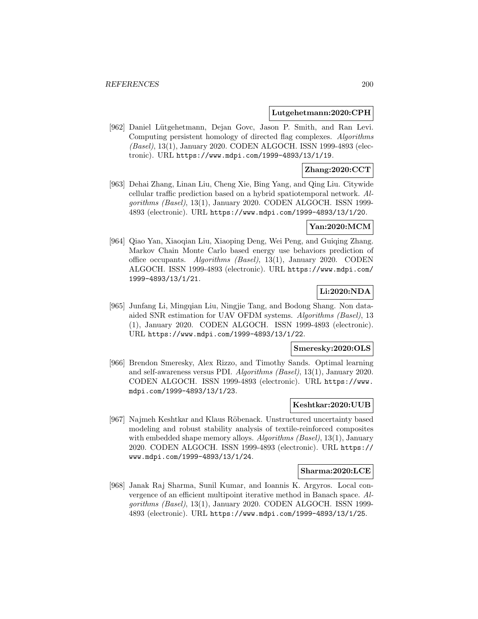### **Lutgehetmann:2020:CPH**

[962] Daniel Lütgehetmann, Dejan Govc, Jason P. Smith, and Ran Levi. Computing persistent homology of directed flag complexes. Algorithms (Basel), 13(1), January 2020. CODEN ALGOCH. ISSN 1999-4893 (electronic). URL https://www.mdpi.com/1999-4893/13/1/19.

## **Zhang:2020:CCT**

[963] Dehai Zhang, Linan Liu, Cheng Xie, Bing Yang, and Qing Liu. Citywide cellular traffic prediction based on a hybrid spatiotemporal network. Algorithms (Basel), 13(1), January 2020. CODEN ALGOCH. ISSN 1999- 4893 (electronic). URL https://www.mdpi.com/1999-4893/13/1/20.

## **Yan:2020:MCM**

[964] Qiao Yan, Xiaoqian Liu, Xiaoping Deng, Wei Peng, and Guiqing Zhang. Markov Chain Monte Carlo based energy use behaviors prediction of office occupants. Algorithms (Basel), 13(1), January 2020. CODEN ALGOCH. ISSN 1999-4893 (electronic). URL https://www.mdpi.com/ 1999-4893/13/1/21.

## **Li:2020:NDA**

[965] Junfang Li, Mingqian Liu, Ningjie Tang, and Bodong Shang. Non dataaided SNR estimation for UAV OFDM systems. Algorithms (Basel), 13 (1), January 2020. CODEN ALGOCH. ISSN 1999-4893 (electronic). URL https://www.mdpi.com/1999-4893/13/1/22.

#### **Smeresky:2020:OLS**

[966] Brendon Smeresky, Alex Rizzo, and Timothy Sands. Optimal learning and self-awareness versus PDI. Algorithms (Basel), 13(1), January 2020. CODEN ALGOCH. ISSN 1999-4893 (electronic). URL https://www. mdpi.com/1999-4893/13/1/23.

### **Keshtkar:2020:UUB**

[967] Najmeh Keshtkar and Klaus Röbenack. Unstructured uncertainty based modeling and robust stability analysis of textile-reinforced composites with embedded shape memory alloys. Algorithms (Basel), 13(1), January 2020. CODEN ALGOCH. ISSN 1999-4893 (electronic). URL https:// www.mdpi.com/1999-4893/13/1/24.

## **Sharma:2020:LCE**

[968] Janak Raj Sharma, Sunil Kumar, and Ioannis K. Argyros. Local convergence of an efficient multipoint iterative method in Banach space. Algorithms (Basel), 13(1), January 2020. CODEN ALGOCH. ISSN 1999- 4893 (electronic). URL https://www.mdpi.com/1999-4893/13/1/25.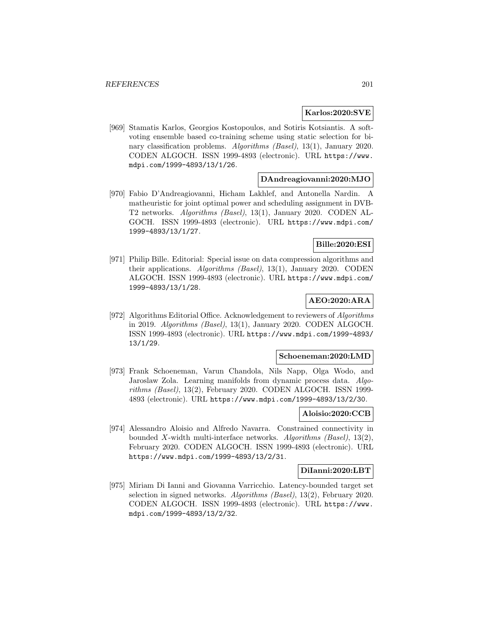### **Karlos:2020:SVE**

[969] Stamatis Karlos, Georgios Kostopoulos, and Sotiris Kotsiantis. A softvoting ensemble based co-training scheme using static selection for binary classification problems. Algorithms (Basel), 13(1), January 2020. CODEN ALGOCH. ISSN 1999-4893 (electronic). URL https://www. mdpi.com/1999-4893/13/1/26.

#### **DAndreagiovanni:2020:MJO**

[970] Fabio D'Andreagiovanni, Hicham Lakhlef, and Antonella Nardin. A matheuristic for joint optimal power and scheduling assignment in DVB-T2 networks. Algorithms (Basel), 13(1), January 2020. CODEN AL-GOCH. ISSN 1999-4893 (electronic). URL https://www.mdpi.com/ 1999-4893/13/1/27.

# **Bille:2020:ESI**

[971] Philip Bille. Editorial: Special issue on data compression algorithms and their applications. Algorithms (Basel), 13(1), January 2020. CODEN ALGOCH. ISSN 1999-4893 (electronic). URL https://www.mdpi.com/ 1999-4893/13/1/28.

## **AEO:2020:ARA**

[972] Algorithms Editorial Office. Acknowledgement to reviewers of Algorithms in 2019. Algorithms (Basel), 13(1), January 2020. CODEN ALGOCH. ISSN 1999-4893 (electronic). URL https://www.mdpi.com/1999-4893/ 13/1/29.

### **Schoeneman:2020:LMD**

[973] Frank Schoeneman, Varun Chandola, Nils Napp, Olga Wodo, and Jaroslaw Zola. Learning manifolds from dynamic process data. Algorithms (Basel), 13(2), February 2020. CODEN ALGOCH. ISSN 1999- 4893 (electronic). URL https://www.mdpi.com/1999-4893/13/2/30.

## **Aloisio:2020:CCB**

[974] Alessandro Aloisio and Alfredo Navarra. Constrained connectivity in bounded X-width multi-interface networks. Algorithms (Basel),  $13(2)$ , February 2020. CODEN ALGOCH. ISSN 1999-4893 (electronic). URL https://www.mdpi.com/1999-4893/13/2/31.

#### **DiIanni:2020:LBT**

[975] Miriam Di Ianni and Giovanna Varricchio. Latency-bounded target set selection in signed networks. Algorithms (Basel), 13(2), February 2020. CODEN ALGOCH. ISSN 1999-4893 (electronic). URL https://www. mdpi.com/1999-4893/13/2/32.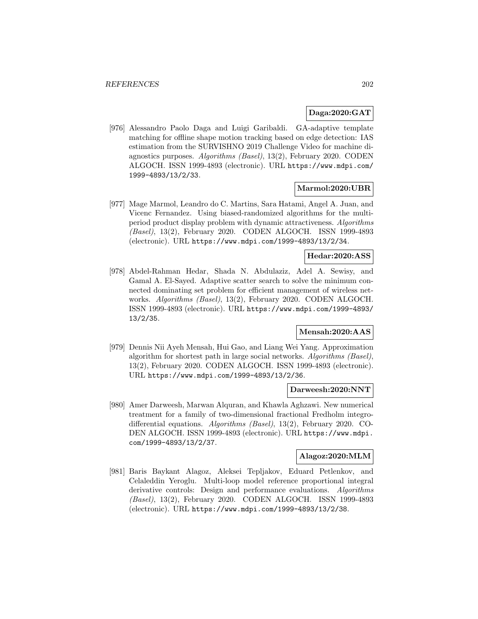## **Daga:2020:GAT**

[976] Alessandro Paolo Daga and Luigi Garibaldi. GA-adaptive template matching for offline shape motion tracking based on edge detection: IAS estimation from the SURVISHNO 2019 Challenge Video for machine diagnostics purposes. Algorithms (Basel), 13(2), February 2020. CODEN ALGOCH. ISSN 1999-4893 (electronic). URL https://www.mdpi.com/ 1999-4893/13/2/33.

## **Marmol:2020:UBR**

[977] Mage Marmol, Leandro do C. Martins, Sara Hatami, Angel A. Juan, and Vicenc Fernandez. Using biased-randomized algorithms for the multiperiod product display problem with dynamic attractiveness. Algorithms (Basel), 13(2), February 2020. CODEN ALGOCH. ISSN 1999-4893 (electronic). URL https://www.mdpi.com/1999-4893/13/2/34.

## **Hedar:2020:ASS**

[978] Abdel-Rahman Hedar, Shada N. Abdulaziz, Adel A. Sewisy, and Gamal A. El-Sayed. Adaptive scatter search to solve the minimum connected dominating set problem for efficient management of wireless networks. Algorithms (Basel), 13(2), February 2020. CODEN ALGOCH. ISSN 1999-4893 (electronic). URL https://www.mdpi.com/1999-4893/ 13/2/35.

## **Mensah:2020:AAS**

[979] Dennis Nii Ayeh Mensah, Hui Gao, and Liang Wei Yang. Approximation algorithm for shortest path in large social networks. Algorithms (Basel), 13(2), February 2020. CODEN ALGOCH. ISSN 1999-4893 (electronic). URL https://www.mdpi.com/1999-4893/13/2/36.

## **Darweesh:2020:NNT**

[980] Amer Darweesh, Marwan Alquran, and Khawla Aghzawi. New numerical treatment for a family of two-dimensional fractional Fredholm integrodifferential equations. Algorithms (Basel), 13(2), February 2020. CO-DEN ALGOCH. ISSN 1999-4893 (electronic). URL https://www.mdpi. com/1999-4893/13/2/37.

### **Alagoz:2020:MLM**

[981] Baris Baykant Alagoz, Aleksei Tepljakov, Eduard Petlenkov, and Celaleddin Yeroglu. Multi-loop model reference proportional integral derivative controls: Design and performance evaluations. Algorithms (Basel), 13(2), February 2020. CODEN ALGOCH. ISSN 1999-4893 (electronic). URL https://www.mdpi.com/1999-4893/13/2/38.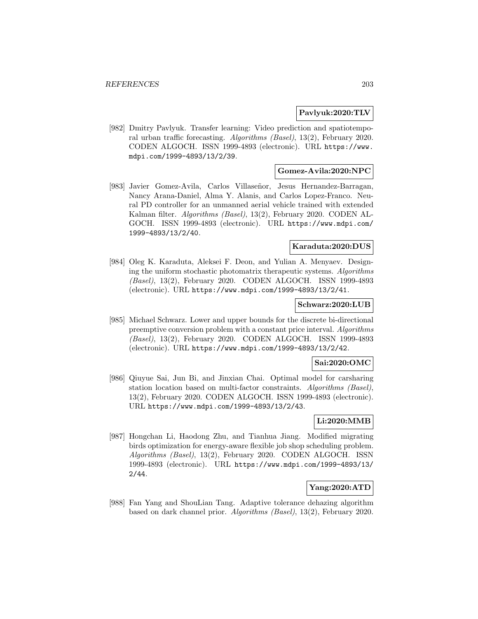### **Pavlyuk:2020:TLV**

[982] Dmitry Pavlyuk. Transfer learning: Video prediction and spatiotemporal urban traffic forecasting. Algorithms (Basel), 13(2), February 2020. CODEN ALGOCH. ISSN 1999-4893 (electronic). URL https://www. mdpi.com/1999-4893/13/2/39.

## **Gomez-Avila:2020:NPC**

[983] Javier Gomez-Avila, Carlos Villaseñor, Jesus Hernandez-Barragan, Nancy Arana-Daniel, Alma Y. Alanis, and Carlos Lopez-Franco. Neural PD controller for an unmanned aerial vehicle trained with extended Kalman filter. Algorithms (Basel), 13(2), February 2020. CODEN AL-GOCH. ISSN 1999-4893 (electronic). URL https://www.mdpi.com/ 1999-4893/13/2/40.

### **Karaduta:2020:DUS**

[984] Oleg K. Karaduta, Aleksei F. Deon, and Yulian A. Menyaev. Designing the uniform stochastic photomatrix therapeutic systems. Algorithms (Basel), 13(2), February 2020. CODEN ALGOCH. ISSN 1999-4893 (electronic). URL https://www.mdpi.com/1999-4893/13/2/41.

#### **Schwarz:2020:LUB**

[985] Michael Schwarz. Lower and upper bounds for the discrete bi-directional preemptive conversion problem with a constant price interval. Algorithms (Basel), 13(2), February 2020. CODEN ALGOCH. ISSN 1999-4893 (electronic). URL https://www.mdpi.com/1999-4893/13/2/42.

## **Sai:2020:OMC**

[986] Qiuyue Sai, Jun Bi, and Jinxian Chai. Optimal model for carsharing station location based on multi-factor constraints. Algorithms (Basel), 13(2), February 2020. CODEN ALGOCH. ISSN 1999-4893 (electronic). URL https://www.mdpi.com/1999-4893/13/2/43.

# **Li:2020:MMB**

[987] Hongchan Li, Haodong Zhu, and Tianhua Jiang. Modified migrating birds optimization for energy-aware flexible job shop scheduling problem. Algorithms (Basel), 13(2), February 2020. CODEN ALGOCH. ISSN 1999-4893 (electronic). URL https://www.mdpi.com/1999-4893/13/ 2/44.

## **Yang:2020:ATD**

[988] Fan Yang and ShouLian Tang. Adaptive tolerance dehazing algorithm based on dark channel prior. Algorithms (Basel), 13(2), February 2020.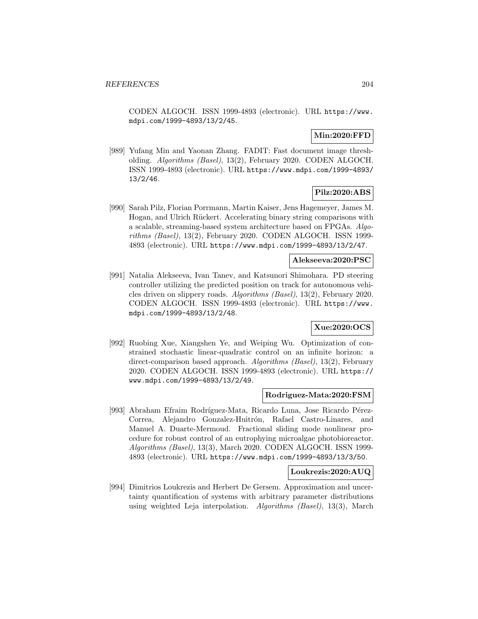CODEN ALGOCH. ISSN 1999-4893 (electronic). URL https://www. mdpi.com/1999-4893/13/2/45.

## **Min:2020:FFD**

[989] Yufang Min and Yaonan Zhang. FADIT: Fast document image thresholding. Algorithms (Basel), 13(2), February 2020. CODEN ALGOCH. ISSN 1999-4893 (electronic). URL https://www.mdpi.com/1999-4893/ 13/2/46.

# **Pilz:2020:ABS**

[990] Sarah Pilz, Florian Porrmann, Martin Kaiser, Jens Hagemeyer, James M. Hogan, and Ulrich Rückert. Accelerating binary string comparisons with a scalable, streaming-based system architecture based on FPGAs. Algorithms (Basel), 13(2), February 2020. CODEN ALGOCH. ISSN 1999- 4893 (electronic). URL https://www.mdpi.com/1999-4893/13/2/47.

## **Alekseeva:2020:PSC**

[991] Natalia Alekseeva, Ivan Tanev, and Katsunori Shimohara. PD steering controller utilizing the predicted position on track for autonomous vehicles driven on slippery roads. Algorithms (Basel), 13(2), February 2020. CODEN ALGOCH. ISSN 1999-4893 (electronic). URL https://www. mdpi.com/1999-4893/13/2/48.

## **Xue:2020:OCS**

[992] Ruobing Xue, Xiangshen Ye, and Weiping Wu. Optimization of constrained stochastic linear-quadratic control on an infinite horizon: a direct-comparison based approach. Algorithms (Basel), 13(2), February 2020. CODEN ALGOCH. ISSN 1999-4893 (electronic). URL https:// www.mdpi.com/1999-4893/13/2/49.

#### **Rodriguez-Mata:2020:FSM**

[993] Abraham Efraim Rodríguez-Mata, Ricardo Luna, Jose Ricardo Pérez-Correa, Alejandro Gonzalez-Huitrón, Rafael Castro-Linares, and Manuel A. Duarte-Mermoud. Fractional sliding mode nonlinear procedure for robust control of an eutrophying microalgae photobioreactor. Algorithms (Basel), 13(3), March 2020. CODEN ALGOCH. ISSN 1999- 4893 (electronic). URL https://www.mdpi.com/1999-4893/13/3/50.

## **Loukrezis:2020:AUQ**

[994] Dimitrios Loukrezis and Herbert De Gersem. Approximation and uncertainty quantification of systems with arbitrary parameter distributions using weighted Leja interpolation. Algorithms (Basel), 13(3), March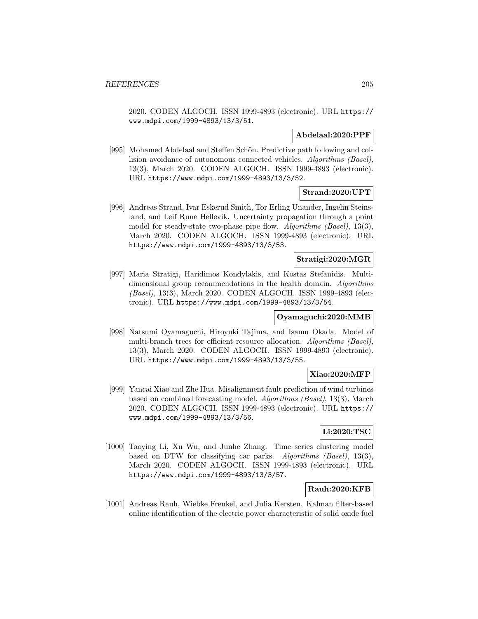2020. CODEN ALGOCH. ISSN 1999-4893 (electronic). URL https:// www.mdpi.com/1999-4893/13/3/51.

## **Abdelaal:2020:PPF**

[995] Mohamed Abdelaal and Steffen Schön. Predictive path following and collision avoidance of autonomous connected vehicles. Algorithms (Basel), 13(3), March 2020. CODEN ALGOCH. ISSN 1999-4893 (electronic). URL https://www.mdpi.com/1999-4893/13/3/52.

# **Strand:2020:UPT**

[996] Andreas Strand, Ivar Eskerud Smith, Tor Erling Unander, Ingelin Steinsland, and Leif Rune Hellevik. Uncertainty propagation through a point model for steady-state two-phase pipe flow. Algorithms (Basel), 13(3), March 2020. CODEN ALGOCH. ISSN 1999-4893 (electronic). URL https://www.mdpi.com/1999-4893/13/3/53.

#### **Stratigi:2020:MGR**

[997] Maria Stratigi, Haridimos Kondylakis, and Kostas Stefanidis. Multidimensional group recommendations in the health domain. Algorithms (Basel), 13(3), March 2020. CODEN ALGOCH. ISSN 1999-4893 (electronic). URL https://www.mdpi.com/1999-4893/13/3/54.

## **Oyamaguchi:2020:MMB**

[998] Natsumi Oyamaguchi, Hiroyuki Tajima, and Isamu Okada. Model of multi-branch trees for efficient resource allocation. Algorithms (Basel), 13(3), March 2020. CODEN ALGOCH. ISSN 1999-4893 (electronic). URL https://www.mdpi.com/1999-4893/13/3/55.

## **Xiao:2020:MFP**

[999] Yancai Xiao and Zhe Hua. Misalignment fault prediction of wind turbines based on combined forecasting model. Algorithms (Basel), 13(3), March 2020. CODEN ALGOCH. ISSN 1999-4893 (electronic). URL https:// www.mdpi.com/1999-4893/13/3/56.

## **Li:2020:TSC**

[1000] Taoying Li, Xu Wu, and Junhe Zhang. Time series clustering model based on DTW for classifying car parks. Algorithms (Basel), 13(3), March 2020. CODEN ALGOCH. ISSN 1999-4893 (electronic). URL https://www.mdpi.com/1999-4893/13/3/57.

## **Rauh:2020:KFB**

[1001] Andreas Rauh, Wiebke Frenkel, and Julia Kersten. Kalman filter-based online identification of the electric power characteristic of solid oxide fuel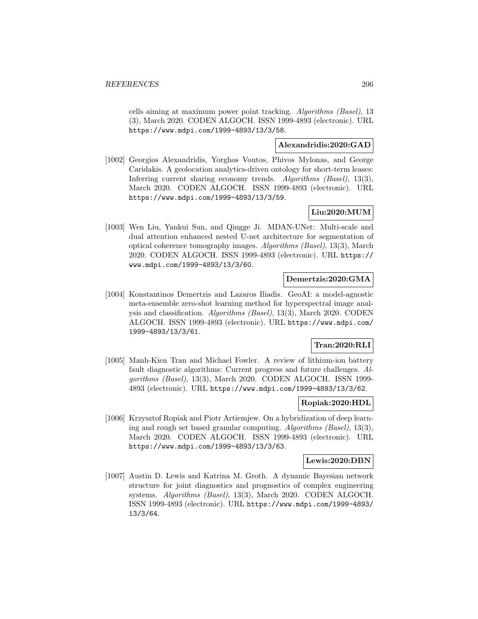cells aiming at maximum power point tracking. Algorithms (Basel), 13 (3), March 2020. CODEN ALGOCH. ISSN 1999-4893 (electronic). URL https://www.mdpi.com/1999-4893/13/3/58.

## **Alexandridis:2020:GAD**

[1002] Georgios Alexandridis, Yorghos Voutos, Phivos Mylonas, and George Caridakis. A geolocation analytics-driven ontology for short-term leases: Inferring current sharing economy trends. Algorithms (Basel), 13(3), March 2020. CODEN ALGOCH. ISSN 1999-4893 (electronic). URL https://www.mdpi.com/1999-4893/13/3/59.

# **Liu:2020:MUM**

[1003] Wen Liu, Yankui Sun, and Qingge Ji. MDAN-UNet: Multi-scale and dual attention enhanced nested U-net architecture for segmentation of optical coherence tomography images. Algorithms (Basel), 13(3), March 2020. CODEN ALGOCH. ISSN 1999-4893 (electronic). URL https:// www.mdpi.com/1999-4893/13/3/60.

## **Demertzis:2020:GMA**

[1004] Konstantinos Demertzis and Lazaros Iliadis. GeoAI: a model-agnostic meta-ensemble zero-shot learning method for hyperspectral image analysis and classification. Algorithms (Basel), 13(3), March 2020. CODEN ALGOCH. ISSN 1999-4893 (electronic). URL https://www.mdpi.com/ 1999-4893/13/3/61.

# **Tran:2020:RLI**

[1005] Manh-Kien Tran and Michael Fowler. A review of lithium-ion battery fault diagnostic algorithms: Current progress and future challenges. Algorithms (Basel), 13(3), March 2020. CODEN ALGOCH. ISSN 1999- 4893 (electronic). URL https://www.mdpi.com/1999-4893/13/3/62.

## **Ropiak:2020:HDL**

[1006] Krzysztof Ropiak and Piotr Artiemjew. On a hybridization of deep learning and rough set based granular computing. Algorithms (Basel), 13(3), March 2020. CODEN ALGOCH. ISSN 1999-4893 (electronic). URL https://www.mdpi.com/1999-4893/13/3/63.

## **Lewis:2020:DBN**

[1007] Austin D. Lewis and Katrina M. Groth. A dynamic Bayesian network structure for joint diagnostics and prognostics of complex engineering systems. Algorithms (Basel), 13(3), March 2020. CODEN ALGOCH. ISSN 1999-4893 (electronic). URL https://www.mdpi.com/1999-4893/ 13/3/64.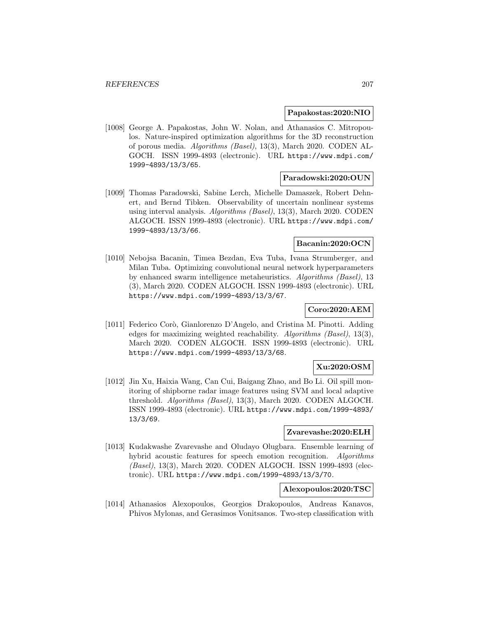## **Papakostas:2020:NIO**

[1008] George A. Papakostas, John W. Nolan, and Athanasios C. Mitropoulos. Nature-inspired optimization algorithms for the 3D reconstruction of porous media. Algorithms (Basel), 13(3), March 2020. CODEN AL-GOCH. ISSN 1999-4893 (electronic). URL https://www.mdpi.com/ 1999-4893/13/3/65.

### **Paradowski:2020:OUN**

[1009] Thomas Paradowski, Sabine Lerch, Michelle Damaszek, Robert Dehnert, and Bernd Tibken. Observability of uncertain nonlinear systems using interval analysis. Algorithms (Basel), 13(3), March 2020. CODEN ALGOCH. ISSN 1999-4893 (electronic). URL https://www.mdpi.com/ 1999-4893/13/3/66.

## **Bacanin:2020:OCN**

[1010] Nebojsa Bacanin, Timea Bezdan, Eva Tuba, Ivana Strumberger, and Milan Tuba. Optimizing convolutional neural network hyperparameters by enhanced swarm intelligence metaheuristics. Algorithms (Basel), 13 (3), March 2020. CODEN ALGOCH. ISSN 1999-4893 (electronic). URL https://www.mdpi.com/1999-4893/13/3/67.

## **Coro:2020:AEM**

[1011] Federico Corò, Gianlorenzo D'Angelo, and Cristina M. Pinotti. Adding edges for maximizing weighted reachability. Algorithms (Basel), 13(3), March 2020. CODEN ALGOCH. ISSN 1999-4893 (electronic). URL https://www.mdpi.com/1999-4893/13/3/68.

## **Xu:2020:OSM**

[1012] Jin Xu, Haixia Wang, Can Cui, Baigang Zhao, and Bo Li. Oil spill monitoring of shipborne radar image features using SVM and local adaptive threshold. Algorithms (Basel), 13(3), March 2020. CODEN ALGOCH. ISSN 1999-4893 (electronic). URL https://www.mdpi.com/1999-4893/ 13/3/69.

## **Zvarevashe:2020:ELH**

[1013] Kudakwashe Zvarevashe and Oludayo Olugbara. Ensemble learning of hybrid acoustic features for speech emotion recognition. Algorithms (Basel), 13(3), March 2020. CODEN ALGOCH. ISSN 1999-4893 (electronic). URL https://www.mdpi.com/1999-4893/13/3/70.

## **Alexopoulos:2020:TSC**

[1014] Athanasios Alexopoulos, Georgios Drakopoulos, Andreas Kanavos, Phivos Mylonas, and Gerasimos Vonitsanos. Two-step classification with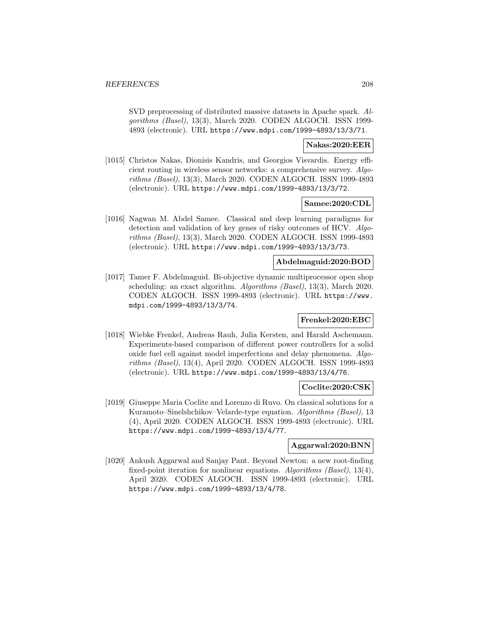SVD preprocessing of distributed massive datasets in Apache spark. Algorithms (Basel), 13(3), March 2020. CODEN ALGOCH. ISSN 1999- 4893 (electronic). URL https://www.mdpi.com/1999-4893/13/3/71.

### **Nakas:2020:EER**

[1015] Christos Nakas, Dionisis Kandris, and Georgios Visvardis. Energy efficient routing in wireless sensor networks: a comprehensive survey. Algorithms (Basel), 13(3), March 2020. CODEN ALGOCH. ISSN 1999-4893 (electronic). URL https://www.mdpi.com/1999-4893/13/3/72.

#### **Samee:2020:CDL**

[1016] Nagwan M. Abdel Samee. Classical and deep learning paradigms for detection and validation of key genes of risky outcomes of HCV. Algorithms (Basel), 13(3), March 2020. CODEN ALGOCH. ISSN 1999-4893 (electronic). URL https://www.mdpi.com/1999-4893/13/3/73.

### **Abdelmaguid:2020:BOD**

[1017] Tamer F. Abdelmaguid. Bi-objective dynamic multiprocessor open shop scheduling: an exact algorithm. Algorithms (Basel), 13(3), March 2020. CODEN ALGOCH. ISSN 1999-4893 (electronic). URL https://www. mdpi.com/1999-4893/13/3/74.

### **Frenkel:2020:EBC**

[1018] Wiebke Frenkel, Andreas Rauh, Julia Kersten, and Harald Aschemann. Experiments-based comparison of different power controllers for a solid oxide fuel cell against model imperfections and delay phenomena. Algorithms (Basel), 13(4), April 2020. CODEN ALGOCH. ISSN 1999-4893 (electronic). URL https://www.mdpi.com/1999-4893/13/4/76.

### **Coclite:2020:CSK**

[1019] Giuseppe Maria Coclite and Lorenzo di Ruvo. On classical solutions for a Kuramoto–Sinelshchikov–Velarde-type equation. Algorithms (Basel), 13 (4), April 2020. CODEN ALGOCH. ISSN 1999-4893 (electronic). URL https://www.mdpi.com/1999-4893/13/4/77.

#### **Aggarwal:2020:BNN**

[1020] Ankush Aggarwal and Sanjay Pant. Beyond Newton: a new root-finding fixed-point iteration for nonlinear equations. Algorithms (Basel),  $13(4)$ , April 2020. CODEN ALGOCH. ISSN 1999-4893 (electronic). URL https://www.mdpi.com/1999-4893/13/4/78.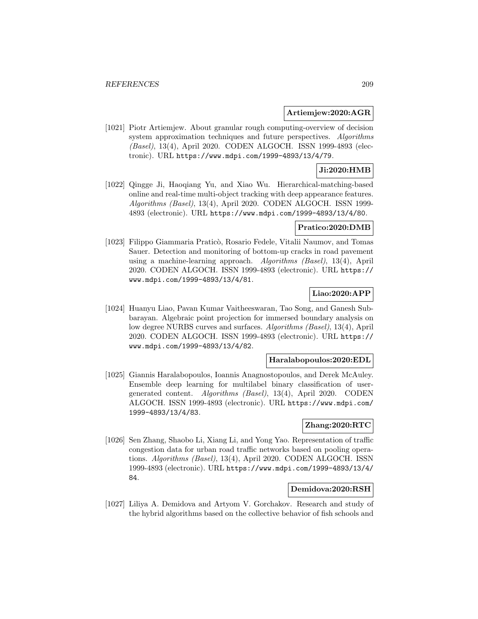### **Artiemjew:2020:AGR**

[1021] Piotr Artiemjew. About granular rough computing-overview of decision system approximation techniques and future perspectives. Algorithms (Basel), 13(4), April 2020. CODEN ALGOCH. ISSN 1999-4893 (electronic). URL https://www.mdpi.com/1999-4893/13/4/79.

## **Ji:2020:HMB**

[1022] Qingge Ji, Haoqiang Yu, and Xiao Wu. Hierarchical-matching-based online and real-time multi-object tracking with deep appearance features. Algorithms (Basel), 13(4), April 2020. CODEN ALGOCH. ISSN 1999- 4893 (electronic). URL https://www.mdpi.com/1999-4893/13/4/80.

### **Pratico:2020:DMB**

[1023] Filippo Giammaria Praticò, Rosario Fedele, Vitalii Naumov, and Tomas Sauer. Detection and monitoring of bottom-up cracks in road pavement using a machine-learning approach. Algorithms (Basel), 13(4), April 2020. CODEN ALGOCH. ISSN 1999-4893 (electronic). URL https:// www.mdpi.com/1999-4893/13/4/81.

## **Liao:2020:APP**

[1024] Huanyu Liao, Pavan Kumar Vaitheeswaran, Tao Song, and Ganesh Subbarayan. Algebraic point projection for immersed boundary analysis on low degree NURBS curves and surfaces. Algorithms (Basel), 13(4), April 2020. CODEN ALGOCH. ISSN 1999-4893 (electronic). URL https:// www.mdpi.com/1999-4893/13/4/82.

## **Haralabopoulos:2020:EDL**

[1025] Giannis Haralabopoulos, Ioannis Anagnostopoulos, and Derek McAuley. Ensemble deep learning for multilabel binary classification of usergenerated content. Algorithms (Basel), 13(4), April 2020. CODEN ALGOCH. ISSN 1999-4893 (electronic). URL https://www.mdpi.com/ 1999-4893/13/4/83.

# **Zhang:2020:RTC**

[1026] Sen Zhang, Shaobo Li, Xiang Li, and Yong Yao. Representation of traffic congestion data for urban road traffic networks based on pooling operations. Algorithms (Basel), 13(4), April 2020. CODEN ALGOCH. ISSN 1999-4893 (electronic). URL https://www.mdpi.com/1999-4893/13/4/ 84.

## **Demidova:2020:RSH**

[1027] Liliya A. Demidova and Artyom V. Gorchakov. Research and study of the hybrid algorithms based on the collective behavior of fish schools and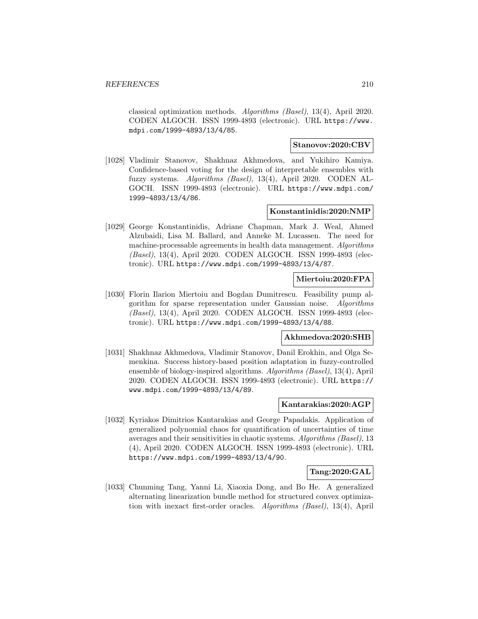classical optimization methods. Algorithms (Basel), 13(4), April 2020. CODEN ALGOCH. ISSN 1999-4893 (electronic). URL https://www. mdpi.com/1999-4893/13/4/85.

## **Stanovov:2020:CBV**

[1028] Vladimir Stanovov, Shakhnaz Akhmedova, and Yukihiro Kamiya. Confidence-based voting for the design of interpretable ensembles with fuzzy systems. Algorithms (Basel), 13(4), April 2020. CODEN AL-GOCH. ISSN 1999-4893 (electronic). URL https://www.mdpi.com/ 1999-4893/13/4/86.

### **Konstantinidis:2020:NMP**

[1029] George Konstantinidis, Adriane Chapman, Mark J. Weal, Ahmed Alzubaidi, Lisa M. Ballard, and Anneke M. Lucassen. The need for machine-processable agreements in health data management. Algorithms (Basel), 13(4), April 2020. CODEN ALGOCH. ISSN 1999-4893 (electronic). URL https://www.mdpi.com/1999-4893/13/4/87.

### **Miertoiu:2020:FPA**

[1030] Florin Ilarion Miertoiu and Bogdan Dumitrescu. Feasibility pump algorithm for sparse representation under Gaussian noise. Algorithms (Basel), 13(4), April 2020. CODEN ALGOCH. ISSN 1999-4893 (electronic). URL https://www.mdpi.com/1999-4893/13/4/88.

#### **Akhmedova:2020:SHB**

[1031] Shakhnaz Akhmedova, Vladimir Stanovov, Danil Erokhin, and Olga Semenkina. Success history-based position adaptation in fuzzy-controlled ensemble of biology-inspired algorithms. Algorithms (Basel), 13(4), April 2020. CODEN ALGOCH. ISSN 1999-4893 (electronic). URL https:// www.mdpi.com/1999-4893/13/4/89.

### **Kantarakias:2020:AGP**

[1032] Kyriakos Dimitrios Kantarakias and George Papadakis. Application of generalized polynomial chaos for quantification of uncertainties of time averages and their sensitivities in chaotic systems. Algorithms (Basel), 13 (4), April 2020. CODEN ALGOCH. ISSN 1999-4893 (electronic). URL https://www.mdpi.com/1999-4893/13/4/90.

## **Tang:2020:GAL**

[1033] Chunming Tang, Yanni Li, Xiaoxia Dong, and Bo He. A generalized alternating linearization bundle method for structured convex optimization with inexact first-order oracles. Algorithms (Basel), 13(4), April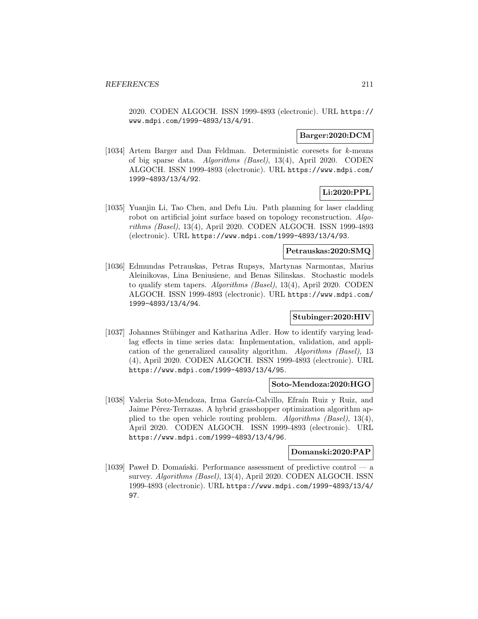2020. CODEN ALGOCH. ISSN 1999-4893 (electronic). URL https:// www.mdpi.com/1999-4893/13/4/91.

### **Barger:2020:DCM**

[1034] Artem Barger and Dan Feldman. Deterministic coresets for k-means of big sparse data. Algorithms (Basel), 13(4), April 2020. CODEN ALGOCH. ISSN 1999-4893 (electronic). URL https://www.mdpi.com/ 1999-4893/13/4/92.

# **Li:2020:PPL**

[1035] Yuanjin Li, Tao Chen, and Defu Liu. Path planning for laser cladding robot on artificial joint surface based on topology reconstruction. Algorithms (Basel), 13(4), April 2020. CODEN ALGOCH. ISSN 1999-4893 (electronic). URL https://www.mdpi.com/1999-4893/13/4/93.

## **Petrauskas:2020:SMQ**

[1036] Edmundas Petrauskas, Petras Rupsys, Martynas Narmontas, Marius Aleinikovas, Lina Beniusiene, and Benas Silinskas. Stochastic models to qualify stem tapers. Algorithms (Basel), 13(4), April 2020. CODEN ALGOCH. ISSN 1999-4893 (electronic). URL https://www.mdpi.com/ 1999-4893/13/4/94.

## **Stubinger:2020:HIV**

[1037] Johannes Stübinger and Katharina Adler. How to identify varying leadlag effects in time series data: Implementation, validation, and application of the generalized causality algorithm. Algorithms (Basel), 13 (4), April 2020. CODEN ALGOCH. ISSN 1999-4893 (electronic). URL https://www.mdpi.com/1999-4893/13/4/95.

#### **Soto-Mendoza:2020:HGO**

[1038] Valeria Soto-Mendoza, Irma García-Calvillo, Efraín Ruiz y Ruiz, and Jaime Pérez-Terrazas. A hybrid grasshopper optimization algorithm applied to the open vehicle routing problem. Algorithms (Basel), 13(4), April 2020. CODEN ALGOCH. ISSN 1999-4893 (electronic). URL https://www.mdpi.com/1999-4893/13/4/96.

## **Domanski:2020:PAP**

[1039] Pawel D. Domański. Performance assessment of predictive control  $-$  a survey. Algorithms (Basel), 13(4), April 2020. CODEN ALGOCH. ISSN 1999-4893 (electronic). URL https://www.mdpi.com/1999-4893/13/4/ 97.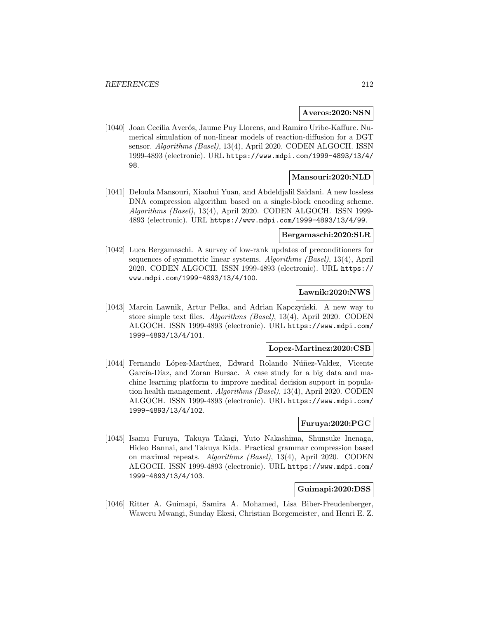### **Averos:2020:NSN**

[1040] Joan Cecilia Averós, Jaume Puy Llorens, and Ramiro Uribe-Kaffure. Numerical simulation of non-linear models of reaction-diffusion for a DGT sensor. Algorithms (Basel), 13(4), April 2020. CODEN ALGOCH. ISSN 1999-4893 (electronic). URL https://www.mdpi.com/1999-4893/13/4/ 98.

### **Mansouri:2020:NLD**

[1041] Deloula Mansouri, Xiaohui Yuan, and Abdeldjalil Saidani. A new lossless DNA compression algorithm based on a single-block encoding scheme. Algorithms (Basel), 13(4), April 2020. CODEN ALGOCH. ISSN 1999- 4893 (electronic). URL https://www.mdpi.com/1999-4893/13/4/99.

### **Bergamaschi:2020:SLR**

[1042] Luca Bergamaschi. A survey of low-rank updates of preconditioners for sequences of symmetric linear systems. Algorithms (Basel), 13(4), April 2020. CODEN ALGOCH. ISSN 1999-4893 (electronic). URL https:// www.mdpi.com/1999-4893/13/4/100.

### **Lawnik:2020:NWS**

[1043] Marcin Lawnik, Artur Pełka, and Adrian Kapczyński. A new way to store simple text files. Algorithms (Basel), 13(4), April 2020. CODEN ALGOCH. ISSN 1999-4893 (electronic). URL https://www.mdpi.com/ 1999-4893/13/4/101.

## **Lopez-Martinez:2020:CSB**

[1044] Fernando López-Martínez, Edward Rolando Núñez-Valdez, Vicente García-Díaz, and Zoran Bursac. A case study for a big data and machine learning platform to improve medical decision support in population health management. Algorithms (Basel), 13(4), April 2020. CODEN ALGOCH. ISSN 1999-4893 (electronic). URL https://www.mdpi.com/ 1999-4893/13/4/102.

## **Furuya:2020:PGC**

[1045] Isamu Furuya, Takuya Takagi, Yuto Nakashima, Shunsuke Inenaga, Hideo Bannai, and Takuya Kida. Practical grammar compression based on maximal repeats. Algorithms (Basel), 13(4), April 2020. CODEN ALGOCH. ISSN 1999-4893 (electronic). URL https://www.mdpi.com/ 1999-4893/13/4/103.

## **Guimapi:2020:DSS**

[1046] Ritter A. Guimapi, Samira A. Mohamed, Lisa Biber-Freudenberger, Waweru Mwangi, Sunday Ekesi, Christian Borgemeister, and Henri E. Z.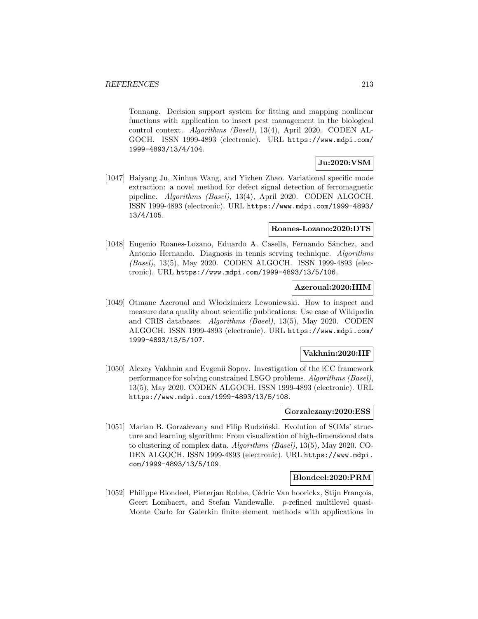Tonnang. Decision support system for fitting and mapping nonlinear functions with application to insect pest management in the biological control context. Algorithms (Basel), 13(4), April 2020. CODEN AL-GOCH. ISSN 1999-4893 (electronic). URL https://www.mdpi.com/ 1999-4893/13/4/104.

# **Ju:2020:VSM**

[1047] Haiyang Ju, Xinhua Wang, and Yizhen Zhao. Variational specific mode extraction: a novel method for defect signal detection of ferromagnetic pipeline. Algorithms (Basel), 13(4), April 2020. CODEN ALGOCH. ISSN 1999-4893 (electronic). URL https://www.mdpi.com/1999-4893/ 13/4/105.

#### **Roanes-Lozano:2020:DTS**

[1048] Eugenio Roanes-Lozano, Eduardo A. Casella, Fernando Sánchez, and Antonio Hernando. Diagnosis in tennis serving technique. Algorithms (Basel), 13(5), May 2020. CODEN ALGOCH. ISSN 1999-4893 (electronic). URL https://www.mdpi.com/1999-4893/13/5/106.

## **Azeroual:2020:HIM**

[1049] Otmane Azeroual and W lodzimierz Lewoniewski. How to inspect and measure data quality about scientific publications: Use case of Wikipedia and CRIS databases. Algorithms (Basel), 13(5), May 2020. CODEN ALGOCH. ISSN 1999-4893 (electronic). URL https://www.mdpi.com/ 1999-4893/13/5/107.

## **Vakhnin:2020:IIF**

[1050] Alexey Vakhnin and Evgenii Sopov. Investigation of the iCC framework performance for solving constrained LSGO problems. Algorithms (Basel), 13(5), May 2020. CODEN ALGOCH. ISSN 1999-4893 (electronic). URL https://www.mdpi.com/1999-4893/13/5/108.

## **Gorzalczany:2020:ESS**

[1051] Marian B. Gorzałczany and Filip Rudziński. Evolution of SOMs' structure and learning algorithm: From visualization of high-dimensional data to clustering of complex data. Algorithms (Basel), 13(5), May 2020. CO-DEN ALGOCH. ISSN 1999-4893 (electronic). URL https://www.mdpi. com/1999-4893/13/5/109.

### **Blondeel:2020:PRM**

[1052] Philippe Blondeel, Pieterjan Robbe, Cédric Van hoorickx, Stijn François, Geert Lombaert, and Stefan Vandewalle. p-refined multilevel quasi-Monte Carlo for Galerkin finite element methods with applications in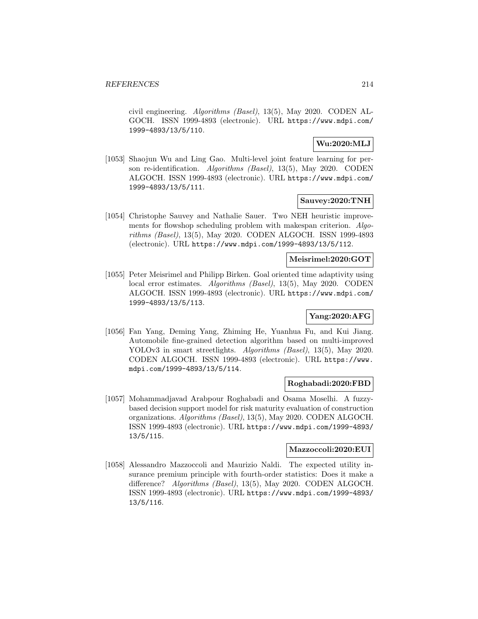civil engineering. Algorithms (Basel), 13(5), May 2020. CODEN AL-GOCH. ISSN 1999-4893 (electronic). URL https://www.mdpi.com/ 1999-4893/13/5/110.

## **Wu:2020:MLJ**

[1053] Shaojun Wu and Ling Gao. Multi-level joint feature learning for person re-identification. Algorithms (Basel), 13(5), May 2020. CODEN ALGOCH. ISSN 1999-4893 (electronic). URL https://www.mdpi.com/ 1999-4893/13/5/111.

## **Sauvey:2020:TNH**

[1054] Christophe Sauvey and Nathalie Sauer. Two NEH heuristic improvements for flowshop scheduling problem with makespan criterion. Algorithms (Basel), 13(5), May 2020. CODEN ALGOCH. ISSN 1999-4893 (electronic). URL https://www.mdpi.com/1999-4893/13/5/112.

## **Meisrimel:2020:GOT**

[1055] Peter Meisrimel and Philipp Birken. Goal oriented time adaptivity using local error estimates. Algorithms (Basel), 13(5), May 2020. CODEN ALGOCH. ISSN 1999-4893 (electronic). URL https://www.mdpi.com/ 1999-4893/13/5/113.

# **Yang:2020:AFG**

[1056] Fan Yang, Deming Yang, Zhiming He, Yuanhua Fu, and Kui Jiang. Automobile fine-grained detection algorithm based on multi-improved YOLOv3 in smart streetlights. Algorithms (Basel), 13(5), May 2020. CODEN ALGOCH. ISSN 1999-4893 (electronic). URL https://www. mdpi.com/1999-4893/13/5/114.

## **Roghabadi:2020:FBD**

[1057] Mohammadjavad Arabpour Roghabadi and Osama Moselhi. A fuzzybased decision support model for risk maturity evaluation of construction organizations. Algorithms (Basel), 13(5), May 2020. CODEN ALGOCH. ISSN 1999-4893 (electronic). URL https://www.mdpi.com/1999-4893/ 13/5/115.

## **Mazzoccoli:2020:EUI**

[1058] Alessandro Mazzoccoli and Maurizio Naldi. The expected utility insurance premium principle with fourth-order statistics: Does it make a difference? *Algorithms (Basel)*, 13(5), May 2020. CODEN ALGOCH. ISSN 1999-4893 (electronic). URL https://www.mdpi.com/1999-4893/ 13/5/116.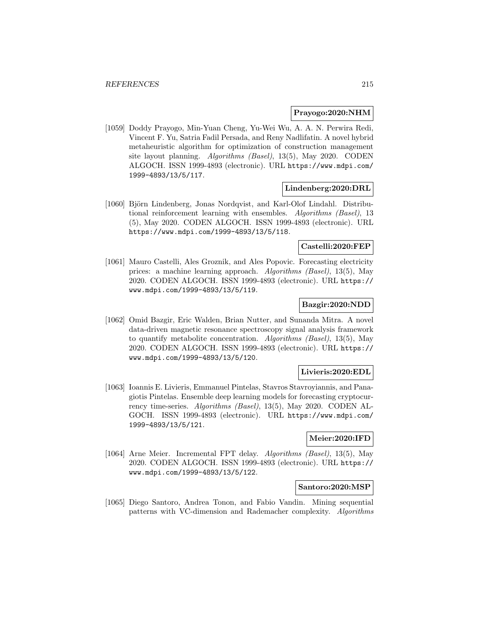## **Prayogo:2020:NHM**

[1059] Doddy Prayogo, Min-Yuan Cheng, Yu-Wei Wu, A. A. N. Perwira Redi, Vincent F. Yu, Satria Fadil Persada, and Reny Nadlifatin. A novel hybrid metaheuristic algorithm for optimization of construction management site layout planning. Algorithms (Basel), 13(5), May 2020. CODEN ALGOCH. ISSN 1999-4893 (electronic). URL https://www.mdpi.com/ 1999-4893/13/5/117.

### **Lindenberg:2020:DRL**

[1060] Björn Lindenberg, Jonas Nordqvist, and Karl-Olof Lindahl. Distributional reinforcement learning with ensembles. Algorithms (Basel), 13 (5), May 2020. CODEN ALGOCH. ISSN 1999-4893 (electronic). URL https://www.mdpi.com/1999-4893/13/5/118.

#### **Castelli:2020:FEP**

[1061] Mauro Castelli, Ales Groznik, and Ales Popovic. Forecasting electricity prices: a machine learning approach. Algorithms (Basel), 13(5), May 2020. CODEN ALGOCH. ISSN 1999-4893 (electronic). URL https:// www.mdpi.com/1999-4893/13/5/119.

### **Bazgir:2020:NDD**

[1062] Omid Bazgir, Eric Walden, Brian Nutter, and Sunanda Mitra. A novel data-driven magnetic resonance spectroscopy signal analysis framework to quantify metabolite concentration. Algorithms (Basel), 13(5), May 2020. CODEN ALGOCH. ISSN 1999-4893 (electronic). URL https:// www.mdpi.com/1999-4893/13/5/120.

## **Livieris:2020:EDL**

[1063] Ioannis E. Livieris, Emmanuel Pintelas, Stavros Stavroyiannis, and Panagiotis Pintelas. Ensemble deep learning models for forecasting cryptocurrency time-series. Algorithms (Basel), 13(5), May 2020. CODEN AL-GOCH. ISSN 1999-4893 (electronic). URL https://www.mdpi.com/ 1999-4893/13/5/121.

# **Meier:2020:IFD**

[1064] Arne Meier. Incremental FPT delay. Algorithms (Basel), 13(5), May 2020. CODEN ALGOCH. ISSN 1999-4893 (electronic). URL https:// www.mdpi.com/1999-4893/13/5/122.

#### **Santoro:2020:MSP**

[1065] Diego Santoro, Andrea Tonon, and Fabio Vandin. Mining sequential patterns with VC-dimension and Rademacher complexity. Algorithms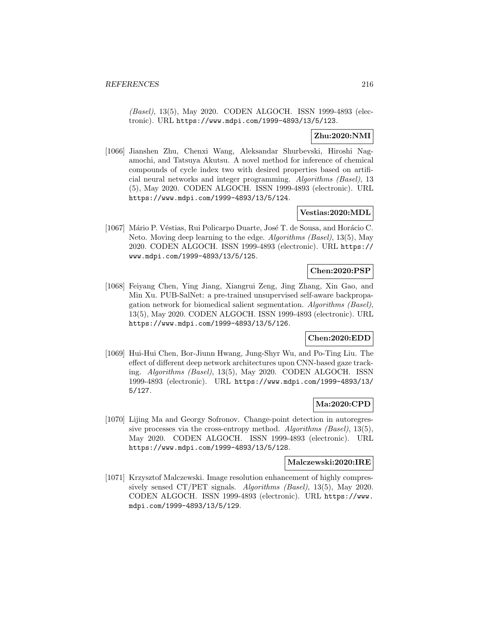(Basel), 13(5), May 2020. CODEN ALGOCH. ISSN 1999-4893 (electronic). URL https://www.mdpi.com/1999-4893/13/5/123.

# **Zhu:2020:NMI**

[1066] Jianshen Zhu, Chenxi Wang, Aleksandar Shurbevski, Hiroshi Nagamochi, and Tatsuya Akutsu. A novel method for inference of chemical compounds of cycle index two with desired properties based on artificial neural networks and integer programming. Algorithms (Basel), 13 (5), May 2020. CODEN ALGOCH. ISSN 1999-4893 (electronic). URL https://www.mdpi.com/1999-4893/13/5/124.

## **Vestias:2020:MDL**

[1067] Mário P. Véstias, Rui Policarpo Duarte, José T. de Sousa, and Horácio C. Neto. Moving deep learning to the edge. Algorithms (Basel), 13(5), May 2020. CODEN ALGOCH. ISSN 1999-4893 (electronic). URL https:// www.mdpi.com/1999-4893/13/5/125.

# **Chen:2020:PSP**

[1068] Feiyang Chen, Ying Jiang, Xiangrui Zeng, Jing Zhang, Xin Gao, and Min Xu. PUB-SalNet: a pre-trained unsupervised self-aware backpropagation network for biomedical salient segmentation. Algorithms (Basel), 13(5), May 2020. CODEN ALGOCH. ISSN 1999-4893 (electronic). URL https://www.mdpi.com/1999-4893/13/5/126.

## **Chen:2020:EDD**

[1069] Hui-Hui Chen, Bor-Jiunn Hwang, Jung-Shyr Wu, and Po-Ting Liu. The effect of different deep network architectures upon CNN-based gaze tracking. Algorithms (Basel), 13(5), May 2020. CODEN ALGOCH. ISSN 1999-4893 (electronic). URL https://www.mdpi.com/1999-4893/13/ 5/127.

## **Ma:2020:CPD**

[1070] Lijing Ma and Georgy Sofronov. Change-point detection in autoregressive processes via the cross-entropy method. Algorithms (Basel), 13(5), May 2020. CODEN ALGOCH. ISSN 1999-4893 (electronic). URL https://www.mdpi.com/1999-4893/13/5/128.

### **Malczewski:2020:IRE**

[1071] Krzysztof Malczewski. Image resolution enhancement of highly compressively sensed CT/PET signals. Algorithms (Basel), 13(5), May 2020. CODEN ALGOCH. ISSN 1999-4893 (electronic). URL https://www. mdpi.com/1999-4893/13/5/129.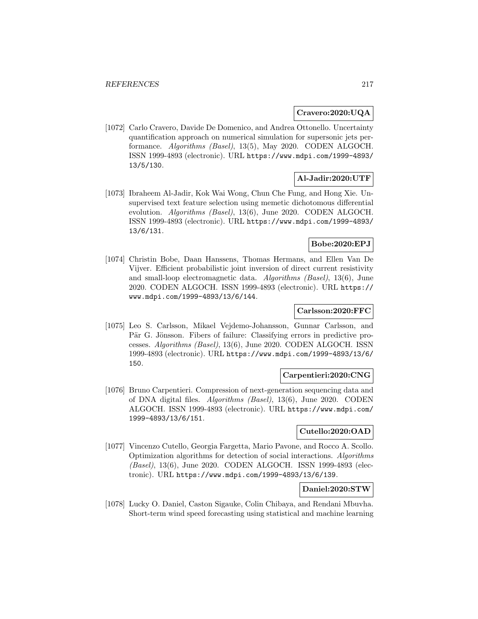## **Cravero:2020:UQA**

[1072] Carlo Cravero, Davide De Domenico, and Andrea Ottonello. Uncertainty quantification approach on numerical simulation for supersonic jets performance. Algorithms (Basel), 13(5), May 2020. CODEN ALGOCH. ISSN 1999-4893 (electronic). URL https://www.mdpi.com/1999-4893/ 13/5/130.

# **Al-Jadir:2020:UTF**

[1073] Ibraheem Al-Jadir, Kok Wai Wong, Chun Che Fung, and Hong Xie. Unsupervised text feature selection using memetic dichotomous differential evolution. Algorithms (Basel), 13(6), June 2020. CODEN ALGOCH. ISSN 1999-4893 (electronic). URL https://www.mdpi.com/1999-4893/ 13/6/131.

# **Bobe:2020:EPJ**

[1074] Christin Bobe, Daan Hanssens, Thomas Hermans, and Ellen Van De Vijver. Efficient probabilistic joint inversion of direct current resistivity and small-loop electromagnetic data. Algorithms (Basel), 13(6), June 2020. CODEN ALGOCH. ISSN 1999-4893 (electronic). URL https:// www.mdpi.com/1999-4893/13/6/144.

# **Carlsson:2020:FFC**

[1075] Leo S. Carlsson, Mikael Vejdemo-Johansson, Gunnar Carlsson, and Pär G. Jönsson. Fibers of failure: Classifying errors in predictive processes. Algorithms (Basel), 13(6), June 2020. CODEN ALGOCH. ISSN 1999-4893 (electronic). URL https://www.mdpi.com/1999-4893/13/6/ 150.

# **Carpentieri:2020:CNG**

[1076] Bruno Carpentieri. Compression of next-generation sequencing data and of DNA digital files. Algorithms (Basel), 13(6), June 2020. CODEN ALGOCH. ISSN 1999-4893 (electronic). URL https://www.mdpi.com/ 1999-4893/13/6/151.

## **Cutello:2020:OAD**

[1077] Vincenzo Cutello, Georgia Fargetta, Mario Pavone, and Rocco A. Scollo. Optimization algorithms for detection of social interactions. Algorithms (Basel), 13(6), June 2020. CODEN ALGOCH. ISSN 1999-4893 (electronic). URL https://www.mdpi.com/1999-4893/13/6/139.

# **Daniel:2020:STW**

[1078] Lucky O. Daniel, Caston Sigauke, Colin Chibaya, and Rendani Mbuvha. Short-term wind speed forecasting using statistical and machine learning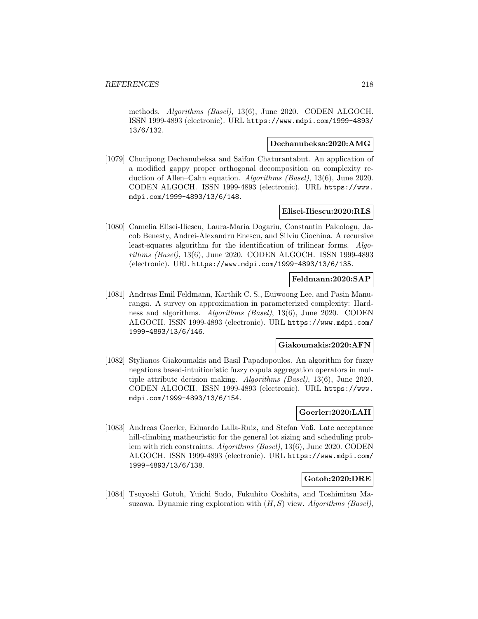methods. Algorithms (Basel), 13(6), June 2020. CODEN ALGOCH. ISSN 1999-4893 (electronic). URL https://www.mdpi.com/1999-4893/ 13/6/132.

## **Dechanubeksa:2020:AMG**

[1079] Chutipong Dechanubeksa and Saifon Chaturantabut. An application of a modified gappy proper orthogonal decomposition on complexity reduction of Allen–Cahn equation. Algorithms (Basel), 13(6), June 2020. CODEN ALGOCH. ISSN 1999-4893 (electronic). URL https://www. mdpi.com/1999-4893/13/6/148.

## **Elisei-Iliescu:2020:RLS**

[1080] Camelia Elisei-Iliescu, Laura-Maria Dogariu, Constantin Paleologu, Jacob Benesty, Andrei-Alexandru Enescu, and Silviu Ciochina. A recursive least-squares algorithm for the identification of trilinear forms. Algorithms (Basel), 13(6), June 2020. CODEN ALGOCH. ISSN 1999-4893 (electronic). URL https://www.mdpi.com/1999-4893/13/6/135.

### **Feldmann:2020:SAP**

[1081] Andreas Emil Feldmann, Karthik C. S., Euiwoong Lee, and Pasin Manurangsi. A survey on approximation in parameterized complexity: Hardness and algorithms. Algorithms (Basel), 13(6), June 2020. CODEN ALGOCH. ISSN 1999-4893 (electronic). URL https://www.mdpi.com/ 1999-4893/13/6/146.

#### **Giakoumakis:2020:AFN**

[1082] Stylianos Giakoumakis and Basil Papadopoulos. An algorithm for fuzzy negations based-intuitionistic fuzzy copula aggregation operators in multiple attribute decision making. Algorithms (Basel), 13(6), June 2020. CODEN ALGOCH. ISSN 1999-4893 (electronic). URL https://www. mdpi.com/1999-4893/13/6/154.

# **Goerler:2020:LAH**

[1083] Andreas Goerler, Eduardo Lalla-Ruiz, and Stefan Voß. Late acceptance hill-climbing matheuristic for the general lot sizing and scheduling problem with rich constraints. Algorithms (Basel), 13(6), June 2020. CODEN ALGOCH. ISSN 1999-4893 (electronic). URL https://www.mdpi.com/ 1999-4893/13/6/138.

## **Gotoh:2020:DRE**

[1084] Tsuyoshi Gotoh, Yuichi Sudo, Fukuhito Ooshita, and Toshimitsu Masuzawa. Dynamic ring exploration with  $(H, S)$  view. Algorithms (Basel),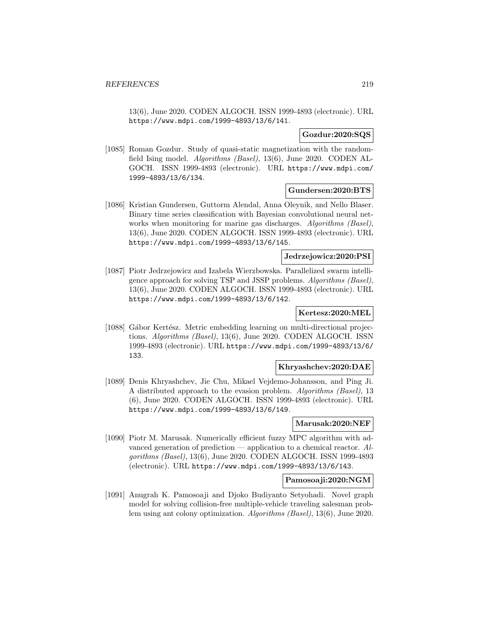13(6), June 2020. CODEN ALGOCH. ISSN 1999-4893 (electronic). URL https://www.mdpi.com/1999-4893/13/6/141.

# **Gozdur:2020:SQS**

[1085] Roman Gozdur. Study of quasi-static magnetization with the randomfield Ising model. Algorithms (Basel), 13(6), June 2020. CODEN AL-GOCH. ISSN 1999-4893 (electronic). URL https://www.mdpi.com/ 1999-4893/13/6/134.

### **Gundersen:2020:BTS**

[1086] Kristian Gundersen, Guttorm Alendal, Anna Oleynik, and Nello Blaser. Binary time series classification with Bayesian convolutional neural networks when monitoring for marine gas discharges. Algorithms (Basel), 13(6), June 2020. CODEN ALGOCH. ISSN 1999-4893 (electronic). URL https://www.mdpi.com/1999-4893/13/6/145.

# **Jedrzejowicz:2020:PSI**

[1087] Piotr Jedrzejowicz and Izabela Wierzbowska. Parallelized swarm intelligence approach for solving TSP and JSSP problems. Algorithms (Basel), 13(6), June 2020. CODEN ALGOCH. ISSN 1999-4893 (electronic). URL https://www.mdpi.com/1999-4893/13/6/142.

## **Kertesz:2020:MEL**

[1088] Gábor Kertész. Metric embedding learning on multi-directional projections. Algorithms (Basel), 13(6), June 2020. CODEN ALGOCH. ISSN 1999-4893 (electronic). URL https://www.mdpi.com/1999-4893/13/6/ 133.

## **Khryashchev:2020:DAE**

[1089] Denis Khryashchev, Jie Chu, Mikael Vejdemo-Johansson, and Ping Ji. A distributed approach to the evasion problem. Algorithms (Basel), 13 (6), June 2020. CODEN ALGOCH. ISSN 1999-4893 (electronic). URL https://www.mdpi.com/1999-4893/13/6/149.

### **Marusak:2020:NEF**

[1090] Piotr M. Marusak. Numerically efficient fuzzy MPC algorithm with advanced generation of prediction — application to a chemical reactor. Algorithms (Basel), 13(6), June 2020. CODEN ALGOCH. ISSN 1999-4893 (electronic). URL https://www.mdpi.com/1999-4893/13/6/143.

## **Pamosoaji:2020:NGM**

[1091] Anugrah K. Pamosoaji and Djoko Budiyanto Setyohadi. Novel graph model for solving collision-free multiple-vehicle traveling salesman problem using ant colony optimization. Algorithms (Basel), 13(6), June 2020.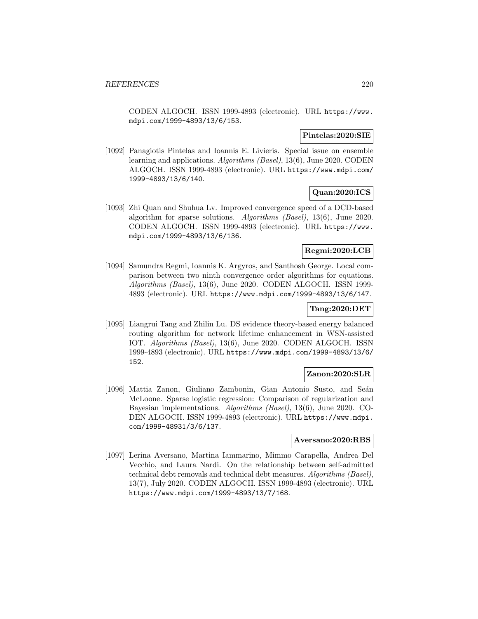CODEN ALGOCH. ISSN 1999-4893 (electronic). URL https://www. mdpi.com/1999-4893/13/6/153.

### **Pintelas:2020:SIE**

[1092] Panagiotis Pintelas and Ioannis E. Livieris. Special issue on ensemble learning and applications. Algorithms (Basel), 13(6), June 2020. CODEN ALGOCH. ISSN 1999-4893 (electronic). URL https://www.mdpi.com/ 1999-4893/13/6/140.

# **Quan:2020:ICS**

[1093] Zhi Quan and Shuhua Lv. Improved convergence speed of a DCD-based algorithm for sparse solutions. Algorithms (Basel), 13(6), June 2020. CODEN ALGOCH. ISSN 1999-4893 (electronic). URL https://www. mdpi.com/1999-4893/13/6/136.

## **Regmi:2020:LCB**

[1094] Samundra Regmi, Ioannis K. Argyros, and Santhosh George. Local comparison between two ninth convergence order algorithms for equations. Algorithms (Basel), 13(6), June 2020. CODEN ALGOCH. ISSN 1999- 4893 (electronic). URL https://www.mdpi.com/1999-4893/13/6/147.

# **Tang:2020:DET**

[1095] Liangrui Tang and Zhilin Lu. DS evidence theory-based energy balanced routing algorithm for network lifetime enhancement in WSN-assisted IOT. Algorithms (Basel), 13(6), June 2020. CODEN ALGOCH. ISSN 1999-4893 (electronic). URL https://www.mdpi.com/1999-4893/13/6/ 152.

# **Zanon:2020:SLR**

[1096] Mattia Zanon, Giuliano Zambonin, Gian Antonio Susto, and Seán McLoone. Sparse logistic regression: Comparison of regularization and Bayesian implementations. Algorithms (Basel), 13(6), June 2020. CO-DEN ALGOCH. ISSN 1999-4893 (electronic). URL https://www.mdpi. com/1999-48931/3/6/137.

# **Aversano:2020:RBS**

[1097] Lerina Aversano, Martina Iammarino, Mimmo Carapella, Andrea Del Vecchio, and Laura Nardi. On the relationship between self-admitted technical debt removals and technical debt measures. Algorithms (Basel), 13(7), July 2020. CODEN ALGOCH. ISSN 1999-4893 (electronic). URL https://www.mdpi.com/1999-4893/13/7/168.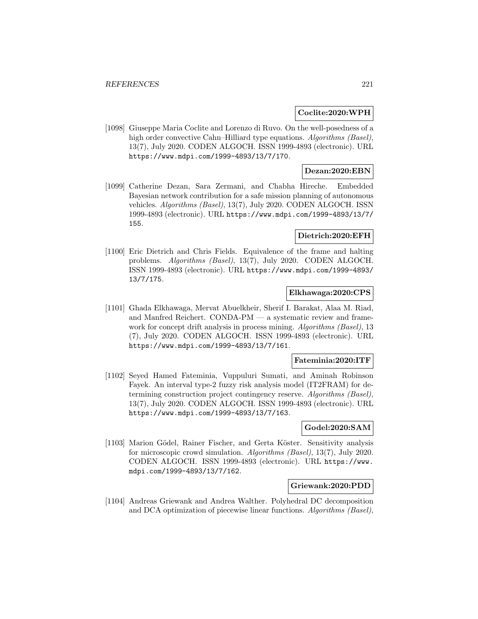### **Coclite:2020:WPH**

[1098] Giuseppe Maria Coclite and Lorenzo di Ruvo. On the well-posedness of a high order convective Cahn–Hilliard type equations. Algorithms (Basel), 13(7), July 2020. CODEN ALGOCH. ISSN 1999-4893 (electronic). URL https://www.mdpi.com/1999-4893/13/7/170.

## **Dezan:2020:EBN**

[1099] Catherine Dezan, Sara Zermani, and Chabha Hireche. Embedded Bayesian network contribution for a safe mission planning of autonomous vehicles. Algorithms (Basel), 13(7), July 2020. CODEN ALGOCH. ISSN 1999-4893 (electronic). URL https://www.mdpi.com/1999-4893/13/7/ 155.

# **Dietrich:2020:EFH**

[1100] Eric Dietrich and Chris Fields. Equivalence of the frame and halting problems. Algorithms (Basel), 13(7), July 2020. CODEN ALGOCH. ISSN 1999-4893 (electronic). URL https://www.mdpi.com/1999-4893/ 13/7/175.

## **Elkhawaga:2020:CPS**

[1101] Ghada Elkhawaga, Mervat Abuelkheir, Sherif I. Barakat, Alaa M. Riad, and Manfred Reichert. CONDA-PM — a systematic review and framework for concept drift analysis in process mining. Algorithms (Basel), 13 (7), July 2020. CODEN ALGOCH. ISSN 1999-4893 (electronic). URL https://www.mdpi.com/1999-4893/13/7/161.

## **Fateminia:2020:ITF**

[1102] Seyed Hamed Fateminia, Vuppuluri Sumati, and Aminah Robinson Fayek. An interval type-2 fuzzy risk analysis model (IT2FRAM) for determining construction project contingency reserve. Algorithms (Basel), 13(7), July 2020. CODEN ALGOCH. ISSN 1999-4893 (electronic). URL https://www.mdpi.com/1999-4893/13/7/163.

#### **Godel:2020:SAM**

[1103] Marion Gödel, Rainer Fischer, and Gerta Köster. Sensitivity analysis for microscopic crowd simulation. Algorithms (Basel), 13(7), July 2020. CODEN ALGOCH. ISSN 1999-4893 (electronic). URL https://www. mdpi.com/1999-4893/13/7/162.

#### **Griewank:2020:PDD**

[1104] Andreas Griewank and Andrea Walther. Polyhedral DC decomposition and DCA optimization of piecewise linear functions. Algorithms (Basel),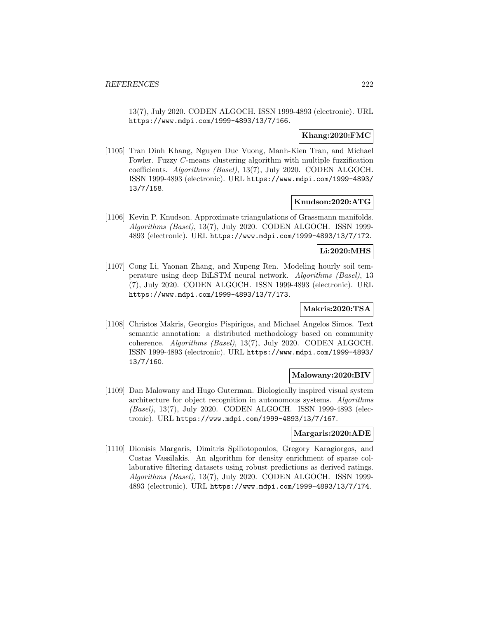13(7), July 2020. CODEN ALGOCH. ISSN 1999-4893 (electronic). URL https://www.mdpi.com/1999-4893/13/7/166.

## **Khang:2020:FMC**

[1105] Tran Dinh Khang, Nguyen Duc Vuong, Manh-Kien Tran, and Michael Fowler. Fuzzy C-means clustering algorithm with multiple fuzzification coefficients. Algorithms (Basel), 13(7), July 2020. CODEN ALGOCH. ISSN 1999-4893 (electronic). URL https://www.mdpi.com/1999-4893/ 13/7/158.

### **Knudson:2020:ATG**

[1106] Kevin P. Knudson. Approximate triangulations of Grassmann manifolds. Algorithms (Basel), 13(7), July 2020. CODEN ALGOCH. ISSN 1999- 4893 (electronic). URL https://www.mdpi.com/1999-4893/13/7/172.

#### **Li:2020:MHS**

[1107] Cong Li, Yaonan Zhang, and Xupeng Ren. Modeling hourly soil temperature using deep BiLSTM neural network. Algorithms (Basel), 13 (7), July 2020. CODEN ALGOCH. ISSN 1999-4893 (electronic). URL https://www.mdpi.com/1999-4893/13/7/173.

## **Makris:2020:TSA**

[1108] Christos Makris, Georgios Pispirigos, and Michael Angelos Simos. Text semantic annotation: a distributed methodology based on community coherence. Algorithms (Basel), 13(7), July 2020. CODEN ALGOCH. ISSN 1999-4893 (electronic). URL https://www.mdpi.com/1999-4893/ 13/7/160.

## **Malowany:2020:BIV**

[1109] Dan Malowany and Hugo Guterman. Biologically inspired visual system architecture for object recognition in autonomous systems. Algorithms (Basel), 13(7), July 2020. CODEN ALGOCH. ISSN 1999-4893 (electronic). URL https://www.mdpi.com/1999-4893/13/7/167.

## **Margaris:2020:ADE**

[1110] Dionisis Margaris, Dimitris Spiliotopoulos, Gregory Karagiorgos, and Costas Vassilakis. An algorithm for density enrichment of sparse collaborative filtering datasets using robust predictions as derived ratings. Algorithms (Basel), 13(7), July 2020. CODEN ALGOCH. ISSN 1999- 4893 (electronic). URL https://www.mdpi.com/1999-4893/13/7/174.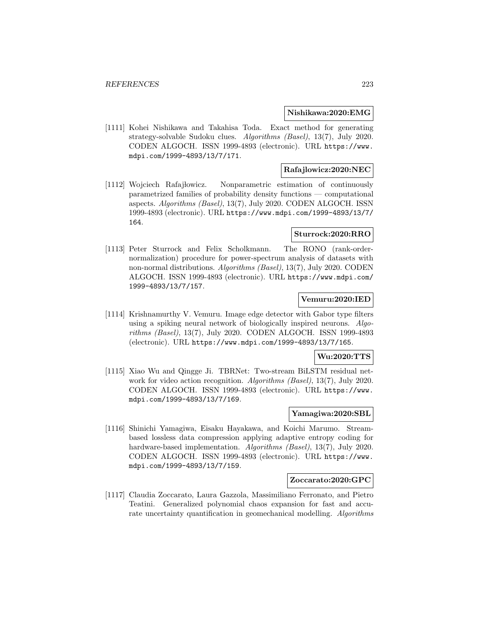### **Nishikawa:2020:EMG**

[1111] Kohei Nishikawa and Takahisa Toda. Exact method for generating strategy-solvable Sudoku clues. Algorithms (Basel), 13(7), July 2020. CODEN ALGOCH. ISSN 1999-4893 (electronic). URL https://www. mdpi.com/1999-4893/13/7/171.

# **Rafajlowicz:2020:NEC**

[1112] Wojciech Rafajłowicz. Nonparametric estimation of continuously parametrized families of probability density functions — computational aspects. Algorithms (Basel), 13(7), July 2020. CODEN ALGOCH. ISSN 1999-4893 (electronic). URL https://www.mdpi.com/1999-4893/13/7/ 164.

## **Sturrock:2020:RRO**

[1113] Peter Sturrock and Felix Scholkmann. The RONO (rank-ordernormalization) procedure for power-spectrum analysis of datasets with non-normal distributions. Algorithms (Basel), 13(7), July 2020. CODEN ALGOCH. ISSN 1999-4893 (electronic). URL https://www.mdpi.com/ 1999-4893/13/7/157.

# **Vemuru:2020:IED**

[1114] Krishnamurthy V. Vemuru. Image edge detector with Gabor type filters using a spiking neural network of biologically inspired neurons. Algorithms (Basel), 13(7), July 2020. CODEN ALGOCH. ISSN 1999-4893 (electronic). URL https://www.mdpi.com/1999-4893/13/7/165.

## **Wu:2020:TTS**

[1115] Xiao Wu and Qingge Ji. TBRNet: Two-stream BiLSTM residual network for video action recognition. Algorithms (Basel), 13(7), July 2020. CODEN ALGOCH. ISSN 1999-4893 (electronic). URL https://www. mdpi.com/1999-4893/13/7/169.

# **Yamagiwa:2020:SBL**

[1116] Shinichi Yamagiwa, Eisaku Hayakawa, and Koichi Marumo. Streambased lossless data compression applying adaptive entropy coding for hardware-based implementation. Algorithms (Basel), 13(7), July 2020. CODEN ALGOCH. ISSN 1999-4893 (electronic). URL https://www. mdpi.com/1999-4893/13/7/159.

### **Zoccarato:2020:GPC**

[1117] Claudia Zoccarato, Laura Gazzola, Massimiliano Ferronato, and Pietro Teatini. Generalized polynomial chaos expansion for fast and accurate uncertainty quantification in geomechanical modelling. Algorithms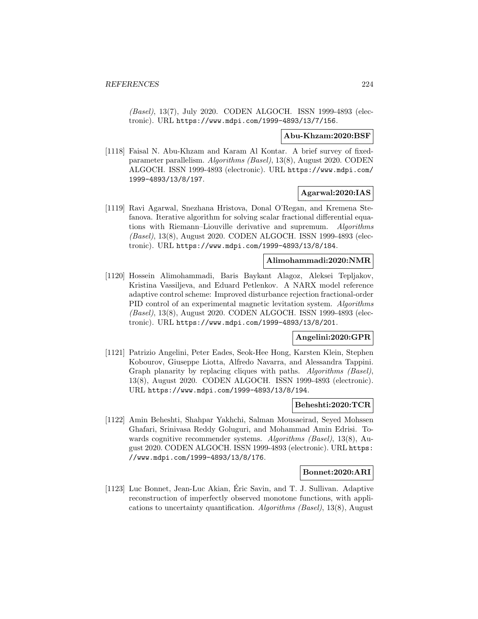(Basel), 13(7), July 2020. CODEN ALGOCH. ISSN 1999-4893 (electronic). URL https://www.mdpi.com/1999-4893/13/7/156.

#### **Abu-Khzam:2020:BSF**

[1118] Faisal N. Abu-Khzam and Karam Al Kontar. A brief survey of fixedparameter parallelism. Algorithms (Basel), 13(8), August 2020. CODEN ALGOCH. ISSN 1999-4893 (electronic). URL https://www.mdpi.com/ 1999-4893/13/8/197.

# **Agarwal:2020:IAS**

[1119] Ravi Agarwal, Snezhana Hristova, Donal O'Regan, and Kremena Stefanova. Iterative algorithm for solving scalar fractional differential equations with Riemann–Liouville derivative and supremum. Algorithms (Basel), 13(8), August 2020. CODEN ALGOCH. ISSN 1999-4893 (electronic). URL https://www.mdpi.com/1999-4893/13/8/184.

## **Alimohammadi:2020:NMR**

[1120] Hossein Alimohammadi, Baris Baykant Alagoz, Aleksei Tepljakov, Kristina Vassiljeva, and Eduard Petlenkov. A NARX model reference adaptive control scheme: Improved disturbance rejection fractional-order PID control of an experimental magnetic levitation system. Algorithms (Basel), 13(8), August 2020. CODEN ALGOCH. ISSN 1999-4893 (electronic). URL https://www.mdpi.com/1999-4893/13/8/201.

## **Angelini:2020:GPR**

[1121] Patrizio Angelini, Peter Eades, Seok-Hee Hong, Karsten Klein, Stephen Kobourov, Giuseppe Liotta, Alfredo Navarra, and Alessandra Tappini. Graph planarity by replacing cliques with paths. Algorithms (Basel), 13(8), August 2020. CODEN ALGOCH. ISSN 1999-4893 (electronic). URL https://www.mdpi.com/1999-4893/13/8/194.

### **Beheshti:2020:TCR**

[1122] Amin Beheshti, Shahpar Yakhchi, Salman Mousaeirad, Seyed Mohssen Ghafari, Srinivasa Reddy Goluguri, and Mohammad Amin Edrisi. Towards cognitive recommender systems. Algorithms (Basel), 13(8), August 2020. CODEN ALGOCH. ISSN 1999-4893 (electronic). URL https: //www.mdpi.com/1999-4893/13/8/176.

#### **Bonnet:2020:ARI**

[1123] Luc Bonnet, Jean-Luc Akian, Eric Savin, and T. J. Sullivan. Adaptive ´ reconstruction of imperfectly observed monotone functions, with applications to uncertainty quantification. Algorithms (Basel), 13(8), August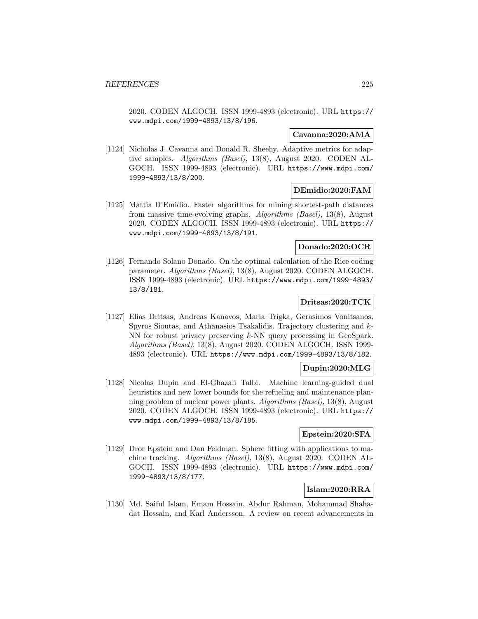2020. CODEN ALGOCH. ISSN 1999-4893 (electronic). URL https:// www.mdpi.com/1999-4893/13/8/196.

# **Cavanna:2020:AMA**

[1124] Nicholas J. Cavanna and Donald R. Sheehy. Adaptive metrics for adaptive samples. Algorithms (Basel), 13(8), August 2020. CODEN AL-GOCH. ISSN 1999-4893 (electronic). URL https://www.mdpi.com/ 1999-4893/13/8/200.

### **DEmidio:2020:FAM**

[1125] Mattia D'Emidio. Faster algorithms for mining shortest-path distances from massive time-evolving graphs. Algorithms (Basel), 13(8), August 2020. CODEN ALGOCH. ISSN 1999-4893 (electronic). URL https:// www.mdpi.com/1999-4893/13/8/191.

### **Donado:2020:OCR**

[1126] Fernando Solano Donado. On the optimal calculation of the Rice coding parameter. Algorithms (Basel), 13(8), August 2020. CODEN ALGOCH. ISSN 1999-4893 (electronic). URL https://www.mdpi.com/1999-4893/ 13/8/181.

### **Dritsas:2020:TCK**

[1127] Elias Dritsas, Andreas Kanavos, Maria Trigka, Gerasimos Vonitsanos, Spyros Sioutas, and Athanasios Tsakalidis. Trajectory clustering and k-NN for robust privacy preserving k-NN query processing in GeoSpark. Algorithms (Basel), 13(8), August 2020. CODEN ALGOCH. ISSN 1999- 4893 (electronic). URL https://www.mdpi.com/1999-4893/13/8/182.

# **Dupin:2020:MLG**

[1128] Nicolas Dupin and El-Ghazali Talbi. Machine learning-guided dual heuristics and new lower bounds for the refueling and maintenance planning problem of nuclear power plants. Algorithms (Basel), 13(8), August 2020. CODEN ALGOCH. ISSN 1999-4893 (electronic). URL https:// www.mdpi.com/1999-4893/13/8/185.

### **Epstein:2020:SFA**

[1129] Dror Epstein and Dan Feldman. Sphere fitting with applications to machine tracking. Algorithms (Basel), 13(8), August 2020. CODEN AL-GOCH. ISSN 1999-4893 (electronic). URL https://www.mdpi.com/ 1999-4893/13/8/177.

# **Islam:2020:RRA**

[1130] Md. Saiful Islam, Emam Hossain, Abdur Rahman, Mohammad Shahadat Hossain, and Karl Andersson. A review on recent advancements in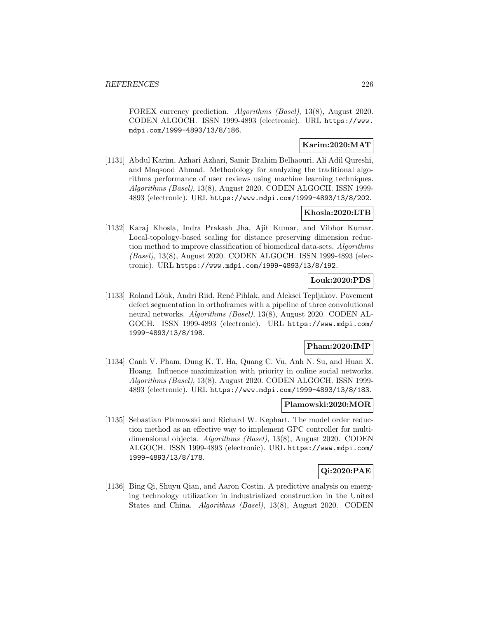FOREX currency prediction. Algorithms (Basel), 13(8), August 2020. CODEN ALGOCH. ISSN 1999-4893 (electronic). URL https://www. mdpi.com/1999-4893/13/8/186.

# **Karim:2020:MAT**

[1131] Abdul Karim, Azhari Azhari, Samir Brahim Belhaouri, Ali Adil Qureshi, and Maqsood Ahmad. Methodology for analyzing the traditional algorithms performance of user reviews using machine learning techniques. Algorithms (Basel), 13(8), August 2020. CODEN ALGOCH. ISSN 1999- 4893 (electronic). URL https://www.mdpi.com/1999-4893/13/8/202.

# **Khosla:2020:LTB**

[1132] Karaj Khosla, Indra Prakash Jha, Ajit Kumar, and Vibhor Kumar. Local-topology-based scaling for distance preserving dimension reduction method to improve classification of biomedical data-sets. Algorithms (Basel), 13(8), August 2020. CODEN ALGOCH. ISSN 1999-4893 (electronic). URL https://www.mdpi.com/1999-4893/13/8/192.

## **Louk:2020:PDS**

[1133] Roland Lõuk, Andri Riid, René Pihlak, and Aleksei Tepljakov. Pavement defect segmentation in orthoframes with a pipeline of three convolutional neural networks. Algorithms (Basel), 13(8), August 2020. CODEN AL-GOCH. ISSN 1999-4893 (electronic). URL https://www.mdpi.com/ 1999-4893/13/8/198.

## **Pham:2020:IMP**

[1134] Canh V. Pham, Dung K. T. Ha, Quang C. Vu, Anh N. Su, and Huan X. Hoang. Influence maximization with priority in online social networks. Algorithms (Basel), 13(8), August 2020. CODEN ALGOCH. ISSN 1999- 4893 (electronic). URL https://www.mdpi.com/1999-4893/13/8/183.

### **Plamowski:2020:MOR**

[1135] Sebastian Plamowski and Richard W. Kephart. The model order reduction method as an effective way to implement GPC controller for multidimensional objects. Algorithms (Basel), 13(8), August 2020. CODEN ALGOCH. ISSN 1999-4893 (electronic). URL https://www.mdpi.com/ 1999-4893/13/8/178.

# **Qi:2020:PAE**

[1136] Bing Qi, Shuyu Qian, and Aaron Costin. A predictive analysis on emerging technology utilization in industrialized construction in the United States and China. Algorithms (Basel), 13(8), August 2020. CODEN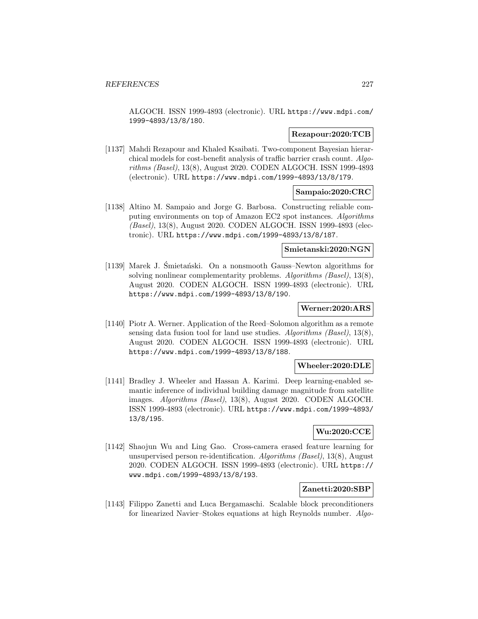ALGOCH. ISSN 1999-4893 (electronic). URL https://www.mdpi.com/ 1999-4893/13/8/180.

## **Rezapour:2020:TCB**

[1137] Mahdi Rezapour and Khaled Ksaibati. Two-component Bayesian hierarchical models for cost-benefit analysis of traffic barrier crash count. Algorithms (Basel), 13(8), August 2020. CODEN ALGOCH. ISSN 1999-4893 (electronic). URL https://www.mdpi.com/1999-4893/13/8/179.

## **Sampaio:2020:CRC**

[1138] Altino M. Sampaio and Jorge G. Barbosa. Constructing reliable computing environments on top of Amazon EC2 spot instances. Algorithms (Basel), 13(8), August 2020. CODEN ALGOCH. ISSN 1999-4893 (electronic). URL https://www.mdpi.com/1999-4893/13/8/187.

## **Smietanski:2020:NGN**

[1139] Marek J. Śmietański. On a nonsmooth Gauss–Newton algorithms for solving nonlinear complementarity problems. Algorithms (Basel), 13(8), August 2020. CODEN ALGOCH. ISSN 1999-4893 (electronic). URL https://www.mdpi.com/1999-4893/13/8/190.

## **Werner:2020:ARS**

[1140] Piotr A. Werner. Application of the Reed–Solomon algorithm as a remote sensing data fusion tool for land use studies. Algorithms (Basel), 13(8), August 2020. CODEN ALGOCH. ISSN 1999-4893 (electronic). URL https://www.mdpi.com/1999-4893/13/8/188.

## **Wheeler:2020:DLE**

[1141] Bradley J. Wheeler and Hassan A. Karimi. Deep learning-enabled semantic inference of individual building damage magnitude from satellite images. Algorithms (Basel), 13(8), August 2020. CODEN ALGOCH. ISSN 1999-4893 (electronic). URL https://www.mdpi.com/1999-4893/ 13/8/195.

# **Wu:2020:CCE**

[1142] Shaojun Wu and Ling Gao. Cross-camera erased feature learning for unsupervised person re-identification. Algorithms (Basel), 13(8), August 2020. CODEN ALGOCH. ISSN 1999-4893 (electronic). URL https:// www.mdpi.com/1999-4893/13/8/193.

# **Zanetti:2020:SBP**

[1143] Filippo Zanetti and Luca Bergamaschi. Scalable block preconditioners for linearized Navier–Stokes equations at high Reynolds number. Algo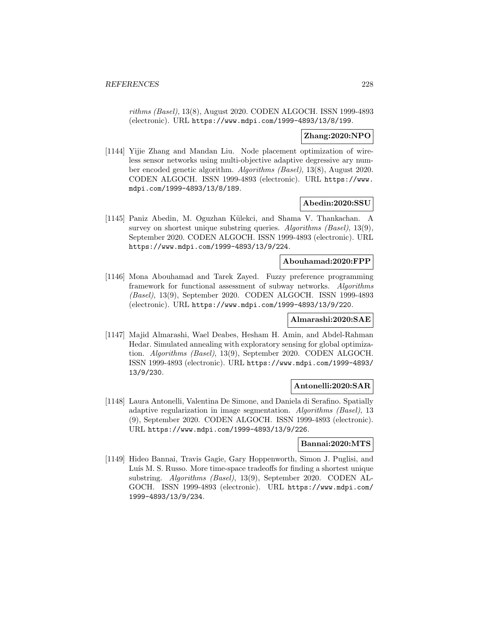rithms (Basel), 13(8), August 2020. CODEN ALGOCH. ISSN 1999-4893 (electronic). URL https://www.mdpi.com/1999-4893/13/8/199.

## **Zhang:2020:NPO**

[1144] Yijie Zhang and Mandan Liu. Node placement optimization of wireless sensor networks using multi-objective adaptive degressive ary number encoded genetic algorithm. Algorithms (Basel), 13(8), August 2020. CODEN ALGOCH. ISSN 1999-4893 (electronic). URL https://www. mdpi.com/1999-4893/13/8/189.

### **Abedin:2020:SSU**

[1145] Paniz Abedin, M. Oguzhan Külekci, and Shama V. Thankachan. A survey on shortest unique substring queries. Algorithms (Basel), 13(9), September 2020. CODEN ALGOCH. ISSN 1999-4893 (electronic). URL https://www.mdpi.com/1999-4893/13/9/224.

### **Abouhamad:2020:FPP**

[1146] Mona Abouhamad and Tarek Zayed. Fuzzy preference programming framework for functional assessment of subway networks. Algorithms (Basel), 13(9), September 2020. CODEN ALGOCH. ISSN 1999-4893 (electronic). URL https://www.mdpi.com/1999-4893/13/9/220.

#### **Almarashi:2020:SAE**

[1147] Majid Almarashi, Wael Deabes, Hesham H. Amin, and Abdel-Rahman Hedar. Simulated annealing with exploratory sensing for global optimization. Algorithms (Basel), 13(9), September 2020. CODEN ALGOCH. ISSN 1999-4893 (electronic). URL https://www.mdpi.com/1999-4893/ 13/9/230.

# **Antonelli:2020:SAR**

[1148] Laura Antonelli, Valentina De Simone, and Daniela di Serafino. Spatially adaptive regularization in image segmentation. Algorithms (Basel), 13 (9), September 2020. CODEN ALGOCH. ISSN 1999-4893 (electronic). URL https://www.mdpi.com/1999-4893/13/9/226.

#### **Bannai:2020:MTS**

[1149] Hideo Bannai, Travis Gagie, Gary Hoppenworth, Simon J. Puglisi, and Luís M. S. Russo. More time-space tradeoffs for finding a shortest unique substring. Algorithms (Basel), 13(9), September 2020. CODEN AL-GOCH. ISSN 1999-4893 (electronic). URL https://www.mdpi.com/ 1999-4893/13/9/234.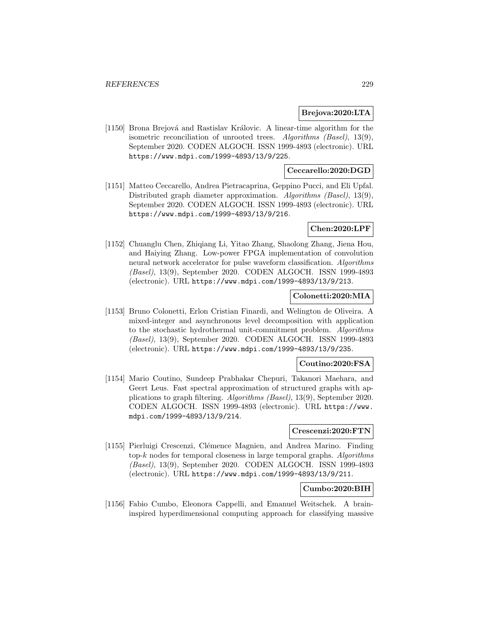## **Brejova:2020:LTA**

[1150] Brona Brejová and Rastislav Královic. A linear-time algorithm for the isometric reconciliation of unrooted trees. Algorithms (Basel), 13(9), September 2020. CODEN ALGOCH. ISSN 1999-4893 (electronic). URL https://www.mdpi.com/1999-4893/13/9/225.

# **Ceccarello:2020:DGD**

[1151] Matteo Ceccarello, Andrea Pietracaprina, Geppino Pucci, and Eli Upfal. Distributed graph diameter approximation. Algorithms (Basel), 13(9), September 2020. CODEN ALGOCH. ISSN 1999-4893 (electronic). URL https://www.mdpi.com/1999-4893/13/9/216.

## **Chen:2020:LPF**

[1152] Chuanglu Chen, Zhiqiang Li, Yitao Zhang, Shaolong Zhang, Jiena Hou, and Haiying Zhang. Low-power FPGA implementation of convolution neural network accelerator for pulse waveform classification. Algorithms (Basel), 13(9), September 2020. CODEN ALGOCH. ISSN 1999-4893 (electronic). URL https://www.mdpi.com/1999-4893/13/9/213.

## **Colonetti:2020:MIA**

[1153] Bruno Colonetti, Erlon Cristian Finardi, and Welington de Oliveira. A mixed-integer and asynchronous level decomposition with application to the stochastic hydrothermal unit-commitment problem. Algorithms (Basel), 13(9), September 2020. CODEN ALGOCH. ISSN 1999-4893 (electronic). URL https://www.mdpi.com/1999-4893/13/9/235.

# **Coutino:2020:FSA**

[1154] Mario Coutino, Sundeep Prabhakar Chepuri, Takanori Maehara, and Geert Leus. Fast spectral approximation of structured graphs with applications to graph filtering. Algorithms (Basel), 13(9), September 2020. CODEN ALGOCH. ISSN 1999-4893 (electronic). URL https://www. mdpi.com/1999-4893/13/9/214.

## **Crescenzi:2020:FTN**

[1155] Pierluigi Crescenzi, Clémence Magnien, and Andrea Marino. Finding top- $k$  nodes for temporal closeness in large temporal graphs. Algorithms (Basel), 13(9), September 2020. CODEN ALGOCH. ISSN 1999-4893 (electronic). URL https://www.mdpi.com/1999-4893/13/9/211.

## **Cumbo:2020:BIH**

[1156] Fabio Cumbo, Eleonora Cappelli, and Emanuel Weitschek. A braininspired hyperdimensional computing approach for classifying massive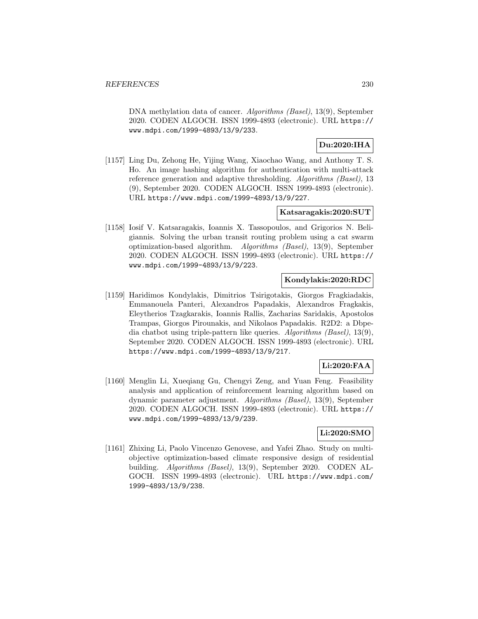DNA methylation data of cancer. Algorithms (Basel), 13(9), September 2020. CODEN ALGOCH. ISSN 1999-4893 (electronic). URL https:// www.mdpi.com/1999-4893/13/9/233.

# **Du:2020:IHA**

[1157] Ling Du, Zehong He, Yijing Wang, Xiaochao Wang, and Anthony T. S. Ho. An image hashing algorithm for authentication with multi-attack reference generation and adaptive thresholding. Algorithms (Basel), 13 (9), September 2020. CODEN ALGOCH. ISSN 1999-4893 (electronic). URL https://www.mdpi.com/1999-4893/13/9/227.

# **Katsaragakis:2020:SUT**

[1158] Iosif V. Katsaragakis, Ioannis X. Tassopoulos, and Grigorios N. Beligiannis. Solving the urban transit routing problem using a cat swarm optimization-based algorithm. Algorithms (Basel), 13(9), September 2020. CODEN ALGOCH. ISSN 1999-4893 (electronic). URL https:// www.mdpi.com/1999-4893/13/9/223.

## **Kondylakis:2020:RDC**

[1159] Haridimos Kondylakis, Dimitrios Tsirigotakis, Giorgos Fragkiadakis, Emmanouela Panteri, Alexandros Papadakis, Alexandros Fragkakis, Eleytherios Tzagkarakis, Ioannis Rallis, Zacharias Saridakis, Apostolos Trampas, Giorgos Pirounakis, and Nikolaos Papadakis. R2D2: a Dbpedia chatbot using triple-pattern like queries. Algorithms (Basel), 13(9), September 2020. CODEN ALGOCH. ISSN 1999-4893 (electronic). URL https://www.mdpi.com/1999-4893/13/9/217.

# **Li:2020:FAA**

[1160] Menglin Li, Xueqiang Gu, Chengyi Zeng, and Yuan Feng. Feasibility analysis and application of reinforcement learning algorithm based on dynamic parameter adjustment. Algorithms (Basel), 13(9), September 2020. CODEN ALGOCH. ISSN 1999-4893 (electronic). URL https:// www.mdpi.com/1999-4893/13/9/239.

# **Li:2020:SMO**

[1161] Zhixing Li, Paolo Vincenzo Genovese, and Yafei Zhao. Study on multiobjective optimization-based climate responsive design of residential building. Algorithms (Basel), 13(9), September 2020. CODEN AL-GOCH. ISSN 1999-4893 (electronic). URL https://www.mdpi.com/ 1999-4893/13/9/238.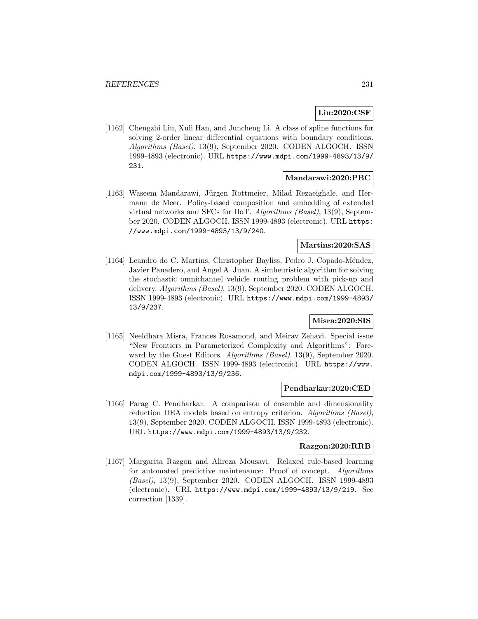# **Liu:2020:CSF**

[1162] Chengzhi Liu, Xuli Han, and Juncheng Li. A class of spline functions for solving 2-order linear differential equations with boundary conditions. Algorithms (Basel), 13(9), September 2020. CODEN ALGOCH. ISSN 1999-4893 (electronic). URL https://www.mdpi.com/1999-4893/13/9/ 231.

## **Mandarawi:2020:PBC**

[1163] Waseem Mandarawi, Jürgen Rottmeier, Milad Rezaeighale, and Hermann de Meer. Policy-based composition and embedding of extended virtual networks and SFCs for IIoT. Algorithms (Basel), 13(9), September 2020. CODEN ALGOCH. ISSN 1999-4893 (electronic). URL https: //www.mdpi.com/1999-4893/13/9/240.

# **Martins:2020:SAS**

[1164] Leandro do C. Martins, Christopher Bayliss, Pedro J. Copado-Méndez, Javier Panadero, and Angel A. Juan. A simheuristic algorithm for solving the stochastic omnichannel vehicle routing problem with pick-up and delivery. Algorithms (Basel), 13(9), September 2020. CODEN ALGOCH. ISSN 1999-4893 (electronic). URL https://www.mdpi.com/1999-4893/ 13/9/237.

# **Misra:2020:SIS**

[1165] Neeldhara Misra, Frances Rosamond, and Meirav Zehavi. Special issue "New Frontiers in Parameterized Complexity and Algorithms": Foreward by the Guest Editors. Algorithms (Basel), 13(9), September 2020. CODEN ALGOCH. ISSN 1999-4893 (electronic). URL https://www. mdpi.com/1999-4893/13/9/236.

#### **Pendharkar:2020:CED**

[1166] Parag C. Pendharkar. A comparison of ensemble and dimensionality reduction DEA models based on entropy criterion. Algorithms (Basel), 13(9), September 2020. CODEN ALGOCH. ISSN 1999-4893 (electronic). URL https://www.mdpi.com/1999-4893/13/9/232.

#### **Razgon:2020:RRB**

[1167] Margarita Razgon and Alireza Mousavi. Relaxed rule-based learning for automated predictive maintenance: Proof of concept. Algorithms (Basel), 13(9), September 2020. CODEN ALGOCH. ISSN 1999-4893 (electronic). URL https://www.mdpi.com/1999-4893/13/9/219. See correction [1339].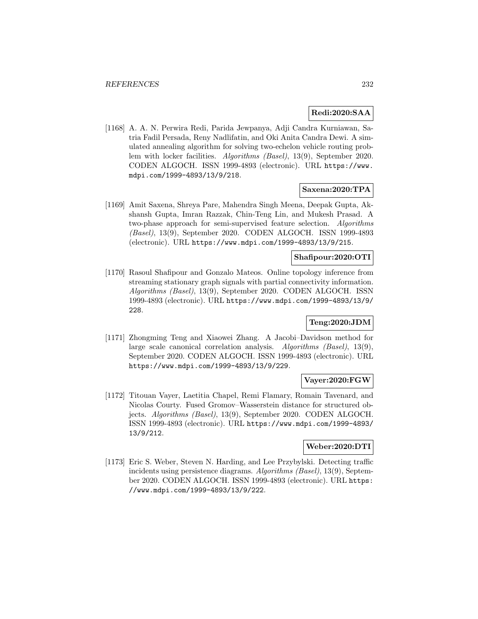# **Redi:2020:SAA**

[1168] A. A. N. Perwira Redi, Parida Jewpanya, Adji Candra Kurniawan, Satria Fadil Persada, Reny Nadlifatin, and Oki Anita Candra Dewi. A simulated annealing algorithm for solving two-echelon vehicle routing problem with locker facilities. Algorithms (Basel), 13(9), September 2020. CODEN ALGOCH. ISSN 1999-4893 (electronic). URL https://www. mdpi.com/1999-4893/13/9/218.

## **Saxena:2020:TPA**

[1169] Amit Saxena, Shreya Pare, Mahendra Singh Meena, Deepak Gupta, Akshansh Gupta, Imran Razzak, Chin-Teng Lin, and Mukesh Prasad. A two-phase approach for semi-supervised feature selection. Algorithms (Basel), 13(9), September 2020. CODEN ALGOCH. ISSN 1999-4893 (electronic). URL https://www.mdpi.com/1999-4893/13/9/215.

# **Shafipour:2020:OTI**

[1170] Rasoul Shafipour and Gonzalo Mateos. Online topology inference from streaming stationary graph signals with partial connectivity information. Algorithms (Basel), 13(9), September 2020. CODEN ALGOCH. ISSN 1999-4893 (electronic). URL https://www.mdpi.com/1999-4893/13/9/ 228.

# **Teng:2020:JDM**

[1171] Zhongming Teng and Xiaowei Zhang. A Jacobi–Davidson method for large scale canonical correlation analysis. Algorithms (Basel), 13(9), September 2020. CODEN ALGOCH. ISSN 1999-4893 (electronic). URL https://www.mdpi.com/1999-4893/13/9/229.

## **Vayer:2020:FGW**

[1172] Titouan Vayer, Laetitia Chapel, Remi Flamary, Romain Tavenard, and Nicolas Courty. Fused Gromov–Wasserstein distance for structured objects. Algorithms (Basel), 13(9), September 2020. CODEN ALGOCH. ISSN 1999-4893 (electronic). URL https://www.mdpi.com/1999-4893/ 13/9/212.

# **Weber:2020:DTI**

[1173] Eric S. Weber, Steven N. Harding, and Lee Przybylski. Detecting traffic incidents using persistence diagrams. Algorithms (Basel), 13(9), September 2020. CODEN ALGOCH. ISSN 1999-4893 (electronic). URL https: //www.mdpi.com/1999-4893/13/9/222.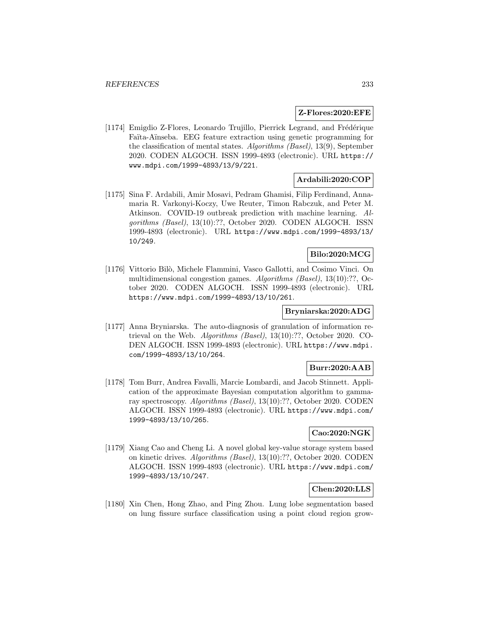### **Z-Flores:2020:EFE**

[1174] Emigdio Z-Flores, Leonardo Trujillo, Pierrick Legrand, and Frédérique Faïta-Aïnseba. EEG feature extraction using genetic programming for the classification of mental states. Algorithms (Basel), 13(9), September 2020. CODEN ALGOCH. ISSN 1999-4893 (electronic). URL https:// www.mdpi.com/1999-4893/13/9/221.

# **Ardabili:2020:COP**

[1175] Sina F. Ardabili, Amir Mosavi, Pedram Ghamisi, Filip Ferdinand, Annamaria R. Varkonyi-Koczy, Uwe Reuter, Timon Rabczuk, and Peter M. Atkinson. COVID-19 outbreak prediction with machine learning. Algorithms (Basel), 13(10):??, October 2020. CODEN ALGOCH. ISSN 1999-4893 (electronic). URL https://www.mdpi.com/1999-4893/13/ 10/249.

## **Bilo:2020:MCG**

[1176] Vittorio Bilò, Michele Flammini, Vasco Gallotti, and Cosimo Vinci. On multidimensional congestion games. Algorithms (Basel), 13(10):??, October 2020. CODEN ALGOCH. ISSN 1999-4893 (electronic). URL https://www.mdpi.com/1999-4893/13/10/261.

## **Bryniarska:2020:ADG**

[1177] Anna Bryniarska. The auto-diagnosis of granulation of information retrieval on the Web. Algorithms (Basel), 13(10):??, October 2020. CO-DEN ALGOCH. ISSN 1999-4893 (electronic). URL https://www.mdpi. com/1999-4893/13/10/264.

# **Burr:2020:AAB**

[1178] Tom Burr, Andrea Favalli, Marcie Lombardi, and Jacob Stinnett. Application of the approximate Bayesian computation algorithm to gammaray spectroscopy. Algorithms (Basel), 13(10):??, October 2020. CODEN ALGOCH. ISSN 1999-4893 (electronic). URL https://www.mdpi.com/ 1999-4893/13/10/265.

# **Cao:2020:NGK**

[1179] Xiang Cao and Cheng Li. A novel global key-value storage system based on kinetic drives. Algorithms (Basel), 13(10):??, October 2020. CODEN ALGOCH. ISSN 1999-4893 (electronic). URL https://www.mdpi.com/ 1999-4893/13/10/247.

# **Chen:2020:LLS**

[1180] Xin Chen, Hong Zhao, and Ping Zhou. Lung lobe segmentation based on lung fissure surface classification using a point cloud region grow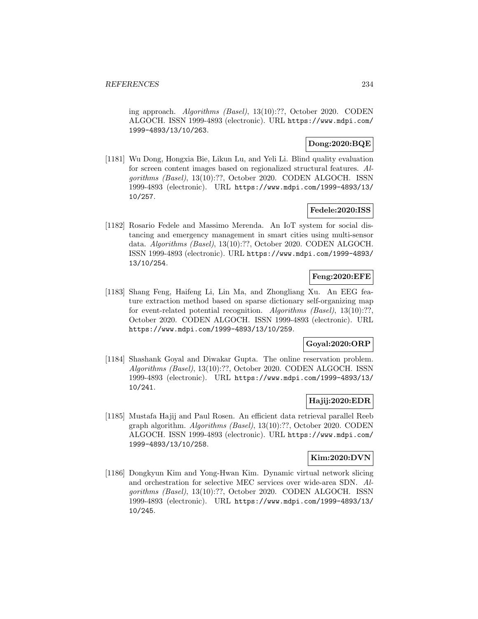ing approach. Algorithms (Basel), 13(10):??, October 2020. CODEN ALGOCH. ISSN 1999-4893 (electronic). URL https://www.mdpi.com/ 1999-4893/13/10/263.

# **Dong:2020:BQE**

[1181] Wu Dong, Hongxia Bie, Likun Lu, and Yeli Li. Blind quality evaluation for screen content images based on regionalized structural features. Algorithms (Basel), 13(10):??, October 2020. CODEN ALGOCH. ISSN 1999-4893 (electronic). URL https://www.mdpi.com/1999-4893/13/ 10/257.

# **Fedele:2020:ISS**

[1182] Rosario Fedele and Massimo Merenda. An IoT system for social distancing and emergency management in smart cities using multi-sensor data. Algorithms (Basel), 13(10):??, October 2020. CODEN ALGOCH. ISSN 1999-4893 (electronic). URL https://www.mdpi.com/1999-4893/ 13/10/254.

# **Feng:2020:EFE**

[1183] Shang Feng, Haifeng Li, Lin Ma, and Zhongliang Xu. An EEG feature extraction method based on sparse dictionary self-organizing map for event-related potential recognition. Algorithms (Basel), 13(10):??, October 2020. CODEN ALGOCH. ISSN 1999-4893 (electronic). URL https://www.mdpi.com/1999-4893/13/10/259.

# **Goyal:2020:ORP**

[1184] Shashank Goyal and Diwakar Gupta. The online reservation problem. Algorithms (Basel), 13(10):??, October 2020. CODEN ALGOCH. ISSN 1999-4893 (electronic). URL https://www.mdpi.com/1999-4893/13/ 10/241.

# **Hajij:2020:EDR**

[1185] Mustafa Hajij and Paul Rosen. An efficient data retrieval parallel Reeb graph algorithm. Algorithms (Basel), 13(10):??, October 2020. CODEN ALGOCH. ISSN 1999-4893 (electronic). URL https://www.mdpi.com/ 1999-4893/13/10/258.

## **Kim:2020:DVN**

[1186] Dongkyun Kim and Yong-Hwan Kim. Dynamic virtual network slicing and orchestration for selective MEC services over wide-area SDN. Algorithms (Basel), 13(10):??, October 2020. CODEN ALGOCH. ISSN 1999-4893 (electronic). URL https://www.mdpi.com/1999-4893/13/ 10/245.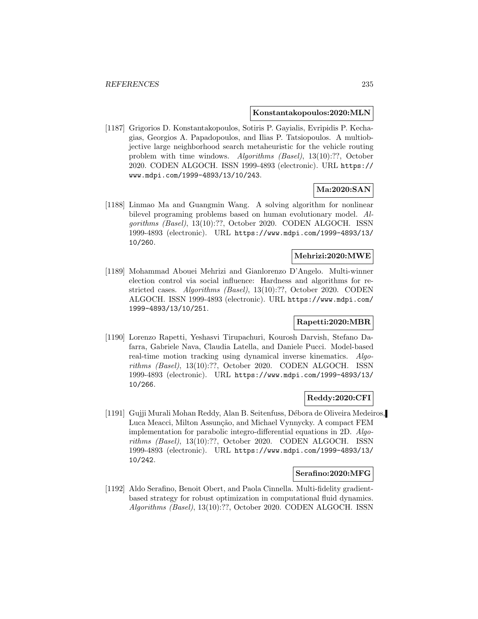#### **Konstantakopoulos:2020:MLN**

[1187] Grigorios D. Konstantakopoulos, Sotiris P. Gayialis, Evripidis P. Kechagias, Georgios A. Papadopoulos, and Ilias P. Tatsiopoulos. A multiobjective large neighborhood search metaheuristic for the vehicle routing problem with time windows. Algorithms (Basel), 13(10):??, October 2020. CODEN ALGOCH. ISSN 1999-4893 (electronic). URL https:// www.mdpi.com/1999-4893/13/10/243.

# **Ma:2020:SAN**

[1188] Linmao Ma and Guangmin Wang. A solving algorithm for nonlinear bilevel programing problems based on human evolutionary model. Algorithms (Basel), 13(10):??, October 2020. CODEN ALGOCH. ISSN 1999-4893 (electronic). URL https://www.mdpi.com/1999-4893/13/ 10/260.

# **Mehrizi:2020:MWE**

[1189] Mohammad Abouei Mehrizi and Gianlorenzo D'Angelo. Multi-winner election control via social influence: Hardness and algorithms for restricted cases. Algorithms (Basel), 13(10):??, October 2020. CODEN ALGOCH. ISSN 1999-4893 (electronic). URL https://www.mdpi.com/ 1999-4893/13/10/251.

# **Rapetti:2020:MBR**

[1190] Lorenzo Rapetti, Yeshasvi Tirupachuri, Kourosh Darvish, Stefano Dafarra, Gabriele Nava, Claudia Latella, and Daniele Pucci. Model-based real-time motion tracking using dynamical inverse kinematics. Algorithms (Basel), 13(10):??, October 2020. CODEN ALGOCH. ISSN 1999-4893 (electronic). URL https://www.mdpi.com/1999-4893/13/ 10/266.

# **Reddy:2020:CFI**

[1191] Gujji Murali Mohan Reddy, Alan B. Seitenfuss, D´ebora de Oliveira Medeiros, Luca Meacci, Milton Assunção, and Michael Vynnycky. A compact FEM implementation for parabolic integro-differential equations in 2D. Algorithms (Basel), 13(10):??, October 2020. CODEN ALGOCH. ISSN 1999-4893 (electronic). URL https://www.mdpi.com/1999-4893/13/ 10/242.

#### **Serafino:2020:MFG**

[1192] Aldo Serafino, Benoit Obert, and Paola Cinnella. Multi-fidelity gradientbased strategy for robust optimization in computational fluid dynamics. Algorithms (Basel), 13(10):??, October 2020. CODEN ALGOCH. ISSN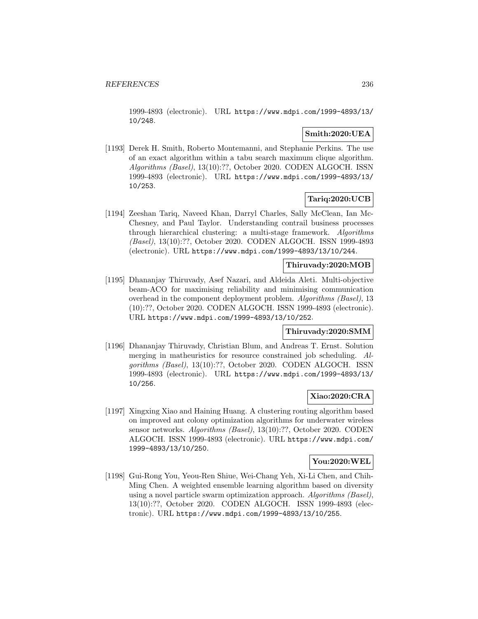1999-4893 (electronic). URL https://www.mdpi.com/1999-4893/13/ 10/248.

# **Smith:2020:UEA**

[1193] Derek H. Smith, Roberto Montemanni, and Stephanie Perkins. The use of an exact algorithm within a tabu search maximum clique algorithm. Algorithms (Basel), 13(10):??, October 2020. CODEN ALGOCH. ISSN 1999-4893 (electronic). URL https://www.mdpi.com/1999-4893/13/ 10/253.

# **Tariq:2020:UCB**

[1194] Zeeshan Tariq, Naveed Khan, Darryl Charles, Sally McClean, Ian Mc-Chesney, and Paul Taylor. Understanding contrail business processes through hierarchical clustering: a multi-stage framework. Algorithms (Basel), 13(10):??, October 2020. CODEN ALGOCH. ISSN 1999-4893 (electronic). URL https://www.mdpi.com/1999-4893/13/10/244.

## **Thiruvady:2020:MOB**

[1195] Dhananjay Thiruvady, Asef Nazari, and Aldeida Aleti. Multi-objective beam-ACO for maximising reliability and minimising communication overhead in the component deployment problem. Algorithms (Basel), 13 (10):??, October 2020. CODEN ALGOCH. ISSN 1999-4893 (electronic). URL https://www.mdpi.com/1999-4893/13/10/252.

## **Thiruvady:2020:SMM**

[1196] Dhananjay Thiruvady, Christian Blum, and Andreas T. Ernst. Solution merging in matheuristics for resource constrained job scheduling. Algorithms (Basel), 13(10):??, October 2020. CODEN ALGOCH. ISSN 1999-4893 (electronic). URL https://www.mdpi.com/1999-4893/13/ 10/256.

## **Xiao:2020:CRA**

[1197] Xingxing Xiao and Haining Huang. A clustering routing algorithm based on improved ant colony optimization algorithms for underwater wireless sensor networks. Algorithms (Basel), 13(10):??, October 2020. CODEN ALGOCH. ISSN 1999-4893 (electronic). URL https://www.mdpi.com/ 1999-4893/13/10/250.

#### **You:2020:WEL**

[1198] Gui-Rong You, Yeou-Ren Shiue, Wei-Chang Yeh, Xi-Li Chen, and Chih-Ming Chen. A weighted ensemble learning algorithm based on diversity using a novel particle swarm optimization approach. Algorithms (Basel), 13(10):??, October 2020. CODEN ALGOCH. ISSN 1999-4893 (electronic). URL https://www.mdpi.com/1999-4893/13/10/255.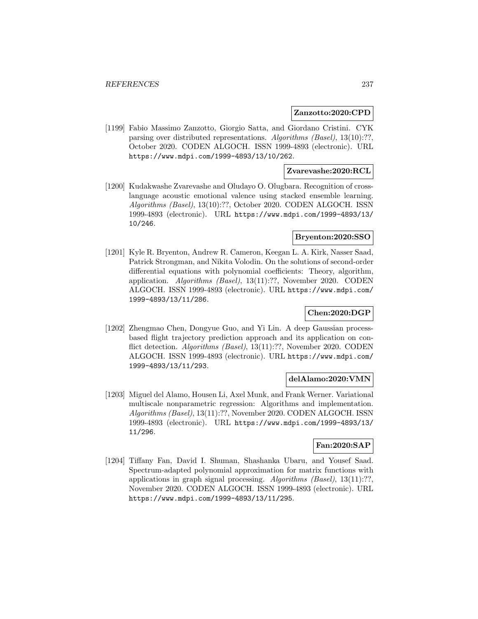### **Zanzotto:2020:CPD**

[1199] Fabio Massimo Zanzotto, Giorgio Satta, and Giordano Cristini. CYK parsing over distributed representations. Algorithms (Basel), 13(10):??, October 2020. CODEN ALGOCH. ISSN 1999-4893 (electronic). URL https://www.mdpi.com/1999-4893/13/10/262.

## **Zvarevashe:2020:RCL**

[1200] Kudakwashe Zvarevashe and Oludayo O. Olugbara. Recognition of crosslanguage acoustic emotional valence using stacked ensemble learning. Algorithms (Basel), 13(10):??, October 2020. CODEN ALGOCH. ISSN 1999-4893 (electronic). URL https://www.mdpi.com/1999-4893/13/ 10/246.

## **Bryenton:2020:SSO**

[1201] Kyle R. Bryenton, Andrew R. Cameron, Keegan L. A. Kirk, Nasser Saad, Patrick Strongman, and Nikita Volodin. On the solutions of second-order differential equations with polynomial coefficients: Theory, algorithm, application. Algorithms (Basel), 13(11):??, November 2020. CODEN ALGOCH. ISSN 1999-4893 (electronic). URL https://www.mdpi.com/ 1999-4893/13/11/286.

# **Chen:2020:DGP**

[1202] Zhengmao Chen, Dongyue Guo, and Yi Lin. A deep Gaussian processbased flight trajectory prediction approach and its application on conflict detection. Algorithms (Basel), 13(11):??, November 2020. CODEN ALGOCH. ISSN 1999-4893 (electronic). URL https://www.mdpi.com/ 1999-4893/13/11/293.

#### **delAlamo:2020:VMN**

[1203] Miguel del Alamo, Housen Li, Axel Munk, and Frank Werner. Variational multiscale nonparametric regression: Algorithms and implementation. Algorithms (Basel), 13(11):??, November 2020. CODEN ALGOCH. ISSN 1999-4893 (electronic). URL https://www.mdpi.com/1999-4893/13/ 11/296.

## **Fan:2020:SAP**

[1204] Tiffany Fan, David I. Shuman, Shashanka Ubaru, and Yousef Saad. Spectrum-adapted polynomial approximation for matrix functions with applications in graph signal processing. Algorithms (Basel),  $13(11):??$ November 2020. CODEN ALGOCH. ISSN 1999-4893 (electronic). URL https://www.mdpi.com/1999-4893/13/11/295.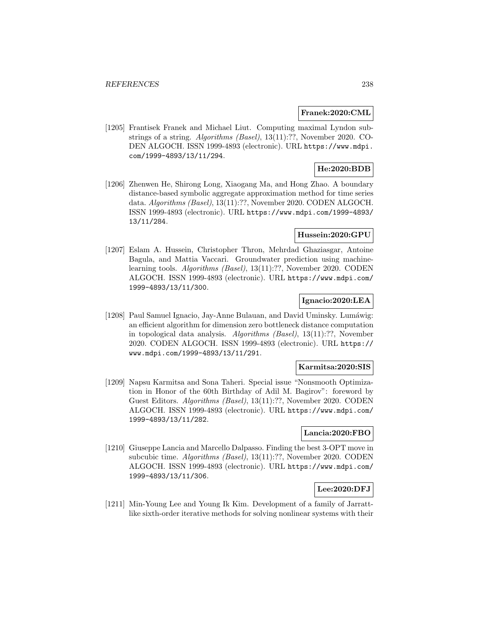#### **Franek:2020:CML**

[1205] Frantisek Franek and Michael Liut. Computing maximal Lyndon substrings of a string. Algorithms (Basel), 13(11):??, November 2020. CO-DEN ALGOCH. ISSN 1999-4893 (electronic). URL https://www.mdpi. com/1999-4893/13/11/294.

# **He:2020:BDB**

[1206] Zhenwen He, Shirong Long, Xiaogang Ma, and Hong Zhao. A boundary distance-based symbolic aggregate approximation method for time series data. Algorithms (Basel), 13(11):??, November 2020. CODEN ALGOCH. ISSN 1999-4893 (electronic). URL https://www.mdpi.com/1999-4893/ 13/11/284.

# **Hussein:2020:GPU**

[1207] Eslam A. Hussein, Christopher Thron, Mehrdad Ghaziasgar, Antoine Bagula, and Mattia Vaccari. Groundwater prediction using machinelearning tools. Algorithms (Basel), 13(11):??, November 2020. CODEN ALGOCH. ISSN 1999-4893 (electronic). URL https://www.mdpi.com/ 1999-4893/13/11/300.

# **Ignacio:2020:LEA**

[1208] Paul Samuel Ignacio, Jay-Anne Bulauan, and David Uminsky. Lumáwig: an efficient algorithm for dimension zero bottleneck distance computation in topological data analysis. Algorithms (Basel), 13(11):??, November 2020. CODEN ALGOCH. ISSN 1999-4893 (electronic). URL https:// www.mdpi.com/1999-4893/13/11/291.

## **Karmitsa:2020:SIS**

[1209] Napsu Karmitsa and Sona Taheri. Special issue "Nonsmooth Optimization in Honor of the 60th Birthday of Adil M. Bagirov": foreword by Guest Editors. Algorithms (Basel), 13(11):??, November 2020. CODEN ALGOCH. ISSN 1999-4893 (electronic). URL https://www.mdpi.com/ 1999-4893/13/11/282.

# **Lancia:2020:FBO**

[1210] Giuseppe Lancia and Marcello Dalpasso. Finding the best 3-OPT move in subcubic time. Algorithms (Basel), 13(11):??, November 2020. CODEN ALGOCH. ISSN 1999-4893 (electronic). URL https://www.mdpi.com/ 1999-4893/13/11/306.

# **Lee:2020:DFJ**

[1211] Min-Young Lee and Young Ik Kim. Development of a family of Jarrattlike sixth-order iterative methods for solving nonlinear systems with their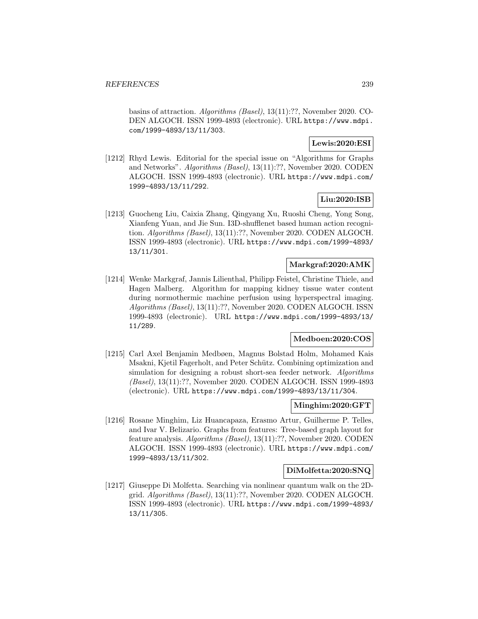basins of attraction. Algorithms (Basel), 13(11):??, November 2020. CO-DEN ALGOCH. ISSN 1999-4893 (electronic). URL https://www.mdpi. com/1999-4893/13/11/303.

# **Lewis:2020:ESI**

[1212] Rhyd Lewis. Editorial for the special issue on "Algorithms for Graphs and Networks". Algorithms (Basel), 13(11):??, November 2020. CODEN ALGOCH. ISSN 1999-4893 (electronic). URL https://www.mdpi.com/ 1999-4893/13/11/292.

# **Liu:2020:ISB**

[1213] Guocheng Liu, Caixia Zhang, Qingyang Xu, Ruoshi Cheng, Yong Song, Xianfeng Yuan, and Jie Sun. I3D-shufflenet based human action recognition. Algorithms (Basel), 13(11):??, November 2020. CODEN ALGOCH. ISSN 1999-4893 (electronic). URL https://www.mdpi.com/1999-4893/ 13/11/301.

## **Markgraf:2020:AMK**

[1214] Wenke Markgraf, Jannis Lilienthal, Philipp Feistel, Christine Thiele, and Hagen Malberg. Algorithm for mapping kidney tissue water content during normothermic machine perfusion using hyperspectral imaging. Algorithms (Basel), 13(11):??, November 2020. CODEN ALGOCH. ISSN 1999-4893 (electronic). URL https://www.mdpi.com/1999-4893/13/ 11/289.

# **Medboen:2020:COS**

[1215] Carl Axel Benjamin Medbøen, Magnus Bolstad Holm, Mohamed Kais Msakni, Kjetil Fagerholt, and Peter Schütz. Combining optimization and simulation for designing a robust short-sea feeder network. Algorithms (Basel), 13(11):??, November 2020. CODEN ALGOCH. ISSN 1999-4893 (electronic). URL https://www.mdpi.com/1999-4893/13/11/304.

#### **Minghim:2020:GFT**

[1216] Rosane Minghim, Liz Huancapaza, Erasmo Artur, Guilherme P. Telles, and Ivar V. Belizario. Graphs from features: Tree-based graph layout for feature analysis. Algorithms (Basel), 13(11):??, November 2020. CODEN ALGOCH. ISSN 1999-4893 (electronic). URL https://www.mdpi.com/ 1999-4893/13/11/302.

### **DiMolfetta:2020:SNQ**

[1217] Giuseppe Di Molfetta. Searching via nonlinear quantum walk on the 2Dgrid. Algorithms (Basel), 13(11):??, November 2020. CODEN ALGOCH. ISSN 1999-4893 (electronic). URL https://www.mdpi.com/1999-4893/ 13/11/305.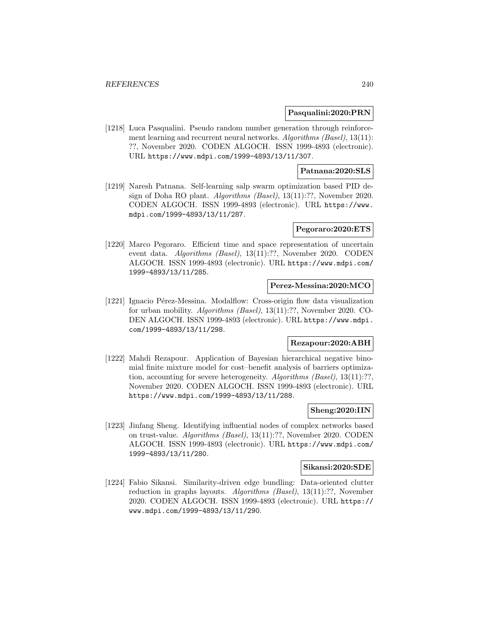#### **Pasqualini:2020:PRN**

[1218] Luca Pasqualini. Pseudo random number generation through reinforcement learning and recurrent neural networks. Algorithms (Basel), 13(11): ??, November 2020. CODEN ALGOCH. ISSN 1999-4893 (electronic). URL https://www.mdpi.com/1999-4893/13/11/307.

## **Patnana:2020:SLS**

[1219] Naresh Patnana. Self-learning salp swarm optimization based PID design of Doha RO plant. Algorithms (Basel), 13(11):??, November 2020. CODEN ALGOCH. ISSN 1999-4893 (electronic). URL https://www. mdpi.com/1999-4893/13/11/287.

#### **Pegoraro:2020:ETS**

[1220] Marco Pegoraro. Efficient time and space representation of uncertain event data. Algorithms (Basel), 13(11):??, November 2020. CODEN ALGOCH. ISSN 1999-4893 (electronic). URL https://www.mdpi.com/ 1999-4893/13/11/285.

## **Perez-Messina:2020:MCO**

[1221] Ignacio Pérez-Messina. Modalflow: Cross-origin flow data visualization for urban mobility. Algorithms (Basel), 13(11):??, November 2020. CO-DEN ALGOCH. ISSN 1999-4893 (electronic). URL https://www.mdpi. com/1999-4893/13/11/298.

# **Rezapour:2020:ABH**

[1222] Mahdi Rezapour. Application of Bayesian hierarchical negative binomial finite mixture model for cost–benefit analysis of barriers optimization, accounting for severe heterogeneity. Algorithms (Basel), 13(11):??, November 2020. CODEN ALGOCH. ISSN 1999-4893 (electronic). URL https://www.mdpi.com/1999-4893/13/11/288.

#### **Sheng:2020:IIN**

[1223] Jinfang Sheng. Identifying influential nodes of complex networks based on trust-value. Algorithms (Basel), 13(11):??, November 2020. CODEN ALGOCH. ISSN 1999-4893 (electronic). URL https://www.mdpi.com/ 1999-4893/13/11/280.

#### **Sikansi:2020:SDE**

[1224] Fabio Sikansi. Similarity-driven edge bundling: Data-oriented clutter reduction in graphs layouts. Algorithms (Basel), 13(11):??, November 2020. CODEN ALGOCH. ISSN 1999-4893 (electronic). URL https:// www.mdpi.com/1999-4893/13/11/290.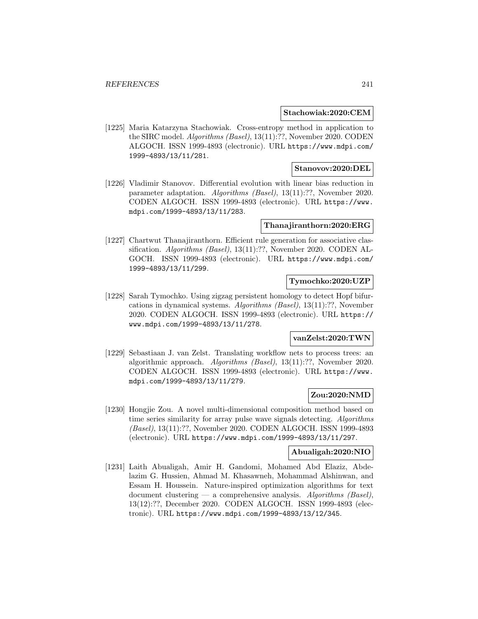#### **Stachowiak:2020:CEM**

[1225] Maria Katarzyna Stachowiak. Cross-entropy method in application to the SIRC model. Algorithms (Basel), 13(11):??, November 2020. CODEN ALGOCH. ISSN 1999-4893 (electronic). URL https://www.mdpi.com/ 1999-4893/13/11/281.

## **Stanovov:2020:DEL**

[1226] Vladimir Stanovov. Differential evolution with linear bias reduction in parameter adaptation. Algorithms (Basel), 13(11):??, November 2020. CODEN ALGOCH. ISSN 1999-4893 (electronic). URL https://www. mdpi.com/1999-4893/13/11/283.

## **Thanajiranthorn:2020:ERG**

[1227] Chartwut Thanajiranthorn. Efficient rule generation for associative classification. Algorithms (Basel), 13(11):??, November 2020. CODEN AL-GOCH. ISSN 1999-4893 (electronic). URL https://www.mdpi.com/ 1999-4893/13/11/299.

# **Tymochko:2020:UZP**

[1228] Sarah Tymochko. Using zigzag persistent homology to detect Hopf bifurcations in dynamical systems. Algorithms (Basel), 13(11):??, November 2020. CODEN ALGOCH. ISSN 1999-4893 (electronic). URL https:// www.mdpi.com/1999-4893/13/11/278.

## **vanZelst:2020:TWN**

[1229] Sebastiaan J. van Zelst. Translating workflow nets to process trees: an algorithmic approach. Algorithms (Basel), 13(11):??, November 2020. CODEN ALGOCH. ISSN 1999-4893 (electronic). URL https://www. mdpi.com/1999-4893/13/11/279.

## **Zou:2020:NMD**

[1230] Hongjie Zou. A novel multi-dimensional composition method based on time series similarity for array pulse wave signals detecting. Algorithms (Basel), 13(11):??, November 2020. CODEN ALGOCH. ISSN 1999-4893 (electronic). URL https://www.mdpi.com/1999-4893/13/11/297.

## **Abualigah:2020:NIO**

[1231] Laith Abualigah, Amir H. Gandomi, Mohamed Abd Elaziz, Abdelazim G. Hussien, Ahmad M. Khasawneh, Mohammad Alshinwan, and Essam H. Houssein. Nature-inspired optimization algorithms for text document clustering — a comprehensive analysis. Algorithms (Basel), 13(12):??, December 2020. CODEN ALGOCH. ISSN 1999-4893 (electronic). URL https://www.mdpi.com/1999-4893/13/12/345.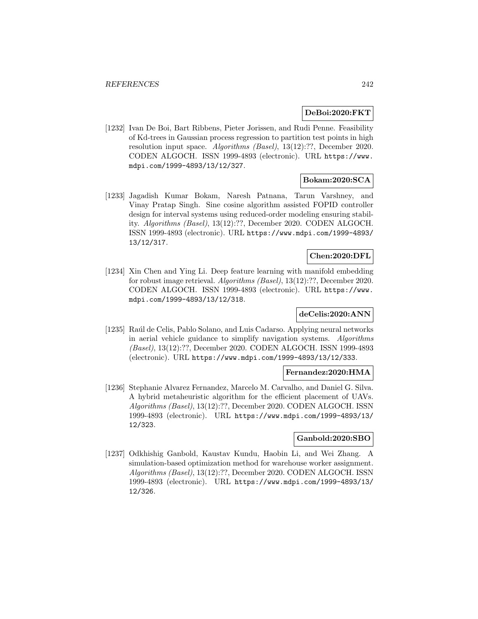## **DeBoi:2020:FKT**

[1232] Ivan De Boi, Bart Ribbens, Pieter Jorissen, and Rudi Penne. Feasibility of Kd-trees in Gaussian process regression to partition test points in high resolution input space. Algorithms (Basel), 13(12):??, December 2020. CODEN ALGOCH. ISSN 1999-4893 (electronic). URL https://www. mdpi.com/1999-4893/13/12/327.

# **Bokam:2020:SCA**

[1233] Jagadish Kumar Bokam, Naresh Patnana, Tarun Varshney, and Vinay Pratap Singh. Sine cosine algorithm assisted FOPID controller design for interval systems using reduced-order modeling ensuring stability. Algorithms (Basel), 13(12):??, December 2020. CODEN ALGOCH. ISSN 1999-4893 (electronic). URL https://www.mdpi.com/1999-4893/ 13/12/317.

# **Chen:2020:DFL**

[1234] Xin Chen and Ying Li. Deep feature learning with manifold embedding for robust image retrieval. Algorithms (Basel), 13(12):??, December 2020. CODEN ALGOCH. ISSN 1999-4893 (electronic). URL https://www. mdpi.com/1999-4893/13/12/318.

# **deCelis:2020:ANN**

[1235] Ra´ul de Celis, Pablo Solano, and Luis Cadarso. Applying neural networks in aerial vehicle guidance to simplify navigation systems. Algorithms (Basel), 13(12):??, December 2020. CODEN ALGOCH. ISSN 1999-4893 (electronic). URL https://www.mdpi.com/1999-4893/13/12/333.

#### **Fernandez:2020:HMA**

[1236] Stephanie Alvarez Fernandez, Marcelo M. Carvalho, and Daniel G. Silva. A hybrid metaheuristic algorithm for the efficient placement of UAVs. Algorithms (Basel), 13(12):??, December 2020. CODEN ALGOCH. ISSN 1999-4893 (electronic). URL https://www.mdpi.com/1999-4893/13/ 12/323.

# **Ganbold:2020:SBO**

[1237] Odkhishig Ganbold, Kaustav Kundu, Haobin Li, and Wei Zhang. A simulation-based optimization method for warehouse worker assignment. Algorithms (Basel), 13(12):??, December 2020. CODEN ALGOCH. ISSN 1999-4893 (electronic). URL https://www.mdpi.com/1999-4893/13/ 12/326.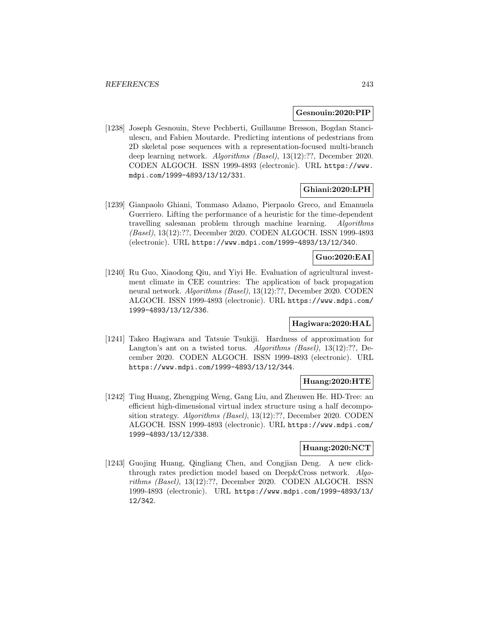### **Gesnouin:2020:PIP**

[1238] Joseph Gesnouin, Steve Pechberti, Guillaume Bresson, Bogdan Stanciulescu, and Fabien Moutarde. Predicting intentions of pedestrians from 2D skeletal pose sequences with a representation-focused multi-branch deep learning network. Algorithms (Basel), 13(12):??, December 2020. CODEN ALGOCH. ISSN 1999-4893 (electronic). URL https://www. mdpi.com/1999-4893/13/12/331.

## **Ghiani:2020:LPH**

[1239] Gianpaolo Ghiani, Tommaso Adamo, Pierpaolo Greco, and Emanuela Guerriero. Lifting the performance of a heuristic for the time-dependent travelling salesman problem through machine learning. Algorithms (Basel), 13(12):??, December 2020. CODEN ALGOCH. ISSN 1999-4893 (electronic). URL https://www.mdpi.com/1999-4893/13/12/340.

# **Guo:2020:EAI**

[1240] Ru Guo, Xiaodong Qiu, and Yiyi He. Evaluation of agricultural investment climate in CEE countries: The application of back propagation neural network. Algorithms (Basel), 13(12):??, December 2020. CODEN ALGOCH. ISSN 1999-4893 (electronic). URL https://www.mdpi.com/ 1999-4893/13/12/336.

# **Hagiwara:2020:HAL**

[1241] Takeo Hagiwara and Tatsuie Tsukiji. Hardness of approximation for Langton's ant on a twisted torus. Algorithms (Basel), 13(12):??, December 2020. CODEN ALGOCH. ISSN 1999-4893 (electronic). URL https://www.mdpi.com/1999-4893/13/12/344.

## **Huang:2020:HTE**

[1242] Ting Huang, Zhengping Weng, Gang Liu, and Zhenwen He. HD-Tree: an efficient high-dimensional virtual index structure using a half decomposition strategy. Algorithms (Basel), 13(12):??, December 2020. CODEN ALGOCH. ISSN 1999-4893 (electronic). URL https://www.mdpi.com/ 1999-4893/13/12/338.

## **Huang:2020:NCT**

[1243] Guojing Huang, Qingliang Chen, and Congjian Deng. A new clickthrough rates prediction model based on Deep&Cross network. Algorithms (Basel), 13(12):??, December 2020. CODEN ALGOCH. ISSN 1999-4893 (electronic). URL https://www.mdpi.com/1999-4893/13/ 12/342.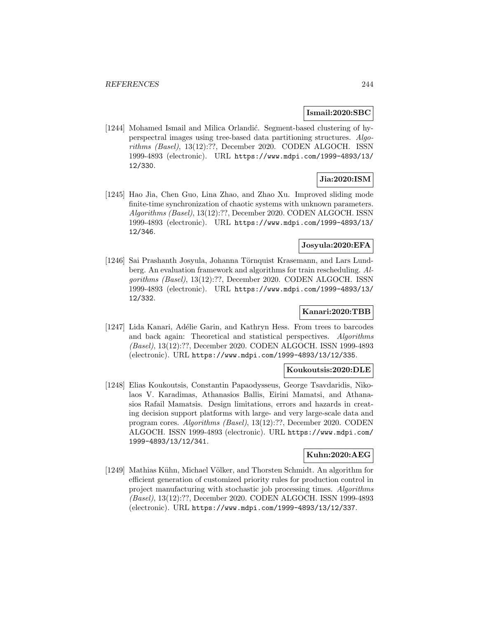## **Ismail:2020:SBC**

[1244] Mohamed Ismail and Milica Orlandić. Segment-based clustering of hyperspectral images using tree-based data partitioning structures. Algorithms (Basel), 13(12):??, December 2020. CODEN ALGOCH. ISSN 1999-4893 (electronic). URL https://www.mdpi.com/1999-4893/13/ 12/330.

# **Jia:2020:ISM**

[1245] Hao Jia, Chen Guo, Lina Zhao, and Zhao Xu. Improved sliding mode finite-time synchronization of chaotic systems with unknown parameters. Algorithms (Basel), 13(12):??, December 2020. CODEN ALGOCH. ISSN 1999-4893 (electronic). URL https://www.mdpi.com/1999-4893/13/ 12/346.

# **Josyula:2020:EFA**

[1246] Sai Prashanth Josyula, Johanna Törnquist Krasemann, and Lars Lundberg. An evaluation framework and algorithms for train rescheduling. Algorithms (Basel), 13(12):??, December 2020. CODEN ALGOCH. ISSN 1999-4893 (electronic). URL https://www.mdpi.com/1999-4893/13/ 12/332.

# **Kanari:2020:TBB**

[1247] Lida Kanari, Adélie Garin, and Kathryn Hess. From trees to barcodes and back again: Theoretical and statistical perspectives. Algorithms (Basel), 13(12):??, December 2020. CODEN ALGOCH. ISSN 1999-4893 (electronic). URL https://www.mdpi.com/1999-4893/13/12/335.

#### **Koukoutsis:2020:DLE**

[1248] Elias Koukoutsis, Constantin Papaodysseus, George Tsavdaridis, Nikolaos V. Karadimas, Athanasios Ballis, Eirini Mamatsi, and Athanasios Rafail Mamatsis. Design limitations, errors and hazards in creating decision support platforms with large- and very large-scale data and program cores. Algorithms (Basel), 13(12):??, December 2020. CODEN ALGOCH. ISSN 1999-4893 (electronic). URL https://www.mdpi.com/ 1999-4893/13/12/341.

## **Kuhn:2020:AEG**

[1249] Mathias Kühn, Michael Völker, and Thorsten Schmidt. An algorithm for efficient generation of customized priority rules for production control in project manufacturing with stochastic job processing times. Algorithms (Basel), 13(12):??, December 2020. CODEN ALGOCH. ISSN 1999-4893 (electronic). URL https://www.mdpi.com/1999-4893/13/12/337.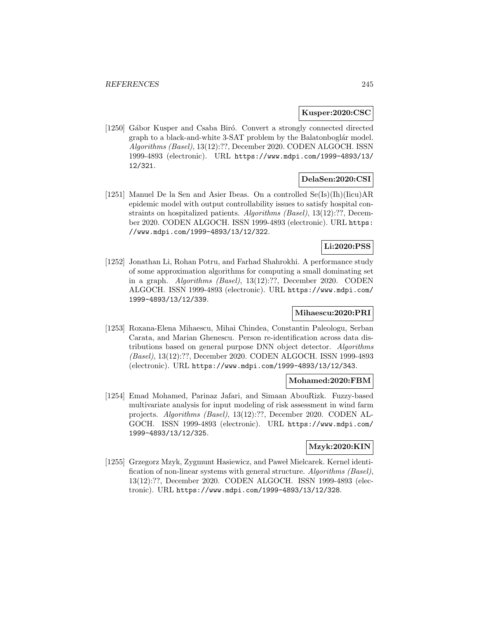### **Kusper:2020:CSC**

[1250] Gábor Kusper and Csaba Biró. Convert a strongly connected directed graph to a black-and-white 3-SAT problem by the Balatonboglár model. Algorithms (Basel), 13(12):??, December 2020. CODEN ALGOCH. ISSN 1999-4893 (electronic). URL https://www.mdpi.com/1999-4893/13/ 12/321.

# **DelaSen:2020:CSI**

[1251] Manuel De la Sen and Asier Ibeas. On a controlled  $Se(Is)(Ih)(Iicu)AR$ epidemic model with output controllability issues to satisfy hospital constraints on hospitalized patients. Algorithms (Basel), 13(12):??, December 2020. CODEN ALGOCH. ISSN 1999-4893 (electronic). URL https: //www.mdpi.com/1999-4893/13/12/322.

# **Li:2020:PSS**

[1252] Jonathan Li, Rohan Potru, and Farhad Shahrokhi. A performance study of some approximation algorithms for computing a small dominating set in a graph. Algorithms (Basel), 13(12):??, December 2020. CODEN ALGOCH. ISSN 1999-4893 (electronic). URL https://www.mdpi.com/ 1999-4893/13/12/339.

# **Mihaescu:2020:PRI**

[1253] Roxana-Elena Mihaescu, Mihai Chindea, Constantin Paleologu, Serban Carata, and Marian Ghenescu. Person re-identification across data distributions based on general purpose DNN object detector. Algorithms (Basel), 13(12):??, December 2020. CODEN ALGOCH. ISSN 1999-4893 (electronic). URL https://www.mdpi.com/1999-4893/13/12/343.

#### **Mohamed:2020:FBM**

[1254] Emad Mohamed, Parinaz Jafari, and Simaan AbouRizk. Fuzzy-based multivariate analysis for input modeling of risk assessment in wind farm projects. Algorithms (Basel), 13(12):??, December 2020. CODEN AL-GOCH. ISSN 1999-4893 (electronic). URL https://www.mdpi.com/ 1999-4893/13/12/325.

# **Mzyk:2020:KIN**

[1255] Grzegorz Mzyk, Zygmunt Hasiewicz, and Pawe l Mielcarek. Kernel identification of non-linear systems with general structure. Algorithms (Basel), 13(12):??, December 2020. CODEN ALGOCH. ISSN 1999-4893 (electronic). URL https://www.mdpi.com/1999-4893/13/12/328.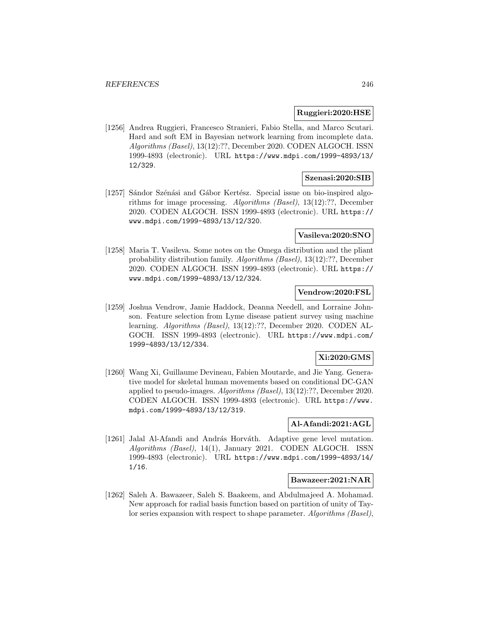## **Ruggieri:2020:HSE**

[1256] Andrea Ruggieri, Francesco Stranieri, Fabio Stella, and Marco Scutari. Hard and soft EM in Bayesian network learning from incomplete data. Algorithms (Basel), 13(12):??, December 2020. CODEN ALGOCH. ISSN 1999-4893 (electronic). URL https://www.mdpi.com/1999-4893/13/ 12/329.

### **Szenasi:2020:SIB**

[1257] Sándor Szénási and Gábor Kertész. Special issue on bio-inspired algorithms for image processing. Algorithms (Basel), 13(12):??, December 2020. CODEN ALGOCH. ISSN 1999-4893 (electronic). URL https:// www.mdpi.com/1999-4893/13/12/320.

# **Vasileva:2020:SNO**

[1258] Maria T. Vasileva. Some notes on the Omega distribution and the pliant probability distribution family. Algorithms (Basel), 13(12):??, December 2020. CODEN ALGOCH. ISSN 1999-4893 (electronic). URL https:// www.mdpi.com/1999-4893/13/12/324.

## **Vendrow:2020:FSL**

[1259] Joshua Vendrow, Jamie Haddock, Deanna Needell, and Lorraine Johnson. Feature selection from Lyme disease patient survey using machine learning. Algorithms (Basel), 13(12):??, December 2020. CODEN AL-GOCH. ISSN 1999-4893 (electronic). URL https://www.mdpi.com/ 1999-4893/13/12/334.

# **Xi:2020:GMS**

[1260] Wang Xi, Guillaume Devineau, Fabien Moutarde, and Jie Yang. Generative model for skeletal human movements based on conditional DC-GAN applied to pseudo-images. Algorithms (Basel), 13(12):??, December 2020. CODEN ALGOCH. ISSN 1999-4893 (electronic). URL https://www. mdpi.com/1999-4893/13/12/319.

### **Al-Afandi:2021:AGL**

[1261] Jalal Al-Afandi and András Horváth. Adaptive gene level mutation. Algorithms (Basel), 14(1), January 2021. CODEN ALGOCH. ISSN 1999-4893 (electronic). URL https://www.mdpi.com/1999-4893/14/ 1/16.

## **Bawazeer:2021:NAR**

[1262] Saleh A. Bawazeer, Saleh S. Baakeem, and Abdulmajeed A. Mohamad. New approach for radial basis function based on partition of unity of Taylor series expansion with respect to shape parameter. Algorithms (Basel),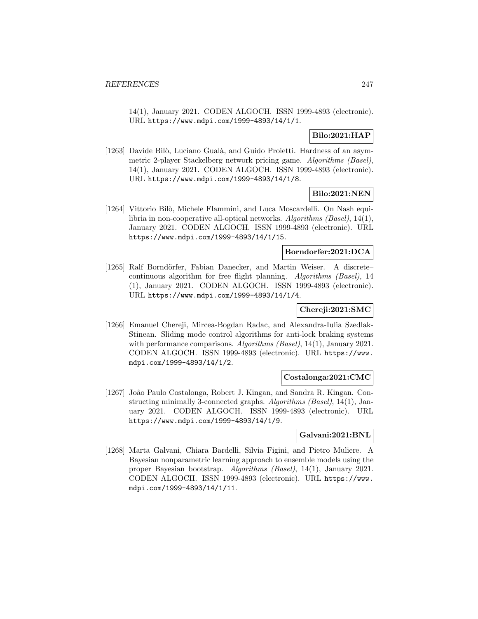14(1), January 2021. CODEN ALGOCH. ISSN 1999-4893 (electronic). URL https://www.mdpi.com/1999-4893/14/1/1.

# **Bilo:2021:HAP**

[1263] Davide Bilò, Luciano Gualà, and Guido Proietti. Hardness of an asymmetric 2-player Stackelberg network pricing game. Algorithms (Basel), 14(1), January 2021. CODEN ALGOCH. ISSN 1999-4893 (electronic). URL https://www.mdpi.com/1999-4893/14/1/8.

# **Bilo:2021:NEN**

[1264] Vittorio Bilò, Michele Flammini, and Luca Moscardelli. On Nash equilibria in non-cooperative all-optical networks. Algorithms (Basel), 14(1), January 2021. CODEN ALGOCH. ISSN 1999-4893 (electronic). URL https://www.mdpi.com/1999-4893/14/1/15.

# **Borndorfer:2021:DCA**

[1265] Ralf Borndörfer, Fabian Danecker, and Martin Weiser. A discretecontinuous algorithm for free flight planning. Algorithms (Basel), 14 (1), January 2021. CODEN ALGOCH. ISSN 1999-4893 (electronic). URL https://www.mdpi.com/1999-4893/14/1/4.

## **Chereji:2021:SMC**

[1266] Emanuel Chereji, Mircea-Bogdan Radac, and Alexandra-Iulia Szedlak-Stinean. Sliding mode control algorithms for anti-lock braking systems with performance comparisons. Algorithms (Basel), 14(1), January 2021. CODEN ALGOCH. ISSN 1999-4893 (electronic). URL https://www. mdpi.com/1999-4893/14/1/2.

#### **Costalonga:2021:CMC**

[1267] Jo˜ao Paulo Costalonga, Robert J. Kingan, and Sandra R. Kingan. Constructing minimally 3-connected graphs. Algorithms (Basel), 14(1), January 2021. CODEN ALGOCH. ISSN 1999-4893 (electronic). URL https://www.mdpi.com/1999-4893/14/1/9.

#### **Galvani:2021:BNL**

[1268] Marta Galvani, Chiara Bardelli, Silvia Figini, and Pietro Muliere. A Bayesian nonparametric learning approach to ensemble models using the proper Bayesian bootstrap. Algorithms (Basel), 14(1), January 2021. CODEN ALGOCH. ISSN 1999-4893 (electronic). URL https://www. mdpi.com/1999-4893/14/1/11.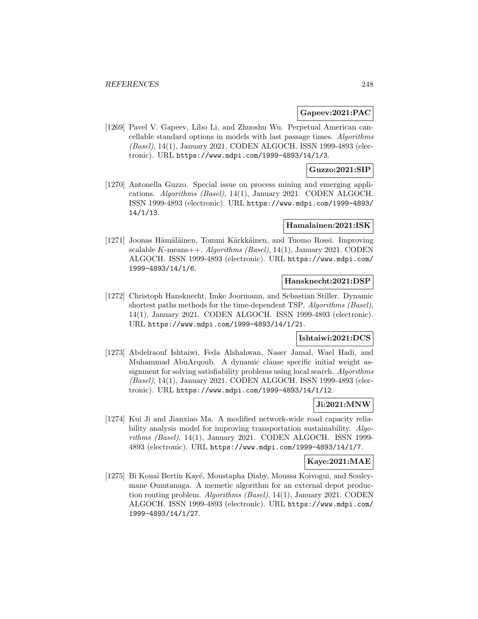### **Gapeev:2021:PAC**

[1269] Pavel V. Gapeev, Libo Li, and Zhuoshu Wu. Perpetual American cancellable standard options in models with last passage times. Algorithms (Basel), 14(1), January 2021. CODEN ALGOCH. ISSN 1999-4893 (electronic). URL https://www.mdpi.com/1999-4893/14/1/3.

## **Guzzo:2021:SIP**

[1270] Antonella Guzzo. Special issue on process mining and emerging applications. Algorithms (Basel), 14(1), January 2021. CODEN ALGOCH. ISSN 1999-4893 (electronic). URL https://www.mdpi.com/1999-4893/ 14/1/13.

## **Hamalainen:2021:ISK**

[1271] Joonas Hämäläinen, Tommi Kärkkäinen, and Tuomo Rossi. Improving scalable K-means++. Algorithms (Basel), 14(1), January 2021. CODEN ALGOCH. ISSN 1999-4893 (electronic). URL https://www.mdpi.com/ 1999-4893/14/1/6.

#### **Hansknecht:2021:DSP**

[1272] Christoph Hansknecht, Imke Joormann, and Sebastian Stiller. Dynamic shortest paths methods for the time-dependent TSP. Algorithms (Basel), 14(1), January 2021. CODEN ALGOCH. ISSN 1999-4893 (electronic). URL https://www.mdpi.com/1999-4893/14/1/21.

## **Ishtaiwi:2021:DCS**

[1273] Abdelraouf Ishtaiwi, Feda Alshahwan, Naser Jamal, Wael Hadi, and Muhammad AbuArqoub. A dynamic clause specific initial weight assignment for solving satisfiability problems using local search. Algorithms (Basel), 14(1), January 2021. CODEN ALGOCH. ISSN 1999-4893 (electronic). URL https://www.mdpi.com/1999-4893/14/1/12.

### **Ji:2021:MNW**

[1274] Kui Ji and Jianxiao Ma. A modified network-wide road capacity reliability analysis model for improving transportation sustainability. Algorithms (Basel), 14(1), January 2021. CODEN ALGOCH. ISSN 1999- 4893 (electronic). URL https://www.mdpi.com/1999-4893/14/1/7.

## **Kaye:2021:MAE**

[1275] Bi Kouaï Bertin Kayé, Moustapha Diaby, Moussa Koivogui, and Souleymane Oumtanaga. A memetic algorithm for an external depot production routing problem. Algorithms (Basel), 14(1), January 2021. CODEN ALGOCH. ISSN 1999-4893 (electronic). URL https://www.mdpi.com/ 1999-4893/14/1/27.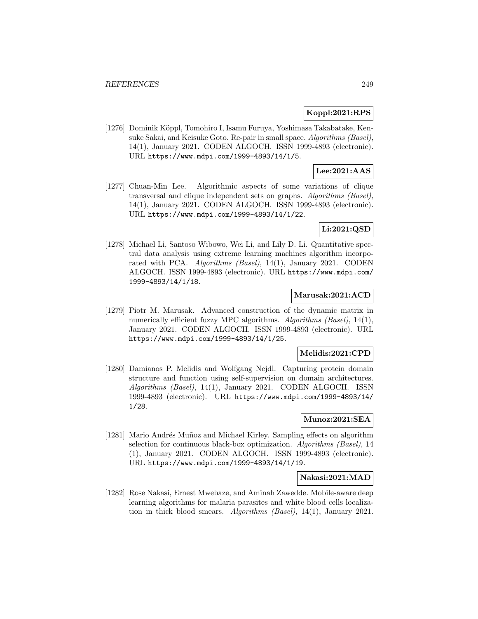## **Koppl:2021:RPS**

[1276] Dominik Köppl, Tomohiro I, Isamu Furuya, Yoshimasa Takabatake, Kensuke Sakai, and Keisuke Goto. Re-pair in small space. Algorithms (Basel), 14(1), January 2021. CODEN ALGOCH. ISSN 1999-4893 (electronic). URL https://www.mdpi.com/1999-4893/14/1/5.

# **Lee:2021:AAS**

[1277] Chuan-Min Lee. Algorithmic aspects of some variations of clique transversal and clique independent sets on graphs. Algorithms (Basel), 14(1), January 2021. CODEN ALGOCH. ISSN 1999-4893 (electronic). URL https://www.mdpi.com/1999-4893/14/1/22.

# **Li:2021:QSD**

[1278] Michael Li, Santoso Wibowo, Wei Li, and Lily D. Li. Quantitative spectral data analysis using extreme learning machines algorithm incorporated with PCA. Algorithms (Basel), 14(1), January 2021. CODEN ALGOCH. ISSN 1999-4893 (electronic). URL https://www.mdpi.com/ 1999-4893/14/1/18.

# **Marusak:2021:ACD**

[1279] Piotr M. Marusak. Advanced construction of the dynamic matrix in numerically efficient fuzzy MPC algorithms. Algorithms (Basel), 14(1), January 2021. CODEN ALGOCH. ISSN 1999-4893 (electronic). URL https://www.mdpi.com/1999-4893/14/1/25.

### **Melidis:2021:CPD**

[1280] Damianos P. Melidis and Wolfgang Nejdl. Capturing protein domain structure and function using self-supervision on domain architectures. Algorithms (Basel), 14(1), January 2021. CODEN ALGOCH. ISSN 1999-4893 (electronic). URL https://www.mdpi.com/1999-4893/14/ 1/28.

#### **Munoz:2021:SEA**

[1281] Mario Andrés Muñoz and Michael Kirley. Sampling effects on algorithm selection for continuous black-box optimization. Algorithms (Basel), 14 (1), January 2021. CODEN ALGOCH. ISSN 1999-4893 (electronic). URL https://www.mdpi.com/1999-4893/14/1/19.

#### **Nakasi:2021:MAD**

[1282] Rose Nakasi, Ernest Mwebaze, and Aminah Zawedde. Mobile-aware deep learning algorithms for malaria parasites and white blood cells localization in thick blood smears. Algorithms (Basel), 14(1), January 2021.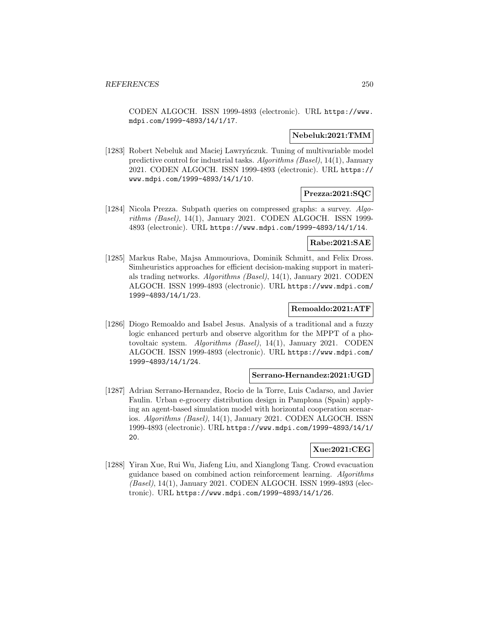CODEN ALGOCH. ISSN 1999-4893 (electronic). URL https://www. mdpi.com/1999-4893/14/1/17.

## **Nebeluk:2021:TMM**

[1283] Robert Nebeluk and Maciej Lawrynczuk. Tuning of multivariable model predictive control for industrial tasks. Algorithms (Basel), 14(1), January 2021. CODEN ALGOCH. ISSN 1999-4893 (electronic). URL https:// www.mdpi.com/1999-4893/14/1/10.

## **Prezza:2021:SQC**

[1284] Nicola Prezza. Subpath queries on compressed graphs: a survey. Algorithms (Basel), 14(1), January 2021. CODEN ALGOCH. ISSN 1999-4893 (electronic). URL https://www.mdpi.com/1999-4893/14/1/14.

#### **Rabe:2021:SAE**

[1285] Markus Rabe, Majsa Ammouriova, Dominik Schmitt, and Felix Dross. Simheuristics approaches for efficient decision-making support in materials trading networks. Algorithms (Basel), 14(1), January 2021. CODEN ALGOCH. ISSN 1999-4893 (electronic). URL https://www.mdpi.com/ 1999-4893/14/1/23.

# **Remoaldo:2021:ATF**

[1286] Diogo Remoaldo and Isabel Jesus. Analysis of a traditional and a fuzzy logic enhanced perturb and observe algorithm for the MPPT of a photovoltaic system. Algorithms (Basel), 14(1), January 2021. CODEN ALGOCH. ISSN 1999-4893 (electronic). URL https://www.mdpi.com/ 1999-4893/14/1/24.

# **Serrano-Hernandez:2021:UGD**

[1287] Adrian Serrano-Hernandez, Rocio de la Torre, Luis Cadarso, and Javier Faulin. Urban e-grocery distribution design in Pamplona (Spain) applying an agent-based simulation model with horizontal cooperation scenarios. Algorithms (Basel), 14(1), January 2021. CODEN ALGOCH. ISSN 1999-4893 (electronic). URL https://www.mdpi.com/1999-4893/14/1/ 20.

## **Xue:2021:CEG**

[1288] Yiran Xue, Rui Wu, Jiafeng Liu, and Xianglong Tang. Crowd evacuation guidance based on combined action reinforcement learning. Algorithms (Basel), 14(1), January 2021. CODEN ALGOCH. ISSN 1999-4893 (electronic). URL https://www.mdpi.com/1999-4893/14/1/26.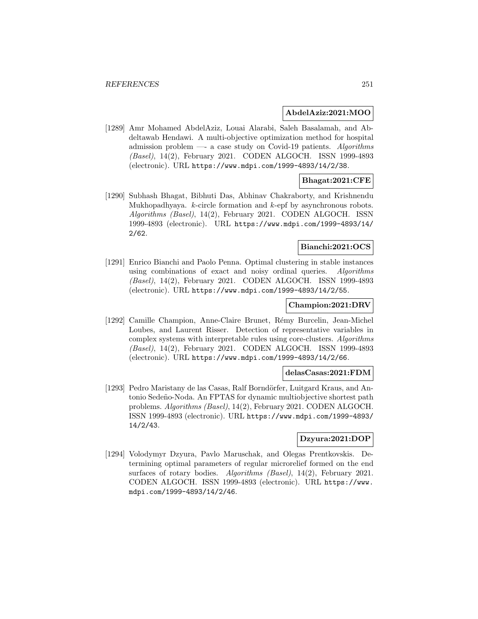#### **AbdelAziz:2021:MOO**

[1289] Amr Mohamed AbdelAziz, Louai Alarabi, Saleh Basalamah, and Abdeltawab Hendawi. A multi-objective optimization method for hospital admission problem —- a case study on Covid-19 patients. Algorithms (Basel), 14(2), February 2021. CODEN ALGOCH. ISSN 1999-4893 (electronic). URL https://www.mdpi.com/1999-4893/14/2/38.

# **Bhagat:2021:CFE**

[1290] Subhash Bhagat, Bibhuti Das, Abhinav Chakraborty, and Krishnendu Mukhopadhyaya.  $k$ -circle formation and  $k$ -epf by asynchronous robots. Algorithms (Basel), 14(2), February 2021. CODEN ALGOCH. ISSN 1999-4893 (electronic). URL https://www.mdpi.com/1999-4893/14/ 2/62.

#### **Bianchi:2021:OCS**

[1291] Enrico Bianchi and Paolo Penna. Optimal clustering in stable instances using combinations of exact and noisy ordinal queries. Algorithms (Basel), 14(2), February 2021. CODEN ALGOCH. ISSN 1999-4893 (electronic). URL https://www.mdpi.com/1999-4893/14/2/55.

### **Champion:2021:DRV**

[1292] Camille Champion, Anne-Claire Brunet, Rémy Burcelin, Jean-Michel Loubes, and Laurent Risser. Detection of representative variables in complex systems with interpretable rules using core-clusters. Algorithms (Basel), 14(2), February 2021. CODEN ALGOCH. ISSN 1999-4893 (electronic). URL https://www.mdpi.com/1999-4893/14/2/66.

# **delasCasas:2021:FDM**

[1293] Pedro Maristany de las Casas, Ralf Borndörfer, Luitgard Kraus, and Antonio Sedeño-Noda. An FPTAS for dynamic multiobjective shortest path problems. Algorithms (Basel), 14(2), February 2021. CODEN ALGOCH. ISSN 1999-4893 (electronic). URL https://www.mdpi.com/1999-4893/ 14/2/43.

# **Dzyura:2021:DOP**

[1294] Volodymyr Dzyura, Pavlo Maruschak, and Olegas Prentkovskis. Determining optimal parameters of regular microrelief formed on the end surfaces of rotary bodies. Algorithms (Basel), 14(2), February 2021. CODEN ALGOCH. ISSN 1999-4893 (electronic). URL https://www. mdpi.com/1999-4893/14/2/46.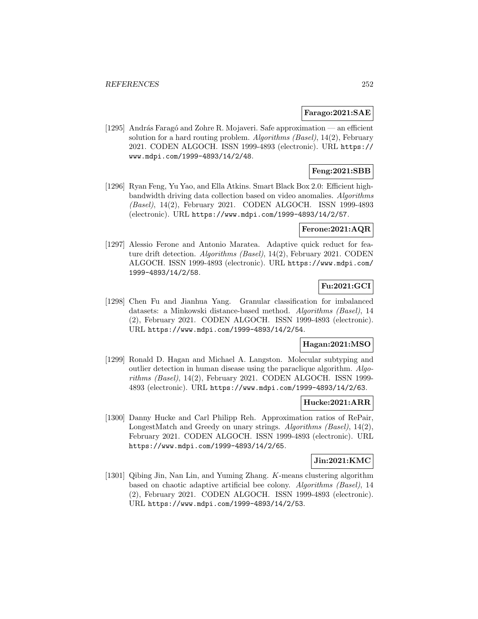### **Farago:2021:SAE**

[1295] András Faragó and Zohre R. Mojaveri. Safe approximation — an efficient solution for a hard routing problem. Algorithms (Basel), 14(2), February 2021. CODEN ALGOCH. ISSN 1999-4893 (electronic). URL https:// www.mdpi.com/1999-4893/14/2/48.

# **Feng:2021:SBB**

[1296] Ryan Feng, Yu Yao, and Ella Atkins. Smart Black Box 2.0: Efficient highbandwidth driving data collection based on video anomalies. Algorithms (Basel), 14(2), February 2021. CODEN ALGOCH. ISSN 1999-4893 (electronic). URL https://www.mdpi.com/1999-4893/14/2/57.

## **Ferone:2021:AQR**

[1297] Alessio Ferone and Antonio Maratea. Adaptive quick reduct for feature drift detection. Algorithms (Basel), 14(2), February 2021. CODEN ALGOCH. ISSN 1999-4893 (electronic). URL https://www.mdpi.com/ 1999-4893/14/2/58.

# **Fu:2021:GCI**

[1298] Chen Fu and Jianhua Yang. Granular classification for imbalanced datasets: a Minkowski distance-based method. Algorithms (Basel), 14 (2), February 2021. CODEN ALGOCH. ISSN 1999-4893 (electronic). URL https://www.mdpi.com/1999-4893/14/2/54.

# **Hagan:2021:MSO**

[1299] Ronald D. Hagan and Michael A. Langston. Molecular subtyping and outlier detection in human disease using the paraclique algorithm. Algorithms (Basel), 14(2), February 2021. CODEN ALGOCH. ISSN 1999- 4893 (electronic). URL https://www.mdpi.com/1999-4893/14/2/63.

### **Hucke:2021:ARR**

[1300] Danny Hucke and Carl Philipp Reh. Approximation ratios of RePair, LongestMatch and Greedy on unary strings. Algorithms (Basel), 14(2), February 2021. CODEN ALGOCH. ISSN 1999-4893 (electronic). URL https://www.mdpi.com/1999-4893/14/2/65.

#### **Jin:2021:KMC**

[1301] Qibing Jin, Nan Lin, and Yuming Zhang. K-means clustering algorithm based on chaotic adaptive artificial bee colony. Algorithms (Basel), 14 (2), February 2021. CODEN ALGOCH. ISSN 1999-4893 (electronic). URL https://www.mdpi.com/1999-4893/14/2/53.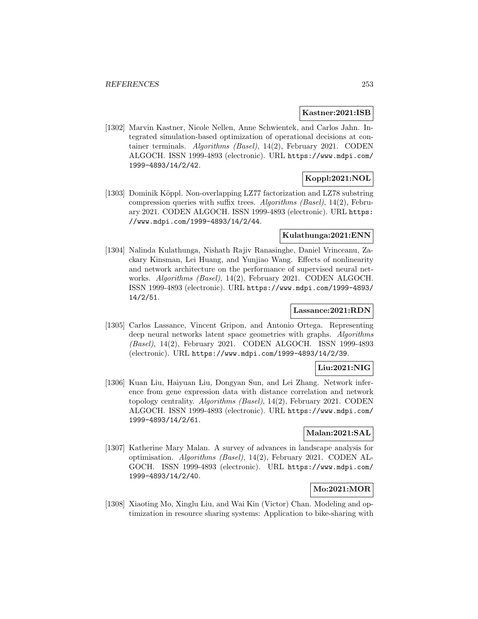#### **Kastner:2021:ISB**

[1302] Marvin Kastner, Nicole Nellen, Anne Schwientek, and Carlos Jahn. Integrated simulation-based optimization of operational decisions at container terminals. Algorithms (Basel), 14(2), February 2021. CODEN ALGOCH. ISSN 1999-4893 (electronic). URL https://www.mdpi.com/ 1999-4893/14/2/42.

# **Koppl:2021:NOL**

[1303] Dominik Köppl. Non-overlapping LZ77 factorization and LZ78 substring compression queries with suffix trees. Algorithms (Basel), 14(2), February 2021. CODEN ALGOCH. ISSN 1999-4893 (electronic). URL https: //www.mdpi.com/1999-4893/14/2/44.

## **Kulathunga:2021:ENN**

[1304] Nalinda Kulathunga, Nishath Rajiv Ranasinghe, Daniel Vrinceanu, Zackary Kinsman, Lei Huang, and Yunjiao Wang. Effects of nonlinearity and network architecture on the performance of supervised neural networks. Algorithms (Basel), 14(2), February 2021. CODEN ALGOCH. ISSN 1999-4893 (electronic). URL https://www.mdpi.com/1999-4893/ 14/2/51.

## **Lassance:2021:RDN**

[1305] Carlos Lassance, Vincent Gripon, and Antonio Ortega. Representing deep neural networks latent space geometries with graphs. Algorithms (Basel), 14(2), February 2021. CODEN ALGOCH. ISSN 1999-4893 (electronic). URL https://www.mdpi.com/1999-4893/14/2/39.

## **Liu:2021:NIG**

[1306] Kuan Liu, Haiyuan Liu, Dongyan Sun, and Lei Zhang. Network inference from gene expression data with distance correlation and network topology centrality. Algorithms (Basel), 14(2), February 2021. CODEN ALGOCH. ISSN 1999-4893 (electronic). URL https://www.mdpi.com/ 1999-4893/14/2/61.

## **Malan:2021:SAL**

[1307] Katherine Mary Malan. A survey of advances in landscape analysis for optimisation. Algorithms (Basel), 14(2), February 2021. CODEN AL-GOCH. ISSN 1999-4893 (electronic). URL https://www.mdpi.com/ 1999-4893/14/2/40.

# **Mo:2021:MOR**

[1308] Xiaoting Mo, Xinglu Liu, and Wai Kin (Victor) Chan. Modeling and optimization in resource sharing systems: Application to bike-sharing with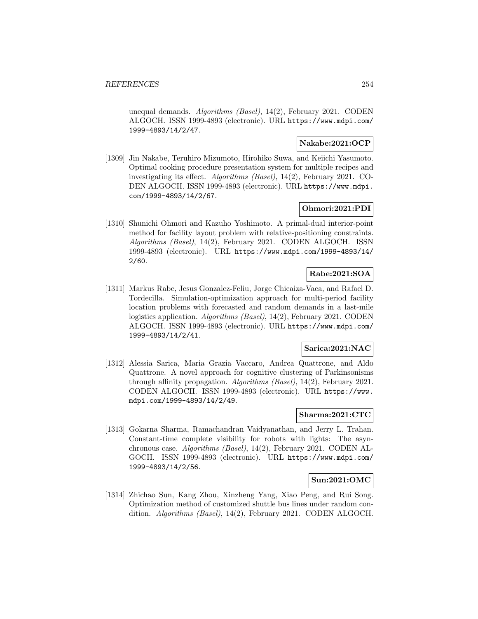unequal demands. Algorithms (Basel), 14(2), February 2021. CODEN ALGOCH. ISSN 1999-4893 (electronic). URL https://www.mdpi.com/ 1999-4893/14/2/47.

## **Nakabe:2021:OCP**

[1309] Jin Nakabe, Teruhiro Mizumoto, Hirohiko Suwa, and Keiichi Yasumoto. Optimal cooking procedure presentation system for multiple recipes and investigating its effect. Algorithms (Basel), 14(2), February 2021. CO-DEN ALGOCH. ISSN 1999-4893 (electronic). URL https://www.mdpi. com/1999-4893/14/2/67.

# **Ohmori:2021:PDI**

[1310] Shunichi Ohmori and Kazuho Yoshimoto. A primal-dual interior-point method for facility layout problem with relative-positioning constraints. Algorithms (Basel), 14(2), February 2021. CODEN ALGOCH. ISSN 1999-4893 (electronic). URL https://www.mdpi.com/1999-4893/14/ 2/60.

# **Rabe:2021:SOA**

[1311] Markus Rabe, Jesus Gonzalez-Feliu, Jorge Chicaiza-Vaca, and Rafael D. Tordecilla. Simulation-optimization approach for multi-period facility location problems with forecasted and random demands in a last-mile logistics application. Algorithms (Basel), 14(2), February 2021. CODEN ALGOCH. ISSN 1999-4893 (electronic). URL https://www.mdpi.com/ 1999-4893/14/2/41.

# **Sarica:2021:NAC**

[1312] Alessia Sarica, Maria Grazia Vaccaro, Andrea Quattrone, and Aldo Quattrone. A novel approach for cognitive clustering of Parkinsonisms through affinity propagation. Algorithms (Basel), 14(2), February 2021. CODEN ALGOCH. ISSN 1999-4893 (electronic). URL https://www. mdpi.com/1999-4893/14/2/49.

## **Sharma:2021:CTC**

[1313] Gokarna Sharma, Ramachandran Vaidyanathan, and Jerry L. Trahan. Constant-time complete visibility for robots with lights: The asynchronous case. Algorithms (Basel), 14(2), February 2021. CODEN AL-GOCH. ISSN 1999-4893 (electronic). URL https://www.mdpi.com/ 1999-4893/14/2/56.

### **Sun:2021:OMC**

[1314] Zhichao Sun, Kang Zhou, Xinzheng Yang, Xiao Peng, and Rui Song. Optimization method of customized shuttle bus lines under random condition. Algorithms (Basel), 14(2), February 2021. CODEN ALGOCH.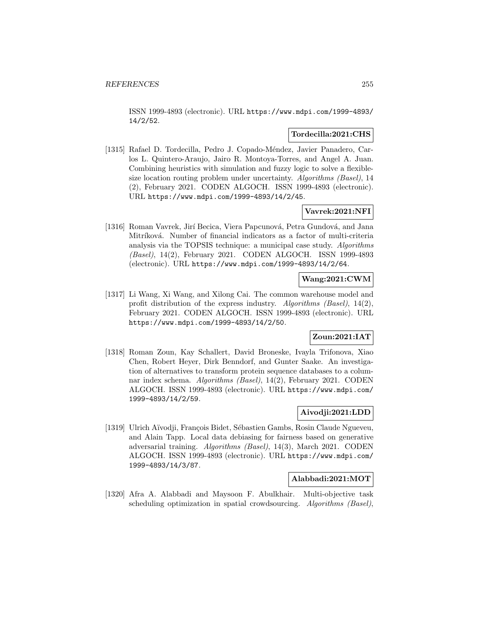ISSN 1999-4893 (electronic). URL https://www.mdpi.com/1999-4893/ 14/2/52.

#### **Tordecilla:2021:CHS**

[1315] Rafael D. Tordecilla, Pedro J. Copado-Méndez, Javier Panadero, Carlos L. Quintero-Araujo, Jairo R. Montoya-Torres, and Angel A. Juan. Combining heuristics with simulation and fuzzy logic to solve a flexiblesize location routing problem under uncertainty. Algorithms (Basel), 14 (2), February 2021. CODEN ALGOCH. ISSN 1999-4893 (electronic). URL https://www.mdpi.com/1999-4893/14/2/45.

## **Vavrek:2021:NFI**

[1316] Roman Vavrek, Jirí Becica, Viera Papcunová, Petra Gundová, and Jana Mitríková. Number of financial indicators as a factor of multi-criteria analysis via the TOPSIS technique: a municipal case study. Algorithms (Basel), 14(2), February 2021. CODEN ALGOCH. ISSN 1999-4893 (electronic). URL https://www.mdpi.com/1999-4893/14/2/64.

### **Wang:2021:CWM**

[1317] Li Wang, Xi Wang, and Xilong Cai. The common warehouse model and profit distribution of the express industry. Algorithms (Basel), 14(2), February 2021. CODEN ALGOCH. ISSN 1999-4893 (electronic). URL https://www.mdpi.com/1999-4893/14/2/50.

## **Zoun:2021:IAT**

[1318] Roman Zoun, Kay Schallert, David Broneske, Ivayla Trifonova, Xiao Chen, Robert Heyer, Dirk Benndorf, and Gunter Saake. An investigation of alternatives to transform protein sequence databases to a columnar index schema. Algorithms (Basel), 14(2), February 2021. CODEN ALGOCH. ISSN 1999-4893 (electronic). URL https://www.mdpi.com/ 1999-4893/14/2/59.

## **Aivodji:2021:LDD**

[1319] Ulrich Aïvodji, François Bidet, Sébastien Gambs, Rosin Claude Ngueveu, and Alain Tapp. Local data debiasing for fairness based on generative adversarial training. Algorithms (Basel), 14(3), March 2021. CODEN ALGOCH. ISSN 1999-4893 (electronic). URL https://www.mdpi.com/ 1999-4893/14/3/87.

### **Alabbadi:2021:MOT**

[1320] Afra A. Alabbadi and Maysoon F. Abulkhair. Multi-objective task scheduling optimization in spatial crowdsourcing. Algorithms (Basel),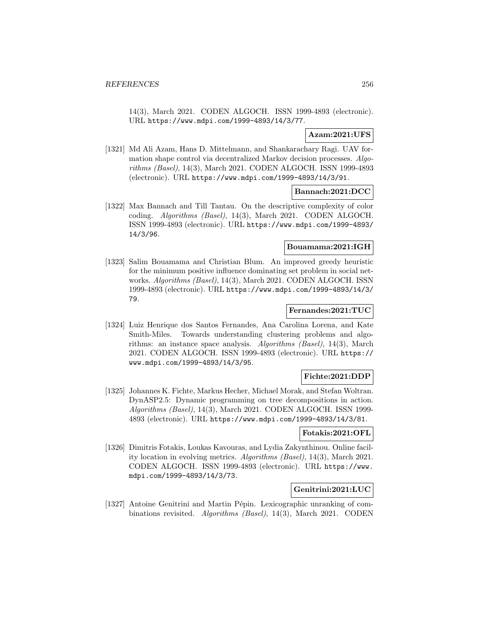14(3), March 2021. CODEN ALGOCH. ISSN 1999-4893 (electronic). URL https://www.mdpi.com/1999-4893/14/3/77.

## **Azam:2021:UFS**

[1321] Md Ali Azam, Hans D. Mittelmann, and Shankarachary Ragi. UAV formation shape control via decentralized Markov decision processes. Algorithms (Basel), 14(3), March 2021. CODEN ALGOCH. ISSN 1999-4893 (electronic). URL https://www.mdpi.com/1999-4893/14/3/91.

## **Bannach:2021:DCC**

[1322] Max Bannach and Till Tantau. On the descriptive complexity of color coding. Algorithms (Basel), 14(3), March 2021. CODEN ALGOCH. ISSN 1999-4893 (electronic). URL https://www.mdpi.com/1999-4893/ 14/3/96.

### **Bouamama:2021:IGH**

[1323] Salim Bouamama and Christian Blum. An improved greedy heuristic for the minimum positive influence dominating set problem in social networks. Algorithms (Basel), 14(3), March 2021. CODEN ALGOCH. ISSN 1999-4893 (electronic). URL https://www.mdpi.com/1999-4893/14/3/ 79.

## **Fernandes:2021:TUC**

[1324] Luiz Henrique dos Santos Fernandes, Ana Carolina Lorena, and Kate Smith-Miles. Towards understanding clustering problems and algorithms: an instance space analysis. Algorithms (Basel), 14(3), March 2021. CODEN ALGOCH. ISSN 1999-4893 (electronic). URL https:// www.mdpi.com/1999-4893/14/3/95.

### **Fichte:2021:DDP**

[1325] Johannes K. Fichte, Markus Hecher, Michael Morak, and Stefan Woltran. DynASP2.5: Dynamic programming on tree decompositions in action. Algorithms (Basel), 14(3), March 2021. CODEN ALGOCH. ISSN 1999- 4893 (electronic). URL https://www.mdpi.com/1999-4893/14/3/81.

#### **Fotakis:2021:OFL**

[1326] Dimitris Fotakis, Loukas Kavouras, and Lydia Zakynthinou. Online facility location in evolving metrics. Algorithms (Basel), 14(3), March 2021. CODEN ALGOCH. ISSN 1999-4893 (electronic). URL https://www. mdpi.com/1999-4893/14/3/73.

### **Genitrini:2021:LUC**

[1327] Antoine Genitrini and Martin Pépin. Lexicographic unranking of combinations revisited. Algorithms (Basel), 14(3), March 2021. CODEN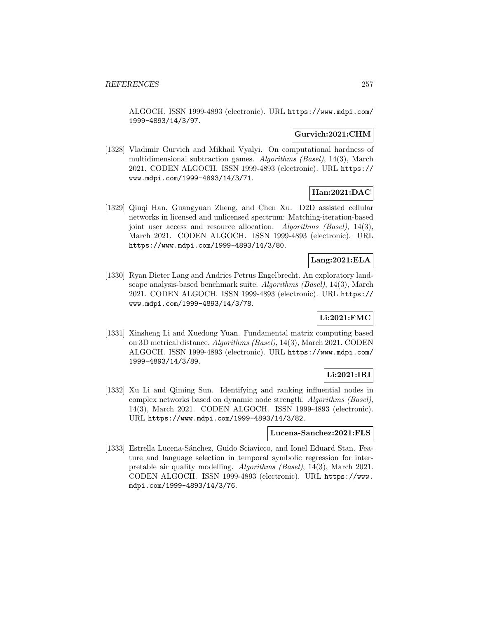ALGOCH. ISSN 1999-4893 (electronic). URL https://www.mdpi.com/ 1999-4893/14/3/97.

## **Gurvich:2021:CHM**

[1328] Vladimir Gurvich and Mikhail Vyalyi. On computational hardness of multidimensional subtraction games. Algorithms (Basel), 14(3), March 2021. CODEN ALGOCH. ISSN 1999-4893 (electronic). URL https:// www.mdpi.com/1999-4893/14/3/71.

# **Han:2021:DAC**

[1329] Qiuqi Han, Guangyuan Zheng, and Chen Xu. D2D assisted cellular networks in licensed and unlicensed spectrum: Matching-iteration-based joint user access and resource allocation. Algorithms (Basel), 14(3), March 2021. CODEN ALGOCH. ISSN 1999-4893 (electronic). URL https://www.mdpi.com/1999-4893/14/3/80.

## **Lang:2021:ELA**

[1330] Ryan Dieter Lang and Andries Petrus Engelbrecht. An exploratory landscape analysis-based benchmark suite. Algorithms (Basel), 14(3), March 2021. CODEN ALGOCH. ISSN 1999-4893 (electronic). URL https:// www.mdpi.com/1999-4893/14/3/78.

# **Li:2021:FMC**

[1331] Xinsheng Li and Xuedong Yuan. Fundamental matrix computing based on 3D metrical distance. Algorithms (Basel), 14(3), March 2021. CODEN ALGOCH. ISSN 1999-4893 (electronic). URL https://www.mdpi.com/ 1999-4893/14/3/89.

## **Li:2021:IRI**

[1332] Xu Li and Qiming Sun. Identifying and ranking influential nodes in complex networks based on dynamic node strength. Algorithms (Basel), 14(3), March 2021. CODEN ALGOCH. ISSN 1999-4893 (electronic). URL https://www.mdpi.com/1999-4893/14/3/82.

#### **Lucena-Sanchez:2021:FLS**

[1333] Estrella Lucena-Sánchez, Guido Sciavicco, and Ionel Eduard Stan. Feature and language selection in temporal symbolic regression for interpretable air quality modelling. Algorithms (Basel), 14(3), March 2021. CODEN ALGOCH. ISSN 1999-4893 (electronic). URL https://www. mdpi.com/1999-4893/14/3/76.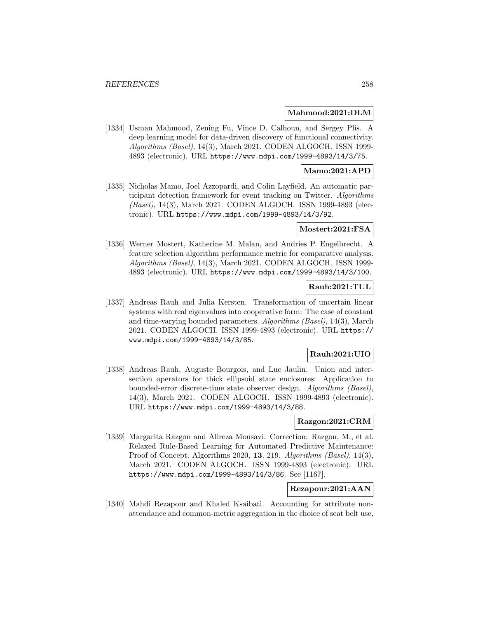#### **Mahmood:2021:DLM**

[1334] Usman Mahmood, Zening Fu, Vince D. Calhoun, and Sergey Plis. A deep learning model for data-driven discovery of functional connectivity. Algorithms (Basel), 14(3), March 2021. CODEN ALGOCH. ISSN 1999- 4893 (electronic). URL https://www.mdpi.com/1999-4893/14/3/75.

#### **Mamo:2021:APD**

[1335] Nicholas Mamo, Joel Azzopardi, and Colin Layfield. An automatic participant detection framework for event tracking on Twitter. Algorithms (Basel), 14(3), March 2021. CODEN ALGOCH. ISSN 1999-4893 (electronic). URL https://www.mdpi.com/1999-4893/14/3/92.

#### **Mostert:2021:FSA**

[1336] Werner Mostert, Katherine M. Malan, and Andries P. Engelbrecht. A feature selection algorithm performance metric for comparative analysis. Algorithms (Basel), 14(3), March 2021. CODEN ALGOCH. ISSN 1999- 4893 (electronic). URL https://www.mdpi.com/1999-4893/14/3/100.

### **Rauh:2021:TUL**

[1337] Andreas Rauh and Julia Kersten. Transformation of uncertain linear systems with real eigenvalues into cooperative form: The case of constant and time-varying bounded parameters. Algorithms (Basel), 14(3), March 2021. CODEN ALGOCH. ISSN 1999-4893 (electronic). URL https:// www.mdpi.com/1999-4893/14/3/85.

### **Rauh:2021:UIO**

[1338] Andreas Rauh, Auguste Bourgois, and Luc Jaulin. Union and intersection operators for thick ellipsoid state enclosures: Application to bounded-error discrete-time state observer design. Algorithms (Basel), 14(3), March 2021. CODEN ALGOCH. ISSN 1999-4893 (electronic). URL https://www.mdpi.com/1999-4893/14/3/88.

### **Razgon:2021:CRM**

[1339] Margarita Razgon and Alireza Mousavi. Correction: Razgon, M., et al. Relaxed Rule-Based Learning for Automated Predictive Maintenance: Proof of Concept. Algorithms 2020, **13**, 219. Algorithms (Basel), 14(3), March 2021. CODEN ALGOCH. ISSN 1999-4893 (electronic). URL https://www.mdpi.com/1999-4893/14/3/86. See [1167].

## **Rezapour:2021:AAN**

[1340] Mahdi Rezapour and Khaled Ksaibati. Accounting for attribute nonattendance and common-metric aggregation in the choice of seat belt use,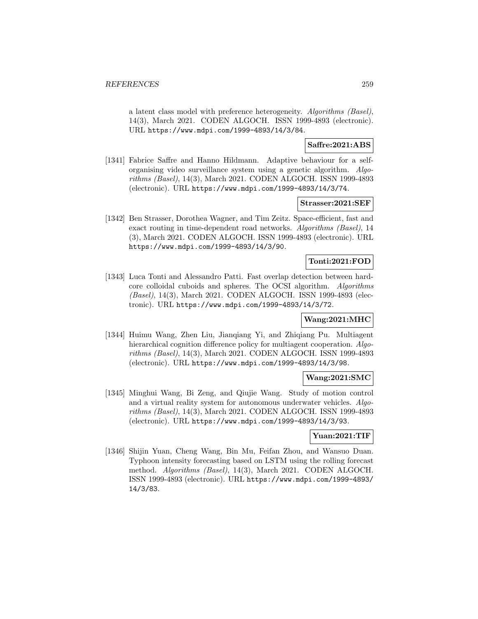a latent class model with preference heterogeneity. Algorithms (Basel), 14(3), March 2021. CODEN ALGOCH. ISSN 1999-4893 (electronic). URL https://www.mdpi.com/1999-4893/14/3/84.

## **Saffre:2021:ABS**

[1341] Fabrice Saffre and Hanno Hildmann. Adaptive behaviour for a selforganising video surveillance system using a genetic algorithm. Algorithms (Basel), 14(3), March 2021. CODEN ALGOCH. ISSN 1999-4893 (electronic). URL https://www.mdpi.com/1999-4893/14/3/74.

#### **Strasser:2021:SEF**

[1342] Ben Strasser, Dorothea Wagner, and Tim Zeitz. Space-efficient, fast and exact routing in time-dependent road networks. Algorithms (Basel), 14 (3), March 2021. CODEN ALGOCH. ISSN 1999-4893 (electronic). URL https://www.mdpi.com/1999-4893/14/3/90.

## **Tonti:2021:FOD**

[1343] Luca Tonti and Alessandro Patti. Fast overlap detection between hardcore colloidal cuboids and spheres. The OCSI algorithm. Algorithms (Basel), 14(3), March 2021. CODEN ALGOCH. ISSN 1999-4893 (electronic). URL https://www.mdpi.com/1999-4893/14/3/72.

### **Wang:2021:MHC**

[1344] Huimu Wang, Zhen Liu, Jianqiang Yi, and Zhiqiang Pu. Multiagent hierarchical cognition difference policy for multiagent cooperation. Algorithms (Basel), 14(3), March 2021. CODEN ALGOCH. ISSN 1999-4893 (electronic). URL https://www.mdpi.com/1999-4893/14/3/98.

#### **Wang:2021:SMC**

[1345] Minghui Wang, Bi Zeng, and Qiujie Wang. Study of motion control and a virtual reality system for autonomous underwater vehicles. Algorithms (Basel), 14(3), March 2021. CODEN ALGOCH. ISSN 1999-4893 (electronic). URL https://www.mdpi.com/1999-4893/14/3/93.

### **Yuan:2021:TIF**

[1346] Shijin Yuan, Cheng Wang, Bin Mu, Feifan Zhou, and Wansuo Duan. Typhoon intensity forecasting based on LSTM using the rolling forecast method. Algorithms (Basel), 14(3), March 2021. CODEN ALGOCH. ISSN 1999-4893 (electronic). URL https://www.mdpi.com/1999-4893/ 14/3/83.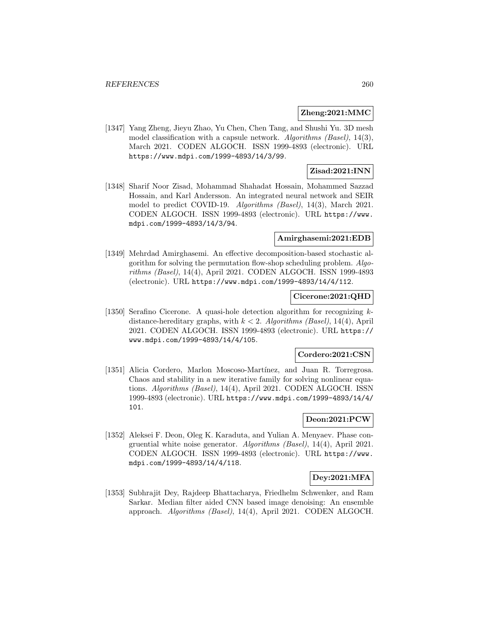#### **Zheng:2021:MMC**

[1347] Yang Zheng, Jieyu Zhao, Yu Chen, Chen Tang, and Shushi Yu. 3D mesh model classification with a capsule network. Algorithms (Basel), 14(3), March 2021. CODEN ALGOCH. ISSN 1999-4893 (electronic). URL https://www.mdpi.com/1999-4893/14/3/99.

## **Zisad:2021:INN**

[1348] Sharif Noor Zisad, Mohammad Shahadat Hossain, Mohammed Sazzad Hossain, and Karl Andersson. An integrated neural network and SEIR model to predict COVID-19. Algorithms (Basel), 14(3), March 2021. CODEN ALGOCH. ISSN 1999-4893 (electronic). URL https://www. mdpi.com/1999-4893/14/3/94.

#### **Amirghasemi:2021:EDB**

[1349] Mehrdad Amirghasemi. An effective decomposition-based stochastic algorithm for solving the permutation flow-shop scheduling problem. Algorithms (Basel), 14(4), April 2021. CODEN ALGOCH. ISSN 1999-4893 (electronic). URL https://www.mdpi.com/1999-4893/14/4/112.

### **Cicerone:2021:QHD**

[1350] Serafino Cicerone. A quasi-hole detection algorithm for recognizing  $k$ distance-hereditary graphs, with  $k < 2$ . Algorithms (Basel), 14(4), April 2021. CODEN ALGOCH. ISSN 1999-4893 (electronic). URL https:// www.mdpi.com/1999-4893/14/4/105.

### **Cordero:2021:CSN**

[1351] Alicia Cordero, Marlon Moscoso-Martínez, and Juan R. Torregrosa. Chaos and stability in a new iterative family for solving nonlinear equations. Algorithms (Basel), 14(4), April 2021. CODEN ALGOCH. ISSN 1999-4893 (electronic). URL https://www.mdpi.com/1999-4893/14/4/ 101.

### **Deon:2021:PCW**

[1352] Aleksei F. Deon, Oleg K. Karaduta, and Yulian A. Menyaev. Phase congruential white noise generator. Algorithms (Basel), 14(4), April 2021. CODEN ALGOCH. ISSN 1999-4893 (electronic). URL https://www. mdpi.com/1999-4893/14/4/118.

## **Dey:2021:MFA**

[1353] Subhrajit Dey, Rajdeep Bhattacharya, Friedhelm Schwenker, and Ram Sarkar. Median filter aided CNN based image denoising: An ensemble approach. Algorithms (Basel), 14(4), April 2021. CODEN ALGOCH.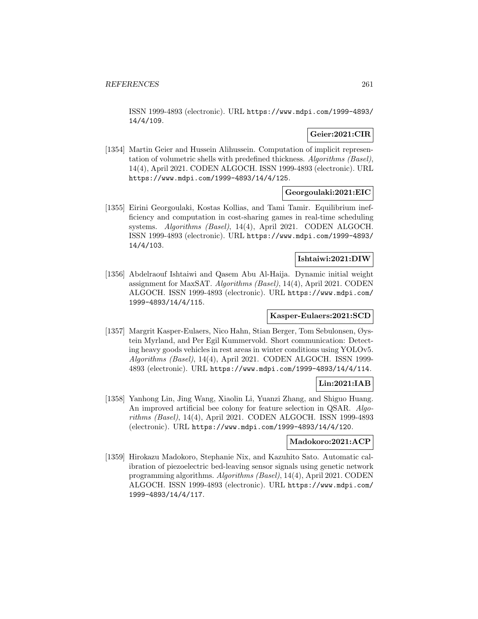ISSN 1999-4893 (electronic). URL https://www.mdpi.com/1999-4893/ 14/4/109.

### **Geier:2021:CIR**

[1354] Martin Geier and Hussein Alihussein. Computation of implicit representation of volumetric shells with predefined thickness. Algorithms (Basel), 14(4), April 2021. CODEN ALGOCH. ISSN 1999-4893 (electronic). URL https://www.mdpi.com/1999-4893/14/4/125.

## **Georgoulaki:2021:EIC**

[1355] Eirini Georgoulaki, Kostas Kollias, and Tami Tamir. Equilibrium inefficiency and computation in cost-sharing games in real-time scheduling systems. Algorithms (Basel), 14(4), April 2021. CODEN ALGOCH. ISSN 1999-4893 (electronic). URL https://www.mdpi.com/1999-4893/ 14/4/103.

## **Ishtaiwi:2021:DIW**

[1356] Abdelraouf Ishtaiwi and Qasem Abu Al-Haija. Dynamic initial weight assignment for MaxSAT. Algorithms (Basel), 14(4), April 2021. CODEN ALGOCH. ISSN 1999-4893 (electronic). URL https://www.mdpi.com/ 1999-4893/14/4/115.

### **Kasper-Eulaers:2021:SCD**

[1357] Margrit Kasper-Eulaers, Nico Hahn, Stian Berger, Tom Sebulonsen, Øystein Myrland, and Per Egil Kummervold. Short communication: Detecting heavy goods vehicles in rest areas in winter conditions using YOLOv5. Algorithms (Basel), 14(4), April 2021. CODEN ALGOCH. ISSN 1999- 4893 (electronic). URL https://www.mdpi.com/1999-4893/14/4/114.

### **Lin:2021:IAB**

[1358] Yanhong Lin, Jing Wang, Xiaolin Li, Yuanzi Zhang, and Shiguo Huang. An improved artificial bee colony for feature selection in QSAR. Algorithms (Basel), 14(4), April 2021. CODEN ALGOCH. ISSN 1999-4893 (electronic). URL https://www.mdpi.com/1999-4893/14/4/120.

#### **Madokoro:2021:ACP**

[1359] Hirokazu Madokoro, Stephanie Nix, and Kazuhito Sato. Automatic calibration of piezoelectric bed-leaving sensor signals using genetic network programming algorithms. Algorithms (Basel), 14(4), April 2021. CODEN ALGOCH. ISSN 1999-4893 (electronic). URL https://www.mdpi.com/ 1999-4893/14/4/117.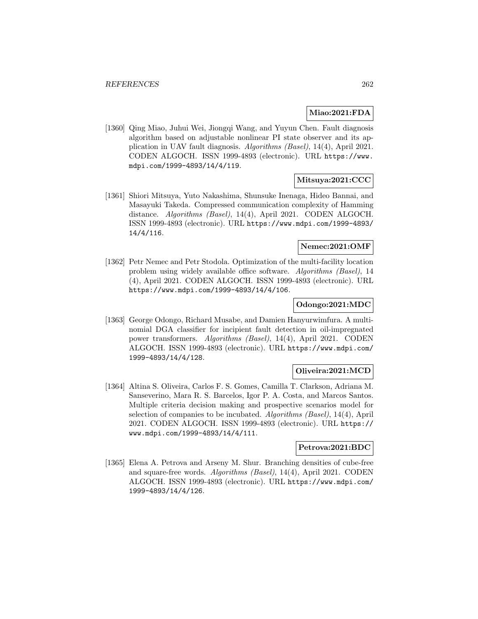#### **Miao:2021:FDA**

[1360] Qing Miao, Juhui Wei, Jiongqi Wang, and Yuyun Chen. Fault diagnosis algorithm based on adjustable nonlinear PI state observer and its application in UAV fault diagnosis. Algorithms (Basel), 14(4), April 2021. CODEN ALGOCH. ISSN 1999-4893 (electronic). URL https://www. mdpi.com/1999-4893/14/4/119.

## **Mitsuya:2021:CCC**

[1361] Shiori Mitsuya, Yuto Nakashima, Shunsuke Inenaga, Hideo Bannai, and Masayuki Takeda. Compressed communication complexity of Hamming distance. Algorithms (Basel), 14(4), April 2021. CODEN ALGOCH. ISSN 1999-4893 (electronic). URL https://www.mdpi.com/1999-4893/ 14/4/116.

#### **Nemec:2021:OMF**

[1362] Petr Nemec and Petr Stodola. Optimization of the multi-facility location problem using widely available office software. Algorithms (Basel), 14 (4), April 2021. CODEN ALGOCH. ISSN 1999-4893 (electronic). URL https://www.mdpi.com/1999-4893/14/4/106.

#### **Odongo:2021:MDC**

[1363] George Odongo, Richard Musabe, and Damien Hanyurwimfura. A multinomial DGA classifier for incipient fault detection in oil-impregnated power transformers. Algorithms (Basel), 14(4), April 2021. CODEN ALGOCH. ISSN 1999-4893 (electronic). URL https://www.mdpi.com/ 1999-4893/14/4/128.

### **Oliveira:2021:MCD**

[1364] Altina S. Oliveira, Carlos F. S. Gomes, Camilla T. Clarkson, Adriana M. Sanseverino, Mara R. S. Barcelos, Igor P. A. Costa, and Marcos Santos. Multiple criteria decision making and prospective scenarios model for selection of companies to be incubated. Algorithms (Basel), 14(4), April 2021. CODEN ALGOCH. ISSN 1999-4893 (electronic). URL https:// www.mdpi.com/1999-4893/14/4/111.

#### **Petrova:2021:BDC**

[1365] Elena A. Petrova and Arseny M. Shur. Branching densities of cube-free and square-free words. Algorithms (Basel), 14(4), April 2021. CODEN ALGOCH. ISSN 1999-4893 (electronic). URL https://www.mdpi.com/ 1999-4893/14/4/126.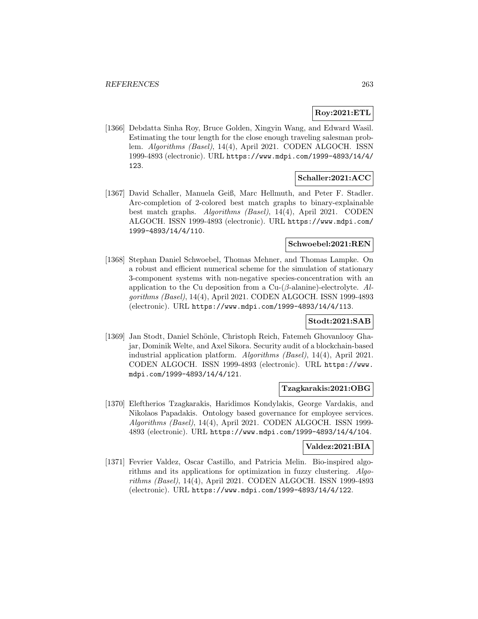# **Roy:2021:ETL**

[1366] Debdatta Sinha Roy, Bruce Golden, Xingyin Wang, and Edward Wasil. Estimating the tour length for the close enough traveling salesman problem. Algorithms (Basel), 14(4), April 2021. CODEN ALGOCH. ISSN 1999-4893 (electronic). URL https://www.mdpi.com/1999-4893/14/4/ 123.

# **Schaller:2021:ACC**

[1367] David Schaller, Manuela Geiß, Marc Hellmuth, and Peter F. Stadler. Arc-completion of 2-colored best match graphs to binary-explainable best match graphs. Algorithms (Basel), 14(4), April 2021. CODEN ALGOCH. ISSN 1999-4893 (electronic). URL https://www.mdpi.com/ 1999-4893/14/4/110.

# **Schwoebel:2021:REN**

[1368] Stephan Daniel Schwoebel, Thomas Mehner, and Thomas Lampke. On a robust and efficient numerical scheme for the simulation of stationary 3-component systems with non-negative species-concentration with an application to the Cu deposition from a Cu- $(\beta$ -alanine)-electrolyte. Algorithms (Basel), 14(4), April 2021. CODEN ALGOCH. ISSN 1999-4893 (electronic). URL https://www.mdpi.com/1999-4893/14/4/113.

## **Stodt:2021:SAB**

[1369] Jan Stodt, Daniel Schönle, Christoph Reich, Fatemeh Ghovanlooy Ghajar, Dominik Welte, and Axel Sikora. Security audit of a blockchain-based industrial application platform. Algorithms (Basel), 14(4), April 2021. CODEN ALGOCH. ISSN 1999-4893 (electronic). URL https://www. mdpi.com/1999-4893/14/4/121.

### **Tzagkarakis:2021:OBG**

[1370] Eleftherios Tzagkarakis, Haridimos Kondylakis, George Vardakis, and Nikolaos Papadakis. Ontology based governance for employee services. Algorithms (Basel), 14(4), April 2021. CODEN ALGOCH. ISSN 1999- 4893 (electronic). URL https://www.mdpi.com/1999-4893/14/4/104.

#### **Valdez:2021:BIA**

[1371] Fevrier Valdez, Oscar Castillo, and Patricia Melin. Bio-inspired algorithms and its applications for optimization in fuzzy clustering. Algorithms (Basel), 14(4), April 2021. CODEN ALGOCH. ISSN 1999-4893 (electronic). URL https://www.mdpi.com/1999-4893/14/4/122.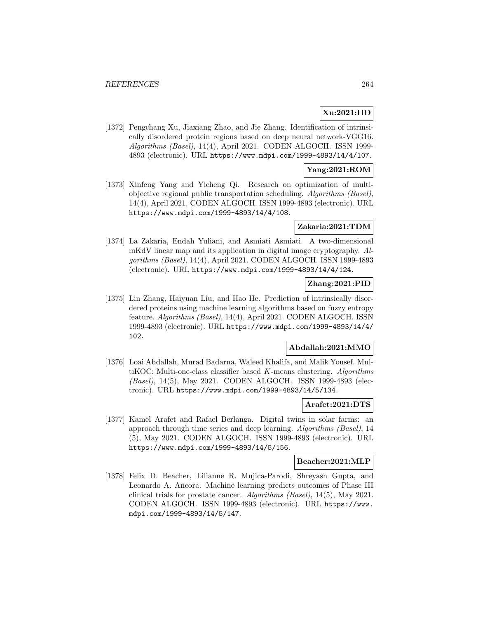## **Xu:2021:IID**

[1372] Pengchang Xu, Jiaxiang Zhao, and Jie Zhang. Identification of intrinsically disordered protein regions based on deep neural network-VGG16. Algorithms (Basel), 14(4), April 2021. CODEN ALGOCH. ISSN 1999- 4893 (electronic). URL https://www.mdpi.com/1999-4893/14/4/107.

### **Yang:2021:ROM**

[1373] Xinfeng Yang and Yicheng Qi. Research on optimization of multiobjective regional public transportation scheduling. Algorithms (Basel), 14(4), April 2021. CODEN ALGOCH. ISSN 1999-4893 (electronic). URL https://www.mdpi.com/1999-4893/14/4/108.

### **Zakaria:2021:TDM**

[1374] La Zakaria, Endah Yuliani, and Asmiati Asmiati. A two-dimensional mKdV linear map and its application in digital image cryptography. Algorithms (Basel), 14(4), April 2021. CODEN ALGOCH. ISSN 1999-4893 (electronic). URL https://www.mdpi.com/1999-4893/14/4/124.

## **Zhang:2021:PID**

[1375] Lin Zhang, Haiyuan Liu, and Hao He. Prediction of intrinsically disordered proteins using machine learning algorithms based on fuzzy entropy feature. Algorithms (Basel), 14(4), April 2021. CODEN ALGOCH. ISSN 1999-4893 (electronic). URL https://www.mdpi.com/1999-4893/14/4/ 102.

## **Abdallah:2021:MMO**

[1376] Loai Abdallah, Murad Badarna, Waleed Khalifa, and Malik Yousef. MultiKOC: Multi-one-class classifier based K-means clustering. Algorithms (Basel), 14(5), May 2021. CODEN ALGOCH. ISSN 1999-4893 (electronic). URL https://www.mdpi.com/1999-4893/14/5/134.

### **Arafet:2021:DTS**

[1377] Kamel Arafet and Rafael Berlanga. Digital twins in solar farms: an approach through time series and deep learning. Algorithms (Basel), 14 (5), May 2021. CODEN ALGOCH. ISSN 1999-4893 (electronic). URL https://www.mdpi.com/1999-4893/14/5/156.

#### **Beacher:2021:MLP**

[1378] Felix D. Beacher, Lilianne R. Mujica-Parodi, Shreyash Gupta, and Leonardo A. Ancora. Machine learning predicts outcomes of Phase III clinical trials for prostate cancer. Algorithms (Basel), 14(5), May 2021. CODEN ALGOCH. ISSN 1999-4893 (electronic). URL https://www. mdpi.com/1999-4893/14/5/147.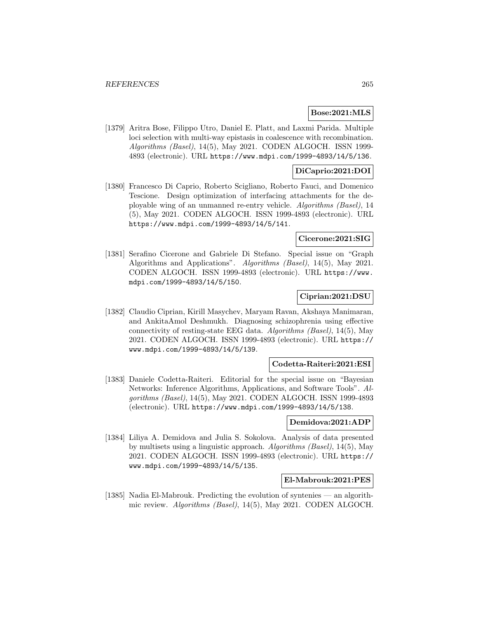#### **Bose:2021:MLS**

[1379] Aritra Bose, Filippo Utro, Daniel E. Platt, and Laxmi Parida. Multiple loci selection with multi-way epistasis in coalescence with recombination. Algorithms (Basel), 14(5), May 2021. CODEN ALGOCH. ISSN 1999- 4893 (electronic). URL https://www.mdpi.com/1999-4893/14/5/136.

## **DiCaprio:2021:DOI**

[1380] Francesco Di Caprio, Roberto Scigliano, Roberto Fauci, and Domenico Tescione. Design optimization of interfacing attachments for the deployable wing of an unmanned re-entry vehicle. Algorithms (Basel), 14 (5), May 2021. CODEN ALGOCH. ISSN 1999-4893 (electronic). URL https://www.mdpi.com/1999-4893/14/5/141.

### **Cicerone:2021:SIG**

[1381] Serafino Cicerone and Gabriele Di Stefano. Special issue on "Graph Algorithms and Applications". Algorithms (Basel), 14(5), May 2021. CODEN ALGOCH. ISSN 1999-4893 (electronic). URL https://www. mdpi.com/1999-4893/14/5/150.

### **Ciprian:2021:DSU**

[1382] Claudio Ciprian, Kirill Masychev, Maryam Ravan, Akshaya Manimaran, and AnkitaAmol Deshmukh. Diagnosing schizophrenia using effective connectivity of resting-state EEG data. Algorithms (Basel), 14(5), May 2021. CODEN ALGOCH. ISSN 1999-4893 (electronic). URL https:// www.mdpi.com/1999-4893/14/5/139.

### **Codetta-Raiteri:2021:ESI**

[1383] Daniele Codetta-Raiteri. Editorial for the special issue on "Bayesian Networks: Inference Algorithms, Applications, and Software Tools". Algorithms (Basel), 14(5), May 2021. CODEN ALGOCH. ISSN 1999-4893 (electronic). URL https://www.mdpi.com/1999-4893/14/5/138.

#### **Demidova:2021:ADP**

[1384] Liliya A. Demidova and Julia S. Sokolova. Analysis of data presented by multisets using a linguistic approach. Algorithms (Basel), 14(5), May 2021. CODEN ALGOCH. ISSN 1999-4893 (electronic). URL https:// www.mdpi.com/1999-4893/14/5/135.

#### **El-Mabrouk:2021:PES**

[1385] Nadia El-Mabrouk. Predicting the evolution of syntenies — an algorithmic review. Algorithms (Basel), 14(5), May 2021. CODEN ALGOCH.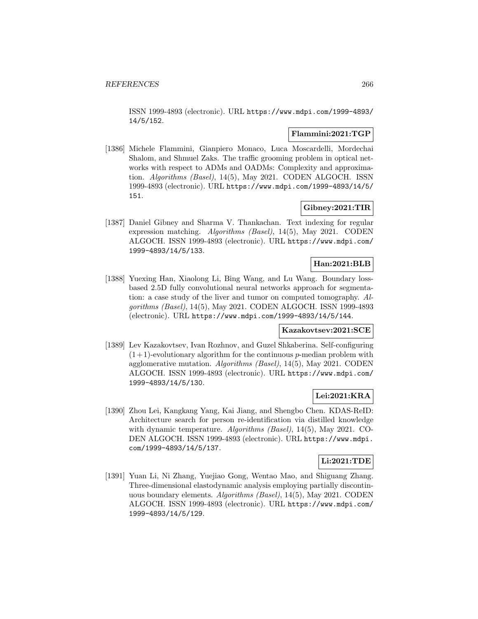ISSN 1999-4893 (electronic). URL https://www.mdpi.com/1999-4893/ 14/5/152.

#### **Flammini:2021:TGP**

[1386] Michele Flammini, Gianpiero Monaco, Luca Moscardelli, Mordechai Shalom, and Shmuel Zaks. The traffic grooming problem in optical networks with respect to ADMs and OADMs: Complexity and approximation. Algorithms (Basel), 14(5), May 2021. CODEN ALGOCH. ISSN 1999-4893 (electronic). URL https://www.mdpi.com/1999-4893/14/5/ 151.

## **Gibney:2021:TIR**

[1387] Daniel Gibney and Sharma V. Thankachan. Text indexing for regular expression matching. Algorithms (Basel), 14(5), May 2021. CODEN ALGOCH. ISSN 1999-4893 (electronic). URL https://www.mdpi.com/ 1999-4893/14/5/133.

### **Han:2021:BLB**

[1388] Yuexing Han, Xiaolong Li, Bing Wang, and Lu Wang. Boundary lossbased 2.5D fully convolutional neural networks approach for segmentation: a case study of the liver and tumor on computed tomography. Algorithms (Basel), 14(5), May 2021. CODEN ALGOCH. ISSN 1999-4893 (electronic). URL https://www.mdpi.com/1999-4893/14/5/144.

#### **Kazakovtsev:2021:SCE**

[1389] Lev Kazakovtsev, Ivan Rozhnov, and Guzel Shkaberina. Self-configuring  $(1+1)$ -evolutionary algorithm for the continuous p-median problem with agglomerative mutation. Algorithms (Basel), 14(5), May 2021. CODEN ALGOCH. ISSN 1999-4893 (electronic). URL https://www.mdpi.com/ 1999-4893/14/5/130.

## **Lei:2021:KRA**

[1390] Zhou Lei, Kangkang Yang, Kai Jiang, and Shengbo Chen. KDAS-ReID: Architecture search for person re-identification via distilled knowledge with dynamic temperature. Algorithms (Basel), 14(5), May 2021. CO-DEN ALGOCH. ISSN 1999-4893 (electronic). URL https://www.mdpi. com/1999-4893/14/5/137.

## **Li:2021:TDE**

[1391] Yuan Li, Ni Zhang, Yuejiao Gong, Wentao Mao, and Shiguang Zhang. Three-dimensional elastodynamic analysis employing partially discontinuous boundary elements. Algorithms (Basel), 14(5), May 2021. CODEN ALGOCH. ISSN 1999-4893 (electronic). URL https://www.mdpi.com/ 1999-4893/14/5/129.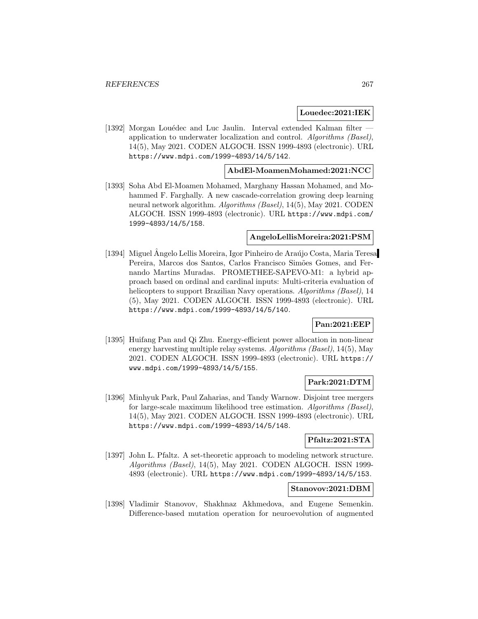#### **Louedec:2021:IEK**

[1392] Morgan Louédec and Luc Jaulin. Interval extended Kalman filter application to underwater localization and control. Algorithms (Basel), 14(5), May 2021. CODEN ALGOCH. ISSN 1999-4893 (electronic). URL https://www.mdpi.com/1999-4893/14/5/142.

#### **AbdEl-MoamenMohamed:2021:NCC**

[1393] Soha Abd El-Moamen Mohamed, Marghany Hassan Mohamed, and Mohammed F. Farghally. A new cascade-correlation growing deep learning neural network algorithm. Algorithms (Basel), 14(5), May 2021. CODEN ALGOCH. ISSN 1999-4893 (electronic). URL https://www.mdpi.com/ 1999-4893/14/5/158.

#### **AngeloLellisMoreira:2021:PSM**

[1394] Miguel Angelo Lellis Moreira, Igor Pinheiro de Araújo Costa, Maria Teresa Pereira, Marcos dos Santos, Carlos Francisco Simões Gomes, and Fernando Martins Muradas. PROMETHEE-SAPEVO-M1: a hybrid approach based on ordinal and cardinal inputs: Multi-criteria evaluation of helicopters to support Brazilian Navy operations. Algorithms (Basel), 14 (5), May 2021. CODEN ALGOCH. ISSN 1999-4893 (electronic). URL https://www.mdpi.com/1999-4893/14/5/140.

### **Pan:2021:EEP**

[1395] Huifang Pan and Qi Zhu. Energy-efficient power allocation in non-linear energy harvesting multiple relay systems. Algorithms (Basel), 14(5), May 2021. CODEN ALGOCH. ISSN 1999-4893 (electronic). URL https:// www.mdpi.com/1999-4893/14/5/155.

## **Park:2021:DTM**

[1396] Minhyuk Park, Paul Zaharias, and Tandy Warnow. Disjoint tree mergers for large-scale maximum likelihood tree estimation. Algorithms (Basel), 14(5), May 2021. CODEN ALGOCH. ISSN 1999-4893 (electronic). URL https://www.mdpi.com/1999-4893/14/5/148.

## **Pfaltz:2021:STA**

[1397] John L. Pfaltz. A set-theoretic approach to modeling network structure. Algorithms (Basel), 14(5), May 2021. CODEN ALGOCH. ISSN 1999- 4893 (electronic). URL https://www.mdpi.com/1999-4893/14/5/153.

## **Stanovov:2021:DBM**

[1398] Vladimir Stanovov, Shakhnaz Akhmedova, and Eugene Semenkin. Difference-based mutation operation for neuroevolution of augmented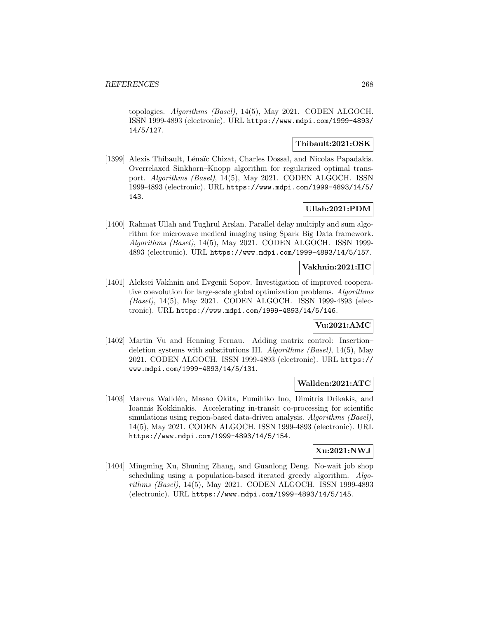topologies. Algorithms (Basel), 14(5), May 2021. CODEN ALGOCH. ISSN 1999-4893 (electronic). URL https://www.mdpi.com/1999-4893/ 14/5/127.

## **Thibault:2021:OSK**

[1399] Alexis Thibault, Lénaïc Chizat, Charles Dossal, and Nicolas Papadakis. Overrelaxed Sinkhorn–Knopp algorithm for regularized optimal transport. Algorithms (Basel), 14(5), May 2021. CODEN ALGOCH. ISSN 1999-4893 (electronic). URL https://www.mdpi.com/1999-4893/14/5/ 143.

## **Ullah:2021:PDM**

[1400] Rahmat Ullah and Tughrul Arslan. Parallel delay multiply and sum algorithm for microwave medical imaging using Spark Big Data framework. Algorithms (Basel), 14(5), May 2021. CODEN ALGOCH. ISSN 1999- 4893 (electronic). URL https://www.mdpi.com/1999-4893/14/5/157.

### **Vakhnin:2021:IIC**

[1401] Aleksei Vakhnin and Evgenii Sopov. Investigation of improved cooperative coevolution for large-scale global optimization problems. Algorithms (Basel), 14(5), May 2021. CODEN ALGOCH. ISSN 1999-4893 (electronic). URL https://www.mdpi.com/1999-4893/14/5/146.

#### **Vu:2021:AMC**

[1402] Martin Vu and Henning Fernau. Adding matrix control: Insertion– deletion systems with substitutions III. Algorithms (Basel),  $14(5)$ , May 2021. CODEN ALGOCH. ISSN 1999-4893 (electronic). URL https:// www.mdpi.com/1999-4893/14/5/131.

#### **Wallden:2021:ATC**

[1403] Marcus Walldén, Masao Okita, Fumihiko Ino, Dimitris Drikakis, and Ioannis Kokkinakis. Accelerating in-transit co-processing for scientific simulations using region-based data-driven analysis. Algorithms (Basel), 14(5), May 2021. CODEN ALGOCH. ISSN 1999-4893 (electronic). URL https://www.mdpi.com/1999-4893/14/5/154.

## **Xu:2021:NWJ**

[1404] Mingming Xu, Shuning Zhang, and Guanlong Deng. No-wait job shop scheduling using a population-based iterated greedy algorithm. Algorithms (Basel), 14(5), May 2021. CODEN ALGOCH. ISSN 1999-4893 (electronic). URL https://www.mdpi.com/1999-4893/14/5/145.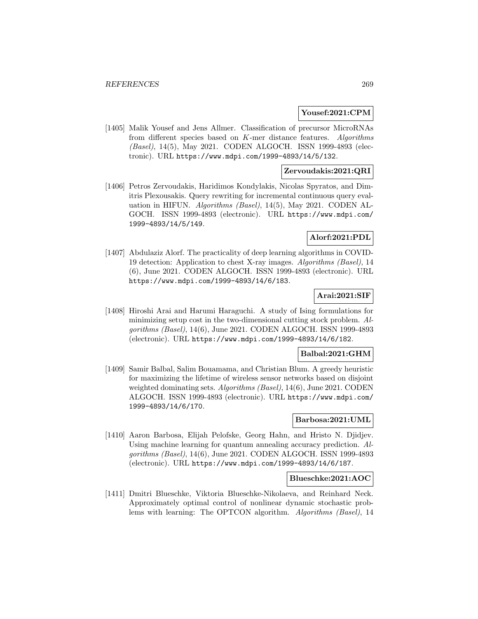#### **Yousef:2021:CPM**

[1405] Malik Yousef and Jens Allmer. Classification of precursor MicroRNAs from different species based on K-mer distance features. Algorithms (Basel), 14(5), May 2021. CODEN ALGOCH. ISSN 1999-4893 (electronic). URL https://www.mdpi.com/1999-4893/14/5/132.

## **Zervoudakis:2021:QRI**

[1406] Petros Zervoudakis, Haridimos Kondylakis, Nicolas Spyratos, and Dimitris Plexousakis. Query rewriting for incremental continuous query evaluation in HIFUN. Algorithms (Basel), 14(5), May 2021. CODEN AL-GOCH. ISSN 1999-4893 (electronic). URL https://www.mdpi.com/ 1999-4893/14/5/149.

## **Alorf:2021:PDL**

[1407] Abdulaziz Alorf. The practicality of deep learning algorithms in COVID-19 detection: Application to chest X-ray images. Algorithms (Basel), 14 (6), June 2021. CODEN ALGOCH. ISSN 1999-4893 (electronic). URL https://www.mdpi.com/1999-4893/14/6/183.

# **Arai:2021:SIF**

[1408] Hiroshi Arai and Harumi Haraguchi. A study of Ising formulations for minimizing setup cost in the two-dimensional cutting stock problem. Algorithms (Basel), 14(6), June 2021. CODEN ALGOCH. ISSN 1999-4893 (electronic). URL https://www.mdpi.com/1999-4893/14/6/182.

#### **Balbal:2021:GHM**

[1409] Samir Balbal, Salim Bouamama, and Christian Blum. A greedy heuristic for maximizing the lifetime of wireless sensor networks based on disjoint weighted dominating sets. Algorithms (Basel), 14(6), June 2021. CODEN ALGOCH. ISSN 1999-4893 (electronic). URL https://www.mdpi.com/ 1999-4893/14/6/170.

#### **Barbosa:2021:UML**

[1410] Aaron Barbosa, Elijah Pelofske, Georg Hahn, and Hristo N. Djidjev. Using machine learning for quantum annealing accuracy prediction. Algorithms (Basel), 14(6), June 2021. CODEN ALGOCH. ISSN 1999-4893 (electronic). URL https://www.mdpi.com/1999-4893/14/6/187.

#### **Blueschke:2021:AOC**

[1411] Dmitri Blueschke, Viktoria Blueschke-Nikolaeva, and Reinhard Neck. Approximately optimal control of nonlinear dynamic stochastic problems with learning: The OPTCON algorithm. Algorithms (Basel), 14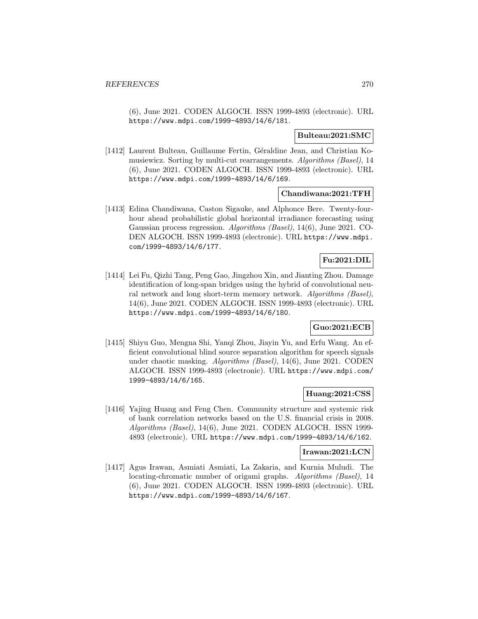(6), June 2021. CODEN ALGOCH. ISSN 1999-4893 (electronic). URL https://www.mdpi.com/1999-4893/14/6/181.

### **Bulteau:2021:SMC**

[1412] Laurent Bulteau, Guillaume Fertin, Géraldine Jean, and Christian Komusiewicz. Sorting by multi-cut rearrangements. Algorithms (Basel), 14 (6), June 2021. CODEN ALGOCH. ISSN 1999-4893 (electronic). URL https://www.mdpi.com/1999-4893/14/6/169.

### **Chandiwana:2021:TFH**

[1413] Edina Chandiwana, Caston Sigauke, and Alphonce Bere. Twenty-fourhour ahead probabilistic global horizontal irradiance forecasting using Gaussian process regression. Algorithms (Basel), 14(6), June 2021. CO-DEN ALGOCH. ISSN 1999-4893 (electronic). URL https://www.mdpi. com/1999-4893/14/6/177.

## **Fu:2021:DIL**

[1414] Lei Fu, Qizhi Tang, Peng Gao, Jingzhou Xin, and Jianting Zhou. Damage identification of long-span bridges using the hybrid of convolutional neural network and long short-term memory network. Algorithms (Basel), 14(6), June 2021. CODEN ALGOCH. ISSN 1999-4893 (electronic). URL https://www.mdpi.com/1999-4893/14/6/180.

## **Guo:2021:ECB**

[1415] Shiyu Guo, Mengna Shi, Yanqi Zhou, Jiayin Yu, and Erfu Wang. An efficient convolutional blind source separation algorithm for speech signals under chaotic masking. Algorithms (Basel), 14(6), June 2021. CODEN ALGOCH. ISSN 1999-4893 (electronic). URL https://www.mdpi.com/ 1999-4893/14/6/165.

### **Huang:2021:CSS**

[1416] Yajing Huang and Feng Chen. Community structure and systemic risk of bank correlation networks based on the U.S. financial crisis in 2008. Algorithms (Basel), 14(6), June 2021. CODEN ALGOCH. ISSN 1999- 4893 (electronic). URL https://www.mdpi.com/1999-4893/14/6/162.

### **Irawan:2021:LCN**

[1417] Agus Irawan, Asmiati Asmiati, La Zakaria, and Kurnia Muludi. The locating-chromatic number of origami graphs. Algorithms (Basel), 14 (6), June 2021. CODEN ALGOCH. ISSN 1999-4893 (electronic). URL https://www.mdpi.com/1999-4893/14/6/167.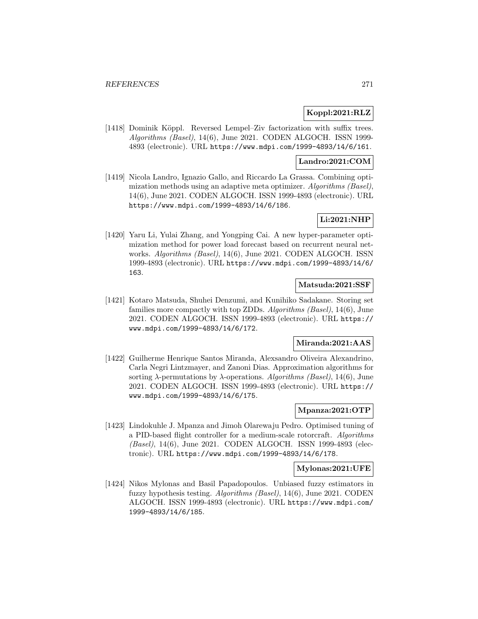## **Koppl:2021:RLZ**

[1418] Dominik Köppl. Reversed Lempel–Ziv factorization with suffix trees. Algorithms (Basel), 14(6), June 2021. CODEN ALGOCH. ISSN 1999- 4893 (electronic). URL https://www.mdpi.com/1999-4893/14/6/161.

#### **Landro:2021:COM**

[1419] Nicola Landro, Ignazio Gallo, and Riccardo La Grassa. Combining optimization methods using an adaptive meta optimizer. Algorithms (Basel), 14(6), June 2021. CODEN ALGOCH. ISSN 1999-4893 (electronic). URL https://www.mdpi.com/1999-4893/14/6/186.

## **Li:2021:NHP**

[1420] Yaru Li, Yulai Zhang, and Yongping Cai. A new hyper-parameter optimization method for power load forecast based on recurrent neural networks. Algorithms (Basel), 14(6), June 2021. CODEN ALGOCH. ISSN 1999-4893 (electronic). URL https://www.mdpi.com/1999-4893/14/6/ 163.

## **Matsuda:2021:SSF**

[1421] Kotaro Matsuda, Shuhei Denzumi, and Kunihiko Sadakane. Storing set families more compactly with top ZDDs. Algorithms (Basel), 14(6), June 2021. CODEN ALGOCH. ISSN 1999-4893 (electronic). URL https:// www.mdpi.com/1999-4893/14/6/172.

## **Miranda:2021:AAS**

[1422] Guilherme Henrique Santos Miranda, Alexsandro Oliveira Alexandrino, Carla Negri Lintzmayer, and Zanoni Dias. Approximation algorithms for sorting  $\lambda$ -permutations by  $\lambda$ -operations. Algorithms (Basel), 14(6), June 2021. CODEN ALGOCH. ISSN 1999-4893 (electronic). URL https:// www.mdpi.com/1999-4893/14/6/175.

#### **Mpanza:2021:OTP**

[1423] Lindokuhle J. Mpanza and Jimoh Olarewaju Pedro. Optimised tuning of a PID-based flight controller for a medium-scale rotorcraft. Algorithms (Basel), 14(6), June 2021. CODEN ALGOCH. ISSN 1999-4893 (electronic). URL https://www.mdpi.com/1999-4893/14/6/178.

### **Mylonas:2021:UFE**

[1424] Nikos Mylonas and Basil Papadopoulos. Unbiased fuzzy estimators in fuzzy hypothesis testing. Algorithms (Basel), 14(6), June 2021. CODEN ALGOCH. ISSN 1999-4893 (electronic). URL https://www.mdpi.com/ 1999-4893/14/6/185.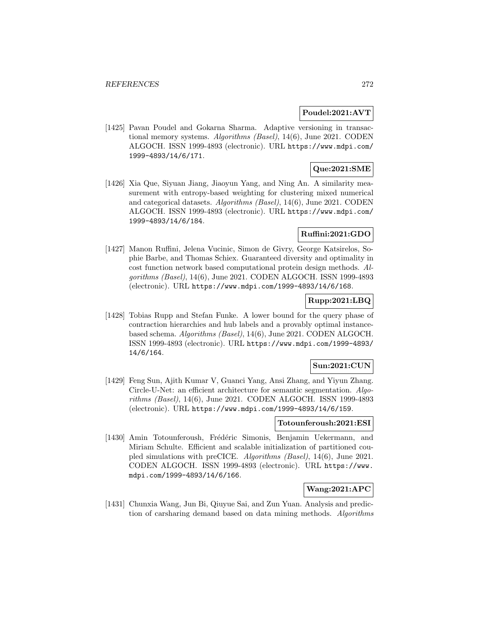### **Poudel:2021:AVT**

[1425] Pavan Poudel and Gokarna Sharma. Adaptive versioning in transactional memory systems. Algorithms (Basel), 14(6), June 2021. CODEN ALGOCH. ISSN 1999-4893 (electronic). URL https://www.mdpi.com/ 1999-4893/14/6/171.

# **Que:2021:SME**

[1426] Xia Que, Siyuan Jiang, Jiaoyun Yang, and Ning An. A similarity measurement with entropy-based weighting for clustering mixed numerical and categorical datasets. Algorithms (Basel), 14(6), June 2021. CODEN ALGOCH. ISSN 1999-4893 (electronic). URL https://www.mdpi.com/ 1999-4893/14/6/184.

## **Ruffini:2021:GDO**

[1427] Manon Ruffini, Jelena Vucinic, Simon de Givry, George Katsirelos, Sophie Barbe, and Thomas Schiex. Guaranteed diversity and optimality in cost function network based computational protein design methods. Algorithms (Basel), 14(6), June 2021. CODEN ALGOCH. ISSN 1999-4893 (electronic). URL https://www.mdpi.com/1999-4893/14/6/168.

## **Rupp:2021:LBQ**

[1428] Tobias Rupp and Stefan Funke. A lower bound for the query phase of contraction hierarchies and hub labels and a provably optimal instancebased schema. Algorithms (Basel), 14(6), June 2021. CODEN ALGOCH. ISSN 1999-4893 (electronic). URL https://www.mdpi.com/1999-4893/ 14/6/164.

## **Sun:2021:CUN**

[1429] Feng Sun, Ajith Kumar V, Guanci Yang, Ansi Zhang, and Yiyun Zhang. Circle-U-Net: an efficient architecture for semantic segmentation. Algorithms (Basel), 14(6), June 2021. CODEN ALGOCH. ISSN 1999-4893 (electronic). URL https://www.mdpi.com/1999-4893/14/6/159.

#### **Totounferoush:2021:ESI**

[1430] Amin Totounferoush, Frédéric Simonis, Benjamin Uekermann, and Miriam Schulte. Efficient and scalable initialization of partitioned coupled simulations with preCICE. Algorithms (Basel), 14(6), June 2021. CODEN ALGOCH. ISSN 1999-4893 (electronic). URL https://www. mdpi.com/1999-4893/14/6/166.

# **Wang:2021:APC**

[1431] Chunxia Wang, Jun Bi, Qiuyue Sai, and Zun Yuan. Analysis and prediction of carsharing demand based on data mining methods. Algorithms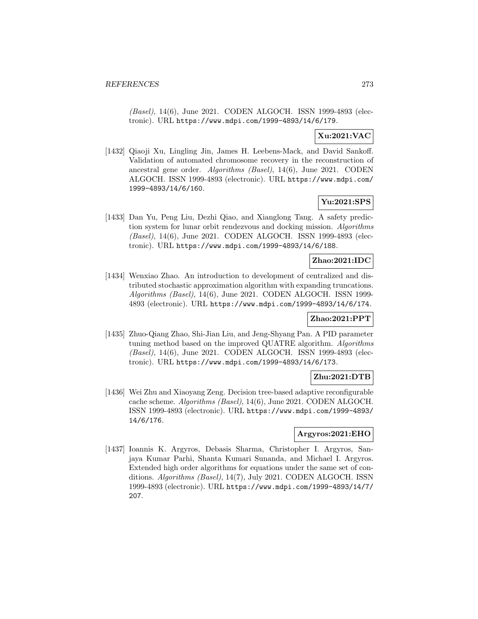(Basel), 14(6), June 2021. CODEN ALGOCH. ISSN 1999-4893 (electronic). URL https://www.mdpi.com/1999-4893/14/6/179.

## **Xu:2021:VAC**

[1432] Qiaoji Xu, Lingling Jin, James H. Leebens-Mack, and David Sankoff. Validation of automated chromosome recovery in the reconstruction of ancestral gene order. Algorithms (Basel), 14(6), June 2021. CODEN ALGOCH. ISSN 1999-4893 (electronic). URL https://www.mdpi.com/ 1999-4893/14/6/160.

# **Yu:2021:SPS**

[1433] Dan Yu, Peng Liu, Dezhi Qiao, and Xianglong Tang. A safety prediction system for lunar orbit rendezvous and docking mission. Algorithms (Basel), 14(6), June 2021. CODEN ALGOCH. ISSN 1999-4893 (electronic). URL https://www.mdpi.com/1999-4893/14/6/188.

## **Zhao:2021:IDC**

[1434] Wenxiao Zhao. An introduction to development of centralized and distributed stochastic approximation algorithm with expanding truncations. Algorithms (Basel), 14(6), June 2021. CODEN ALGOCH. ISSN 1999- 4893 (electronic). URL https://www.mdpi.com/1999-4893/14/6/174.

## **Zhao:2021:PPT**

[1435] Zhuo-Qiang Zhao, Shi-Jian Liu, and Jeng-Shyang Pan. A PID parameter tuning method based on the improved QUATRE algorithm. Algorithms (Basel), 14(6), June 2021. CODEN ALGOCH. ISSN 1999-4893 (electronic). URL https://www.mdpi.com/1999-4893/14/6/173.

### **Zhu:2021:DTB**

[1436] Wei Zhu and Xiaoyang Zeng. Decision tree-based adaptive reconfigurable cache scheme. Algorithms (Basel), 14(6), June 2021. CODEN ALGOCH. ISSN 1999-4893 (electronic). URL https://www.mdpi.com/1999-4893/ 14/6/176.

## **Argyros:2021:EHO**

[1437] Ioannis K. Argyros, Debasis Sharma, Christopher I. Argyros, Sanjaya Kumar Parhi, Shanta Kumari Sunanda, and Michael I. Argyros. Extended high order algorithms for equations under the same set of conditions. Algorithms (Basel), 14(7), July 2021. CODEN ALGOCH. ISSN 1999-4893 (electronic). URL https://www.mdpi.com/1999-4893/14/7/ 207.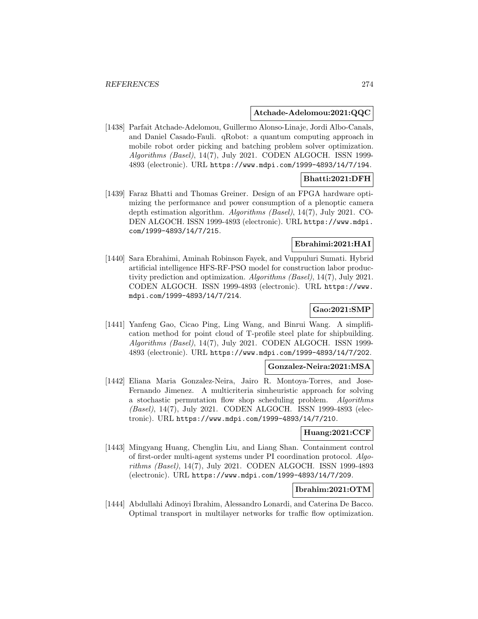#### **Atchade-Adelomou:2021:QQC**

[1438] Parfait Atchade-Adelomou, Guillermo Alonso-Linaje, Jordi Albo-Canals, and Daniel Casado-Fauli. qRobot: a quantum computing approach in mobile robot order picking and batching problem solver optimization. Algorithms (Basel), 14(7), July 2021. CODEN ALGOCH. ISSN 1999- 4893 (electronic). URL https://www.mdpi.com/1999-4893/14/7/194.

### **Bhatti:2021:DFH**

[1439] Faraz Bhatti and Thomas Greiner. Design of an FPGA hardware optimizing the performance and power consumption of a plenoptic camera depth estimation algorithm. Algorithms (Basel), 14(7), July 2021. CO-DEN ALGOCH. ISSN 1999-4893 (electronic). URL https://www.mdpi. com/1999-4893/14/7/215.

## **Ebrahimi:2021:HAI**

[1440] Sara Ebrahimi, Aminah Robinson Fayek, and Vuppuluri Sumati. Hybrid artificial intelligence HFS-RF-PSO model for construction labor productivity prediction and optimization. Algorithms (Basel), 14(7), July 2021. CODEN ALGOCH. ISSN 1999-4893 (electronic). URL https://www. mdpi.com/1999-4893/14/7/214.

# **Gao:2021:SMP**

[1441] Yanfeng Gao, Cicao Ping, Ling Wang, and Binrui Wang. A simplification method for point cloud of T-profile steel plate for shipbuilding. Algorithms (Basel), 14(7), July 2021. CODEN ALGOCH. ISSN 1999- 4893 (electronic). URL https://www.mdpi.com/1999-4893/14/7/202.

#### **Gonzalez-Neira:2021:MSA**

[1442] Eliana Maria Gonzalez-Neira, Jairo R. Montoya-Torres, and Jose-Fernando Jimenez. A multicriteria simheuristic approach for solving a stochastic permutation flow shop scheduling problem. Algorithms (Basel), 14(7), July 2021. CODEN ALGOCH. ISSN 1999-4893 (electronic). URL https://www.mdpi.com/1999-4893/14/7/210.

### **Huang:2021:CCF**

[1443] Mingyang Huang, Chenglin Liu, and Liang Shan. Containment control of first-order multi-agent systems under PI coordination protocol. Algorithms (Basel), 14(7), July 2021. CODEN ALGOCH. ISSN 1999-4893 (electronic). URL https://www.mdpi.com/1999-4893/14/7/209.

### **Ibrahim:2021:OTM**

[1444] Abdullahi Adinoyi Ibrahim, Alessandro Lonardi, and Caterina De Bacco. Optimal transport in multilayer networks for traffic flow optimization.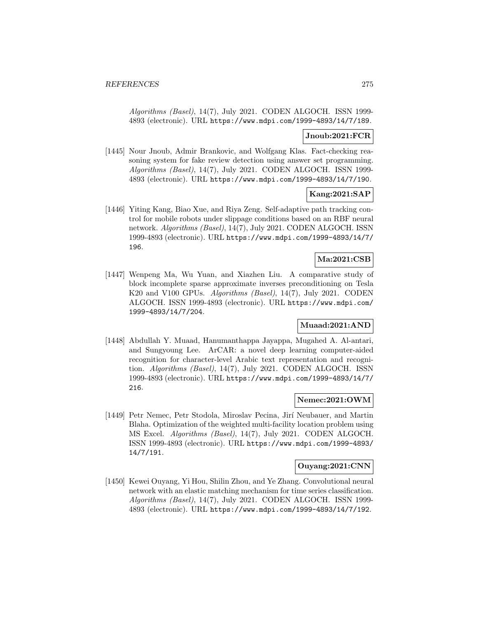Algorithms (Basel), 14(7), July 2021. CODEN ALGOCH. ISSN 1999- 4893 (electronic). URL https://www.mdpi.com/1999-4893/14/7/189.

### **Jnoub:2021:FCR**

[1445] Nour Jnoub, Admir Brankovic, and Wolfgang Klas. Fact-checking reasoning system for fake review detection using answer set programming. Algorithms (Basel), 14(7), July 2021. CODEN ALGOCH. ISSN 1999- 4893 (electronic). URL https://www.mdpi.com/1999-4893/14/7/190.

## **Kang:2021:SAP**

[1446] Yiting Kang, Biao Xue, and Riya Zeng. Self-adaptive path tracking control for mobile robots under slippage conditions based on an RBF neural network. Algorithms (Basel), 14(7), July 2021. CODEN ALGOCH. ISSN 1999-4893 (electronic). URL https://www.mdpi.com/1999-4893/14/7/ 196.

# **Ma:2021:CSB**

[1447] Wenpeng Ma, Wu Yuan, and Xiazhen Liu. A comparative study of block incomplete sparse approximate inverses preconditioning on Tesla K20 and V100 GPUs. Algorithms (Basel), 14(7), July 2021. CODEN ALGOCH. ISSN 1999-4893 (electronic). URL https://www.mdpi.com/ 1999-4893/14/7/204.

## **Muaad:2021:AND**

[1448] Abdullah Y. Muaad, Hanumanthappa Jayappa, Mugahed A. Al-antari, and Sungyoung Lee. ArCAR: a novel deep learning computer-aided recognition for character-level Arabic text representation and recognition. Algorithms (Basel), 14(7), July 2021. CODEN ALGOCH. ISSN 1999-4893 (electronic). URL https://www.mdpi.com/1999-4893/14/7/ 216.

### **Nemec:2021:OWM**

[1449] Petr Nemec, Petr Stodola, Miroslav Pecina, Jirí Neubauer, and Martin Blaha. Optimization of the weighted multi-facility location problem using MS Excel. Algorithms (Basel), 14(7), July 2021. CODEN ALGOCH. ISSN 1999-4893 (electronic). URL https://www.mdpi.com/1999-4893/ 14/7/191.

### **Ouyang:2021:CNN**

[1450] Kewei Ouyang, Yi Hou, Shilin Zhou, and Ye Zhang. Convolutional neural network with an elastic matching mechanism for time series classification. Algorithms (Basel), 14(7), July 2021. CODEN ALGOCH. ISSN 1999- 4893 (electronic). URL https://www.mdpi.com/1999-4893/14/7/192.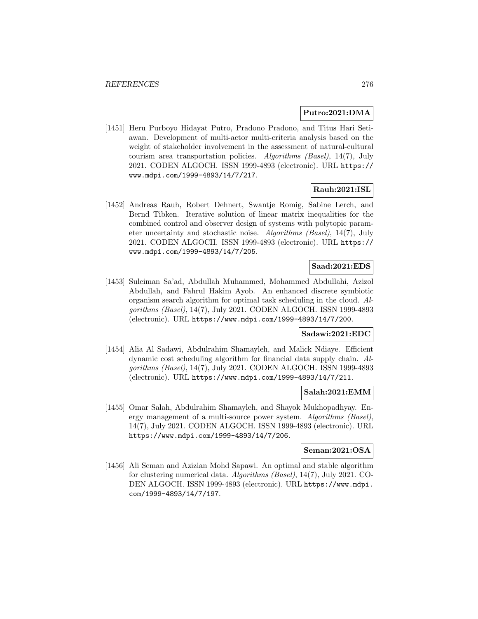#### **Putro:2021:DMA**

[1451] Heru Purboyo Hidayat Putro, Pradono Pradono, and Titus Hari Setiawan. Development of multi-actor multi-criteria analysis based on the weight of stakeholder involvement in the assessment of natural-cultural tourism area transportation policies. Algorithms (Basel), 14(7), July 2021. CODEN ALGOCH. ISSN 1999-4893 (electronic). URL https:// www.mdpi.com/1999-4893/14/7/217.

## **Rauh:2021:ISL**

[1452] Andreas Rauh, Robert Dehnert, Swantje Romig, Sabine Lerch, and Bernd Tibken. Iterative solution of linear matrix inequalities for the combined control and observer design of systems with polytopic parameter uncertainty and stochastic noise. Algorithms (Basel), 14(7), July 2021. CODEN ALGOCH. ISSN 1999-4893 (electronic). URL https:// www.mdpi.com/1999-4893/14/7/205.

### **Saad:2021:EDS**

[1453] Suleiman Sa'ad, Abdullah Muhammed, Mohammed Abdullahi, Azizol Abdullah, and Fahrul Hakim Ayob. An enhanced discrete symbiotic organism search algorithm for optimal task scheduling in the cloud. Algorithms (Basel), 14(7), July 2021. CODEN ALGOCH. ISSN 1999-4893 (electronic). URL https://www.mdpi.com/1999-4893/14/7/200.

## **Sadawi:2021:EDC**

[1454] Alia Al Sadawi, Abdulrahim Shamayleh, and Malick Ndiaye. Efficient dynamic cost scheduling algorithm for financial data supply chain. Algorithms (Basel), 14(7), July 2021. CODEN ALGOCH. ISSN 1999-4893 (electronic). URL https://www.mdpi.com/1999-4893/14/7/211.

## **Salah:2021:EMM**

[1455] Omar Salah, Abdulrahim Shamayleh, and Shayok Mukhopadhyay. Energy management of a multi-source power system. Algorithms (Basel), 14(7), July 2021. CODEN ALGOCH. ISSN 1999-4893 (electronic). URL https://www.mdpi.com/1999-4893/14/7/206.

### **Seman:2021:OSA**

[1456] Ali Seman and Azizian Mohd Sapawi. An optimal and stable algorithm for clustering numerical data. Algorithms (Basel), 14(7), July 2021. CO-DEN ALGOCH. ISSN 1999-4893 (electronic). URL https://www.mdpi. com/1999-4893/14/7/197.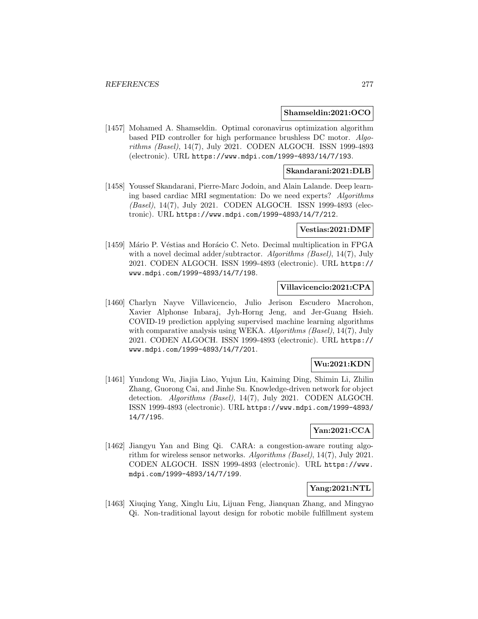#### **Shamseldin:2021:OCO**

[1457] Mohamed A. Shamseldin. Optimal coronavirus optimization algorithm based PID controller for high performance brushless DC motor. Algorithms (Basel), 14(7), July 2021. CODEN ALGOCH. ISSN 1999-4893 (electronic). URL https://www.mdpi.com/1999-4893/14/7/193.

### **Skandarani:2021:DLB**

[1458] Youssef Skandarani, Pierre-Marc Jodoin, and Alain Lalande. Deep learning based cardiac MRI segmentation: Do we need experts? Algorithms (Basel), 14(7), July 2021. CODEN ALGOCH. ISSN 1999-4893 (electronic). URL https://www.mdpi.com/1999-4893/14/7/212.

#### **Vestias:2021:DMF**

[1459] Mário P. Véstias and Horácio C. Neto. Decimal multiplication in FPGA with a novel decimal adder/subtractor. Algorithms (Basel), 14(7), July 2021. CODEN ALGOCH. ISSN 1999-4893 (electronic). URL https:// www.mdpi.com/1999-4893/14/7/198.

## **Villavicencio:2021:CPA**

[1460] Charlyn Nayve Villavicencio, Julio Jerison Escudero Macrohon, Xavier Alphonse Inbaraj, Jyh-Horng Jeng, and Jer-Guang Hsieh. COVID-19 prediction applying supervised machine learning algorithms with comparative analysis using WEKA. Algorithms (Basel), 14(7), July 2021. CODEN ALGOCH. ISSN 1999-4893 (electronic). URL https:// www.mdpi.com/1999-4893/14/7/201.

### **Wu:2021:KDN**

[1461] Yundong Wu, Jiajia Liao, Yujun Liu, Kaiming Ding, Shimin Li, Zhilin Zhang, Guorong Cai, and Jinhe Su. Knowledge-driven network for object detection. Algorithms (Basel), 14(7), July 2021. CODEN ALGOCH. ISSN 1999-4893 (electronic). URL https://www.mdpi.com/1999-4893/ 14/7/195.

## **Yan:2021:CCA**

[1462] Jiangyu Yan and Bing Qi. CARA: a congestion-aware routing algorithm for wireless sensor networks. Algorithms (Basel), 14(7), July 2021. CODEN ALGOCH. ISSN 1999-4893 (electronic). URL https://www. mdpi.com/1999-4893/14/7/199.

## **Yang:2021:NTL**

[1463] Xiuqing Yang, Xinglu Liu, Lijuan Feng, Jianquan Zhang, and Mingyao Qi. Non-traditional layout design for robotic mobile fulfillment system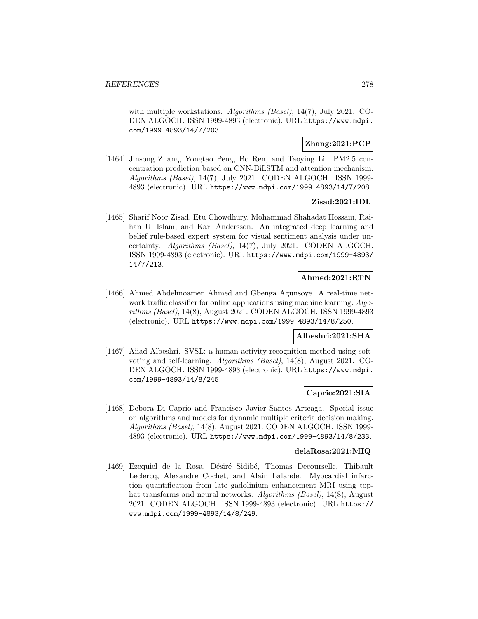with multiple workstations. *Algorithms (Basel)*, 14(7), July 2021. CO-DEN ALGOCH. ISSN 1999-4893 (electronic). URL https://www.mdpi. com/1999-4893/14/7/203.

# **Zhang:2021:PCP**

[1464] Jinsong Zhang, Yongtao Peng, Bo Ren, and Taoying Li. PM2.5 concentration prediction based on CNN-BiLSTM and attention mechanism. Algorithms (Basel), 14(7), July 2021. CODEN ALGOCH. ISSN 1999- 4893 (electronic). URL https://www.mdpi.com/1999-4893/14/7/208.

## **Zisad:2021:IDL**

[1465] Sharif Noor Zisad, Etu Chowdhury, Mohammad Shahadat Hossain, Raihan Ul Islam, and Karl Andersson. An integrated deep learning and belief rule-based expert system for visual sentiment analysis under uncertainty. Algorithms (Basel), 14(7), July 2021. CODEN ALGOCH. ISSN 1999-4893 (electronic). URL https://www.mdpi.com/1999-4893/ 14/7/213.

## **Ahmed:2021:RTN**

[1466] Ahmed Abdelmoamen Ahmed and Gbenga Agunsoye. A real-time network traffic classifier for online applications using machine learning. Algorithms (Basel), 14(8), August 2021. CODEN ALGOCH. ISSN 1999-4893 (electronic). URL https://www.mdpi.com/1999-4893/14/8/250.

## **Albeshri:2021:SHA**

[1467] Aiiad Albeshri. SVSL: a human activity recognition method using softvoting and self-learning. Algorithms (Basel), 14(8), August 2021. CO-DEN ALGOCH. ISSN 1999-4893 (electronic). URL https://www.mdpi. com/1999-4893/14/8/245.

## **Caprio:2021:SIA**

[1468] Debora Di Caprio and Francisco Javier Santos Arteaga. Special issue on algorithms and models for dynamic multiple criteria decision making. Algorithms (Basel), 14(8), August 2021. CODEN ALGOCH. ISSN 1999- 4893 (electronic). URL https://www.mdpi.com/1999-4893/14/8/233.

## **delaRosa:2021:MIQ**

[1469] Ezequiel de la Rosa, Désiré Sidibé, Thomas Decourselle, Thibault Leclercq, Alexandre Cochet, and Alain Lalande. Myocardial infarction quantification from late gadolinium enhancement MRI using tophat transforms and neural networks. Algorithms (Basel), 14(8), August 2021. CODEN ALGOCH. ISSN 1999-4893 (electronic). URL https:// www.mdpi.com/1999-4893/14/8/249.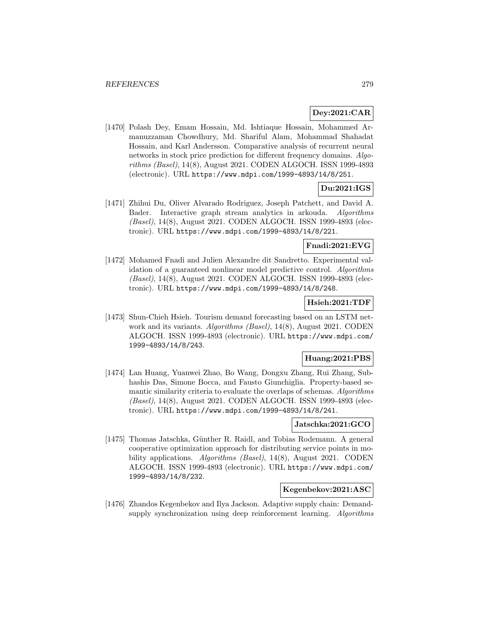## **Dey:2021:CAR**

[1470] Polash Dey, Emam Hossain, Md. Ishtiaque Hossain, Mohammed Armanuzzaman Chowdhury, Md. Shariful Alam, Mohammad Shahadat Hossain, and Karl Andersson. Comparative analysis of recurrent neural networks in stock price prediction for different frequency domains. Algorithms (Basel), 14(8), August 2021. CODEN ALGOCH. ISSN 1999-4893 (electronic). URL https://www.mdpi.com/1999-4893/14/8/251.

# **Du:2021:IGS**

[1471] Zhihui Du, Oliver Alvarado Rodriguez, Joseph Patchett, and David A. Bader. Interactive graph stream analytics in arkouda. Algorithms (Basel), 14(8), August 2021. CODEN ALGOCH. ISSN 1999-4893 (electronic). URL https://www.mdpi.com/1999-4893/14/8/221.

## **Fnadi:2021:EVG**

[1472] Mohamed Fnadi and Julien Alexandre dit Sandretto. Experimental validation of a guaranteed nonlinear model predictive control. Algorithms (Basel), 14(8), August 2021. CODEN ALGOCH. ISSN 1999-4893 (electronic). URL https://www.mdpi.com/1999-4893/14/8/248.

## **Hsieh:2021:TDF**

[1473] Shun-Chieh Hsieh. Tourism demand forecasting based on an LSTM network and its variants. Algorithms (Basel), 14(8), August 2021. CODEN ALGOCH. ISSN 1999-4893 (electronic). URL https://www.mdpi.com/ 1999-4893/14/8/243.

## **Huang:2021:PBS**

[1474] Lan Huang, Yuanwei Zhao, Bo Wang, Dongxu Zhang, Rui Zhang, Subhashis Das, Simone Bocca, and Fausto Giunchiglia. Property-based semantic similarity criteria to evaluate the overlaps of schemas. Algorithms (Basel), 14(8), August 2021. CODEN ALGOCH. ISSN 1999-4893 (electronic). URL https://www.mdpi.com/1999-4893/14/8/241.

## **Jatschka:2021:GCO**

[1475] Thomas Jatschka, Günther R. Raidl, and Tobias Rodemann. A general cooperative optimization approach for distributing service points in mobility applications. Algorithms (Basel), 14(8), August 2021. CODEN ALGOCH. ISSN 1999-4893 (electronic). URL https://www.mdpi.com/ 1999-4893/14/8/232.

# **Kegenbekov:2021:ASC**

[1476] Zhandos Kegenbekov and Ilya Jackson. Adaptive supply chain: Demandsupply synchronization using deep reinforcement learning. Algorithms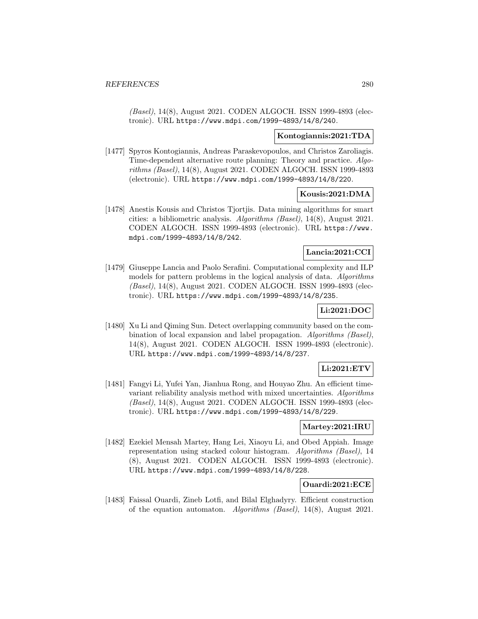(Basel), 14(8), August 2021. CODEN ALGOCH. ISSN 1999-4893 (electronic). URL https://www.mdpi.com/1999-4893/14/8/240.

### **Kontogiannis:2021:TDA**

[1477] Spyros Kontogiannis, Andreas Paraskevopoulos, and Christos Zaroliagis. Time-dependent alternative route planning: Theory and practice. Algorithms (Basel), 14(8), August 2021. CODEN ALGOCH. ISSN 1999-4893 (electronic). URL https://www.mdpi.com/1999-4893/14/8/220.

### **Kousis:2021:DMA**

[1478] Anestis Kousis and Christos Tjortjis. Data mining algorithms for smart cities: a bibliometric analysis. Algorithms (Basel), 14(8), August 2021. CODEN ALGOCH. ISSN 1999-4893 (electronic). URL https://www. mdpi.com/1999-4893/14/8/242.

## **Lancia:2021:CCI**

[1479] Giuseppe Lancia and Paolo Serafini. Computational complexity and ILP models for pattern problems in the logical analysis of data. Algorithms (Basel), 14(8), August 2021. CODEN ALGOCH. ISSN 1999-4893 (electronic). URL https://www.mdpi.com/1999-4893/14/8/235.

# **Li:2021:DOC**

[1480] Xu Li and Qiming Sun. Detect overlapping community based on the combination of local expansion and label propagation. Algorithms (Basel), 14(8), August 2021. CODEN ALGOCH. ISSN 1999-4893 (electronic). URL https://www.mdpi.com/1999-4893/14/8/237.

# **Li:2021:ETV**

[1481] Fangyi Li, Yufei Yan, Jianhua Rong, and Houyao Zhu. An efficient timevariant reliability analysis method with mixed uncertainties. Algorithms (Basel), 14(8), August 2021. CODEN ALGOCH. ISSN 1999-4893 (electronic). URL https://www.mdpi.com/1999-4893/14/8/229.

### **Martey:2021:IRU**

[1482] Ezekiel Mensah Martey, Hang Lei, Xiaoyu Li, and Obed Appiah. Image representation using stacked colour histogram. Algorithms (Basel), 14 (8), August 2021. CODEN ALGOCH. ISSN 1999-4893 (electronic). URL https://www.mdpi.com/1999-4893/14/8/228.

### **Ouardi:2021:ECE**

[1483] Faissal Ouardi, Zineb Lotfi, and Bilal Elghadyry. Efficient construction of the equation automaton. Algorithms (Basel), 14(8), August 2021.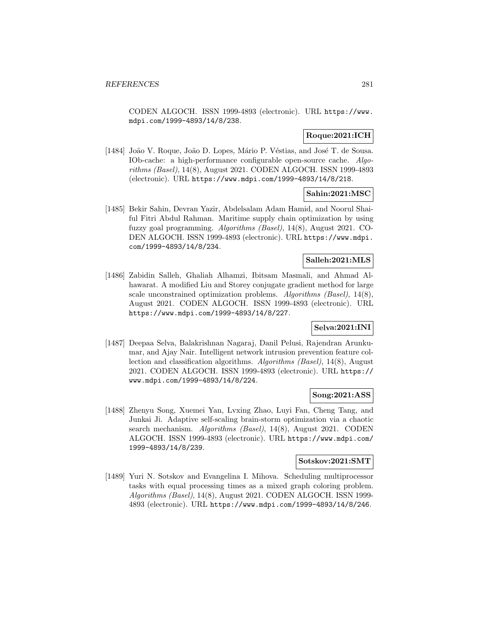CODEN ALGOCH. ISSN 1999-4893 (electronic). URL https://www. mdpi.com/1999-4893/14/8/238.

# **Roque:2021:ICH**

[1484] João V. Roque, João D. Lopes, Mário P. Véstias, and José T. de Sousa. IOb-cache: a high-performance configurable open-source cache. Algorithms (Basel), 14(8), August 2021. CODEN ALGOCH. ISSN 1999-4893 (electronic). URL https://www.mdpi.com/1999-4893/14/8/218.

## **Sahin:2021:MSC**

[1485] Bekir Sahin, Devran Yazir, Abdelsalam Adam Hamid, and Noorul Shaiful Fitri Abdul Rahman. Maritime supply chain optimization by using fuzzy goal programming. Algorithms (Basel), 14(8), August 2021. CO-DEN ALGOCH. ISSN 1999-4893 (electronic). URL https://www.mdpi. com/1999-4893/14/8/234.

## **Salleh:2021:MLS**

[1486] Zabidin Salleh, Ghaliah Alhamzi, Ibitsam Masmali, and Ahmad Alhawarat. A modified Liu and Storey conjugate gradient method for large scale unconstrained optimization problems. Algorithms (Basel), 14(8), August 2021. CODEN ALGOCH. ISSN 1999-4893 (electronic). URL https://www.mdpi.com/1999-4893/14/8/227.

## **Selva:2021:INI**

[1487] Deepaa Selva, Balakrishnan Nagaraj, Danil Pelusi, Rajendran Arunkumar, and Ajay Nair. Intelligent network intrusion prevention feature collection and classification algorithms. Algorithms (Basel), 14(8), August 2021. CODEN ALGOCH. ISSN 1999-4893 (electronic). URL https:// www.mdpi.com/1999-4893/14/8/224.

### **Song:2021:ASS**

[1488] Zhenyu Song, Xuemei Yan, Lvxing Zhao, Luyi Fan, Cheng Tang, and Junkai Ji. Adaptive self-scaling brain-storm optimization via a chaotic search mechanism. *Algorithms (Basel)*, 14(8), August 2021. CODEN ALGOCH. ISSN 1999-4893 (electronic). URL https://www.mdpi.com/ 1999-4893/14/8/239.

### **Sotskov:2021:SMT**

[1489] Yuri N. Sotskov and Evangelina I. Mihova. Scheduling multiprocessor tasks with equal processing times as a mixed graph coloring problem. Algorithms (Basel), 14(8), August 2021. CODEN ALGOCH. ISSN 1999- 4893 (electronic). URL https://www.mdpi.com/1999-4893/14/8/246.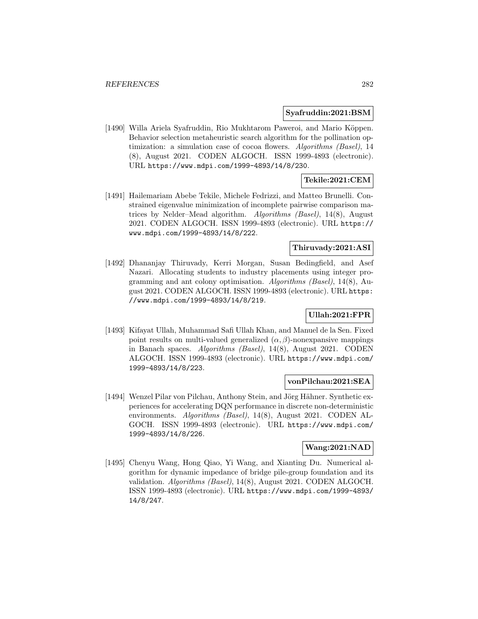#### **Syafruddin:2021:BSM**

[1490] Willa Ariela Syafruddin, Rio Mukhtarom Paweroi, and Mario Köppen. Behavior selection metaheuristic search algorithm for the pollination optimization: a simulation case of cocoa flowers. Algorithms (Basel), 14 (8), August 2021. CODEN ALGOCH. ISSN 1999-4893 (electronic). URL https://www.mdpi.com/1999-4893/14/8/230.

## **Tekile:2021:CEM**

[1491] Hailemariam Abebe Tekile, Michele Fedrizzi, and Matteo Brunelli. Constrained eigenvalue minimization of incomplete pairwise comparison matrices by Nelder–Mead algorithm. Algorithms (Basel), 14(8), August 2021. CODEN ALGOCH. ISSN 1999-4893 (electronic). URL https:// www.mdpi.com/1999-4893/14/8/222.

## **Thiruvady:2021:ASI**

[1492] Dhananjay Thiruvady, Kerri Morgan, Susan Bedingfield, and Asef Nazari. Allocating students to industry placements using integer programming and ant colony optimisation. Algorithms (Basel), 14(8), August 2021. CODEN ALGOCH. ISSN 1999-4893 (electronic). URL https: //www.mdpi.com/1999-4893/14/8/219.

# **Ullah:2021:FPR**

[1493] Kifayat Ullah, Muhammad Safi Ullah Khan, and Manuel de la Sen. Fixed point results on multi-valued generalized  $(\alpha, \beta)$ -nonexpansive mappings in Banach spaces. Algorithms (Basel), 14(8), August 2021. CODEN ALGOCH. ISSN 1999-4893 (electronic). URL https://www.mdpi.com/ 1999-4893/14/8/223.

#### **vonPilchau:2021:SEA**

[1494] Wenzel Pilar von Pilchau, Anthony Stein, and Jörg Hähner. Synthetic experiences for accelerating DQN performance in discrete non-deterministic environments. Algorithms (Basel), 14(8), August 2021. CODEN AL-GOCH. ISSN 1999-4893 (electronic). URL https://www.mdpi.com/ 1999-4893/14/8/226.

#### **Wang:2021:NAD**

[1495] Chenyu Wang, Hong Qiao, Yi Wang, and Xianting Du. Numerical algorithm for dynamic impedance of bridge pile-group foundation and its validation. Algorithms (Basel), 14(8), August 2021. CODEN ALGOCH. ISSN 1999-4893 (electronic). URL https://www.mdpi.com/1999-4893/ 14/8/247.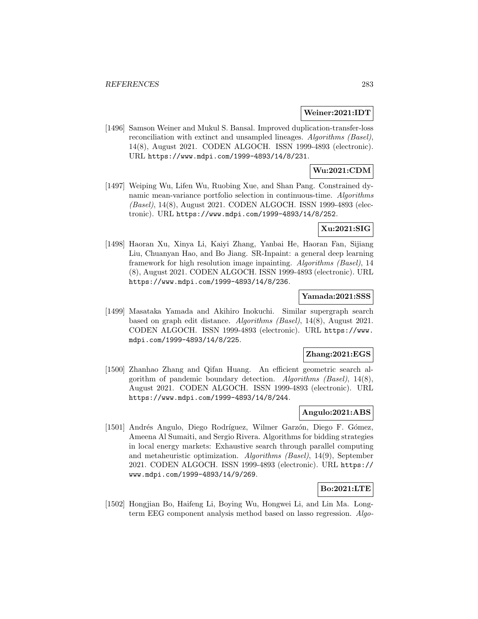#### **Weiner:2021:IDT**

[1496] Samson Weiner and Mukul S. Bansal. Improved duplication-transfer-loss reconciliation with extinct and unsampled lineages. Algorithms (Basel), 14(8), August 2021. CODEN ALGOCH. ISSN 1999-4893 (electronic). URL https://www.mdpi.com/1999-4893/14/8/231.

# **Wu:2021:CDM**

[1497] Weiping Wu, Lifen Wu, Ruobing Xue, and Shan Pang. Constrained dynamic mean-variance portfolio selection in continuous-time. Algorithms (Basel), 14(8), August 2021. CODEN ALGOCH. ISSN 1999-4893 (electronic). URL https://www.mdpi.com/1999-4893/14/8/252.

## **Xu:2021:SIG**

[1498] Haoran Xu, Xinya Li, Kaiyi Zhang, Yanbai He, Haoran Fan, Sijiang Liu, Chuanyan Hao, and Bo Jiang. SR-Inpaint: a general deep learning framework for high resolution image inpainting. Algorithms (Basel), 14 (8), August 2021. CODEN ALGOCH. ISSN 1999-4893 (electronic). URL https://www.mdpi.com/1999-4893/14/8/236.

### **Yamada:2021:SSS**

[1499] Masataka Yamada and Akihiro Inokuchi. Similar supergraph search based on graph edit distance. Algorithms (Basel), 14(8), August 2021. CODEN ALGOCH. ISSN 1999-4893 (electronic). URL https://www. mdpi.com/1999-4893/14/8/225.

### **Zhang:2021:EGS**

[1500] Zhanhao Zhang and Qifan Huang. An efficient geometric search algorithm of pandemic boundary detection. Algorithms (Basel), 14(8), August 2021. CODEN ALGOCH. ISSN 1999-4893 (electronic). URL https://www.mdpi.com/1999-4893/14/8/244.

## **Angulo:2021:ABS**

[1501] Andrés Angulo, Diego Rodríguez, Wilmer Garzón, Diego F. Gómez, Ameena Al Sumaiti, and Sergio Rivera. Algorithms for bidding strategies in local energy markets: Exhaustive search through parallel computing and metaheuristic optimization. Algorithms (Basel), 14(9), September 2021. CODEN ALGOCH. ISSN 1999-4893 (electronic). URL https:// www.mdpi.com/1999-4893/14/9/269.

### **Bo:2021:LTE**

[1502] Hongjian Bo, Haifeng Li, Boying Wu, Hongwei Li, and Lin Ma. Longterm EEG component analysis method based on lasso regression. Algo-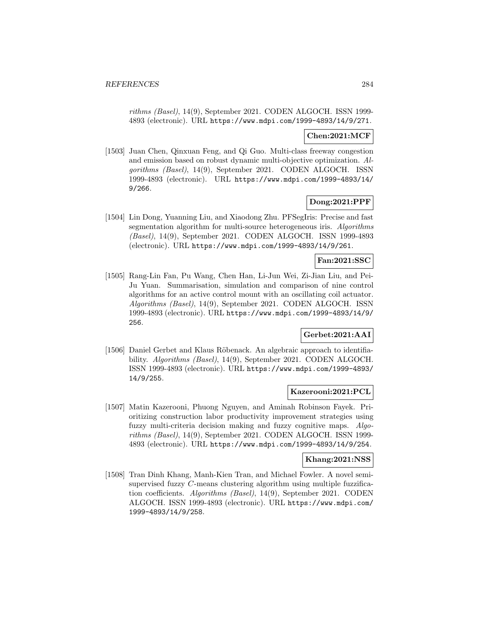rithms (Basel), 14(9), September 2021. CODEN ALGOCH. ISSN 1999- 4893 (electronic). URL https://www.mdpi.com/1999-4893/14/9/271.

## **Chen:2021:MCF**

[1503] Juan Chen, Qinxuan Feng, and Qi Guo. Multi-class freeway congestion and emission based on robust dynamic multi-objective optimization. Algorithms (Basel), 14(9), September 2021. CODEN ALGOCH. ISSN 1999-4893 (electronic). URL https://www.mdpi.com/1999-4893/14/ 9/266.

## **Dong:2021:PPF**

[1504] Lin Dong, Yuanning Liu, and Xiaodong Zhu. PFSegIris: Precise and fast segmentation algorithm for multi-source heterogeneous iris. Algorithms (Basel), 14(9), September 2021. CODEN ALGOCH. ISSN 1999-4893 (electronic). URL https://www.mdpi.com/1999-4893/14/9/261.

## **Fan:2021:SSC**

[1505] Rang-Lin Fan, Pu Wang, Chen Han, Li-Jun Wei, Zi-Jian Liu, and Pei-Ju Yuan. Summarisation, simulation and comparison of nine control algorithms for an active control mount with an oscillating coil actuator. Algorithms (Basel), 14(9), September 2021. CODEN ALGOCH. ISSN 1999-4893 (electronic). URL https://www.mdpi.com/1999-4893/14/9/ 256.

# **Gerbet:2021:AAI**

[1506] Daniel Gerbet and Klaus R¨obenack. An algebraic approach to identifiability. Algorithms (Basel), 14(9), September 2021. CODEN ALGOCH. ISSN 1999-4893 (electronic). URL https://www.mdpi.com/1999-4893/ 14/9/255.

### **Kazerooni:2021:PCL**

[1507] Matin Kazerooni, Phuong Nguyen, and Aminah Robinson Fayek. Prioritizing construction labor productivity improvement strategies using fuzzy multi-criteria decision making and fuzzy cognitive maps. Algorithms (Basel), 14(9), September 2021. CODEN ALGOCH. ISSN 1999- 4893 (electronic). URL https://www.mdpi.com/1999-4893/14/9/254.

#### **Khang:2021:NSS**

[1508] Tran Dinh Khang, Manh-Kien Tran, and Michael Fowler. A novel semisupervised fuzzy C-means clustering algorithm using multiple fuzzification coefficients. Algorithms (Basel), 14(9), September 2021. CODEN ALGOCH. ISSN 1999-4893 (electronic). URL https://www.mdpi.com/ 1999-4893/14/9/258.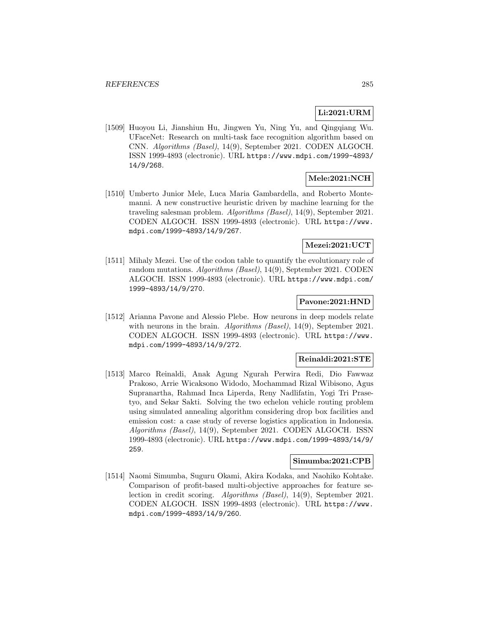# **Li:2021:URM**

[1509] Huoyou Li, Jianshiun Hu, Jingwen Yu, Ning Yu, and Qingqiang Wu. UFaceNet: Research on multi-task face recognition algorithm based on CNN. Algorithms (Basel), 14(9), September 2021. CODEN ALGOCH. ISSN 1999-4893 (electronic). URL https://www.mdpi.com/1999-4893/ 14/9/268.

# **Mele:2021:NCH**

[1510] Umberto Junior Mele, Luca Maria Gambardella, and Roberto Montemanni. A new constructive heuristic driven by machine learning for the traveling salesman problem. Algorithms (Basel), 14(9), September 2021. CODEN ALGOCH. ISSN 1999-4893 (electronic). URL https://www. mdpi.com/1999-4893/14/9/267.

## **Mezei:2021:UCT**

[1511] Mihaly Mezei. Use of the codon table to quantify the evolutionary role of random mutations. Algorithms (Basel), 14(9), September 2021. CODEN ALGOCH. ISSN 1999-4893 (electronic). URL https://www.mdpi.com/ 1999-4893/14/9/270.

## **Pavone:2021:HND**

[1512] Arianna Pavone and Alessio Plebe. How neurons in deep models relate with neurons in the brain. Algorithms (Basel),  $14(9)$ , September 2021. CODEN ALGOCH. ISSN 1999-4893 (electronic). URL https://www. mdpi.com/1999-4893/14/9/272.

#### **Reinaldi:2021:STE**

[1513] Marco Reinaldi, Anak Agung Ngurah Perwira Redi, Dio Fawwaz Prakoso, Arrie Wicaksono Widodo, Mochammad Rizal Wibisono, Agus Supranartha, Rahmad Inca Liperda, Reny Nadlifatin, Yogi Tri Prasetyo, and Sekar Sakti. Solving the two echelon vehicle routing problem using simulated annealing algorithm considering drop box facilities and emission cost: a case study of reverse logistics application in Indonesia. Algorithms (Basel), 14(9), September 2021. CODEN ALGOCH. ISSN 1999-4893 (electronic). URL https://www.mdpi.com/1999-4893/14/9/ 259.

#### **Simumba:2021:CPB**

[1514] Naomi Simumba, Suguru Okami, Akira Kodaka, and Naohiko Kohtake. Comparison of profit-based multi-objective approaches for feature selection in credit scoring. Algorithms (Basel), 14(9), September 2021. CODEN ALGOCH. ISSN 1999-4893 (electronic). URL https://www. mdpi.com/1999-4893/14/9/260.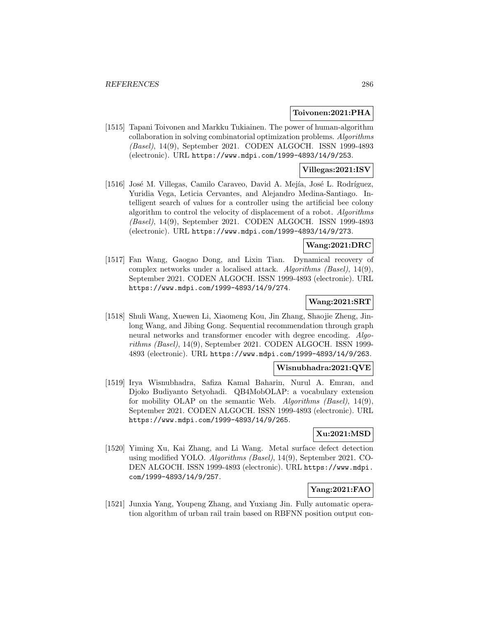#### **Toivonen:2021:PHA**

[1515] Tapani Toivonen and Markku Tukiainen. The power of human-algorithm collaboration in solving combinatorial optimization problems. Algorithms (Basel), 14(9), September 2021. CODEN ALGOCH. ISSN 1999-4893 (electronic). URL https://www.mdpi.com/1999-4893/14/9/253.

## **Villegas:2021:ISV**

[1516] José M. Villegas, Camilo Caraveo, David A. Mejía, José L. Rodríguez, Yuridia Vega, Leticia Cervantes, and Alejandro Medina-Santiago. Intelligent search of values for a controller using the artificial bee colony algorithm to control the velocity of displacement of a robot. Algorithms (Basel), 14(9), September 2021. CODEN ALGOCH. ISSN 1999-4893 (electronic). URL https://www.mdpi.com/1999-4893/14/9/273.

## **Wang:2021:DRC**

[1517] Fan Wang, Gaogao Dong, and Lixin Tian. Dynamical recovery of complex networks under a localised attack. Algorithms (Basel), 14(9), September 2021. CODEN ALGOCH. ISSN 1999-4893 (electronic). URL https://www.mdpi.com/1999-4893/14/9/274.

### **Wang:2021:SRT**

[1518] Shuli Wang, Xuewen Li, Xiaomeng Kou, Jin Zhang, Shaojie Zheng, Jinlong Wang, and Jibing Gong. Sequential recommendation through graph neural networks and transformer encoder with degree encoding. Algorithms (Basel), 14(9), September 2021. CODEN ALGOCH. ISSN 1999- 4893 (electronic). URL https://www.mdpi.com/1999-4893/14/9/263.

### **Wisnubhadra:2021:QVE**

[1519] Irya Wisnubhadra, Safiza Kamal Baharin, Nurul A. Emran, and Djoko Budiyanto Setyohadi. QB4MobOLAP: a vocabulary extension for mobility OLAP on the semantic Web. Algorithms (Basel), 14(9), September 2021. CODEN ALGOCH. ISSN 1999-4893 (electronic). URL https://www.mdpi.com/1999-4893/14/9/265.

## **Xu:2021:MSD**

[1520] Yiming Xu, Kai Zhang, and Li Wang. Metal surface defect detection using modified YOLO. Algorithms (Basel), 14(9), September 2021. CO-DEN ALGOCH. ISSN 1999-4893 (electronic). URL https://www.mdpi. com/1999-4893/14/9/257.

## **Yang:2021:FAO**

[1521] Junxia Yang, Youpeng Zhang, and Yuxiang Jin. Fully automatic operation algorithm of urban rail train based on RBFNN position output con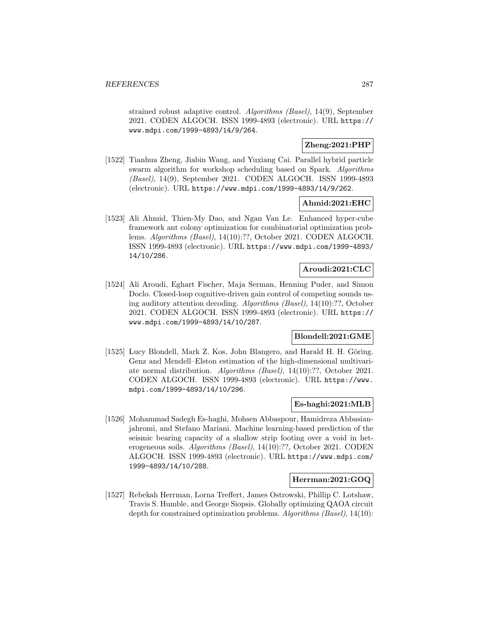strained robust adaptive control. Algorithms (Basel), 14(9), September 2021. CODEN ALGOCH. ISSN 1999-4893 (electronic). URL https:// www.mdpi.com/1999-4893/14/9/264.

# **Zheng:2021:PHP**

[1522] Tianhua Zheng, Jiabin Wang, and Yuxiang Cai. Parallel hybrid particle swarm algorithm for workshop scheduling based on Spark. Algorithms (Basel), 14(9), September 2021. CODEN ALGOCH. ISSN 1999-4893 (electronic). URL https://www.mdpi.com/1999-4893/14/9/262.

### **Ahmid:2021:EHC**

[1523] Ali Ahmid, Thien-My Dao, and Ngan Van Le. Enhanced hyper-cube framework ant colony optimization for combinatorial optimization problems. Algorithms (Basel), 14(10):??, October 2021. CODEN ALGOCH. ISSN 1999-4893 (electronic). URL https://www.mdpi.com/1999-4893/ 14/10/286.

## **Aroudi:2021:CLC**

[1524] Ali Aroudi, Eghart Fischer, Maja Serman, Henning Puder, and Simon Doclo. Closed-loop cognitive-driven gain control of competing sounds using auditory attention decoding. Algorithms (Basel), 14(10):??, October 2021. CODEN ALGOCH. ISSN 1999-4893 (electronic). URL https:// www.mdpi.com/1999-4893/14/10/287.

## **Blondell:2021:GME**

[1525] Lucy Blondell, Mark Z. Kos, John Blangero, and Harald H. H. Göring. Genz and Mendell–Elston estimation of the high-dimensional multivariate normal distribution. Algorithms (Basel), 14(10):??, October 2021. CODEN ALGOCH. ISSN 1999-4893 (electronic). URL https://www. mdpi.com/1999-4893/14/10/296.

### **Es-haghi:2021:MLB**

[1526] Mohammad Sadegh Es-haghi, Mohsen Abbaspour, Hamidreza Abbasianjahromi, and Stefano Mariani. Machine learning-based prediction of the seismic bearing capacity of a shallow strip footing over a void in heterogeneous soils. Algorithms (Basel), 14(10):??, October 2021. CODEN ALGOCH. ISSN 1999-4893 (electronic). URL https://www.mdpi.com/ 1999-4893/14/10/288.

## **Herrman:2021:GOQ**

[1527] Rebekah Herrman, Lorna Treffert, James Ostrowski, Phillip C. Lotshaw, Travis S. Humble, and George Siopsis. Globally optimizing QAOA circuit depth for constrained optimization problems. Algorithms (Basel), 14(10):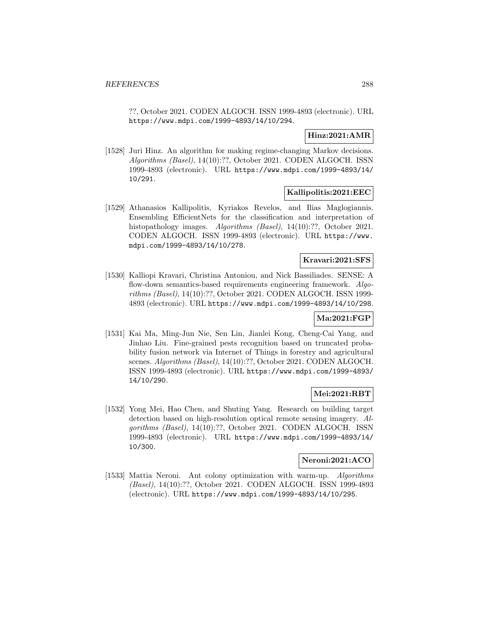??, October 2021. CODEN ALGOCH. ISSN 1999-4893 (electronic). URL https://www.mdpi.com/1999-4893/14/10/294.

## **Hinz:2021:AMR**

[1528] Juri Hinz. An algorithm for making regime-changing Markov decisions. Algorithms (Basel), 14(10):??, October 2021. CODEN ALGOCH. ISSN 1999-4893 (electronic). URL https://www.mdpi.com/1999-4893/14/ 10/291.

## **Kallipolitis:2021:EEC**

[1529] Athanasios Kallipolitis, Kyriakos Revelos, and Ilias Maglogiannis. Ensembling EfficientNets for the classification and interpretation of histopathology images. Algorithms (Basel), 14(10):??, October 2021. CODEN ALGOCH. ISSN 1999-4893 (electronic). URL https://www. mdpi.com/1999-4893/14/10/278.

## **Kravari:2021:SFS**

[1530] Kalliopi Kravari, Christina Antoniou, and Nick Bassiliades. SENSE: A flow-down semantics-based requirements engineering framework. Algorithms (Basel), 14(10):??, October 2021. CODEN ALGOCH. ISSN 1999- 4893 (electronic). URL https://www.mdpi.com/1999-4893/14/10/298.

## **Ma:2021:FGP**

[1531] Kai Ma, Ming-Jun Nie, Sen Lin, Jianlei Kong, Cheng-Cai Yang, and Jinhao Liu. Fine-grained pests recognition based on truncated probability fusion network via Internet of Things in forestry and agricultural scenes. Algorithms (Basel), 14(10):??, October 2021. CODEN ALGOCH. ISSN 1999-4893 (electronic). URL https://www.mdpi.com/1999-4893/ 14/10/290.

## **Mei:2021:RBT**

[1532] Yong Mei, Hao Chen, and Shuting Yang. Research on building target detection based on high-resolution optical remote sensing imagery. Algorithms (Basel), 14(10):??, October 2021. CODEN ALGOCH. ISSN 1999-4893 (electronic). URL https://www.mdpi.com/1999-4893/14/ 10/300.

### **Neroni:2021:ACO**

[1533] Mattia Neroni. Ant colony optimization with warm-up. Algorithms (Basel), 14(10):??, October 2021. CODEN ALGOCH. ISSN 1999-4893 (electronic). URL https://www.mdpi.com/1999-4893/14/10/295.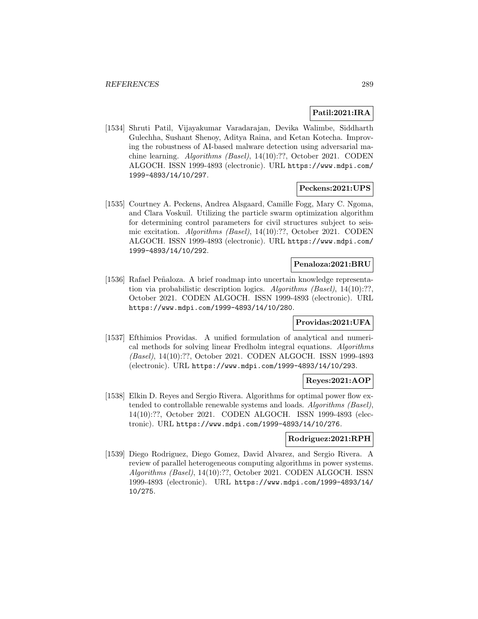# **Patil:2021:IRA**

[1534] Shruti Patil, Vijayakumar Varadarajan, Devika Walimbe, Siddharth Gulechha, Sushant Shenoy, Aditya Raina, and Ketan Kotecha. Improving the robustness of AI-based malware detection using adversarial machine learning. Algorithms (Basel), 14(10):??, October 2021. CODEN ALGOCH. ISSN 1999-4893 (electronic). URL https://www.mdpi.com/ 1999-4893/14/10/297.

## **Peckens:2021:UPS**

[1535] Courtney A. Peckens, Andrea Alsgaard, Camille Fogg, Mary C. Ngoma, and Clara Voskuil. Utilizing the particle swarm optimization algorithm for determining control parameters for civil structures subject to seismic excitation. Algorithms (Basel), 14(10):??, October 2021. CODEN ALGOCH. ISSN 1999-4893 (electronic). URL https://www.mdpi.com/ 1999-4893/14/10/292.

### **Penaloza:2021:BRU**

[1536] Rafael Peñaloza. A brief roadmap into uncertain knowledge representation via probabilistic description logics. Algorithms (Basel), 14(10):??, October 2021. CODEN ALGOCH. ISSN 1999-4893 (electronic). URL https://www.mdpi.com/1999-4893/14/10/280.

# **Providas:2021:UFA**

[1537] Efthimios Providas. A unified formulation of analytical and numerical methods for solving linear Fredholm integral equations. Algorithms (Basel), 14(10):??, October 2021. CODEN ALGOCH. ISSN 1999-4893 (electronic). URL https://www.mdpi.com/1999-4893/14/10/293.

## **Reyes:2021:AOP**

[1538] Elkin D. Reyes and Sergio Rivera. Algorithms for optimal power flow extended to controllable renewable systems and loads. Algorithms (Basel), 14(10):??, October 2021. CODEN ALGOCH. ISSN 1999-4893 (electronic). URL https://www.mdpi.com/1999-4893/14/10/276.

### **Rodriguez:2021:RPH**

[1539] Diego Rodriguez, Diego Gomez, David Alvarez, and Sergio Rivera. A review of parallel heterogeneous computing algorithms in power systems. Algorithms (Basel), 14(10):??, October 2021. CODEN ALGOCH. ISSN 1999-4893 (electronic). URL https://www.mdpi.com/1999-4893/14/ 10/275.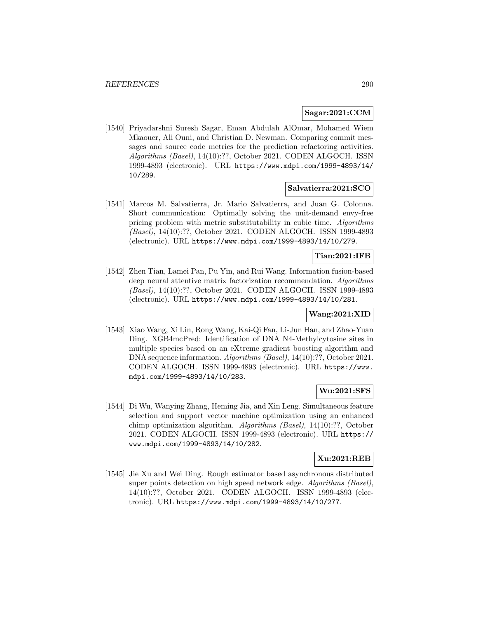### **Sagar:2021:CCM**

[1540] Priyadarshni Suresh Sagar, Eman Abdulah AlOmar, Mohamed Wiem Mkaouer, Ali Ouni, and Christian D. Newman. Comparing commit messages and source code metrics for the prediction refactoring activities. Algorithms (Basel), 14(10):??, October 2021. CODEN ALGOCH. ISSN 1999-4893 (electronic). URL https://www.mdpi.com/1999-4893/14/ 10/289.

## **Salvatierra:2021:SCO**

[1541] Marcos M. Salvatierra, Jr. Mario Salvatierra, and Juan G. Colonna. Short communication: Optimally solving the unit-demand envy-free pricing problem with metric substitutability in cubic time. Algorithms (Basel), 14(10):??, October 2021. CODEN ALGOCH. ISSN 1999-4893 (electronic). URL https://www.mdpi.com/1999-4893/14/10/279.

# **Tian:2021:IFB**

[1542] Zhen Tian, Lamei Pan, Pu Yin, and Rui Wang. Information fusion-based deep neural attentive matrix factorization recommendation. Algorithms (Basel), 14(10):??, October 2021. CODEN ALGOCH. ISSN 1999-4893 (electronic). URL https://www.mdpi.com/1999-4893/14/10/281.

## **Wang:2021:XID**

[1543] Xiao Wang, Xi Lin, Rong Wang, Kai-Qi Fan, Li-Jun Han, and Zhao-Yuan Ding. XGB4mcPred: Identification of DNA N4-Methylcytosine sites in multiple species based on an eXtreme gradient boosting algorithm and DNA sequence information. Algorithms (Basel), 14(10):??, October 2021. CODEN ALGOCH. ISSN 1999-4893 (electronic). URL https://www. mdpi.com/1999-4893/14/10/283.

## **Wu:2021:SFS**

[1544] Di Wu, Wanying Zhang, Heming Jia, and Xin Leng. Simultaneous feature selection and support vector machine optimization using an enhanced chimp optimization algorithm. Algorithms (Basel), 14(10):??, October 2021. CODEN ALGOCH. ISSN 1999-4893 (electronic). URL https:// www.mdpi.com/1999-4893/14/10/282.

## **Xu:2021:REB**

[1545] Jie Xu and Wei Ding. Rough estimator based asynchronous distributed super points detection on high speed network edge. Algorithms (Basel), 14(10):??, October 2021. CODEN ALGOCH. ISSN 1999-4893 (electronic). URL https://www.mdpi.com/1999-4893/14/10/277.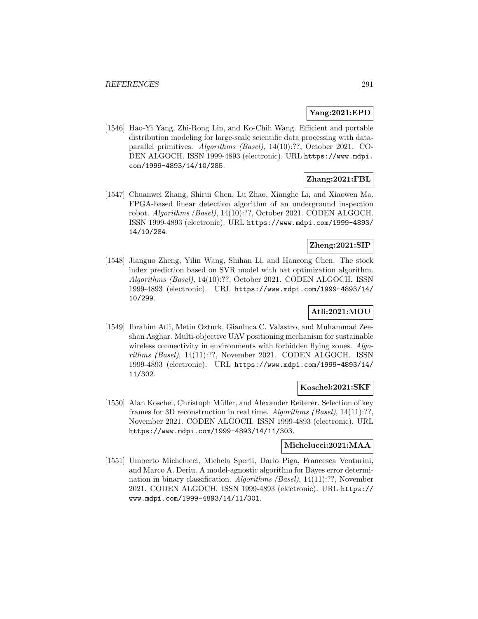## **Yang:2021:EPD**

[1546] Hao-Yi Yang, Zhi-Rong Lin, and Ko-Chih Wang. Efficient and portable distribution modeling for large-scale scientific data processing with dataparallel primitives. Algorithms (Basel), 14(10):??, October 2021. CO-DEN ALGOCH. ISSN 1999-4893 (electronic). URL https://www.mdpi. com/1999-4893/14/10/285.

# **Zhang:2021:FBL**

[1547] Chuanwei Zhang, Shirui Chen, Lu Zhao, Xianghe Li, and Xiaowen Ma. FPGA-based linear detection algorithm of an underground inspection robot. Algorithms (Basel), 14(10):??, October 2021. CODEN ALGOCH. ISSN 1999-4893 (electronic). URL https://www.mdpi.com/1999-4893/ 14/10/284.

# **Zheng:2021:SIP**

[1548] Jianguo Zheng, Yilin Wang, Shihan Li, and Hancong Chen. The stock index prediction based on SVR model with bat optimization algorithm. Algorithms (Basel), 14(10):??, October 2021. CODEN ALGOCH. ISSN 1999-4893 (electronic). URL https://www.mdpi.com/1999-4893/14/ 10/299.

# **Atli:2021:MOU**

[1549] Ibrahim Atli, Metin Ozturk, Gianluca C. Valastro, and Muhammad Zeeshan Asghar. Multi-objective UAV positioning mechanism for sustainable wireless connectivity in environments with forbidden flying zones. Algorithms (Basel), 14(11):??, November 2021. CODEN ALGOCH. ISSN 1999-4893 (electronic). URL https://www.mdpi.com/1999-4893/14/ 11/302.

## **Koschel:2021:SKF**

[1550] Alan Koschel, Christoph Müller, and Alexander Reiterer. Selection of key frames for 3D reconstruction in real time. Algorithms (Basel), 14(11):??, November 2021. CODEN ALGOCH. ISSN 1999-4893 (electronic). URL https://www.mdpi.com/1999-4893/14/11/303.

## **Michelucci:2021:MAA**

[1551] Umberto Michelucci, Michela Sperti, Dario Piga, Francesca Venturini, and Marco A. Deriu. A model-agnostic algorithm for Bayes error determination in binary classification. Algorithms (Basel), 14(11):??, November 2021. CODEN ALGOCH. ISSN 1999-4893 (electronic). URL https:// www.mdpi.com/1999-4893/14/11/301.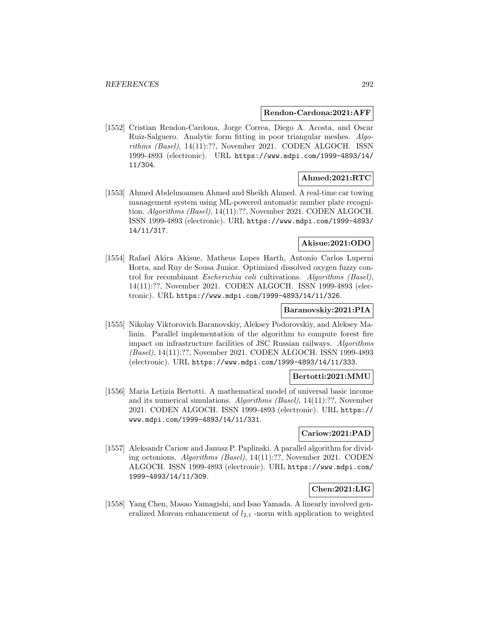### **Rendon-Cardona:2021:AFF**

[1552] Cristian Rendon-Cardona, Jorge Correa, Diego A. Acosta, and Oscar Ruiz-Salguero. Analytic form fitting in poor triangular meshes. Algorithms (Basel), 14(11):??, November 2021. CODEN ALGOCH. ISSN 1999-4893 (electronic). URL https://www.mdpi.com/1999-4893/14/ 11/304.

## **Ahmed:2021:RTC**

[1553] Ahmed Abdelmoamen Ahmed and Sheikh Ahmed. A real-time car towing management system using ML-powered automatic number plate recognition. Algorithms (Basel), 14(11):??, November 2021. CODEN ALGOCH. ISSN 1999-4893 (electronic). URL https://www.mdpi.com/1999-4893/ 14/11/317.

## **Akisue:2021:ODO**

[1554] Rafael Akira Akisue, Matheus Lopes Harth, Antonio Carlos Luperni Horta, and Ruy de Sousa Junior. Optimized dissolved oxygen fuzzy control for recombinant Escherichia coli cultivations. Algorithms (Basel), 14(11):??, November 2021. CODEN ALGOCH. ISSN 1999-4893 (electronic). URL https://www.mdpi.com/1999-4893/14/11/326.

# **Baranovskiy:2021:PIA**

[1555] Nikolay Viktorovich Baranovskiy, Aleksey Podorovskiy, and Aleksey Malinin. Parallel implementation of the algorithm to compute forest fire impact on infrastructure facilities of JSC Russian railways. Algorithms (Basel), 14(11):??, November 2021. CODEN ALGOCH. ISSN 1999-4893 (electronic). URL https://www.mdpi.com/1999-4893/14/11/333.

## **Bertotti:2021:MMU**

[1556] Maria Letizia Bertotti. A mathematical model of universal basic income and its numerical simulations. Algorithms (Basel), 14(11):??, November 2021. CODEN ALGOCH. ISSN 1999-4893 (electronic). URL https:// www.mdpi.com/1999-4893/14/11/331.

# **Cariow:2021:PAD**

[1557] Aleksandr Cariow and Janusz P. Paplinski. A parallel algorithm for dividing octonions. Algorithms (Basel), 14(11):??, November 2021. CODEN ALGOCH. ISSN 1999-4893 (electronic). URL https://www.mdpi.com/ 1999-4893/14/11/309.

# **Chen:2021:LIG**

[1558] Yang Chen, Masao Yamagishi, and Isao Yamada. A linearly involved generalized Moreau enhancement of  $l_{2,1}$  -norm with application to weighted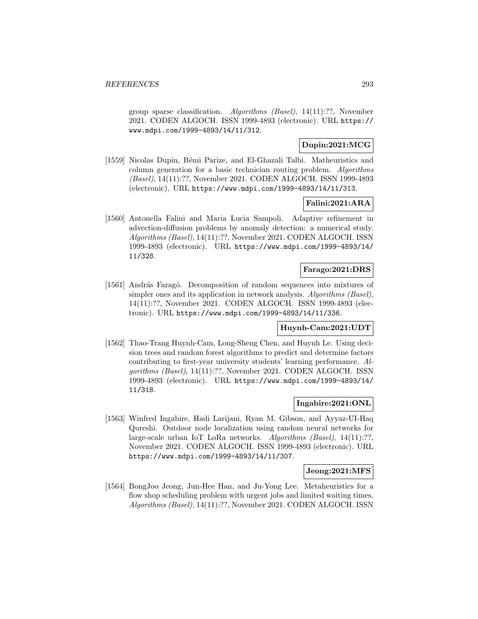group sparse classification. Algorithms (Basel), 14(11):??, November 2021. CODEN ALGOCH. ISSN 1999-4893 (electronic). URL https:// www.mdpi.com/1999-4893/14/11/312.

# **Dupin:2021:MCG**

[1559] Nicolas Dupin, R´emi Parize, and El-Ghazali Talbi. Matheuristics and column generation for a basic technician routing problem. Algorithms (Basel), 14(11):??, November 2021. CODEN ALGOCH. ISSN 1999-4893 (electronic). URL https://www.mdpi.com/1999-4893/14/11/313.

## **Falini:2021:ARA**

[1560] Antonella Falini and Maria Lucia Sampoli. Adaptive refinement in advection-diffusion problems by anomaly detection: a numerical study. Algorithms (Basel), 14(11):??, November 2021. CODEN ALGOCH. ISSN 1999-4893 (electronic). URL https://www.mdpi.com/1999-4893/14/ 11/328.

# **Farago:2021:DRS**

[1561] András Faragó. Decomposition of random sequences into mixtures of simpler ones and its application in network analysis. Algorithms (Basel), 14(11):??, November 2021. CODEN ALGOCH. ISSN 1999-4893 (electronic). URL https://www.mdpi.com/1999-4893/14/11/336.

## **Huynh-Cam:2021:UDT**

[1562] Thao-Trang Huynh-Cam, Long-Sheng Chen, and Huynh Le. Using decision trees and random forest algorithms to predict and determine factors contributing to first-year university students' learning performance. Algorithms (Basel), 14(11):??, November 2021. CODEN ALGOCH. ISSN 1999-4893 (electronic). URL https://www.mdpi.com/1999-4893/14/ 11/318.

# **Ingabire:2021:ONL**

[1563] Winfred Ingabire, Hadi Larijani, Ryan M. Gibson, and Ayyaz-UI-Haq Qureshi. Outdoor node localization using random neural networks for large-scale urban IoT LoRa networks. Algorithms (Basel), 14(11):??, November 2021. CODEN ALGOCH. ISSN 1999-4893 (electronic). URL https://www.mdpi.com/1999-4893/14/11/307.

# **Jeong:2021:MFS**

[1564] BongJoo Jeong, Jun-Hee Han, and Ju-Yong Lee. Metaheuristics for a flow shop scheduling problem with urgent jobs and limited waiting times. Algorithms (Basel), 14(11):??, November 2021. CODEN ALGOCH. ISSN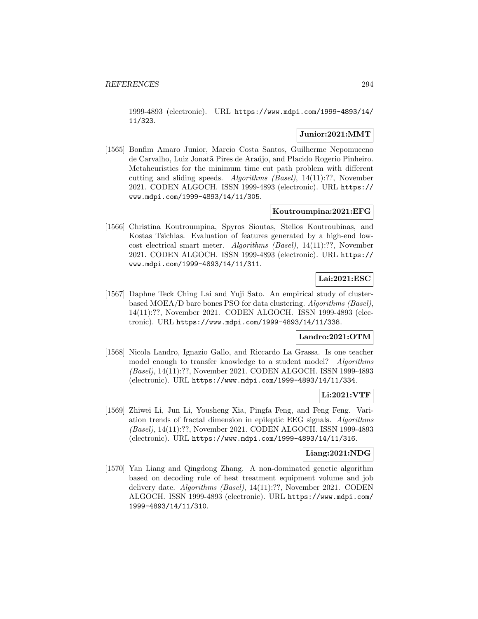1999-4893 (electronic). URL https://www.mdpi.com/1999-4893/14/ 11/323.

## **Junior:2021:MMT**

[1565] Bonfim Amaro Junior, Marcio Costa Santos, Guilherme Nepomuceno de Carvalho, Luiz Jonatã Pires de Araújo, and Placido Rogerio Pinheiro. Metaheuristics for the minimum time cut path problem with different cutting and sliding speeds. Algorithms (Basel), 14(11):??, November 2021. CODEN ALGOCH. ISSN 1999-4893 (electronic). URL https:// www.mdpi.com/1999-4893/14/11/305.

## **Koutroumpina:2021:EFG**

[1566] Christina Koutroumpina, Spyros Sioutas, Stelios Koutroubinas, and Kostas Tsichlas. Evaluation of features generated by a high-end lowcost electrical smart meter. Algorithms (Basel), 14(11):??, November 2021. CODEN ALGOCH. ISSN 1999-4893 (electronic). URL https:// www.mdpi.com/1999-4893/14/11/311.

# **Lai:2021:ESC**

[1567] Daphne Teck Ching Lai and Yuji Sato. An empirical study of clusterbased MOEA/D bare bones PSO for data clustering. Algorithms (Basel), 14(11):??, November 2021. CODEN ALGOCH. ISSN 1999-4893 (electronic). URL https://www.mdpi.com/1999-4893/14/11/338.

## **Landro:2021:OTM**

[1568] Nicola Landro, Ignazio Gallo, and Riccardo La Grassa. Is one teacher model enough to transfer knowledge to a student model? Algorithms (Basel), 14(11):??, November 2021. CODEN ALGOCH. ISSN 1999-4893 (electronic). URL https://www.mdpi.com/1999-4893/14/11/334.

## **Li:2021:VTF**

[1569] Zhiwei Li, Jun Li, Yousheng Xia, Pingfa Feng, and Feng Feng. Variation trends of fractal dimension in epileptic EEG signals. Algorithms (Basel), 14(11):??, November 2021. CODEN ALGOCH. ISSN 1999-4893 (electronic). URL https://www.mdpi.com/1999-4893/14/11/316.

#### **Liang:2021:NDG**

[1570] Yan Liang and Qingdong Zhang. A non-dominated genetic algorithm based on decoding rule of heat treatment equipment volume and job delivery date. Algorithms (Basel), 14(11):??, November 2021. CODEN ALGOCH. ISSN 1999-4893 (electronic). URL https://www.mdpi.com/ 1999-4893/14/11/310.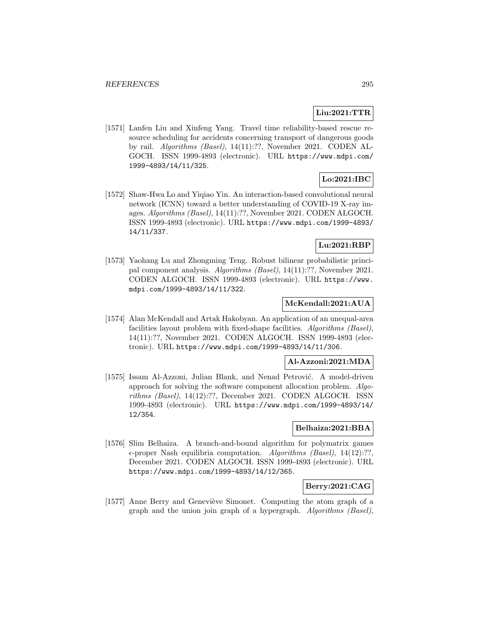# **Liu:2021:TTR**

[1571] Lanfen Liu and Xinfeng Yang. Travel time reliability-based rescue resource scheduling for accidents concerning transport of dangerous goods by rail. Algorithms (Basel), 14(11):??, November 2021. CODEN AL-GOCH. ISSN 1999-4893 (electronic). URL https://www.mdpi.com/ 1999-4893/14/11/325.

# **Lo:2021:IBC**

[1572] Shaw-Hwa Lo and Yiqiao Yin. An interaction-based convolutional neural network (ICNN) toward a better understanding of COVID-19 X-ray images. Algorithms (Basel), 14(11):??, November 2021. CODEN ALGOCH. ISSN 1999-4893 (electronic). URL https://www.mdpi.com/1999-4893/ 14/11/337.

# **Lu:2021:RBP**

[1573] Yaohang Lu and Zhongming Teng. Robust bilinear probabilistic principal component analysis. Algorithms (Basel), 14(11):??, November 2021. CODEN ALGOCH. ISSN 1999-4893 (electronic). URL https://www. mdpi.com/1999-4893/14/11/322.

## **McKendall:2021:AUA**

[1574] Alan McKendall and Artak Hakobyan. An application of an unequal-area facilities layout problem with fixed-shape facilities. Algorithms (Basel), 14(11):??, November 2021. CODEN ALGOCH. ISSN 1999-4893 (electronic). URL https://www.mdpi.com/1999-4893/14/11/306.

# **Al-Azzoni:2021:MDA**

[1575] Issam Al-Azzoni, Julian Blank, and Nenad Petrović. A model-driven approach for solving the software component allocation problem. Algorithms (Basel), 14(12):??, December 2021. CODEN ALGOCH. ISSN 1999-4893 (electronic). URL https://www.mdpi.com/1999-4893/14/ 12/354.

## **Belhaiza:2021:BBA**

[1576] Slim Belhaiza. A branch-and-bound algorithm for polymatrix games  $\epsilon$ -proper Nash equilibria computation. Algorithms (Basel), 14(12):??, December 2021. CODEN ALGOCH. ISSN 1999-4893 (electronic). URL https://www.mdpi.com/1999-4893/14/12/365.

## **Berry:2021:CAG**

[1577] Anne Berry and Geneviève Simonet. Computing the atom graph of a graph and the union join graph of a hypergraph. Algorithms (Basel),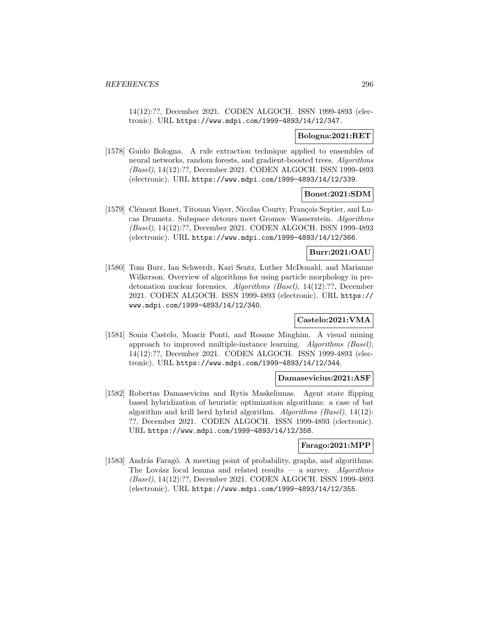14(12):??, December 2021. CODEN ALGOCH. ISSN 1999-4893 (electronic). URL https://www.mdpi.com/1999-4893/14/12/347.

### **Bologna:2021:RET**

[1578] Guido Bologna. A rule extraction technique applied to ensembles of neural networks, random forests, and gradient-boosted trees. Algorithms (Basel), 14(12):??, December 2021. CODEN ALGOCH. ISSN 1999-4893 (electronic). URL https://www.mdpi.com/1999-4893/14/12/339.

### **Bonet:2021:SDM**

[1579] Clément Bonet, Titouan Vayer, Nicolas Courty, François Septier, and Lucas Drumetz. Subspace detours meet Gromov–Wasserstein. Algorithms (Basel), 14(12):??, December 2021. CODEN ALGOCH. ISSN 1999-4893 (electronic). URL https://www.mdpi.com/1999-4893/14/12/366.

### **Burr:2021:OAU**

[1580] Tom Burr, Ian Schwerdt, Kari Sentz, Luther McDonald, and Marianne Wilkerson. Overview of algorithms for using particle morphology in predetonation nuclear forensics. Algorithms (Basel), 14(12):??, December 2021. CODEN ALGOCH. ISSN 1999-4893 (electronic). URL https:// www.mdpi.com/1999-4893/14/12/340.

### **Castelo:2021:VMA**

[1581] Sonia Castelo, Moacir Ponti, and Rosane Minghim. A visual mining approach to improved multiple-instance learning. Algorithms (Basel), 14(12):??, December 2021. CODEN ALGOCH. ISSN 1999-4893 (electronic). URL https://www.mdpi.com/1999-4893/14/12/344.

### **Damasevicius:2021:ASF**

[1582] Robertas Damasevicius and Rytis Maskeliunas. Agent state flipping based hybridization of heuristic optimization algorithms: a case of bat algorithm and krill herd hybrid algorithm. Algorithms (Basel), 14(12): ??, December 2021. CODEN ALGOCH. ISSN 1999-4893 (electronic). URL https://www.mdpi.com/1999-4893/14/12/358.

#### **Farago:2021:MPP**

[1583] András Faragó. A meeting point of probability, graphs, and algorithms: The Lovász local lemma and related results — a survey. Algorithms (Basel), 14(12):??, December 2021. CODEN ALGOCH. ISSN 1999-4893 (electronic). URL https://www.mdpi.com/1999-4893/14/12/355.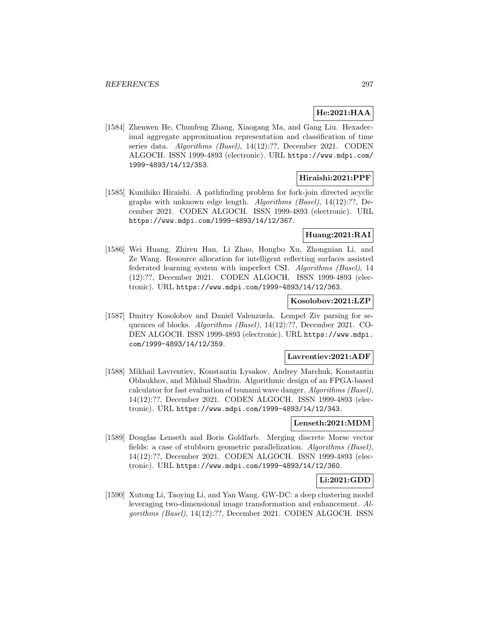# **He:2021:HAA**

[1584] Zhenwen He, Chunfeng Zhang, Xiaogang Ma, and Gang Liu. Hexadecimal aggregate approximation representation and classification of time series data. Algorithms (Basel), 14(12):??, December 2021. CODEN ALGOCH. ISSN 1999-4893 (electronic). URL https://www.mdpi.com/ 1999-4893/14/12/353.

## **Hiraishi:2021:PPF**

[1585] Kunihiko Hiraishi. A pathfinding problem for fork-join directed acyclic graphs with unknown edge length. Algorithms (Basel), 14(12):??, December 2021. CODEN ALGOCH. ISSN 1999-4893 (electronic). URL https://www.mdpi.com/1999-4893/14/12/367.

# **Huang:2021:RAI**

[1586] Wei Huang, Zhiren Han, Li Zhao, Hongbo Xu, Zhongnian Li, and Ze Wang. Resource allocation for intelligent reflecting surfaces assisted federated learning system with imperfect CSI. Algorithms (Basel), 14 (12):??, December 2021. CODEN ALGOCH. ISSN 1999-4893 (electronic). URL https://www.mdpi.com/1999-4893/14/12/363.

## **Kosolobov:2021:LZP**

[1587] Dmitry Kosolobov and Daniel Valenzuela. Lempel–Ziv parsing for sequences of blocks. Algorithms (Basel), 14(12):??, December 2021. CO-DEN ALGOCH. ISSN 1999-4893 (electronic). URL https://www.mdpi. com/1999-4893/14/12/359.

## **Lavrentiev:2021:ADF**

[1588] Mikhail Lavrentiev, Konstantin Lysakov, Andrey Marchuk, Konstantin Oblaukhov, and Mikhail Shadrin. Algorithmic design of an FPGA-based calculator for fast evaluation of tsunami wave danger. Algorithms (Basel), 14(12):??, December 2021. CODEN ALGOCH. ISSN 1999-4893 (electronic). URL https://www.mdpi.com/1999-4893/14/12/343.

## **Lenseth:2021:MDM**

[1589] Douglas Lenseth and Boris Goldfarb. Merging discrete Morse vector fields: a case of stubborn geometric parallelization. Algorithms (Basel), 14(12):??, December 2021. CODEN ALGOCH. ISSN 1999-4893 (electronic). URL https://www.mdpi.com/1999-4893/14/12/360.

# **Li:2021:GDD**

[1590] Xutong Li, Taoying Li, and Yan Wang. GW-DC: a deep clustering model leveraging two-dimensional image transformation and enhancement. Algorithms (Basel), 14(12):??, December 2021. CODEN ALGOCH. ISSN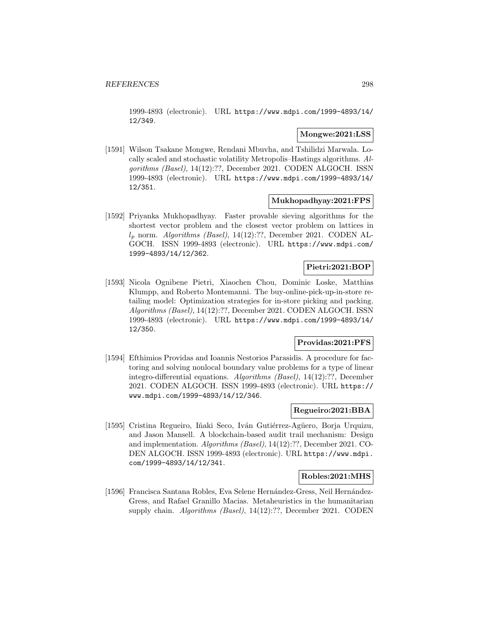1999-4893 (electronic). URL https://www.mdpi.com/1999-4893/14/ 12/349.

### **Mongwe:2021:LSS**

[1591] Wilson Tsakane Mongwe, Rendani Mbuvha, and Tshilidzi Marwala. Locally scaled and stochastic volatility Metropolis–Hastings algorithms. Algorithms (Basel), 14(12):??, December 2021. CODEN ALGOCH. ISSN 1999-4893 (electronic). URL https://www.mdpi.com/1999-4893/14/ 12/351.

### **Mukhopadhyay:2021:FPS**

[1592] Priyanka Mukhopadhyay. Faster provable sieving algorithms for the shortest vector problem and the closest vector problem on lattices in  $l_p$  norm. Algorithms (Basel), 14(12):??, December 2021. CODEN AL-GOCH. ISSN 1999-4893 (electronic). URL https://www.mdpi.com/ 1999-4893/14/12/362.

# **Pietri:2021:BOP**

[1593] Nicola Ognibene Pietri, Xiaochen Chou, Dominic Loske, Matthias Klumpp, and Roberto Montemanni. The buy-online-pick-up-in-store retailing model: Optimization strategies for in-store picking and packing. Algorithms (Basel), 14(12):??, December 2021. CODEN ALGOCH. ISSN 1999-4893 (electronic). URL https://www.mdpi.com/1999-4893/14/ 12/350.

# **Providas:2021:PFS**

[1594] Efthimios Providas and Ioannis Nestorios Parasidis. A procedure for factoring and solving nonlocal boundary value problems for a type of linear integro-differential equations. Algorithms (Basel), 14(12):??, December 2021. CODEN ALGOCH. ISSN 1999-4893 (electronic). URL https:// www.mdpi.com/1999-4893/14/12/346.

## **Regueiro:2021:BBA**

[1595] Cristina Regueiro, Iñaki Seco, Iván Gutiérrez-Agüero, Borja Urquizu, and Jason Mansell. A blockchain-based audit trail mechanism: Design and implementation. Algorithms (Basel), 14(12):??, December 2021. CO-DEN ALGOCH. ISSN 1999-4893 (electronic). URL https://www.mdpi. com/1999-4893/14/12/341.

## **Robles:2021:MHS**

[1596] Francisca Santana Robles, Eva Selene Hernández-Gress, Neil Hernández-Gress, and Rafael Granillo Macias. Metaheuristics in the humanitarian supply chain. Algorithms (Basel), 14(12):??, December 2021. CODEN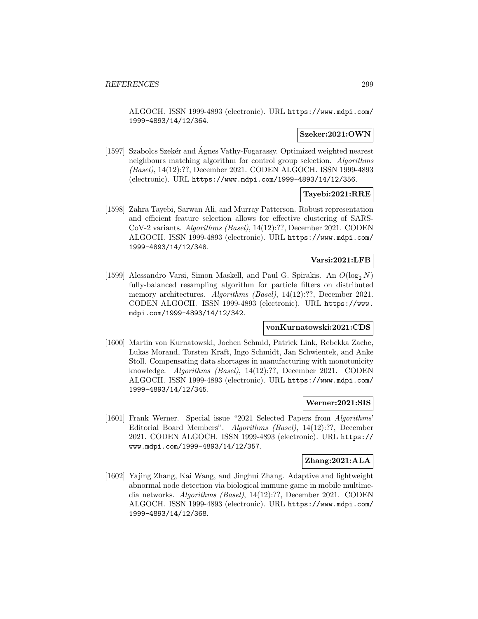ALGOCH. ISSN 1999-4893 (electronic). URL https://www.mdpi.com/ 1999-4893/14/12/364.

## **Szeker:2021:OWN**

[1597] Szabolcs Szekér and Agnes Vathy-Fogarassy. Optimized weighted nearest neighbours matching algorithm for control group selection. Algorithms (Basel), 14(12):??, December 2021. CODEN ALGOCH. ISSN 1999-4893 (electronic). URL https://www.mdpi.com/1999-4893/14/12/356.

### **Tayebi:2021:RRE**

[1598] Zahra Tayebi, Sarwan Ali, and Murray Patterson. Robust representation and efficient feature selection allows for effective clustering of SARS-CoV-2 variants. Algorithms (Basel), 14(12):??, December 2021. CODEN ALGOCH. ISSN 1999-4893 (electronic). URL https://www.mdpi.com/ 1999-4893/14/12/348.

## **Varsi:2021:LFB**

[1599] Alessandro Varsi, Simon Maskell, and Paul G. Spirakis. An  $O(\log_2 N)$ fully-balanced resampling algorithm for particle filters on distributed memory architectures. Algorithms (Basel), 14(12):??, December 2021. CODEN ALGOCH. ISSN 1999-4893 (electronic). URL https://www. mdpi.com/1999-4893/14/12/342.

#### **vonKurnatowski:2021:CDS**

[1600] Martin von Kurnatowski, Jochen Schmid, Patrick Link, Rebekka Zache, Lukas Morand, Torsten Kraft, Ingo Schmidt, Jan Schwientek, and Anke Stoll. Compensating data shortages in manufacturing with monotonicity knowledge. Algorithms (Basel), 14(12):??, December 2021. CODEN ALGOCH. ISSN 1999-4893 (electronic). URL https://www.mdpi.com/ 1999-4893/14/12/345.

## **Werner:2021:SIS**

[1601] Frank Werner. Special issue "2021 Selected Papers from Algorithms' Editorial Board Members". Algorithms (Basel), 14(12):??, December 2021. CODEN ALGOCH. ISSN 1999-4893 (electronic). URL https:// www.mdpi.com/1999-4893/14/12/357.

## **Zhang:2021:ALA**

[1602] Yajing Zhang, Kai Wang, and Jinghui Zhang. Adaptive and lightweight abnormal node detection via biological immune game in mobile multimedia networks. Algorithms (Basel), 14(12):??, December 2021. CODEN ALGOCH. ISSN 1999-4893 (electronic). URL https://www.mdpi.com/ 1999-4893/14/12/368.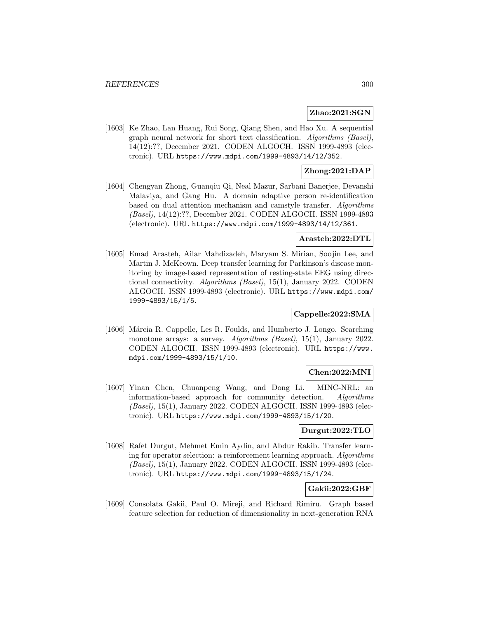### **Zhao:2021:SGN**

[1603] Ke Zhao, Lan Huang, Rui Song, Qiang Shen, and Hao Xu. A sequential graph neural network for short text classification. Algorithms (Basel), 14(12):??, December 2021. CODEN ALGOCH. ISSN 1999-4893 (electronic). URL https://www.mdpi.com/1999-4893/14/12/352.

## **Zhong:2021:DAP**

[1604] Chengyan Zhong, Guanqiu Qi, Neal Mazur, Sarbani Banerjee, Devanshi Malaviya, and Gang Hu. A domain adaptive person re-identification based on dual attention mechanism and camstyle transfer. Algorithms (Basel), 14(12):??, December 2021. CODEN ALGOCH. ISSN 1999-4893 (electronic). URL https://www.mdpi.com/1999-4893/14/12/361.

### **Arasteh:2022:DTL**

[1605] Emad Arasteh, Ailar Mahdizadeh, Maryam S. Mirian, Soojin Lee, and Martin J. McKeown. Deep transfer learning for Parkinson's disease monitoring by image-based representation of resting-state EEG using directional connectivity. Algorithms (Basel), 15(1), January 2022. CODEN ALGOCH. ISSN 1999-4893 (electronic). URL https://www.mdpi.com/ 1999-4893/15/1/5.

# **Cappelle:2022:SMA**

[1606] Márcia R. Cappelle, Les R. Foulds, and Humberto J. Longo. Searching monotone arrays: a survey. Algorithms (Basel), 15(1), January 2022. CODEN ALGOCH. ISSN 1999-4893 (electronic). URL https://www. mdpi.com/1999-4893/15/1/10.

### **Chen:2022:MNI**

[1607] Yinan Chen, Chuanpeng Wang, and Dong Li. MINC-NRL: an information-based approach for community detection. Algorithms (Basel), 15(1), January 2022. CODEN ALGOCH. ISSN 1999-4893 (electronic). URL https://www.mdpi.com/1999-4893/15/1/20.

## **Durgut:2022:TLO**

[1608] Rafet Durgut, Mehmet Emin Aydin, and Abdur Rakib. Transfer learning for operator selection: a reinforcement learning approach. Algorithms (Basel), 15(1), January 2022. CODEN ALGOCH. ISSN 1999-4893 (electronic). URL https://www.mdpi.com/1999-4893/15/1/24.

# **Gakii:2022:GBF**

[1609] Consolata Gakii, Paul O. Mireji, and Richard Rimiru. Graph based feature selection for reduction of dimensionality in next-generation RNA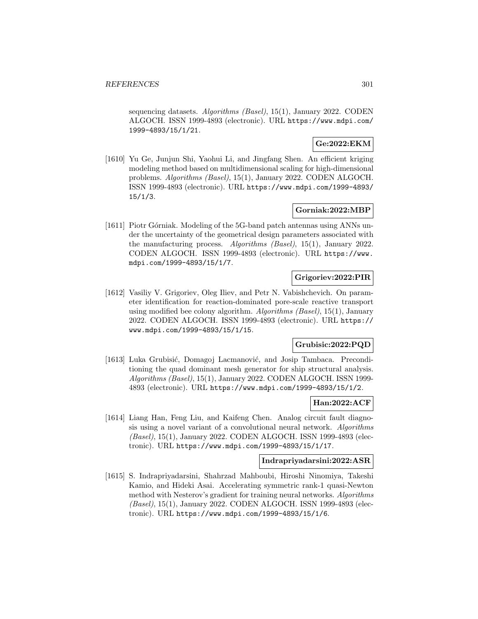sequencing datasets. Algorithms (Basel), 15(1), January 2022. CODEN ALGOCH. ISSN 1999-4893 (electronic). URL https://www.mdpi.com/ 1999-4893/15/1/21.

# **Ge:2022:EKM**

[1610] Yu Ge, Junjun Shi, Yaohui Li, and Jingfang Shen. An efficient kriging modeling method based on multidimensional scaling for high-dimensional problems. Algorithms (Basel), 15(1), January 2022. CODEN ALGOCH. ISSN 1999-4893 (electronic). URL https://www.mdpi.com/1999-4893/ 15/1/3.

## **Gorniak:2022:MBP**

[1611] Piotr Górniak. Modeling of the 5G-band patch antennas using ANNs under the uncertainty of the geometrical design parameters associated with the manufacturing process. Algorithms (Basel), 15(1), January 2022. CODEN ALGOCH. ISSN 1999-4893 (electronic). URL https://www. mdpi.com/1999-4893/15/1/7.

# **Grigoriev:2022:PIR**

[1612] Vasiliy V. Grigoriev, Oleg Iliev, and Petr N. Vabishchevich. On parameter identification for reaction-dominated pore-scale reactive transport using modified bee colony algorithm. Algorithms  $(Basel)$ , 15(1), January 2022. CODEN ALGOCH. ISSN 1999-4893 (electronic). URL https:// www.mdpi.com/1999-4893/15/1/15.

## **Grubisic:2022:PQD**

[1613] Luka Grubisić, Domagoj Lacmanović, and Josip Tambaca. Preconditioning the quad dominant mesh generator for ship structural analysis. Algorithms (Basel), 15(1), January 2022. CODEN ALGOCH. ISSN 1999- 4893 (electronic). URL https://www.mdpi.com/1999-4893/15/1/2.

### **Han:2022:ACF**

[1614] Liang Han, Feng Liu, and Kaifeng Chen. Analog circuit fault diagnosis using a novel variant of a convolutional neural network. Algorithms (Basel), 15(1), January 2022. CODEN ALGOCH. ISSN 1999-4893 (electronic). URL https://www.mdpi.com/1999-4893/15/1/17.

#### **Indrapriyadarsini:2022:ASR**

[1615] S. Indrapriyadarsini, Shahrzad Mahboubi, Hiroshi Ninomiya, Takeshi Kamio, and Hideki Asai. Accelerating symmetric rank-1 quasi-Newton method with Nesterov's gradient for training neural networks. Algorithms (Basel), 15(1), January 2022. CODEN ALGOCH. ISSN 1999-4893 (electronic). URL https://www.mdpi.com/1999-4893/15/1/6.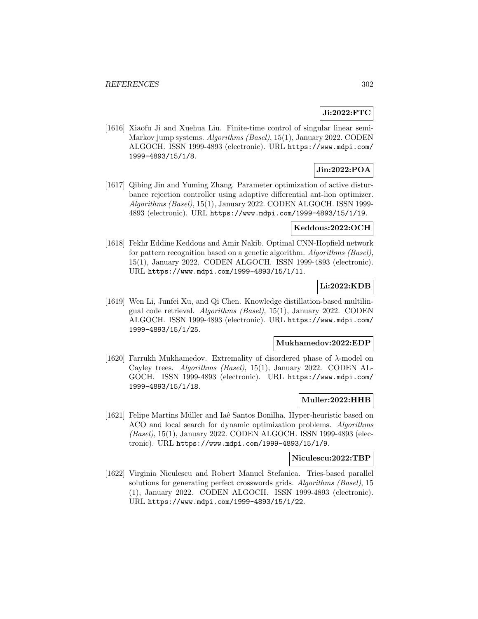# **Ji:2022:FTC**

[1616] Xiaofu Ji and Xuehua Liu. Finite-time control of singular linear semi-Markov jump systems. Algorithms (Basel), 15(1), January 2022. CODEN ALGOCH. ISSN 1999-4893 (electronic). URL https://www.mdpi.com/ 1999-4893/15/1/8.

# **Jin:2022:POA**

[1617] Qibing Jin and Yuming Zhang. Parameter optimization of active disturbance rejection controller using adaptive differential ant-lion optimizer. Algorithms (Basel), 15(1), January 2022. CODEN ALGOCH. ISSN 1999- 4893 (electronic). URL https://www.mdpi.com/1999-4893/15/1/19.

### **Keddous:2022:OCH**

[1618] Fekhr Eddine Keddous and Amir Nakib. Optimal CNN-Hopfield network for pattern recognition based on a genetic algorithm. Algorithms (Basel), 15(1), January 2022. CODEN ALGOCH. ISSN 1999-4893 (electronic). URL https://www.mdpi.com/1999-4893/15/1/11.

# **Li:2022:KDB**

[1619] Wen Li, Junfei Xu, and Qi Chen. Knowledge distillation-based multilingual code retrieval. Algorithms (Basel), 15(1), January 2022. CODEN ALGOCH. ISSN 1999-4893 (electronic). URL https://www.mdpi.com/ 1999-4893/15/1/25.

## **Mukhamedov:2022:EDP**

[1620] Farrukh Mukhamedov. Extremality of disordered phase of  $\lambda$ -model on Cayley trees. Algorithms (Basel), 15(1), January 2022. CODEN AL-GOCH. ISSN 1999-4893 (electronic). URL https://www.mdpi.com/ 1999-4893/15/1/18.

## **Muller:2022:HHB**

[1621] Felipe Martins Müller and Iaê Santos Bonilha. Hyper-heuristic based on ACO and local search for dynamic optimization problems. Algorithms (Basel), 15(1), January 2022. CODEN ALGOCH. ISSN 1999-4893 (electronic). URL https://www.mdpi.com/1999-4893/15/1/9.

#### **Niculescu:2022:TBP**

[1622] Virginia Niculescu and Robert Manuel Stefanica. Tries-based parallel solutions for generating perfect crosswords grids. Algorithms (Basel), 15 (1), January 2022. CODEN ALGOCH. ISSN 1999-4893 (electronic). URL https://www.mdpi.com/1999-4893/15/1/22.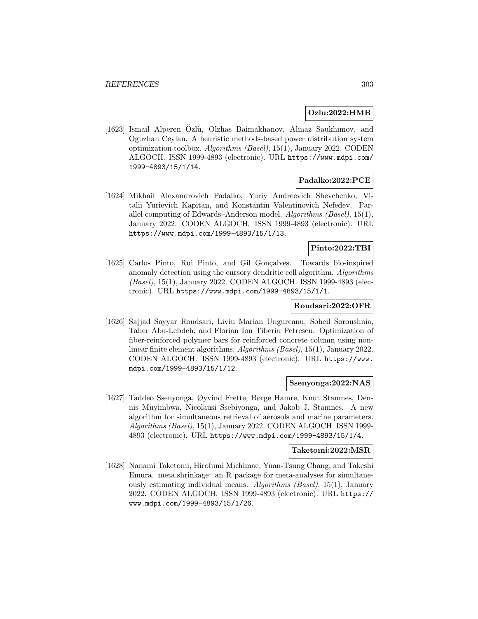### **Ozlu:2022:HMB**

[1623] Ismail Alperen Ozlü, Olzhas Baimakhanov, Almaz Saukhimov, and Oguzhan Ceylan. A heuristic methods-based power distribution system optimization toolbox.  $Algorithms$  (Basel), 15(1), January 2022. CODEN ALGOCH. ISSN 1999-4893 (electronic). URL https://www.mdpi.com/ 1999-4893/15/1/14.

## **Padalko:2022:PCE**

[1624] Mikhail Alexandrovich Padalko, Yuriy Andreevich Shevchenko, Vitalii Yurievich Kapitan, and Konstantin Valentinovich Nefedev. Parallel computing of Edwards–Anderson model. Algorithms (Basel), 15(1), January 2022. CODEN ALGOCH. ISSN 1999-4893 (electronic). URL https://www.mdpi.com/1999-4893/15/1/13.

## **Pinto:2022:TBI**

[1625] Carlos Pinto, Rui Pinto, and Gil Goncalves. Towards bio-inspired anomaly detection using the cursory dendritic cell algorithm. Algorithms (Basel), 15(1), January 2022. CODEN ALGOCH. ISSN 1999-4893 (electronic). URL https://www.mdpi.com/1999-4893/15/1/1.

# **Roudsari:2022:OFR**

[1626] Sajjad Sayyar Roudsari, Liviu Marian Ungureanu, Soheil Soroushnia, Taher Abu-Lebdeh, and Florian Ion Tiberiu Petrescu. Optimization of fiber-reinforced polymer bars for reinforced concrete column using nonlinear finite element algorithms. Algorithms (Basel), 15(1), January 2022. CODEN ALGOCH. ISSN 1999-4893 (electronic). URL https://www. mdpi.com/1999-4893/15/1/12.

## **Ssenyonga:2022:NAS**

[1627] Taddeo Ssenyonga, Øyvind Frette, Børge Hamre, Knut Stamnes, Dennis Muyimbwa, Nicolausi Ssebiyonga, and Jakob J. Stamnes. A new algorithm for simultaneous retrieval of aerosols and marine parameters. Algorithms (Basel), 15(1), January 2022. CODEN ALGOCH. ISSN 1999- 4893 (electronic). URL https://www.mdpi.com/1999-4893/15/1/4.

## **Taketomi:2022:MSR**

[1628] Nanami Taketomi, Hirofumi Michimae, Yuan-Tsung Chang, and Takeshi Emura. meta.shrinkage: an R package for meta-analyses for simultaneously estimating individual means. Algorithms (Basel), 15(1), January 2022. CODEN ALGOCH. ISSN 1999-4893 (electronic). URL https:// www.mdpi.com/1999-4893/15/1/26.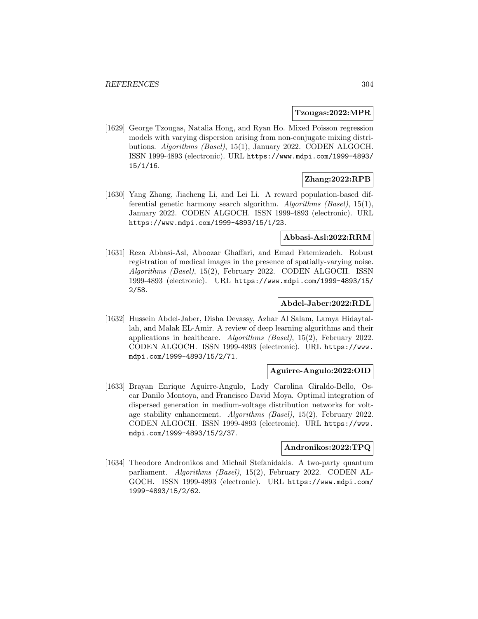### **Tzougas:2022:MPR**

[1629] George Tzougas, Natalia Hong, and Ryan Ho. Mixed Poisson regression models with varying dispersion arising from non-conjugate mixing distributions. Algorithms (Basel), 15(1), January 2022. CODEN ALGOCH. ISSN 1999-4893 (electronic). URL https://www.mdpi.com/1999-4893/ 15/1/16.

## **Zhang:2022:RPB**

[1630] Yang Zhang, Jiacheng Li, and Lei Li. A reward population-based differential genetic harmony search algorithm. Algorithms  $(Basel)$ , 15(1), January 2022. CODEN ALGOCH. ISSN 1999-4893 (electronic). URL https://www.mdpi.com/1999-4893/15/1/23.

## **Abbasi-Asl:2022:RRM**

[1631] Reza Abbasi-Asl, Aboozar Ghaffari, and Emad Fatemizadeh. Robust registration of medical images in the presence of spatially-varying noise. Algorithms (Basel), 15(2), February 2022. CODEN ALGOCH. ISSN 1999-4893 (electronic). URL https://www.mdpi.com/1999-4893/15/ 2/58.

## **Abdel-Jaber:2022:RDL**

[1632] Hussein Abdel-Jaber, Disha Devassy, Azhar Al Salam, Lamya Hidaytallah, and Malak EL-Amir. A review of deep learning algorithms and their applications in healthcare. Algorithms (Basel), 15(2), February 2022. CODEN ALGOCH. ISSN 1999-4893 (electronic). URL https://www. mdpi.com/1999-4893/15/2/71.

#### **Aguirre-Angulo:2022:OID**

[1633] Brayan Enrique Aguirre-Angulo, Lady Carolina Giraldo-Bello, Oscar Danilo Montoya, and Francisco David Moya. Optimal integration of dispersed generation in medium-voltage distribution networks for voltage stability enhancement. Algorithms (Basel), 15(2), February 2022. CODEN ALGOCH. ISSN 1999-4893 (electronic). URL https://www. mdpi.com/1999-4893/15/2/37.

### **Andronikos:2022:TPQ**

[1634] Theodore Andronikos and Michail Stefanidakis. A two-party quantum parliament. Algorithms (Basel), 15(2), February 2022. CODEN AL-GOCH. ISSN 1999-4893 (electronic). URL https://www.mdpi.com/ 1999-4893/15/2/62.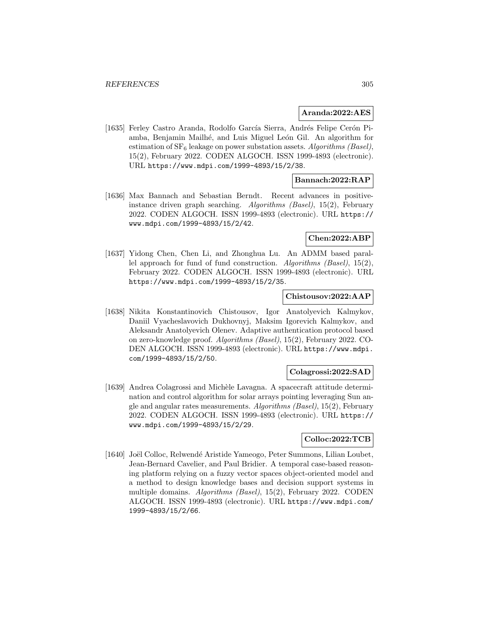### **Aranda:2022:AES**

[1635] Ferley Castro Aranda, Rodolfo García Sierra, Andrés Felipe Cerón Piamba, Benjamin Mailhé, and Luis Miguel León Gil. An algorithm for estimation of  $SF_6$  leakage on power substation assets. Algorithms (Basel), 15(2), February 2022. CODEN ALGOCH. ISSN 1999-4893 (electronic). URL https://www.mdpi.com/1999-4893/15/2/38.

## **Bannach:2022:RAP**

[1636] Max Bannach and Sebastian Berndt. Recent advances in positiveinstance driven graph searching. Algorithms (Basel), 15(2), February 2022. CODEN ALGOCH. ISSN 1999-4893 (electronic). URL https:// www.mdpi.com/1999-4893/15/2/42.

## **Chen:2022:ABP**

[1637] Yidong Chen, Chen Li, and Zhonghua Lu. An ADMM based parallel approach for fund of fund construction. Algorithms (Basel), 15(2), February 2022. CODEN ALGOCH. ISSN 1999-4893 (electronic). URL https://www.mdpi.com/1999-4893/15/2/35.

### **Chistousov:2022:AAP**

[1638] Nikita Konstantinovich Chistousov, Igor Anatolyevich Kalmykov, Daniil Vyacheslavovich Dukhovnyj, Maksim Igorevich Kalmykov, and Aleksandr Anatolyevich Olenev. Adaptive authentication protocol based on zero-knowledge proof. Algorithms (Basel), 15(2), February 2022. CO-DEN ALGOCH. ISSN 1999-4893 (electronic). URL https://www.mdpi. com/1999-4893/15/2/50.

## **Colagrossi:2022:SAD**

[1639] Andrea Colagrossi and Mich`ele Lavagna. A spacecraft attitude determination and control algorithm for solar arrays pointing leveraging Sun angle and angular rates measurements.  $Algorithms$  (Basel), 15(2), February 2022. CODEN ALGOCH. ISSN 1999-4893 (electronic). URL https:// www.mdpi.com/1999-4893/15/2/29.

# **Colloc:2022:TCB**

[1640] Joël Colloc, Relwendé Aristide Yameogo, Peter Summons, Lilian Loubet, Jean-Bernard Cavelier, and Paul Bridier. A temporal case-based reasoning platform relying on a fuzzy vector spaces object-oriented model and a method to design knowledge bases and decision support systems in multiple domains. Algorithms (Basel), 15(2), February 2022. CODEN ALGOCH. ISSN 1999-4893 (electronic). URL https://www.mdpi.com/ 1999-4893/15/2/66.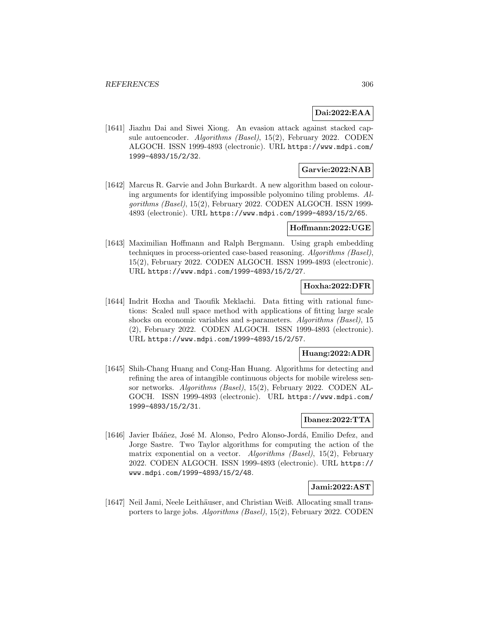# **Dai:2022:EAA**

[1641] Jiazhu Dai and Siwei Xiong. An evasion attack against stacked capsule autoencoder. Algorithms (Basel), 15(2), February 2022. CODEN ALGOCH. ISSN 1999-4893 (electronic). URL https://www.mdpi.com/ 1999-4893/15/2/32.

## **Garvie:2022:NAB**

[1642] Marcus R. Garvie and John Burkardt. A new algorithm based on colouring arguments for identifying impossible polyomino tiling problems. Algorithms (Basel), 15(2), February 2022. CODEN ALGOCH. ISSN 1999- 4893 (electronic). URL https://www.mdpi.com/1999-4893/15/2/65.

### **Hoffmann:2022:UGE**

[1643] Maximilian Hoffmann and Ralph Bergmann. Using graph embedding techniques in process-oriented case-based reasoning. Algorithms (Basel), 15(2), February 2022. CODEN ALGOCH. ISSN 1999-4893 (electronic). URL https://www.mdpi.com/1999-4893/15/2/27.

# **Hoxha:2022:DFR**

[1644] Indrit Hoxha and Taoufik Meklachi. Data fitting with rational functions: Scaled null space method with applications of fitting large scale shocks on economic variables and s-parameters. Algorithms (Basel), 15 (2), February 2022. CODEN ALGOCH. ISSN 1999-4893 (electronic). URL https://www.mdpi.com/1999-4893/15/2/57.

# **Huang:2022:ADR**

[1645] Shih-Chang Huang and Cong-Han Huang. Algorithms for detecting and refining the area of intangible continuous objects for mobile wireless sensor networks. Algorithms (Basel), 15(2), February 2022. CODEN AL-GOCH. ISSN 1999-4893 (electronic). URL https://www.mdpi.com/ 1999-4893/15/2/31.

## **Ibanez:2022:TTA**

[1646] Javier Ibáñez, José M. Alonso, Pedro Alonso-Jordá, Emilio Defez, and Jorge Sastre. Two Taylor algorithms for computing the action of the matrix exponential on a vector. Algorithms (Basel), 15(2), February 2022. CODEN ALGOCH. ISSN 1999-4893 (electronic). URL https:// www.mdpi.com/1999-4893/15/2/48.

## **Jami:2022:AST**

[1647] Neil Jami, Neele Leithäuser, and Christian Weiß. Allocating small transporters to large jobs. Algorithms (Basel), 15(2), February 2022. CODEN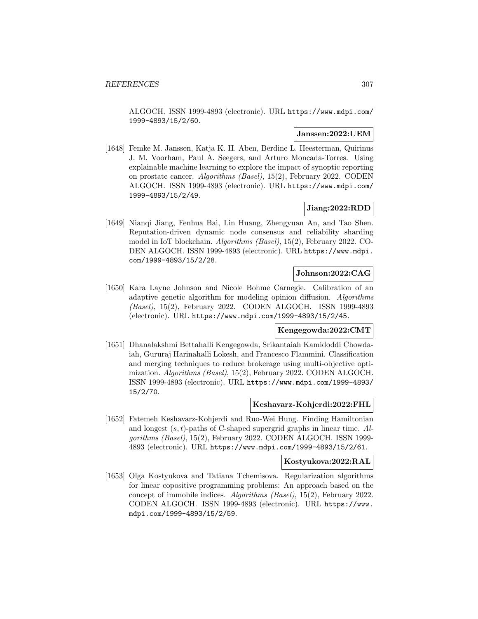ALGOCH. ISSN 1999-4893 (electronic). URL https://www.mdpi.com/ 1999-4893/15/2/60.

# **Janssen:2022:UEM**

[1648] Femke M. Janssen, Katja K. H. Aben, Berdine L. Heesterman, Quirinus J. M. Voorham, Paul A. Seegers, and Arturo Moncada-Torres. Using explainable machine learning to explore the impact of synoptic reporting on prostate cancer. Algorithms (Basel), 15(2), February 2022. CODEN ALGOCH. ISSN 1999-4893 (electronic). URL https://www.mdpi.com/ 1999-4893/15/2/49.

# **Jiang:2022:RDD**

[1649] Nianqi Jiang, Fenhua Bai, Lin Huang, Zhengyuan An, and Tao Shen. Reputation-driven dynamic node consensus and reliability sharding model in IoT blockchain. Algorithms (Basel), 15(2), February 2022. CO-DEN ALGOCH. ISSN 1999-4893 (electronic). URL https://www.mdpi. com/1999-4893/15/2/28.

# **Johnson:2022:CAG**

[1650] Kara Layne Johnson and Nicole Bohme Carnegie. Calibration of an adaptive genetic algorithm for modeling opinion diffusion. Algorithms (Basel), 15(2), February 2022. CODEN ALGOCH. ISSN 1999-4893 (electronic). URL https://www.mdpi.com/1999-4893/15/2/45.

## **Kengegowda:2022:CMT**

[1651] Dhanalakshmi Bettahalli Kengegowda, Srikantaiah Kamidoddi Chowdaiah, Gururaj Harinahalli Lokesh, and Francesco Flammini. Classification and merging techniques to reduce brokerage using multi-objective optimization. Algorithms (Basel), 15(2), February 2022. CODEN ALGOCH. ISSN 1999-4893 (electronic). URL https://www.mdpi.com/1999-4893/ 15/2/70.

### **Keshavarz-Kohjerdi:2022:FHL**

[1652] Fatemeh Keshavarz-Kohjerdi and Ruo-Wei Hung. Finding Hamiltonian and longest  $(s, t)$ -paths of C-shaped supergrid graphs in linear time. Algorithms (Basel), 15(2), February 2022. CODEN ALGOCH. ISSN 1999- 4893 (electronic). URL https://www.mdpi.com/1999-4893/15/2/61.

## **Kostyukova:2022:RAL**

[1653] Olga Kostyukova and Tatiana Tchemisova. Regularization algorithms for linear copositive programming problems: An approach based on the concept of immobile indices. Algorithms (Basel), 15(2), February 2022. CODEN ALGOCH. ISSN 1999-4893 (electronic). URL https://www. mdpi.com/1999-4893/15/2/59.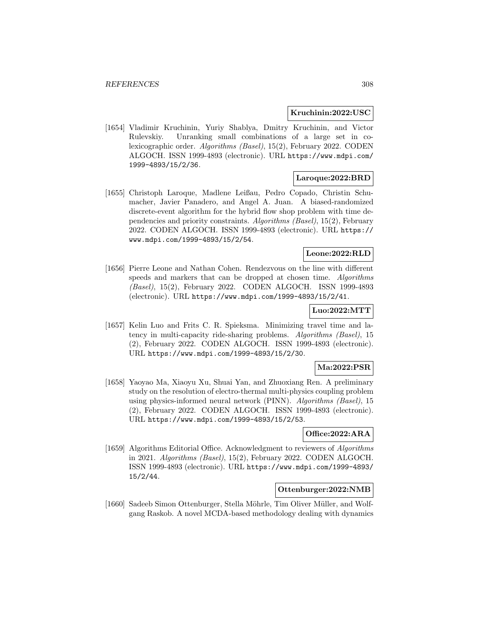## **Kruchinin:2022:USC**

[1654] Vladimir Kruchinin, Yuriy Shablya, Dmitry Kruchinin, and Victor Rulevskiy. Unranking small combinations of a large set in colexicographic order. Algorithms (Basel), 15(2), February 2022. CODEN ALGOCH. ISSN 1999-4893 (electronic). URL https://www.mdpi.com/ 1999-4893/15/2/36.

# **Laroque:2022:BRD**

[1655] Christoph Laroque, Madlene Leißau, Pedro Copado, Christin Schumacher, Javier Panadero, and Angel A. Juan. A biased-randomized discrete-event algorithm for the hybrid flow shop problem with time dependencies and priority constraints. Algorithms (Basel), 15(2), February 2022. CODEN ALGOCH. ISSN 1999-4893 (electronic). URL https:// www.mdpi.com/1999-4893/15/2/54.

# **Leone:2022:RLD**

[1656] Pierre Leone and Nathan Cohen. Rendezvous on the line with different speeds and markers that can be dropped at chosen time. Algorithms (Basel), 15(2), February 2022. CODEN ALGOCH. ISSN 1999-4893 (electronic). URL https://www.mdpi.com/1999-4893/15/2/41.

# **Luo:2022:MTT**

[1657] Kelin Luo and Frits C. R. Spieksma. Minimizing travel time and latency in multi-capacity ride-sharing problems. Algorithms (Basel), 15 (2), February 2022. CODEN ALGOCH. ISSN 1999-4893 (electronic). URL https://www.mdpi.com/1999-4893/15/2/30.

# **Ma:2022:PSR**

[1658] Yaoyao Ma, Xiaoyu Xu, Shuai Yan, and Zhuoxiang Ren. A preliminary study on the resolution of electro-thermal multi-physics coupling problem using physics-informed neural network (PINN). Algorithms (Basel), 15 (2), February 2022. CODEN ALGOCH. ISSN 1999-4893 (electronic). URL https://www.mdpi.com/1999-4893/15/2/53.

# **Office:2022:ARA**

[1659] Algorithms Editorial Office. Acknowledgment to reviewers of Algorithms in 2021. Algorithms (Basel), 15(2), February 2022. CODEN ALGOCH. ISSN 1999-4893 (electronic). URL https://www.mdpi.com/1999-4893/ 15/2/44.

# **Ottenburger:2022:NMB**

[1660] Sadeeb Simon Ottenburger, Stella Möhrle, Tim Oliver Müller, and Wolfgang Raskob. A novel MCDA-based methodology dealing with dynamics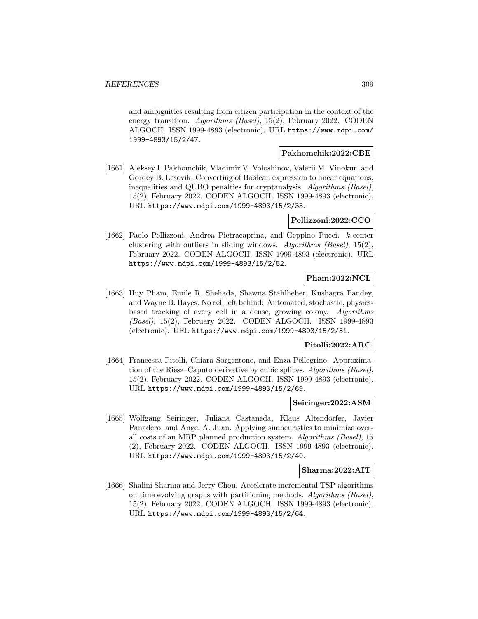and ambiguities resulting from citizen participation in the context of the energy transition. Algorithms (Basel), 15(2), February 2022. CODEN ALGOCH. ISSN 1999-4893 (electronic). URL https://www.mdpi.com/ 1999-4893/15/2/47.

### **Pakhomchik:2022:CBE**

[1661] Aleksey I. Pakhomchik, Vladimir V. Voloshinov, Valerii M. Vinokur, and Gordey B. Lesovik. Converting of Boolean expression to linear equations, inequalities and QUBO penalties for cryptanalysis. Algorithms (Basel), 15(2), February 2022. CODEN ALGOCH. ISSN 1999-4893 (electronic). URL https://www.mdpi.com/1999-4893/15/2/33.

### **Pellizzoni:2022:CCO**

[1662] Paolo Pellizzoni, Andrea Pietracaprina, and Geppino Pucci. k-center clustering with outliers in sliding windows. Algorithms (Basel), 15(2), February 2022. CODEN ALGOCH. ISSN 1999-4893 (electronic). URL https://www.mdpi.com/1999-4893/15/2/52.

# **Pham:2022:NCL**

[1663] Huy Pham, Emile R. Shehada, Shawna Stahlheber, Kushagra Pandey, and Wayne B. Hayes. No cell left behind: Automated, stochastic, physicsbased tracking of every cell in a dense, growing colony. Algorithms (Basel), 15(2), February 2022. CODEN ALGOCH. ISSN 1999-4893 (electronic). URL https://www.mdpi.com/1999-4893/15/2/51.

## **Pitolli:2022:ARC**

[1664] Francesca Pitolli, Chiara Sorgentone, and Enza Pellegrino. Approximation of the Riesz–Caputo derivative by cubic splines. Algorithms (Basel), 15(2), February 2022. CODEN ALGOCH. ISSN 1999-4893 (electronic). URL https://www.mdpi.com/1999-4893/15/2/69.

## **Seiringer:2022:ASM**

[1665] Wolfgang Seiringer, Juliana Castaneda, Klaus Altendorfer, Javier Panadero, and Angel A. Juan. Applying simheuristics to minimize overall costs of an MRP planned production system. Algorithms (Basel), 15 (2), February 2022. CODEN ALGOCH. ISSN 1999-4893 (electronic). URL https://www.mdpi.com/1999-4893/15/2/40.

## **Sharma:2022:AIT**

[1666] Shalini Sharma and Jerry Chou. Accelerate incremental TSP algorithms on time evolving graphs with partitioning methods. Algorithms (Basel), 15(2), February 2022. CODEN ALGOCH. ISSN 1999-4893 (electronic). URL https://www.mdpi.com/1999-4893/15/2/64.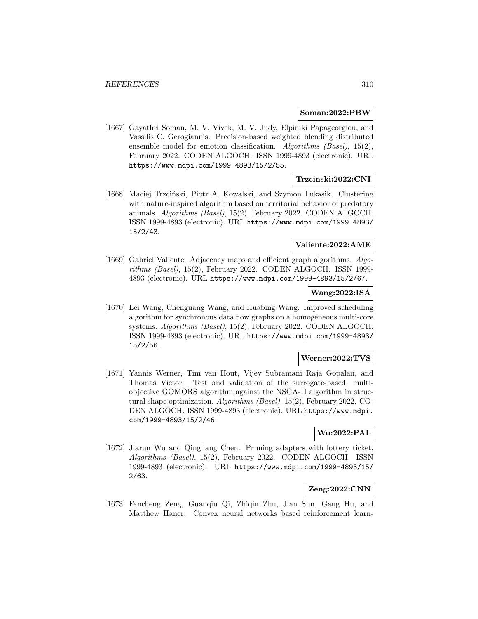### **Soman:2022:PBW**

[1667] Gayathri Soman, M. V. Vivek, M. V. Judy, Elpiniki Papageorgiou, and Vassilis C. Gerogiannis. Precision-based weighted blending distributed ensemble model for emotion classification. Algorithms (Basel), 15(2), February 2022. CODEN ALGOCH. ISSN 1999-4893 (electronic). URL https://www.mdpi.com/1999-4893/15/2/55.

## **Trzcinski:2022:CNI**

[1668] Maciej Trzciński, Piotr A. Kowalski, and Szymon Lukasik. Clustering with nature-inspired algorithm based on territorial behavior of predatory animals. Algorithms (Basel), 15(2), February 2022. CODEN ALGOCH. ISSN 1999-4893 (electronic). URL https://www.mdpi.com/1999-4893/ 15/2/43.

# **Valiente:2022:AME**

[1669] Gabriel Valiente. Adjacency maps and efficient graph algorithms. Algorithms (Basel), 15(2), February 2022. CODEN ALGOCH. ISSN 1999- 4893 (electronic). URL https://www.mdpi.com/1999-4893/15/2/67.

### **Wang:2022:ISA**

[1670] Lei Wang, Chenguang Wang, and Huabing Wang. Improved scheduling algorithm for synchronous data flow graphs on a homogeneous multi-core systems. Algorithms (Basel), 15(2), February 2022. CODEN ALGOCH. ISSN 1999-4893 (electronic). URL https://www.mdpi.com/1999-4893/ 15/2/56.

## **Werner:2022:TVS**

[1671] Yannis Werner, Tim van Hout, Vijey Subramani Raja Gopalan, and Thomas Vietor. Test and validation of the surrogate-based, multiobjective GOMORS algorithm against the NSGA-II algorithm in structural shape optimization. Algorithms (Basel), 15(2), February 2022. CO-DEN ALGOCH. ISSN 1999-4893 (electronic). URL https://www.mdpi. com/1999-4893/15/2/46.

# **Wu:2022:PAL**

[1672] Jiarun Wu and Qingliang Chen. Pruning adapters with lottery ticket. Algorithms (Basel), 15(2), February 2022. CODEN ALGOCH. ISSN 1999-4893 (electronic). URL https://www.mdpi.com/1999-4893/15/ 2/63.

# **Zeng:2022:CNN**

[1673] Fancheng Zeng, Guanqiu Qi, Zhiqin Zhu, Jian Sun, Gang Hu, and Matthew Haner. Convex neural networks based reinforcement learn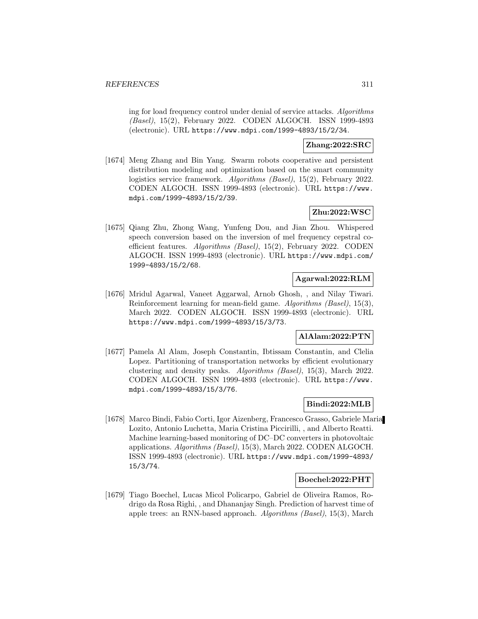ing for load frequency control under denial of service attacks. Algorithms (Basel), 15(2), February 2022. CODEN ALGOCH. ISSN 1999-4893 (electronic). URL https://www.mdpi.com/1999-4893/15/2/34.

## **Zhang:2022:SRC**

[1674] Meng Zhang and Bin Yang. Swarm robots cooperative and persistent distribution modeling and optimization based on the smart community logistics service framework. *Algorithms (Basel)*, 15(2), February 2022. CODEN ALGOCH. ISSN 1999-4893 (electronic). URL https://www. mdpi.com/1999-4893/15/2/39.

# **Zhu:2022:WSC**

[1675] Qiang Zhu, Zhong Wang, Yunfeng Dou, and Jian Zhou. Whispered speech conversion based on the inversion of mel frequency cepstral coefficient features. Algorithms (Basel), 15(2), February 2022. CODEN ALGOCH. ISSN 1999-4893 (electronic). URL https://www.mdpi.com/ 1999-4893/15/2/68.

## **Agarwal:2022:RLM**

[1676] Mridul Agarwal, Vaneet Aggarwal, Arnob Ghosh, , and Nilay Tiwari. Reinforcement learning for mean-field game. Algorithms (Basel), 15(3), March 2022. CODEN ALGOCH. ISSN 1999-4893 (electronic). URL https://www.mdpi.com/1999-4893/15/3/73.

# **AlAlam:2022:PTN**

[1677] Pamela Al Alam, Joseph Constantin, Ibtissam Constantin, and Clelia Lopez. Partitioning of transportation networks by efficient evolutionary clustering and density peaks. Algorithms (Basel), 15(3), March 2022. CODEN ALGOCH. ISSN 1999-4893 (electronic). URL https://www. mdpi.com/1999-4893/15/3/76.

# **Bindi:2022:MLB**

[1678] Marco Bindi, Fabio Corti, Igor Aizenberg, Francesco Grasso, Gabriele Maria Lozito, Antonio Luchetta, Maria Cristina Piccirilli, , and Alberto Reatti. Machine learning-based monitoring of DC–DC converters in photovoltaic applications. Algorithms (Basel), 15(3), March 2022. CODEN ALGOCH. ISSN 1999-4893 (electronic). URL https://www.mdpi.com/1999-4893/ 15/3/74.

## **Boechel:2022:PHT**

[1679] Tiago Boechel, Lucas Micol Policarpo, Gabriel de Oliveira Ramos, Rodrigo da Rosa Righi, , and Dhananjay Singh. Prediction of harvest time of apple trees: an RNN-based approach. Algorithms (Basel), 15(3), March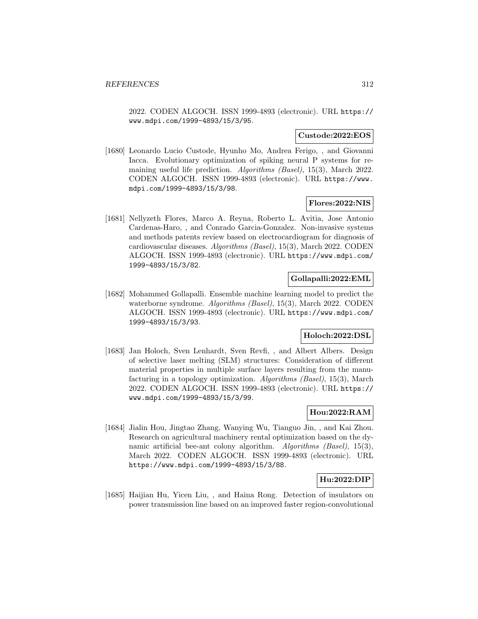2022. CODEN ALGOCH. ISSN 1999-4893 (electronic). URL https:// www.mdpi.com/1999-4893/15/3/95.

### **Custode:2022:EOS**

[1680] Leonardo Lucio Custode, Hyunho Mo, Andrea Ferigo, , and Giovanni Iacca. Evolutionary optimization of spiking neural P systems for remaining useful life prediction. Algorithms (Basel), 15(3), March 2022. CODEN ALGOCH. ISSN 1999-4893 (electronic). URL https://www. mdpi.com/1999-4893/15/3/98.

### **Flores:2022:NIS**

[1681] Nellyzeth Flores, Marco A. Reyna, Roberto L. Avitia, Jose Antonio Cardenas-Haro, , and Conrado Garcia-Gonzalez. Non-invasive systems and methods patents review based on electrocardiogram for diagnosis of cardiovascular diseases. Algorithms (Basel), 15(3), March 2022. CODEN ALGOCH. ISSN 1999-4893 (electronic). URL https://www.mdpi.com/ 1999-4893/15/3/82.

# **Gollapalli:2022:EML**

[1682] Mohammed Gollapalli. Ensemble machine learning model to predict the waterborne syndrome. Algorithms (Basel), 15(3), March 2022. CODEN ALGOCH. ISSN 1999-4893 (electronic). URL https://www.mdpi.com/ 1999-4893/15/3/93.

## **Holoch:2022:DSL**

[1683] Jan Holoch, Sven Lenhardt, Sven Revfi, , and Albert Albers. Design of selective laser melting (SLM) structures: Consideration of different material properties in multiple surface layers resulting from the manufacturing in a topology optimization. Algorithms (Basel), 15(3), March 2022. CODEN ALGOCH. ISSN 1999-4893 (electronic). URL https:// www.mdpi.com/1999-4893/15/3/99.

# **Hou:2022:RAM**

[1684] Jialin Hou, Jingtao Zhang, Wanying Wu, Tianguo Jin, , and Kai Zhou. Research on agricultural machinery rental optimization based on the dynamic artificial bee-ant colony algorithm. Algorithms (Basel), 15(3), March 2022. CODEN ALGOCH. ISSN 1999-4893 (electronic). URL https://www.mdpi.com/1999-4893/15/3/88.

## **Hu:2022:DIP**

[1685] Haijian Hu, Yicen Liu, , and Haina Rong. Detection of insulators on power transmission line based on an improved faster region-convolutional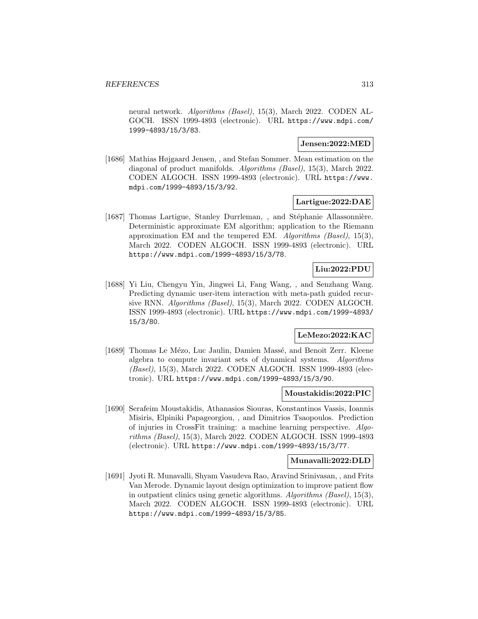neural network. *Algorithms (Basel)*, 15(3), March 2022. CODEN AL-GOCH. ISSN 1999-4893 (electronic). URL https://www.mdpi.com/ 1999-4893/15/3/83.

### **Jensen:2022:MED**

[1686] Mathias Højgaard Jensen, , and Stefan Sommer. Mean estimation on the diagonal of product manifolds. Algorithms (Basel), 15(3), March 2022. CODEN ALGOCH. ISSN 1999-4893 (electronic). URL https://www. mdpi.com/1999-4893/15/3/92.

## **Lartigue:2022:DAE**

[1687] Thomas Lartigue, Stanley Durrleman, , and Stéphanie Allassonnière. Deterministic approximate EM algorithm; application to the Riemann approximation EM and the tempered EM. Algorithms (Basel), 15(3), March 2022. CODEN ALGOCH. ISSN 1999-4893 (electronic). URL https://www.mdpi.com/1999-4893/15/3/78.

# **Liu:2022:PDU**

[1688] Yi Liu, Chengyu Yin, Jingwei Li, Fang Wang, , and Senzhang Wang. Predicting dynamic user-item interaction with meta-path guided recursive RNN. Algorithms (Basel), 15(3), March 2022. CODEN ALGOCH. ISSN 1999-4893 (electronic). URL https://www.mdpi.com/1999-4893/ 15/3/80.

# **LeMezo:2022:KAC**

[1689] Thomas Le Mézo, Luc Jaulin, Damien Massé, and Benoit Zerr. Kleene algebra to compute invariant sets of dynamical systems. Algorithms (Basel), 15(3), March 2022. CODEN ALGOCH. ISSN 1999-4893 (electronic). URL https://www.mdpi.com/1999-4893/15/3/90.

## **Moustakidis:2022:PIC**

[1690] Serafeim Moustakidis, Athanasios Siouras, Konstantinos Vassis, Ioannis Misiris, Elpiniki Papageorgiou, , and Dimitrios Tsaopoulos. Prediction of injuries in CrossFit training: a machine learning perspective. Algorithms (Basel), 15(3), March 2022. CODEN ALGOCH. ISSN 1999-4893 (electronic). URL https://www.mdpi.com/1999-4893/15/3/77.

## **Munavalli:2022:DLD**

[1691] Jyoti R. Munavalli, Shyam Vasudeva Rao, Aravind Srinivasan, , and Frits Van Merode. Dynamic layout design optimization to improve patient flow in outpatient clinics using genetic algorithms. Algorithms (Basel), 15(3), March 2022. CODEN ALGOCH. ISSN 1999-4893 (electronic). URL https://www.mdpi.com/1999-4893/15/3/85.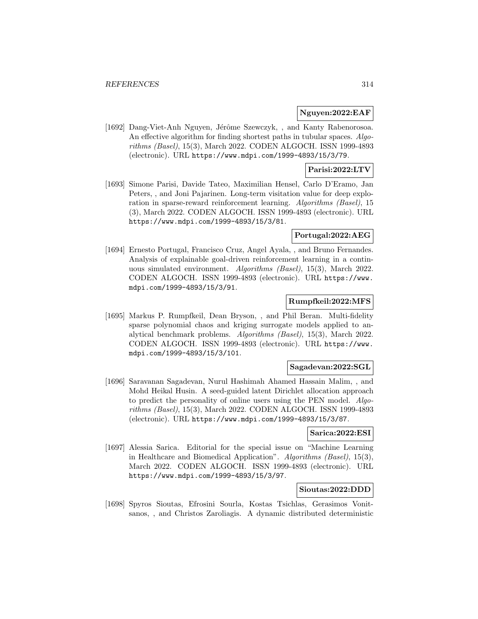## **Nguyen:2022:EAF**

[1692] Dang-Viet-Anh Nguyen, Jérôme Szewczyk, , and Kanty Rabenorosoa. An effective algorithm for finding shortest paths in tubular spaces. Algorithms (Basel), 15(3), March 2022. CODEN ALGOCH. ISSN 1999-4893 (electronic). URL https://www.mdpi.com/1999-4893/15/3/79.

## **Parisi:2022:LTV**

[1693] Simone Parisi, Davide Tateo, Maximilian Hensel, Carlo D'Eramo, Jan Peters, , and Joni Pajarinen. Long-term visitation value for deep exploration in sparse-reward reinforcement learning. Algorithms (Basel), 15 (3), March 2022. CODEN ALGOCH. ISSN 1999-4893 (electronic). URL https://www.mdpi.com/1999-4893/15/3/81.

# **Portugal:2022:AEG**

[1694] Ernesto Portugal, Francisco Cruz, Angel Ayala, , and Bruno Fernandes. Analysis of explainable goal-driven reinforcement learning in a continuous simulated environment. Algorithms (Basel), 15(3), March 2022. CODEN ALGOCH. ISSN 1999-4893 (electronic). URL https://www. mdpi.com/1999-4893/15/3/91.

## **Rumpfkeil:2022:MFS**

[1695] Markus P. Rumpfkeil, Dean Bryson, , and Phil Beran. Multi-fidelity sparse polynomial chaos and kriging surrogate models applied to analytical benchmark problems. Algorithms (Basel), 15(3), March 2022. CODEN ALGOCH. ISSN 1999-4893 (electronic). URL https://www. mdpi.com/1999-4893/15/3/101.

#### **Sagadevan:2022:SGL**

[1696] Saravanan Sagadevan, Nurul Hashimah Ahamed Hassain Malim, , and Mohd Heikal Husin. A seed-guided latent Dirichlet allocation approach to predict the personality of online users using the PEN model. Algorithms (Basel), 15(3), March 2022. CODEN ALGOCH. ISSN 1999-4893 (electronic). URL https://www.mdpi.com/1999-4893/15/3/87.

### **Sarica:2022:ESI**

[1697] Alessia Sarica. Editorial for the special issue on "Machine Learning in Healthcare and Biomedical Application". Algorithms (Basel), 15(3), March 2022. CODEN ALGOCH. ISSN 1999-4893 (electronic). URL https://www.mdpi.com/1999-4893/15/3/97.

## **Sioutas:2022:DDD**

[1698] Spyros Sioutas, Efrosini Sourla, Kostas Tsichlas, Gerasimos Vonitsanos, , and Christos Zaroliagis. A dynamic distributed deterministic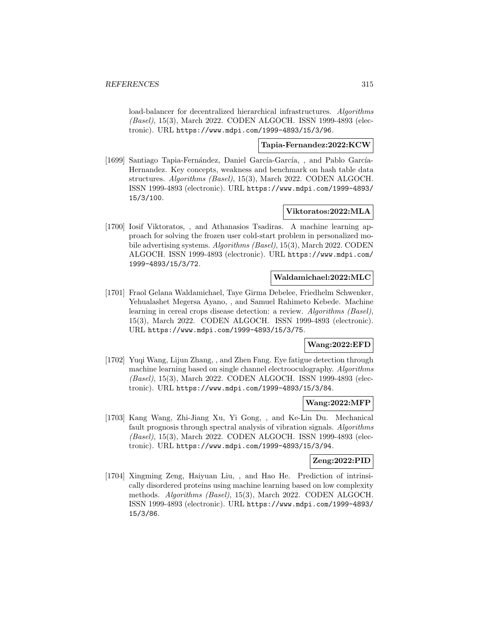load-balancer for decentralized hierarchical infrastructures. Algorithms (Basel), 15(3), March 2022. CODEN ALGOCH. ISSN 1999-4893 (electronic). URL https://www.mdpi.com/1999-4893/15/3/96.

### **Tapia-Fernandez:2022:KCW**

[1699] Santiago Tapia-Fernández, Daniel García-García, , and Pablo García-Hernandez. Key concepts, weakness and benchmark on hash table data structures. Algorithms (Basel), 15(3), March 2022. CODEN ALGOCH. ISSN 1999-4893 (electronic). URL https://www.mdpi.com/1999-4893/ 15/3/100.

## **Viktoratos:2022:MLA**

[1700] Iosif Viktoratos, , and Athanasios Tsadiras. A machine learning approach for solving the frozen user cold-start problem in personalized mobile advertising systems. Algorithms (Basel), 15(3), March 2022. CODEN ALGOCH. ISSN 1999-4893 (electronic). URL https://www.mdpi.com/ 1999-4893/15/3/72.

### **Waldamichael:2022:MLC**

[1701] Fraol Gelana Waldamichael, Taye Girma Debelee, Friedhelm Schwenker, Yehualashet Megersa Ayano, , and Samuel Rahimeto Kebede. Machine learning in cereal crops disease detection: a review. Algorithms (Basel), 15(3), March 2022. CODEN ALGOCH. ISSN 1999-4893 (electronic). URL https://www.mdpi.com/1999-4893/15/3/75.

## **Wang:2022:EFD**

[1702] Yuqi Wang, Lijun Zhang, , and Zhen Fang. Eye fatigue detection through machine learning based on single channel electrooculography. Algorithms (Basel), 15(3), March 2022. CODEN ALGOCH. ISSN 1999-4893 (electronic). URL https://www.mdpi.com/1999-4893/15/3/84.

## **Wang:2022:MFP**

[1703] Kang Wang, Zhi-Jiang Xu, Yi Gong, , and Ke-Lin Du. Mechanical fault prognosis through spectral analysis of vibration signals. Algorithms (Basel), 15(3), March 2022. CODEN ALGOCH. ISSN 1999-4893 (electronic). URL https://www.mdpi.com/1999-4893/15/3/94.

## **Zeng:2022:PID**

[1704] Xingming Zeng, Haiyuan Liu, , and Hao He. Prediction of intrinsically disordered proteins using machine learning based on low complexity methods. Algorithms (Basel), 15(3), March 2022. CODEN ALGOCH. ISSN 1999-4893 (electronic). URL https://www.mdpi.com/1999-4893/ 15/3/86.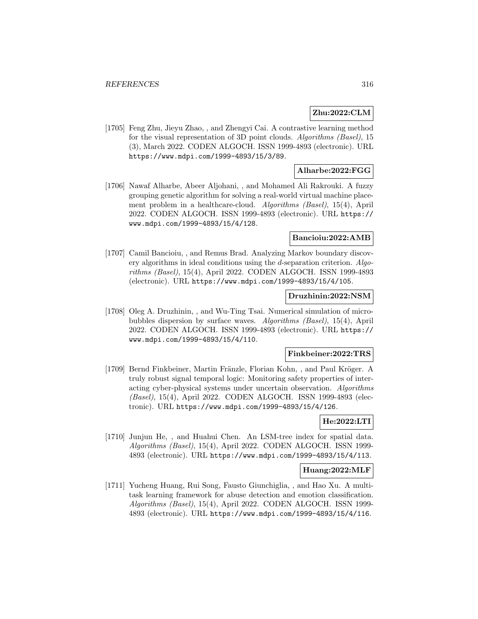# **Zhu:2022:CLM**

[1705] Feng Zhu, Jieyu Zhao, , and Zhengyi Cai. A contrastive learning method for the visual representation of 3D point clouds. Algorithms (Basel), 15 (3), March 2022. CODEN ALGOCH. ISSN 1999-4893 (electronic). URL https://www.mdpi.com/1999-4893/15/3/89.

## **Alharbe:2022:FGG**

[1706] Nawaf Alharbe, Abeer Aljohani, , and Mohamed Ali Rakrouki. A fuzzy grouping genetic algorithm for solving a real-world virtual machine placement problem in a healthcare-cloud. Algorithms (Basel), 15(4), April 2022. CODEN ALGOCH. ISSN 1999-4893 (electronic). URL https:// www.mdpi.com/1999-4893/15/4/128.

## **Bancioiu:2022:AMB**

[1707] Camil Bancioiu, , and Remus Brad. Analyzing Markov boundary discovery algorithms in ideal conditions using the d-separation criterion. Algorithms (Basel), 15(4), April 2022. CODEN ALGOCH. ISSN 1999-4893 (electronic). URL https://www.mdpi.com/1999-4893/15/4/105.

## **Druzhinin:2022:NSM**

[1708] Oleg A. Druzhinin, , and Wu-Ting Tsai. Numerical simulation of microbubbles dispersion by surface waves. Algorithms (Basel), 15(4), April 2022. CODEN ALGOCH. ISSN 1999-4893 (electronic). URL https:// www.mdpi.com/1999-4893/15/4/110.

### **Finkbeiner:2022:TRS**

[1709] Bernd Finkbeiner, Martin Fränzle, Florian Kohn, , and Paul Kröger. A truly robust signal temporal logic: Monitoring safety properties of interacting cyber-physical systems under uncertain observation. Algorithms (Basel), 15(4), April 2022. CODEN ALGOCH. ISSN 1999-4893 (electronic). URL https://www.mdpi.com/1999-4893/15/4/126.

# **He:2022:LTI**

[1710] Junjun He, , and Huahui Chen. An LSM-tree index for spatial data. Algorithms (Basel), 15(4), April 2022. CODEN ALGOCH. ISSN 1999- 4893 (electronic). URL https://www.mdpi.com/1999-4893/15/4/113.

#### **Huang:2022:MLF**

[1711] Yucheng Huang, Rui Song, Fausto Giunchiglia, , and Hao Xu. A multitask learning framework for abuse detection and emotion classification. Algorithms (Basel), 15(4), April 2022. CODEN ALGOCH. ISSN 1999- 4893 (electronic). URL https://www.mdpi.com/1999-4893/15/4/116.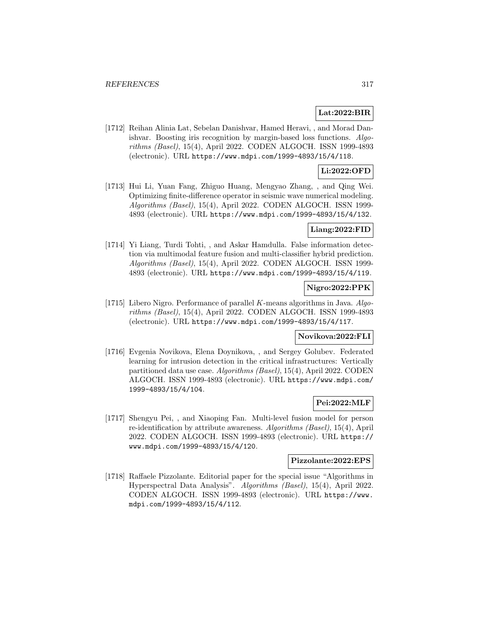# **Lat:2022:BIR**

[1712] Reihan Alinia Lat, Sebelan Danishvar, Hamed Heravi, , and Morad Danishvar. Boosting iris recognition by margin-based loss functions. Algorithms (Basel), 15(4), April 2022. CODEN ALGOCH. ISSN 1999-4893 (electronic). URL https://www.mdpi.com/1999-4893/15/4/118.

## **Li:2022:OFD**

[1713] Hui Li, Yuan Fang, Zhiguo Huang, Mengyao Zhang, , and Qing Wei. Optimizing finite-difference operator in seismic wave numerical modeling. Algorithms (Basel), 15(4), April 2022. CODEN ALGOCH. ISSN 1999- 4893 (electronic). URL https://www.mdpi.com/1999-4893/15/4/132.

### **Liang:2022:FID**

[1714] Yi Liang, Turdi Tohti, , and Askar Hamdulla. False information detection via multimodal feature fusion and multi-classifier hybrid prediction. Algorithms (Basel), 15(4), April 2022. CODEN ALGOCH. ISSN 1999- 4893 (electronic). URL https://www.mdpi.com/1999-4893/15/4/119.

# **Nigro:2022:PPK**

[1715] Libero Nigro. Performance of parallel K-means algorithms in Java. Algorithms (Basel), 15(4), April 2022. CODEN ALGOCH. ISSN 1999-4893 (electronic). URL https://www.mdpi.com/1999-4893/15/4/117.

# **Novikova:2022:FLI**

[1716] Evgenia Novikova, Elena Doynikova, , and Sergey Golubev. Federated learning for intrusion detection in the critical infrastructures: Vertically partitioned data use case. Algorithms (Basel), 15(4), April 2022. CODEN ALGOCH. ISSN 1999-4893 (electronic). URL https://www.mdpi.com/ 1999-4893/15/4/104.

## **Pei:2022:MLF**

[1717] Shengyu Pei, , and Xiaoping Fan. Multi-level fusion model for person re-identification by attribute awareness. Algorithms (Basel), 15(4), April 2022. CODEN ALGOCH. ISSN 1999-4893 (electronic). URL https:// www.mdpi.com/1999-4893/15/4/120.

### **Pizzolante:2022:EPS**

[1718] Raffaele Pizzolante. Editorial paper for the special issue "Algorithms in Hyperspectral Data Analysis". Algorithms (Basel), 15(4), April 2022. CODEN ALGOCH. ISSN 1999-4893 (electronic). URL https://www. mdpi.com/1999-4893/15/4/112.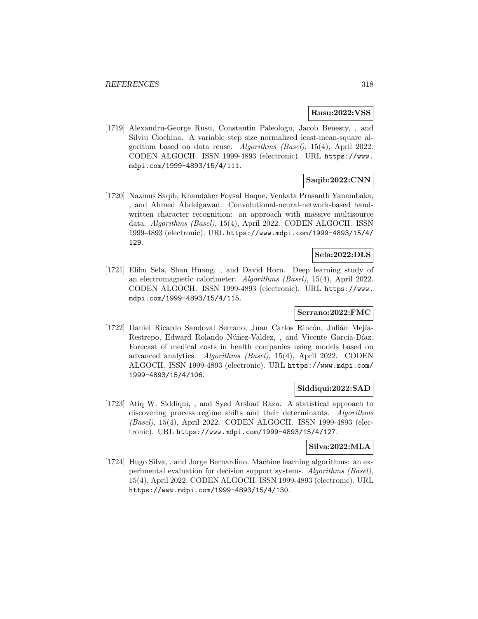## **Rusu:2022:VSS**

[1719] Alexandru-George Rusu, Constantin Paleologu, Jacob Benesty, , and Silviu Ciochina. A variable step size normalized least-mean-square algorithm based on data reuse. Algorithms (Basel), 15(4), April 2022. CODEN ALGOCH. ISSN 1999-4893 (electronic). URL https://www. mdpi.com/1999-4893/15/4/111.

# **Saqib:2022:CNN**

[1720] Nazmus Saqib, Khandaker Foysal Haque, Venkata Prasanth Yanambaka, , and Ahmed Abdelgawad. Convolutional-neural-network-based handwritten character recognition: an approach with massive multisource data. Algorithms (Basel), 15(4), April 2022. CODEN ALGOCH. ISSN 1999-4893 (electronic). URL https://www.mdpi.com/1999-4893/15/4/ 129.

# **Sela:2022:DLS**

[1721] Elihu Sela, Shan Huang, , and David Horn. Deep learning study of an electromagnetic calorimeter. Algorithms (Basel), 15(4), April 2022. CODEN ALGOCH. ISSN 1999-4893 (electronic). URL https://www. mdpi.com/1999-4893/15/4/115.

# **Serrano:2022:FMC**

[1722] Daniel Ricardo Sandoval Serrano, Juan Carlos Rincón, Julián Mejía-Restrepo, Edward Rolando Núñez-Valdez, , and Vicente García-Díaz. Forecast of medical costs in health companies using models based on advanced analytics. Algorithms (Basel), 15(4), April 2022. CODEN ALGOCH. ISSN 1999-4893 (electronic). URL https://www.mdpi.com/ 1999-4893/15/4/106.

# **Siddiqui:2022:SAD**

[1723] Atiq W. Siddiqui, , and Syed Arshad Raza. A statistical approach to discovering process regime shifts and their determinants. Algorithms (Basel), 15(4), April 2022. CODEN ALGOCH. ISSN 1999-4893 (electronic). URL https://www.mdpi.com/1999-4893/15/4/127.

# **Silva:2022:MLA**

[1724] Hugo Silva, , and Jorge Bernardino. Machine learning algorithms: an experimental evaluation for decision support systems. Algorithms (Basel), 15(4), April 2022. CODEN ALGOCH. ISSN 1999-4893 (electronic). URL https://www.mdpi.com/1999-4893/15/4/130.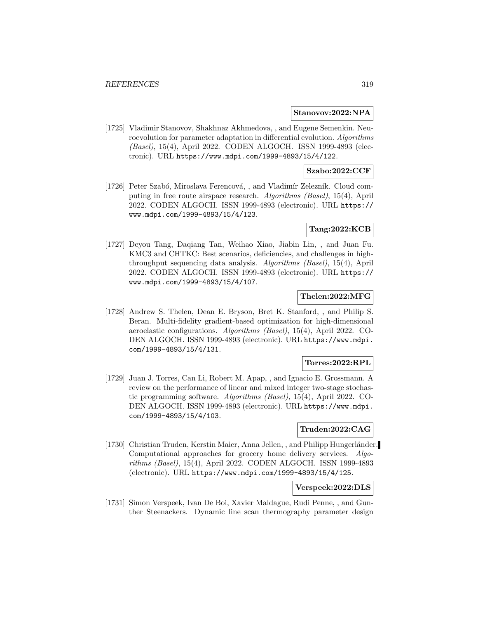#### **Stanovov:2022:NPA**

[1725] Vladimir Stanovov, Shakhnaz Akhmedova, , and Eugene Semenkin. Neuroevolution for parameter adaptation in differential evolution. Algorithms (Basel), 15(4), April 2022. CODEN ALGOCH. ISSN 1999-4893 (electronic). URL https://www.mdpi.com/1999-4893/15/4/122.

## **Szabo:2022:CCF**

[1726] Peter Szabó, Miroslava Ferencová, , and Vladimír Zelezník. Cloud computing in free route airspace research. Algorithms (Basel), 15(4), April 2022. CODEN ALGOCH. ISSN 1999-4893 (electronic). URL https:// www.mdpi.com/1999-4893/15/4/123.

## **Tang:2022:KCB**

[1727] Deyou Tang, Daqiang Tan, Weihao Xiao, Jiabin Lin, , and Juan Fu. KMC3 and CHTKC: Best scenarios, deficiencies, and challenges in highthroughput sequencing data analysis. Algorithms (Basel), 15(4), April 2022. CODEN ALGOCH. ISSN 1999-4893 (electronic). URL https:// www.mdpi.com/1999-4893/15/4/107.

## **Thelen:2022:MFG**

[1728] Andrew S. Thelen, Dean E. Bryson, Bret K. Stanford, , and Philip S. Beran. Multi-fidelity gradient-based optimization for high-dimensional aeroelastic configurations. Algorithms (Basel), 15(4), April 2022. CO-DEN ALGOCH. ISSN 1999-4893 (electronic). URL https://www.mdpi. com/1999-4893/15/4/131.

### **Torres:2022:RPL**

[1729] Juan J. Torres, Can Li, Robert M. Apap, , and Ignacio E. Grossmann. A review on the performance of linear and mixed integer two-stage stochastic programming software. Algorithms (Basel), 15(4), April 2022. CO-DEN ALGOCH. ISSN 1999-4893 (electronic). URL https://www.mdpi. com/1999-4893/15/4/103.

# **Truden:2022:CAG**

[1730] Christian Truden, Kerstin Maier, Anna Jellen, , and Philipp Hungerländer. Computational approaches for grocery home delivery services. Algorithms (Basel), 15(4), April 2022. CODEN ALGOCH. ISSN 1999-4893 (electronic). URL https://www.mdpi.com/1999-4893/15/4/125.

### **Verspeek:2022:DLS**

[1731] Simon Verspeek, Ivan De Boi, Xavier Maldague, Rudi Penne, , and Gunther Steenackers. Dynamic line scan thermography parameter design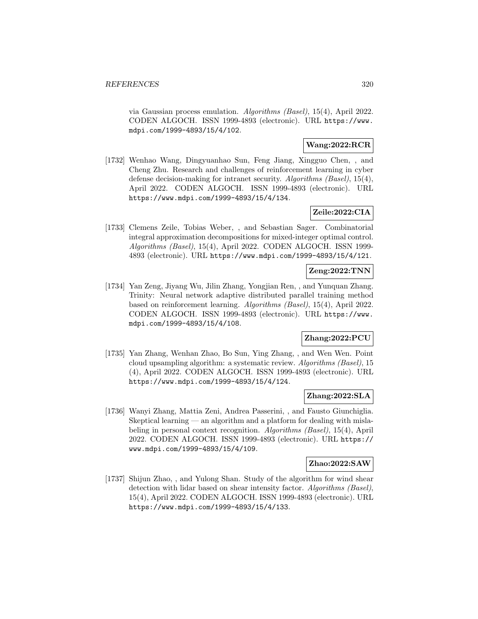via Gaussian process emulation. Algorithms (Basel), 15(4), April 2022. CODEN ALGOCH. ISSN 1999-4893 (electronic). URL https://www. mdpi.com/1999-4893/15/4/102.

# **Wang:2022:RCR**

[1732] Wenhao Wang, Dingyuanhao Sun, Feng Jiang, Xingguo Chen, , and Cheng Zhu. Research and challenges of reinforcement learning in cyber defense decision-making for intranet security. Algorithms (Basel), 15(4), April 2022. CODEN ALGOCH. ISSN 1999-4893 (electronic). URL https://www.mdpi.com/1999-4893/15/4/134.

# **Zeile:2022:CIA**

[1733] Clemens Zeile, Tobias Weber, , and Sebastian Sager. Combinatorial integral approximation decompositions for mixed-integer optimal control. Algorithms (Basel), 15(4), April 2022. CODEN ALGOCH. ISSN 1999- 4893 (electronic). URL https://www.mdpi.com/1999-4893/15/4/121.

# **Zeng:2022:TNN**

[1734] Yan Zeng, Jiyang Wu, Jilin Zhang, Yongjian Ren, , and Yunquan Zhang. Trinity: Neural network adaptive distributed parallel training method based on reinforcement learning. Algorithms (Basel), 15(4), April 2022. CODEN ALGOCH. ISSN 1999-4893 (electronic). URL https://www. mdpi.com/1999-4893/15/4/108.

# **Zhang:2022:PCU**

[1735] Yan Zhang, Wenhan Zhao, Bo Sun, Ying Zhang, , and Wen Wen. Point cloud upsampling algorithm: a systematic review. Algorithms (Basel), 15 (4), April 2022. CODEN ALGOCH. ISSN 1999-4893 (electronic). URL https://www.mdpi.com/1999-4893/15/4/124.

## **Zhang:2022:SLA**

[1736] Wanyi Zhang, Mattia Zeni, Andrea Passerini, , and Fausto Giunchiglia. Skeptical learning — an algorithm and a platform for dealing with mislabeling in personal context recognition. Algorithms (Basel), 15(4), April 2022. CODEN ALGOCH. ISSN 1999-4893 (electronic). URL https:// www.mdpi.com/1999-4893/15/4/109.

## **Zhao:2022:SAW**

[1737] Shijun Zhao, , and Yulong Shan. Study of the algorithm for wind shear detection with lidar based on shear intensity factor. Algorithms (Basel), 15(4), April 2022. CODEN ALGOCH. ISSN 1999-4893 (electronic). URL https://www.mdpi.com/1999-4893/15/4/133.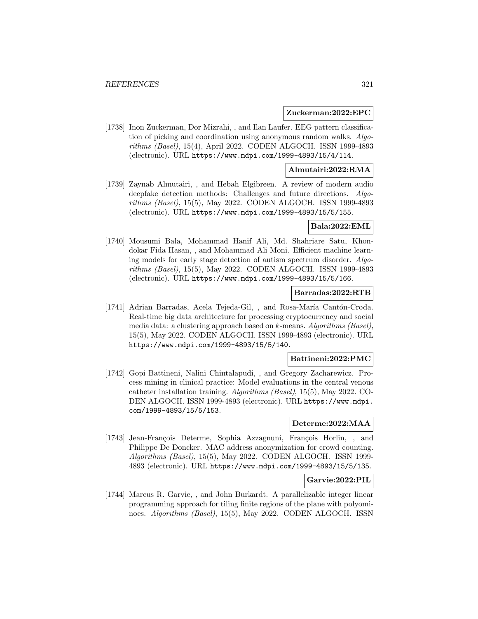### **Zuckerman:2022:EPC**

[1738] Inon Zuckerman, Dor Mizrahi, , and Ilan Laufer. EEG pattern classification of picking and coordination using anonymous random walks. Algorithms (Basel), 15(4), April 2022. CODEN ALGOCH. ISSN 1999-4893 (electronic). URL https://www.mdpi.com/1999-4893/15/4/114.

## **Almutairi:2022:RMA**

[1739] Zaynab Almutairi, , and Hebah Elgibreen. A review of modern audio deepfake detection methods: Challenges and future directions. Algorithms (Basel), 15(5), May 2022. CODEN ALGOCH. ISSN 1999-4893 (electronic). URL https://www.mdpi.com/1999-4893/15/5/155.

### **Bala:2022:EML**

[1740] Mousumi Bala, Mohammad Hanif Ali, Md. Shahriare Satu, Khondokar Fida Hasan, , and Mohammad Ali Moni. Efficient machine learning models for early stage detection of autism spectrum disorder. Algorithms (Basel), 15(5), May 2022. CODEN ALGOCH. ISSN 1999-4893 (electronic). URL https://www.mdpi.com/1999-4893/15/5/166.

### **Barradas:2022:RTB**

[1741] Adrian Barradas, Acela Tejeda-Gil, , and Rosa-María Cantón-Croda. Real-time big data architecture for processing cryptocurrency and social media data: a clustering approach based on k-means. Algorithms (Basel), 15(5), May 2022. CODEN ALGOCH. ISSN 1999-4893 (electronic). URL https://www.mdpi.com/1999-4893/15/5/140.

#### **Battineni:2022:PMC**

[1742] Gopi Battineni, Nalini Chintalapudi, , and Gregory Zacharewicz. Process mining in clinical practice: Model evaluations in the central venous catheter installation training. Algorithms (Basel), 15(5), May 2022. CO-DEN ALGOCH. ISSN 1999-4893 (electronic). URL https://www.mdpi. com/1999-4893/15/5/153.

# **Determe:2022:MAA**

[1743] Jean-François Determe, Sophia Azzagnuni, François Horlin, , and Philippe De Doncker. MAC address anonymization for crowd counting. Algorithms (Basel), 15(5), May 2022. CODEN ALGOCH. ISSN 1999- 4893 (electronic). URL https://www.mdpi.com/1999-4893/15/5/135.

### **Garvie:2022:PIL**

[1744] Marcus R. Garvie, , and John Burkardt. A parallelizable integer linear programming approach for tiling finite regions of the plane with polyominoes. *Algorithms (Basel)*, 15(5), May 2022. CODEN ALGOCH. ISSN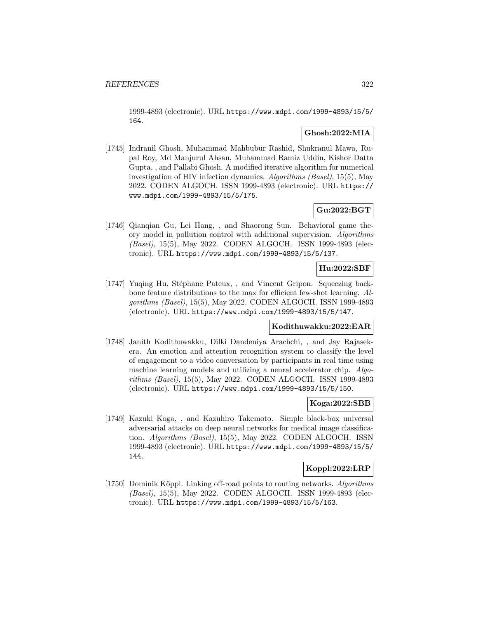1999-4893 (electronic). URL https://www.mdpi.com/1999-4893/15/5/ 164.

## **Ghosh:2022:MIA**

[1745] Indranil Ghosh, Muhammad Mahbubur Rashid, Shukranul Mawa, Rupal Roy, Md Manjurul Ahsan, Muhammad Ramiz Uddin, Kishor Datta Gupta, , and Pallabi Ghosh. A modified iterative algorithm for numerical investigation of HIV infection dynamics. Algorithms (Basel), 15(5), May 2022. CODEN ALGOCH. ISSN 1999-4893 (electronic). URL https:// www.mdpi.com/1999-4893/15/5/175.

# **Gu:2022:BGT**

[1746] Qianqian Gu, Lei Hang, , and Shaorong Sun. Behavioral game theory model in pollution control with additional supervision. Algorithms (Basel), 15(5), May 2022. CODEN ALGOCH. ISSN 1999-4893 (electronic). URL https://www.mdpi.com/1999-4893/15/5/137.

## **Hu:2022:SBF**

[1747] Yuqing Hu, Stéphane Pateux, , and Vincent Gripon. Squeezing backbone feature distributions to the max for efficient few-shot learning. Algorithms (Basel), 15(5), May 2022. CODEN ALGOCH. ISSN 1999-4893 (electronic). URL https://www.mdpi.com/1999-4893/15/5/147.

### **Kodithuwakku:2022:EAR**

[1748] Janith Kodithuwakku, Dilki Dandeniya Arachchi, , and Jay Rajasekera. An emotion and attention recognition system to classify the level of engagement to a video conversation by participants in real time using machine learning models and utilizing a neural accelerator chip. Algorithms (Basel), 15(5), May 2022. CODEN ALGOCH. ISSN 1999-4893 (electronic). URL https://www.mdpi.com/1999-4893/15/5/150.

### **Koga:2022:SBB**

[1749] Kazuki Koga, , and Kazuhiro Takemoto. Simple black-box universal adversarial attacks on deep neural networks for medical image classification. Algorithms (Basel), 15(5), May 2022. CODEN ALGOCH. ISSN 1999-4893 (electronic). URL https://www.mdpi.com/1999-4893/15/5/ 144.

## **Koppl:2022:LRP**

[1750] Dominik Köppl. Linking off-road points to routing networks. Algorithms (Basel), 15(5), May 2022. CODEN ALGOCH. ISSN 1999-4893 (electronic). URL https://www.mdpi.com/1999-4893/15/5/163.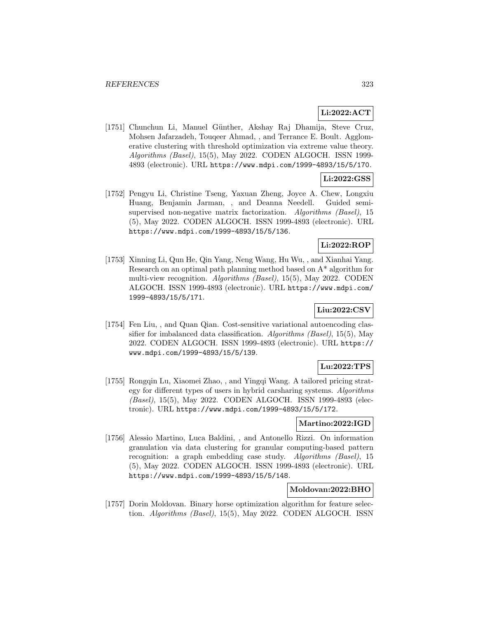## **Li:2022:ACT**

[1751] Chunchun Li, Manuel Günther, Akshay Raj Dhamija, Steve Cruz, Mohsen Jafarzadeh, Touqeer Ahmad, , and Terrance E. Boult. Agglomerative clustering with threshold optimization via extreme value theory. Algorithms (Basel), 15(5), May 2022. CODEN ALGOCH. ISSN 1999- 4893 (electronic). URL https://www.mdpi.com/1999-4893/15/5/170.

# **Li:2022:GSS**

[1752] Pengyu Li, Christine Tseng, Yaxuan Zheng, Joyce A. Chew, Longxiu Huang, Benjamin Jarman, , and Deanna Needell. Guided semisupervised non-negative matrix factorization. Algorithms (Basel), 15 (5), May 2022. CODEN ALGOCH. ISSN 1999-4893 (electronic). URL https://www.mdpi.com/1999-4893/15/5/136.

# **Li:2022:ROP**

[1753] Xinning Li, Qun He, Qin Yang, Neng Wang, Hu Wu, , and Xianhai Yang. Research on an optimal path planning method based on A\* algorithm for multi-view recognition. Algorithms (Basel), 15(5), May 2022. CODEN ALGOCH. ISSN 1999-4893 (electronic). URL https://www.mdpi.com/ 1999-4893/15/5/171.

# **Liu:2022:CSV**

[1754] Fen Liu, , and Quan Qian. Cost-sensitive variational autoencoding classifier for imbalanced data classification. Algorithms (Basel), 15(5), May 2022. CODEN ALGOCH. ISSN 1999-4893 (electronic). URL https:// www.mdpi.com/1999-4893/15/5/139.

# **Lu:2022:TPS**

[1755] Rongqin Lu, Xiaomei Zhao, , and Yingqi Wang. A tailored pricing strategy for different types of users in hybrid carsharing systems. Algorithms (Basel), 15(5), May 2022. CODEN ALGOCH. ISSN 1999-4893 (electronic). URL https://www.mdpi.com/1999-4893/15/5/172.

## **Martino:2022:IGD**

[1756] Alessio Martino, Luca Baldini, , and Antonello Rizzi. On information granulation via data clustering for granular computing-based pattern recognition: a graph embedding case study. Algorithms (Basel), 15 (5), May 2022. CODEN ALGOCH. ISSN 1999-4893 (electronic). URL https://www.mdpi.com/1999-4893/15/5/148.

# **Moldovan:2022:BHO**

[1757] Dorin Moldovan. Binary horse optimization algorithm for feature selection. Algorithms (Basel), 15(5), May 2022. CODEN ALGOCH. ISSN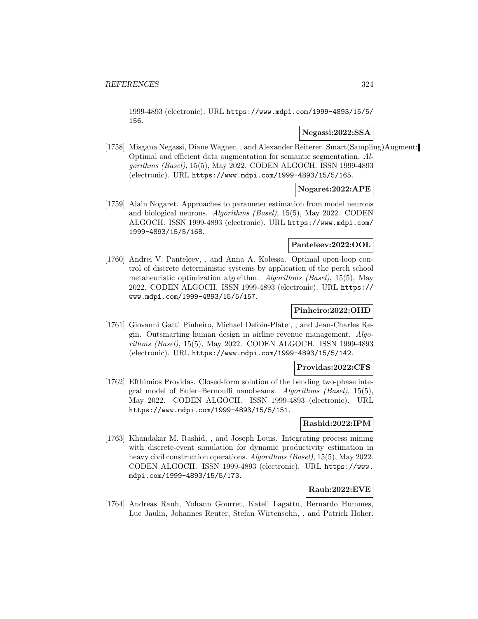1999-4893 (electronic). URL https://www.mdpi.com/1999-4893/15/5/ 156.

# **Negassi:2022:SSA**

[1758] Misgana Negassi, Diane Wagner, , and Alexander Reiterer. Smart(Sampling)Augment: Optimal and efficient data augmentation for semantic segmentation. Algorithms (Basel), 15(5), May 2022. CODEN ALGOCH. ISSN 1999-4893 (electronic). URL https://www.mdpi.com/1999-4893/15/5/165.

## **Nogaret:2022:APE**

[1759] Alain Nogaret. Approaches to parameter estimation from model neurons and biological neurons. Algorithms (Basel), 15(5), May 2022. CODEN ALGOCH. ISSN 1999-4893 (electronic). URL https://www.mdpi.com/ 1999-4893/15/5/168.

## **Panteleev:2022:OOL**

[1760] Andrei V. Panteleev, , and Anna A. Kolessa. Optimal open-loop control of discrete deterministic systems by application of the perch school metaheuristic optimization algorithm. Algorithms (Basel), 15(5), May 2022. CODEN ALGOCH. ISSN 1999-4893 (electronic). URL https:// www.mdpi.com/1999-4893/15/5/157.

# **Pinheiro:2022:OHD**

[1761] Giovanni Gatti Pinheiro, Michael Defoin-Platel, , and Jean-Charles Regin. Outsmarting human design in airline revenue management. Algorithms (Basel), 15(5), May 2022. CODEN ALGOCH. ISSN 1999-4893 (electronic). URL https://www.mdpi.com/1999-4893/15/5/142.

## **Providas:2022:CFS**

[1762] Efthimios Providas. Closed-form solution of the bending two-phase integral model of Euler–Bernoulli nanobeams. Algorithms (Basel), 15(5), May 2022. CODEN ALGOCH. ISSN 1999-4893 (electronic). URL https://www.mdpi.com/1999-4893/15/5/151.

## **Rashid:2022:IPM**

[1763] Khandakar M. Rashid, , and Joseph Louis. Integrating process mining with discrete-event simulation for dynamic productivity estimation in heavy civil construction operations. Algorithms (Basel), 15(5), May 2022. CODEN ALGOCH. ISSN 1999-4893 (electronic). URL https://www. mdpi.com/1999-4893/15/5/173.

## **Rauh:2022:EVE**

[1764] Andreas Rauh, Yohann Gourret, Katell Lagattu, Bernardo Hummes, Luc Jaulin, Johannes Reuter, Stefan Wirtensohn, , and Patrick Hoher.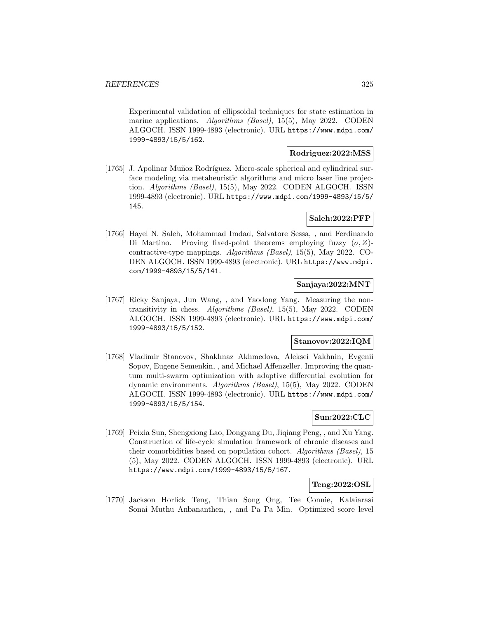Experimental validation of ellipsoidal techniques for state estimation in marine applications. Algorithms (Basel), 15(5), May 2022. CODEN ALGOCH. ISSN 1999-4893 (electronic). URL https://www.mdpi.com/ 1999-4893/15/5/162.

#### **Rodriguez:2022:MSS**

[1765] J. Apolinar Muñoz Rodríguez. Micro-scale spherical and cylindrical surface modeling via metaheuristic algorithms and micro laser line projection. Algorithms (Basel), 15(5), May 2022. CODEN ALGOCH. ISSN 1999-4893 (electronic). URL https://www.mdpi.com/1999-4893/15/5/ 145.

# **Saleh:2022:PFP**

[1766] Hayel N. Saleh, Mohammad Imdad, Salvatore Sessa, , and Ferdinando Di Martino. Proving fixed-point theorems employing fuzzy  $(\sigma, Z)$ contractive-type mappings. Algorithms (Basel), 15(5), May 2022. CO-DEN ALGOCH. ISSN 1999-4893 (electronic). URL https://www.mdpi. com/1999-4893/15/5/141.

# **Sanjaya:2022:MNT**

[1767] Ricky Sanjaya, Jun Wang, , and Yaodong Yang. Measuring the nontransitivity in chess. Algorithms (Basel), 15(5), May 2022. CODEN ALGOCH. ISSN 1999-4893 (electronic). URL https://www.mdpi.com/ 1999-4893/15/5/152.

# **Stanovov:2022:IQM**

[1768] Vladimir Stanovov, Shakhnaz Akhmedova, Aleksei Vakhnin, Evgenii Sopov, Eugene Semenkin, , and Michael Affenzeller. Improving the quantum multi-swarm optimization with adaptive differential evolution for dynamic environments. Algorithms (Basel), 15(5), May 2022. CODEN ALGOCH. ISSN 1999-4893 (electronic). URL https://www.mdpi.com/ 1999-4893/15/5/154.

# **Sun:2022:CLC**

[1769] Peixia Sun, Shengxiong Lao, Dongyang Du, Jiqiang Peng, , and Xu Yang. Construction of life-cycle simulation framework of chronic diseases and their comorbidities based on population cohort. Algorithms (Basel), 15 (5), May 2022. CODEN ALGOCH. ISSN 1999-4893 (electronic). URL https://www.mdpi.com/1999-4893/15/5/167.

### **Teng:2022:OSL**

[1770] Jackson Horlick Teng, Thian Song Ong, Tee Connie, Kalaiarasi Sonai Muthu Anbananthen, , and Pa Pa Min. Optimized score level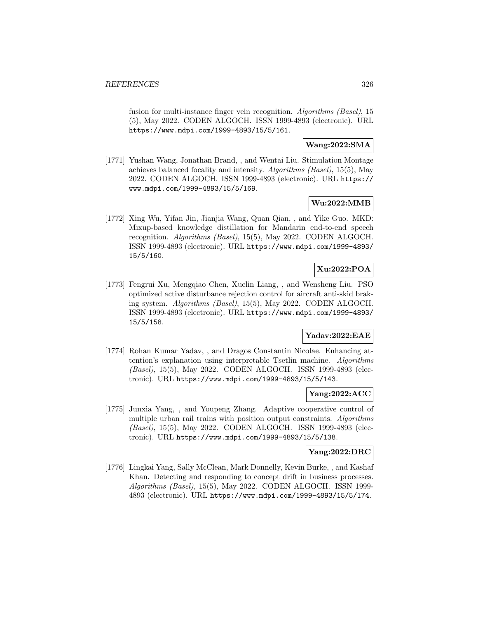fusion for multi-instance finger vein recognition. Algorithms (Basel), 15 (5), May 2022. CODEN ALGOCH. ISSN 1999-4893 (electronic). URL https://www.mdpi.com/1999-4893/15/5/161.

**Wang:2022:SMA**

[1771] Yushan Wang, Jonathan Brand, , and Wentai Liu. Stimulation Montage achieves balanced focality and intensity. Algorithms (Basel), 15(5), May 2022. CODEN ALGOCH. ISSN 1999-4893 (electronic). URL https:// www.mdpi.com/1999-4893/15/5/169.

# **Wu:2022:MMB**

[1772] Xing Wu, Yifan Jin, Jianjia Wang, Quan Qian, , and Yike Guo. MKD: Mixup-based knowledge distillation for Mandarin end-to-end speech recognition. Algorithms (Basel), 15(5), May 2022. CODEN ALGOCH. ISSN 1999-4893 (electronic). URL https://www.mdpi.com/1999-4893/ 15/5/160.

# **Xu:2022:POA**

[1773] Fengrui Xu, Mengqiao Chen, Xuelin Liang, , and Wensheng Liu. PSO optimized active disturbance rejection control for aircraft anti-skid braking system. Algorithms (Basel), 15(5), May 2022. CODEN ALGOCH. ISSN 1999-4893 (electronic). URL https://www.mdpi.com/1999-4893/ 15/5/158.

# **Yadav:2022:EAE**

[1774] Rohan Kumar Yadav, , and Dragos Constantin Nicolae. Enhancing attention's explanation using interpretable Tsetlin machine. Algorithms (Basel), 15(5), May 2022. CODEN ALGOCH. ISSN 1999-4893 (electronic). URL https://www.mdpi.com/1999-4893/15/5/143.

# **Yang:2022:ACC**

[1775] Junxia Yang, , and Youpeng Zhang. Adaptive cooperative control of multiple urban rail trains with position output constraints. Algorithms (Basel), 15(5), May 2022. CODEN ALGOCH. ISSN 1999-4893 (electronic). URL https://www.mdpi.com/1999-4893/15/5/138.

### **Yang:2022:DRC**

[1776] Lingkai Yang, Sally McClean, Mark Donnelly, Kevin Burke, , and Kashaf Khan. Detecting and responding to concept drift in business processes. Algorithms (Basel), 15(5), May 2022. CODEN ALGOCH. ISSN 1999- 4893 (electronic). URL https://www.mdpi.com/1999-4893/15/5/174.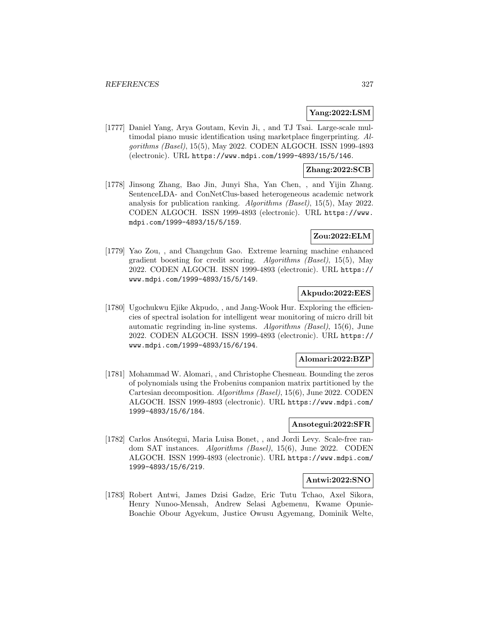## **Yang:2022:LSM**

[1777] Daniel Yang, Arya Goutam, Kevin Ji, , and TJ Tsai. Large-scale multimodal piano music identification using marketplace fingerprinting. Algorithms (Basel), 15(5), May 2022. CODEN ALGOCH. ISSN 1999-4893 (electronic). URL https://www.mdpi.com/1999-4893/15/5/146.

### **Zhang:2022:SCB**

[1778] Jinsong Zhang, Bao Jin, Junyi Sha, Yan Chen, , and Yijin Zhang. SentenceLDA- and ConNetClus-based heterogeneous academic network analysis for publication ranking. Algorithms (Basel), 15(5), May 2022. CODEN ALGOCH. ISSN 1999-4893 (electronic). URL https://www. mdpi.com/1999-4893/15/5/159.

# **Zou:2022:ELM**

[1779] Yao Zou, , and Changchun Gao. Extreme learning machine enhanced gradient boosting for credit scoring. Algorithms (Basel), 15(5), May 2022. CODEN ALGOCH. ISSN 1999-4893 (electronic). URL https:// www.mdpi.com/1999-4893/15/5/149.

### **Akpudo:2022:EES**

[1780] Ugochukwu Ejike Akpudo, , and Jang-Wook Hur. Exploring the efficiencies of spectral isolation for intelligent wear monitoring of micro drill bit automatic regrinding in-line systems. Algorithms (Basel), 15(6), June 2022. CODEN ALGOCH. ISSN 1999-4893 (electronic). URL https:// www.mdpi.com/1999-4893/15/6/194.

### **Alomari:2022:BZP**

[1781] Mohammad W. Alomari, , and Christophe Chesneau. Bounding the zeros of polynomials using the Frobenius companion matrix partitioned by the Cartesian decomposition. Algorithms (Basel), 15(6), June 2022. CODEN ALGOCH. ISSN 1999-4893 (electronic). URL https://www.mdpi.com/ 1999-4893/15/6/184.

# **Ansotegui:2022:SFR**

[1782] Carlos Ansótegui, Maria Luisa Bonet, , and Jordi Levy. Scale-free random SAT instances. Algorithms (Basel), 15(6), June 2022. CODEN ALGOCH. ISSN 1999-4893 (electronic). URL https://www.mdpi.com/ 1999-4893/15/6/219.

#### **Antwi:2022:SNO**

[1783] Robert Antwi, James Dzisi Gadze, Eric Tutu Tchao, Axel Sikora, Henry Nunoo-Mensah, Andrew Selasi Agbemenu, Kwame Opunie-Boachie Obour Agyekum, Justice Owusu Agyemang, Dominik Welte,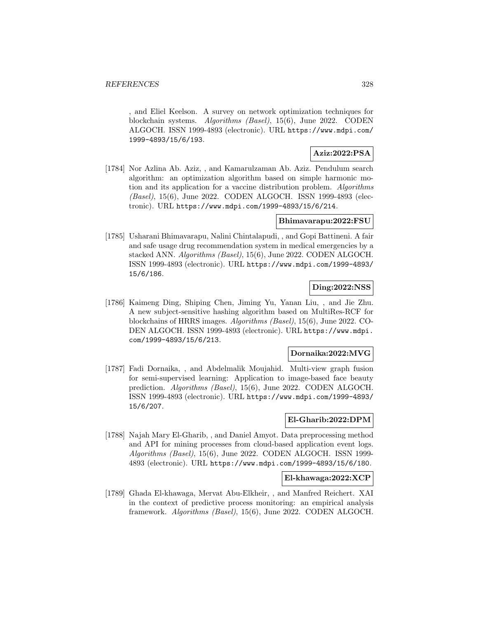, and Eliel Keelson. A survey on network optimization techniques for blockchain systems. Algorithms (Basel), 15(6), June 2022. CODEN ALGOCH. ISSN 1999-4893 (electronic). URL https://www.mdpi.com/ 1999-4893/15/6/193.

# **Aziz:2022:PSA**

[1784] Nor Azlina Ab. Aziz, , and Kamarulzaman Ab. Aziz. Pendulum search algorithm: an optimization algorithm based on simple harmonic motion and its application for a vaccine distribution problem. Algorithms (Basel), 15(6), June 2022. CODEN ALGOCH. ISSN 1999-4893 (electronic). URL https://www.mdpi.com/1999-4893/15/6/214.

## **Bhimavarapu:2022:FSU**

[1785] Usharani Bhimavarapu, Nalini Chintalapudi, , and Gopi Battineni. A fair and safe usage drug recommendation system in medical emergencies by a stacked ANN. Algorithms (Basel), 15(6), June 2022. CODEN ALGOCH. ISSN 1999-4893 (electronic). URL https://www.mdpi.com/1999-4893/ 15/6/186.

# **Ding:2022:NSS**

[1786] Kaimeng Ding, Shiping Chen, Jiming Yu, Yanan Liu, , and Jie Zhu. A new subject-sensitive hashing algorithm based on MultiRes-RCF for blockchains of HRRS images. Algorithms (Basel), 15(6), June 2022. CO-DEN ALGOCH. ISSN 1999-4893 (electronic). URL https://www.mdpi. com/1999-4893/15/6/213.

# **Dornaika:2022:MVG**

[1787] Fadi Dornaika, , and Abdelmalik Moujahid. Multi-view graph fusion for semi-supervised learning: Application to image-based face beauty prediction. Algorithms (Basel), 15(6), June 2022. CODEN ALGOCH. ISSN 1999-4893 (electronic). URL https://www.mdpi.com/1999-4893/ 15/6/207.

### **El-Gharib:2022:DPM**

[1788] Najah Mary El-Gharib, , and Daniel Amyot. Data preprocessing method and API for mining processes from cloud-based application event logs. Algorithms (Basel), 15(6), June 2022. CODEN ALGOCH. ISSN 1999- 4893 (electronic). URL https://www.mdpi.com/1999-4893/15/6/180.

### **El-khawaga:2022:XCP**

[1789] Ghada El-khawaga, Mervat Abu-Elkheir, , and Manfred Reichert. XAI in the context of predictive process monitoring: an empirical analysis framework. Algorithms (Basel), 15(6), June 2022. CODEN ALGOCH.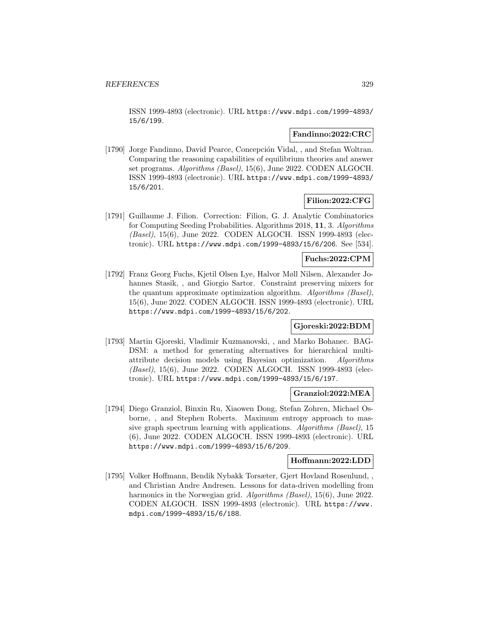ISSN 1999-4893 (electronic). URL https://www.mdpi.com/1999-4893/ 15/6/199.

### **Fandinno:2022:CRC**

[1790] Jorge Fandinno, David Pearce, Concepción Vidal, , and Stefan Woltran. Comparing the reasoning capabilities of equilibrium theories and answer set programs. Algorithms (Basel), 15(6), June 2022. CODEN ALGOCH. ISSN 1999-4893 (electronic). URL https://www.mdpi.com/1999-4893/ 15/6/201.

## **Filion:2022:CFG**

[1791] Guillaume J. Filion. Correction: Filion, G. J. Analytic Combinatorics for Computing Seeding Probabilities. Algorithms 2018, **11**, 3. Algorithms (Basel), 15(6), June 2022. CODEN ALGOCH. ISSN 1999-4893 (electronic). URL https://www.mdpi.com/1999-4893/15/6/206. See [534].

# **Fuchs:2022:CPM**

[1792] Franz Georg Fuchs, Kjetil Olsen Lye, Halvor Møll Nilsen, Alexander Johannes Stasik, , and Giorgio Sartor. Constraint preserving mixers for the quantum approximate optimization algorithm. Algorithms (Basel), 15(6), June 2022. CODEN ALGOCH. ISSN 1999-4893 (electronic). URL https://www.mdpi.com/1999-4893/15/6/202.

### **Gjoreski:2022:BDM**

[1793] Martin Gjoreski, Vladimir Kuzmanovski, , and Marko Bohanec. BAG-DSM: a method for generating alternatives for hierarchical multiattribute decision models using Bayesian optimization. Algorithms (Basel), 15(6), June 2022. CODEN ALGOCH. ISSN 1999-4893 (electronic). URL https://www.mdpi.com/1999-4893/15/6/197.

### **Granziol:2022:MEA**

[1794] Diego Granziol, Binxin Ru, Xiaowen Dong, Stefan Zohren, Michael Osborne, , and Stephen Roberts. Maximum entropy approach to massive graph spectrum learning with applications. Algorithms (Basel), 15 (6), June 2022. CODEN ALGOCH. ISSN 1999-4893 (electronic). URL https://www.mdpi.com/1999-4893/15/6/209.

#### **Hoffmann:2022:LDD**

[1795] Volker Hoffmann, Bendik Nybakk Torsæter, Gjert Hovland Rosenlund, , and Christian Andre Andresen. Lessons for data-driven modelling from harmonics in the Norwegian grid. Algorithms (Basel), 15(6), June 2022. CODEN ALGOCH. ISSN 1999-4893 (electronic). URL https://www. mdpi.com/1999-4893/15/6/188.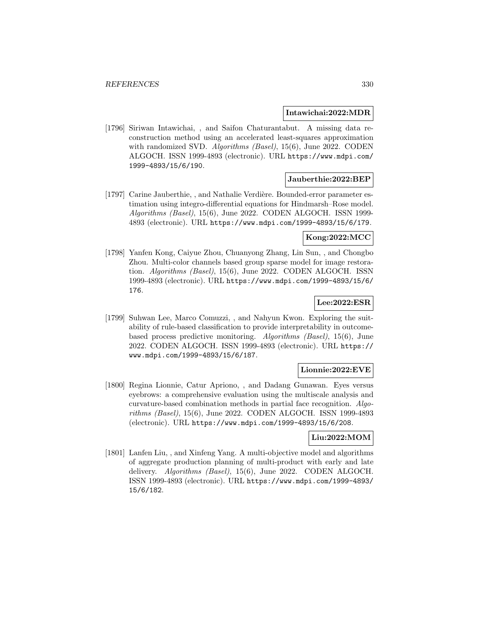#### **Intawichai:2022:MDR**

[1796] Siriwan Intawichai, , and Saifon Chaturantabut. A missing data reconstruction method using an accelerated least-squares approximation with randomized SVD. *Algorithms (Basel)*, 15(6), June 2022. CODEN ALGOCH. ISSN 1999-4893 (electronic). URL https://www.mdpi.com/ 1999-4893/15/6/190.

#### **Jauberthie:2022:BEP**

[1797] Carine Jauberthie, , and Nathalie Verdière. Bounded-error parameter estimation using integro-differential equations for Hindmarsh–Rose model. Algorithms (Basel), 15(6), June 2022. CODEN ALGOCH. ISSN 1999- 4893 (electronic). URL https://www.mdpi.com/1999-4893/15/6/179.

### **Kong:2022:MCC**

[1798] Yanfen Kong, Caiyue Zhou, Chuanyong Zhang, Lin Sun, , and Chongbo Zhou. Multi-color channels based group sparse model for image restoration. Algorithms (Basel), 15(6), June 2022. CODEN ALGOCH. ISSN 1999-4893 (electronic). URL https://www.mdpi.com/1999-4893/15/6/ 176.

# **Lee:2022:ESR**

[1799] Suhwan Lee, Marco Comuzzi, , and Nahyun Kwon. Exploring the suitability of rule-based classification to provide interpretability in outcomebased process predictive monitoring. Algorithms (Basel), 15(6), June 2022. CODEN ALGOCH. ISSN 1999-4893 (electronic). URL https:// www.mdpi.com/1999-4893/15/6/187.

### **Lionnie:2022:EVE**

[1800] Regina Lionnie, Catur Apriono, , and Dadang Gunawan. Eyes versus eyebrows: a comprehensive evaluation using the multiscale analysis and curvature-based combination methods in partial face recognition. Algorithms (Basel), 15(6), June 2022. CODEN ALGOCH. ISSN 1999-4893 (electronic). URL https://www.mdpi.com/1999-4893/15/6/208.

# **Liu:2022:MOM**

[1801] Lanfen Liu, , and Xinfeng Yang. A multi-objective model and algorithms of aggregate production planning of multi-product with early and late delivery. Algorithms (Basel), 15(6), June 2022. CODEN ALGOCH. ISSN 1999-4893 (electronic). URL https://www.mdpi.com/1999-4893/ 15/6/182.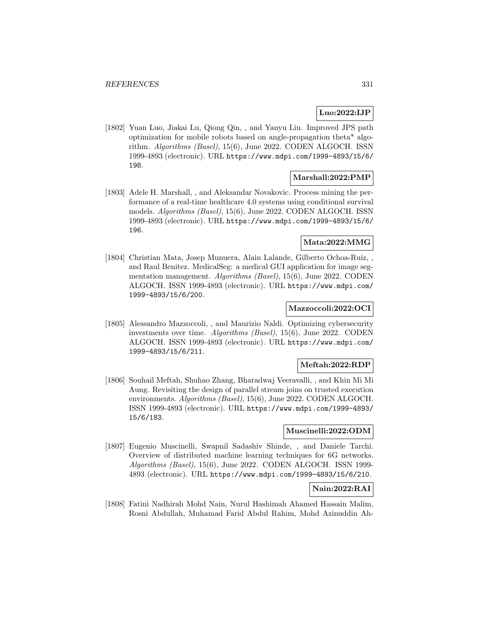# **Luo:2022:IJP**

[1802] Yuan Luo, Jiakai Lu, Qiong Qin, , and Yanyu Liu. Improved JPS path optimization for mobile robots based on angle-propagation theta\* algorithm. Algorithms (Basel), 15(6), June 2022. CODEN ALGOCH. ISSN 1999-4893 (electronic). URL https://www.mdpi.com/1999-4893/15/6/ 198.

## **Marshall:2022:PMP**

[1803] Adele H. Marshall, , and Aleksandar Novakovic. Process mining the performance of a real-time healthcare 4.0 systems using conditional survival models. Algorithms (Basel), 15(6), June 2022. CODEN ALGOCH. ISSN 1999-4893 (electronic). URL https://www.mdpi.com/1999-4893/15/6/ 196.

### **Mata:2022:MMG**

[1804] Christian Mata, Josep Munuera, Alain Lalande, Gilberto Ochoa-Ruiz, , and Raul Benitez. MedicalSeg: a medical GUI application for image segmentation management. Algorithms (Basel), 15(6), June 2022. CODEN ALGOCH. ISSN 1999-4893 (electronic). URL https://www.mdpi.com/ 1999-4893/15/6/200.

# **Mazzoccoli:2022:OCI**

[1805] Alessandro Mazzoccoli, , and Maurizio Naldi. Optimizing cybersecurity investments over time. Algorithms (Basel), 15(6), June 2022. CODEN ALGOCH. ISSN 1999-4893 (electronic). URL https://www.mdpi.com/ 1999-4893/15/6/211.

### **Meftah:2022:RDP**

[1806] Souhail Meftah, Shuhao Zhang, Bharadwaj Veeravalli, , and Khin Mi Mi Aung. Revisiting the design of parallel stream joins on trusted execution environments. Algorithms (Basel), 15(6), June 2022. CODEN ALGOCH. ISSN 1999-4893 (electronic). URL https://www.mdpi.com/1999-4893/ 15/6/183.

### **Muscinelli:2022:ODM**

[1807] Eugenio Muscinelli, Swapnil Sadashiv Shinde, , and Daniele Tarchi. Overview of distributed machine learning techniques for 6G networks. Algorithms (Basel), 15(6), June 2022. CODEN ALGOCH. ISSN 1999- 4893 (electronic). URL https://www.mdpi.com/1999-4893/15/6/210.

# **Nain:2022:RAI**

[1808] Fatini Nadhirah Mohd Nain, Nurul Hashimah Ahamed Hassain Malim, Rosni Abdullah, Muhamad Farid Abdul Rahim, Mohd Azinuddin Ah-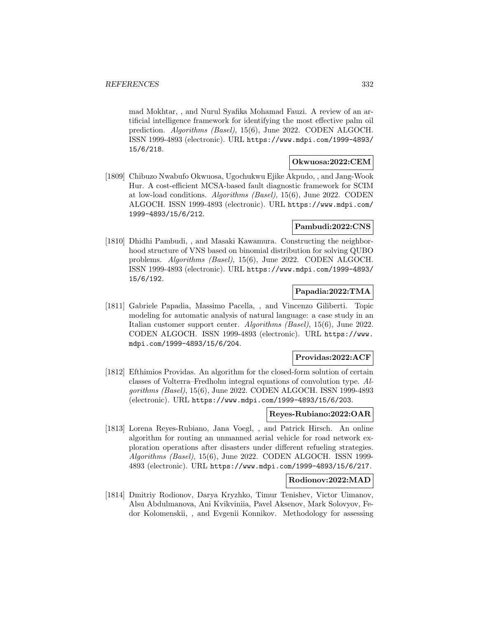mad Mokhtar, , and Nurul Syafika Mohamad Fauzi. A review of an artificial intelligence framework for identifying the most effective palm oil prediction. Algorithms (Basel), 15(6), June 2022. CODEN ALGOCH. ISSN 1999-4893 (electronic). URL https://www.mdpi.com/1999-4893/ 15/6/218.

# **Okwuosa:2022:CEM**

[1809] Chibuzo Nwabufo Okwuosa, Ugochukwu Ejike Akpudo, , and Jang-Wook Hur. A cost-efficient MCSA-based fault diagnostic framework for SCIM at low-load conditions. Algorithms (Basel), 15(6), June 2022. CODEN ALGOCH. ISSN 1999-4893 (electronic). URL https://www.mdpi.com/ 1999-4893/15/6/212.

### **Pambudi:2022:CNS**

[1810] Dhidhi Pambudi, , and Masaki Kawamura. Constructing the neighborhood structure of VNS based on binomial distribution for solving QUBO problems. Algorithms (Basel), 15(6), June 2022. CODEN ALGOCH. ISSN 1999-4893 (electronic). URL https://www.mdpi.com/1999-4893/ 15/6/192.

# **Papadia:2022:TMA**

[1811] Gabriele Papadia, Massimo Pacella, , and Vincenzo Giliberti. Topic modeling for automatic analysis of natural language: a case study in an Italian customer support center. Algorithms (Basel), 15(6), June 2022. CODEN ALGOCH. ISSN 1999-4893 (electronic). URL https://www. mdpi.com/1999-4893/15/6/204.

### **Providas:2022:ACF**

[1812] Efthimios Providas. An algorithm for the closed-form solution of certain classes of Volterra–Fredholm integral equations of convolution type. Algorithms (Basel), 15(6), June 2022. CODEN ALGOCH. ISSN 1999-4893 (electronic). URL https://www.mdpi.com/1999-4893/15/6/203.

### **Reyes-Rubiano:2022:OAR**

[1813] Lorena Reyes-Rubiano, Jana Voegl, , and Patrick Hirsch. An online algorithm for routing an unmanned aerial vehicle for road network exploration operations after disasters under different refueling strategies. Algorithms (Basel), 15(6), June 2022. CODEN ALGOCH. ISSN 1999- 4893 (electronic). URL https://www.mdpi.com/1999-4893/15/6/217.

### **Rodionov:2022:MAD**

[1814] Dmitriy Rodionov, Darya Kryzhko, Timur Tenishev, Victor Uimanov, Alsu Abdulmanova, Ani Kvikviniia, Pavel Aksenov, Mark Solovyov, Fedor Kolomenskii, , and Evgenii Konnikov. Methodology for assessing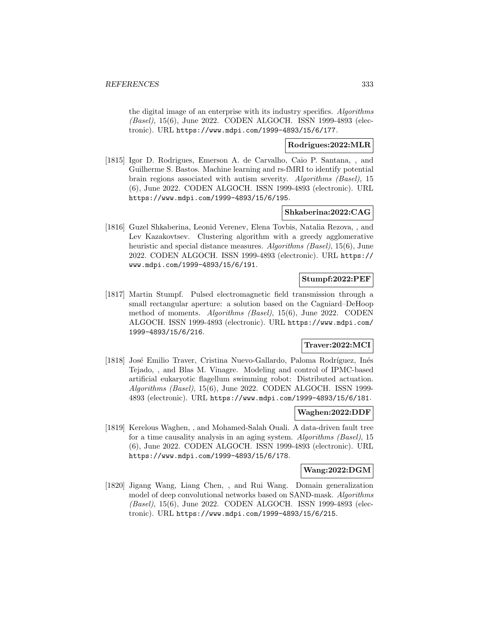the digital image of an enterprise with its industry specifics. Algorithms (Basel), 15(6), June 2022. CODEN ALGOCH. ISSN 1999-4893 (electronic). URL https://www.mdpi.com/1999-4893/15/6/177.

### **Rodrigues:2022:MLR**

[1815] Igor D. Rodrigues, Emerson A. de Carvalho, Caio P. Santana, , and Guilherme S. Bastos. Machine learning and rs-fMRI to identify potential brain regions associated with autism severity. Algorithms (Basel), 15 (6), June 2022. CODEN ALGOCH. ISSN 1999-4893 (electronic). URL https://www.mdpi.com/1999-4893/15/6/195.

## **Shkaberina:2022:CAG**

[1816] Guzel Shkaberina, Leonid Verenev, Elena Tovbis, Natalia Rezova, , and Lev Kazakovtsev. Clustering algorithm with a greedy agglomerative heuristic and special distance measures. Algorithms (Basel), 15(6), June 2022. CODEN ALGOCH. ISSN 1999-4893 (electronic). URL https:// www.mdpi.com/1999-4893/15/6/191.

## **Stumpf:2022:PEF**

[1817] Martin Stumpf. Pulsed electromagnetic field transmission through a small rectangular aperture: a solution based on the Cagniard–DeHoop method of moments. Algorithms (Basel), 15(6), June 2022. CODEN ALGOCH. ISSN 1999-4893 (electronic). URL https://www.mdpi.com/ 1999-4893/15/6/216.

# **Traver:2022:MCI**

[1818] José Emilio Traver, Cristina Nuevo-Gallardo, Paloma Rodríguez, Inés Tejado, , and Blas M. Vinagre. Modeling and control of IPMC-based artificial eukaryotic flagellum swimming robot: Distributed actuation. Algorithms (Basel), 15(6), June 2022. CODEN ALGOCH. ISSN 1999- 4893 (electronic). URL https://www.mdpi.com/1999-4893/15/6/181.

# **Waghen:2022:DDF**

[1819] Kerelous Waghen, , and Mohamed-Salah Ouali. A data-driven fault tree for a time causality analysis in an aging system. Algorithms (Basel), 15 (6), June 2022. CODEN ALGOCH. ISSN 1999-4893 (electronic). URL https://www.mdpi.com/1999-4893/15/6/178.

### **Wang:2022:DGM**

[1820] Jigang Wang, Liang Chen, , and Rui Wang. Domain generalization model of deep convolutional networks based on SAND-mask. Algorithms (Basel), 15(6), June 2022. CODEN ALGOCH. ISSN 1999-4893 (electronic). URL https://www.mdpi.com/1999-4893/15/6/215.